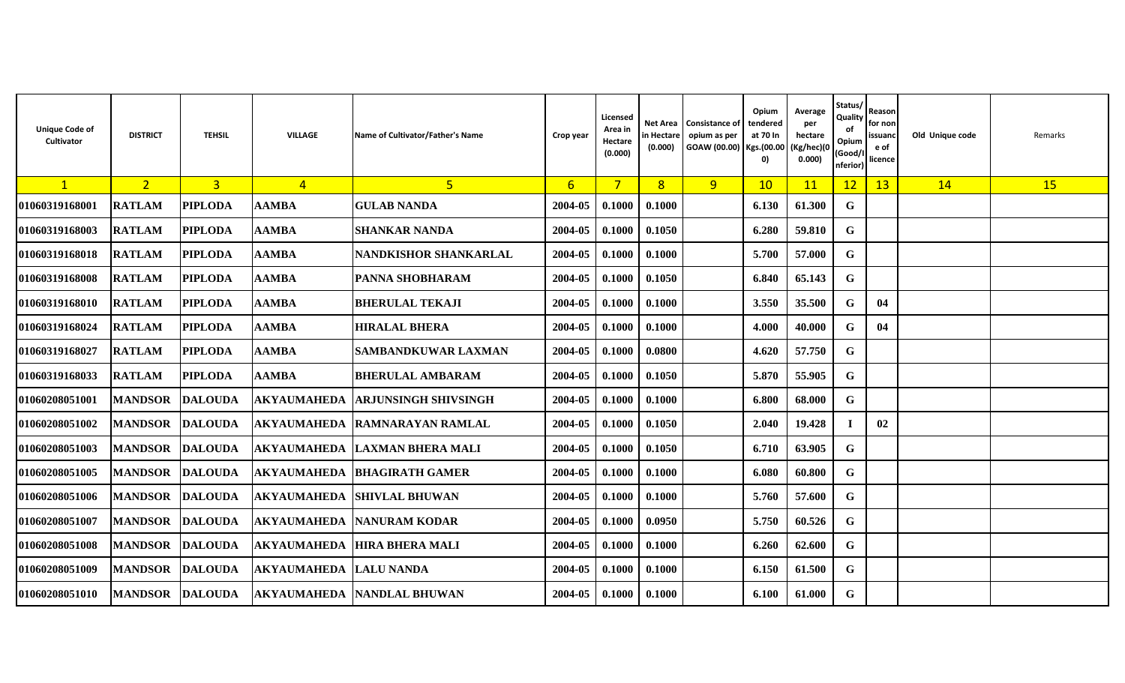| <b>Unique Code of</b><br>Cultivator | <b>DISTRICT</b>        | <b>TEHSIL</b>  | VILLAGE            | Name of Cultivator/Father's Name | Crop year      | Licensed<br>Area in<br>Hectare<br>(0.000) | Net Area<br>in Hectare<br>(0.000) | <b>Consistance of</b><br>opium as per<br>GOAW (00.00) Kgs.(00.00 (Kg/hec)(0 | Opium<br>tendered<br>at 70 In<br>0) | Average<br>per<br>hectare<br>0.000) | Status/<br>Quality<br>of<br>Opium<br>(Good/I<br>nferior) | Reason<br>for non<br>issuand<br>e of<br>licence | Old Unique code | Remarks |
|-------------------------------------|------------------------|----------------|--------------------|----------------------------------|----------------|-------------------------------------------|-----------------------------------|-----------------------------------------------------------------------------|-------------------------------------|-------------------------------------|----------------------------------------------------------|-------------------------------------------------|-----------------|---------|
| $\mathbf{1}$                        | 2 <sup>7</sup>         | $\overline{3}$ | $\overline{4}$     | 5                                | 6 <sup>1</sup> | 7 <sup>1</sup>                            | 8 <sup>1</sup>                    | 9                                                                           | 10                                  | 11                                  | 12                                                       | 13                                              | 14              | 15      |
| 01060319168001                      | <b>RATLAM</b>          | <b>PIPLODA</b> | <b>AAMBA</b>       | <b>GULAB NANDA</b>               | 2004-05        | 0.1000                                    | 0.1000                            |                                                                             | 6.130                               | 61.300                              | G                                                        |                                                 |                 |         |
| 01060319168003                      | <b>RATLAM</b>          | <b>PIPLODA</b> | <b>AAMBA</b>       | <b>SHANKAR NANDA</b>             | 2004-05        | 0.1000                                    | 0.1050                            |                                                                             | 6.280                               | 59.810                              | G                                                        |                                                 |                 |         |
| 01060319168018                      | <b>RATLAM</b>          | <b>PIPLODA</b> | <b>AAMBA</b>       | <b>NANDKISHOR SHANKARLAL</b>     | 2004-05        | 0.1000                                    | 0.1000                            |                                                                             | 5.700                               | 57.000                              | G                                                        |                                                 |                 |         |
| 01060319168008                      | <b>RATLAM</b>          | <b>PIPLODA</b> | <b>AAMBA</b>       | PANNA SHOBHARAM                  | 2004-05        | 0.1000                                    | 0.1050                            |                                                                             | 6.840                               | 65.143                              | G                                                        |                                                 |                 |         |
| 01060319168010                      | <b>RATLAM</b>          | <b>PIPLODA</b> | AAMBA              | <b>BHERULAL TEKAJI</b>           | 2004-05        | 0.1000                                    | 0.1000                            |                                                                             | 3.550                               | 35.500                              | G                                                        | 04                                              |                 |         |
| 01060319168024                      | <b>RATLAM</b>          | <b>PIPLODA</b> | AAMBA              | <b>HIRALAL BHERA</b>             | 2004-05        | 0.1000                                    | 0.1000                            |                                                                             | 4.000                               | 40.000                              | G                                                        | 04                                              |                 |         |
| 01060319168027                      | <b>RATLAM</b>          | <b>PIPLODA</b> | <b>AAMBA</b>       | <b>SAMBANDKUWAR LAXMAN</b>       | 2004-05        | 0.1000                                    | 0.0800                            |                                                                             | 4.620                               | 57.750                              | G                                                        |                                                 |                 |         |
| 01060319168033                      | <b>RATLAM</b>          | <b>PIPLODA</b> | AAMBA              | <b>BHERULAL AMBARAM</b>          | 2004-05        | 0.1000                                    | 0.1050                            |                                                                             | 5.870                               | 55.905                              | G                                                        |                                                 |                 |         |
| 01060208051001                      | <b>MANDSOR</b>         | <b>DALOUDA</b> | <b>AKYAUMAHEDA</b> | <b>ARJUNSINGH SHIVSINGH</b>      | 2004-05        | 0.1000                                    | 0.1000                            |                                                                             | 6.800                               | 68.000                              | G                                                        |                                                 |                 |         |
| 01060208051002                      | <b>MANDSOR</b>         | <b>DALOUDA</b> | AKYAUMAHEDA        | <b>RAMNARAYAN RAMLAL</b>         | 2004-05        | 0.1000                                    | 0.1050                            |                                                                             | 2.040                               | 19.428                              |                                                          | 02                                              |                 |         |
| 01060208051003                      | <b>MANDSOR</b>         | <b>DALOUDA</b> | <b>AKYAUMAHEDA</b> | <b>LAXMAN BHERA MALI</b>         | 2004-05        | 0.1000                                    | 0.1050                            |                                                                             | 6.710                               | 63.905                              | G                                                        |                                                 |                 |         |
| 01060208051005                      | <b>MANDSOR</b>         | <b>DALOUDA</b> | <b>AKYAUMAHEDA</b> | <b>BHAGIRATH GAMER</b>           | 2004-05        | 0.1000                                    | 0.1000                            |                                                                             | 6.080                               | 60.800                              | G                                                        |                                                 |                 |         |
| 01060208051006                      | <b>MANDSOR DALOUDA</b> |                | <b>AKYAUMAHEDA</b> | <b>ISHIVLAL BHUWAN</b>           | 2004-05        | 0.1000                                    | 0.1000                            |                                                                             | 5.760                               | 57.600                              | G                                                        |                                                 |                 |         |
| 01060208051007                      | <b>MANDSOR</b>         | <b>DALOUDA</b> | <b>AKYAUMAHEDA</b> | <b>NANURAM KODAR</b>             | 2004-05        | 0.1000                                    | 0.0950                            |                                                                             | 5.750                               | 60.526                              | G                                                        |                                                 |                 |         |
| 01060208051008                      | <b>MANDSOR</b>         | <b>DALOUDA</b> | AKYAUMAHEDA        | <b>HIRA BHERA MALI</b>           | 2004-05        | 0.1000                                    | 0.1000                            |                                                                             | 6.260                               | 62.600                              | G                                                        |                                                 |                 |         |
| 01060208051009                      | <b>MANDSOR</b>         | <b>DALOUDA</b> | <b>AKYAUMAHEDA</b> | <b>LALU NANDA</b>                | 2004-05        | 0.1000                                    | 0.1000                            |                                                                             | 6.150                               | 61.500                              | G                                                        |                                                 |                 |         |
| 01060208051010                      | MANDSOR DALOUDA        |                | <b>AKYAUMAHEDA</b> | NANDLAL BHUWAN                   | 2004-05        | 0.1000                                    | 0.1000                            |                                                                             | 6.100                               | 61.000                              | G                                                        |                                                 |                 |         |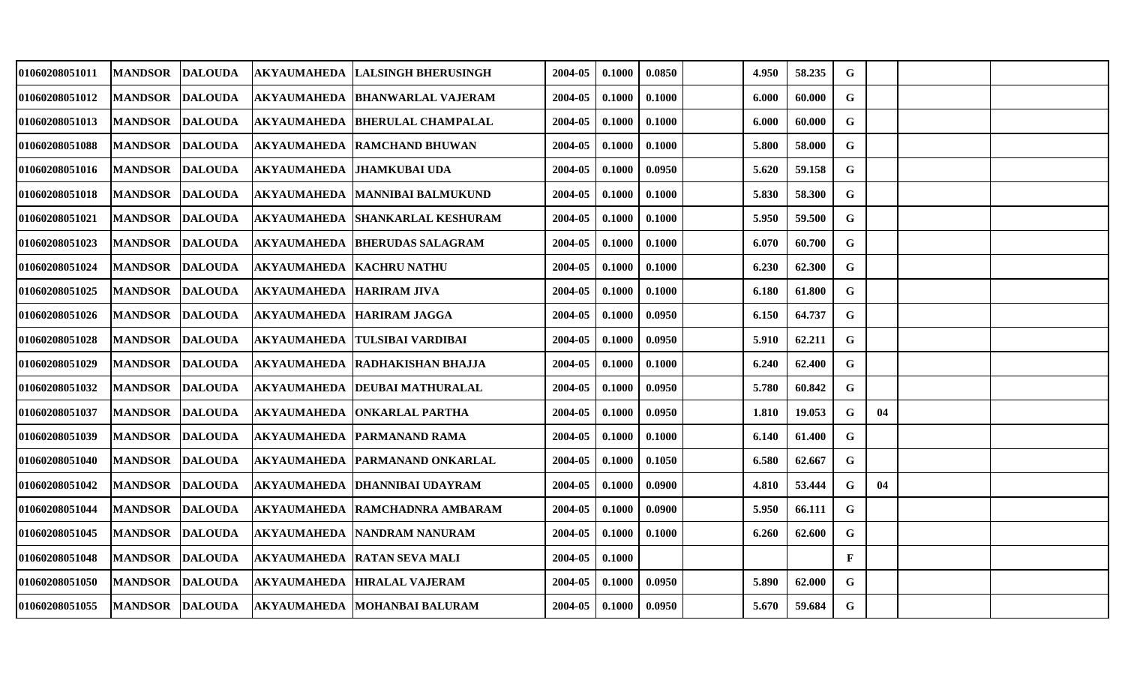| 01060208051011 | MANDSOR DALOUDA        |                |                                 | <b>AKYAUMAHEDA LALSINGH BHERUSINGH</b>         | 2004-05 | 0.1000          | 0.0850 | 4.950 | 58.235 | G            |    |  |
|----------------|------------------------|----------------|---------------------------------|------------------------------------------------|---------|-----------------|--------|-------|--------|--------------|----|--|
| 01060208051012 | <b>MANDSOR</b>         | <b>DALOUDA</b> |                                 | AKYAUMAHEDA BHANWARLAL VAJERAM                 | 2004-05 | 0.1000          | 0.1000 | 6.000 | 60.000 | G            |    |  |
| 01060208051013 | <b>MANDSOR</b>         | <b>DALOUDA</b> |                                 | AKYAUMAHEDA BHERULAL CHAMPALAL                 | 2004-05 | 0.1000          | 0.1000 | 6.000 | 60.000 | $\mathbf G$  |    |  |
| 01060208051088 | <b>MANDSOR</b>         | <b>DALOUDA</b> |                                 | <b>AKYAUMAHEDA RAMCHAND BHUWAN</b>             | 2004-05 | 0.1000          | 0.1000 | 5.800 | 58.000 | $\mathbf G$  |    |  |
| 01060208051016 | MANDSOR DALOUDA        |                |                                 | AKYAUMAHEDA JHAMKUBAI UDA                      | 2004-05 | 0.1000          | 0.0950 | 5.620 | 59.158 | $\mathbf G$  |    |  |
| 01060208051018 | <b>MANDSOR</b>         | <b>DALOUDA</b> |                                 | AKYAUMAHEDA   MANNIBAI BALMUKUND               | 2004-05 | 0.1000          | 0.1000 | 5.830 | 58.300 | G            |    |  |
| 01060208051021 | <b>MANDSOR</b>         | <b>DALOUDA</b> |                                 | <b>AKYAUMAHEDA SHANKARLAL KESHURAM</b>         | 2004-05 | 0.1000          | 0.1000 | 5.950 | 59.500 | $\mathbf G$  |    |  |
| 01060208051023 | <b>MANDSOR</b>         | <b>DALOUDA</b> |                                 | <b>AKYAUMAHEDA BHERUDAS SALAGRAM</b>           | 2004-05 | 0.1000          | 0.1000 | 6.070 | 60.700 | G            |    |  |
| 01060208051024 | <b>MANDSOR</b>         | <b>DALOUDA</b> | <b>AKYAUMAHEDA KACHRU NATHU</b> |                                                | 2004-05 | 0.1000          | 0.1000 | 6.230 | 62.300 | ${\bf G}$    |    |  |
| 01060208051025 | <b>MANDSOR</b>         | <b>DALOUDA</b> | <b>AKYAUMAHEDA HARIRAM JIVA</b> |                                                | 2004-05 | 0.1000          | 0.1000 | 6.180 | 61.800 | G            |    |  |
| 01060208051026 | <b>MANDSOR</b>         | <b>DALOUDA</b> |                                 | AKYAUMAHEDA  HARIRAM JAGGA                     | 2004-05 | 0.1000          | 0.0950 | 6.150 | 64.737 | G            |    |  |
| 01060208051028 | <b>MANDSOR</b>         | <b>DALOUDA</b> |                                 | AKYAUMAHEDA TULSIBAI VARDIBAI                  | 2004-05 | 0.1000          | 0.0950 | 5.910 | 62.211 | G            |    |  |
| 01060208051029 | <b>MANDSOR</b>         | <b>DALOUDA</b> |                                 | AKYAUMAHEDA RADHAKISHAN BHAJJA                 | 2004-05 | 0.1000          | 0.1000 | 6.240 | 62.400 | G            |    |  |
| 01060208051032 | <b>MANDSOR</b>         | <b>DALOUDA</b> |                                 | AKYAUMAHEDA   DEUBAI MATHURALAL                | 2004-05 | 0.1000          | 0.0950 | 5.780 | 60.842 | G            |    |  |
| 01060208051037 | <b>MANDSOR DALOUDA</b> |                |                                 | AKYAUMAHEDA ONKARLAL PARTHA                    | 2004-05 | 0.1000          | 0.0950 | 1.810 | 19.053 | G            | 04 |  |
| 01060208051039 | <b>MANDSOR</b>         | <b>DALOUDA</b> |                                 | <b>AKYAUMAHEDA PARMANAND RAMA</b>              | 2004-05 | 0.1000          | 0.1000 | 6.140 | 61.400 | G            |    |  |
| 01060208051040 | <b>MANDSOR</b>         | <b>DALOUDA</b> |                                 | AKYAUMAHEDA PARMANAND ONKARLAL                 | 2004-05 | 0.1000          | 0.1050 | 6.580 | 62.667 | $\mathbf G$  |    |  |
| 01060208051042 | <b>MANDSOR</b>         | <b>DALOUDA</b> |                                 | AKYAUMAHEDA   DHANNIBAI UDAYRAM                | 2004-05 | 0.1000          | 0.0900 | 4.810 | 53.444 | G            | 04 |  |
| 01060208051044 | <b>MANDSOR</b>         | <b>DALOUDA</b> |                                 | AKYAUMAHEDA RAMCHADNRA AMBARAM                 | 2004-05 | 0.1000          | 0.0900 | 5.950 | 66.111 | G            |    |  |
| 01060208051045 | <b>MANDSOR</b>         | <b>DALOUDA</b> |                                 | AKYAUMAHEDA   NANDRAM NANURAM                  | 2004-05 | 0.1000          | 0.1000 | 6.260 | 62.600 | G            |    |  |
| 01060208051048 | MANDSOR DALOUDA        |                |                                 | AKYAUMAHEDA RATAN SEVA MALI                    | 2004-05 | 0.1000          |        |       |        | $\mathbf{F}$ |    |  |
| 01060208051050 | <b>MANDSOR</b>         | <b>DALOUDA</b> |                                 | AKYAUMAHEDA HIRALAL VAJERAM                    | 2004-05 | 0.1000          | 0.0950 | 5.890 | 62.000 | G            |    |  |
| 01060208051055 |                        |                |                                 | MANDSOR DALOUDA   AKYAUMAHEDA MOHANBAI BALURAM | 2004-05 | $0.1000$ 0.0950 |        | 5.670 | 59.684 | $\mathbf G$  |    |  |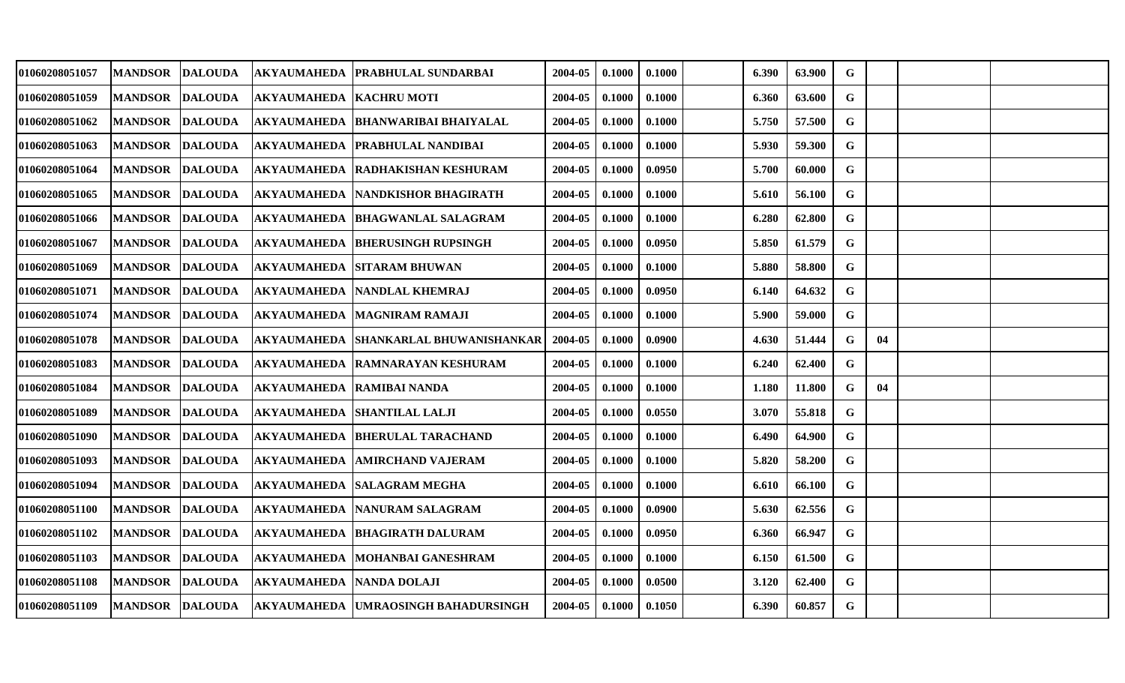| <b>MANDSOR</b> |                |                                                                                                                                                                                                                                                                                                                                                    |                                          | 2004-05                                                                                                                                                                                                                                                                                                                                                                                                                                                                                                                                                                                                                                                                                                                                                                                                                                     | 0.1000 | 0.1000 | 6.390 | 63.900 | G           |    |  |
|----------------|----------------|----------------------------------------------------------------------------------------------------------------------------------------------------------------------------------------------------------------------------------------------------------------------------------------------------------------------------------------------------|------------------------------------------|---------------------------------------------------------------------------------------------------------------------------------------------------------------------------------------------------------------------------------------------------------------------------------------------------------------------------------------------------------------------------------------------------------------------------------------------------------------------------------------------------------------------------------------------------------------------------------------------------------------------------------------------------------------------------------------------------------------------------------------------------------------------------------------------------------------------------------------------|--------|--------|-------|--------|-------------|----|--|
| <b>MANDSOR</b> |                |                                                                                                                                                                                                                                                                                                                                                    |                                          | 2004-05                                                                                                                                                                                                                                                                                                                                                                                                                                                                                                                                                                                                                                                                                                                                                                                                                                     | 0.1000 | 0.1000 | 6.360 | 63.600 | G           |    |  |
| <b>MANDSOR</b> |                |                                                                                                                                                                                                                                                                                                                                                    |                                          | 2004-05                                                                                                                                                                                                                                                                                                                                                                                                                                                                                                                                                                                                                                                                                                                                                                                                                                     | 0.1000 | 0.1000 | 5.750 | 57.500 | $\mathbf G$ |    |  |
| <b>MANDSOR</b> |                |                                                                                                                                                                                                                                                                                                                                                    |                                          | 2004-05                                                                                                                                                                                                                                                                                                                                                                                                                                                                                                                                                                                                                                                                                                                                                                                                                                     | 0.1000 | 0.1000 | 5.930 | 59.300 | $\mathbf G$ |    |  |
| <b>MANDSOR</b> |                |                                                                                                                                                                                                                                                                                                                                                    |                                          | 2004-05                                                                                                                                                                                                                                                                                                                                                                                                                                                                                                                                                                                                                                                                                                                                                                                                                                     | 0.1000 | 0.0950 | 5.700 | 60.000 | ${\bf G}$   |    |  |
| <b>MANDSOR</b> |                |                                                                                                                                                                                                                                                                                                                                                    |                                          | 2004-05                                                                                                                                                                                                                                                                                                                                                                                                                                                                                                                                                                                                                                                                                                                                                                                                                                     | 0.1000 | 0.1000 | 5.610 | 56.100 | G           |    |  |
| <b>MANDSOR</b> |                |                                                                                                                                                                                                                                                                                                                                                    |                                          | 2004-05                                                                                                                                                                                                                                                                                                                                                                                                                                                                                                                                                                                                                                                                                                                                                                                                                                     | 0.1000 | 0.1000 | 6.280 | 62.800 | G           |    |  |
| <b>MANDSOR</b> | <b>DALOUDA</b> |                                                                                                                                                                                                                                                                                                                                                    |                                          | 2004-05                                                                                                                                                                                                                                                                                                                                                                                                                                                                                                                                                                                                                                                                                                                                                                                                                                     | 0.1000 | 0.0950 | 5.850 | 61.579 | G           |    |  |
| <b>MANDSOR</b> |                |                                                                                                                                                                                                                                                                                                                                                    |                                          | 2004-05                                                                                                                                                                                                                                                                                                                                                                                                                                                                                                                                                                                                                                                                                                                                                                                                                                     | 0.1000 | 0.1000 | 5.880 | 58.800 | $\mathbf G$ |    |  |
| <b>MANDSOR</b> |                |                                                                                                                                                                                                                                                                                                                                                    |                                          | 2004-05                                                                                                                                                                                                                                                                                                                                                                                                                                                                                                                                                                                                                                                                                                                                                                                                                                     | 0.1000 | 0.0950 | 6.140 | 64.632 | G           |    |  |
| <b>MANDSOR</b> | <b>DALOUDA</b> | <b>AKYAUMAHEDA</b>                                                                                                                                                                                                                                                                                                                                 |                                          | 2004-05                                                                                                                                                                                                                                                                                                                                                                                                                                                                                                                                                                                                                                                                                                                                                                                                                                     | 0.1000 | 0.1000 | 5.900 | 59.000 | G           |    |  |
| <b>MANDSOR</b> |                |                                                                                                                                                                                                                                                                                                                                                    |                                          | 2004-05                                                                                                                                                                                                                                                                                                                                                                                                                                                                                                                                                                                                                                                                                                                                                                                                                                     | 0.1000 | 0.0900 | 4.630 | 51.444 | G           | 04 |  |
| <b>MANDSOR</b> |                |                                                                                                                                                                                                                                                                                                                                                    |                                          | 2004-05                                                                                                                                                                                                                                                                                                                                                                                                                                                                                                                                                                                                                                                                                                                                                                                                                                     | 0.1000 | 0.1000 | 6.240 | 62.400 | $\mathbf G$ |    |  |
| <b>MANDSOR</b> |                |                                                                                                                                                                                                                                                                                                                                                    |                                          | 2004-05                                                                                                                                                                                                                                                                                                                                                                                                                                                                                                                                                                                                                                                                                                                                                                                                                                     | 0.1000 | 0.1000 | 1.180 | 11.800 | G           | 04 |  |
| <b>MANDSOR</b> |                |                                                                                                                                                                                                                                                                                                                                                    |                                          | 2004-05                                                                                                                                                                                                                                                                                                                                                                                                                                                                                                                                                                                                                                                                                                                                                                                                                                     | 0.1000 | 0.0550 | 3.070 | 55.818 | G           |    |  |
| <b>MANDSOR</b> | <b>DALOUDA</b> |                                                                                                                                                                                                                                                                                                                                                    |                                          | 2004-05                                                                                                                                                                                                                                                                                                                                                                                                                                                                                                                                                                                                                                                                                                                                                                                                                                     | 0.1000 | 0.1000 | 6.490 | 64.900 | $\mathbf G$ |    |  |
| <b>MANDSOR</b> |                |                                                                                                                                                                                                                                                                                                                                                    |                                          | 2004-05                                                                                                                                                                                                                                                                                                                                                                                                                                                                                                                                                                                                                                                                                                                                                                                                                                     | 0.1000 | 0.1000 | 5.820 | 58.200 | G           |    |  |
| <b>MANDSOR</b> |                |                                                                                                                                                                                                                                                                                                                                                    |                                          | 2004-05                                                                                                                                                                                                                                                                                                                                                                                                                                                                                                                                                                                                                                                                                                                                                                                                                                     | 0.1000 | 0.1000 | 6.610 | 66.100 | G           |    |  |
| <b>MANDSOR</b> |                |                                                                                                                                                                                                                                                                                                                                                    |                                          | 2004-05                                                                                                                                                                                                                                                                                                                                                                                                                                                                                                                                                                                                                                                                                                                                                                                                                                     | 0.1000 | 0.0900 | 5.630 | 62.556 | G           |    |  |
| <b>MANDSOR</b> |                |                                                                                                                                                                                                                                                                                                                                                    |                                          | 2004-05                                                                                                                                                                                                                                                                                                                                                                                                                                                                                                                                                                                                                                                                                                                                                                                                                                     | 0.1000 | 0.0950 | 6.360 | 66.947 | G           |    |  |
| <b>MANDSOR</b> |                |                                                                                                                                                                                                                                                                                                                                                    |                                          | 2004-05                                                                                                                                                                                                                                                                                                                                                                                                                                                                                                                                                                                                                                                                                                                                                                                                                                     | 0.1000 | 0.1000 | 6.150 | 61.500 | G           |    |  |
| <b>MANDSOR</b> |                |                                                                                                                                                                                                                                                                                                                                                    |                                          | 2004-05                                                                                                                                                                                                                                                                                                                                                                                                                                                                                                                                                                                                                                                                                                                                                                                                                                     | 0.1000 | 0.0500 | 3.120 | 62.400 | G           |    |  |
|                |                |                                                                                                                                                                                                                                                                                                                                                    |                                          | 2004-05                                                                                                                                                                                                                                                                                                                                                                                                                                                                                                                                                                                                                                                                                                                                                                                                                                     | 0.1000 | 0.1050 | 6.390 | 60.857 | G           |    |  |
|                |                | <b>DALOUDA</b><br><b>DALOUDA</b><br><b>DALOUDA</b><br><b>DALOUDA</b><br><b>DALOUDA</b><br><b>DALOUDA</b><br><b>DALOUDA</b><br><b>DALOUDA</b><br><b>DALOUDA</b><br><b>DALOUDA</b><br><b>DALOUDA</b><br><b>DALOUDA</b><br><b>DALOUDA</b><br><b>DALOUDA</b><br><b>DALOUDA</b><br><b>DALOUDA</b><br><b>DALOUDA</b><br><b>DALOUDA</b><br><b>DALOUDA</b> | <b>AKYAUMAHEDA</b><br><b>AKYAUMAHEDA</b> | AKYAUMAHEDA PRABHULAL SUNDARBAI<br><b>AKYAUMAHEDA KACHRU MOTI</b><br>AKYAUMAHEDA   BHANWARIBAI BHAIYALAL<br>AKYAUMAHEDA   PRABHULAL NANDIBAI<br><b>AKYAUMAHEDA RADHAKISHAN KESHURAM</b><br><b>AKYAUMAHEDA NANDKISHOR BHAGIRATH</b><br>AKYAUMAHEDA  BHAGWANLAL SALAGRAM<br><b>AKYAUMAHEDA BHERUSINGH RUPSINGH</b><br><b>AKYAUMAHEDA SITARAM BHUWAN</b><br>AKYAUMAHEDA  NANDLAL KHEMRAJ<br><b>IMAGNIRAM RAMAJI</b><br>AKYAUMAHEDA ISHANKARLAL BHUWANISHANKAR<br>AKYAUMAHEDA RAMNARAYAN KESHURAM<br>AKYAUMAHEDA RAMIBAI NANDA<br>AKYAUMAHEDA  SHANTILAL LALJI<br><b>BHERULAL TARACHAND</b><br><b>AMIRCHAND VAJERAM</b><br>AKYAUMAHEDA   SALAGRAM MEGHA<br>AKYAUMAHEDA   NANURAM SALAGRAM<br>AKYAUMAHEDA BHAGIRATH DALURAM<br>AKYAUMAHEDA MOHANBAI GANESHRAM<br>AKYAUMAHEDA NANDA DOLAJI<br>MANDSOR DALOUDA AKYAUMAHEDA UMRAOSINGH BAHADURSINGH |        |        |       |        |             |    |  |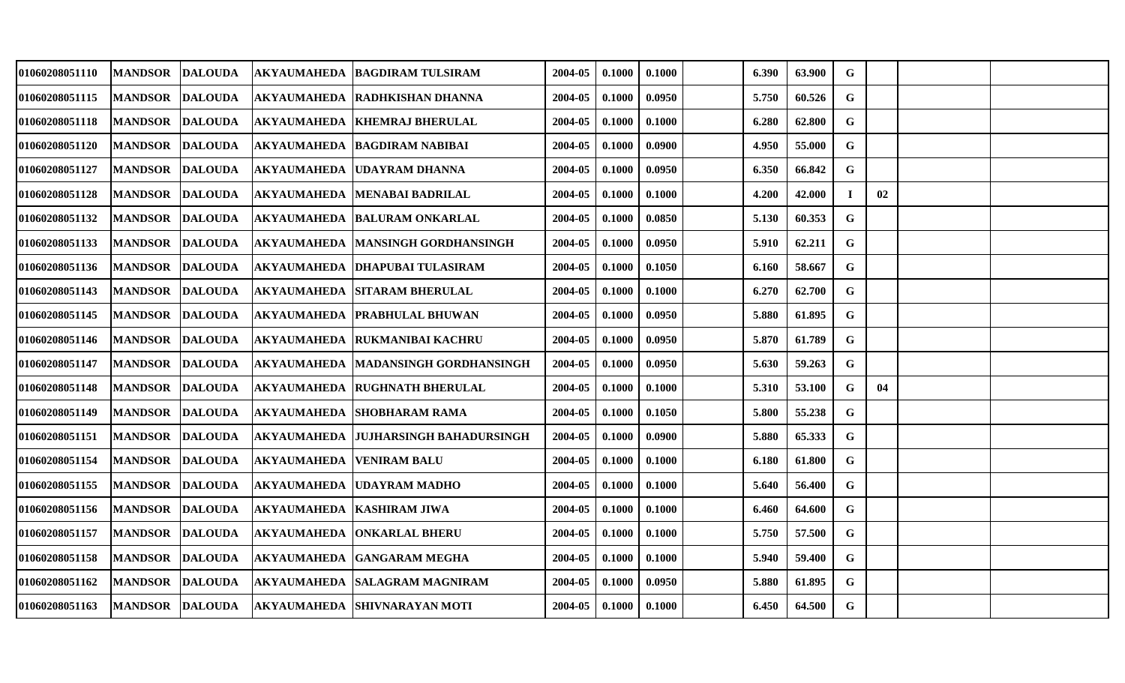| 01060208051110 | MANDSOR DALOUDA |                |                                 | AKYAUMAHEDA BAGDIRAM TULSIRAM                | 2004-05 | 0.1000 | 0.1000 | 6.390 | 63.900 | $\mathbf G$ |    |  |
|----------------|-----------------|----------------|---------------------------------|----------------------------------------------|---------|--------|--------|-------|--------|-------------|----|--|
| 01060208051115 | MANDSOR DALOUDA |                |                                 | <b>AKYAUMAHEDA RADHKISHAN DHANNA</b>         | 2004-05 | 0.1000 | 0.0950 | 5.750 | 60.526 | G           |    |  |
| 01060208051118 | <b>MANDSOR</b>  | <b>DALOUDA</b> |                                 | AKYAUMAHEDA KHEMRAJ BHERULAL                 | 2004-05 | 0.1000 | 0.1000 | 6.280 | 62.800 | G           |    |  |
| 01060208051120 | <b>MANDSOR</b>  | <b>DALOUDA</b> |                                 | AKYAUMAHEDA BAGDIRAM NABIBAI                 | 2004-05 | 0.1000 | 0.0900 | 4.950 | 55.000 | G           |    |  |
| 01060208051127 | MANDSOR DALOUDA |                |                                 | AKYAUMAHEDA UDAYRAM DHANNA                   | 2004-05 | 0.1000 | 0.0950 | 6.350 | 66.842 | $\mathbf G$ |    |  |
| 01060208051128 | <b>MANDSOR</b>  | <b>DALOUDA</b> |                                 | AKYAUMAHEDA   MENABAI BADRILAL               | 2004-05 | 0.1000 | 0.1000 | 4.200 | 42.000 |             | 02 |  |
| 01060208051132 | MANDSOR DALOUDA |                |                                 | AKYAUMAHEDA BALURAM ONKARLAL                 | 2004-05 | 0.1000 | 0.0850 | 5.130 | 60.353 | $\mathbf G$ |    |  |
| 01060208051133 | <b>MANDSOR</b>  | <b>DALOUDA</b> |                                 | AKYAUMAHEDA MANSINGH GORDHANSINGH            | 2004-05 | 0.1000 | 0.0950 | 5.910 | 62.211 | $\mathbf G$ |    |  |
| 01060208051136 | <b>MANDSOR</b>  | <b>DALOUDA</b> |                                 | AKYAUMAHEDA DHAPUBAI TULASIRAM               | 2004-05 | 0.1000 | 0.1050 | 6.160 | 58.667 | $\mathbf G$ |    |  |
| 01060208051143 | <b>MANDSOR</b>  | <b>DALOUDA</b> |                                 | <b>AKYAUMAHEDA SITARAM BHERULAL</b>          | 2004-05 | 0.1000 | 0.1000 | 6.270 | 62.700 | G           |    |  |
| 01060208051145 | <b>MANDSOR</b>  | <b>DALOUDA</b> |                                 | AKYAUMAHEDA   PRABHULAL BHUWAN               | 2004-05 | 0.1000 | 0.0950 | 5.880 | 61.895 | G           |    |  |
| 01060208051146 | <b>MANDSOR</b>  | <b>DALOUDA</b> |                                 | AKYAUMAHEDA  RUKMANIBAI KACHRU               | 2004-05 | 0.1000 | 0.0950 | 5.870 | 61.789 | $\mathbf G$ |    |  |
| 01060208051147 | <b>MANDSOR</b>  | <b>DALOUDA</b> |                                 | <b>AKYAUMAHEDA MADANSINGH GORDHANSINGH</b>   | 2004-05 | 0.1000 | 0.0950 | 5.630 | 59.263 | $\mathbf G$ |    |  |
| 01060208051148 | <b>MANDSOR</b>  | <b>DALOUDA</b> |                                 | <b>AKYAUMAHEDA RUGHNATH BHERULAL</b>         | 2004-05 | 0.1000 | 0.1000 | 5.310 | 53.100 | G           | 04 |  |
| 01060208051149 | <b>MANDSOR</b>  | <b>DALOUDA</b> |                                 | <b>AKYAUMAHEDA SHOBHARAM RAMA</b>            | 2004-05 | 0.1000 | 0.1050 | 5.800 | 55.238 | G           |    |  |
| 01060208051151 | <b>MANDSOR</b>  | <b>DALOUDA</b> |                                 | AKYAUMAHEDA JUJHARSINGH BAHADURSINGH         | 2004-05 | 0.1000 | 0.0900 | 5.880 | 65.333 | $\mathbf G$ |    |  |
| 01060208051154 | <b>MANDSOR</b>  | <b>DALOUDA</b> | <b>AKYAUMAHEDA VENIRAM BALU</b> |                                              | 2004-05 | 0.1000 | 0.1000 | 6.180 | 61.800 | $\mathbf G$ |    |  |
| 01060208051155 | <b>MANDSOR</b>  | <b>DALOUDA</b> |                                 | <b>AKYAUMAHEDA UDAYRAM MADHO</b>             | 2004-05 | 0.1000 | 0.1000 | 5.640 | 56.400 | G           |    |  |
| 01060208051156 | <b>MANDSOR</b>  | <b>DALOUDA</b> | AKYAUMAHEDA   KASHIRAM JIWA     |                                              | 2004-05 | 0.1000 | 0.1000 | 6.460 | 64.600 | G           |    |  |
| 01060208051157 | <b>MANDSOR</b>  | <b>DALOUDA</b> |                                 | AKYAUMAHEDA  ONKARLAL BHERU                  | 2004-05 | 0.1000 | 0.1000 | 5.750 | 57.500 | $\mathbf G$ |    |  |
| 01060208051158 | <b>MANDSOR</b>  | <b>DALOUDA</b> |                                 | AKYAUMAHEDA GANGARAM MEGHA                   | 2004-05 | 0.1000 | 0.1000 | 5.940 | 59.400 | $\mathbf G$ |    |  |
| 01060208051162 | <b>MANDSOR</b>  | <b>DALOUDA</b> |                                 | AKYAUMAHEDA  SALAGRAM MAGNIRAM               | 2004-05 | 0.1000 | 0.0950 | 5.880 | 61.895 | G           |    |  |
| 01060208051163 |                 |                |                                 | MANDSOR DALOUDA AKYAUMAHEDA SHIVNARAYAN MOTI | 2004-05 | 0.1000 | 0.1000 | 6.450 | 64.500 | $\mathbf G$ |    |  |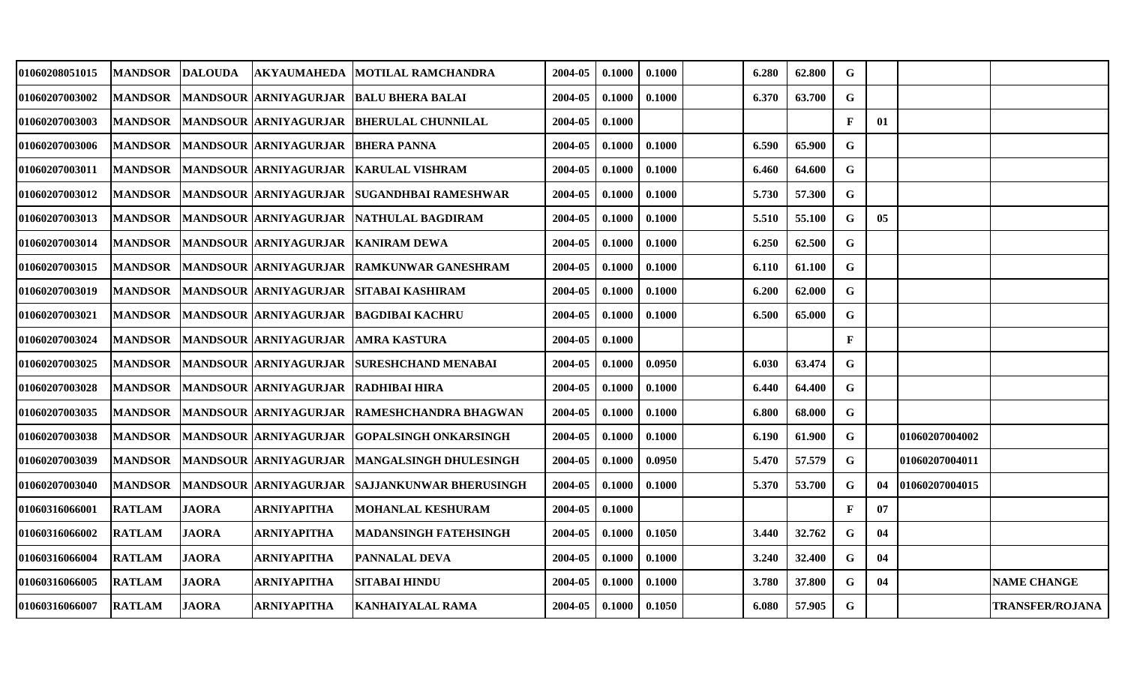| 01060208051015 | MANDSOR DALOUDA |              |                                     | AKYAUMAHEDA MOTILAL RAMCHANDRA                       | 2004-05 | 0.1000 | 0.1000 | 6.280 | 62.800 | G            |                |                 |                        |
|----------------|-----------------|--------------|-------------------------------------|------------------------------------------------------|---------|--------|--------|-------|--------|--------------|----------------|-----------------|------------------------|
| 01060207003002 |                 |              |                                     | MANDSOR MANDSOUR ARNIYAGURJAR BALU BHERA BALAI       | 2004-05 | 0.1000 | 0.1000 | 6.370 | 63.700 | G            |                |                 |                        |
| 01060207003003 | <b>MANDSOR</b>  |              |                                     | MANDSOUR ARNIYAGURJAR BHERULAL CHUNNILAL             | 2004-05 | 0.1000 |        |       |        | $\mathbf{F}$ | 01             |                 |                        |
| 01060207003006 | <b>MANDSOR</b>  |              | MANDSOUR ARNIYAGURJAR BHERA PANNA   |                                                      | 2004-05 | 0.1000 | 0.1000 | 6.590 | 65.900 | G            |                |                 |                        |
| 01060207003011 | <b> MANDSOR</b> |              |                                     | MANDSOUR ARNIYAGURJAR KARULAL VISHRAM                | 2004-05 | 0.1000 | 0.1000 | 6.460 | 64.600 | G            |                |                 |                        |
| 01060207003012 | <b>MANDSOR</b>  |              |                                     | MANDSOUR ARNIYAGURJAR SUGANDHBAI RAMESHWAR           | 2004-05 | 0.1000 | 0.1000 | 5.730 | 57.300 | G            |                |                 |                        |
| 01060207003013 | <b>MANDSOR</b>  |              |                                     | MANDSOUR ARNIYAGURJAR NATHULAL BAGDIRAM              | 2004-05 | 0.1000 | 0.1000 | 5.510 | 55.100 | G            | 0 <sub>5</sub> |                 |                        |
| 01060207003014 | <b> MANDSOR</b> |              | MANDSOUR ARNIYAGURJAR KANIRAM DEWA  |                                                      | 2004-05 | 0.1000 | 0.1000 | 6.250 | 62.500 | G            |                |                 |                        |
| 01060207003015 | <b> MANDSOR</b> |              |                                     | MANDSOUR ARNIYAGURJAR RAMKUNWAR GANESHRAM            | 2004-05 | 0.1000 | 0.1000 | 6.110 | 61.100 | $\mathbf G$  |                |                 |                        |
| 01060207003019 | <b>IMANDSOR</b> |              |                                     | MANDSOUR ARNIYAGURJAR  SITABAI KASHIRAM              | 2004-05 | 0.1000 | 0.1000 | 6.200 | 62.000 | G            |                |                 |                        |
| 01060207003021 | <b>MANDSOR</b>  |              |                                     | MANDSOUR ARNIYAGURJAR BAGDIBAI KACHRU                | 2004-05 | 0.1000 | 0.1000 | 6.500 | 65.000 | G            |                |                 |                        |
| 01060207003024 | <b> MANDSOR</b> |              | MANDSOUR ARNIYAGURJAR AMRA KASTURA  |                                                      | 2004-05 | 0.1000 |        |       |        | $\mathbf{F}$ |                |                 |                        |
| 01060207003025 | <b> MANDSOR</b> |              |                                     | MANDSOUR ARNIYAGURJAR SURESHCHAND MENABAI            | 2004-05 | 0.1000 | 0.0950 | 6.030 | 63.474 | G            |                |                 |                        |
| 01060207003028 | <b>MANDSOR</b>  |              | MANDSOUR ARNIYAGURJAR RADHIBAI HIRA |                                                      | 2004-05 | 0.1000 | 0.1000 | 6.440 | 64.400 | G            |                |                 |                        |
| 01060207003035 | <b> MANDSOR</b> |              |                                     | <b>IMANDSOUR ARNIYAGURJAR IRAMESHCHANDRA BHAGWAN</b> | 2004-05 | 0.1000 | 0.1000 | 6.800 | 68.000 | $\mathbf G$  |                |                 |                        |
| 01060207003038 | <b> MANDSOR</b> |              |                                     | MANDSOUR ARNIYAGURJAR GOPALSINGH ONKARSINGH          | 2004-05 | 0.1000 | 0.1000 | 6.190 | 61.900 | G            |                | 01060207004002  |                        |
| 01060207003039 | <b>MANDSOR</b>  |              | MANDSOUR ARNIYAGURJAR               | <b>MANGALSINGH DHULESINGH</b>                        | 2004-05 | 0.1000 | 0.0950 | 5.470 | 57.579 | G            |                | 01060207004011  |                        |
| 01060207003040 | <b> MANDSOR</b> |              | MANDSOUR ARNIYAGURJAR               | <b>SAJJANKUNWAR BHERUSINGH</b>                       | 2004-05 | 0.1000 | 0.1000 | 5.370 | 53.700 | G            | 04             | 101060207004015 |                        |
| 01060316066001 | <b>RATLAM</b>   | <b>JAORA</b> | <b>ARNIYAPITHA</b>                  | <b>MOHANLAL KESHURAM</b>                             | 2004-05 | 0.1000 |        |       |        | $\mathbf{F}$ | 07             |                 |                        |
| 01060316066002 | <b>RATLAM</b>   | <b>JAORA</b> | <b>ARNIYAPITHA</b>                  | <b>MADANSINGH FATEHSINGH</b>                         | 2004-05 | 0.1000 | 0.1050 | 3.440 | 32.762 | G            | 04             |                 |                        |
| 01060316066004 | <b>RATLAM</b>   | <b>JAORA</b> | <b>ARNIYAPITHA</b>                  | <b>PANNALAL DEVA</b>                                 | 2004-05 | 0.1000 | 0.1000 | 3.240 | 32.400 | G            | 04             |                 |                        |
| 01060316066005 | <b>RATLAM</b>   | <b>JAORA</b> | <b>ARNIYAPITHA</b>                  | SITABAI HINDU                                        | 2004-05 | 0.1000 | 0.1000 | 3.780 | 37.800 | G            | 04             |                 | <b>NAME CHANGE</b>     |
| 01060316066007 | <b>RATLAM</b>   | <b>JAORA</b> | <b>ARNIYAPITHA</b>                  | <b>KANHAIYALAL RAMA</b>                              | 2004-05 | 0.1000 | 0.1050 | 6.080 | 57.905 | $\mathbf G$  |                |                 | <b>TRANSFER/ROJANA</b> |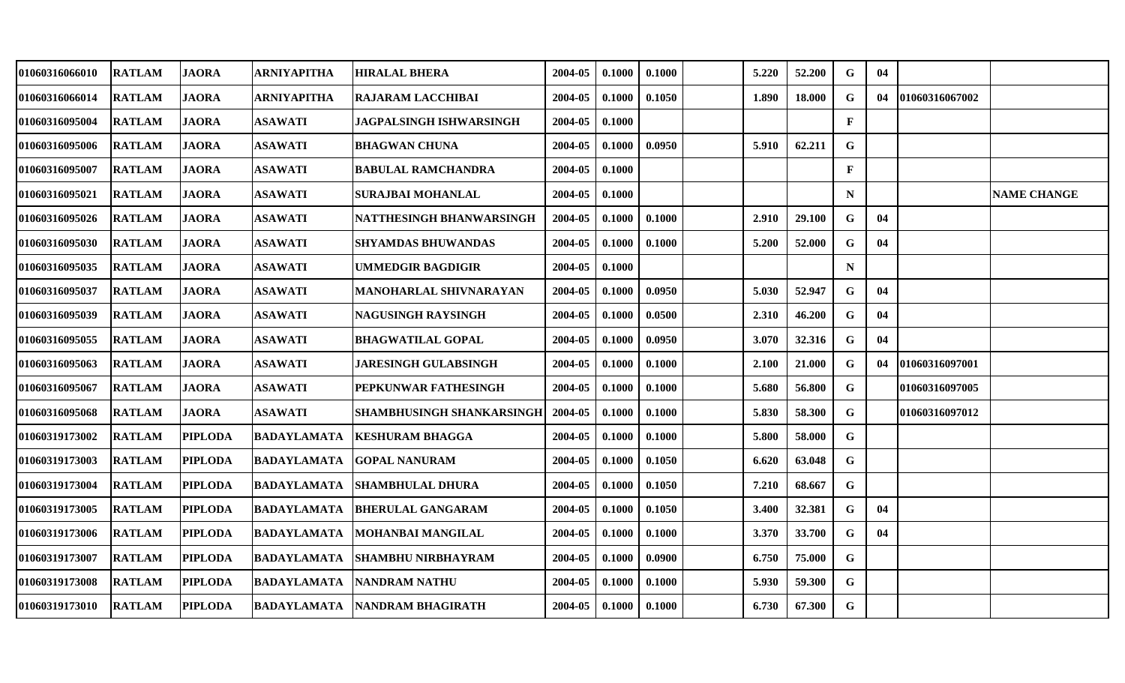| 01060316066010        | <b>RATLAM</b> | <b>JAORA</b>   | <b>ARNIYAPITHA</b> | <b>HIRALAL BHERA</b>          | 2004-05 | 0.1000 | 0.1000 | 5.220 | 52.200 | G            | 04 |                |                    |
|-----------------------|---------------|----------------|--------------------|-------------------------------|---------|--------|--------|-------|--------|--------------|----|----------------|--------------------|
| 01060316066014        | <b>RATLAM</b> | <b>JAORA</b>   | <b>ARNIYAPITHA</b> | <b>RAJARAM LACCHIBAI</b>      | 2004-05 | 0.1000 | 0.1050 | 1.890 | 18.000 | G            | 04 | 01060316067002 |                    |
| <b>01060316095004</b> | <b>RATLAM</b> | <b>JAORA</b>   | <b>ASAWATI</b>     | JAGPALSINGH ISHWARSINGH       | 2004-05 | 0.1000 |        |       |        | $\mathbf F$  |    |                |                    |
| 01060316095006        | <b>RATLAM</b> | <b>JAORA</b>   | <b>ASAWATI</b>     | <b>BHAGWAN CHUNA</b>          | 2004-05 | 0.1000 | 0.0950 | 5.910 | 62.211 | G            |    |                |                    |
| 01060316095007        | <b>RATLAM</b> | <b>JAORA</b>   | <b>ASAWATI</b>     | <b>BABULAL RAMCHANDRA</b>     | 2004-05 | 0.1000 |        |       |        | $\mathbf{F}$ |    |                |                    |
| 01060316095021        | <b>RATLAM</b> | <b>JAORA</b>   | <b>ASAWATI</b>     | SURAJBAI MOHANLAL             | 2004-05 | 0.1000 |        |       |        | $\mathbf N$  |    |                | <b>NAME CHANGE</b> |
| 01060316095026        | <b>RATLAM</b> | <b>JAORA</b>   | <b>ASAWATI</b>     | NATTHESINGH BHANWARSINGH      | 2004-05 | 0.1000 | 0.1000 | 2.910 | 29.100 | G            | 04 |                |                    |
| 01060316095030        | <b>RATLAM</b> | <b>JAORA</b>   | <b>ASAWATI</b>     | SHYAMDAS BHUWANDAS            | 2004-05 | 0.1000 | 0.1000 | 5.200 | 52.000 | G            | 04 |                |                    |
| 01060316095035        | <b>RATLAM</b> | <b>JAORA</b>   | <b>ASAWATI</b>     | <b>UMMEDGIR BAGDIGIR</b>      | 2004-05 | 0.1000 |        |       |        | $\mathbf N$  |    |                |                    |
| 01060316095037        | <b>RATLAM</b> | <b>JAORA</b>   | <b>ASAWATI</b>     | <b>MANOHARLAL SHIVNARAYAN</b> | 2004-05 | 0.1000 | 0.0950 | 5.030 | 52.947 | G            | 04 |                |                    |
| 01060316095039        | <b>RATLAM</b> | <b>JAORA</b>   | <b>ASAWATI</b>     | NAGUSINGH RAYSINGH            | 2004-05 | 0.1000 | 0.0500 | 2.310 | 46.200 | G            | 04 |                |                    |
| 01060316095055        | <b>RATLAM</b> | <b>JAORA</b>   | <b>ASAWATI</b>     | <b>BHAGWATILAL GOPAL</b>      | 2004-05 | 0.1000 | 0.0950 | 3.070 | 32.316 | G            | 04 |                |                    |
| 01060316095063        | <b>RATLAM</b> | <b>JAORA</b>   | <b>ASAWATI</b>     | <b>JARESINGH GULABSINGH</b>   | 2004-05 | 0.1000 | 0.1000 | 2.100 | 21.000 | G            | 04 | 01060316097001 |                    |
| 01060316095067        | <b>RATLAM</b> | <b>JAORA</b>   | <b>ASAWATI</b>     | PEPKUNWAR FATHESINGH          | 2004-05 | 0.1000 | 0.1000 | 5.680 | 56.800 | G            |    | 01060316097005 |                    |
| 01060316095068        | <b>RATLAM</b> | <b>JAORA</b>   | <b>ASAWATI</b>     | SHAMBHUSINGH SHANKARSINGH     | 2004-05 | 0.1000 | 0.1000 | 5.830 | 58.300 | $\mathbf G$  |    | 01060316097012 |                    |
| 01060319173002        | <b>RATLAM</b> | <b>PIPLODA</b> | <b>BADAYLAMATA</b> | <b>KESHURAM BHAGGA</b>        | 2004-05 | 0.1000 | 0.1000 | 5.800 | 58.000 | G            |    |                |                    |
| 01060319173003        | <b>RATLAM</b> | <b>PIPLODA</b> | <b>BADAYLAMATA</b> | <b>GOPAL NANURAM</b>          | 2004-05 | 0.1000 | 0.1050 | 6.620 | 63.048 | G            |    |                |                    |
| 01060319173004        | <b>RATLAM</b> | <b>PIPLODA</b> | <b>BADAYLAMATA</b> | <b>SHAMBHULAL DHURA</b>       | 2004-05 | 0.1000 | 0.1050 | 7.210 | 68.667 | $\mathbf G$  |    |                |                    |
| 01060319173005        | <b>RATLAM</b> | <b>PIPLODA</b> | <b>BADAYLAMATA</b> | <b>BHERULAL GANGARAM</b>      | 2004-05 | 0.1000 | 0.1050 | 3.400 | 32.381 | G            | 04 |                |                    |
| <b>01060319173006</b> | <b>RATLAM</b> | <b>PIPLODA</b> | <b>BADAYLAMATA</b> | MOHANBAI MANGILAL             | 2004-05 | 0.1000 | 0.1000 | 3.370 | 33.700 | G            | 04 |                |                    |
| 01060319173007        | <b>RATLAM</b> | <b>PIPLODA</b> | <b>BADAYLAMATA</b> | <b>SHAMBHU NIRBHAYRAM</b>     | 2004-05 | 0.1000 | 0.0900 | 6.750 | 75.000 | $\mathbf G$  |    |                |                    |
| 01060319173008        | <b>RATLAM</b> | <b>PIPLODA</b> | <b>BADAYLAMATA</b> | <b>NANDRAM NATHU</b>          | 2004-05 | 0.1000 | 0.1000 | 5.930 | 59.300 | G            |    |                |                    |
| <b>01060319173010</b> | <b>RATLAM</b> | <b>PIPLODA</b> | <b>BADAYLAMATA</b> | NANDRAM BHAGIRATH             | 2004-05 | 0.1000 | 0.1000 | 6.730 | 67.300 | G            |    |                |                    |
|                       |               |                |                    |                               |         |        |        |       |        |              |    |                |                    |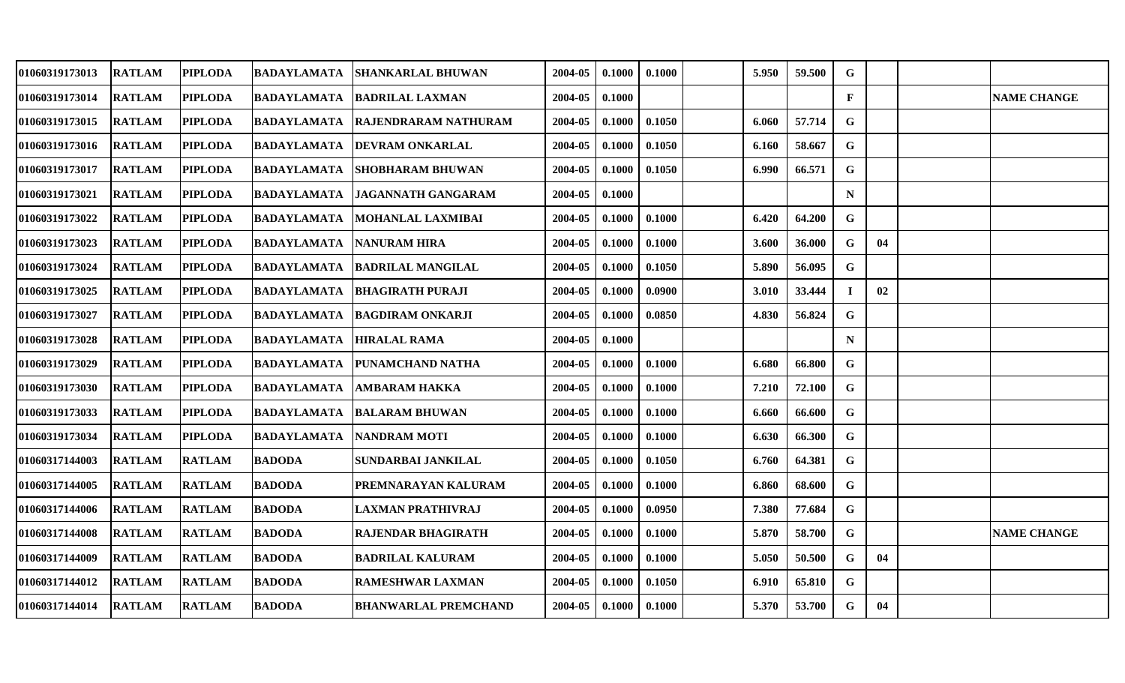| 01060319173013        | <b>RATLAM</b> | <b>PIPLODA</b> | <b>BADAYLAMATA</b> | <b>SHANKARLAL BHUWAN</b>    | 2004-05 | 0.1000 | 0.1000 | 5.950 | 59.500 | $\mathbf G$  |    |                    |
|-----------------------|---------------|----------------|--------------------|-----------------------------|---------|--------|--------|-------|--------|--------------|----|--------------------|
| 01060319173014        | <b>RATLAM</b> | <b>PIPLODA</b> | <b>BADAYLAMATA</b> | <b>BADRILAL LAXMAN</b>      | 2004-05 | 0.1000 |        |       |        | $\mathbf{F}$ |    | <b>NAME CHANGE</b> |
| <b>01060319173015</b> | <b>RATLAM</b> | <b>PIPLODA</b> | <b>BADAYLAMATA</b> | RAJENDRARAM NATHURAM        | 2004-05 | 0.1000 | 0.1050 | 6.060 | 57.714 | G            |    |                    |
| 01060319173016        | <b>RATLAM</b> | <b>PIPLODA</b> | <b>BADAYLAMATA</b> | <b>DEVRAM ONKARLAL</b>      | 2004-05 | 0.1000 | 0.1050 | 6.160 | 58.667 | G            |    |                    |
| 01060319173017        | <b>RATLAM</b> | <b>PIPLODA</b> | <b>BADAYLAMATA</b> | <b>SHOBHARAM BHUWAN</b>     | 2004-05 | 0.1000 | 0.1050 | 6.990 | 66.571 | $\mathbf G$  |    |                    |
| 01060319173021        | <b>RATLAM</b> | <b>PIPLODA</b> | <b>BADAYLAMATA</b> | <b>JAGANNATH GANGARAM</b>   | 2004-05 | 0.1000 |        |       |        | ${\bf N}$    |    |                    |
| 01060319173022        | <b>RATLAM</b> | <b>PIPLODA</b> | <b>BADAYLAMATA</b> | MOHANLAL LAXMIBAI           | 2004-05 | 0.1000 | 0.1000 | 6.420 | 64.200 | G            |    |                    |
| 01060319173023        | <b>RATLAM</b> | <b>PIPLODA</b> | <b>BADAYLAMATA</b> | <b>NANURAM HIRA</b>         | 2004-05 | 0.1000 | 0.1000 | 3.600 | 36.000 | G            | 04 |                    |
| <b>01060319173024</b> | <b>RATLAM</b> | <b>PIPLODA</b> | <b>BADAYLAMATA</b> | <b>BADRILAL MANGILAL</b>    | 2004-05 | 0.1000 | 0.1050 | 5.890 | 56.095 | G            |    |                    |
| 01060319173025        | <b>RATLAM</b> | <b>PIPLODA</b> | <b>BADAYLAMATA</b> | <b>BHAGIRATH PURAJI</b>     | 2004-05 | 0.1000 | 0.0900 | 3.010 | 33.444 | $\mathbf I$  | 02 |                    |
| 01060319173027        | <b>RATLAM</b> | <b>PIPLODA</b> | <b>BADAYLAMATA</b> | <b>BAGDIRAM ONKARJI</b>     | 2004-05 | 0.1000 | 0.0850 | 4.830 | 56.824 | $\mathbf G$  |    |                    |
| 01060319173028        | <b>RATLAM</b> | <b>PIPLODA</b> | <b>BADAYLAMATA</b> | <b>HIRALAL RAMA</b>         | 2004-05 | 0.1000 |        |       |        | $\mathbf N$  |    |                    |
| 01060319173029        | <b>RATLAM</b> | <b>PIPLODA</b> | <b>BADAYLAMATA</b> | PUNAMCHAND NATHA            | 2004-05 | 0.1000 | 0.1000 | 6.680 | 66.800 | $\mathbf G$  |    |                    |
| 01060319173030        | <b>RATLAM</b> | <b>PIPLODA</b> | <b>BADAYLAMATA</b> | AMBARAM HAKKA               | 2004-05 | 0.1000 | 0.1000 | 7.210 | 72.100 | G            |    |                    |
| <b>01060319173033</b> | <b>RATLAM</b> | <b>PIPLODA</b> | <b>BADAYLAMATA</b> | <b>BALARAM BHUWAN</b>       | 2004-05 | 0.1000 | 0.1000 | 6.660 | 66.600 | $\mathbf G$  |    |                    |
| 01060319173034        | <b>RATLAM</b> | <b>PIPLODA</b> | <b>BADAYLAMATA</b> | <b>NANDRAM MOTI</b>         | 2004-05 | 0.1000 | 0.1000 | 6.630 | 66.300 | G            |    |                    |
| 01060317144003        | <b>RATLAM</b> | <b>RATLAM</b>  | <b>BADODA</b>      | SUNDARBAI JANKILAL          | 2004-05 | 0.1000 | 0.1050 | 6.760 | 64.381 | G            |    |                    |
| 01060317144005        | <b>RATLAM</b> | <b>RATLAM</b>  | <b>BADODA</b>      | PREMNARAYAN KALURAM         | 2004-05 | 0.1000 | 0.1000 | 6.860 | 68.600 | G            |    |                    |
| 01060317144006        | <b>RATLAM</b> | <b>RATLAM</b>  | <b>BADODA</b>      | <b>LAXMAN PRATHIVRAJ</b>    | 2004-05 | 0.1000 | 0.0950 | 7.380 | 77.684 | G            |    |                    |
| 01060317144008        | <b>RATLAM</b> | <b>RATLAM</b>  | <b>BADODA</b>      | <b>RAJENDAR BHAGIRATH</b>   | 2004-05 | 0.1000 | 0.1000 | 5.870 | 58.700 | $\mathbf G$  |    | <b>NAME CHANGE</b> |
| 01060317144009        | <b>RATLAM</b> | <b>RATLAM</b>  | <b>BADODA</b>      | <b>BADRILAL KALURAM</b>     | 2004-05 | 0.1000 | 0.1000 | 5.050 | 50.500 | G            | 04 |                    |
| 01060317144012        | <b>RATLAM</b> | <b>RATLAM</b>  | <b>BADODA</b>      | <b>RAMESHWAR LAXMAN</b>     | 2004-05 | 0.1000 | 0.1050 | 6.910 | 65.810 | G            |    |                    |
| 01060317144014        | <b>RATLAM</b> | <b>RATLAM</b>  | <b>BADODA</b>      | <b>BHANWARLAL PREMCHAND</b> | 2004-05 | 0.1000 | 0.1000 | 5.370 | 53.700 | G            | 04 |                    |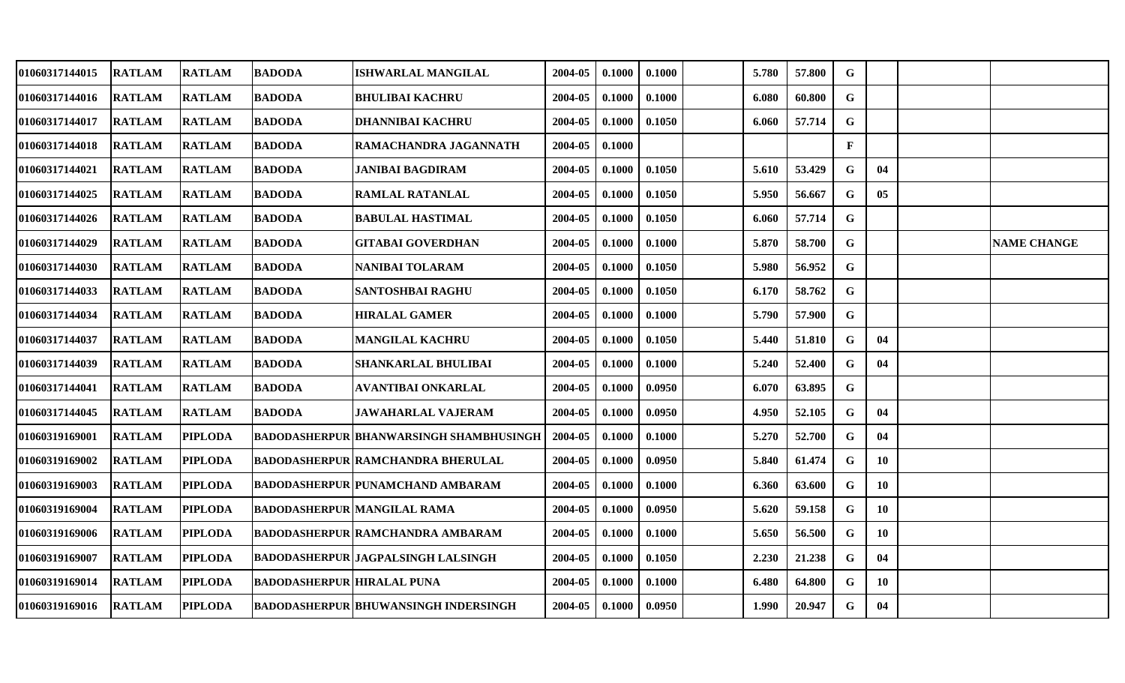| 01060317144015 | <b>RATLAM</b> | <b>RATLAM</b>  | <b>BADODA</b>                     | ISHWARLAL MANGILAL                             | 2004-05 | 0.1000 | 0.1000 | 5.780 | 57.800 | G           |    |                    |
|----------------|---------------|----------------|-----------------------------------|------------------------------------------------|---------|--------|--------|-------|--------|-------------|----|--------------------|
| 01060317144016 | <b>RATLAM</b> | <b>RATLAM</b>  | <b>BADODA</b>                     | <b>BHULIBAI KACHRU</b>                         | 2004-05 | 0.1000 | 0.1000 | 6.080 | 60.800 | G           |    |                    |
| 01060317144017 | <b>RATLAM</b> | <b>RATLAM</b>  | <b>BADODA</b>                     | <b>DHANNIBAI KACHRU</b>                        | 2004-05 | 0.1000 | 0.1050 | 6.060 | 57.714 | $\mathbf G$ |    |                    |
| 01060317144018 | <b>RATLAM</b> | <b>RATLAM</b>  | <b>BADODA</b>                     | RAMACHANDRA JAGANNATH                          | 2004-05 | 0.1000 |        |       |        | F           |    |                    |
| 01060317144021 | <b>RATLAM</b> | <b>RATLAM</b>  | <b>BADODA</b>                     | <b>JANIBAI BAGDIRAM</b>                        | 2004-05 | 0.1000 | 0.1050 | 5.610 | 53.429 | G           | 04 |                    |
| 01060317144025 | <b>RATLAM</b> | <b>RATLAM</b>  | <b>BADODA</b>                     | <b>RAMLAL RATANLAL</b>                         | 2004-05 | 0.1000 | 0.1050 | 5.950 | 56.667 | G           | 05 |                    |
| 01060317144026 | <b>RATLAM</b> | <b>RATLAM</b>  | <b>BADODA</b>                     | <b>BABULAL HASTIMAL</b>                        | 2004-05 | 0.1000 | 0.1050 | 6.060 | 57.714 | $\mathbf G$ |    |                    |
| 01060317144029 | <b>RATLAM</b> | <b>RATLAM</b>  | <b>BADODA</b>                     | <b>GITABAI GOVERDHAN</b>                       | 2004-05 | 0.1000 | 0.1000 | 5.870 | 58.700 | G           |    | <b>NAME CHANGE</b> |
| 01060317144030 | <b>RATLAM</b> | <b>RATLAM</b>  | <b>BADODA</b>                     | <b>NANIBAI TOLARAM</b>                         | 2004-05 | 0.1000 | 0.1050 | 5.980 | 56.952 | $\mathbf G$ |    |                    |
| 01060317144033 | <b>RATLAM</b> | <b>RATLAM</b>  | <b>BADODA</b>                     | SANTOSHBAI RAGHU                               | 2004-05 | 0.1000 | 0.1050 | 6.170 | 58.762 | G           |    |                    |
| 01060317144034 | <b>RATLAM</b> | <b>RATLAM</b>  | <b>BADODA</b>                     | <b>HIRALAL GAMER</b>                           | 2004-05 | 0.1000 | 0.1000 | 5.790 | 57.900 | $\mathbf G$ |    |                    |
| 01060317144037 | <b>RATLAM</b> | <b>RATLAM</b>  | <b>BADODA</b>                     | <b>MANGILAL KACHRU</b>                         | 2004-05 | 0.1000 | 0.1050 | 5.440 | 51.810 | G           | 04 |                    |
| 01060317144039 | <b>RATLAM</b> | <b>RATLAM</b>  | <b>BADODA</b>                     | SHANKARLAL BHULIBAI                            | 2004-05 | 0.1000 | 0.1000 | 5.240 | 52.400 | G           | 04 |                    |
| 01060317144041 | <b>RATLAM</b> | <b>RATLAM</b>  | <b>BADODA</b>                     | <b>AVANTIBAI ONKARLAL</b>                      | 2004-05 | 0.1000 | 0.0950 | 6.070 | 63.895 | G           |    |                    |
| 01060317144045 | <b>RATLAM</b> | <b>RATLAM</b>  | <b>BADODA</b>                     | <b>JAWAHARLAL VAJERAM</b>                      | 2004-05 | 0.1000 | 0.0950 | 4.950 | 52.105 | G           | 04 |                    |
| 01060319169001 | <b>RATLAM</b> | <b>PIPLODA</b> |                                   | <b>BADODASHERPUR BHANWARSINGH SHAMBHUSINGH</b> | 2004-05 | 0.1000 | 0.1000 | 5.270 | 52.700 | G           | 04 |                    |
| 01060319169002 | <b>RATLAM</b> | <b>PIPLODA</b> |                                   | <b>BADODASHERPUR RAMCHANDRA BHERULAL</b>       | 2004-05 | 0.1000 | 0.0950 | 5.840 | 61.474 | G           | 10 |                    |
| 01060319169003 | <b>RATLAM</b> | <b>PIPLODA</b> |                                   | BADODASHERPUR   PUNAMCHAND AMBARAM             | 2004-05 | 0.1000 | 0.1000 | 6.360 | 63.600 | G           | 10 |                    |
| 01060319169004 | <b>RATLAM</b> | <b>PIPLODA</b> |                                   | <b>BADODASHERPUR MANGILAL RAMA</b>             | 2004-05 | 0.1000 | 0.0950 | 5.620 | 59.158 | G           | 10 |                    |
| 01060319169006 | <b>RATLAM</b> | <b>PIPLODA</b> |                                   | <b>BADODASHERPUR RAMCHANDRA AMBARAM</b>        | 2004-05 | 0.1000 | 0.1000 | 5.650 | 56.500 | G           | 10 |                    |
| 01060319169007 | <b>RATLAM</b> | <b>PIPLODA</b> |                                   | <b>BADODASHERPUR JAGPALSINGH LALSINGH</b>      | 2004-05 | 0.1000 | 0.1050 | 2.230 | 21.238 | G           | 04 |                    |
| 01060319169014 | <b>RATLAM</b> | <b>PIPLODA</b> | <b>BADODASHERPUR HIRALAL PUNA</b> |                                                | 2004-05 | 0.1000 | 0.1000 | 6.480 | 64.800 | G           | 10 |                    |
| 01060319169016 | <b>RATLAM</b> | <b>PIPLODA</b> |                                   | <b>BADODASHERPUR BHUWANSINGH INDERSINGH</b>    | 2004-05 | 0.1000 | 0.0950 | 1.990 | 20.947 | G           | 04 |                    |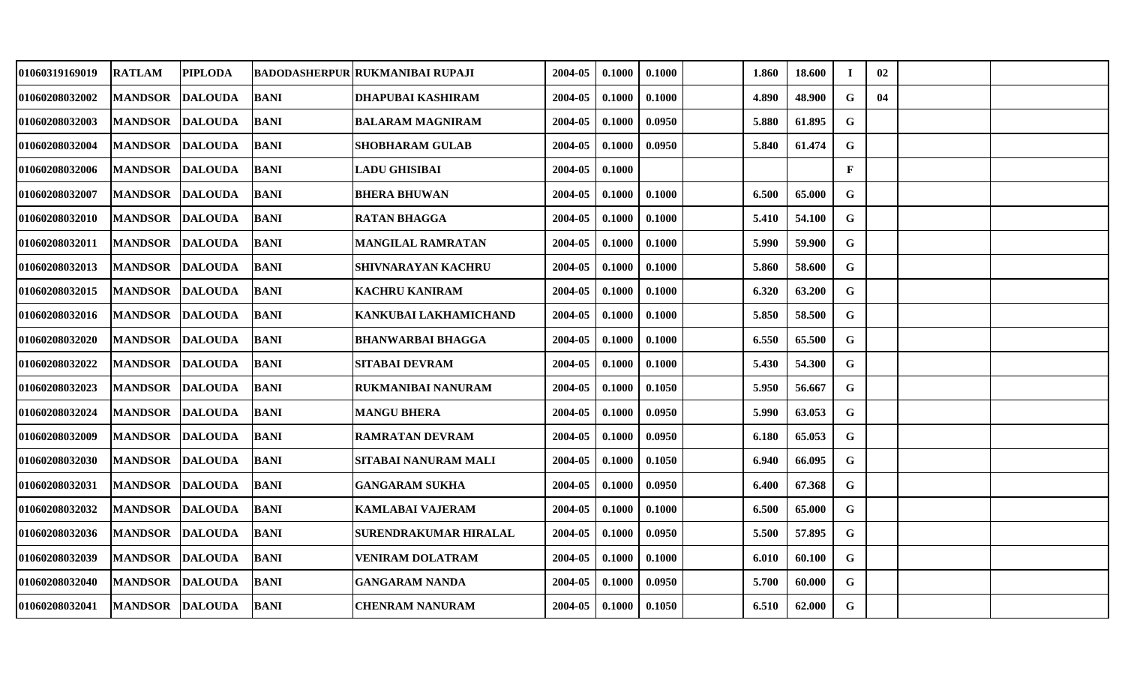| 01060319169019 | <b>RATLAM</b>          | <b>PIPLODA</b> |             | <b>BADODASHERPUR RUKMANIBAI RUPAJI</b> | 2004-05 | 0.1000 | 0.1000 | 1.860 | 18.600 | $\mathbf I$ | 02 |  |
|----------------|------------------------|----------------|-------------|----------------------------------------|---------|--------|--------|-------|--------|-------------|----|--|
| 01060208032002 | MANDSOR DALOUDA        |                | <b>BANI</b> | <b>DHAPUBAI KASHIRAM</b>               | 2004-05 | 0.1000 | 0.1000 | 4.890 | 48.900 | G           | 04 |  |
| 01060208032003 | <b>MANDSOR</b>         | <b>DALOUDA</b> | <b>BANI</b> | <b>BALARAM MAGNIRAM</b>                | 2004-05 | 0.1000 | 0.0950 | 5.880 | 61.895 | G           |    |  |
| 01060208032004 | <b>MANDSOR</b>         | <b>DALOUDA</b> | <b>BANI</b> | <b>SHOBHARAM GULAB</b>                 | 2004-05 | 0.1000 | 0.0950 | 5.840 | 61.474 | G           |    |  |
| 01060208032006 | MANDSOR DALOUDA        |                | <b>BANI</b> | <b>LADU GHISIBAI</b>                   | 2004-05 | 0.1000 |        |       |        | F           |    |  |
| 01060208032007 | <b>MANDSOR</b>         | <b>DALOUDA</b> | <b>BANI</b> | <b>BHERA BHUWAN</b>                    | 2004-05 | 0.1000 | 0.1000 | 6.500 | 65.000 | G           |    |  |
| 01060208032010 | MANDSOR DALOUDA        |                | BANI        | <b>RATAN BHAGGA</b>                    | 2004-05 | 0.1000 | 0.1000 | 5.410 | 54.100 | G           |    |  |
| 01060208032011 | <b>MANDSOR</b>         | <b>DALOUDA</b> | <b>BANI</b> | <b>MANGILAL RAMRATAN</b>               | 2004-05 | 0.1000 | 0.1000 | 5.990 | 59.900 | G           |    |  |
| 01060208032013 | MANDSOR DALOUDA        |                | <b>BANI</b> | SHIVNARAYAN KACHRU                     | 2004-05 | 0.1000 | 0.1000 | 5.860 | 58.600 | $\mathbf G$ |    |  |
| 01060208032015 | MANDSOR DALOUDA        |                | <b>BANI</b> | <b>KACHRU KANIRAM</b>                  | 2004-05 | 0.1000 | 0.1000 | 6.320 | 63.200 | G           |    |  |
| 01060208032016 | MANDSOR DALOUDA        |                | <b>BANI</b> | KANKUBAI LAKHAMICHAND                  | 2004-05 | 0.1000 | 0.1000 | 5.850 | 58.500 | G           |    |  |
| 01060208032020 | MANDSOR DALOUDA        |                | BANI        | <b>BHANWARBAI BHAGGA</b>               | 2004-05 | 0.1000 | 0.1000 | 6.550 | 65.500 | G           |    |  |
| 01060208032022 | <b>MANDSOR DALOUDA</b> |                | <b>BANI</b> | <b>SITABAI DEVRAM</b>                  | 2004-05 | 0.1000 | 0.1000 | 5.430 | 54.300 | G           |    |  |
| 01060208032023 | MANDSOR DALOUDA        |                | <b>BANI</b> | <b>RUKMANIBAI NANURAM</b>              | 2004-05 | 0.1000 | 0.1050 | 5.950 | 56.667 | G           |    |  |
| 01060208032024 | <b>MANDSOR DALOUDA</b> |                | <b>BANI</b> | <b>MANGU BHERA</b>                     | 2004-05 | 0.1000 | 0.0950 | 5.990 | 63.053 | G           |    |  |
| 01060208032009 | <b>MANDSOR</b>         | <b>DALOUDA</b> | <b>BANI</b> | <b>RAMRATAN DEVRAM</b>                 | 2004-05 | 0.1000 | 0.0950 | 6.180 | 65.053 | G           |    |  |
| 01060208032030 | MANDSOR DALOUDA        |                | <b>BANI</b> | <b>SITABAI NANURAM MALI</b>            | 2004-05 | 0.1000 | 0.1050 | 6.940 | 66.095 | G           |    |  |
| 01060208032031 | MANDSOR DALOUDA        |                | <b>BANI</b> | <b>GANGARAM SUKHA</b>                  | 2004-05 | 0.1000 | 0.0950 | 6.400 | 67.368 | G           |    |  |
| 01060208032032 | MANDSOR DALOUDA        |                | <b>BANI</b> | <b>KAMLABAI VAJERAM</b>                | 2004-05 | 0.1000 | 0.1000 | 6.500 | 65.000 | G           |    |  |
| 01060208032036 | MANDSOR DALOUDA        |                | BANI        | <b>SURENDRAKUMAR HIRALAL</b>           | 2004-05 | 0.1000 | 0.0950 | 5.500 | 57.895 | G           |    |  |
| 01060208032039 | MANDSOR DALOUDA        |                | <b>BANI</b> | <b>VENIRAM DOLATRAM</b>                | 2004-05 | 0.1000 | 0.1000 | 6.010 | 60.100 | G           |    |  |
| 01060208032040 | MANDSOR DALOUDA        |                | <b>BANI</b> | <b>GANGARAM NANDA</b>                  | 2004-05 | 0.1000 | 0.0950 | 5.700 | 60.000 | G           |    |  |
| 01060208032041 | MANDSOR DALOUDA        |                | BANI        | <b>CHENRAM NANURAM</b>                 | 2004-05 | 0.1000 | 0.1050 | 6.510 | 62.000 | G           |    |  |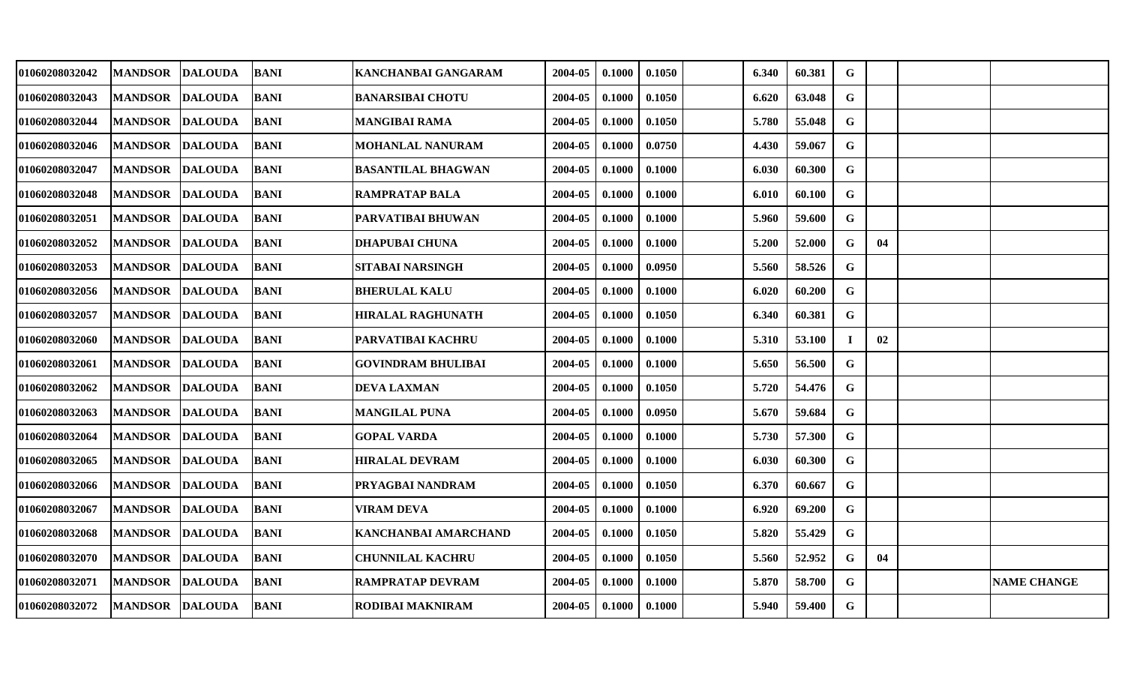| 01060208032042 | <b>MANDSOR</b>  | <b>DALOUDA</b> | <b>BANI</b> | KANCHANBAI GANGARAM       | 2004-05 | 0.1000 | 0.1050 | 6.340 | 60.381 | G           |    |                    |
|----------------|-----------------|----------------|-------------|---------------------------|---------|--------|--------|-------|--------|-------------|----|--------------------|
| 01060208032043 | <b>MANDSOR</b>  | <b>DALOUDA</b> | <b>BANI</b> | <b>BANARSIBAI CHOTU</b>   | 2004-05 | 0.1000 | 0.1050 | 6.620 | 63.048 | G           |    |                    |
| 01060208032044 | <b>MANDSOR</b>  | <b>DALOUDA</b> | <b>BANI</b> | <b>MANGIBAI RAMA</b>      | 2004-05 | 0.1000 | 0.1050 | 5.780 | 55.048 | $\mathbf G$ |    |                    |
| 01060208032046 | <b>MANDSOR</b>  | <b>DALOUDA</b> | <b>BANI</b> | <b>MOHANLAL NANURAM</b>   | 2004-05 | 0.1000 | 0.0750 | 4.430 | 59.067 | G           |    |                    |
| 01060208032047 | <b>MANDSOR</b>  | <b>DALOUDA</b> | <b>BANI</b> | <b>BASANTILAL BHAGWAN</b> | 2004-05 | 0.1000 | 0.1000 | 6.030 | 60.300 | $\mathbf G$ |    |                    |
| 01060208032048 | <b>MANDSOR</b>  | <b>DALOUDA</b> | <b>BANI</b> | <b>RAMPRATAP BALA</b>     | 2004-05 | 0.1000 | 0.1000 | 6.010 | 60.100 | G           |    |                    |
| 01060208032051 | <b>MANDSOR</b>  | <b>DALOUDA</b> | BANI        | PARVATIBAI BHUWAN         | 2004-05 | 0.1000 | 0.1000 | 5.960 | 59.600 | $\mathbf G$ |    |                    |
| 01060208032052 | <b>MANDSOR</b>  | <b>DALOUDA</b> | <b>BANI</b> | <b>DHAPUBAI CHUNA</b>     | 2004-05 | 0.1000 | 0.1000 | 5.200 | 52.000 | G           | 04 |                    |
| 01060208032053 | <b>MANDSOR</b>  | <b>DALOUDA</b> | <b>BANI</b> | <b>SITABAI NARSINGH</b>   | 2004-05 | 0.1000 | 0.0950 | 5.560 | 58.526 | $\mathbf G$ |    |                    |
| 01060208032056 | <b>MANDSOR</b>  | <b>DALOUDA</b> | <b>BANI</b> | <b>BHERULAL KALU</b>      | 2004-05 | 0.1000 | 0.1000 | 6.020 | 60.200 | G           |    |                    |
| 01060208032057 | <b>MANDSOR</b>  | <b>DALOUDA</b> | <b>BANI</b> | <b>HIRALAL RAGHUNATH</b>  | 2004-05 | 0.1000 | 0.1050 | 6.340 | 60.381 | G           |    |                    |
| 01060208032060 | <b>MANDSOR</b>  | <b>DALOUDA</b> | <b>BANI</b> | <b>PARVATIBAI KACHRU</b>  | 2004-05 | 0.1000 | 0.1000 | 5.310 | 53.100 | -1          | 02 |                    |
| 01060208032061 | <b>MANDSOR</b>  | <b>DALOUDA</b> | <b>BANI</b> | <b>GOVINDRAM BHULIBAI</b> | 2004-05 | 0.1000 | 0.1000 | 5.650 | 56.500 | G           |    |                    |
| 01060208032062 | <b>MANDSOR</b>  | <b>DALOUDA</b> | <b>BANI</b> | <b>DEVA LAXMAN</b>        | 2004-05 | 0.1000 | 0.1050 | 5.720 | 54.476 | G           |    |                    |
| 01060208032063 | <b>MANDSOR</b>  | <b>DALOUDA</b> | BANI        | <b>MANGILAL PUNA</b>      | 2004-05 | 0.1000 | 0.0950 | 5.670 | 59.684 | G           |    |                    |
| 01060208032064 | <b>MANDSOR</b>  | <b>DALOUDA</b> | <b>BANI</b> | <b>GOPAL VARDA</b>        | 2004-05 | 0.1000 | 0.1000 | 5.730 | 57.300 | G           |    |                    |
| 01060208032065 | <b>MANDSOR</b>  | <b>DALOUDA</b> | <b>BANI</b> | <b>HIRALAL DEVRAM</b>     | 2004-05 | 0.1000 | 0.1000 | 6.030 | 60.300 | $\mathbf G$ |    |                    |
| 01060208032066 | <b>MANDSOR</b>  | <b>DALOUDA</b> | <b>BANI</b> | PRYAGBAI NANDRAM          | 2004-05 | 0.1000 | 0.1050 | 6.370 | 60.667 | G           |    |                    |
| 01060208032067 | <b>MANDSOR</b>  | <b>DALOUDA</b> | <b>BANI</b> | <b>VIRAM DEVA</b>         | 2004-05 | 0.1000 | 0.1000 | 6.920 | 69.200 | G           |    |                    |
| 01060208032068 | <b>MANDSOR</b>  | <b>DALOUDA</b> | <b>BANI</b> | KANCHANBAI AMARCHAND      | 2004-05 | 0.1000 | 0.1050 | 5.820 | 55.429 | G           |    |                    |
| 01060208032070 | <b>MANDSOR</b>  | <b>DALOUDA</b> | <b>BANI</b> | <b>CHUNNILAL KACHRU</b>   | 2004-05 | 0.1000 | 0.1050 | 5.560 | 52.952 | G           | 04 |                    |
| 01060208032071 | <b>MANDSOR</b>  | <b>DALOUDA</b> | <b>BANI</b> | <b>RAMPRATAP DEVRAM</b>   | 2004-05 | 0.1000 | 0.1000 | 5.870 | 58.700 | G           |    | <b>NAME CHANGE</b> |
| 01060208032072 | MANDSOR DALOUDA |                | <b>BANI</b> | RODIBAI MAKNIRAM          | 2004-05 | 0.1000 | 0.1000 | 5.940 | 59.400 | G           |    |                    |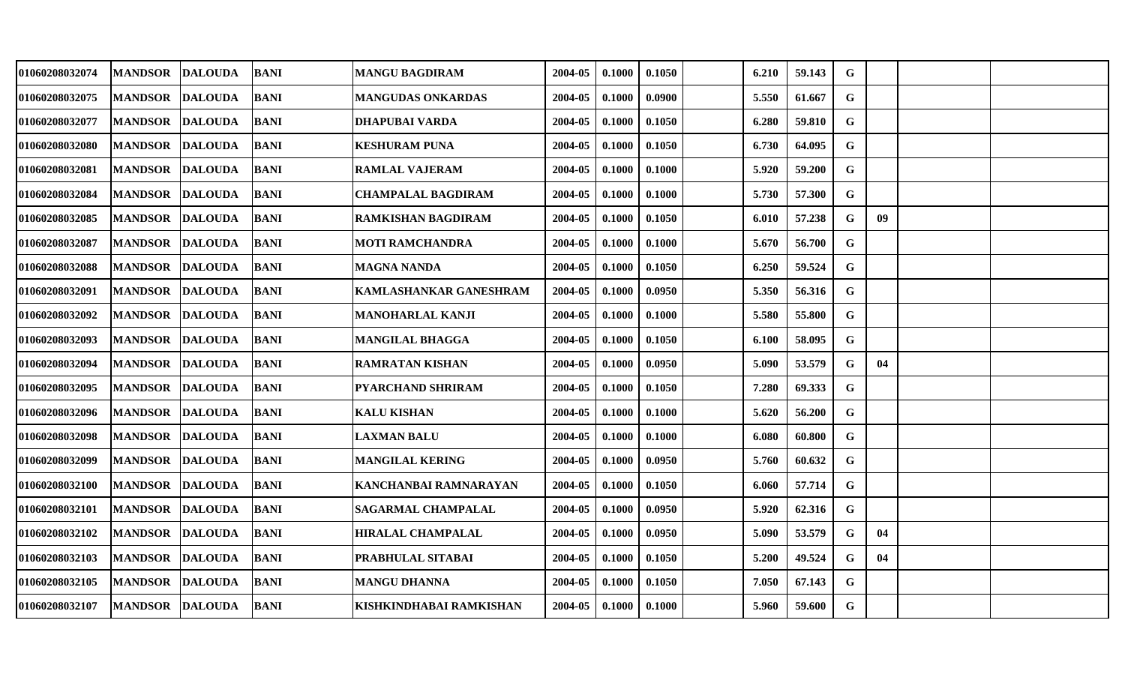| 01060208032074 | <b>MANDSOR</b>  | <b>DALOUDA</b> | BANI        | <b>MANGU BAGDIRAM</b>     | 2004-05 | 0.1000 | 0.1050 | 6.210 | 59.143 | G           |    |  |
|----------------|-----------------|----------------|-------------|---------------------------|---------|--------|--------|-------|--------|-------------|----|--|
| 01060208032075 | <b>MANDSOR</b>  | <b>DALOUDA</b> | <b>BANI</b> | <b>MANGUDAS ONKARDAS</b>  | 2004-05 | 0.1000 | 0.0900 | 5.550 | 61.667 | G           |    |  |
| 01060208032077 | <b>MANDSOR</b>  | <b>DALOUDA</b> | <b>BANI</b> | <b>DHAPUBAI VARDA</b>     | 2004-05 | 0.1000 | 0.1050 | 6.280 | 59.810 | $\mathbf G$ |    |  |
| 01060208032080 | <b>MANDSOR</b>  | <b>DALOUDA</b> | <b>BANI</b> | <b>KESHURAM PUNA</b>      | 2004-05 | 0.1000 | 0.1050 | 6.730 | 64.095 | G           |    |  |
| 01060208032081 | MANDSOR DALOUDA |                | <b>BANI</b> | <b>RAMLAL VAJERAM</b>     | 2004-05 | 0.1000 | 0.1000 | 5.920 | 59.200 | $\mathbf G$ |    |  |
| 01060208032084 | <b>MANDSOR</b>  | <b>DALOUDA</b> | <b>BANI</b> | <b>CHAMPALAL BAGDIRAM</b> | 2004-05 | 0.1000 | 0.1000 | 5.730 | 57.300 | G           |    |  |
| 01060208032085 | <b>MANDSOR</b>  | <b>DALOUDA</b> | <b>BANI</b> | <b>RAMKISHAN BAGDIRAM</b> | 2004-05 | 0.1000 | 0.1050 | 6.010 | 57.238 | G           | 09 |  |
| 01060208032087 | <b>MANDSOR</b>  | <b>DALOUDA</b> | <b>BANI</b> | <b>MOTI RAMCHANDRA</b>    | 2004-05 | 0.1000 | 0.1000 | 5.670 | 56.700 | G           |    |  |
| 01060208032088 | <b>MANDSOR</b>  | <b>DALOUDA</b> | <b>BANI</b> | <b>MAGNA NANDA</b>        | 2004-05 | 0.1000 | 0.1050 | 6.250 | 59.524 | G           |    |  |
| 01060208032091 | <b>MANDSOR</b>  | <b>DALOUDA</b> | <b>BANI</b> | KAMLASHANKAR GANESHRAM    | 2004-05 | 0.1000 | 0.0950 | 5.350 | 56.316 | G           |    |  |
| 01060208032092 | <b>MANDSOR</b>  | <b>DALOUDA</b> | <b>BANI</b> | <b>MANOHARLAL KANJI</b>   | 2004-05 | 0.1000 | 0.1000 | 5.580 | 55.800 | G           |    |  |
| 01060208032093 | <b>MANDSOR</b>  | <b>DALOUDA</b> | <b>BANI</b> | <b>MANGILAL BHAGGA</b>    | 2004-05 | 0.1000 | 0.1050 | 6.100 | 58.095 | G           |    |  |
| 01060208032094 | <b>MANDSOR</b>  | <b>DALOUDA</b> | <b>BANI</b> | <b>RAMRATAN KISHAN</b>    | 2004-05 | 0.1000 | 0.0950 | 5.090 | 53.579 | G           | 04 |  |
| 01060208032095 | <b>MANDSOR</b>  | <b>DALOUDA</b> | <b>BANI</b> | <b>PYARCHAND SHRIRAM</b>  | 2004-05 | 0.1000 | 0.1050 | 7.280 | 69.333 | G           |    |  |
| 01060208032096 | <b>MANDSOR</b>  | <b>DALOUDA</b> | <b>BANI</b> | <b>KALU KISHAN</b>        | 2004-05 | 0.1000 | 0.1000 | 5.620 | 56.200 | G           |    |  |
| 01060208032098 | <b>MANDSOR</b>  | <b>DALOUDA</b> | <b>BANI</b> | <b>LAXMAN BALU</b>        | 2004-05 | 0.1000 | 0.1000 | 6.080 | 60.800 | $\mathbf G$ |    |  |
| 01060208032099 | <b>MANDSOR</b>  | <b>DALOUDA</b> | <b>BANI</b> | <b>MANGILAL KERING</b>    | 2004-05 | 0.1000 | 0.0950 | 5.760 | 60.632 | $\mathbf G$ |    |  |
| 01060208032100 | <b>MANDSOR</b>  | <b>DALOUDA</b> | <b>BANI</b> | KANCHANBAI RAMNARAYAN     | 2004-05 | 0.1000 | 0.1050 | 6.060 | 57.714 | G           |    |  |
| 01060208032101 | <b>MANDSOR</b>  | <b>DALOUDA</b> | <b>BANI</b> | <b>SAGARMAL CHAMPALAL</b> | 2004-05 | 0.1000 | 0.0950 | 5.920 | 62.316 | G           |    |  |
| 01060208032102 | <b>MANDSOR</b>  | <b>DALOUDA</b> | BANI        | <b>HIRALAL CHAMPALAL</b>  | 2004-05 | 0.1000 | 0.0950 | 5.090 | 53.579 | G           | 04 |  |
| 01060208032103 | <b>MANDSOR</b>  | <b>DALOUDA</b> | <b>BANI</b> | PRABHULAL SITABAI         | 2004-05 | 0.1000 | 0.1050 | 5.200 | 49.524 | G           | 04 |  |
| 01060208032105 | <b>MANDSOR</b>  | <b>DALOUDA</b> | <b>BANI</b> | <b>MANGU DHANNA</b>       | 2004-05 | 0.1000 | 0.1050 | 7.050 | 67.143 | G           |    |  |
| 01060208032107 | MANDSOR DALOUDA |                | BANI        | KISHKINDHABAI RAMKISHAN   | 2004-05 | 0.1000 | 0.1000 | 5.960 | 59.600 | G           |    |  |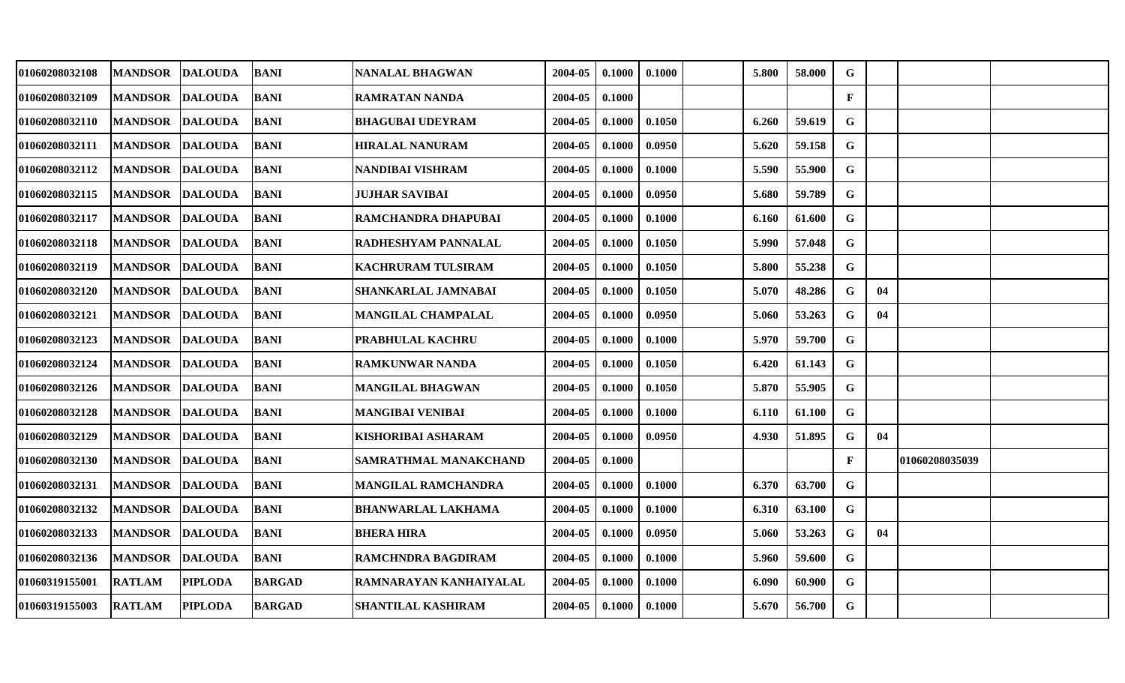| 01060208032108 | <b>MANDSOR</b>  | <b>DALOUDA</b> | BANI          | <b>NANALAL BHAGWAN</b>       | 2004-05 | 0.1000 | 0.1000 | 5.800 | 58.000 | G            |    |                |  |
|----------------|-----------------|----------------|---------------|------------------------------|---------|--------|--------|-------|--------|--------------|----|----------------|--|
| 01060208032109 | <b>MANDSOR</b>  | <b>DALOUDA</b> | <b>BANI</b>   | RAMRATAN NANDA               | 2004-05 | 0.1000 |        |       |        | $\mathbf{F}$ |    |                |  |
| 01060208032110 | <b>MANDSOR</b>  | <b>DALOUDA</b> | <b>BANI</b>   | <b>BHAGUBAI UDEYRAM</b>      | 2004-05 | 0.1000 | 0.1050 | 6.260 | 59.619 | $\mathbf G$  |    |                |  |
| 01060208032111 | <b>MANDSOR</b>  | <b>DALOUDA</b> | <b>BANI</b>   | <b>HIRALAL NANURAM</b>       | 2004-05 | 0.1000 | 0.0950 | 5.620 | 59.158 | $\mathbf G$  |    |                |  |
| 01060208032112 | MANDSOR DALOUDA |                | <b>BANI</b>   | NANDIBAI VISHRAM             | 2004-05 | 0.1000 | 0.1000 | 5.590 | 55.900 | $\mathbf G$  |    |                |  |
| 01060208032115 | <b>MANDSOR</b>  | <b>DALOUDA</b> | <b>BANI</b>   | <b>JUJHAR SAVIBAI</b>        | 2004-05 | 0.1000 | 0.0950 | 5.680 | 59.789 | G            |    |                |  |
| 01060208032117 | <b>MANDSOR</b>  | <b>DALOUDA</b> | <b>BANI</b>   | RAMCHANDRA DHAPUBAI          | 2004-05 | 0.1000 | 0.1000 | 6.160 | 61.600 | G            |    |                |  |
| 01060208032118 | <b>MANDSOR</b>  | <b>DALOUDA</b> | <b>BANI</b>   | RADHESHYAM PANNALAL          | 2004-05 | 0.1000 | 0.1050 | 5.990 | 57.048 | G            |    |                |  |
| 01060208032119 | <b>MANDSOR</b>  | <b>DALOUDA</b> | <b>BANI</b>   | <b>KACHRURAM TULSIRAM</b>    | 2004-05 | 0.1000 | 0.1050 | 5.800 | 55.238 | $\mathbf G$  |    |                |  |
| 01060208032120 | <b>MANDSOR</b>  | <b>DALOUDA</b> | <b>BANI</b>   | SHANKARLAL JAMNABAI          | 2004-05 | 0.1000 | 0.1050 | 5.070 | 48.286 | G            | 04 |                |  |
| 01060208032121 | <b>MANDSOR</b>  | <b>DALOUDA</b> | BANI          | <b>MANGILAL CHAMPALAL</b>    | 2004-05 | 0.1000 | 0.0950 | 5.060 | 53.263 | G            | 04 |                |  |
| 01060208032123 | <b>MANDSOR</b>  | <b>DALOUDA</b> | <b>BANI</b>   | <b>PRABHULAL KACHRU</b>      | 2004-05 | 0.1000 | 0.1000 | 5.970 | 59.700 | $\mathbf G$  |    |                |  |
| 01060208032124 | <b>MANDSOR</b>  | <b>DALOUDA</b> | <b>BANI</b>   | <b>RAMKUNWAR NANDA</b>       | 2004-05 | 0.1000 | 0.1050 | 6.420 | 61.143 | G            |    |                |  |
| 01060208032126 | <b>MANDSOR</b>  | <b>DALOUDA</b> | <b>BANI</b>   | <b>MANGILAL BHAGWAN</b>      | 2004-05 | 0.1000 | 0.1050 | 5.870 | 55.905 | G            |    |                |  |
| 01060208032128 | <b>MANDSOR</b>  | <b>DALOUDA</b> | <b>BANI</b>   | MANGIBAI VENIBAI             | 2004-05 | 0.1000 | 0.1000 | 6.110 | 61.100 | G            |    |                |  |
| 01060208032129 | <b>MANDSOR</b>  | <b>DALOUDA</b> | <b>BANI</b>   | <b>KISHORIBAI ASHARAM</b>    | 2004-05 | 0.1000 | 0.0950 | 4.930 | 51.895 | G            | 04 |                |  |
| 01060208032130 | <b>MANDSOR</b>  | <b>DALOUDA</b> | <b>BANI</b>   | <b>SAMRATHMAL MANAKCHAND</b> | 2004-05 | 0.1000 |        |       |        | $\mathbf{F}$ |    | 01060208035039 |  |
| 01060208032131 | <b>MANDSOR</b>  | <b>DALOUDA</b> | <b>BANI</b>   | <b>MANGILAL RAMCHANDRA</b>   | 2004-05 | 0.1000 | 0.1000 | 6.370 | 63.700 | G            |    |                |  |
| 01060208032132 | <b>MANDSOR</b>  | <b>DALOUDA</b> | <b>BANI</b>   | <b>BHANWARLAL LAKHAMA</b>    | 2004-05 | 0.1000 | 0.1000 | 6.310 | 63.100 | G            |    |                |  |
| 01060208032133 | <b>MANDSOR</b>  | <b>DALOUDA</b> | BANI          | <b>BHERA HIRA</b>            | 2004-05 | 0.1000 | 0.0950 | 5.060 | 53.263 | G            | 04 |                |  |
| 01060208032136 | <b>MANDSOR</b>  | <b>DALOUDA</b> | <b>BANI</b>   | RAMCHNDRA BAGDIRAM           | 2004-05 | 0.1000 | 0.1000 | 5.960 | 59.600 | G            |    |                |  |
| 01060319155001 | <b>RATLAM</b>   | <b>PIPLODA</b> | <b>BARGAD</b> | RAMNARAYAN KANHAIYALAL       | 2004-05 | 0.1000 | 0.1000 | 6.090 | 60.900 | G            |    |                |  |
| 01060319155003 | <b>RATLAM</b>   | <b>PIPLODA</b> | <b>BARGAD</b> | <b>SHANTILAL KASHIRAM</b>    | 2004-05 | 0.1000 | 0.1000 | 5.670 | 56.700 | G            |    |                |  |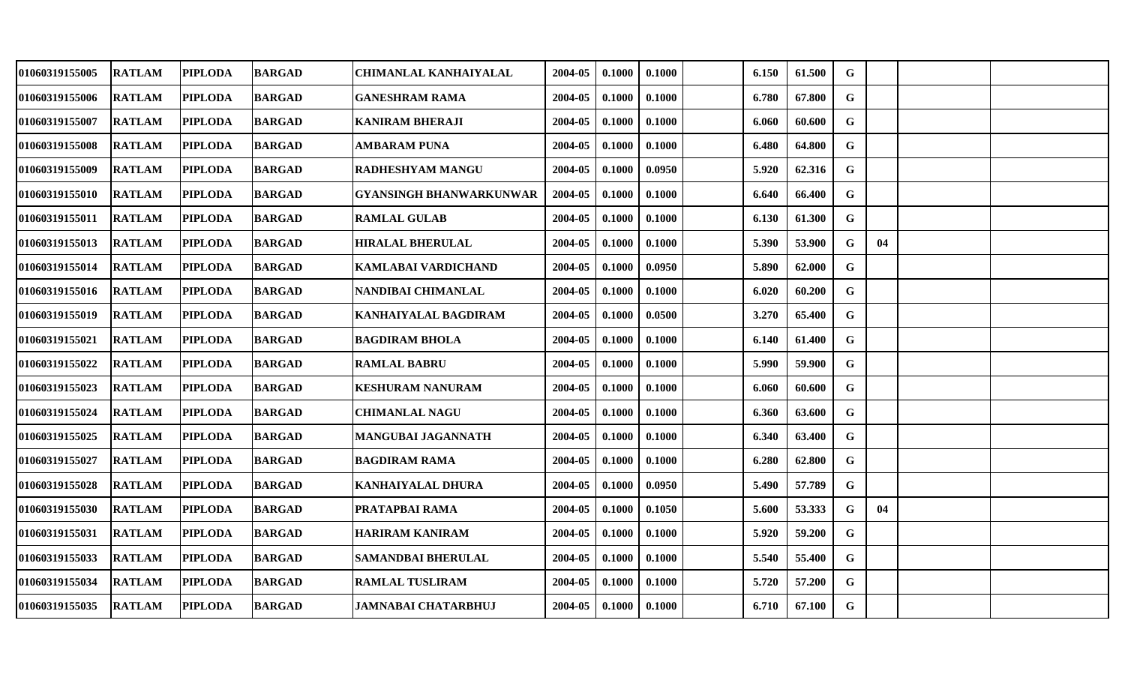| 01060319155005        | <b>RATLAM</b> | <b>PIPLODA</b> | <b>BARGAD</b> | <b>CHIMANLAL KANHAIYALAL</b>   | 2004-05 | 0.1000 | 0.1000 | 6.150 | 61.500 | G           |    |  |
|-----------------------|---------------|----------------|---------------|--------------------------------|---------|--------|--------|-------|--------|-------------|----|--|
| 01060319155006        | <b>RATLAM</b> | <b>PIPLODA</b> | <b>BARGAD</b> | <b>GANESHRAM RAMA</b>          | 2004-05 | 0.1000 | 0.1000 | 6.780 | 67.800 | $\mathbf G$ |    |  |
| <b>01060319155007</b> | <b>RATLAM</b> | <b>PIPLODA</b> | <b>BARGAD</b> | <b>KANIRAM BHERAJI</b>         | 2004-05 | 0.1000 | 0.1000 | 6.060 | 60.600 | G           |    |  |
| <b>01060319155008</b> | <b>RATLAM</b> | <b>PIPLODA</b> | <b>BARGAD</b> | AMBARAM PUNA                   | 2004-05 | 0.1000 | 0.1000 | 6.480 | 64.800 | G           |    |  |
| <b>01060319155009</b> | <b>RATLAM</b> | <b>PIPLODA</b> | <b>BARGAD</b> | <b>RADHESHYAM MANGU</b>        | 2004-05 | 0.1000 | 0.0950 | 5.920 | 62.316 | $\mathbf G$ |    |  |
| 01060319155010        | <b>RATLAM</b> | <b>PIPLODA</b> | <b>BARGAD</b> | <b>GYANSINGH BHANWARKUNWAR</b> | 2004-05 | 0.1000 | 0.1000 | 6.640 | 66.400 | G           |    |  |
| 01060319155011        | <b>RATLAM</b> | <b>PIPLODA</b> | <b>BARGAD</b> | <b>RAMLAL GULAB</b>            | 2004-05 | 0.1000 | 0.1000 | 6.130 | 61.300 | G           |    |  |
| 01060319155013        | <b>RATLAM</b> | <b>PIPLODA</b> | <b>BARGAD</b> | <b>HIRALAL BHERULAL</b>        | 2004-05 | 0.1000 | 0.1000 | 5.390 | 53.900 | G           | 04 |  |
| 01060319155014        | <b>RATLAM</b> | <b>PIPLODA</b> | <b>BARGAD</b> | KAMLABAI VARDICHAND            | 2004-05 | 0.1000 | 0.0950 | 5.890 | 62.000 | G           |    |  |
| 01060319155016        | <b>RATLAM</b> | <b>PIPLODA</b> | <b>BARGAD</b> | NANDIBAI CHIMANLAL             | 2004-05 | 0.1000 | 0.1000 | 6.020 | 60.200 | G           |    |  |
| 01060319155019        | <b>RATLAM</b> | <b>PIPLODA</b> | <b>BARGAD</b> | <b>KANHAIYALAL BAGDIRAM</b>    | 2004-05 | 0.1000 | 0.0500 | 3.270 | 65.400 | $\mathbf G$ |    |  |
| 01060319155021        | <b>RATLAM</b> | <b>PIPLODA</b> | <b>BARGAD</b> | <b>BAGDIRAM BHOLA</b>          | 2004-05 | 0.1000 | 0.1000 | 6.140 | 61.400 | $\mathbf G$ |    |  |
| 01060319155022        | <b>RATLAM</b> | <b>PIPLODA</b> | <b>BARGAD</b> | <b>RAMLAL BABRU</b>            | 2004-05 | 0.1000 | 0.1000 | 5.990 | 59.900 | G           |    |  |
| 01060319155023        | <b>RATLAM</b> | <b>PIPLODA</b> | <b>BARGAD</b> | <b>KESHURAM NANURAM</b>        | 2004-05 | 0.1000 | 0.1000 | 6.060 | 60.600 | G           |    |  |
| <b>01060319155024</b> | <b>RATLAM</b> | <b>PIPLODA</b> | <b>BARGAD</b> | <b>CHIMANLAL NAGU</b>          | 2004-05 | 0.1000 | 0.1000 | 6.360 | 63.600 | G           |    |  |
| 01060319155025        | <b>RATLAM</b> | <b>PIPLODA</b> | <b>BARGAD</b> | MANGUBAI JAGANNATH             | 2004-05 | 0.1000 | 0.1000 | 6.340 | 63.400 | G           |    |  |
| 01060319155027        | <b>RATLAM</b> | <b>PIPLODA</b> | <b>BARGAD</b> | <b>BAGDIRAM RAMA</b>           | 2004-05 | 0.1000 | 0.1000 | 6.280 | 62.800 | $\mathbf G$ |    |  |
| 01060319155028        | <b>RATLAM</b> | <b>PIPLODA</b> | <b>BARGAD</b> | KANHAIYALAL DHURA              | 2004-05 | 0.1000 | 0.0950 | 5.490 | 57.789 | $\mathbf G$ |    |  |
| 01060319155030        | <b>RATLAM</b> | <b>PIPLODA</b> | <b>BARGAD</b> | PRATAPBAI RAMA                 | 2004-05 | 0.1000 | 0.1050 | 5.600 | 53.333 | G           | 04 |  |
| <b>01060319155031</b> | <b>RATLAM</b> | <b>PIPLODA</b> | <b>BARGAD</b> | <b>HARIRAM KANIRAM</b>         | 2004-05 | 0.1000 | 0.1000 | 5.920 | 59.200 | $\mathbf G$ |    |  |
| 01060319155033        | <b>RATLAM</b> | <b>PIPLODA</b> | <b>BARGAD</b> | <b>SAMANDBAI BHERULAL</b>      | 2004-05 | 0.1000 | 0.1000 | 5.540 | 55.400 | G           |    |  |
| 01060319155034        | <b>RATLAM</b> | <b>PIPLODA</b> | <b>BARGAD</b> | <b>RAMLAL TUSLIRAM</b>         | 2004-05 | 0.1000 | 0.1000 | 5.720 | 57.200 | G           |    |  |
| 01060319155035        | <b>RATLAM</b> | <b>PIPLODA</b> | <b>BARGAD</b> | JAMNABAI CHATARBHUJ            | 2004-05 | 0.1000 | 0.1000 | 6.710 | 67.100 | G           |    |  |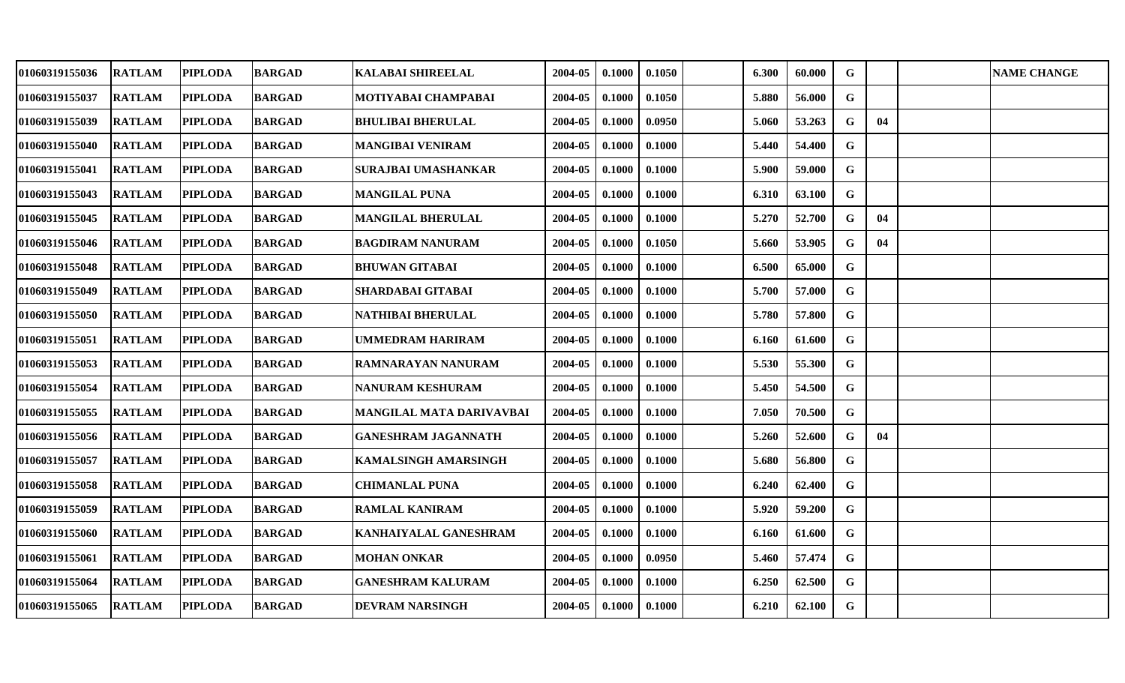| 01060319155036        | <b>RATLAM</b> | <b>PIPLODA</b> | <b>BARGAD</b> | <b>KALABAI SHIREELAL</b>   | 2004-05 | 0.1000 | 0.1050 | 6.300 | 60.000 | $\mathbf G$ |    | <b>NAME CHANGE</b> |
|-----------------------|---------------|----------------|---------------|----------------------------|---------|--------|--------|-------|--------|-------------|----|--------------------|
| 01060319155037        | <b>RATLAM</b> | <b>PIPLODA</b> | <b>BARGAD</b> | MOTIYABAI CHAMPABAI        | 2004-05 | 0.1000 | 0.1050 | 5.880 | 56.000 | G           |    |                    |
| <b>01060319155039</b> | <b>RATLAM</b> | <b>PIPLODA</b> | <b>BARGAD</b> | BHULIBAI BHERULAL          | 2004-05 | 0.1000 | 0.0950 | 5.060 | 53.263 | G           | 04 |                    |
| 01060319155040        | <b>RATLAM</b> | <b>PIPLODA</b> | <b>BARGAD</b> | <b>MANGIBAI VENIRAM</b>    | 2004-05 | 0.1000 | 0.1000 | 5.440 | 54.400 | $\mathbf G$ |    |                    |
| 01060319155041        | <b>RATLAM</b> | <b>PIPLODA</b> | <b>BARGAD</b> | SURAJBAI UMASHANKAR        | 2004-05 | 0.1000 | 0.1000 | 5.900 | 59.000 | G           |    |                    |
| 01060319155043        | <b>RATLAM</b> | <b>PIPLODA</b> | <b>BARGAD</b> | <b>MANGILAL PUNA</b>       | 2004-05 | 0.1000 | 0.1000 | 6.310 | 63.100 | G           |    |                    |
| 01060319155045        | <b>RATLAM</b> | <b>PIPLODA</b> | <b>BARGAD</b> | <b>MANGILAL BHERULAL</b>   | 2004-05 | 0.1000 | 0.1000 | 5.270 | 52.700 | G           | 04 |                    |
| 01060319155046        | <b>RATLAM</b> | <b>PIPLODA</b> | <b>BARGAD</b> | <b>BAGDIRAM NANURAM</b>    | 2004-05 | 0.1000 | 0.1050 | 5.660 | 53.905 | $\mathbf G$ | 04 |                    |
| 01060319155048        | <b>RATLAM</b> | <b>PIPLODA</b> | <b>BARGAD</b> | <b>BHUWAN GITABAI</b>      | 2004-05 | 0.1000 | 0.1000 | 6.500 | 65.000 | $\mathbf G$ |    |                    |
| 01060319155049        | <b>RATLAM</b> | <b>PIPLODA</b> | <b>BARGAD</b> | <b>SHARDABAI GITABAI</b>   | 2004-05 | 0.1000 | 0.1000 | 5.700 | 57.000 | $\mathbf G$ |    |                    |
| 01060319155050        | <b>RATLAM</b> | <b>PIPLODA</b> | <b>BARGAD</b> | NATHIBAI BHERULAL          | 2004-05 | 0.1000 | 0.1000 | 5.780 | 57.800 | $\mathbf G$ |    |                    |
| 01060319155051        | <b>RATLAM</b> | <b>PIPLODA</b> | <b>BARGAD</b> | <b>UMMEDRAM HARIRAM</b>    | 2004-05 | 0.1000 | 0.1000 | 6.160 | 61.600 | G           |    |                    |
| 01060319155053        | <b>RATLAM</b> | <b>PIPLODA</b> | <b>BARGAD</b> | RAMNARAYAN NANURAM         | 2004-05 | 0.1000 | 0.1000 | 5.530 | 55.300 | $\mathbf G$ |    |                    |
| 01060319155054        | <b>RATLAM</b> | <b>PIPLODA</b> | <b>BARGAD</b> | <b>NANURAM KESHURAM</b>    | 2004-05 | 0.1000 | 0.1000 | 5.450 | 54.500 | G           |    |                    |
| <b>01060319155055</b> | <b>RATLAM</b> | <b>PIPLODA</b> | <b>BARGAD</b> | MANGILAL MATA DARIVAVBAI   | 2004-05 | 0.1000 | 0.1000 | 7.050 | 70.500 | $\mathbf G$ |    |                    |
| 01060319155056        | <b>RATLAM</b> | <b>PIPLODA</b> | <b>BARGAD</b> | <b>GANESHRAM JAGANNATH</b> | 2004-05 | 0.1000 | 0.1000 | 5.260 | 52.600 | $\mathbf G$ | 04 |                    |
| 01060319155057        | <b>RATLAM</b> | <b>PIPLODA</b> | <b>BARGAD</b> | KAMALSINGH AMARSINGH       | 2004-05 | 0.1000 | 0.1000 | 5.680 | 56.800 | $\mathbf G$ |    |                    |
| 01060319155058        | <b>RATLAM</b> | <b>PIPLODA</b> | <b>BARGAD</b> | <b>CHIMANLAL PUNA</b>      | 2004-05 | 0.1000 | 0.1000 | 6.240 | 62.400 | G           |    |                    |
| 01060319155059        | <b>RATLAM</b> | <b>PIPLODA</b> | <b>BARGAD</b> | <b>RAMLAL KANIRAM</b>      | 2004-05 | 0.1000 | 0.1000 | 5.920 | 59.200 | $\mathbf G$ |    |                    |
| <b>01060319155060</b> | <b>RATLAM</b> | <b>PIPLODA</b> | <b>BARGAD</b> | KANHAIYALAL GANESHRAM      | 2004-05 | 0.1000 | 0.1000 | 6.160 | 61.600 | $\mathbf G$ |    |                    |
| 01060319155061        | <b>RATLAM</b> | <b>PIPLODA</b> | <b>BARGAD</b> | <b>MOHAN ONKAR</b>         | 2004-05 | 0.1000 | 0.0950 | 5.460 | 57.474 | G           |    |                    |
| 01060319155064        | <b>RATLAM</b> | <b>PIPLODA</b> | <b>BARGAD</b> | GANESHRAM KALURAM          | 2004-05 | 0.1000 | 0.1000 | 6.250 | 62.500 | G           |    |                    |
| 01060319155065        | <b>RATLAM</b> | <b>PIPLODA</b> | <b>BARGAD</b> | DEVRAM NARSINGH            | 2004-05 | 0.1000 | 0.1000 | 6.210 | 62.100 | $\mathbf G$ |    |                    |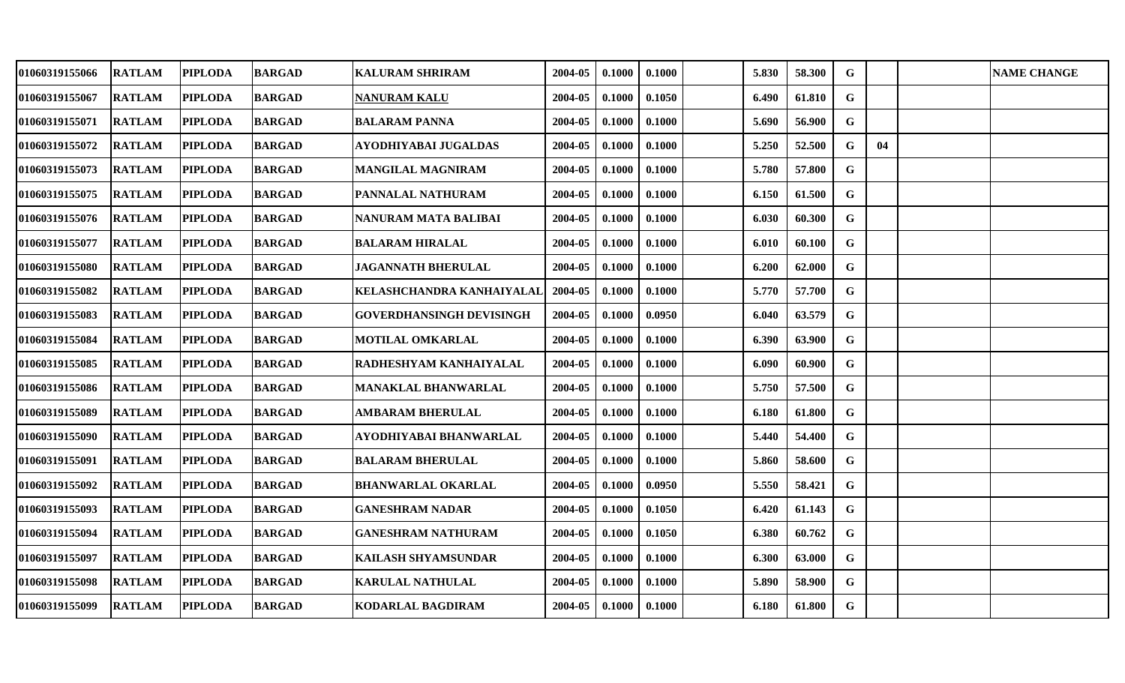| 01060319155066        | <b>RATLAM</b> | <b>PIPLODA</b> | <b>BARGAD</b> | <b>KALURAM SHRIRAM</b>      | 2004-05 | 0.1000 | 0.1000 | 5.830 | 58.300 | $\mathbf G$ |    | <b>NAME CHANGE</b> |
|-----------------------|---------------|----------------|---------------|-----------------------------|---------|--------|--------|-------|--------|-------------|----|--------------------|
| 01060319155067        | <b>RATLAM</b> | <b>PIPLODA</b> | <b>BARGAD</b> | <b>NANURAM KALU</b>         | 2004-05 | 0.1000 | 0.1050 | 6.490 | 61.810 | G           |    |                    |
| <b>01060319155071</b> | <b>RATLAM</b> | <b>PIPLODA</b> | <b>BARGAD</b> | <b>BALARAM PANNA</b>        | 2004-05 | 0.1000 | 0.1000 | 5.690 | 56.900 | $\mathbf G$ |    |                    |
| 01060319155072        | <b>RATLAM</b> | <b>PIPLODA</b> | <b>BARGAD</b> | AYODHIYABAI JUGALDAS        | 2004-05 | 0.1000 | 0.1000 | 5.250 | 52.500 | $\mathbf G$ | 04 |                    |
| 01060319155073        | <b>RATLAM</b> | <b>PIPLODA</b> | <b>BARGAD</b> | <b>MANGILAL MAGNIRAM</b>    | 2004-05 | 0.1000 | 0.1000 | 5.780 | 57.800 | G           |    |                    |
| 01060319155075        | <b>RATLAM</b> | <b>PIPLODA</b> | <b>BARGAD</b> | PANNALAL NATHURAM           | 2004-05 | 0.1000 | 0.1000 | 6.150 | 61.500 | $\mathbf G$ |    |                    |
| 01060319155076        | <b>RATLAM</b> | <b>PIPLODA</b> | <b>BARGAD</b> | <b>NANURAM MATA BALIBAI</b> | 2004-05 | 0.1000 | 0.1000 | 6.030 | 60.300 | G           |    |                    |
| 01060319155077        | <b>RATLAM</b> | <b>PIPLODA</b> | <b>BARGAD</b> | <b>BALARAM HIRALAL</b>      | 2004-05 | 0.1000 | 0.1000 | 6.010 | 60.100 | G           |    |                    |
| <b>01060319155080</b> | <b>RATLAM</b> | <b>PIPLODA</b> | <b>BARGAD</b> | <b>JAGANNATH BHERULAL</b>   | 2004-05 | 0.1000 | 0.1000 | 6.200 | 62.000 | $\mathbf G$ |    |                    |
| 01060319155082        | <b>RATLAM</b> | <b>PIPLODA</b> | <b>BARGAD</b> | KELASHCHANDRA KANHAIYALAL   | 2004-05 | 0.1000 | 0.1000 | 5.770 | 57.700 | $\mathbf G$ |    |                    |
| 01060319155083        | <b>RATLAM</b> | <b>PIPLODA</b> | <b>BARGAD</b> | GOVERDHANSINGH DEVISINGH    | 2004-05 | 0.1000 | 0.0950 | 6.040 | 63.579 | $\mathbf G$ |    |                    |
| 01060319155084        | <b>RATLAM</b> | <b>PIPLODA</b> | <b>BARGAD</b> | <b>MOTILAL OMKARLAL</b>     | 2004-05 | 0.1000 | 0.1000 | 6.390 | 63.900 | G           |    |                    |
| 01060319155085        | <b>RATLAM</b> | <b>PIPLODA</b> | <b>BARGAD</b> | RADHESHYAM KANHAIYALAL      | 2004-05 | 0.1000 | 0.1000 | 6.090 | 60.900 | $\mathbf G$ |    |                    |
| 01060319155086        | <b>RATLAM</b> | <b>PIPLODA</b> | <b>BARGAD</b> | <b>MANAKLAL BHANWARLAL</b>  | 2004-05 | 0.1000 | 0.1000 | 5.750 | 57.500 | G           |    |                    |
| <b>01060319155089</b> | <b>RATLAM</b> | <b>PIPLODA</b> | <b>BARGAD</b> | <b>AMBARAM BHERULAL</b>     | 2004-05 | 0.1000 | 0.1000 | 6.180 | 61.800 | $\mathbf G$ |    |                    |
| 01060319155090        | <b>RATLAM</b> | <b>PIPLODA</b> | <b>BARGAD</b> | AYODHIYABAI BHANWARLAL      | 2004-05 | 0.1000 | 0.1000 | 5.440 | 54.400 | $\mathbf G$ |    |                    |
| 01060319155091        | <b>RATLAM</b> | <b>PIPLODA</b> | <b>BARGAD</b> | <b>BALARAM BHERULAL</b>     | 2004-05 | 0.1000 | 0.1000 | 5.860 | 58.600 | $\mathbf G$ |    |                    |
| 01060319155092        | <b>RATLAM</b> | <b>PIPLODA</b> | <b>BARGAD</b> | <b>BHANWARLAL OKARLAL</b>   | 2004-05 | 0.1000 | 0.0950 | 5.550 | 58.421 | G           |    |                    |
| 01060319155093        | <b>RATLAM</b> | <b>PIPLODA</b> | <b>BARGAD</b> | <b>GANESHRAM NADAR</b>      | 2004-05 | 0.1000 | 0.1050 | 6.420 | 61.143 | $\mathbf G$ |    |                    |
| <b>01060319155094</b> | <b>RATLAM</b> | <b>PIPLODA</b> | <b>BARGAD</b> | <b>GANESHRAM NATHURAM</b>   | 2004-05 | 0.1000 | 0.1050 | 6.380 | 60.762 | $\mathbf G$ |    |                    |
| 01060319155097        | <b>RATLAM</b> | <b>PIPLODA</b> | <b>BARGAD</b> | <b>KAILASH SHYAMSUNDAR</b>  | 2004-05 | 0.1000 | 0.1000 | 6.300 | 63.000 | G           |    |                    |
| 01060319155098        | <b>RATLAM</b> | <b>PIPLODA</b> | <b>BARGAD</b> | <b>KARULAL NATHULAL</b>     | 2004-05 | 0.1000 | 0.1000 | 5.890 | 58.900 | G           |    |                    |
| 01060319155099        | <b>RATLAM</b> | <b>PIPLODA</b> | <b>BARGAD</b> | KODARLAL BAGDIRAM           | 2004-05 | 0.1000 | 0.1000 | 6.180 | 61.800 | $\mathbf G$ |    |                    |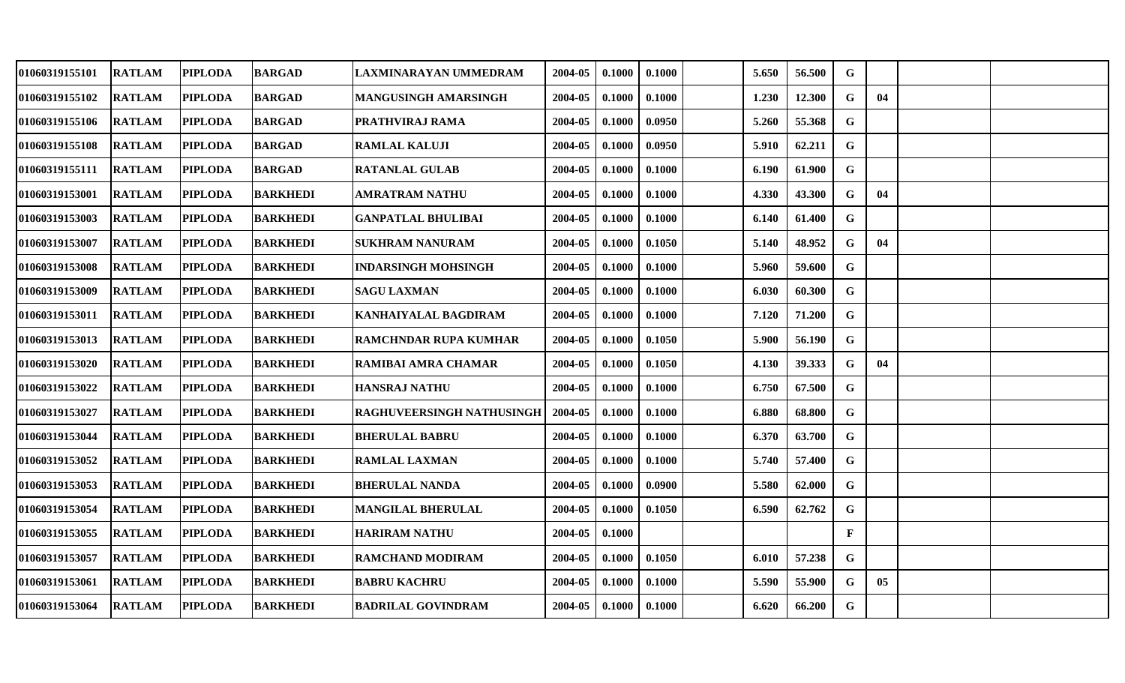| <b>RATLAM</b> | <b>PIPLODA</b> |                                  | LAXMINARAYAN UMMEDRAM                                                                                                                                               | 2004-05                                                                                                                                                                                                       | 0.1000 | 0.1000 | 5.650 | 56.500 | G           |    |  |
|---------------|----------------|----------------------------------|---------------------------------------------------------------------------------------------------------------------------------------------------------------------|---------------------------------------------------------------------------------------------------------------------------------------------------------------------------------------------------------------|--------|--------|-------|--------|-------------|----|--|
| <b>RATLAM</b> | <b>PIPLODA</b> | <b>BARGAD</b>                    | MANGUSINGH AMARSINGH                                                                                                                                                | 2004-05                                                                                                                                                                                                       | 0.1000 | 0.1000 | 1.230 | 12.300 | G           | 04 |  |
| <b>RATLAM</b> | <b>PIPLODA</b> | <b>BARGAD</b>                    | PRATHVIRAJ RAMA                                                                                                                                                     | 2004-05                                                                                                                                                                                                       | 0.1000 | 0.0950 | 5.260 | 55.368 | G           |    |  |
| <b>RATLAM</b> | <b>PIPLODA</b> | <b>BARGAD</b>                    | <b>RAMLAL KALUJI</b>                                                                                                                                                | 2004-05                                                                                                                                                                                                       | 0.1000 | 0.0950 | 5.910 | 62.211 | G           |    |  |
| <b>RATLAM</b> | <b>PIPLODA</b> |                                  | <b>RATANLAL GULAB</b>                                                                                                                                               | 2004-05                                                                                                                                                                                                       | 0.1000 | 0.1000 | 6.190 | 61.900 | $\mathbf G$ |    |  |
| <b>RATLAM</b> | <b>PIPLODA</b> | <b>BARKHEDI</b>                  | AMRATRAM NATHU                                                                                                                                                      | 2004-05                                                                                                                                                                                                       | 0.1000 | 0.1000 | 4.330 | 43.300 | $\mathbf G$ | 04 |  |
| <b>RATLAM</b> | <b>PIPLODA</b> |                                  | <b>GANPATLAL BHULIBAI</b>                                                                                                                                           | 2004-05                                                                                                                                                                                                       | 0.1000 | 0.1000 | 6.140 | 61.400 | G           |    |  |
| <b>RATLAM</b> | <b>PIPLODA</b> |                                  | <b>SUKHRAM NANURAM</b>                                                                                                                                              | 2004-05                                                                                                                                                                                                       | 0.1000 | 0.1050 | 5.140 | 48.952 | G           | 04 |  |
| <b>RATLAM</b> | <b>PIPLODA</b> | <b>BARKHEDI</b>                  |                                                                                                                                                                     | 2004-05                                                                                                                                                                                                       | 0.1000 | 0.1000 | 5.960 | 59.600 | G           |    |  |
| <b>RATLAM</b> | <b>PIPLODA</b> |                                  | <b>SAGU LAXMAN</b>                                                                                                                                                  | 2004-05                                                                                                                                                                                                       | 0.1000 | 0.1000 | 6.030 | 60.300 | G           |    |  |
| <b>RATLAM</b> | <b>PIPLODA</b> | <b>BARKHEDI</b>                  | <b>KANHAIYALAL BAGDIRAM</b>                                                                                                                                         | 2004-05                                                                                                                                                                                                       | 0.1000 | 0.1000 | 7.120 | 71.200 | $\mathbf G$ |    |  |
| <b>RATLAM</b> | <b>PIPLODA</b> | <b>BARKHEDI</b>                  |                                                                                                                                                                     | 2004-05                                                                                                                                                                                                       | 0.1000 | 0.1050 | 5.900 | 56.190 | $\mathbf G$ |    |  |
| <b>RATLAM</b> | <b>PIPLODA</b> |                                  |                                                                                                                                                                     | 2004-05                                                                                                                                                                                                       | 0.1000 | 0.1050 | 4.130 | 39.333 | G           | 04 |  |
| <b>RATLAM</b> | <b>PIPLODA</b> | <b>BARKHEDI</b>                  |                                                                                                                                                                     | 2004-05                                                                                                                                                                                                       | 0.1000 | 0.1000 | 6.750 | 67.500 | $\mathbf G$ |    |  |
| <b>RATLAM</b> | <b>PIPLODA</b> | <b>BARKHEDI</b>                  | <b>RAGHUVEERSINGH NATHUSINGH</b>                                                                                                                                    | 2004-05                                                                                                                                                                                                       | 0.1000 | 0.1000 | 6.880 | 68.800 | G           |    |  |
| <b>RATLAM</b> | <b>PIPLODA</b> | <b>BARKHEDI</b>                  | <b>BHERULAL BABRU</b>                                                                                                                                               | 2004-05                                                                                                                                                                                                       | 0.1000 | 0.1000 | 6.370 | 63.700 | G           |    |  |
| <b>RATLAM</b> | <b>PIPLODA</b> |                                  |                                                                                                                                                                     | 2004-05                                                                                                                                                                                                       | 0.1000 | 0.1000 | 5.740 | 57.400 | $\mathbf G$ |    |  |
| <b>RATLAM</b> | <b>PIPLODA</b> |                                  | <b>BHERULAL NANDA</b>                                                                                                                                               | 2004-05                                                                                                                                                                                                       | 0.1000 | 0.0900 | 5.580 | 62.000 | $\mathbf G$ |    |  |
| <b>RATLAM</b> |                | <b>BARKHEDI</b>                  | <b>MANGILAL BHERULAL</b>                                                                                                                                            | 2004-05                                                                                                                                                                                                       | 0.1000 | 0.1050 | 6.590 | 62.762 | G           |    |  |
| <b>RATLAM</b> | <b>PIPLODA</b> | <b>BARKHEDI</b>                  |                                                                                                                                                                     | 2004-05                                                                                                                                                                                                       | 0.1000 |        |       |        | $\mathbf F$ |    |  |
| <b>RATLAM</b> | <b>PIPLODA</b> | <b>BARKHEDI</b>                  | <b>RAMCHAND MODIRAM</b>                                                                                                                                             | 2004-05                                                                                                                                                                                                       | 0.1000 | 0.1050 | 6.010 | 57.238 | G           |    |  |
| <b>RATLAM</b> | <b>PIPLODA</b> | <b>BARKHEDI</b>                  |                                                                                                                                                                     | 2004-05                                                                                                                                                                                                       | 0.1000 | 0.1000 | 5.590 | 55.900 | G           | 05 |  |
| <b>RATLAM</b> |                |                                  |                                                                                                                                                                     | 2004-05                                                                                                                                                                                                       | 0.1000 | 0.1000 | 6.620 | 66.200 | G           |    |  |
|               |                | <b>PIPLODA</b><br><b>PIPLODA</b> | <b>BARGAD</b><br><b>BARGAD</b><br><b>BARKHEDI</b><br><b>BARKHEDI</b><br><b>BARKHEDI</b><br><b>BARKHEDI</b><br><b>BARKHEDI</b><br><b>BARKHEDI</b><br><b>BARKHEDI</b> | <b>INDARSINGH MOHSINGH</b><br><b>RAMCHNDAR RUPA KUMHAR</b><br>RAMIBAI AMRA CHAMAR<br><b>HANSRAJ NATHU</b><br><b>RAMLAL LAXMAN</b><br><b>HARIRAM NATHU</b><br><b>BABRU KACHRU</b><br><b>BADRILAL GOVINDRAM</b> |        |        |       |        |             |    |  |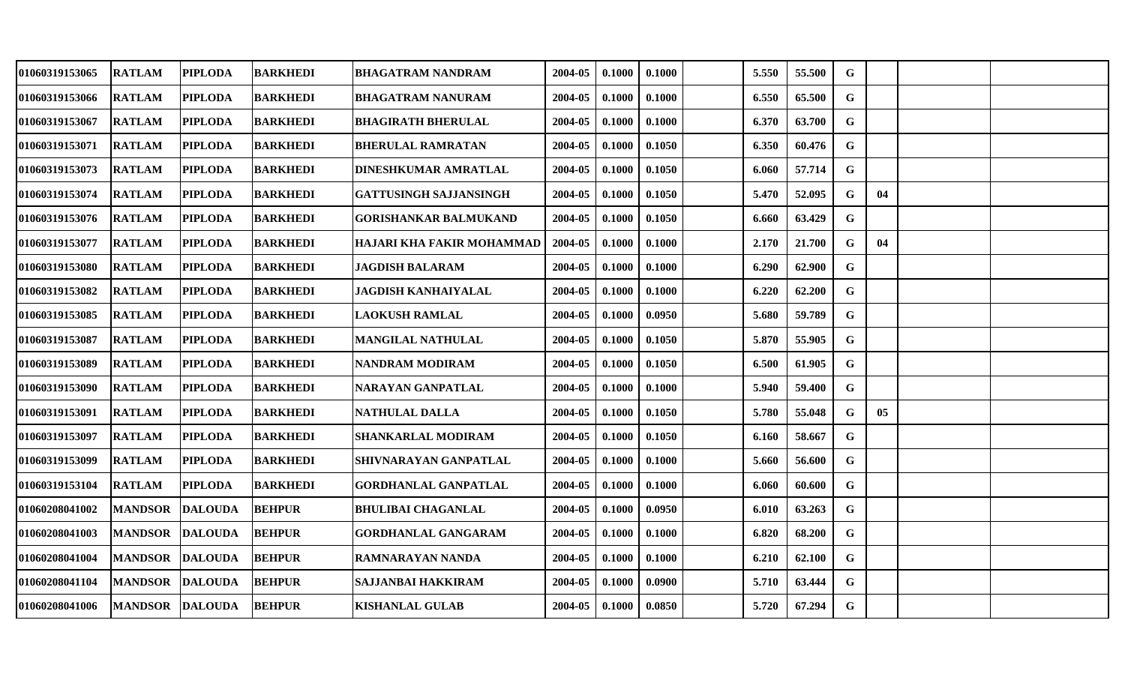| 01060319153065 | <b>RATLAM</b>   | PIPLODA        | <b>BARKHEDI</b> | <b>BHAGATRAM NANDRAM</b>      | 2004-05 | 0.1000 | 0.1000 | 5.550 | 55.500 | G           |    |  |
|----------------|-----------------|----------------|-----------------|-------------------------------|---------|--------|--------|-------|--------|-------------|----|--|
| 01060319153066 | <b>RATLAM</b>   | <b>PIPLODA</b> | <b>BARKHEDI</b> | <b>BHAGATRAM NANURAM</b>      | 2004-05 | 0.1000 | 0.1000 | 6.550 | 65.500 | G           |    |  |
| 01060319153067 | <b>RATLAM</b>   | <b>PIPLODA</b> | <b>BARKHEDI</b> | <b>BHAGIRATH BHERULAL</b>     | 2004-05 | 0.1000 | 0.1000 | 6.370 | 63.700 | $\mathbf G$ |    |  |
| 01060319153071 | <b>RATLAM</b>   | <b>PIPLODA</b> | <b>BARKHEDI</b> | <b>BHERULAL RAMRATAN</b>      | 2004-05 | 0.1000 | 0.1050 | 6.350 | 60.476 | G           |    |  |
| 01060319153073 | <b>RATLAM</b>   | <b>PIPLODA</b> | <b>BARKHEDI</b> | DINESHKUMAR AMRATLAL          | 2004-05 | 0.1000 | 0.1050 | 6.060 | 57.714 | G           |    |  |
| 01060319153074 | <b>RATLAM</b>   | <b>PIPLODA</b> | <b>BARKHEDI</b> | <b>GATTUSINGH SAJJANSINGH</b> | 2004-05 | 0.1000 | 0.1050 | 5.470 | 52.095 | G           | 04 |  |
| 01060319153076 | <b>RATLAM</b>   | <b>PIPLODA</b> | <b>BARKHEDI</b> | <b>GORISHANKAR BALMUKAND</b>  | 2004-05 | 0.1000 | 0.1050 | 6.660 | 63.429 | $\mathbf G$ |    |  |
| 01060319153077 | <b>RATLAM</b>   | <b>PIPLODA</b> | <b>BARKHEDI</b> | HAJARI KHA FAKIR MOHAMMAD     | 2004-05 | 0.1000 | 0.1000 | 2.170 | 21.700 | $\mathbf G$ | 04 |  |
| 01060319153080 | <b>RATLAM</b>   | <b>PIPLODA</b> | <b>BARKHEDI</b> | <b>JAGDISH BALARAM</b>        | 2004-05 | 0.1000 | 0.1000 | 6.290 | 62.900 | G           |    |  |
| 01060319153082 | <b>RATLAM</b>   | <b>PIPLODA</b> | <b>BARKHEDI</b> | <b>JAGDISH KANHAIYALAL</b>    | 2004-05 | 0.1000 | 0.1000 | 6.220 | 62.200 | G           |    |  |
| 01060319153085 | <b>RATLAM</b>   | <b>PIPLODA</b> | <b>BARKHEDI</b> | <b>LAOKUSH RAMLAL</b>         | 2004-05 | 0.1000 | 0.0950 | 5.680 | 59.789 | $\mathbf G$ |    |  |
| 01060319153087 | <b>RATLAM</b>   | <b>PIPLODA</b> | <b>BARKHEDI</b> | <b>MANGILAL NATHULAL</b>      | 2004-05 | 0.1000 | 0.1050 | 5.870 | 55.905 | G           |    |  |
| 01060319153089 | <b>RATLAM</b>   | <b>PIPLODA</b> | <b>BARKHEDI</b> | <b>NANDRAM MODIRAM</b>        | 2004-05 | 0.1000 | 0.1050 | 6.500 | 61.905 | G           |    |  |
| 01060319153090 | <b>RATLAM</b>   | <b>PIPLODA</b> | <b>BARKHEDI</b> | NARAYAN GANPATLAL             | 2004-05 | 0.1000 | 0.1000 | 5.940 | 59.400 | G           |    |  |
| 01060319153091 | <b>RATLAM</b>   | <b>PIPLODA</b> | <b>BARKHEDI</b> | NATHULAL DALLA                | 2004-05 | 0.1000 | 0.1050 | 5.780 | 55.048 | G           | 05 |  |
| 01060319153097 | <b>RATLAM</b>   | <b>PIPLODA</b> | <b>BARKHEDI</b> | SHANKARLAL MODIRAM            | 2004-05 | 0.1000 | 0.1050 | 6.160 | 58.667 | $\mathbf G$ |    |  |
| 01060319153099 | <b>RATLAM</b>   | <b>PIPLODA</b> | <b>BARKHEDI</b> | SHIVNARAYAN GANPATLAL         | 2004-05 | 0.1000 | 0.1000 | 5.660 | 56.600 | $\mathbf G$ |    |  |
| 01060319153104 | <b>RATLAM</b>   | <b>PIPLODA</b> | <b>BARKHEDI</b> | <b>GORDHANLAL GANPATLAL</b>   | 2004-05 | 0.1000 | 0.1000 | 6.060 | 60.600 | G           |    |  |
| 01060208041002 | <b>MANDSOR</b>  | <b>DALOUDA</b> | <b>BEHPUR</b>   | <b>BHULIBAI CHAGANLAL</b>     | 2004-05 | 0.1000 | 0.0950 | 6.010 | 63.263 | G           |    |  |
| 01060208041003 | <b>MANDSOR</b>  | <b>DALOUDA</b> | <b>BEHPUR</b>   | <b>GORDHANLAL GANGARAM</b>    | 2004-05 | 0.1000 | 0.1000 | 6.820 | 68.200 | G           |    |  |
| 01060208041004 | <b>MANDSOR</b>  | <b>DALOUDA</b> | <b>BEHPUR</b>   | RAMNARAYAN NANDA              | 2004-05 | 0.1000 | 0.1000 | 6.210 | 62.100 | G           |    |  |
| 01060208041104 | <b>MANDSOR</b>  | <b>DALOUDA</b> | <b>BEHPUR</b>   | SAJJANBAI HAKKIRAM            | 2004-05 | 0.1000 | 0.0900 | 5.710 | 63.444 | G           |    |  |
| 01060208041006 | MANDSOR DALOUDA |                | <b>BEHPUR</b>   | <b>KISHANLAL GULAB</b>        | 2004-05 | 0.1000 | 0.0850 | 5.720 | 67.294 | G           |    |  |
|                |                 |                |                 |                               |         |        |        |       |        |             |    |  |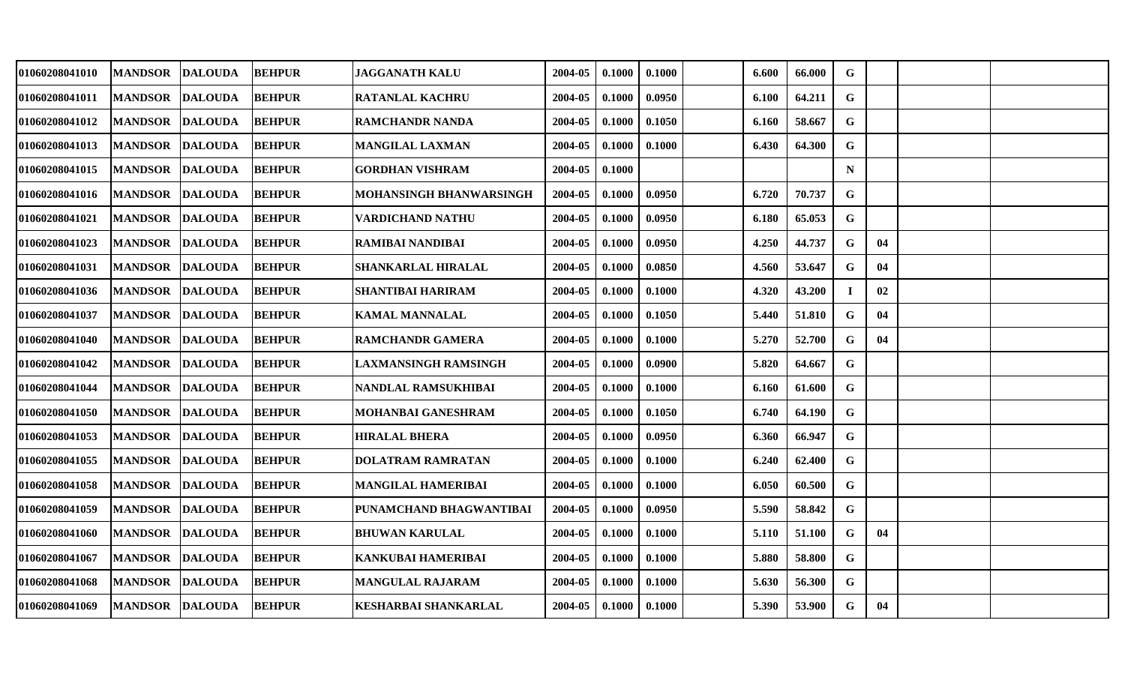| 01060208041010 | <b>MANDSOR</b>  | <b>DALOUDA</b> | <b>BEHPUR</b> | <b>JAGGANATH KALU</b>       | 2004-05 | 0.1000 | 0.1000 | 6.600 | 66.000 | G           |    |  |
|----------------|-----------------|----------------|---------------|-----------------------------|---------|--------|--------|-------|--------|-------------|----|--|
| 01060208041011 | <b>MANDSOR</b>  | <b>DALOUDA</b> | <b>BEHPUR</b> | <b>RATANLAL KACHRU</b>      | 2004-05 | 0.1000 | 0.0950 | 6.100 | 64.211 | G           |    |  |
| 01060208041012 | <b>MANDSOR</b>  | <b>DALOUDA</b> | <b>BEHPUR</b> | <b>RAMCHANDR NANDA</b>      | 2004-05 | 0.1000 | 0.1050 | 6.160 | 58.667 | $\mathbf G$ |    |  |
| 01060208041013 | <b>MANDSOR</b>  | <b>DALOUDA</b> | <b>BEHPUR</b> | <b>MANGILAL LAXMAN</b>      | 2004-05 | 0.1000 | 0.1000 | 6.430 | 64.300 | G           |    |  |
| 01060208041015 | <b>MANDSOR</b>  | <b>DALOUDA</b> | <b>BEHPUR</b> | <b>GORDHAN VISHRAM</b>      | 2004-05 | 0.1000 |        |       |        | $\mathbf N$ |    |  |
| 01060208041016 | <b>MANDSOR</b>  | <b>DALOUDA</b> | <b>BEHPUR</b> | MOHANSINGH BHANWARSINGH     | 2004-05 | 0.1000 | 0.0950 | 6.720 | 70.737 | G           |    |  |
| 01060208041021 | <b>MANDSOR</b>  | <b>DALOUDA</b> | <b>BEHPUR</b> | VARDICHAND NATHU            | 2004-05 | 0.1000 | 0.0950 | 6.180 | 65.053 | G           |    |  |
| 01060208041023 | <b>MANDSOR</b>  | <b>DALOUDA</b> | <b>BEHPUR</b> | <b>RAMIBAI NANDIBAI</b>     | 2004-05 | 0.1000 | 0.0950 | 4.250 | 44.737 | G           | 04 |  |
| 01060208041031 | <b>MANDSOR</b>  | <b>DALOUDA</b> | <b>BEHPUR</b> | <b>SHANKARLAL HIRALAL</b>   | 2004-05 | 0.1000 | 0.0850 | 4.560 | 53.647 | G           | 04 |  |
| 01060208041036 | <b>MANDSOR</b>  | <b>DALOUDA</b> | <b>BEHPUR</b> | <b>SHANTIBAI HARIRAM</b>    | 2004-05 | 0.1000 | 0.1000 | 4.320 | 43.200 |             | 02 |  |
| 01060208041037 | <b>MANDSOR</b>  | <b>DALOUDA</b> | <b>BEHPUR</b> | <b>KAMAL MANNALAL</b>       | 2004-05 | 0.1000 | 0.1050 | 5.440 | 51.810 | G           | 04 |  |
| 01060208041040 | <b>MANDSOR</b>  | <b>DALOUDA</b> | <b>BEHPUR</b> | <b>RAMCHANDR GAMERA</b>     | 2004-05 | 0.1000 | 0.1000 | 5.270 | 52.700 | G           | 04 |  |
| 01060208041042 | <b>MANDSOR</b>  | <b>DALOUDA</b> | <b>BEHPUR</b> | <b>LAXMANSINGH RAMSINGH</b> | 2004-05 | 0.1000 | 0.0900 | 5.820 | 64.667 | G           |    |  |
| 01060208041044 | <b>MANDSOR</b>  | <b>DALOUDA</b> | <b>BEHPUR</b> | NANDLAL RAMSUKHIBAI         | 2004-05 | 0.1000 | 0.1000 | 6.160 | 61.600 | G           |    |  |
| 01060208041050 | <b>MANDSOR</b>  | <b>DALOUDA</b> | <b>BEHPUR</b> | <b>MOHANBAI GANESHRAM</b>   | 2004-05 | 0.1000 | 0.1050 | 6.740 | 64.190 | G           |    |  |
| 01060208041053 | <b>MANDSOR</b>  | <b>DALOUDA</b> | <b>BEHPUR</b> | <b>HIRALAL BHERA</b>        | 2004-05 | 0.1000 | 0.0950 | 6.360 | 66.947 | G           |    |  |
| 01060208041055 | <b>MANDSOR</b>  | <b>DALOUDA</b> | <b>BEHPUR</b> | <b>DOLATRAM RAMRATAN</b>    | 2004-05 | 0.1000 | 0.1000 | 6.240 | 62.400 | $\mathbf G$ |    |  |
| 01060208041058 | <b>MANDSOR</b>  | <b>DALOUDA</b> | <b>BEHPUR</b> | MANGILAL HAMERIBAI          | 2004-05 | 0.1000 | 0.1000 | 6.050 | 60.500 | G           |    |  |
| 01060208041059 | <b>MANDSOR</b>  | <b>DALOUDA</b> | <b>BEHPUR</b> | PUNAMCHAND BHAGWANTIBAI     | 2004-05 | 0.1000 | 0.0950 | 5.590 | 58.842 | G           |    |  |
| 01060208041060 | <b>MANDSOR</b>  | <b>DALOUDA</b> | <b>BEHPUR</b> | <b>BHUWAN KARULAL</b>       | 2004-05 | 0.1000 | 0.1000 | 5.110 | 51.100 | G           | 04 |  |
| 01060208041067 | <b>MANDSOR</b>  | <b>DALOUDA</b> | <b>BEHPUR</b> | <b>KANKUBAI HAMERIBAI</b>   | 2004-05 | 0.1000 | 0.1000 | 5.880 | 58.800 | G           |    |  |
| 01060208041068 | <b>MANDSOR</b>  | <b>DALOUDA</b> | <b>BEHPUR</b> | <b>MANGULAL RAJARAM</b>     | 2004-05 | 0.1000 | 0.1000 | 5.630 | 56.300 | G           |    |  |
| 01060208041069 | MANDSOR DALOUDA |                | <b>BEHPUR</b> | KESHARBAI SHANKARLAL        | 2004-05 | 0.1000 | 0.1000 | 5.390 | 53.900 | G           | 04 |  |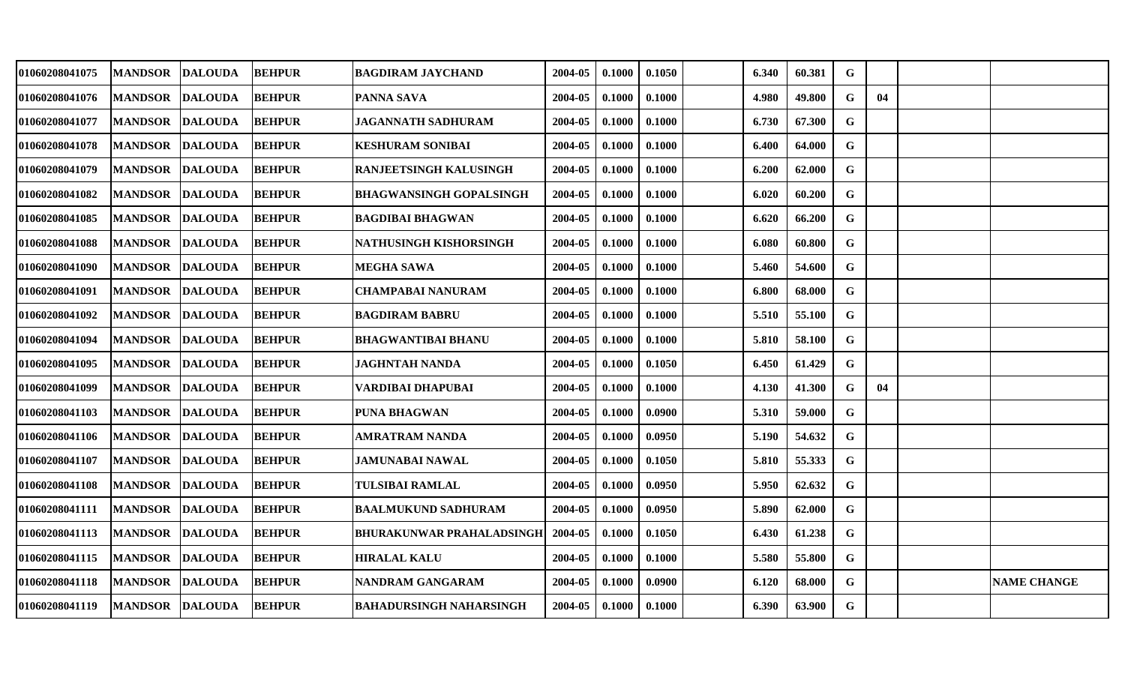| 01060208041075 | <b>MANDSOR</b>  | <b>DALOUDA</b> | <b>BEHPUR</b> | <b>BAGDIRAM JAYCHAND</b>         | 2004-05 | 0.1000 | 0.1050 | 6.340 | 60.381 | G           |    |                    |
|----------------|-----------------|----------------|---------------|----------------------------------|---------|--------|--------|-------|--------|-------------|----|--------------------|
| 01060208041076 | <b>MANDSOR</b>  | <b>DALOUDA</b> | <b>BEHPUR</b> | <b>PANNA SAVA</b>                | 2004-05 | 0.1000 | 0.1000 | 4.980 | 49.800 | G           | 04 |                    |
| 01060208041077 | <b>MANDSOR</b>  | <b>DALOUDA</b> | <b>BEHPUR</b> | JAGANNATH SADHURAM               | 2004-05 | 0.1000 | 0.1000 | 6.730 | 67.300 | $\mathbf G$ |    |                    |
| 01060208041078 | <b>MANDSOR</b>  | <b>DALOUDA</b> | <b>BEHPUR</b> | <b>KESHURAM SONIBAI</b>          | 2004-05 | 0.1000 | 0.1000 | 6.400 | 64.000 | G           |    |                    |
| 01060208041079 | <b>MANDSOR</b>  | <b>DALOUDA</b> | <b>BEHPUR</b> | RANJEETSINGH KALUSINGH           | 2004-05 | 0.1000 | 0.1000 | 6.200 | 62.000 | $\mathbf G$ |    |                    |
| 01060208041082 | <b>MANDSOR</b>  | <b>DALOUDA</b> | <b>BEHPUR</b> | <b>BHAGWANSINGH GOPALSINGH</b>   | 2004-05 | 0.1000 | 0.1000 | 6.020 | 60.200 | G           |    |                    |
| 01060208041085 | <b>MANDSOR</b>  | <b>DALOUDA</b> | <b>BEHPUR</b> | <b>BAGDIBAI BHAGWAN</b>          | 2004-05 | 0.1000 | 0.1000 | 6.620 | 66.200 | $\mathbf G$ |    |                    |
| 01060208041088 | <b>MANDSOR</b>  | <b>DALOUDA</b> | <b>BEHPUR</b> | NATHUSINGH KISHORSINGH           | 2004-05 | 0.1000 | 0.1000 | 6.080 | 60.800 | $\mathbf G$ |    |                    |
| 01060208041090 | <b>MANDSOR</b>  | <b>DALOUDA</b> | <b>BEHPUR</b> | <b>MEGHA SAWA</b>                | 2004-05 | 0.1000 | 0.1000 | 5.460 | 54.600 | $\mathbf G$ |    |                    |
| 01060208041091 | <b>MANDSOR</b>  | <b>DALOUDA</b> | <b>BEHPUR</b> | <b>CHAMPABAI NANURAM</b>         | 2004-05 | 0.1000 | 0.1000 | 6.800 | 68.000 | G           |    |                    |
| 01060208041092 | <b>MANDSOR</b>  | <b>DALOUDA</b> | <b>BEHPUR</b> | <b>BAGDIRAM BABRU</b>            | 2004-05 | 0.1000 | 0.1000 | 5.510 | 55.100 | G           |    |                    |
| 01060208041094 | <b>MANDSOR</b>  | <b>DALOUDA</b> | <b>BEHPUR</b> | <b>BHAGWANTIBAI BHANU</b>        | 2004-05 | 0.1000 | 0.1000 | 5.810 | 58.100 | G           |    |                    |
| 01060208041095 | <b>MANDSOR</b>  | <b>DALOUDA</b> | <b>BEHPUR</b> | <b>JAGHNTAH NANDA</b>            | 2004-05 | 0.1000 | 0.1050 | 6.450 | 61.429 | G           |    |                    |
| 01060208041099 | <b>MANDSOR</b>  | <b>DALOUDA</b> | <b>BEHPUR</b> | VARDIBAI DHAPUBAI                | 2004-05 | 0.1000 | 0.1000 | 4.130 | 41.300 | G           | 04 |                    |
| 01060208041103 | <b>MANDSOR</b>  | <b>DALOUDA</b> | <b>BEHPUR</b> | <b>PUNA BHAGWAN</b>              | 2004-05 | 0.1000 | 0.0900 | 5.310 | 59.000 | G           |    |                    |
| 01060208041106 | <b>MANDSOR</b>  | <b>DALOUDA</b> | <b>BEHPUR</b> | <b>AMRATRAM NANDA</b>            | 2004-05 | 0.1000 | 0.0950 | 5.190 | 54.632 | G           |    |                    |
| 01060208041107 | <b>MANDSOR</b>  | <b>DALOUDA</b> | <b>BEHPUR</b> | <b>JAMUNABAI NAWAL</b>           | 2004-05 | 0.1000 | 0.1050 | 5.810 | 55.333 | $\mathbf G$ |    |                    |
| 01060208041108 | <b>MANDSOR</b>  | <b>DALOUDA</b> | <b>BEHPUR</b> | <b>TULSIBAI RAMLAL</b>           | 2004-05 | 0.1000 | 0.0950 | 5.950 | 62.632 | G           |    |                    |
| 01060208041111 | <b>MANDSOR</b>  | <b>DALOUDA</b> | <b>BEHPUR</b> | <b>BAALMUKUND SADHURAM</b>       | 2004-05 | 0.1000 | 0.0950 | 5.890 | 62.000 | G           |    |                    |
| 01060208041113 | <b>MANDSOR</b>  | <b>DALOUDA</b> | <b>BEHPUR</b> | <b>BHURAKUNWAR PRAHALADSINGH</b> | 2004-05 | 0.1000 | 0.1050 | 6.430 | 61.238 | $\mathbf G$ |    |                    |
| 01060208041115 | <b>MANDSOR</b>  | <b>DALOUDA</b> | <b>BEHPUR</b> | <b>HIRALAL KALU</b>              | 2004-05 | 0.1000 | 0.1000 | 5.580 | 55.800 | G           |    |                    |
| 01060208041118 | <b>MANDSOR</b>  | <b>DALOUDA</b> | <b>BEHPUR</b> | NANDRAM GANGARAM                 | 2004-05 | 0.1000 | 0.0900 | 6.120 | 68.000 | G           |    | <b>NAME CHANGE</b> |
| 01060208041119 | MANDSOR DALOUDA |                | <b>BEHPUR</b> | BAHADURSINGH NAHARSINGH          | 2004-05 | 0.1000 | 0.1000 | 6.390 | 63.900 | $\mathbf G$ |    |                    |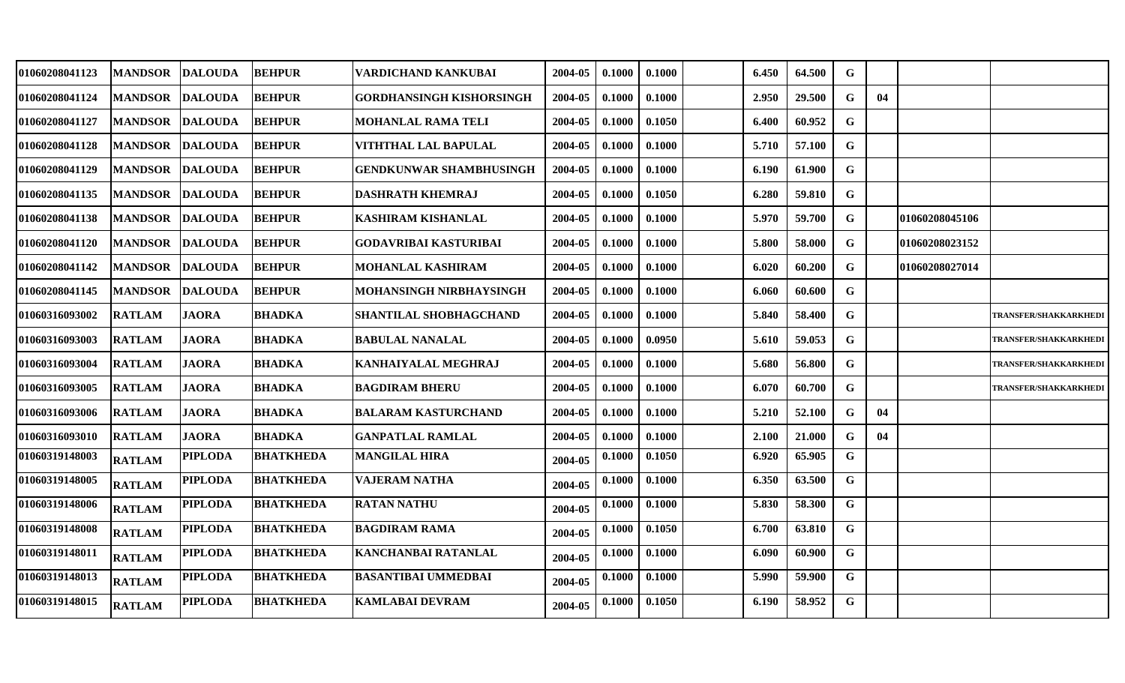| 01060208041123 | <b>MANDSOR</b> | <b>DALOUDA</b> | <b>BEHPUR</b>    | VARDICHAND KANKUBAI             | 2004-05 | 0.1000 | 0.1000 | 6.450 | 64.500 | G           |    |                |                              |
|----------------|----------------|----------------|------------------|---------------------------------|---------|--------|--------|-------|--------|-------------|----|----------------|------------------------------|
| 01060208041124 | <b>MANDSOR</b> | <b>DALOUDA</b> | <b>BEHPUR</b>    | <b>GORDHANSINGH KISHORSINGH</b> | 2004-05 | 0.1000 | 0.1000 | 2.950 | 29.500 | G           | 04 |                |                              |
| 01060208041127 | <b>MANDSOR</b> | <b>DALOUDA</b> | <b>BEHPUR</b>    | <b>MOHANLAL RAMA TELI</b>       | 2004-05 | 0.1000 | 0.1050 | 6.400 | 60.952 | $\mathbf G$ |    |                |                              |
| 01060208041128 | <b>MANDSOR</b> | <b>DALOUDA</b> | <b>BEHPUR</b>    | VITHTHAL LAL BAPULAL            | 2004-05 | 0.1000 | 0.1000 | 5.710 | 57.100 | G           |    |                |                              |
| 01060208041129 | <b>MANDSOR</b> | <b>DALOUDA</b> | <b>BEHPUR</b>    | <b>GENDKUNWAR SHAMBHUSINGH</b>  | 2004-05 | 0.1000 | 0.1000 | 6.190 | 61.900 | $\mathbf G$ |    |                |                              |
| 01060208041135 | <b>MANDSOR</b> | <b>DALOUDA</b> | <b>BEHPUR</b>    | <b>DASHRATH KHEMRAJ</b>         | 2004-05 | 0.1000 | 0.1050 | 6.280 | 59.810 | G           |    |                |                              |
| 01060208041138 | <b>MANDSOR</b> | <b>DALOUDA</b> | <b>BEHPUR</b>    | <b>KASHIRAM KISHANLAL</b>       | 2004-05 | 0.1000 | 0.1000 | 5.970 | 59.700 | $\mathbf G$ |    | 01060208045106 |                              |
| 01060208041120 | <b>MANDSOR</b> | <b>DALOUDA</b> | <b>BEHPUR</b>    | GODAVRIBAI KASTURIBAI           | 2004-05 | 0.1000 | 0.1000 | 5.800 | 58.000 | G           |    | 01060208023152 |                              |
| 01060208041142 | <b>MANDSOR</b> | <b>DALOUDA</b> | <b>BEHPUR</b>    | <b>MOHANLAL KASHIRAM</b>        | 2004-05 | 0.1000 | 0.1000 | 6.020 | 60.200 | $\mathbf G$ |    | 01060208027014 |                              |
| 01060208041145 | <b>MANDSOR</b> | <b>DALOUDA</b> | <b>BEHPUR</b>    | MOHANSINGH NIRBHAYSINGH         | 2004-05 | 0.1000 | 0.1000 | 6.060 | 60.600 | G           |    |                |                              |
| 01060316093002 | <b>RATLAM</b>  | <b>JAORA</b>   | <b>BHADKA</b>    | <b>SHANTILAL SHOBHAGCHAND</b>   | 2004-05 | 0.1000 | 0.1000 | 5.840 | 58.400 | G           |    |                | TRANSFER/SHAKKARKHEDI        |
| 01060316093003 | <b>RATLAM</b>  | <b>JAORA</b>   | <b>BHADKA</b>    | <b>BABULAL NANALAL</b>          | 2004-05 | 0.1000 | 0.0950 | 5.610 | 59.053 | $\mathbf G$ |    |                | TRANSFER/SHAKKARKHEDI        |
| 01060316093004 | <b>RATLAM</b>  | <b>JAORA</b>   | <b>BHADKA</b>    | <b>KANHAIYALAL MEGHRAJ</b>      | 2004-05 | 0.1000 | 0.1000 | 5.680 | 56.800 | G           |    |                | <b>TRANSFER/SHAKKARKHEDI</b> |
| 01060316093005 | <b>RATLAM</b>  | <b>JAORA</b>   | <b>BHADKA</b>    | <b>BAGDIRAM BHERU</b>           | 2004-05 | 0.1000 | 0.1000 | 6.070 | 60.700 | $\mathbf G$ |    |                | TRANSFER/SHAKKARKHEDI        |
| 01060316093006 | <b>RATLAM</b>  | <b>JAORA</b>   | <b>BHADKA</b>    | <b>BALARAM KASTURCHAND</b>      | 2004-05 | 0.1000 | 0.1000 | 5.210 | 52.100 | G           | 04 |                |                              |
| 01060316093010 | <b>RATLAM</b>  | <b>JAORA</b>   | <b>BHADKA</b>    | <b>GANPATLAL RAMLAL</b>         | 2004-05 | 0.1000 | 0.1000 | 2.100 | 21.000 | G           | 04 |                |                              |
| 01060319148003 | <b>RATLAM</b>  | <b>PIPLODA</b> | <b>BHATKHEDA</b> | <b>MANGILAL HIRA</b>            | 2004-05 | 0.1000 | 0.1050 | 6.920 | 65.905 | G           |    |                |                              |
| 01060319148005 | <b>RATLAM</b>  | <b>PIPLODA</b> | <b>BHATKHEDA</b> | <b>VAJERAM NATHA</b>            | 2004-05 | 0.1000 | 0.1000 | 6.350 | 63.500 | $\mathbf G$ |    |                |                              |
| 01060319148006 | <b>RATLAM</b>  | <b>PIPLODA</b> | <b>BHATKHEDA</b> | <b>RATAN NATHU</b>              | 2004-05 | 0.1000 | 0.1000 | 5.830 | 58.300 | $\mathbf G$ |    |                |                              |
| 01060319148008 | <b>RATLAM</b>  | <b>PIPLODA</b> | <b>BHATKHEDA</b> | <b>BAGDIRAM RAMA</b>            | 2004-05 | 0.1000 | 0.1050 | 6.700 | 63.810 | $\mathbf G$ |    |                |                              |
| 01060319148011 | <b>RATLAM</b>  | <b>PIPLODA</b> | <b>BHATKHEDA</b> | <b>KANCHANBAI RATANLAL</b>      | 2004-05 | 0.1000 | 0.1000 | 6.090 | 60.900 | $\mathbf G$ |    |                |                              |
| 01060319148013 | <b>RATLAM</b>  | <b>PIPLODA</b> | <b>BHATKHEDA</b> | <b>BASANTIBAI UMMEDBAI</b>      | 2004-05 | 0.1000 | 0.1000 | 5.990 | 59.900 | G           |    |                |                              |
| 01060319148015 | <b>RATLAM</b>  | <b>PIPLODA</b> | <b>BHATKHEDA</b> | <b>KAMLABAI DEVRAM</b>          | 2004-05 | 0.1000 | 0.1050 | 6.190 | 58.952 | $\mathbf G$ |    |                |                              |
|                |                |                |                  |                                 |         |        |        |       |        |             |    |                |                              |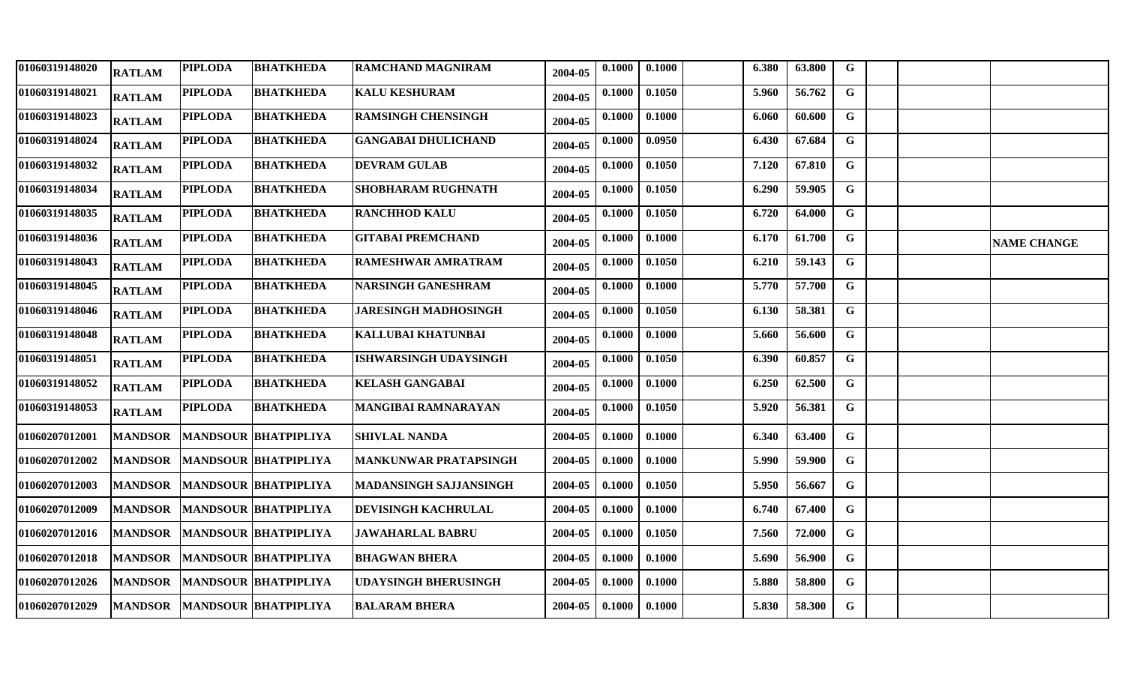| 01060319148020 | <b>RATLAM</b>  | <b>PIPLODA</b> | <b>BHATKHEDA</b>             | <b>RAMCHAND MAGNIRAM</b>      | 2004-05 | 0.1000 | 0.1000 | 6.380 | 63.800 | G            |  |                    |
|----------------|----------------|----------------|------------------------------|-------------------------------|---------|--------|--------|-------|--------|--------------|--|--------------------|
| 01060319148021 | <b>RATLAM</b>  | <b>PIPLODA</b> | <b>BHATKHEDA</b>             | <b>KALU KESHURAM</b>          | 2004-05 | 0.1000 | 0.1050 | 5.960 | 56.762 | G            |  |                    |
| 01060319148023 | <b>RATLAM</b>  | <b>PIPLODA</b> | <b>BHATKHEDA</b>             | <b>RAMSINGH CHENSINGH</b>     | 2004-05 | 0.1000 | 0.1000 | 6.060 | 60.600 | $\mathbf G$  |  |                    |
| 01060319148024 | <b>RATLAM</b>  | <b>PIPLODA</b> | <b>BHATKHEDA</b>             | <b>GANGABAI DHULICHAND</b>    | 2004-05 | 0.1000 | 0.0950 | 6.430 | 67.684 | $\mathbf G$  |  |                    |
| 01060319148032 | <b>RATLAM</b>  | <b>PIPLODA</b> | <b>BHATKHEDA</b>             | <b>DEVRAM GULAB</b>           | 2004-05 | 0.1000 | 0.1050 | 7.120 | 67.810 | G            |  |                    |
| 01060319148034 | <b>RATLAM</b>  | <b>PIPLODA</b> | <b>BHATKHEDA</b>             | <b>SHOBHARAM RUGHNATH</b>     | 2004-05 | 0.1000 | 0.1050 | 6.290 | 59.905 | G            |  |                    |
| 01060319148035 | <b>RATLAM</b>  | <b>PIPLODA</b> | <b>BHATKHEDA</b>             | <b>RANCHHOD KALU</b>          | 2004-05 | 0.1000 | 0.1050 | 6.720 | 64.000 | $\mathbf{G}$ |  |                    |
| 01060319148036 | <b>RATLAM</b>  | <b>PIPLODA</b> | <b>BHATKHEDA</b>             | <b>GITABAI PREMCHAND</b>      | 2004-05 | 0.1000 | 0.1000 | 6.170 | 61.700 | $\mathbf G$  |  | <b>NAME CHANGE</b> |
| 01060319148043 | <b>RATLAM</b>  | <b>PIPLODA</b> | <b>BHATKHEDA</b>             | <b>RAMESHWAR AMRATRAM</b>     | 2004-05 | 0.1000 | 0.1050 | 6.210 | 59.143 | $\mathbf G$  |  |                    |
| 01060319148045 | <b>RATLAM</b>  | <b>PIPLODA</b> | <b>BHATKHEDA</b>             | <b>NARSINGH GANESHRAM</b>     | 2004-05 | 0.1000 | 0.1000 | 5.770 | 57.700 | G            |  |                    |
| 01060319148046 | <b>RATLAM</b>  | <b>PIPLODA</b> | <b>BHATKHEDA</b>             | <b>JARESINGH MADHOSINGH</b>   | 2004-05 | 0.1000 | 0.1050 | 6.130 | 58.381 | $\mathbf G$  |  |                    |
| 01060319148048 | <b>RATLAM</b>  | <b>PIPLODA</b> | <b>BHATKHEDA</b>             | KALLUBAI KHATUNBAI            | 2004-05 | 0.1000 | 0.1000 | 5.660 | 56.600 | $\mathbf G$  |  |                    |
| 01060319148051 | <b>RATLAM</b>  | <b>PIPLODA</b> | <b>BHATKHEDA</b>             | <b>ISHWARSINGH UDAYSINGH</b>  | 2004-05 | 0.1000 | 0.1050 | 6.390 | 60.857 | G            |  |                    |
| 01060319148052 | <b>RATLAM</b>  | <b>PIPLODA</b> | <b>BHATKHEDA</b>             | <b>KELASH GANGABAI</b>        | 2004-05 | 0.1000 | 0.1000 | 6.250 | 62.500 | G            |  |                    |
| 01060319148053 | <b>RATLAM</b>  | <b>PIPLODA</b> | <b>BHATKHEDA</b>             | <b>MANGIBAI RAMNARAYAN</b>    | 2004-05 | 0.1000 | 0.1050 | 5.920 | 56.381 | G            |  |                    |
| 01060207012001 | <b>MANDSOR</b> |                | <b>MANDSOUR BHATPIPLIYA</b>  | <b>SHIVLAL NANDA</b>          | 2004-05 | 0.1000 | 0.1000 | 6.340 | 63.400 | $\mathbf{G}$ |  |                    |
| 01060207012002 | <b>MANDSOR</b> |                | <b>MANDSOUR BHATPIPLIYA</b>  | <b>MANKUNWAR PRATAPSINGH</b>  | 2004-05 | 0.1000 | 0.1000 | 5.990 | 59.900 | $\mathbf G$  |  |                    |
| 01060207012003 | <b>MANDSOR</b> |                | <b>MANDSOUR BHATPIPLIYA</b>  | <b>MADANSINGH SAJJANSINGH</b> | 2004-05 | 0.1000 | 0.1050 | 5.950 | 56.667 | G            |  |                    |
| 01060207012009 | <b>MANDSOR</b> |                | <b>MANDSOUR BHATPIPLIYA</b>  | <b>DEVISINGH KACHRULAL</b>    | 2004-05 | 0.1000 | 0.1000 | 6.740 | 67.400 | G            |  |                    |
| 01060207012016 | <b>MANDSOR</b> |                | <b>MANDSOUR BHATPIPLIYA</b>  | <b>JAWAHARLAL BABRU</b>       | 2004-05 | 0.1000 | 0.1050 | 7.560 | 72.000 | $\mathbf{G}$ |  |                    |
| 01060207012018 | <b>MANDSOR</b> |                | <b>MANDSOUR BHATPIPLIYA</b>  | <b>BHAGWAN BHERA</b>          | 2004-05 | 0.1000 | 0.1000 | 5.690 | 56.900 | G            |  |                    |
| 01060207012026 | <b>MANDSOR</b> |                | <b>MANDSOUR BHATPIPLIYA</b>  | UDAYSINGH BHERUSINGH          | 2004-05 | 0.1000 | 0.1000 | 5.880 | 58.800 | G            |  |                    |
| 01060207012029 |                |                | MANDSOR MANDSOUR BHATPIPLIYA | <b>BALARAM BHERA</b>          | 2004-05 | 0.1000 | 0.1000 | 5.830 | 58.300 | G            |  |                    |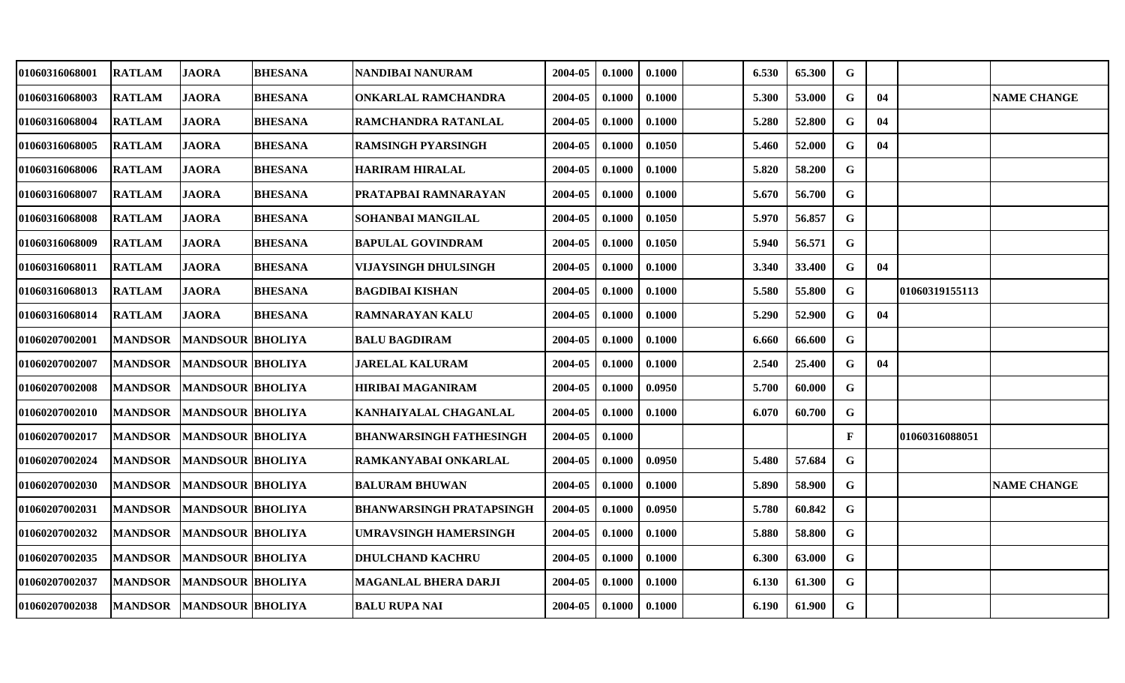| 01060316068001        | <b>RATLAM</b>  | <b>JAORA</b>            | <b>BHESANA</b> | NANDIBAI NANURAM         | 2004-05 | 0.1000 | 0.1000 | 6.530 | 65.300 | G            |    |                |                    |
|-----------------------|----------------|-------------------------|----------------|--------------------------|---------|--------|--------|-------|--------|--------------|----|----------------|--------------------|
| 01060316068003        | <b>RATLAM</b>  | <b>JAORA</b>            | <b>BHESANA</b> | ONKARLAL RAMCHANDRA      | 2004-05 | 0.1000 | 0.1000 | 5.300 | 53.000 | G            | 04 |                | <b>NAME CHANGE</b> |
| <b>01060316068004</b> | <b>RATLAM</b>  | <b>JAORA</b>            | <b>BHESANA</b> | RAMCHANDRA RATANLAL      | 2004-05 | 0.1000 | 0.1000 | 5.280 | 52.800 | G            | 04 |                |                    |
| 01060316068005        | <b>RATLAM</b>  | <b>JAORA</b>            | <b>BHESANA</b> | RAMSINGH PYARSINGH       | 2004-05 | 0.1000 | 0.1050 | 5.460 | 52.000 | $\mathbf G$  | 04 |                |                    |
| 01060316068006        | <b>RATLAM</b>  | <b>JAORA</b>            | <b>BHESANA</b> | HARIRAM HIRALAL          | 2004-05 | 0.1000 | 0.1000 | 5.820 | 58.200 | $\mathbf G$  |    |                |                    |
| 01060316068007        | <b>RATLAM</b>  | <b>JAORA</b>            | <b>BHESANA</b> | PRATAPBAI RAMNARAYAN     | 2004-05 | 0.1000 | 0.1000 | 5.670 | 56.700 | G            |    |                |                    |
| 01060316068008        | <b>RATLAM</b>  | <b>JAORA</b>            | <b>BHESANA</b> | SOHANBAI MANGILAL        | 2004-05 | 0.1000 | 0.1050 | 5.970 | 56.857 | G            |    |                |                    |
| 01060316068009        | <b>RATLAM</b>  | <b>JAORA</b>            | <b>BHESANA</b> | <b>BAPULAL GOVINDRAM</b> | 2004-05 | 0.1000 | 0.1050 | 5.940 | 56.571 | G            |    |                |                    |
| 01060316068011        | <b>RATLAM</b>  | <b>JAORA</b>            | <b>BHESANA</b> | VIJAYSINGH DHULSINGH     | 2004-05 | 0.1000 | 0.1000 | 3.340 | 33.400 | G            | 04 |                |                    |
| 01060316068013        | <b>RATLAM</b>  | <b>JAORA</b>            | <b>BHESANA</b> | <b>BAGDIBAI KISHAN</b>   | 2004-05 | 0.1000 | 0.1000 | 5.580 | 55.800 | G            |    | 01060319155113 |                    |
| <b>01060316068014</b> | <b>RATLAM</b>  | <b>JAORA</b>            | <b>BHESANA</b> | RAMNARAYAN KALU          | 2004-05 | 0.1000 | 0.1000 | 5.290 | 52.900 | G            | 04 |                |                    |
| 01060207002001        | <b>MANDSOR</b> | <b>MANDSOUR BHOLIYA</b> |                | <b>BALU BAGDIRAM</b>     | 2004-05 | 0.1000 | 0.1000 | 6.660 | 66.600 | $\mathbf G$  |    |                |                    |
| 01060207002007        | <b>MANDSOR</b> | <b>MANDSOUR BHOLIYA</b> |                | <b>JARELAL KALURAM</b>   | 2004-05 | 0.1000 | 0.1000 | 2.540 | 25.400 | $\mathbf G$  | 04 |                |                    |
| 01060207002008        | <b>MANDSOR</b> | <b>MANDSOUR BHOLIYA</b> |                | <b>HIRIBAI MAGANIRAM</b> | 2004-05 | 0.1000 | 0.0950 | 5.700 | 60.000 | G            |    |                |                    |
| <b>01060207002010</b> | <b>MANDSOR</b> | <b>MANDSOUR BHOLIYA</b> |                | KANHAIYALAL CHAGANLAL    | 2004-05 | 0.1000 | 0.1000 | 6.070 | 60.700 | $\mathbf G$  |    |                |                    |
| 01060207002017        | <b>MANDSOR</b> | <b>MANDSOUR BHOLIYA</b> |                | BHANWARSINGH FATHESINGH  | 2004-05 | 0.1000 |        |       |        | $\mathbf{F}$ |    | 01060316088051 |                    |
| 01060207002024        | <b>MANDSOR</b> | <b>MANDSOUR BHOLIYA</b> |                | RAMKANYABAI ONKARLAL     | 2004-05 | 0.1000 | 0.0950 | 5.480 | 57.684 | G            |    |                |                    |
| 01060207002030        | <b>MANDSOR</b> | <b>MANDSOUR BHOLIYA</b> |                | <b>BALURAM BHUWAN</b>    | 2004-05 | 0.1000 | 0.1000 | 5.890 | 58.900 | $\mathbf G$  |    |                | <b>NAME CHANGE</b> |
| 01060207002031        | <b>MANDSOR</b> | <b>MANDSOUR BHOLIYA</b> |                | BHANWARSINGH PRATAPSINGH | 2004-05 | 0.1000 | 0.0950 | 5.780 | 60.842 | $\mathbf G$  |    |                |                    |
| <b>01060207002032</b> | <b>MANDSOR</b> | <b>MANDSOUR BHOLIYA</b> |                | UMRAVSINGH HAMERSINGH    | 2004-05 | 0.1000 | 0.1000 | 5.880 | 58.800 | G            |    |                |                    |
| 01060207002035        | <b>MANDSOR</b> | <b>MANDSOUR BHOLIYA</b> |                | <b>DHULCHAND KACHRU</b>  | 2004-05 | 0.1000 | 0.1000 | 6.300 | 63.000 | $\mathbf G$  |    |                |                    |
| 01060207002037        | <b>MANDSOR</b> | <b>MANDSOUR BHOLIYA</b> |                | MAGANLAL BHERA DARJI     | 2004-05 | 0.1000 | 0.1000 | 6.130 | 61.300 | G            |    |                |                    |
| <b>01060207002038</b> | <b>MANDSOR</b> | <b>MANDSOUR BHOLIYA</b> |                | <b>BALU RUPA NAI</b>     | 2004-05 | 0.1000 | 0.1000 | 6.190 | 61.900 | G            |    |                |                    |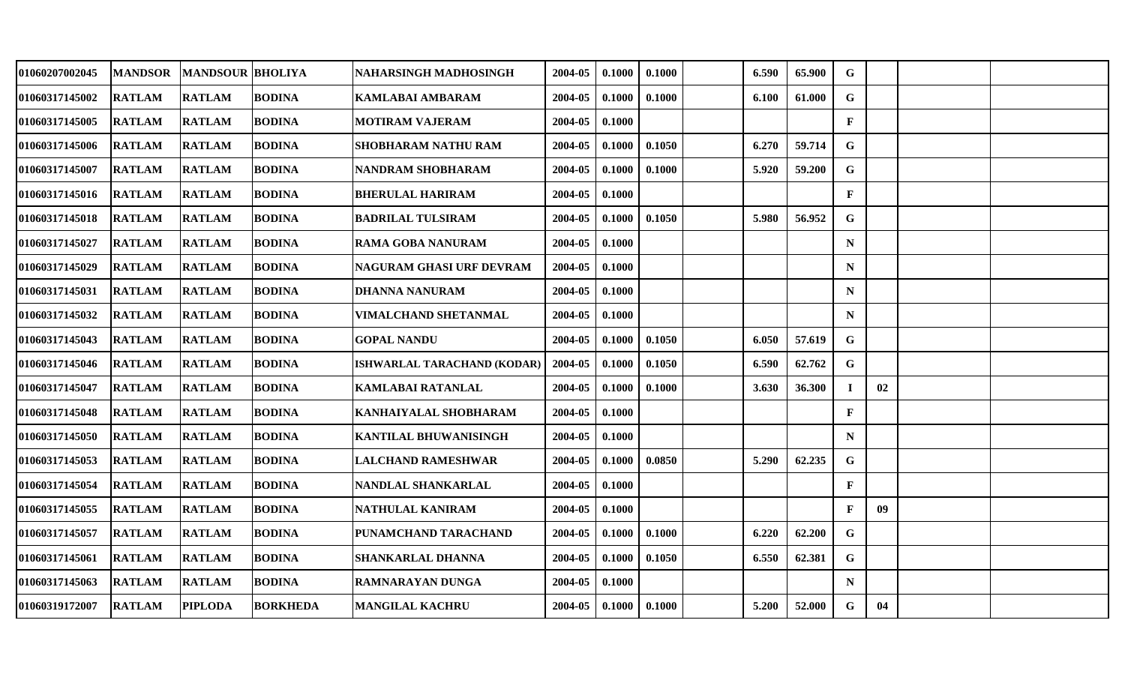| 01060207002045 | <b>MANDSOR</b> | <b>MANDSOUR BHOLIYA</b> |                 | NAHARSINGH MADHOSINGH        | 2004-05 | 0.1000 | 0.1000 | 6.590 | 65.900 | G            |                 |  |
|----------------|----------------|-------------------------|-----------------|------------------------------|---------|--------|--------|-------|--------|--------------|-----------------|--|
| 01060317145002 | <b>RATLAM</b>  | <b>RATLAM</b>           | <b>BODINA</b>   | <b>KAMLABAI AMBARAM</b>      | 2004-05 | 0.1000 | 0.1000 | 6.100 | 61.000 | G            |                 |  |
| 01060317145005 | <b>RATLAM</b>  | <b>RATLAM</b>           | <b>BODINA</b>   | <b>MOTIRAM VAJERAM</b>       | 2004-05 | 0.1000 |        |       |        | $\mathbf{F}$ |                 |  |
| 01060317145006 | <b>RATLAM</b>  | <b>RATLAM</b>           | <b>BODINA</b>   | SHOBHARAM NATHU RAM          | 2004-05 | 0.1000 | 0.1050 | 6.270 | 59.714 | G            |                 |  |
| 01060317145007 | <b>RATLAM</b>  | <b>RATLAM</b>           | <b>BODINA</b>   | NANDRAM SHOBHARAM            | 2004-05 | 0.1000 | 0.1000 | 5.920 | 59.200 | $\mathbf G$  |                 |  |
| 01060317145016 | <b>RATLAM</b>  | <b>RATLAM</b>           | <b>BODINA</b>   | <b>BHERULAL HARIRAM</b>      | 2004-05 | 0.1000 |        |       |        | $\mathbf{F}$ |                 |  |
| 01060317145018 | <b>RATLAM</b>  | <b>RATLAM</b>           | <b>BODINA</b>   | <b>BADRILAL TULSIRAM</b>     | 2004-05 | 0.1000 | 0.1050 | 5.980 | 56.952 | $\mathbf G$  |                 |  |
| 01060317145027 | <b>RATLAM</b>  | <b>RATLAM</b>           | <b>BODINA</b>   | <b>RAMA GOBA NANURAM</b>     | 2004-05 | 0.1000 |        |       |        | $\mathbf N$  |                 |  |
| 01060317145029 | <b>RATLAM</b>  | <b>RATLAM</b>           | <b>BODINA</b>   | NAGURAM GHASI URF DEVRAM     | 2004-05 | 0.1000 |        |       |        | ${\bf N}$    |                 |  |
| 01060317145031 | <b>RATLAM</b>  | <b>RATLAM</b>           | <b>BODINA</b>   | <b>DHANNA NANURAM</b>        | 2004-05 | 0.1000 |        |       |        | $\mathbf N$  |                 |  |
| 01060317145032 | <b>RATLAM</b>  | <b>RATLAM</b>           | <b>BODINA</b>   | <b>VIMALCHAND SHETANMAL</b>  | 2004-05 | 0.1000 |        |       |        | $\mathbf N$  |                 |  |
| 01060317145043 | <b>RATLAM</b>  | <b>RATLAM</b>           | <b>BODINA</b>   | <b>GOPAL NANDU</b>           | 2004-05 | 0.1000 | 0.1050 | 6.050 | 57.619 | G            |                 |  |
| 01060317145046 | <b>RATLAM</b>  | <b>RATLAM</b>           | <b>BODINA</b>   | ISHWARLAL TARACHAND (KODAR)  | 2004-05 | 0.1000 | 0.1050 | 6.590 | 62.762 | G            |                 |  |
| 01060317145047 | <b>RATLAM</b>  | <b>RATLAM</b>           | <b>BODINA</b>   | <b>KAMLABAI RATANLAL</b>     | 2004-05 | 0.1000 | 0.1000 | 3.630 | 36.300 |              | 02              |  |
| 01060317145048 | <b>RATLAM</b>  | <b>RATLAM</b>           | <b>BODINA</b>   | KANHAIYALAL SHOBHARAM        | 2004-05 | 0.1000 |        |       |        | $\mathbf{F}$ |                 |  |
| 01060317145050 | <b>RATLAM</b>  | <b>RATLAM</b>           | <b>BODINA</b>   | <b>KANTILAL BHUWANISINGH</b> | 2004-05 | 0.1000 |        |       |        | $\mathbf N$  |                 |  |
| 01060317145053 | <b>RATLAM</b>  | <b>RATLAM</b>           | <b>BODINA</b>   | <b>LALCHAND RAMESHWAR</b>    | 2004-05 | 0.1000 | 0.0850 | 5.290 | 62.235 | G            |                 |  |
| 01060317145054 | <b>RATLAM</b>  | <b>RATLAM</b>           | <b>BODINA</b>   | NANDLAL SHANKARLAL           | 2004-05 | 0.1000 |        |       |        | $\mathbf{F}$ |                 |  |
| 01060317145055 | <b>RATLAM</b>  | <b>RATLAM</b>           | <b>BODINA</b>   | NATHULAL KANIRAM             | 2004-05 | 0.1000 |        |       |        | $\mathbf{F}$ | 09 <sup>°</sup> |  |
| 01060317145057 | <b>RATLAM</b>  | <b>RATLAM</b>           | <b>BODINA</b>   | PUNAMCHAND TARACHAND         | 2004-05 | 0.1000 | 0.1000 | 6.220 | 62.200 | $\mathbf G$  |                 |  |
| 01060317145061 | <b>RATLAM</b>  | <b>RATLAM</b>           | <b>BODINA</b>   | SHANKARLAL DHANNA            | 2004-05 | 0.1000 | 0.1050 | 6.550 | 62.381 | $\mathbf G$  |                 |  |
| 01060317145063 | <b>RATLAM</b>  | <b>RATLAM</b>           | <b>BODINA</b>   | RAMNARAYAN DUNGA             | 2004-05 | 0.1000 |        |       |        | $\mathbf N$  |                 |  |
| 01060319172007 | <b>RATLAM</b>  | <b>PIPLODA</b>          | <b>BORKHEDA</b> | <b>MANGILAL KACHRU</b>       | 2004-05 | 0.1000 | 0.1000 | 5.200 | 52.000 | G            | 04              |  |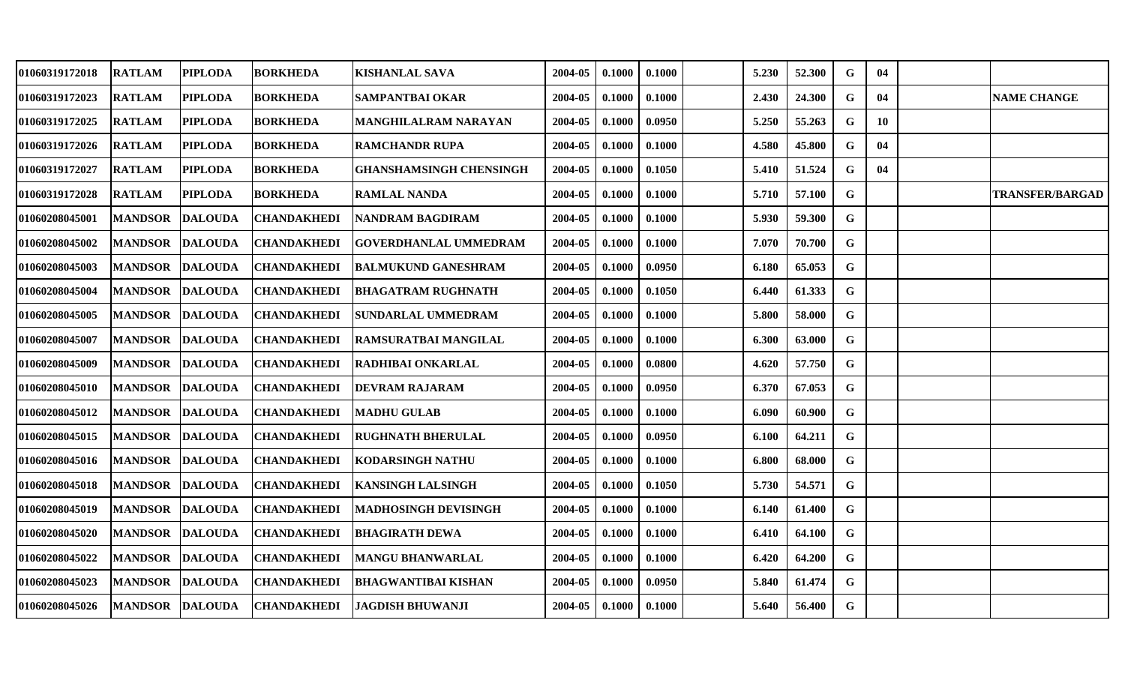| 01060319172018 | <b>RATLAM</b>  | <b>PIPLODA</b> | <b>BORKHEDA</b>    | <b>KISHANLAL SAVA</b>          | 2004-05 | 0.1000 | 0.1000 | 5.230 | 52.300 | G           | 04 |                        |
|----------------|----------------|----------------|--------------------|--------------------------------|---------|--------|--------|-------|--------|-------------|----|------------------------|
| 01060319172023 | <b>RATLAM</b>  | <b>PIPLODA</b> | <b>BORKHEDA</b>    | <b>SAMPANTBAI OKAR</b>         | 2004-05 | 0.1000 | 0.1000 | 2.430 | 24.300 | G           | 04 | <b>NAME CHANGE</b>     |
| 01060319172025 | <b>RATLAM</b>  | <b>PIPLODA</b> | <b>BORKHEDA</b>    | <b>MANGHILALRAM NARAYAN</b>    | 2004-05 | 0.1000 | 0.0950 | 5.250 | 55.263 | G           | 10 |                        |
| 01060319172026 | <b>RATLAM</b>  | <b>PIPLODA</b> | <b>BORKHEDA</b>    | <b>RAMCHANDR RUPA</b>          | 2004-05 | 0.1000 | 0.1000 | 4.580 | 45.800 | G           | 04 |                        |
| 01060319172027 | <b>RATLAM</b>  | <b>PIPLODA</b> | <b>BORKHEDA</b>    | <b>GHANSHAMSINGH CHENSINGH</b> | 2004-05 | 0.1000 | 0.1050 | 5.410 | 51.524 | G           | 04 |                        |
| 01060319172028 | <b>RATLAM</b>  | <b>PIPLODA</b> | <b>BORKHEDA</b>    | <b>RAMLAL NANDA</b>            | 2004-05 | 0.1000 | 0.1000 | 5.710 | 57.100 | G           |    | <b>TRANSFER/BARGAD</b> |
| 01060208045001 | <b>MANDSOR</b> | <b>DALOUDA</b> | <b>CHANDAKHEDI</b> | NANDRAM BAGDIRAM               | 2004-05 | 0.1000 | 0.1000 | 5.930 | 59.300 | G           |    |                        |
| 01060208045002 | <b>MANDSOR</b> | <b>DALOUDA</b> | <b>CHANDAKHEDI</b> | <b>GOVERDHANLAL UMMEDRAM</b>   | 2004-05 | 0.1000 | 0.1000 | 7.070 | 70.700 | G           |    |                        |
| 01060208045003 | <b>MANDSOR</b> | <b>DALOUDA</b> | <b>CHANDAKHEDI</b> | <b>BALMUKUND GANESHRAM</b>     | 2004-05 | 0.1000 | 0.0950 | 6.180 | 65.053 | $\mathbf G$ |    |                        |
| 01060208045004 | <b>MANDSOR</b> | <b>DALOUDA</b> | <b>CHANDAKHEDI</b> | <b>BHAGATRAM RUGHNATH</b>      | 2004-05 | 0.1000 | 0.1050 | 6.440 | 61.333 | G           |    |                        |
| 01060208045005 | <b>MANDSOR</b> | <b>DALOUDA</b> | <b>CHANDAKHEDI</b> | <b>SUNDARLAL UMMEDRAM</b>      | 2004-05 | 0.1000 | 0.1000 | 5.800 | 58.000 | $\mathbf G$ |    |                        |
| 01060208045007 | <b>MANDSOR</b> | <b>DALOUDA</b> | <b>CHANDAKHEDI</b> | <b>RAMSURATBAI MANGILAL</b>    | 2004-05 | 0.1000 | 0.1000 | 6.300 | 63.000 | G           |    |                        |
| 01060208045009 | <b>MANDSOR</b> | <b>DALOUDA</b> | <b>CHANDAKHEDI</b> | <b>RADHIBAI ONKARLAL</b>       | 2004-05 | 0.1000 | 0.0800 | 4.620 | 57.750 | $\mathbf G$ |    |                        |
| 01060208045010 | <b>MANDSOR</b> | <b>DALOUDA</b> | <b>CHANDAKHEDI</b> | <b>DEVRAM RAJARAM</b>          | 2004-05 | 0.1000 | 0.0950 | 6.370 | 67.053 | G           |    |                        |
| 01060208045012 | <b>MANDSOR</b> | <b>DALOUDA</b> | <b>CHANDAKHEDI</b> | <b>MADHU GULAB</b>             | 2004-05 | 0.1000 | 0.1000 | 6.090 | 60.900 | G           |    |                        |
| 01060208045015 | <b>MANDSOR</b> | <b>DALOUDA</b> | <b>CHANDAKHEDI</b> | <b>RUGHNATH BHERULAL</b>       | 2004-05 | 0.1000 | 0.0950 | 6.100 | 64.211 | G           |    |                        |
| 01060208045016 | <b>MANDSOR</b> | <b>DALOUDA</b> | <b>CHANDAKHEDI</b> | <b>KODARSINGH NATHU</b>        | 2004-05 | 0.1000 | 0.1000 | 6.800 | 68.000 | G           |    |                        |
| 01060208045018 | <b>MANDSOR</b> | <b>DALOUDA</b> | <b>CHANDAKHEDI</b> | <b>IKANSINGH LALSINGH</b>      | 2004-05 | 0.1000 | 0.1050 | 5.730 | 54.571 | G           |    |                        |
| 01060208045019 | <b>MANDSOR</b> | <b>DALOUDA</b> | <b>CHANDAKHEDI</b> | <b>MADHOSINGH DEVISINGH</b>    | 2004-05 | 0.1000 | 0.1000 | 6.140 | 61.400 | G           |    |                        |
| 01060208045020 | <b>MANDSOR</b> | <b>DALOUDA</b> | <b>CHANDAKHEDI</b> | <b>BHAGIRATH DEWA</b>          | 2004-05 | 0.1000 | 0.1000 | 6.410 | 64.100 | G           |    |                        |
| 01060208045022 | <b>MANDSOR</b> | <b>DALOUDA</b> | <b>CHANDAKHEDI</b> | <b>MANGU BHANWARLAL</b>        | 2004-05 | 0.1000 | 0.1000 | 6.420 | 64.200 | G           |    |                        |
| 01060208045023 | <b>MANDSOR</b> | <b>DALOUDA</b> | <b>CHANDAKHEDI</b> | <b>BHAGWANTIBAI KISHAN</b>     | 2004-05 | 0.1000 | 0.0950 | 5.840 | 61.474 | G           |    |                        |
| 01060208045026 | <b>MANDSOR</b> | <b>DALOUDA</b> | <b>CHANDAKHEDI</b> | JAGDISH BHUWANJI               | 2004-05 | 0.1000 | 0.1000 | 5.640 | 56.400 | G           |    |                        |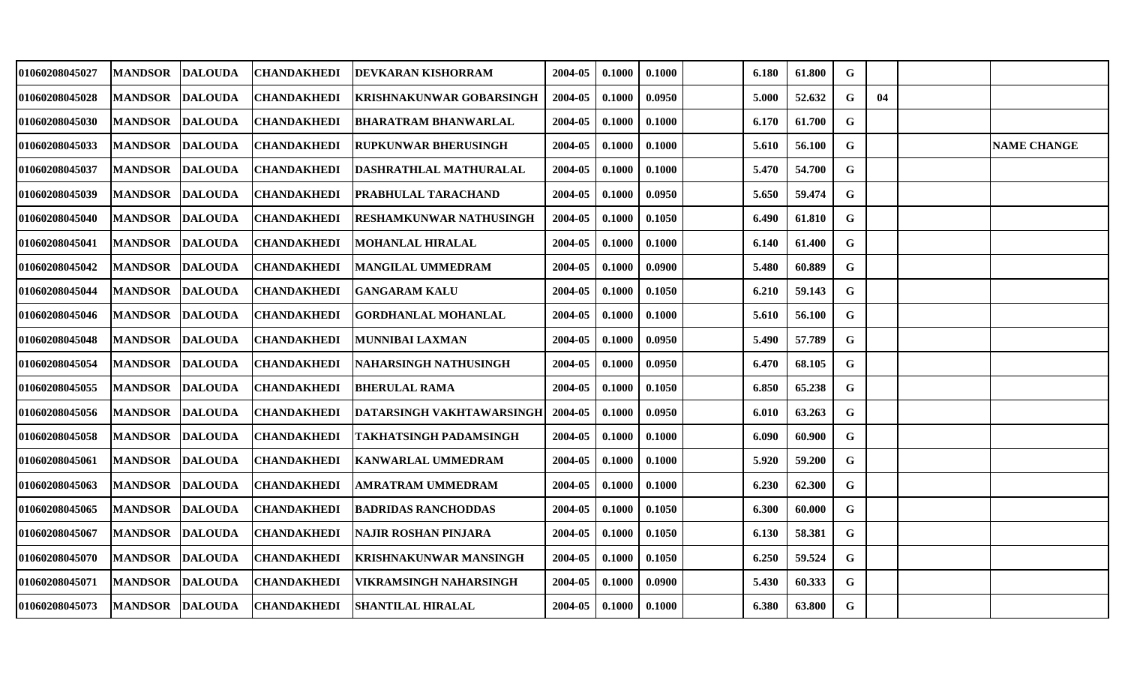| 01060208045027        | <b>MANDSOR</b> | <b>DALOUDA</b> | <b>CHANDAKHEDI</b> | DEVKARAN KISHORRAM             | 2004-05 | 0.1000 | 0.1000 | 6.180 | 61.800 | G           |    |                    |
|-----------------------|----------------|----------------|--------------------|--------------------------------|---------|--------|--------|-------|--------|-------------|----|--------------------|
| 01060208045028        | <b>MANDSOR</b> | <b>DALOUDA</b> | <b>CHANDAKHEDI</b> | KRISHNAKUNWAR GOBARSINGH       | 2004-05 | 0.1000 | 0.0950 | 5.000 | 52.632 | G           | 04 |                    |
| <b>01060208045030</b> | <b>MANDSOR</b> | <b>DALOUDA</b> | <b>CHANDAKHEDI</b> | <b>BHARATRAM BHANWARLAL</b>    | 2004-05 | 0.1000 | 0.1000 | 6.170 | 61.700 | G           |    |                    |
| 01060208045033        | <b>MANDSOR</b> | <b>DALOUDA</b> | <b>CHANDAKHEDI</b> | <b>RUPKUNWAR BHERUSINGH</b>    | 2004-05 | 0.1000 | 0.1000 | 5.610 | 56.100 | G           |    | <b>NAME CHANGE</b> |
| <b>01060208045037</b> | <b>MANDSOR</b> | <b>DALOUDA</b> | <b>CHANDAKHEDI</b> | DASHRATHLAL MATHURALAL         | 2004-05 | 0.1000 | 0.1000 | 5.470 | 54.700 | $\mathbf G$ |    |                    |
| 01060208045039        | <b>MANDSOR</b> | <b>DALOUDA</b> | <b>CHANDAKHEDI</b> | PRABHULAL TARACHAND            | 2004-05 | 0.1000 | 0.0950 | 5.650 | 59.474 | $\mathbf G$ |    |                    |
| 01060208045040        | <b>MANDSOR</b> | <b>DALOUDA</b> | <b>CHANDAKHEDI</b> | <b>RESHAMKUNWAR NATHUSINGH</b> | 2004-05 | 0.1000 | 0.1050 | 6.490 | 61.810 | G           |    |                    |
| 01060208045041        | <b>MANDSOR</b> | <b>DALOUDA</b> | <b>CHANDAKHEDI</b> | MOHANLAL HIRALAL               | 2004-05 | 0.1000 | 0.1000 | 6.140 | 61.400 | G           |    |                    |
| 01060208045042        | <b>MANDSOR</b> | <b>DALOUDA</b> | <b>CHANDAKHEDI</b> | MANGILAL UMMEDRAM              | 2004-05 | 0.1000 | 0.0900 | 5.480 | 60.889 | G           |    |                    |
| 01060208045044        | <b>MANDSOR</b> | <b>DALOUDA</b> | <b>CHANDAKHEDI</b> | <b>GANGARAM KALU</b>           | 2004-05 | 0.1000 | 0.1050 | 6.210 | 59.143 | G           |    |                    |
| 01060208045046        | <b>MANDSOR</b> | <b>DALOUDA</b> | <b>CHANDAKHEDI</b> | <b>GORDHANLAL MOHANLAL</b>     | 2004-05 | 0.1000 | 0.1000 | 5.610 | 56.100 | G           |    |                    |
| 01060208045048        | <b>MANDSOR</b> | <b>DALOUDA</b> | <b>CHANDAKHEDI</b> | MUNNIBAI LAXMAN                | 2004-05 | 0.1000 | 0.0950 | 5.490 | 57.789 | $\mathbf G$ |    |                    |
| 01060208045054        | <b>MANDSOR</b> | <b>DALOUDA</b> | <b>CHANDAKHEDI</b> | NAHARSINGH NATHUSINGH          | 2004-05 | 0.1000 | 0.0950 | 6.470 | 68.105 | G           |    |                    |
| 01060208045055        | <b>MANDSOR</b> | <b>DALOUDA</b> | <b>CHANDAKHEDI</b> | <b>BHERULAL RAMA</b>           | 2004-05 | 0.1000 | 0.1050 | 6.850 | 65.238 | G           |    |                    |
| <b>01060208045056</b> | <b>MANDSOR</b> | <b>DALOUDA</b> | <b>CHANDAKHEDI</b> | DATARSINGH VAKHTAWARSINGH      | 2004-05 | 0.1000 | 0.0950 | 6.010 | 63.263 | $\mathbf G$ |    |                    |
| 01060208045058        | <b>MANDSOR</b> | <b>DALOUDA</b> | <b>CHANDAKHEDI</b> | TAKHATSINGH PADAMSINGH         | 2004-05 | 0.1000 | 0.1000 | 6.090 | 60.900 | G           |    |                    |
| 01060208045061        | <b>MANDSOR</b> | <b>DALOUDA</b> | <b>CHANDAKHEDI</b> | <b>KANWARLAL UMMEDRAM</b>      | 2004-05 | 0.1000 | 0.1000 | 5.920 | 59.200 | G           |    |                    |
| 01060208045063        | <b>MANDSOR</b> | <b>DALOUDA</b> | <b>CHANDAKHEDI</b> | <b>AMRATRAM UMMEDRAM</b>       | 2004-05 | 0.1000 | 0.1000 | 6.230 | 62.300 | $\mathbf G$ |    |                    |
| 01060208045065        | <b>MANDSOR</b> | <b>DALOUDA</b> | <b>CHANDAKHEDI</b> | <b>BADRIDAS RANCHODDAS</b>     | 2004-05 | 0.1000 | 0.1050 | 6.300 | 60.000 | $\mathbf G$ |    |                    |
| <b>01060208045067</b> | <b>MANDSOR</b> | <b>DALOUDA</b> | <b>CHANDAKHEDI</b> | NAJIR ROSHAN PINJARA           | 2004-05 | 0.1000 | 0.1050 | 6.130 | 58.381 | $\mathbf G$ |    |                    |
| 01060208045070        | <b>MANDSOR</b> | <b>DALOUDA</b> | <b>CHANDAKHEDI</b> | <b>KRISHNAKUNWAR MANSINGH</b>  | 2004-05 | 0.1000 | 0.1050 | 6.250 | 59.524 | $\mathbf G$ |    |                    |
| 01060208045071        | <b>MANDSOR</b> | <b>DALOUDA</b> | <b>CHANDAKHEDI</b> | VIKRAMSINGH NAHARSINGH         | 2004-05 | 0.1000 | 0.0900 | 5.430 | 60.333 | G           |    |                    |
| <b>01060208045073</b> | <b>MANDSOR</b> | <b>DALOUDA</b> | <b>CHANDAKHEDI</b> | <b>SHANTILAL HIRALAL</b>       | 2004-05 | 0.1000 | 0.1000 | 6.380 | 63.800 | G           |    |                    |
|                       |                |                |                    |                                |         |        |        |       |        |             |    |                    |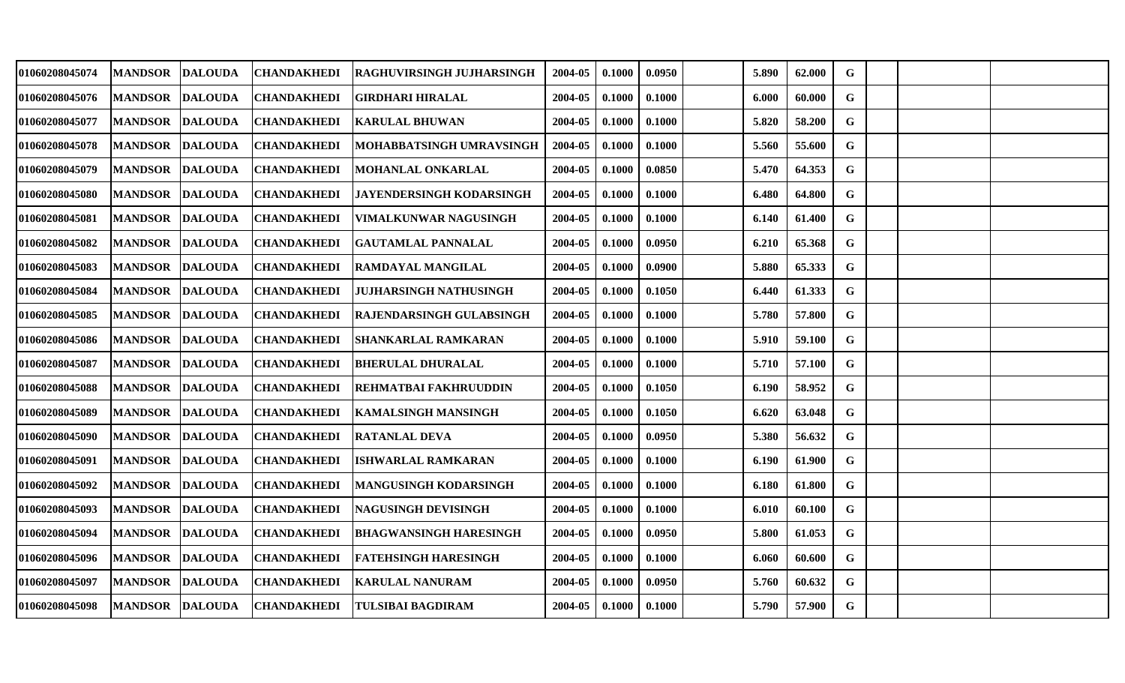| 01060208045074        | <b>MANDSOR</b> | <b>DALOUDA</b> | <b>CHANDAKHEDI</b> | <b>RAGHUVIRSINGH JUJHARSINGH</b> | 2004-05 | 0.1000 | 0.0950 | 5.890 | 62.000 | G           |  |  |
|-----------------------|----------------|----------------|--------------------|----------------------------------|---------|--------|--------|-------|--------|-------------|--|--|
| <b>01060208045076</b> | <b>MANDSOR</b> | <b>DALOUDA</b> | <b>CHANDAKHEDI</b> | <b>GIRDHARI HIRALAL</b>          | 2004-05 | 0.1000 | 0.1000 | 6.000 | 60.000 | $\mathbf G$ |  |  |
| 01060208045077        | <b>MANDSOR</b> | <b>DALOUDA</b> | <b>CHANDAKHEDI</b> | KARULAL BHUWAN                   | 2004-05 | 0.1000 | 0.1000 | 5.820 | 58.200 | G           |  |  |
| 01060208045078        | <b>MANDSOR</b> | <b>DALOUDA</b> | CHANDAKHEDI        | MOHABBATSINGH UMRAVSINGH         | 2004-05 | 0.1000 | 0.1000 | 5.560 | 55.600 | G           |  |  |
| <b>01060208045079</b> | <b>MANDSOR</b> | <b>DALOUDA</b> | <b>CHANDAKHEDI</b> | <b>MOHANLAL ONKARLAL</b>         | 2004-05 | 0.1000 | 0.0850 | 5.470 | 64.353 | G           |  |  |
| 01060208045080        | <b>MANDSOR</b> | <b>DALOUDA</b> | <b>CHANDAKHEDI</b> | JAYENDERSINGH KODARSINGH         | 2004-05 | 0.1000 | 0.1000 | 6.480 | 64.800 | $\mathbf G$ |  |  |
| 01060208045081        | <b>MANDSOR</b> | <b>DALOUDA</b> | <b>CHANDAKHEDI</b> | VIMALKUNWAR NAGUSINGH            | 2004-05 | 0.1000 | 0.1000 | 6.140 | 61.400 | G           |  |  |
| 01060208045082        | <b>MANDSOR</b> | <b>DALOUDA</b> | <b>CHANDAKHEDI</b> | <b>GAUTAMLAL PANNALAL</b>        | 2004-05 | 0.1000 | 0.0950 | 6.210 | 65.368 | G           |  |  |
| 01060208045083        | <b>MANDSOR</b> | <b>DALOUDA</b> | CHANDAKHEDI        | <b>RAMDAYAL MANGILAL</b>         | 2004-05 | 0.1000 | 0.0900 | 5.880 | 65.333 | G           |  |  |
| <b>01060208045084</b> | <b>MANDSOR</b> | <b>DALOUDA</b> | CHANDAKHEDI        | <b>JUJHARSINGH NATHUSINGH</b>    | 2004-05 | 0.1000 | 0.1050 | 6.440 | 61.333 | G           |  |  |
| 01060208045085        | <b>MANDSOR</b> | <b>DALOUDA</b> | <b>CHANDAKHEDI</b> | <b>RAJENDARSINGH GULABSINGH</b>  | 2004-05 | 0.1000 | 0.1000 | 5.780 | 57.800 | $\mathbf G$ |  |  |
| 01060208045086        | <b>MANDSOR</b> | <b>DALOUDA</b> | <b>CHANDAKHEDI</b> | <b>SHANKARLAL RAMKARAN</b>       | 2004-05 | 0.1000 | 0.1000 | 5.910 | 59.100 | $\mathbf G$ |  |  |
| 01060208045087        | <b>MANDSOR</b> | <b>DALOUDA</b> | <b>CHANDAKHEDI</b> | <b>BHERULAL DHURALAL</b>         | 2004-05 | 0.1000 | 0.1000 | 5.710 | 57.100 | G           |  |  |
| 01060208045088        | <b>MANDSOR</b> | <b>DALOUDA</b> | <b>CHANDAKHEDI</b> | REHMATBAI FAKHRUUDDIN            | 2004-05 | 0.1000 | 0.1050 | 6.190 | 58.952 | $\mathbf G$ |  |  |
| <b>01060208045089</b> | <b>MANDSOR</b> | <b>DALOUDA</b> | CHANDAKHEDI        | <b>KAMALSINGH MANSINGH</b>       | 2004-05 | 0.1000 | 0.1050 | 6.620 | 63.048 | $\mathbf G$ |  |  |
| 01060208045090        | <b>MANDSOR</b> | <b>DALOUDA</b> | <b>CHANDAKHEDI</b> | <b>RATANLAL DEVA</b>             | 2004-05 | 0.1000 | 0.0950 | 5.380 | 56.632 | G           |  |  |
| 01060208045091        | <b>MANDSOR</b> | <b>DALOUDA</b> | <b>CHANDAKHEDI</b> | ISHWARLAL RAMKARAN               | 2004-05 | 0.1000 | 0.1000 | 6.190 | 61.900 | $\mathbf G$ |  |  |
| 01060208045092        | <b>MANDSOR</b> | <b>DALOUDA</b> | <b>CHANDAKHEDI</b> | MANGUSINGH KODARSINGH            | 2004-05 | 0.1000 | 0.1000 | 6.180 | 61.800 | $\mathbf G$ |  |  |
| 01060208045093        | <b>MANDSOR</b> | <b>DALOUDA</b> | <b>CHANDAKHEDI</b> | NAGUSINGH DEVISINGH              | 2004-05 | 0.1000 | 0.1000 | 6.010 | 60.100 | G           |  |  |
| <b>01060208045094</b> | <b>MANDSOR</b> | <b>DALOUDA</b> | CHANDAKHEDI        | <b>BHAGWANSINGH HARESINGH</b>    | 2004-05 | 0.1000 | 0.0950 | 5.800 | 61.053 | $\mathbf G$ |  |  |
| 01060208045096        | <b>MANDSOR</b> | <b>DALOUDA</b> | <b>CHANDAKHEDI</b> | <b>FATEHSINGH HARESINGH</b>      | 2004-05 | 0.1000 | 0.1000 | 6.060 | 60.600 | G           |  |  |
| 01060208045097        | <b>MANDSOR</b> | <b>DALOUDA</b> | <b>CHANDAKHEDI</b> | <b>KARULAL NANURAM</b>           | 2004-05 | 0.1000 | 0.0950 | 5.760 | 60.632 | G           |  |  |
| 01060208045098        | <b>MANDSOR</b> | <b>DALOUDA</b> | <b>CHANDAKHEDI</b> | <b>TULSIBAI BAGDIRAM</b>         | 2004-05 | 0.1000 | 0.1000 | 5.790 | 57.900 | G           |  |  |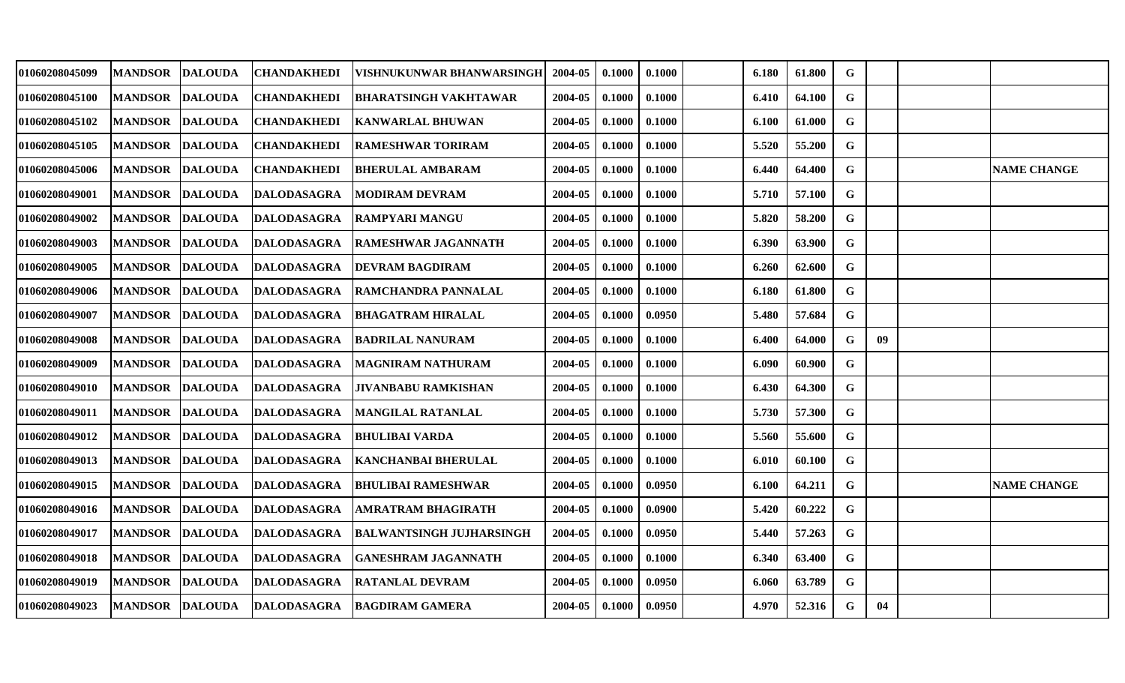| 01060208045099 | <b> MANDSOR</b> | <b>DALOUDA</b> | <b>CHANDAKHEDI</b> | VISHNUKUNWAR BHANWARSINGH       | 2004-05 | 0.1000 | 0.1000 | 6.180 | 61.800 | G           |    |                    |
|----------------|-----------------|----------------|--------------------|---------------------------------|---------|--------|--------|-------|--------|-------------|----|--------------------|
| 01060208045100 | <b>MANDSOR</b>  | <b>DALOUDA</b> | <b>CHANDAKHEDI</b> | BHARATSINGH VAKHTAWAR           | 2004-05 | 0.1000 | 0.1000 | 6.410 | 64.100 | G           |    |                    |
| 01060208045102 | <b>MANDSOR</b>  | <b>DALOUDA</b> | <b>CHANDAKHEDI</b> | <b>KANWARLAL BHUWAN</b>         | 2004-05 | 0.1000 | 0.1000 | 6.100 | 61.000 | $\mathbf G$ |    |                    |
| 01060208045105 | <b>MANDSOR</b>  | <b>DALOUDA</b> | <b>CHANDAKHEDI</b> | <b>RAMESHWAR TORIRAM</b>        | 2004-05 | 0.1000 | 0.1000 | 5.520 | 55.200 | G           |    |                    |
| 01060208045006 | <b>MANDSOR</b>  | <b>DALOUDA</b> | <b>CHANDAKHEDI</b> | <b>BHERULAL AMBARAM</b>         | 2004-05 | 0.1000 | 0.1000 | 6.440 | 64.400 | G           |    | <b>NAME CHANGE</b> |
| 01060208049001 | <b>MANDSOR</b>  | <b>DALOUDA</b> | <b>DALODASAGRA</b> | <b>MODIRAM DEVRAM</b>           | 2004-05 | 0.1000 | 0.1000 | 5.710 | 57.100 | G           |    |                    |
| 01060208049002 | <b>MANDSOR</b>  | <b>DALOUDA</b> | <b>DALODASAGRA</b> | <b>RAMPYARI MANGU</b>           | 2004-05 | 0.1000 | 0.1000 | 5.820 | 58.200 | G           |    |                    |
| 01060208049003 | <b>MANDSOR</b>  | <b>DALOUDA</b> | <b>DALODASAGRA</b> | <b>RAMESHWAR JAGANNATH</b>      | 2004-05 | 0.1000 | 0.1000 | 6.390 | 63.900 | G           |    |                    |
| 01060208049005 | <b>MANDSOR</b>  | <b>DALOUDA</b> | <b>DALODASAGRA</b> | <b>DEVRAM BAGDIRAM</b>          | 2004-05 | 0.1000 | 0.1000 | 6.260 | 62.600 | G           |    |                    |
| 01060208049006 | <b>MANDSOR</b>  | <b>DALOUDA</b> | <b>DALODASAGRA</b> | RAMCHANDRA PANNALAL             | 2004-05 | 0.1000 | 0.1000 | 6.180 | 61.800 | G           |    |                    |
| 01060208049007 | <b>MANDSOR</b>  | <b>DALOUDA</b> | <b>DALODASAGRA</b> | <b>BHAGATRAM HIRALAL</b>        | 2004-05 | 0.1000 | 0.0950 | 5.480 | 57.684 | $\mathbf G$ |    |                    |
| 01060208049008 | <b>MANDSOR</b>  | <b>DALOUDA</b> | <b>DALODASAGRA</b> | <b>BADRILAL NANURAM</b>         | 2004-05 | 0.1000 | 0.1000 | 6.400 | 64.000 | G           | 09 |                    |
| 01060208049009 | <b>MANDSOR</b>  | <b>DALOUDA</b> | <b>DALODASAGRA</b> | <b>MAGNIRAM NATHURAM</b>        | 2004-05 | 0.1000 | 0.1000 | 6.090 | 60.900 | $\mathbf G$ |    |                    |
| 01060208049010 | <b>MANDSOR</b>  | <b>DALOUDA</b> | <b>DALODASAGRA</b> | <b>JIVANBABU RAMKISHAN</b>      | 2004-05 | 0.1000 | 0.1000 | 6.430 | 64.300 | G           |    |                    |
| 01060208049011 | <b>MANDSOR</b>  | <b>DALOUDA</b> | <b>DALODASAGRA</b> | MANGILAL RATANLAL               | 2004-05 | 0.1000 | 0.1000 | 5.730 | 57.300 | G           |    |                    |
| 01060208049012 | <b>MANDSOR</b>  | <b>DALOUDA</b> | <b>DALODASAGRA</b> | <b>BHULIBAI VARDA</b>           | 2004-05 | 0.1000 | 0.1000 | 5.560 | 55.600 | G           |    |                    |
| 01060208049013 | <b>MANDSOR</b>  | <b>DALOUDA</b> | <b>DALODASAGRA</b> | <b>KANCHANBAI BHERULAL</b>      | 2004-05 | 0.1000 | 0.1000 | 6.010 | 60.100 | G           |    |                    |
| 01060208049015 | <b>MANDSOR</b>  | <b>DALOUDA</b> | <b>DALODASAGRA</b> | BHULIBAI RAMESHWAR              | 2004-05 | 0.1000 | 0.0950 | 6.100 | 64.211 | G           |    | <b>NAME CHANGE</b> |
| 01060208049016 | <b>MANDSOR</b>  | <b>DALOUDA</b> | <b>DALODASAGRA</b> | AMRATRAM BHAGIRATH              | 2004-05 | 0.1000 | 0.0900 | 5.420 | 60.222 | G           |    |                    |
| 01060208049017 | <b>MANDSOR</b>  | <b>DALOUDA</b> | <b>DALODASAGRA</b> | <b>BALWANTSINGH JUJHARSINGH</b> | 2004-05 | 0.1000 | 0.0950 | 5.440 | 57.263 | G           |    |                    |
| 01060208049018 | <b>MANDSOR</b>  | <b>DALOUDA</b> | <b>DALODASAGRA</b> | <b>GANESHRAM JAGANNATH</b>      | 2004-05 | 0.1000 | 0.1000 | 6.340 | 63.400 | G           |    |                    |
| 01060208049019 | <b>MANDSOR</b>  | <b>DALOUDA</b> | <b>DALODASAGRA</b> | <b>RATANLAL DEVRAM</b>          | 2004-05 | 0.1000 | 0.0950 | 6.060 | 63.789 | G           |    |                    |
| 01060208049023 | MANDSOR DALOUDA |                | <b>DALODASAGRA</b> | <b>BAGDIRAM GAMERA</b>          | 2004-05 | 0.1000 | 0.0950 | 4.970 | 52.316 | G           | 04 |                    |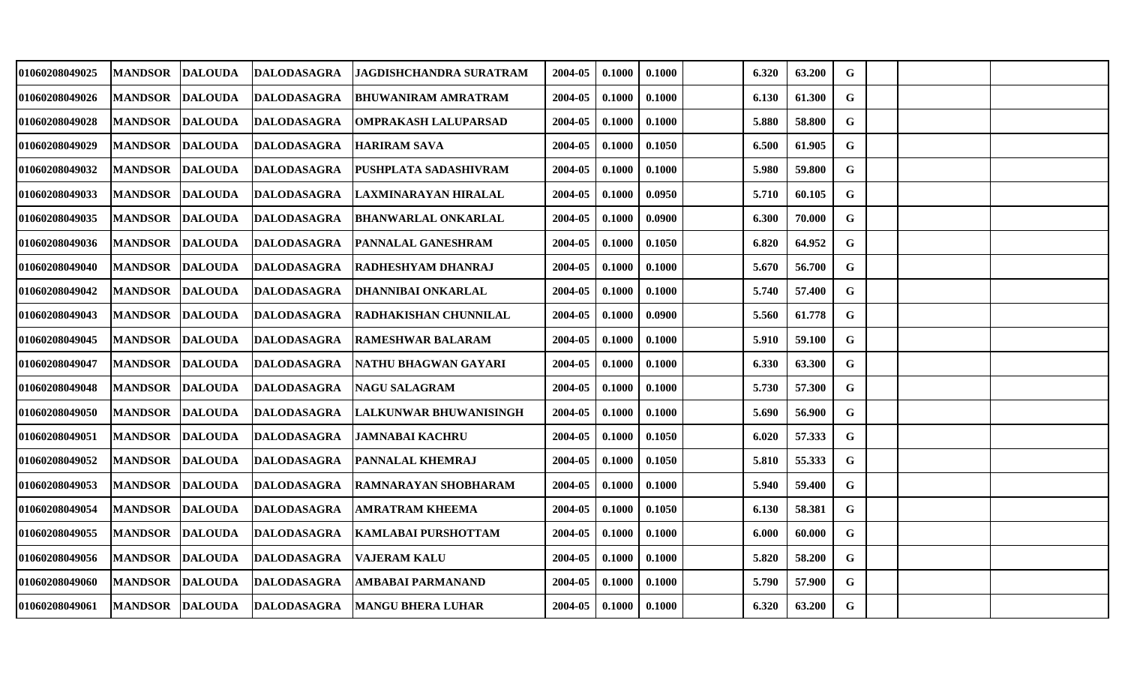| 01060208049025        | <b>MANDSOR</b> | <b>DALOUDA</b> | <b>DALODASAGRA</b> | JAGDISHCHANDRA SURATRAM       | 2004-05 | 0.1000 | 0.1000 | 6.320 | 63.200 | G           |  |  |
|-----------------------|----------------|----------------|--------------------|-------------------------------|---------|--------|--------|-------|--------|-------------|--|--|
| <b>01060208049026</b> | <b>MANDSOR</b> | <b>DALOUDA</b> | <b>DALODASAGRA</b> | <b>BHUWANIRAM AMRATRAM</b>    | 2004-05 | 0.1000 | 0.1000 | 6.130 | 61.300 | $\mathbf G$ |  |  |
| 01060208049028        | <b>MANDSOR</b> | <b>DALOUDA</b> | <b>DALODASAGRA</b> | <b>OMPRAKASH LALUPARSAD</b>   | 2004-05 | 0.1000 | 0.1000 | 5.880 | 58.800 | G           |  |  |
| <b>01060208049029</b> | <b>MANDSOR</b> | <b>DALOUDA</b> | <b>DALODASAGRA</b> | <b>HARIRAM SAVA</b>           | 2004-05 | 0.1000 | 0.1050 | 6.500 | 61.905 | G           |  |  |
| <b>01060208049032</b> | <b>MANDSOR</b> | <b>DALOUDA</b> | DALODASAGRA        | PUSHPLATA SADASHIVRAM         | 2004-05 | 0.1000 | 0.1000 | 5.980 | 59.800 | G           |  |  |
| 01060208049033        | <b>MANDSOR</b> | <b>DALOUDA</b> | <b>DALODASAGRA</b> | LAXMINARAYAN HIRALAL          | 2004-05 | 0.1000 | 0.0950 | 5.710 | 60.105 | $\mathbf G$ |  |  |
| 01060208049035        | <b>MANDSOR</b> | <b>DALOUDA</b> | <b>DALODASAGRA</b> | <b>BHANWARLAL ONKARLAL</b>    | 2004-05 | 0.1000 | 0.0900 | 6.300 | 70.000 | G           |  |  |
| 01060208049036        | <b>MANDSOR</b> | <b>DALOUDA</b> | <b>DALODASAGRA</b> | <b>PANNALAL GANESHRAM</b>     | 2004-05 | 0.1000 | 0.1050 | 6.820 | 64.952 | G           |  |  |
| 01060208049040        | <b>MANDSOR</b> | <b>DALOUDA</b> | <b>DALODASAGRA</b> | <b>RADHESHYAM DHANRAJ</b>     | 2004-05 | 0.1000 | 0.1000 | 5.670 | 56.700 | G           |  |  |
| <b>01060208049042</b> | <b>MANDSOR</b> | <b>DALOUDA</b> | <b>DALODASAGRA</b> | <b>DHANNIBAI ONKARLAL</b>     | 2004-05 | 0.1000 | 0.1000 | 5.740 | 57.400 | $\mathbf G$ |  |  |
| 01060208049043        | <b>MANDSOR</b> | <b>DALOUDA</b> | <b>DALODASAGRA</b> | <b>RADHAKISHAN CHUNNILAL</b>  | 2004-05 | 0.1000 | 0.0900 | 5.560 | 61.778 | $\mathbf G$ |  |  |
| 01060208049045        | <b>MANDSOR</b> | <b>DALOUDA</b> | <b>DALODASAGRA</b> | <b>RAMESHWAR BALARAM</b>      | 2004-05 | 0.1000 | 0.1000 | 5.910 | 59.100 | ${\bf G}$   |  |  |
| 01060208049047        | <b>MANDSOR</b> | <b>DALOUDA</b> | <b>DALODASAGRA</b> | NATHU BHAGWAN GAYARI          | 2004-05 | 0.1000 | 0.1000 | 6.330 | 63.300 | G           |  |  |
| 01060208049048        | <b>MANDSOR</b> | <b>DALOUDA</b> | <b>DALODASAGRA</b> | <b>NAGU SALAGRAM</b>          | 2004-05 | 0.1000 | 0.1000 | 5.730 | 57.300 | G           |  |  |
| <b>01060208049050</b> | <b>MANDSOR</b> | <b>DALOUDA</b> | <b>DALODASAGRA</b> | <b>LALKUNWAR BHUWANISINGH</b> | 2004-05 | 0.1000 | 0.1000 | 5.690 | 56.900 | $\mathbf G$ |  |  |
| 01060208049051        | <b>MANDSOR</b> | <b>DALOUDA</b> | <b>DALODASAGRA</b> | JAMNABAI KACHRU               | 2004-05 | 0.1000 | 0.1050 | 6.020 | 57.333 | G           |  |  |
| 01060208049052        | <b>MANDSOR</b> | <b>DALOUDA</b> | <b>DALODASAGRA</b> | IPANNALAL KHEMRAJ             | 2004-05 | 0.1000 | 0.1050 | 5.810 | 55.333 | G           |  |  |
| 01060208049053        | <b>MANDSOR</b> | <b>DALOUDA</b> | <b>DALODASAGRA</b> | RAMNARAYAN SHOBHARAM          | 2004-05 | 0.1000 | 0.1000 | 5.940 | 59.400 | $\mathbf G$ |  |  |
| 01060208049054        | <b>MANDSOR</b> | <b>DALOUDA</b> | <b>DALODASAGRA</b> | AMRATRAM KHEEMA               | 2004-05 | 0.1000 | 0.1050 | 6.130 | 58.381 | G           |  |  |
| <b>01060208049055</b> | <b>MANDSOR</b> | <b>DALOUDA</b> | <b>DALODASAGRA</b> | <b>KAMLABAI PURSHOTTAM</b>    | 2004-05 | 0.1000 | 0.1000 | 6.000 | 60.000 | $\mathbf G$ |  |  |
| 01060208049056        | <b>MANDSOR</b> | <b>DALOUDA</b> | <b>DALODASAGRA</b> | <b>VAJERAM KALU</b>           | 2004-05 | 0.1000 | 0.1000 | 5.820 | 58.200 | G           |  |  |
| 01060208049060        | <b>MANDSOR</b> | <b>DALOUDA</b> | DALODASAGRA        | AMBABAI PARMANAND             | 2004-05 | 0.1000 | 0.1000 | 5.790 | 57.900 | G           |  |  |
| 01060208049061        | <b>MANDSOR</b> | <b>DALOUDA</b> | <b>DALODASAGRA</b> | <b>MANGU BHERA LUHAR</b>      | 2004-05 | 0.1000 | 0.1000 | 6.320 | 63.200 | G           |  |  |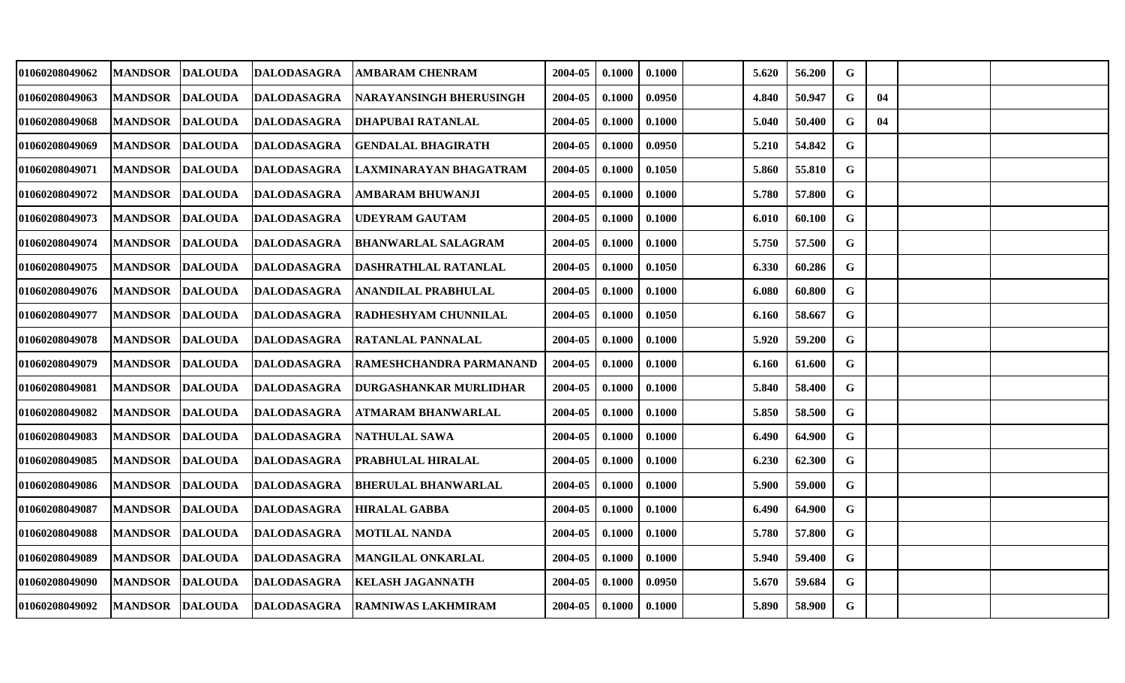| 01060208049062        | <b>MANDSOR</b> | <b>DALOUDA</b> | <b>DALODASAGRA</b> | AMBARAM CHENRAM               | 2004-05 | 0.1000 | 0.1000 | 5.620 | 56.200 | G           |    |  |
|-----------------------|----------------|----------------|--------------------|-------------------------------|---------|--------|--------|-------|--------|-------------|----|--|
| 01060208049063        | <b>MANDSOR</b> | <b>DALOUDA</b> | <b>DALODASAGRA</b> | NARAYANSINGH BHERUSINGH       | 2004-05 | 0.1000 | 0.0950 | 4.840 | 50.947 | G           | 04 |  |
| 01060208049068        | <b>MANDSOR</b> | <b>DALOUDA</b> | DALODASAGRA        | DHAPUBAI RATANLAL             | 2004-05 | 0.1000 | 0.1000 | 5.040 | 50.400 | G           | 04 |  |
| 01060208049069        | <b>MANDSOR</b> | <b>DALOUDA</b> | <b>DALODASAGRA</b> | <b>GENDALAL BHAGIRATH</b>     | 2004-05 | 0.1000 | 0.0950 | 5.210 | 54.842 | G           |    |  |
| 01060208049071        | <b>MANDSOR</b> | <b>DALOUDA</b> | <b>DALODASAGRA</b> | LAXMINARAYAN BHAGATRAM        | 2004-05 | 0.1000 | 0.1050 | 5.860 | 55.810 | $\mathbf G$ |    |  |
| 01060208049072        | <b>MANDSOR</b> | <b>DALOUDA</b> | <b>DALODASAGRA</b> | AMBARAM BHUWANJI              | 2004-05 | 0.1000 | 0.1000 | 5.780 | 57.800 | $\mathbf G$ |    |  |
| 01060208049073        | <b>MANDSOR</b> | <b>DALOUDA</b> | <b>DALODASAGRA</b> | <b>UDEYRAM GAUTAM</b>         | 2004-05 | 0.1000 | 0.1000 | 6.010 | 60.100 | G           |    |  |
| 01060208049074        | <b>MANDSOR</b> | <b>DALOUDA</b> | <b>DALODASAGRA</b> | <b>BHANWARLAL SALAGRAM</b>    | 2004-05 | 0.1000 | 0.1000 | 5.750 | 57.500 | $\mathbf G$ |    |  |
| 01060208049075        | <b>MANDSOR</b> | <b>DALOUDA</b> | <b>DALODASAGRA</b> | DASHRATHLAL RATANLAL          | 2004-05 | 0.1000 | 0.1050 | 6.330 | 60.286 | G           |    |  |
| 01060208049076        | <b>MANDSOR</b> | <b>DALOUDA</b> | <b>DALODASAGRA</b> | <b>ANANDILAL PRABHULAL</b>    | 2004-05 | 0.1000 | 0.1000 | 6.080 | 60.800 | G           |    |  |
| 01060208049077        | <b>MANDSOR</b> | <b>DALOUDA</b> | <b>DALODASAGRA</b> | RADHESHYAM CHUNNILAL          | 2004-05 | 0.1000 | 0.1050 | 6.160 | 58.667 | G           |    |  |
| 01060208049078        | <b>MANDSOR</b> | <b>DALOUDA</b> | <b>DALODASAGRA</b> | <b>RATANLAL PANNALAL</b>      | 2004-05 | 0.1000 | 0.1000 | 5.920 | 59.200 | $\mathbf G$ |    |  |
| 01060208049079        | <b>MANDSOR</b> | <b>DALOUDA</b> | <b>DALODASAGRA</b> | RAMESHCHANDRA PARMANAND       | 2004-05 | 0.1000 | 0.1000 | 6.160 | 61.600 | G           |    |  |
| 01060208049081        | <b>MANDSOR</b> | <b>DALOUDA</b> | <b>DALODASAGRA</b> | <b>DURGASHANKAR MURLIDHAR</b> | 2004-05 | 0.1000 | 0.1000 | 5.840 | 58.400 | G           |    |  |
| <b>01060208049082</b> | <b>MANDSOR</b> | <b>DALOUDA</b> | <b>DALODASAGRA</b> | ATMARAM BHANWARLAL            | 2004-05 | 0.1000 | 0.1000 | 5.850 | 58.500 | $\mathbf G$ |    |  |
| 01060208049083        | <b>MANDSOR</b> | <b>DALOUDA</b> | <b>DALODASAGRA</b> | <b>NATHULAL SAWA</b>          | 2004-05 | 0.1000 | 0.1000 | 6.490 | 64.900 | G           |    |  |
| 01060208049085        | <b>MANDSOR</b> | <b>DALOUDA</b> | <b>DALODASAGRA</b> | PRABHULAL HIRALAL             | 2004-05 | 0.1000 | 0.1000 | 6.230 | 62.300 | G           |    |  |
| 01060208049086        | <b>MANDSOR</b> | <b>DALOUDA</b> | <b>DALODASAGRA</b> | <b>BHERULAL BHANWARLAL</b>    | 2004-05 | 0.1000 | 0.1000 | 5.900 | 59.000 | $\mathbf G$ |    |  |
| 01060208049087        | <b>MANDSOR</b> | <b>DALOUDA</b> | <b>DALODASAGRA</b> | <b>HIRALAL GABBA</b>          | 2004-05 | 0.1000 | 0.1000 | 6.490 | 64.900 | G           |    |  |
| 01060208049088        | <b>MANDSOR</b> | <b>DALOUDA</b> | <b>DALODASAGRA</b> | <b>MOTILAL NANDA</b>          | 2004-05 | 0.1000 | 0.1000 | 5.780 | 57.800 | G           |    |  |
| 01060208049089        | <b>MANDSOR</b> | <b>DALOUDA</b> | DALODASAGRA        | <b>MANGILAL ONKARLAL</b>      | 2004-05 | 0.1000 | 0.1000 | 5.940 | 59.400 | G           |    |  |
| 01060208049090        | <b>MANDSOR</b> | <b>DALOUDA</b> | <b>DALODASAGRA</b> | KELASH JAGANNATH              | 2004-05 | 0.1000 | 0.0950 | 5.670 | 59.684 | G           |    |  |
| <b>01060208049092</b> | MANDSOR        | <b>DALOUDA</b> | <b>DALODASAGRA</b> | <b>RAMNIWAS LAKHMIRAM</b>     | 2004-05 | 0.1000 | 0.1000 | 5.890 | 58.900 | G           |    |  |
|                       |                |                |                    |                               |         |        |        |       |        |             |    |  |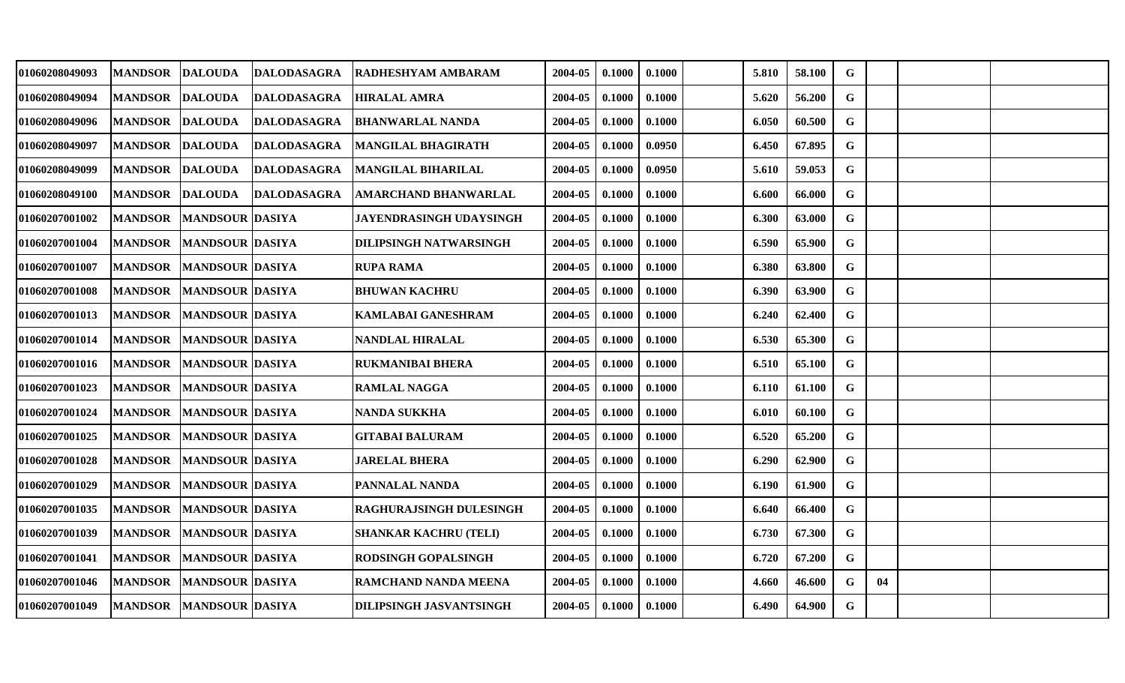| <b>MANDSOR</b> | <b>DALOUDA</b> |                                                                                        |                                                                                                                                                                                                                                                                                                                                                                                                                                                                                                                                      | 2004-05                                                                                              | 0.1000 | 0.1000 | 5.810 | 58.100 | G           |    |  |
|----------------|----------------|----------------------------------------------------------------------------------------|--------------------------------------------------------------------------------------------------------------------------------------------------------------------------------------------------------------------------------------------------------------------------------------------------------------------------------------------------------------------------------------------------------------------------------------------------------------------------------------------------------------------------------------|------------------------------------------------------------------------------------------------------|--------|--------|-------|--------|-------------|----|--|
| <b>MANDSOR</b> |                |                                                                                        |                                                                                                                                                                                                                                                                                                                                                                                                                                                                                                                                      | 2004-05                                                                                              | 0.1000 | 0.1000 | 5.620 | 56.200 | $\mathbf G$ |    |  |
| <b>MANDSOR</b> |                |                                                                                        |                                                                                                                                                                                                                                                                                                                                                                                                                                                                                                                                      | 2004-05                                                                                              | 0.1000 | 0.1000 | 6.050 | 60.500 | G           |    |  |
| <b>MANDSOR</b> |                | <b>DALODASAGRA</b>                                                                     | <b>MANGILAL BHAGIRATH</b>                                                                                                                                                                                                                                                                                                                                                                                                                                                                                                            | 2004-05                                                                                              | 0.1000 | 0.0950 | 6.450 | 67.895 | G           |    |  |
| <b>MANDSOR</b> |                |                                                                                        | MANGILAL BIHARILAL                                                                                                                                                                                                                                                                                                                                                                                                                                                                                                                   | 2004-05                                                                                              | 0.1000 | 0.0950 | 5.610 | 59.053 | G           |    |  |
| <b>MANDSOR</b> |                |                                                                                        | AMARCHAND BHANWARLAL                                                                                                                                                                                                                                                                                                                                                                                                                                                                                                                 | 2004-05                                                                                              | 0.1000 | 0.1000 | 6.600 | 66.000 | $\mathbf G$ |    |  |
| <b>MANDSOR</b> |                |                                                                                        | <b>JAYENDRASINGH UDAYSINGH</b>                                                                                                                                                                                                                                                                                                                                                                                                                                                                                                       | 2004-05                                                                                              | 0.1000 | 0.1000 | 6.300 | 63.000 | G           |    |  |
| <b>MANDSOR</b> |                |                                                                                        | <b>DILIPSINGH NATWARSINGH</b>                                                                                                                                                                                                                                                                                                                                                                                                                                                                                                        | 2004-05                                                                                              | 0.1000 | 0.1000 | 6.590 | 65.900 | G           |    |  |
| <b>MANDSOR</b> |                |                                                                                        | <b>RUPA RAMA</b>                                                                                                                                                                                                                                                                                                                                                                                                                                                                                                                     | 2004-05                                                                                              | 0.1000 | 0.1000 | 6.380 | 63.800 | G           |    |  |
| <b>MANDSOR</b> |                |                                                                                        | <b>BHUWAN KACHRU</b>                                                                                                                                                                                                                                                                                                                                                                                                                                                                                                                 | 2004-05                                                                                              | 0.1000 | 0.1000 | 6.390 | 63.900 | G           |    |  |
| <b>MANDSOR</b> |                |                                                                                        | <b>KAMLABAI GANESHRAM</b>                                                                                                                                                                                                                                                                                                                                                                                                                                                                                                            | 2004-05                                                                                              | 0.1000 | 0.1000 | 6.240 | 62.400 | $\mathbf G$ |    |  |
| <b>MANDSOR</b> |                |                                                                                        | NANDLAL HIRALAL                                                                                                                                                                                                                                                                                                                                                                                                                                                                                                                      | 2004-05                                                                                              | 0.1000 | 0.1000 | 6.530 | 65.300 | $\mathbf G$ |    |  |
| <b>MANDSOR</b> |                |                                                                                        | <b>RUKMANIBAI BHERA</b>                                                                                                                                                                                                                                                                                                                                                                                                                                                                                                              | 2004-05                                                                                              | 0.1000 | 0.1000 | 6.510 | 65.100 | G           |    |  |
| <b>MANDSOR</b> |                |                                                                                        | <b>RAMLAL NAGGA</b>                                                                                                                                                                                                                                                                                                                                                                                                                                                                                                                  | 2004-05                                                                                              | 0.1000 | 0.1000 | 6.110 | 61.100 | G           |    |  |
| <b>MANDSOR</b> |                |                                                                                        | NANDA SUKKHA                                                                                                                                                                                                                                                                                                                                                                                                                                                                                                                         | 2004-05                                                                                              | 0.1000 | 0.1000 | 6.010 | 60.100 | G           |    |  |
| <b>MANDSOR</b> |                |                                                                                        | GITABAI BALURAM                                                                                                                                                                                                                                                                                                                                                                                                                                                                                                                      | 2004-05                                                                                              | 0.1000 | 0.1000 | 6.520 | 65.200 | G           |    |  |
| <b>MANDSOR</b> |                |                                                                                        | <b>JARELAL BHERA</b>                                                                                                                                                                                                                                                                                                                                                                                                                                                                                                                 | 2004-05                                                                                              | 0.1000 | 0.1000 | 6.290 | 62.900 | $\mathbf G$ |    |  |
| <b>MANDSOR</b> |                |                                                                                        |                                                                                                                                                                                                                                                                                                                                                                                                                                                                                                                                      | 2004-05                                                                                              | 0.1000 | 0.1000 | 6.190 | 61.900 | $\mathbf G$ |    |  |
| <b>MANDSOR</b> |                |                                                                                        | RAGHURAJSINGH DULESINGH                                                                                                                                                                                                                                                                                                                                                                                                                                                                                                              | 2004-05                                                                                              | 0.1000 | 0.1000 | 6.640 | 66.400 | G           |    |  |
| <b>MANDSOR</b> |                |                                                                                        | SHANKAR KACHRU (TELI)                                                                                                                                                                                                                                                                                                                                                                                                                                                                                                                | 2004-05                                                                                              | 0.1000 | 0.1000 | 6.730 | 67.300 | $\mathbf G$ |    |  |
| <b>MANDSOR</b> |                |                                                                                        | <b>RODSINGH GOPALSINGH</b>                                                                                                                                                                                                                                                                                                                                                                                                                                                                                                           | 2004-05                                                                                              | 0.1000 | 0.1000 | 6.720 | 67.200 | G           |    |  |
| <b>MANDSOR</b> |                |                                                                                        | <b>RAMCHAND NANDA MEENA</b>                                                                                                                                                                                                                                                                                                                                                                                                                                                                                                          | 2004-05                                                                                              | 0.1000 | 0.1000 | 4.660 | 46.600 | G           | 04 |  |
| <b>MANDSOR</b> |                |                                                                                        | <b>DILIPSINGH JASVANTSINGH</b>                                                                                                                                                                                                                                                                                                                                                                                                                                                                                                       | 2004-05                                                                                              | 0.1000 | 0.1000 | 6.490 | 64.900 | G           |    |  |
|                |                | <b>DALOUDA</b><br><b>DALOUDA</b><br><b>DALOUDA</b><br><b>DALOUDA</b><br><b>DALOUDA</b> | <b>DALODASAGRA</b><br><b>DALODASAGRA</b><br><b>DALODASAGRA</b><br><b>DALODASAGRA</b><br><b>DALODASAGRA</b><br> MANDSOUR  DASIYA<br> MANDSOUR  DASIYA<br><b>MANDSOUR DASIYA</b><br><b>MANDSOUR DASIYA</b><br><b>MANDSOUR DASIYA</b><br><b>MANDSOUR DASIYA</b><br><b>MANDSOUR DASIYA</b><br><b>MANDSOUR DASIYA</b><br><b>MANDSOUR DASIYA</b><br> MANDSOUR  DASIYA<br>MANDSOUR  DASIYA<br><b>MANDSOUR DASIYA</b><br><b>MANDSOUR DASIYA</b><br><b>MANDSOUR DASIYA</b><br>MANDSOUR  DASIYA<br> MANDSOUR  DASIYA<br><b>MANDSOUR DASIYA</b> | <b>RADHESHYAM AMBARAM</b><br><b>HIRALAL AMRA</b><br><b>BHANWARLAL NANDA</b><br><b>PANNALAL NANDA</b> |        |        |       |        |             |    |  |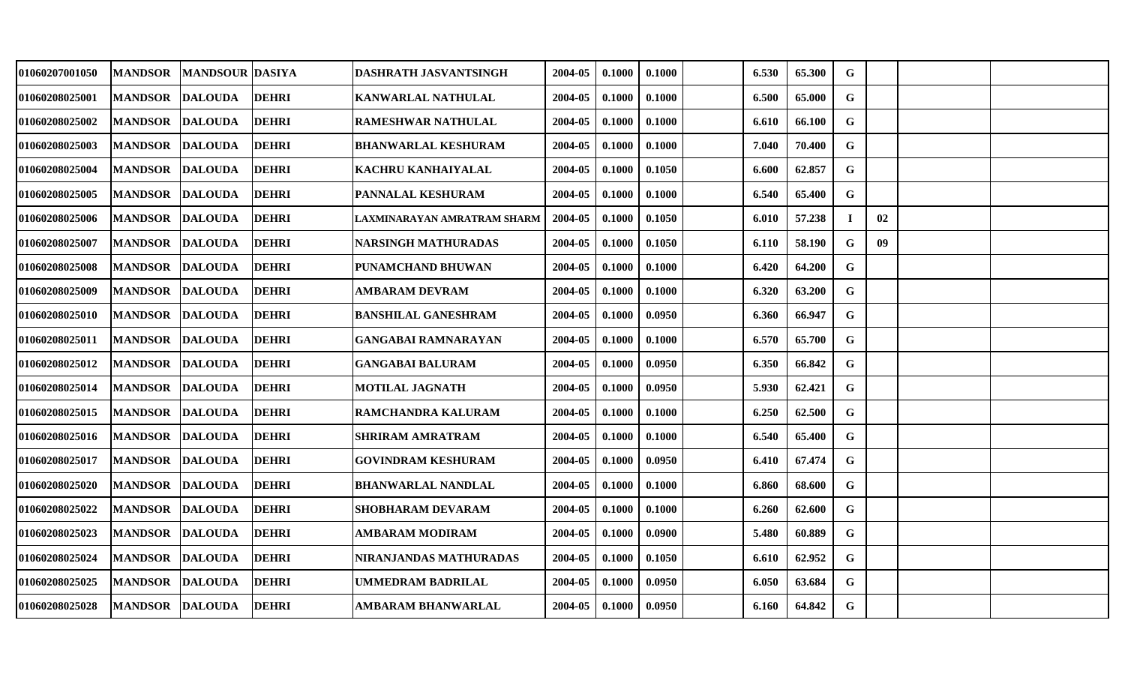| 01060207001050 | <b>MANDSOR</b>  | <b>MANDSOUR DASIYA</b> |              | DASHRATH JASVANTSINGH       | 2004-05 | 0.1000 | 0.1000 | 6.530 | 65.300 | G           |    |  |
|----------------|-----------------|------------------------|--------------|-----------------------------|---------|--------|--------|-------|--------|-------------|----|--|
| 01060208025001 | <b>MANDSOR</b>  | <b>DALOUDA</b>         | <b>DEHRI</b> | KANWARLAL NATHULAL          | 2004-05 | 0.1000 | 0.1000 | 6.500 | 65.000 | G           |    |  |
| 01060208025002 | <b>MANDSOR</b>  | <b>DALOUDA</b>         | <b>DEHRI</b> | <b>RAMESHWAR NATHULAL</b>   | 2004-05 | 0.1000 | 0.1000 | 6.610 | 66.100 | $\mathbf G$ |    |  |
| 01060208025003 | <b>MANDSOR</b>  | <b>DALOUDA</b>         | <b>DEHRI</b> | <b>BHANWARLAL KESHURAM</b>  | 2004-05 | 0.1000 | 0.1000 | 7.040 | 70.400 | G           |    |  |
| 01060208025004 | <b>MANDSOR</b>  | <b>DALOUDA</b>         | <b>DEHRI</b> | KACHRU KANHAIYALAL          | 2004-05 | 0.1000 | 0.1050 | 6.600 | 62.857 | $\mathbf G$ |    |  |
| 01060208025005 | <b>MANDSOR</b>  | <b>DALOUDA</b>         | <b>DEHRI</b> | PANNALAL KESHURAM           | 2004-05 | 0.1000 | 0.1000 | 6.540 | 65.400 | G           |    |  |
| 01060208025006 | <b>MANDSOR</b>  | <b>DALOUDA</b>         | <b>DEHRI</b> | LAXMINARAYAN AMRATRAM SHARM | 2004-05 | 0.1000 | 0.1050 | 6.010 | 57.238 |             | 02 |  |
| 01060208025007 | <b>MANDSOR</b>  | <b>DALOUDA</b>         | <b>DEHRI</b> | <b>NARSINGH MATHURADAS</b>  | 2004-05 | 0.1000 | 0.1050 | 6.110 | 58.190 | G           | 09 |  |
| 01060208025008 | <b>MANDSOR</b>  | <b>DALOUDA</b>         | <b>DEHRI</b> | PUNAMCHAND BHUWAN           | 2004-05 | 0.1000 | 0.1000 | 6.420 | 64.200 | $\mathbf G$ |    |  |
| 01060208025009 | <b>MANDSOR</b>  | <b>DALOUDA</b>         | <b>DEHRI</b> | AMBARAM DEVRAM              | 2004-05 | 0.1000 | 0.1000 | 6.320 | 63.200 | G           |    |  |
| 01060208025010 | <b>MANDSOR</b>  | <b>DALOUDA</b>         | <b>DEHRI</b> | <b>BANSHILAL GANESHRAM</b>  | 2004-05 | 0.1000 | 0.0950 | 6.360 | 66.947 | G           |    |  |
| 01060208025011 | <b>MANDSOR</b>  | <b>DALOUDA</b>         | <b>DEHRI</b> | <b>GANGABAI RAMNARAYAN</b>  | 2004-05 | 0.1000 | 0.1000 | 6.570 | 65.700 | G           |    |  |
| 01060208025012 | <b>MANDSOR</b>  | <b>DALOUDA</b>         | <b>DEHRI</b> | <b>GANGABAI BALURAM</b>     | 2004-05 | 0.1000 | 0.0950 | 6.350 | 66.842 | G           |    |  |
| 01060208025014 | <b>MANDSOR</b>  | <b>DALOUDA</b>         | <b>DEHRI</b> | <b>MOTILAL JAGNATH</b>      | 2004-05 | 0.1000 | 0.0950 | 5.930 | 62.421 | G           |    |  |
| 01060208025015 | <b>MANDSOR</b>  | <b>DALOUDA</b>         | <b>DEHRI</b> | RAMCHANDRA KALURAM          | 2004-05 | 0.1000 | 0.1000 | 6.250 | 62.500 | G           |    |  |
| 01060208025016 | <b>MANDSOR</b>  | <b>DALOUDA</b>         | <b>DEHRI</b> | <b>SHRIRAM AMRATRAM</b>     | 2004-05 | 0.1000 | 0.1000 | 6.540 | 65.400 | G           |    |  |
| 01060208025017 | <b>MANDSOR</b>  | <b>DALOUDA</b>         | <b>DEHRI</b> | <b>GOVINDRAM KESHURAM</b>   | 2004-05 | 0.1000 | 0.0950 | 6.410 | 67.474 | G           |    |  |
| 01060208025020 | <b>MANDSOR</b>  | <b>DALOUDA</b>         | <b>DEHRI</b> | <b>BHANWARLAL NANDLAL</b>   | 2004-05 | 0.1000 | 0.1000 | 6.860 | 68.600 | G           |    |  |
| 01060208025022 | <b>MANDSOR</b>  | <b>DALOUDA</b>         | <b>DEHRI</b> | <b>SHOBHARAM DEVARAM</b>    | 2004-05 | 0.1000 | 0.1000 | 6.260 | 62.600 | G           |    |  |
| 01060208025023 | <b>MANDSOR</b>  | <b>DALOUDA</b>         | <b>DEHRI</b> | AMBARAM MODIRAM             | 2004-05 | 0.1000 | 0.0900 | 5.480 | 60.889 | G           |    |  |
| 01060208025024 | <b>MANDSOR</b>  | <b>DALOUDA</b>         | <b>DEHRI</b> | NIRANJANDAS MATHURADAS      | 2004-05 | 0.1000 | 0.1050 | 6.610 | 62.952 | G           |    |  |
| 01060208025025 | <b>MANDSOR</b>  | <b>DALOUDA</b>         | <b>DEHRI</b> | <b>UMMEDRAM BADRILAL</b>    | 2004-05 | 0.1000 | 0.0950 | 6.050 | 63.684 | G           |    |  |
| 01060208025028 | MANDSOR DALOUDA |                        | <b>DEHRI</b> | AMBARAM BHANWARLAL          | 2004-05 | 0.1000 | 0.0950 | 6.160 | 64.842 | G           |    |  |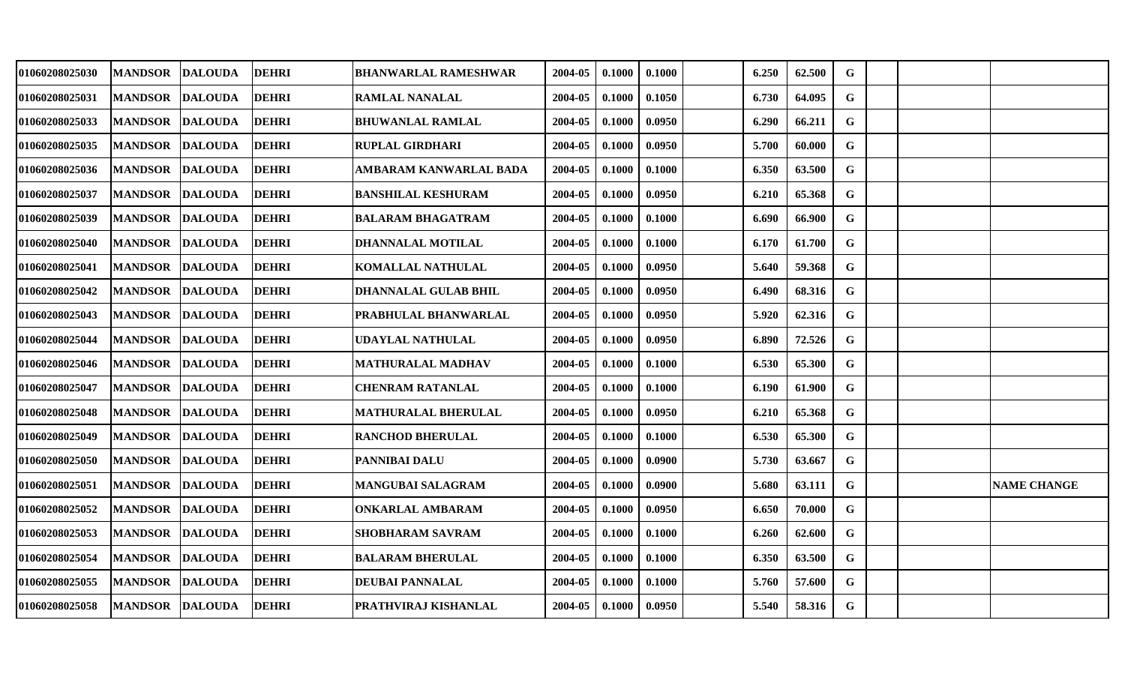| 01060208025030 | <b>MANDSOR</b>         | <b>DALOUDA</b> | <b>DEHRI</b> | <b>BHANWARLAL RAMESHWAR</b> | 2004-05 | 0.1000 | 0.1000 | 6.250 | 62.500 | G           |  |                    |
|----------------|------------------------|----------------|--------------|-----------------------------|---------|--------|--------|-------|--------|-------------|--|--------------------|
| 01060208025031 | <b>MANDSOR</b>         | <b>DALOUDA</b> | <b>DEHRI</b> | <b>RAMLAL NANALAL</b>       | 2004-05 | 0.1000 | 0.1050 | 6.730 | 64.095 | G           |  |                    |
| 01060208025033 | <b>MANDSOR</b>         | <b>DALOUDA</b> | <b>DEHRI</b> | <b>BHUWANLAL RAMLAL</b>     | 2004-05 | 0.1000 | 0.0950 | 6.290 | 66.211 | $\mathbf G$ |  |                    |
| 01060208025035 | <b>MANDSOR</b>         | <b>DALOUDA</b> | <b>DEHRI</b> | <b>RUPLAL GIRDHARI</b>      | 2004-05 | 0.1000 | 0.0950 | 5.700 | 60.000 | $\mathbf G$ |  |                    |
| 01060208025036 | <b>MANDSOR DALOUDA</b> |                | <b>DEHRI</b> | AMBARAM KANWARLAL BADA      | 2004-05 | 0.1000 | 0.1000 | 6.350 | 63.500 | $\mathbf G$ |  |                    |
| 01060208025037 | <b>MANDSOR</b>         | <b>DALOUDA</b> | <b>DEHRI</b> | <b>BANSHILAL KESHURAM</b>   | 2004-05 | 0.1000 | 0.0950 | 6.210 | 65.368 | G           |  |                    |
| 01060208025039 | <b>MANDSOR</b>         | <b>DALOUDA</b> | <b>DEHRI</b> | <b>BALARAM BHAGATRAM</b>    | 2004-05 | 0.1000 | 0.1000 | 6.690 | 66.900 | G           |  |                    |
| 01060208025040 | <b>MANDSOR</b>         | <b>DALOUDA</b> | <b>DEHRI</b> | DHANNALAL MOTILAL           | 2004-05 | 0.1000 | 0.1000 | 6.170 | 61.700 | G           |  |                    |
| 01060208025041 | <b>MANDSOR</b>         | <b>DALOUDA</b> | <b>DEHRI</b> | <b>KOMALLAL NATHULAL</b>    | 2004-05 | 0.1000 | 0.0950 | 5.640 | 59.368 | $\mathbf G$ |  |                    |
| 01060208025042 | <b>MANDSOR</b>         | <b>DALOUDA</b> | <b>DEHRI</b> | DHANNALAL GULAB BHIL        | 2004-05 | 0.1000 | 0.0950 | 6.490 | 68.316 | G           |  |                    |
| 01060208025043 | <b>MANDSOR</b>         | <b>DALOUDA</b> | <b>DEHRI</b> | PRABHULAL BHANWARLAL        | 2004-05 | 0.1000 | 0.0950 | 5.920 | 62.316 | G           |  |                    |
| 01060208025044 | <b>MANDSOR</b>         | <b>DALOUDA</b> | <b>DEHRI</b> | <b>UDAYLAL NATHULAL</b>     | 2004-05 | 0.1000 | 0.0950 | 6.890 | 72.526 | G           |  |                    |
| 01060208025046 | <b>MANDSOR</b>         | <b>DALOUDA</b> | <b>DEHRI</b> | <b>MATHURALAL MADHAV</b>    | 2004-05 | 0.1000 | 0.1000 | 6.530 | 65.300 | G           |  |                    |
| 01060208025047 | <b>MANDSOR</b>         | <b>DALOUDA</b> | <b>DEHRI</b> | <b>CHENRAM RATANLAL</b>     | 2004-05 | 0.1000 | 0.1000 | 6.190 | 61.900 | G           |  |                    |
| 01060208025048 | <b>MANDSOR</b>         | <b>DALOUDA</b> | <b>DEHRI</b> | <b>MATHURALAL BHERULAL</b>  | 2004-05 | 0.1000 | 0.0950 | 6.210 | 65.368 | G           |  |                    |
| 01060208025049 | <b>MANDSOR</b>         | <b>DALOUDA</b> | <b>DEHRI</b> | <b>RANCHOD BHERULAL</b>     | 2004-05 | 0.1000 | 0.1000 | 6.530 | 65.300 | G           |  |                    |
| 01060208025050 | <b>MANDSOR</b>         | <b>DALOUDA</b> | <b>DEHRI</b> | <b>PANNIBAI DALU</b>        | 2004-05 | 0.1000 | 0.0900 | 5.730 | 63.667 | G           |  |                    |
| 01060208025051 | <b>MANDSOR</b>         | <b>DALOUDA</b> | <b>DEHRI</b> | MANGUBAI SALAGRAM           | 2004-05 | 0.1000 | 0.0900 | 5.680 | 63.111 | G           |  | <b>NAME CHANGE</b> |
| 01060208025052 | <b>MANDSOR</b>         | <b>DALOUDA</b> | <b>DEHRI</b> | <b>ONKARLAL AMBARAM</b>     | 2004-05 | 0.1000 | 0.0950 | 6.650 | 70.000 | G           |  |                    |
| 01060208025053 | <b>MANDSOR</b>         | <b>DALOUDA</b> | <b>DEHRI</b> | <b>SHOBHARAM SAVRAM</b>     | 2004-05 | 0.1000 | 0.1000 | 6.260 | 62.600 | G           |  |                    |
| 01060208025054 | <b>MANDSOR</b>         | <b>DALOUDA</b> | <b>DEHRI</b> | <b>BALARAM BHERULAL</b>     | 2004-05 | 0.1000 | 0.1000 | 6.350 | 63.500 | G           |  |                    |
| 01060208025055 | <b>MANDSOR</b>         | <b>DALOUDA</b> | <b>DEHRI</b> | <b>DEUBAI PANNALAL</b>      | 2004-05 | 0.1000 | 0.1000 | 5.760 | 57.600 | G           |  |                    |
| 01060208025058 | MANDSOR DALOUDA        |                | <b>DEHRI</b> | PRATHVIRAJ KISHANLAL        | 2004-05 | 0.1000 | 0.0950 | 5.540 | 58.316 | G           |  |                    |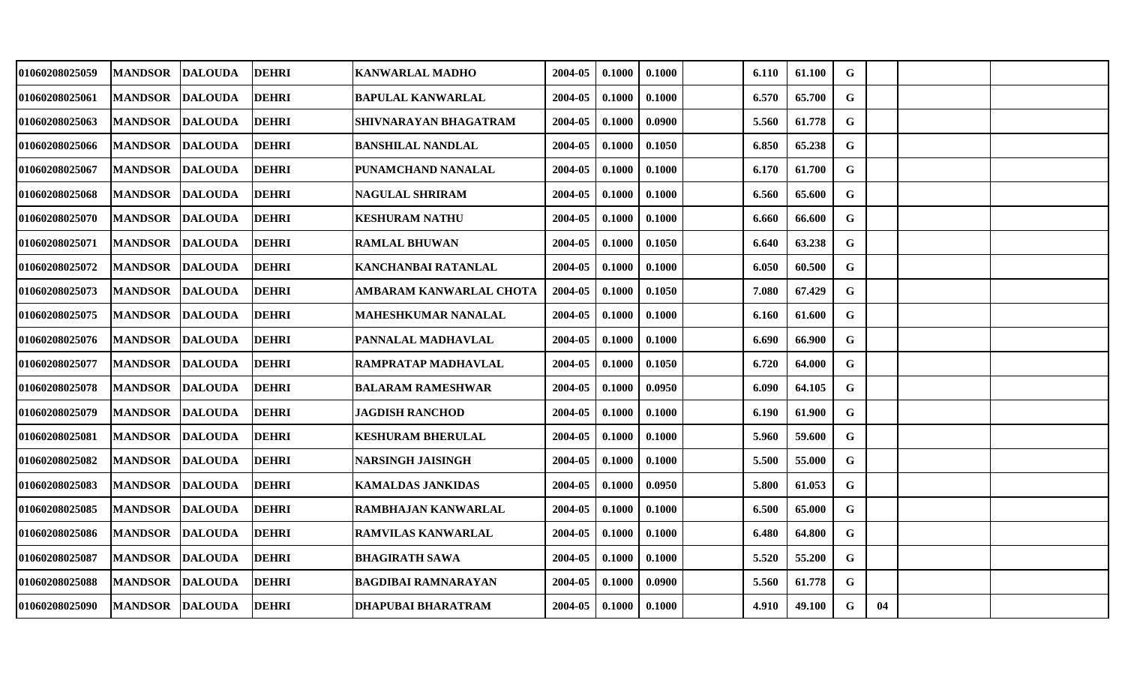| 01060208025059 | <b>MANDSOR</b>  | <b>DALOUDA</b> | <b>DEHRI</b> | <b>KANWARLAL MADHO</b>     | 2004-05 | 0.1000 | 0.1000 | 6.110 | 61.100 | $\mathbf G$  |    |  |
|----------------|-----------------|----------------|--------------|----------------------------|---------|--------|--------|-------|--------|--------------|----|--|
| 01060208025061 | <b>MANDSOR</b>  | <b>DALOUDA</b> | <b>DEHRI</b> | BAPULAL KANWARLAL          | 2004-05 | 0.1000 | 0.1000 | 6.570 | 65.700 | G            |    |  |
| 01060208025063 | <b>MANDSOR</b>  | <b>DALOUDA</b> | <b>DEHRI</b> | SHIVNARAYAN BHAGATRAM      | 2004-05 | 0.1000 | 0.0900 | 5.560 | 61.778 | G            |    |  |
| 01060208025066 | <b>MANDSOR</b>  | <b>DALOUDA</b> | <b>DEHRI</b> | <b>BANSHILAL NANDLAL</b>   | 2004-05 | 0.1000 | 0.1050 | 6.850 | 65.238 | G            |    |  |
| 01060208025067 | <b>MANDSOR</b>  | <b>DALOUDA</b> | <b>DEHRI</b> | PUNAMCHAND NANALAL         | 2004-05 | 0.1000 | 0.1000 | 6.170 | 61.700 | $\mathbf G$  |    |  |
| 01060208025068 | <b>MANDSOR</b>  | <b>DALOUDA</b> | <b>DEHRI</b> | <b>NAGULAL SHRIRAM</b>     | 2004-05 | 0.1000 | 0.1000 | 6.560 | 65.600 | G            |    |  |
| 01060208025070 | <b>MANDSOR</b>  | <b>DALOUDA</b> | <b>DEHRI</b> | KESHURAM NATHU             | 2004-05 | 0.1000 | 0.1000 | 6.660 | 66.600 | $\mathbf G$  |    |  |
| 01060208025071 | <b>MANDSOR</b>  | <b>DALOUDA</b> | <b>DEHRI</b> | <b>RAMLAL BHUWAN</b>       | 2004-05 | 0.1000 | 0.1050 | 6.640 | 63.238 | $\mathbf G$  |    |  |
| 01060208025072 | <b>MANDSOR</b>  | <b>DALOUDA</b> | <b>DEHRI</b> | KANCHANBAI RATANLAL        | 2004-05 | 0.1000 | 0.1000 | 6.050 | 60.500 | $\mathbf{G}$ |    |  |
| 01060208025073 | <b>MANDSOR</b>  | <b>DALOUDA</b> | <b>DEHRI</b> | AMBARAM KANWARLAL CHOTA    | 2004-05 | 0.1000 | 0.1050 | 7.080 | 67.429 | G            |    |  |
| 01060208025075 | <b>MANDSOR</b>  | <b>DALOUDA</b> | <b>DEHRI</b> | <b>MAHESHKUMAR NANALAL</b> | 2004-05 | 0.1000 | 0.1000 | 6.160 | 61.600 | G            |    |  |
| 01060208025076 | <b>MANDSOR</b>  | <b>DALOUDA</b> | <b>DEHRI</b> | PANNALAL MADHAVLAL         | 2004-05 | 0.1000 | 0.1000 | 6.690 | 66.900 | $\mathbf G$  |    |  |
| 01060208025077 | <b>MANDSOR</b>  | <b>DALOUDA</b> | <b>DEHRI</b> | RAMPRATAP MADHAVLAL        | 2004-05 | 0.1000 | 0.1050 | 6.720 | 64.000 | $\mathbf G$  |    |  |
| 01060208025078 | <b>MANDSOR</b>  | <b>DALOUDA</b> | <b>DEHRI</b> | <b>BALARAM RAMESHWAR</b>   | 2004-05 | 0.1000 | 0.0950 | 6.090 | 64.105 | G            |    |  |
| 01060208025079 | <b>MANDSOR</b>  | <b>DALOUDA</b> | <b>DEHRI</b> | <b>JAGDISH RANCHOD</b>     | 2004-05 | 0.1000 | 0.1000 | 6.190 | 61.900 | G            |    |  |
| 01060208025081 | <b>MANDSOR</b>  | <b>DALOUDA</b> | <b>DEHRI</b> | <b>KESHURAM BHERULAL</b>   | 2004-05 | 0.1000 | 0.1000 | 5.960 | 59.600 | G            |    |  |
| 01060208025082 | <b>MANDSOR</b>  | <b>DALOUDA</b> | <b>DEHRI</b> | <b>NARSINGH JAISINGH</b>   | 2004-05 | 0.1000 | 0.1000 | 5.500 | 55.000 | G            |    |  |
| 01060208025083 | <b>MANDSOR</b>  | <b>DALOUDA</b> | <b>DEHRI</b> | <b>KAMALDAS JANKIDAS</b>   | 2004-05 | 0.1000 | 0.0950 | 5.800 | 61.053 | G            |    |  |
| 01060208025085 | <b>MANDSOR</b>  | <b>DALOUDA</b> | <b>DEHRI</b> | RAMBHAJAN KANWARLAL        | 2004-05 | 0.1000 | 0.1000 | 6.500 | 65.000 | G            |    |  |
| 01060208025086 | <b>MANDSOR</b>  | <b>DALOUDA</b> | <b>DEHRI</b> | <b>RAMVILAS KANWARLAL</b>  | 2004-05 | 0.1000 | 0.1000 | 6.480 | 64.800 | $\mathbf G$  |    |  |
| 01060208025087 | <b>MANDSOR</b>  | <b>DALOUDA</b> | <b>DEHRI</b> | <b>BHAGIRATH SAWA</b>      | 2004-05 | 0.1000 | 0.1000 | 5.520 | 55.200 | G            |    |  |
| 01060208025088 | <b>MANDSOR</b>  | <b>DALOUDA</b> | <b>DEHRI</b> | <b>BAGDIBAI RAMNARAYAN</b> | 2004-05 | 0.1000 | 0.0900 | 5.560 | 61.778 | G            |    |  |
| 01060208025090 | MANDSOR DALOUDA |                | <b>DEHRI</b> | <b>DHAPUBAI BHARATRAM</b>  | 2004-05 | 0.1000 | 0.1000 | 4.910 | 49.100 | G            | 04 |  |
|                |                 |                |              |                            |         |        |        |       |        |              |    |  |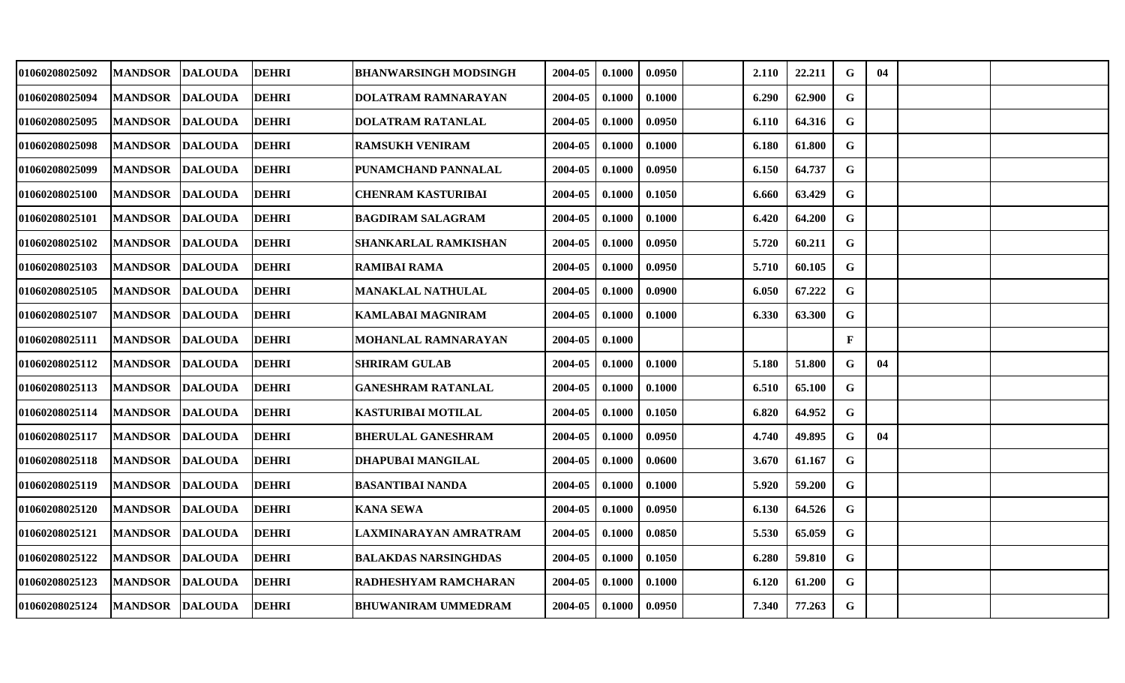| 01060208025092 | MANDSOR DALOUDA |                | <b>DEHRI</b> | <b>BHANWARSINGH MODSINGH</b> | 2004-05 | 0.1000 | 0.0950 | 2.110 | 22.211 | G           | 04 |  |
|----------------|-----------------|----------------|--------------|------------------------------|---------|--------|--------|-------|--------|-------------|----|--|
| 01060208025094 | MANDSOR DALOUDA |                | <b>DEHRI</b> | DOLATRAM RAMNARAYAN          | 2004-05 | 0.1000 | 0.1000 | 6.290 | 62.900 | G           |    |  |
| 01060208025095 | <b>MANDSOR</b>  | <b>DALOUDA</b> | <b>DEHRI</b> | <b>DOLATRAM RATANLAL</b>     | 2004-05 | 0.1000 | 0.0950 | 6.110 | 64.316 | $\mathbf G$ |    |  |
| 01060208025098 | <b>MANDSOR</b>  | <b>DALOUDA</b> | <b>DEHRI</b> | <b>RAMSUKH VENIRAM</b>       | 2004-05 | 0.1000 | 0.1000 | 6.180 | 61.800 | G           |    |  |
| 01060208025099 | MANDSOR DALOUDA |                | <b>DEHRI</b> | PUNAMCHAND PANNALAL          | 2004-05 | 0.1000 | 0.0950 | 6.150 | 64.737 | $\mathbf G$ |    |  |
| 01060208025100 | <b>MANDSOR</b>  | <b>DALOUDA</b> | <b>DEHRI</b> | <b>CHENRAM KASTURIBAI</b>    | 2004-05 | 0.1000 | 0.1050 | 6.660 | 63.429 | G           |    |  |
| 01060208025101 | MANDSOR DALOUDA |                | <b>DEHRI</b> | <b>BAGDIRAM SALAGRAM</b>     | 2004-05 | 0.1000 | 0.1000 | 6.420 | 64.200 | G           |    |  |
| 01060208025102 | <b>MANDSOR</b>  | <b>DALOUDA</b> | <b>DEHRI</b> | <b>SHANKARLAL RAMKISHAN</b>  | 2004-05 | 0.1000 | 0.0950 | 5.720 | 60.211 | G           |    |  |
| 01060208025103 | MANDSOR DALOUDA |                | <b>DEHRI</b> | <b>RAMIBAI RAMA</b>          | 2004-05 | 0.1000 | 0.0950 | 5.710 | 60.105 | $\mathbf G$ |    |  |
| 01060208025105 | MANDSOR DALOUDA |                | <b>DEHRI</b> | <b>MANAKLAL NATHULAL</b>     | 2004-05 | 0.1000 | 0.0900 | 6.050 | 67.222 | G           |    |  |
| 01060208025107 | MANDSOR DALOUDA |                | <b>DEHRI</b> | <b>KAMLABAI MAGNIRAM</b>     | 2004-05 | 0.1000 | 0.1000 | 6.330 | 63.300 | G           |    |  |
| 01060208025111 | MANDSOR DALOUDA |                | <b>DEHRI</b> | <b>MOHANLAL RAMNARAYAN</b>   | 2004-05 | 0.1000 |        |       |        | F           |    |  |
| 01060208025112 | MANDSOR DALOUDA |                | <b>DEHRI</b> | <b>SHRIRAM GULAB</b>         | 2004-05 | 0.1000 | 0.1000 | 5.180 | 51.800 | G           | 04 |  |
| 01060208025113 | MANDSOR DALOUDA |                | <b>DEHRI</b> | <b>GANESHRAM RATANLAL</b>    | 2004-05 | 0.1000 | 0.1000 | 6.510 | 65.100 | G           |    |  |
| 01060208025114 | MANDSOR DALOUDA |                | <b>DEHRI</b> | <b>KASTURIBAI MOTILAL</b>    | 2004-05 | 0.1000 | 0.1050 | 6.820 | 64.952 | G           |    |  |
| 01060208025117 | <b>MANDSOR</b>  | <b>DALOUDA</b> | <b>DEHRI</b> | <b>BHERULAL GANESHRAM</b>    | 2004-05 | 0.1000 | 0.0950 | 4.740 | 49.895 | G           | 04 |  |
| 01060208025118 | MANDSOR DALOUDA |                | <b>DEHRI</b> | <b>DHAPUBAI MANGILAL</b>     | 2004-05 | 0.1000 | 0.0600 | 3.670 | 61.167 | G           |    |  |
| 01060208025119 | MANDSOR DALOUDA |                | <b>DEHRI</b> | <b>BASANTIBAI NANDA</b>      | 2004-05 | 0.1000 | 0.1000 | 5.920 | 59.200 | G           |    |  |
| 01060208025120 | MANDSOR DALOUDA |                | <b>DEHRI</b> | <b>KANA SEWA</b>             | 2004-05 | 0.1000 | 0.0950 | 6.130 | 64.526 | G           |    |  |
| 01060208025121 | MANDSOR DALOUDA |                | <b>DEHRI</b> | LAXMINARAYAN AMRATRAM        | 2004-05 | 0.1000 | 0.0850 | 5.530 | 65.059 | G           |    |  |
| 01060208025122 | MANDSOR DALOUDA |                | <b>DEHRI</b> | <b>BALAKDAS NARSINGHDAS</b>  | 2004-05 | 0.1000 | 0.1050 | 6.280 | 59.810 | G           |    |  |
| 01060208025123 | MANDSOR DALOUDA |                | <b>DEHRI</b> | RADHESHYAM RAMCHARAN         | 2004-05 | 0.1000 | 0.1000 | 6.120 | 61.200 | G           |    |  |
| 01060208025124 | MANDSOR DALOUDA |                | <b>DEHRI</b> | BHUWANIRAM UMMEDRAM          | 2004-05 | 0.1000 | 0.0950 | 7.340 | 77.263 | G           |    |  |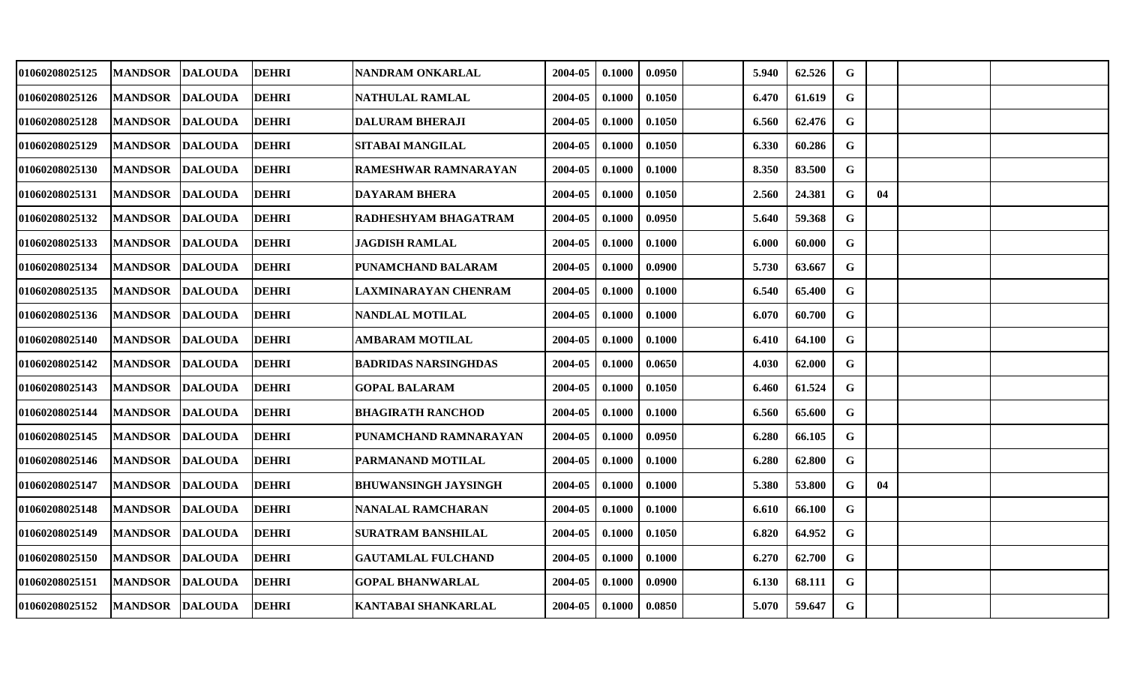| 01060208025125 | MANDSOR DALOUDA |                | <b>DEHRI</b> | NANDRAM ONKARLAL            | 2004-05 | 0.1000 | 0.0950 | 5.940 | 62.526 | G           |    |  |
|----------------|-----------------|----------------|--------------|-----------------------------|---------|--------|--------|-------|--------|-------------|----|--|
| 01060208025126 | <b>MANDSOR</b>  | <b>DALOUDA</b> | <b>DEHRI</b> | NATHULAL RAMLAL             | 2004-05 | 0.1000 | 0.1050 | 6.470 | 61.619 | G           |    |  |
| 01060208025128 | <b>MANDSOR</b>  | <b>DALOUDA</b> | <b>DEHRI</b> | <b>DALURAM BHERAJI</b>      | 2004-05 | 0.1000 | 0.1050 | 6.560 | 62.476 | $\mathbf G$ |    |  |
| 01060208025129 | <b>MANDSOR</b>  | <b>DALOUDA</b> | <b>DEHRI</b> | <b>SITABAI MANGILAL</b>     | 2004-05 | 0.1000 | 0.1050 | 6.330 | 60.286 | G           |    |  |
| 01060208025130 | <b>MANDSOR</b>  | <b>DALOUDA</b> | <b>DEHRI</b> | RAMESHWAR RAMNARAYAN        | 2004-05 | 0.1000 | 0.1000 | 8.350 | 83.500 | $\mathbf G$ |    |  |
| 01060208025131 | <b>MANDSOR</b>  | <b>DALOUDA</b> | <b>DEHRI</b> | <b>DAYARAM BHERA</b>        | 2004-05 | 0.1000 | 0.1050 | 2.560 | 24.381 | G           | 04 |  |
| 01060208025132 | <b>MANDSOR</b>  | <b>DALOUDA</b> | <b>DEHRI</b> | RADHESHYAM BHAGATRAM        | 2004-05 | 0.1000 | 0.0950 | 5.640 | 59.368 | G           |    |  |
| 01060208025133 | <b>MANDSOR</b>  | <b>DALOUDA</b> | <b>DEHRI</b> | <b>JAGDISH RAMLAL</b>       | 2004-05 | 0.1000 | 0.1000 | 6.000 | 60.000 | G           |    |  |
| 01060208025134 | <b>MANDSOR</b>  | <b>DALOUDA</b> | <b>DEHRI</b> | PUNAMCHAND BALARAM          | 2004-05 | 0.1000 | 0.0900 | 5.730 | 63.667 | $\mathbf G$ |    |  |
| 01060208025135 | <b>MANDSOR</b>  | <b>DALOUDA</b> | <b>DEHRI</b> | LAXMINARAYAN CHENRAM        | 2004-05 | 0.1000 | 0.1000 | 6.540 | 65.400 | G           |    |  |
| 01060208025136 | <b>MANDSOR</b>  | <b>DALOUDA</b> | <b>DEHRI</b> | <b>NANDLAL MOTILAL</b>      | 2004-05 | 0.1000 | 0.1000 | 6.070 | 60.700 | $\mathbf G$ |    |  |
| 01060208025140 | <b>MANDSOR</b>  | <b>DALOUDA</b> | <b>DEHRI</b> | <b>AMBARAM MOTILAL</b>      | 2004-05 | 0.1000 | 0.1000 | 6.410 | 64.100 | G           |    |  |
| 01060208025142 | <b>MANDSOR</b>  | <b>DALOUDA</b> | <b>DEHRI</b> | <b>BADRIDAS NARSINGHDAS</b> | 2004-05 | 0.1000 | 0.0650 | 4.030 | 62.000 | G           |    |  |
| 01060208025143 | <b>MANDSOR</b>  | <b>DALOUDA</b> | <b>DEHRI</b> | <b>GOPAL BALARAM</b>        | 2004-05 | 0.1000 | 0.1050 | 6.460 | 61.524 | G           |    |  |
| 01060208025144 | <b>MANDSOR</b>  | <b>DALOUDA</b> | <b>DEHRI</b> | <b>BHAGIRATH RANCHOD</b>    | 2004-05 | 0.1000 | 0.1000 | 6.560 | 65.600 | G           |    |  |
| 01060208025145 | <b>MANDSOR</b>  | <b>DALOUDA</b> | <b>DEHRI</b> | PUNAMCHAND RAMNARAYAN       | 2004-05 | 0.1000 | 0.0950 | 6.280 | 66.105 | $\mathbf G$ |    |  |
| 01060208025146 | <b>MANDSOR</b>  | <b>DALOUDA</b> | <b>DEHRI</b> | PARMANAND MOTILAL           | 2004-05 | 0.1000 | 0.1000 | 6.280 | 62.800 | $\mathbf G$ |    |  |
| 01060208025147 | <b>MANDSOR</b>  | <b>DALOUDA</b> | <b>DEHRI</b> | <b>BHUWANSINGH JAYSINGH</b> | 2004-05 | 0.1000 | 0.1000 | 5.380 | 53.800 | G           | 04 |  |
| 01060208025148 | <b>MANDSOR</b>  | <b>DALOUDA</b> | <b>DEHRI</b> | <b>NANALAL RAMCHARAN</b>    | 2004-05 | 0.1000 | 0.1000 | 6.610 | 66.100 | G           |    |  |
| 01060208025149 | <b>MANDSOR</b>  | <b>DALOUDA</b> | <b>DEHRI</b> | <b>SURATRAM BANSHILAL</b>   | 2004-05 | 0.1000 | 0.1050 | 6.820 | 64.952 | G           |    |  |
| 01060208025150 | <b>MANDSOR</b>  | <b>DALOUDA</b> | <b>DEHRI</b> | <b>GAUTAMLAL FULCHAND</b>   | 2004-05 | 0.1000 | 0.1000 | 6.270 | 62.700 | G           |    |  |
| 01060208025151 | <b>MANDSOR</b>  | <b>DALOUDA</b> | <b>DEHRI</b> | <b>GOPAL BHANWARLAL</b>     | 2004-05 | 0.1000 | 0.0900 | 6.130 | 68.111 | G           |    |  |
| 01060208025152 | MANDSOR DALOUDA |                | <b>DEHRI</b> | <b>KANTABAI SHANKARLAL</b>  | 2004-05 | 0.1000 | 0.0850 | 5.070 | 59.647 | G           |    |  |
|                |                 |                |              |                             |         |        |        |       |        |             |    |  |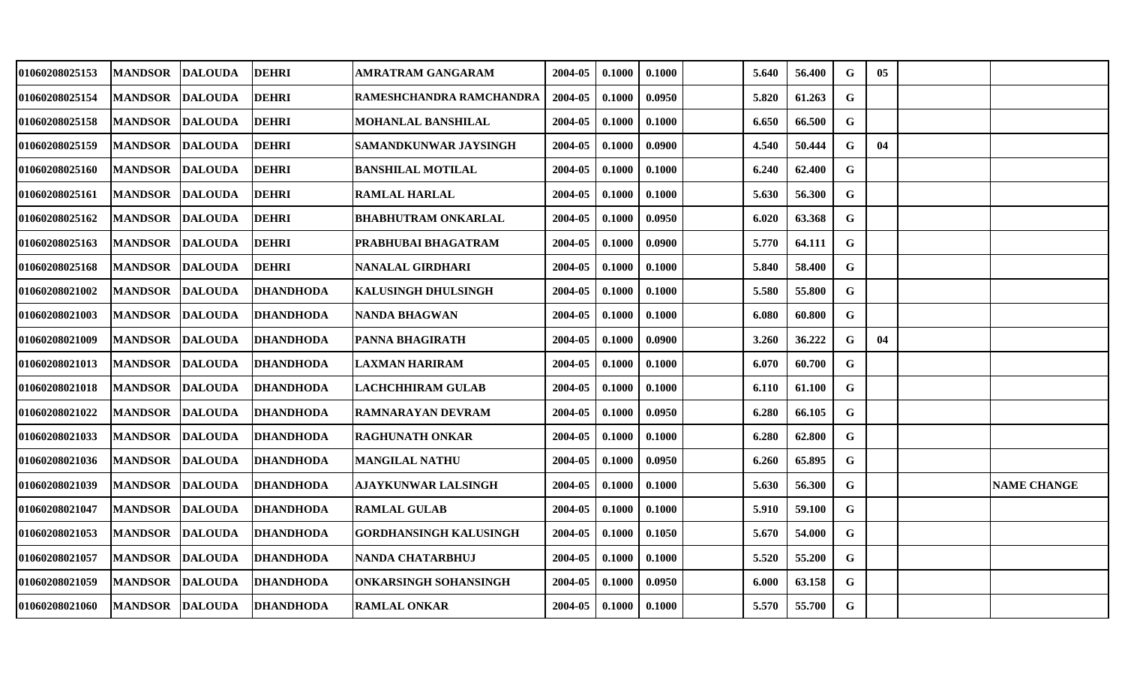| 01060208025153        | <b>MANDSOR</b> | <b>DALOUDA</b> | <b>DEHRI</b>     | AMRATRAM GANGARAM          | 2004-05 | 0.1000 | 0.1000 | 5.640 | 56.400 | G           | $05\,$ |                    |
|-----------------------|----------------|----------------|------------------|----------------------------|---------|--------|--------|-------|--------|-------------|--------|--------------------|
| 01060208025154        | <b>MANDSOR</b> | <b>DALOUDA</b> | <b>DEHRI</b>     | RAMESHCHANDRA RAMCHANDRA   | 2004-05 | 0.1000 | 0.0950 | 5.820 | 61.263 | G           |        |                    |
| <b>01060208025158</b> | <b>MANDSOR</b> | <b>DALOUDA</b> | <b>DEHRI</b>     | MOHANLAL BANSHILAL         | 2004-05 | 0.1000 | 0.1000 | 6.650 | 66.500 | G           |        |                    |
| 01060208025159        | <b>MANDSOR</b> | <b>DALOUDA</b> | <b>DEHRI</b>     | SAMANDKUNWAR JAYSINGH      | 2004-05 | 0.1000 | 0.0900 | 4.540 | 50.444 | G           | 04     |                    |
| <b>01060208025160</b> | <b>MANDSOR</b> | <b>DALOUDA</b> | <b>DEHRI</b>     | <b>BANSHILAL MOTILAL</b>   | 2004-05 | 0.1000 | 0.1000 | 6.240 | 62.400 | G           |        |                    |
| 01060208025161        | <b>MANDSOR</b> | <b>DALOUDA</b> | <b>DEHRI</b>     | <b>RAMLAL HARLAL</b>       | 2004-05 | 0.1000 | 0.1000 | 5.630 | 56.300 | G           |        |                    |
| 01060208025162        | <b>MANDSOR</b> | <b>DALOUDA</b> | <b>DEHRI</b>     | <b>BHABHUTRAM ONKARLAL</b> | 2004-05 | 0.1000 | 0.0950 | 6.020 | 63.368 | G           |        |                    |
| <b>01060208025163</b> | <b>MANDSOR</b> | <b>DALOUDA</b> | <b>DEHRI</b>     | PRABHUBAI BHAGATRAM        | 2004-05 | 0.1000 | 0.0900 | 5.770 | 64.111 | G           |        |                    |
| 01060208025168        | <b>MANDSOR</b> | <b>DALOUDA</b> | <b>DEHRI</b>     | NANALAL GIRDHARI           | 2004-05 | 0.1000 | 0.1000 | 5.840 | 58.400 | G           |        |                    |
| 01060208021002        | <b>MANDSOR</b> | <b>DALOUDA</b> | <b>DHANDHODA</b> | KALUSINGH DHULSINGH        | 2004-05 | 0.1000 | 0.1000 | 5.580 | 55.800 | G           |        |                    |
| 01060208021003        | <b>MANDSOR</b> | <b>DALOUDA</b> | <b>DHANDHODA</b> | NANDA BHAGWAN              | 2004-05 | 0.1000 | 0.1000 | 6.080 | 60.800 | G           |        |                    |
| 01060208021009        | <b>MANDSOR</b> | <b>DALOUDA</b> | <b>DHANDHODA</b> | <b>PANNA BHAGIRATH</b>     | 2004-05 | 0.1000 | 0.0900 | 3.260 | 36.222 | G           | 04     |                    |
| 01060208021013        | <b>MANDSOR</b> | <b>DALOUDA</b> | <b>DHANDHODA</b> | LAXMAN HARIRAM             | 2004-05 | 0.1000 | 0.1000 | 6.070 | 60.700 | $\mathbf G$ |        |                    |
| 01060208021018        | <b>MANDSOR</b> | <b>DALOUDA</b> | <b>DHANDHODA</b> | <b>LACHCHHIRAM GULAB</b>   | 2004-05 | 0.1000 | 0.1000 | 6.110 | 61.100 | G           |        |                    |
| <b>01060208021022</b> | <b>MANDSOR</b> | <b>DALOUDA</b> | <b>DHANDHODA</b> | RAMNARAYAN DEVRAM          | 2004-05 | 0.1000 | 0.0950 | 6.280 | 66.105 | G           |        |                    |
| 01060208021033        | <b>MANDSOR</b> | <b>DALOUDA</b> | <b>DHANDHODA</b> | RAGHUNATH ONKAR            | 2004-05 | 0.1000 | 0.1000 | 6.280 | 62.800 | G           |        |                    |
| 01060208021036        | <b>MANDSOR</b> | <b>DALOUDA</b> | <b>DHANDHODA</b> | <b>MANGILAL NATHU</b>      | 2004-05 | 0.1000 | 0.0950 | 6.260 | 65.895 | G           |        |                    |
| 01060208021039        | <b>MANDSOR</b> | <b>DALOUDA</b> | <b>DHANDHODA</b> | <b>AJAYKUNWAR LALSINGH</b> | 2004-05 | 0.1000 | 0.1000 | 5.630 | 56.300 | $\mathbf G$ |        | <b>NAME CHANGE</b> |
| 01060208021047        | <b>MANDSOR</b> | <b>DALOUDA</b> | <b>DHANDHODA</b> | <b>RAMLAL GULAB</b>        | 2004-05 | 0.1000 | 0.1000 | 5.910 | 59.100 | $\mathbf G$ |        |                    |
| <b>01060208021053</b> | <b>MANDSOR</b> | <b>DALOUDA</b> | <b>DHANDHODA</b> | GORDHANSINGH KALUSINGH     | 2004-05 | 0.1000 | 0.1050 | 5.670 | 54.000 | G           |        |                    |
| 01060208021057        | <b>MANDSOR</b> | <b>DALOUDA</b> | <b>DHANDHODA</b> | <b>NANDA CHATARBHUJ</b>    | 2004-05 | 0.1000 | 0.1000 | 5.520 | 55.200 | $\mathbf G$ |        |                    |
| 01060208021059        | <b>MANDSOR</b> | <b>DALOUDA</b> | <b>DHANDHODA</b> | ONKARSINGH SOHANSINGH      | 2004-05 | 0.1000 | 0.0950 | 6.000 | 63.158 | G           |        |                    |
| <b>01060208021060</b> | <b>MANDSOR</b> | <b>DALOUDA</b> | <b>DHANDHODA</b> | <b>RAMLAL ONKAR</b>        | 2004-05 | 0.1000 | 0.1000 | 5.570 | 55.700 | G           |        |                    |
|                       |                |                |                  |                            |         |        |        |       |        |             |        |                    |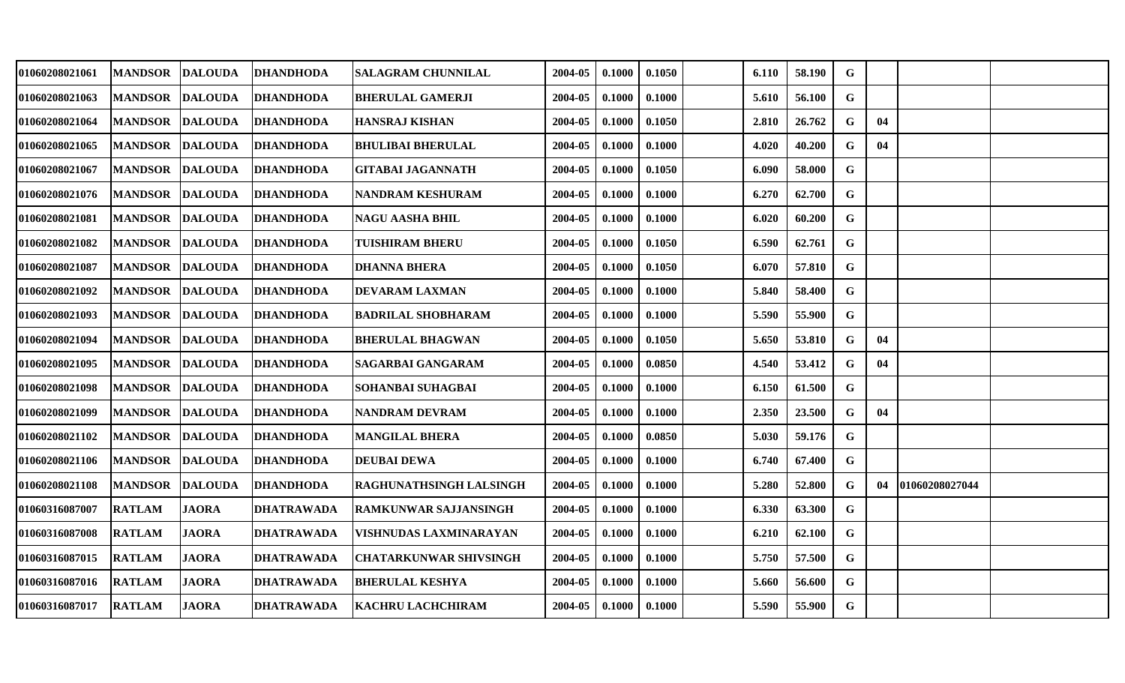| <b>MANDSOR</b> | <b>DALOUDA</b> |                                                                                                                                                                                                                                                                                                                                | <b>SALAGRAM CHUNNILAL</b>            | 2004-05                   | 0.1000 | 0.1050 | 6.110 | 58.190 | G           |    |                |
|----------------|----------------|--------------------------------------------------------------------------------------------------------------------------------------------------------------------------------------------------------------------------------------------------------------------------------------------------------------------------------|--------------------------------------|---------------------------|--------|--------|-------|--------|-------------|----|----------------|
| <b>MANDSOR</b> |                | <b>DHANDHODA</b>                                                                                                                                                                                                                                                                                                               | <b>BHERULAL GAMERJI</b>              | 2004-05                   | 0.1000 | 0.1000 | 5.610 | 56.100 | $\mathbf G$ |    |                |
| <b>MANDSOR</b> |                | <b>DHANDHODA</b>                                                                                                                                                                                                                                                                                                               | <b>HANSRAJ KISHAN</b>                | 2004-05                   | 0.1000 | 0.1050 | 2.810 | 26.762 | G           | 04 |                |
| <b>MANDSOR</b> |                | DHANDHODA                                                                                                                                                                                                                                                                                                                      | <b>BHULIBAI BHERULAL</b>             | 2004-05                   | 0.1000 | 0.1000 | 4.020 | 40.200 | G           | 04 |                |
| <b>MANDSOR</b> |                | <b>DHANDHODA</b>                                                                                                                                                                                                                                                                                                               | GITABAI JAGANNATH                    | 2004-05                   | 0.1000 | 0.1050 | 6.090 | 58.000 | G           |    |                |
| <b>MANDSOR</b> |                | <b>DHANDHODA</b>                                                                                                                                                                                                                                                                                                               | NANDRAM KESHURAM                     | 2004-05                   | 0.1000 | 0.1000 | 6.270 | 62.700 | $\mathbf G$ |    |                |
| <b>MANDSOR</b> |                | <b>DHANDHODA</b>                                                                                                                                                                                                                                                                                                               | <b>NAGU AASHA BHIL</b>               | 2004-05                   | 0.1000 | 0.1000 | 6.020 | 60.200 | G           |    |                |
| <b>MANDSOR</b> |                | <b>DHANDHODA</b>                                                                                                                                                                                                                                                                                                               | TUISHIRAM BHERU                      | 2004-05                   | 0.1000 | 0.1050 | 6.590 | 62.761 | G           |    |                |
| <b>MANDSOR</b> |                | <b>DHANDHODA</b>                                                                                                                                                                                                                                                                                                               | <b>DHANNA BHERA</b>                  | 2004-05                   | 0.1000 | 0.1050 | 6.070 | 57.810 | G           |    |                |
| <b>MANDSOR</b> |                | <b>DHANDHODA</b>                                                                                                                                                                                                                                                                                                               | <b>DEVARAM LAXMAN</b>                | 2004-05                   | 0.1000 | 0.1000 | 5.840 | 58.400 | $\mathbf G$ |    |                |
| <b>MANDSOR</b> |                | <b>DHANDHODA</b>                                                                                                                                                                                                                                                                                                               |                                      | 2004-05                   | 0.1000 | 0.1000 | 5.590 | 55.900 | $\mathbf G$ |    |                |
| <b>MANDSOR</b> |                | <b>DHANDHODA</b>                                                                                                                                                                                                                                                                                                               | <b>BHERULAL BHAGWAN</b>              | 2004-05                   | 0.1000 | 0.1050 | 5.650 | 53.810 | G           | 04 |                |
| <b>MANDSOR</b> |                | <b>DHANDHODA</b>                                                                                                                                                                                                                                                                                                               | SAGARBAI GANGARAM                    | 2004-05                   | 0.1000 | 0.0850 | 4.540 | 53.412 | G           | 04 |                |
| <b>MANDSOR</b> |                | <b>DHANDHODA</b>                                                                                                                                                                                                                                                                                                               | SOHANBAI SUHAGBAI                    | 2004-05                   | 0.1000 | 0.1000 | 6.150 | 61.500 | G           |    |                |
| <b>MANDSOR</b> |                | <b>DHANDHODA</b>                                                                                                                                                                                                                                                                                                               | NANDRAM DEVRAM                       | 2004-05                   | 0.1000 | 0.1000 | 2.350 | 23.500 | $\mathbf G$ | 04 |                |
| <b>MANDSOR</b> |                | <b>DHANDHODA</b>                                                                                                                                                                                                                                                                                                               | MANGILAL BHERA                       | 2004-05                   | 0.1000 | 0.0850 | 5.030 | 59.176 | G           |    |                |
| <b>MANDSOR</b> |                |                                                                                                                                                                                                                                                                                                                                | <b>DEUBAI DEWA</b>                   | 2004-05                   | 0.1000 | 0.1000 | 6.740 | 67.400 | G           |    |                |
| <b>MANDSOR</b> |                | <b>DHANDHODA</b>                                                                                                                                                                                                                                                                                                               | RAGHUNATHSINGH LALSINGH              | 2004-05                   | 0.1000 | 0.1000 | 5.280 | 52.800 | G           | 04 |                |
| <b>RATLAM</b>  |                | DHATRAWADA                                                                                                                                                                                                                                                                                                                     | <b>RAMKUNWAR SAJJANSINGH</b>         | 2004-05                   | 0.1000 | 0.1000 | 6.330 | 63.300 | G           |    |                |
| <b>RATLAM</b>  | <b>JAORA</b>   | DHATRAWADA                                                                                                                                                                                                                                                                                                                     | VISHNUDAS LAXMINARAYAN               | 2004-05                   | 0.1000 | 0.1000 | 6.210 | 62.100 | G           |    |                |
| <b>RATLAM</b>  | <b>JAORA</b>   | <b>DHATRAWADA</b>                                                                                                                                                                                                                                                                                                              | <b>CHATARKUNWAR SHIVSINGH</b>        | 2004-05                   | 0.1000 | 0.1000 | 5.750 | 57.500 | $\mathbf G$ |    |                |
| <b>RATLAM</b>  | <b>JAORA</b>   | <b>DHATRAWADA</b>                                                                                                                                                                                                                                                                                                              | <b>BHERULAL KESHYA</b>               | 2004-05                   | 0.1000 | 0.1000 | 5.660 | 56.600 | G           |    |                |
| <b>RATLAM</b>  | <b>JAORA</b>   | <b>DHATRAWADA</b>                                                                                                                                                                                                                                                                                                              | KACHRU LACHCHIRAM                    | 2004-05                   | 0.1000 | 0.1000 | 5.590 | 55.900 | G           |    |                |
|                |                | <b>DALOUDA</b><br><b>DALOUDA</b><br><b>DALOUDA</b><br><b>DALOUDA</b><br><b>DALOUDA</b><br><b>DALOUDA</b><br><b>DALOUDA</b><br><b>DALOUDA</b><br><b>DALOUDA</b><br><b>DALOUDA</b><br><b>DALOUDA</b><br><b>DALOUDA</b><br><b>DALOUDA</b><br><b>DALOUDA</b><br><b>DALOUDA</b><br><b>DALOUDA</b><br><b>DALOUDA</b><br><b>JAORA</b> | <b>DHANDHODA</b><br><b>DHANDHODA</b> | <b>BADRILAL SHOBHARAM</b> |        |        |       |        |             |    | 01060208027044 |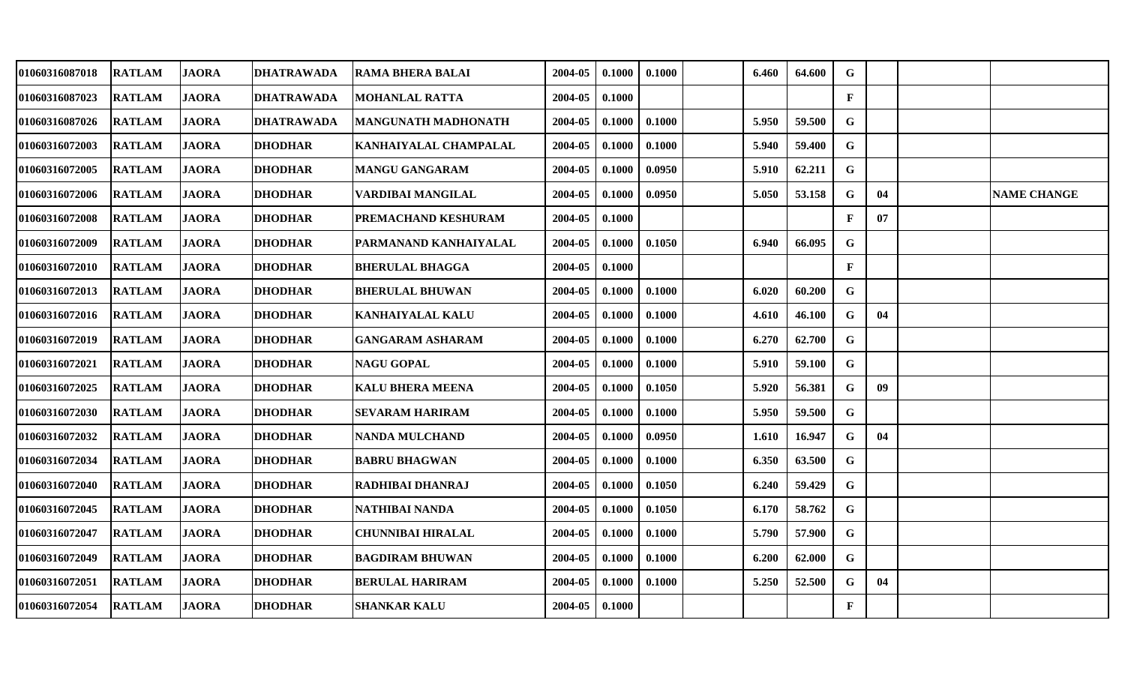| 01060316087018 | <b>RATLAM</b> | <b>JAORA</b> | <b>DHATRAWADA</b> | <b>RAMA BHERA BALAI</b>      | 2004-05 | 0.1000 | 0.1000 | 6.460 | 64.600 | G            |    |                    |
|----------------|---------------|--------------|-------------------|------------------------------|---------|--------|--------|-------|--------|--------------|----|--------------------|
| 01060316087023 | <b>RATLAM</b> | <b>JAORA</b> | <b>DHATRAWADA</b> | <b>MOHANLAL RATTA</b>        | 2004-05 | 0.1000 |        |       |        | $\mathbf F$  |    |                    |
| 01060316087026 | <b>RATLAM</b> | <b>JAORA</b> | <b>DHATRAWADA</b> | <b>MANGUNATH MADHONATH</b>   | 2004-05 | 0.1000 | 0.1000 | 5.950 | 59.500 | $\mathbf G$  |    |                    |
| 01060316072003 | <b>RATLAM</b> | <b>JAORA</b> | <b>DHODHAR</b>    | KANHAIYALAL CHAMPALAL        | 2004-05 | 0.1000 | 0.1000 | 5.940 | 59.400 | G            |    |                    |
| 01060316072005 | <b>RATLAM</b> | <b>JAORA</b> | <b>DHODHAR</b>    | <b>MANGU GANGARAM</b>        | 2004-05 | 0.1000 | 0.0950 | 5.910 | 62.211 | G            |    |                    |
| 01060316072006 | <b>RATLAM</b> | <b>JAORA</b> | <b>DHODHAR</b>    | VARDIBAI MANGILAL            | 2004-05 | 0.1000 | 0.0950 | 5.050 | 53.158 | G            | 04 | <b>NAME CHANGE</b> |
| 01060316072008 | <b>RATLAM</b> | <b>JAORA</b> | <b>DHODHAR</b>    | <b> PREMACHAND KESHURAM</b>  | 2004-05 | 0.1000 |        |       |        | $\mathbf{F}$ | 07 |                    |
| 01060316072009 | <b>RATLAM</b> | <b>JAORA</b> | <b>DHODHAR</b>    | <b>PARMANAND KANHAIYALAL</b> | 2004-05 | 0.1000 | 0.1050 | 6.940 | 66.095 | G            |    |                    |
| 01060316072010 | <b>RATLAM</b> | <b>JAORA</b> | <b>DHODHAR</b>    | <b>BHERULAL BHAGGA</b>       | 2004-05 | 0.1000 |        |       |        | $\mathbf{F}$ |    |                    |
| 01060316072013 | <b>RATLAM</b> | <b>JAORA</b> | <b>DHODHAR</b>    | <b>BHERULAL BHUWAN</b>       | 2004-05 | 0.1000 | 0.1000 | 6.020 | 60.200 | G            |    |                    |
| 01060316072016 | <b>RATLAM</b> | <b>JAORA</b> | <b>DHODHAR</b>    | <b>KANHAIYALAL KALU</b>      | 2004-05 | 0.1000 | 0.1000 | 4.610 | 46.100 | G            | 04 |                    |
| 01060316072019 | <b>RATLAM</b> | <b>JAORA</b> | <b>DHODHAR</b>    | <b>GANGARAM ASHARAM</b>      | 2004-05 | 0.1000 | 0.1000 | 6.270 | 62.700 | G            |    |                    |
| 01060316072021 | <b>RATLAM</b> | <b>JAORA</b> | <b>DHODHAR</b>    | <b>NAGU GOPAL</b>            | 2004-05 | 0.1000 | 0.1000 | 5.910 | 59.100 | G            |    |                    |
| 01060316072025 | <b>RATLAM</b> | <b>JAORA</b> | <b>DHODHAR</b>    | <b>KALU BHERA MEENA</b>      | 2004-05 | 0.1000 | 0.1050 | 5.920 | 56.381 | G            | 09 |                    |
| 01060316072030 | <b>RATLAM</b> | <b>JAORA</b> | <b>DHODHAR</b>    | <b>SEVARAM HARIRAM</b>       | 2004-05 | 0.1000 | 0.1000 | 5.950 | 59.500 | G            |    |                    |
| 01060316072032 | <b>RATLAM</b> | <b>JAORA</b> | <b>DHODHAR</b>    | <b>NANDA MULCHAND</b>        | 2004-05 | 0.1000 | 0.0950 | 1.610 | 16.947 | G            | 04 |                    |
| 01060316072034 | <b>RATLAM</b> | <b>JAORA</b> | <b>DHODHAR</b>    | <b>BABRU BHAGWAN</b>         | 2004-05 | 0.1000 | 0.1000 | 6.350 | 63.500 | G            |    |                    |
| 01060316072040 | <b>RATLAM</b> | <b>JAORA</b> | <b>DHODHAR</b>    | RADHIBAI DHANRAJ             | 2004-05 | 0.1000 | 0.1050 | 6.240 | 59.429 | G            |    |                    |
| 01060316072045 | <b>RATLAM</b> | <b>JAORA</b> | <b>DHODHAR</b>    | <b>NATHIBAI NANDA</b>        | 2004-05 | 0.1000 | 0.1050 | 6.170 | 58.762 | G            |    |                    |
| 01060316072047 | <b>RATLAM</b> | <b>JAORA</b> | <b>DHODHAR</b>    | <b>CHUNNIBAI HIRALAL</b>     | 2004-05 | 0.1000 | 0.1000 | 5.790 | 57.900 | G            |    |                    |
| 01060316072049 | <b>RATLAM</b> | <b>JAORA</b> | <b>DHODHAR</b>    | <b>BAGDIRAM BHUWAN</b>       | 2004-05 | 0.1000 | 0.1000 | 6.200 | 62.000 | G            |    |                    |
| 01060316072051 | <b>RATLAM</b> | <b>JAORA</b> | <b>DHODHAR</b>    | <b>BERULAL HARIRAM</b>       | 2004-05 | 0.1000 | 0.1000 | 5.250 | 52.500 | G            | 04 |                    |
| 01060316072054 | <b>RATLAM</b> | <b>JAORA</b> | <b>DHODHAR</b>    | <b>SHANKAR KALU</b>          | 2004-05 | 0.1000 |        |       |        | $\mathbf{F}$ |    |                    |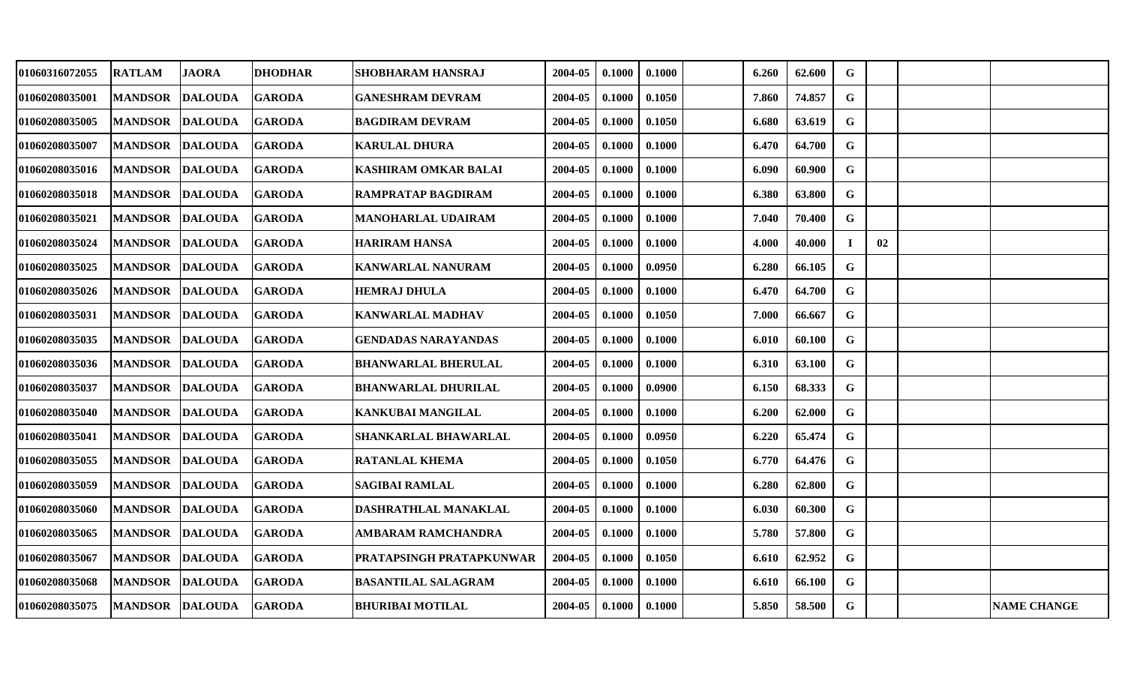| 01060316072055 | <b>RATLAM</b>          | <b>JAORA</b>   | <b>DHODHAR</b> | <b>SHOBHARAM HANSRAJ</b>    | 2004-05 | 0.1000 | 0.1000 | 6.260 | 62.600 | G           |    |                    |
|----------------|------------------------|----------------|----------------|-----------------------------|---------|--------|--------|-------|--------|-------------|----|--------------------|
| 01060208035001 | <b>MANDSOR</b>         | <b>DALOUDA</b> | <b>GARODA</b>  | <b>GANESHRAM DEVRAM</b>     | 2004-05 | 0.1000 | 0.1050 | 7.860 | 74.857 | G           |    |                    |
| 01060208035005 | <b>MANDSOR</b>         | <b>DALOUDA</b> | <b>GARODA</b>  | <b>BAGDIRAM DEVRAM</b>      | 2004-05 | 0.1000 | 0.1050 | 6.680 | 63.619 | $\mathbf G$ |    |                    |
| 01060208035007 | <b>MANDSOR</b>         | <b>DALOUDA</b> | <b>GARODA</b>  | <b>KARULAL DHURA</b>        | 2004-05 | 0.1000 | 0.1000 | 6.470 | 64.700 | G           |    |                    |
| 01060208035016 | <b>MANDSOR DALOUDA</b> |                | <b>GARODA</b>  | <b>KASHIRAM OMKAR BALAI</b> | 2004-05 | 0.1000 | 0.1000 | 6.090 | 60.900 | $\mathbf G$ |    |                    |
| 01060208035018 | <b>MANDSOR</b>         | <b>DALOUDA</b> | <b>GARODA</b>  | <b>RAMPRATAP BAGDIRAM</b>   | 2004-05 | 0.1000 | 0.1000 | 6.380 | 63.800 | G           |    |                    |
| 01060208035021 | <b>MANDSOR</b>         | <b>DALOUDA</b> | <b>GARODA</b>  | <b>MANOHARLAL UDAIRAM</b>   | 2004-05 | 0.1000 | 0.1000 | 7.040 | 70.400 | G           |    |                    |
| 01060208035024 | <b>MANDSOR</b>         | <b>DALOUDA</b> | <b>GARODA</b>  | <b>HARIRAM HANSA</b>        | 2004-05 | 0.1000 | 0.1000 | 4.000 | 40.000 | Т.          | 02 |                    |
| 01060208035025 | <b>MANDSOR</b>         | <b>DALOUDA</b> | <b>GARODA</b>  | <b>KANWARLAL NANURAM</b>    | 2004-05 | 0.1000 | 0.0950 | 6.280 | 66.105 | $\mathbf G$ |    |                    |
| 01060208035026 | <b>MANDSOR</b>         | <b>DALOUDA</b> | <b>GARODA</b>  | <b>HEMRAJ DHULA</b>         | 2004-05 | 0.1000 | 0.1000 | 6.470 | 64.700 | G           |    |                    |
| 01060208035031 | <b>MANDSOR</b>         | <b>DALOUDA</b> | <b>GARODA</b>  | <b>KANWARLAL MADHAV</b>     | 2004-05 | 0.1000 | 0.1050 | 7.000 | 66.667 | G           |    |                    |
| 01060208035035 | <b>MANDSOR</b>         | <b>DALOUDA</b> | <b>GARODA</b>  | <b>GENDADAS NARAYANDAS</b>  | 2004-05 | 0.1000 | 0.1000 | 6.010 | 60.100 | G           |    |                    |
| 01060208035036 | <b>MANDSOR</b>         | <b>DALOUDA</b> | <b>GARODA</b>  | <b>BHANWARLAL BHERULAL</b>  | 2004-05 | 0.1000 | 0.1000 | 6.310 | 63.100 | $\mathbf G$ |    |                    |
| 01060208035037 | <b>MANDSOR</b>         | <b>DALOUDA</b> | <b>GARODA</b>  | <b>BHANWARLAL DHURILAL</b>  | 2004-05 | 0.1000 | 0.0900 | 6.150 | 68.333 | G           |    |                    |
| 01060208035040 | <b>MANDSOR</b>         | <b>DALOUDA</b> | <b>GARODA</b>  | KANKUBAI MANGILAL           | 2004-05 | 0.1000 | 0.1000 | 6.200 | 62.000 | G           |    |                    |
| 01060208035041 | <b>MANDSOR</b>         | <b>DALOUDA</b> | <b>GARODA</b>  | SHANKARLAL BHAWARLAL        | 2004-05 | 0.1000 | 0.0950 | 6.220 | 65.474 | $\mathbf G$ |    |                    |
| 01060208035055 | <b>MANDSOR</b>         | <b>DALOUDA</b> | <b>GARODA</b>  | <b>RATANLAL KHEMA</b>       | 2004-05 | 0.1000 | 0.1050 | 6.770 | 64.476 | $\mathbf G$ |    |                    |
| 01060208035059 | <b>MANDSOR</b>         | <b>DALOUDA</b> | <b>GARODA</b>  | <b>SAGIBAI RAMLAL</b>       | 2004-05 | 0.1000 | 0.1000 | 6.280 | 62.800 | G           |    |                    |
| 01060208035060 | <b>MANDSOR</b>         | <b>DALOUDA</b> | <b>GARODA</b>  | DASHRATHLAL MANAKLAL        | 2004-05 | 0.1000 | 0.1000 | 6.030 | 60.300 | $\mathbf G$ |    |                    |
| 01060208035065 | <b>MANDSOR</b>         | <b>DALOUDA</b> | <b>GARODA</b>  | AMBARAM RAMCHANDRA          | 2004-05 | 0.1000 | 0.1000 | 5.780 | 57.800 | $\mathbf G$ |    |                    |
| 01060208035067 | <b>MANDSOR</b>         | <b>DALOUDA</b> | <b>GARODA</b>  | PRATAPSINGH PRATAPKUNWAR    | 2004-05 | 0.1000 | 0.1050 | 6.610 | 62.952 | $\mathbf G$ |    |                    |
| 01060208035068 | <b>MANDSOR</b>         | <b>DALOUDA</b> | <b>GARODA</b>  | <b>BASANTILAL SALAGRAM</b>  | 2004-05 | 0.1000 | 0.1000 | 6.610 | 66.100 | G           |    |                    |
| 01060208035075 | MANDSOR DALOUDA        |                | <b>GARODA</b>  | <b>BHURIBAI MOTILAL</b>     | 2004-05 | 0.1000 | 0.1000 | 5.850 | 58.500 | $\mathbf G$ |    | <b>NAME CHANGE</b> |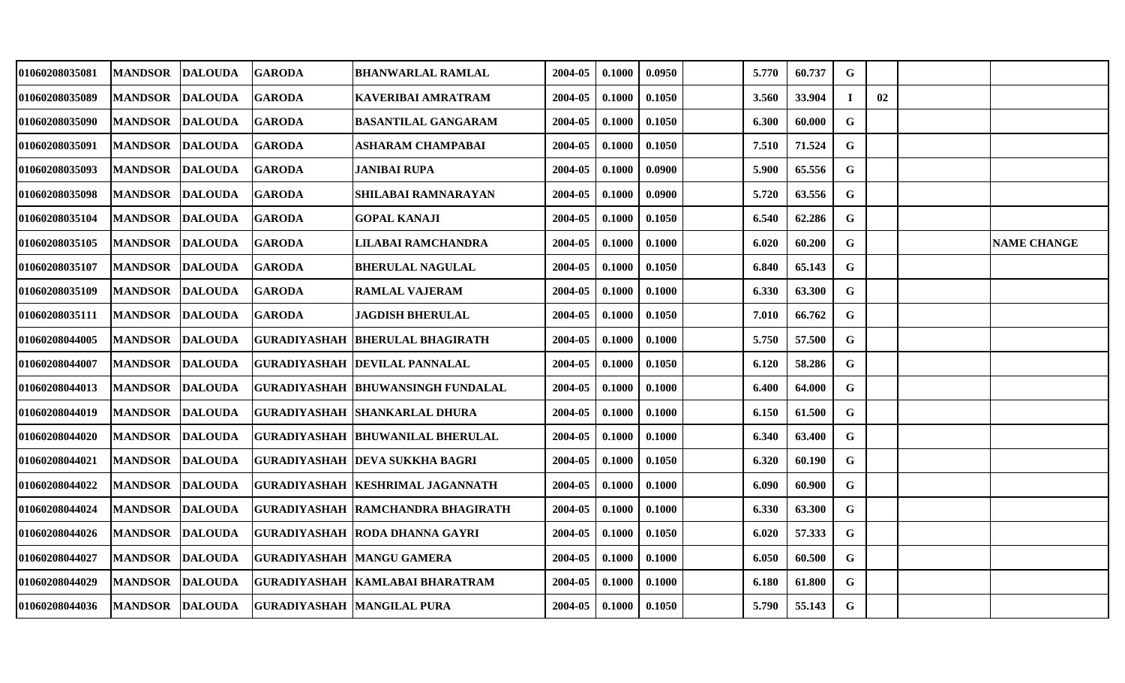| 01060208035081 | <b>MANDSOR</b> | <b>DALOUDA</b> | <b>GARODA</b>                              | <b>BHANWARLAL RAMLAL</b>                   | 2004-05 | 0.1000 | 0.0950 | 5.770 | 60.737 | G            |    |                    |
|----------------|----------------|----------------|--------------------------------------------|--------------------------------------------|---------|--------|--------|-------|--------|--------------|----|--------------------|
| 01060208035089 | <b>MANDSOR</b> | <b>DALOUDA</b> | <b>GARODA</b>                              | KAVERIBAI AMRATRAM                         | 2004-05 | 0.1000 | 0.1050 | 3.560 | 33.904 | $\mathbf I$  | 02 |                    |
| 01060208035090 | <b>MANDSOR</b> | <b>DALOUDA</b> | <b>GARODA</b>                              | <b>BASANTILAL GANGARAM</b>                 | 2004-05 | 0.1000 | 0.1050 | 6.300 | 60.000 | $\mathbf G$  |    |                    |
| 01060208035091 | <b>MANDSOR</b> | <b>DALOUDA</b> | <b>GARODA</b>                              | <b>ASHARAM CHAMPABAI</b>                   | 2004-05 | 0.1000 | 0.1050 | 7.510 | 71.524 | G            |    |                    |
| 01060208035093 | <b>MANDSOR</b> | <b>DALOUDA</b> | <b>GARODA</b>                              | <b>JANIBAI RUPA</b>                        | 2004-05 | 0.1000 | 0.0900 | 5.900 | 65.556 | G            |    |                    |
| 01060208035098 | <b>MANDSOR</b> | <b>DALOUDA</b> | <b>GARODA</b>                              | <b>SHILABAI RAMNARAYAN</b>                 | 2004-05 | 0.1000 | 0.0900 | 5.720 | 63.556 | G            |    |                    |
| 01060208035104 | <b>MANDSOR</b> | <b>DALOUDA</b> | <b>GARODA</b>                              | <b>GOPAL KANAJI</b>                        | 2004-05 | 0.1000 | 0.1050 | 6.540 | 62.286 | $\mathbf G$  |    |                    |
| 01060208035105 | <b>MANDSOR</b> | <b>DALOUDA</b> | <b>GARODA</b>                              | LILABAI RAMCHANDRA                         | 2004-05 | 0.1000 | 0.1000 | 6.020 | 60.200 | G            |    | <b>NAME CHANGE</b> |
| 01060208035107 | <b>MANDSOR</b> | <b>DALOUDA</b> | <b>GARODA</b>                              | <b>BHERULAL NAGULAL</b>                    | 2004-05 | 0.1000 | 0.1050 | 6.840 | 65.143 | $\mathbf G$  |    |                    |
| 01060208035109 | <b>MANDSOR</b> | <b>DALOUDA</b> | <b>GARODA</b>                              | <b>RAMLAL VAJERAM</b>                      | 2004-05 | 0.1000 | 0.1000 | 6.330 | 63.300 | G            |    |                    |
| 01060208035111 | <b>MANDSOR</b> | <b>DALOUDA</b> | <b>GARODA</b>                              | <b>JAGDISH BHERULAL</b>                    | 2004-05 | 0.1000 | 0.1050 | 7.010 | 66.762 | $\mathbf G$  |    |                    |
| 01060208044005 | <b>MANDSOR</b> | <b>DALOUDA</b> |                                            | <b>GURADIYASHAH BHERULAL BHAGIRATH</b>     | 2004-05 | 0.1000 | 0.1000 | 5.750 | 57.500 | $\mathbf G$  |    |                    |
| 01060208044007 | <b>MANDSOR</b> | <b>DALOUDA</b> |                                            | <b>GURADIYASHAH DEVILAL PANNALAL</b>       | 2004-05 | 0.1000 | 0.1050 | 6.120 | 58.286 | $\mathbf G$  |    |                    |
| 01060208044013 | <b>MANDSOR</b> | <b>DALOUDA</b> |                                            | GURADIYASHAH  BHUWANSINGH FUNDALAL         | 2004-05 | 0.1000 | 0.1000 | 6.400 | 64.000 | G            |    |                    |
| 01060208044019 | <b>MANDSOR</b> | <b>DALOUDA</b> |                                            | <b>GURADIYASHAH SHANKARLAL DHURA</b>       | 2004-05 | 0.1000 | 0.1000 | 6.150 | 61.500 | $\mathbf G$  |    |                    |
| 01060208044020 | <b>MANDSOR</b> | <b>DALOUDA</b> |                                            | <b>GURADIYASHAH BHUWANILAL BHERULAL</b>    | 2004-05 | 0.1000 | 0.1000 | 6.340 | 63.400 | G            |    |                    |
| 01060208044021 | <b>MANDSOR</b> | <b>DALOUDA</b> |                                            | <b>GURADIYASHAH DEVA SUKKHA BAGRI</b>      | 2004-05 | 0.1000 | 0.1050 | 6.320 | 60.190 | $\mathbf{G}$ |    |                    |
| 01060208044022 | <b>MANDSOR</b> | <b>DALOUDA</b> |                                            | GURADIYASHAH  KESHRIMAL JAGANNATH          | 2004-05 | 0.1000 | 0.1000 | 6.090 | 60.900 | G            |    |                    |
| 01060208044024 | <b>MANDSOR</b> | <b>DALOUDA</b> |                                            | <b>GURADIYASHAH   RAMCHANDRA BHAGIRATH</b> | 2004-05 | 0.1000 | 0.1000 | 6.330 | 63.300 | G            |    |                    |
| 01060208044026 | <b>MANDSOR</b> | <b>DALOUDA</b> |                                            | <b>GURADIYASHAH RODA DHANNA GAYRI</b>      | 2004-05 | 0.1000 | 0.1050 | 6.020 | 57.333 | $\mathbf G$  |    |                    |
| 01060208044027 | <b>MANDSOR</b> | <b>DALOUDA</b> | <b>GURADIYASHAH MANGU GAMERA</b>           |                                            | 2004-05 | 0.1000 | 0.1000 | 6.050 | 60.500 | G            |    |                    |
| 01060208044029 | <b>MANDSOR</b> | <b>DALOUDA</b> |                                            | GURADIYASHAH  KAMLABAI BHARATRAM           | 2004-05 | 0.1000 | 0.1000 | 6.180 | 61.800 | G            |    |                    |
| 01060208044036 |                |                | MANDSOR DALOUDA GURADIYASHAH MANGILAL PURA |                                            | 2004-05 | 0.1000 | 0.1050 | 5.790 | 55.143 | $\mathbf G$  |    |                    |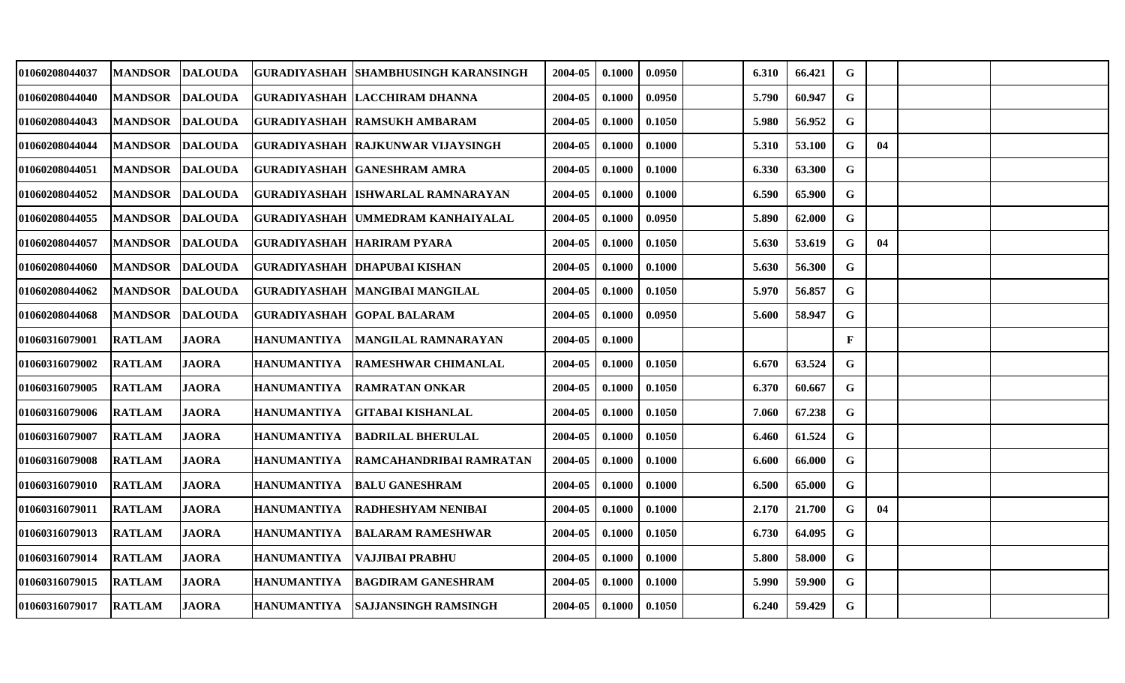| 01060208044037        | <b>MANDSOR</b> | <b>DALOUDA</b> | <b>GURADIYASHAH</b>         | <b>ISHAMBHUSINGH KARANSINGH</b>      | 2004-05 | 0.1000 | 0.0950 | 6.310 | 66.421 | G            |    |  |
|-----------------------|----------------|----------------|-----------------------------|--------------------------------------|---------|--------|--------|-------|--------|--------------|----|--|
| <b>01060208044040</b> | <b>MANDSOR</b> | <b>DALOUDA</b> |                             | GURADIYASHAH  LACCHIRAM DHANNA       | 2004-05 | 0.1000 | 0.0950 | 5.790 | 60.947 | G            |    |  |
| 01060208044043        | <b>MANDSOR</b> | DALOUDA        |                             | <b>GURADIYASHAH  RAMSUKH AMBARAM</b> | 2004-05 | 0.1000 | 0.1050 | 5.980 | 56.952 | G            |    |  |
| 01060208044044        | <b>MANDSOR</b> | <b>DALOUDA</b> |                             | GURADIYASHAH RAJKUNWAR VIJAYSINGH    | 2004-05 | 0.1000 | 0.1000 | 5.310 | 53.100 | G            | 04 |  |
| 01060208044051        | <b>MANDSOR</b> | <b>DALOUDA</b> |                             | GURADIYASHAH  GANESHRAM AMRA         | 2004-05 | 0.1000 | 0.1000 | 6.330 | 63.300 | G            |    |  |
| 01060208044052        | <b>MANDSOR</b> | <b>DALOUDA</b> |                             | GURADIYASHAH  ISHWARLAL RAMNARAYAN   | 2004-05 | 0.1000 | 0.1000 | 6.590 | 65.900 | $\mathbf G$  |    |  |
| 01060208044055        | <b>MANDSOR</b> | <b>DALOUDA</b> |                             | GURADIYASHAH  UMMEDRAM KANHAIYALAL   | 2004-05 | 0.1000 | 0.0950 | 5.890 | 62.000 | G            |    |  |
| 01060208044057        | <b>MANDSOR</b> | <b>DALOUDA</b> | GURADIYASHAH  HARIRAM PYARA |                                      | 2004-05 | 0.1000 | 0.1050 | 5.630 | 53.619 | G            | 04 |  |
| 01060208044060        | <b>MANDSOR</b> | <b>DALOUDA</b> |                             | <b>GURADIYASHAH DHAPUBAI KISHAN</b>  | 2004-05 | 0.1000 | 0.1000 | 5.630 | 56.300 | G            |    |  |
| 01060208044062        | <b>MANDSOR</b> | <b>DALOUDA</b> |                             | GURADIYASHAH  MANGIBAI MANGILAL      | 2004-05 | 0.1000 | 0.1050 | 5.970 | 56.857 | G            |    |  |
| 01060208044068        | <b>MANDSOR</b> | <b>DALOUDA</b> |                             | <b>GURADIYASHAH GOPAL BALARAM</b>    | 2004-05 | 0.1000 | 0.0950 | 5.600 | 58.947 | $\mathbf G$  |    |  |
| 01060316079001        | <b>RATLAM</b>  | <b>JAORA</b>   | HANUMANTIYA                 | <b>MANGILAL RAMNARAYAN</b>           | 2004-05 | 0.1000 |        |       |        | $\mathbf{F}$ |    |  |
| 01060316079002        | <b>RATLAM</b>  | <b>JAORA</b>   | HANUMANTIYA                 | <b>RAMESHWAR CHIMANLAL</b>           | 2004-05 | 0.1000 | 0.1050 | 6.670 | 63.524 | G            |    |  |
| 01060316079005        | <b>RATLAM</b>  | <b>JAORA</b>   | <b>HANUMANTIYA</b>          | <b>RAMRATAN ONKAR</b>                | 2004-05 | 0.1000 | 0.1050 | 6.370 | 60.667 | $\mathbf G$  |    |  |
| 01060316079006        | <b>RATLAM</b>  | <b>JAORA</b>   | <b>HANUMANTIYA</b>          | <b>GITABAI KISHANLAL</b>             | 2004-05 | 0.1000 | 0.1050 | 7.060 | 67.238 | $\mathbf G$  |    |  |
| 01060316079007        | <b>RATLAM</b>  | <b>JAORA</b>   | HANUMANTIYA                 | <b>BADRILAL BHERULAL</b>             | 2004-05 | 0.1000 | 0.1050 | 6.460 | 61.524 | G            |    |  |
| <b>01060316079008</b> | <b>RATLAM</b>  | <b>JAORA</b>   | <b>HANUMANTIYA</b>          | RAMCAHANDRIBAI RAMRATAN              | 2004-05 | 0.1000 | 0.1000 | 6.600 | 66.000 | G            |    |  |
| <b>01060316079010</b> | <b>RATLAM</b>  | <b>JAORA</b>   | HANUMANTIYA                 | <b>BALU GANESHRAM</b>                | 2004-05 | 0.1000 | 0.1000 | 6.500 | 65.000 | ${\bf G}$    |    |  |
| 01060316079011        | <b>RATLAM</b>  | <b>JAORA</b>   | HANUMANTIYA                 | <b>RADHESHYAM NENIBAI</b>            | 2004-05 | 0.1000 | 0.1000 | 2.170 | 21.700 | G            | 04 |  |
| <b>01060316079013</b> | <b>RATLAM</b>  | <b>JAORA</b>   | <b>HANUMANTIYA</b>          | <b>BALARAM RAMESHWAR</b>             | 2004-05 | 0.1000 | 0.1050 | 6.730 | 64.095 | G            |    |  |
| 01060316079014        | <b>RATLAM</b>  | <b>JAORA</b>   | <b>HANUMANTIYA</b>          | <b>VAJJIBAI PRABHU</b>               | 2004-05 | 0.1000 | 0.1000 | 5.800 | 58.000 | G            |    |  |
| 01060316079015        | <b>RATLAM</b>  | <b>JAORA</b>   | HANUMANTIYA                 | <b>BAGDIRAM GANESHRAM</b>            | 2004-05 | 0.1000 | 0.1000 | 5.990 | 59.900 | G            |    |  |
| 01060316079017        | <b>RATLAM</b>  | JAORA          | <b>HANUMANTIYA</b>          | ISAJJANSINGH RAMSINGH                | 2004-05 | 0.1000 | 0.1050 | 6.240 | 59.429 | $\mathbf G$  |    |  |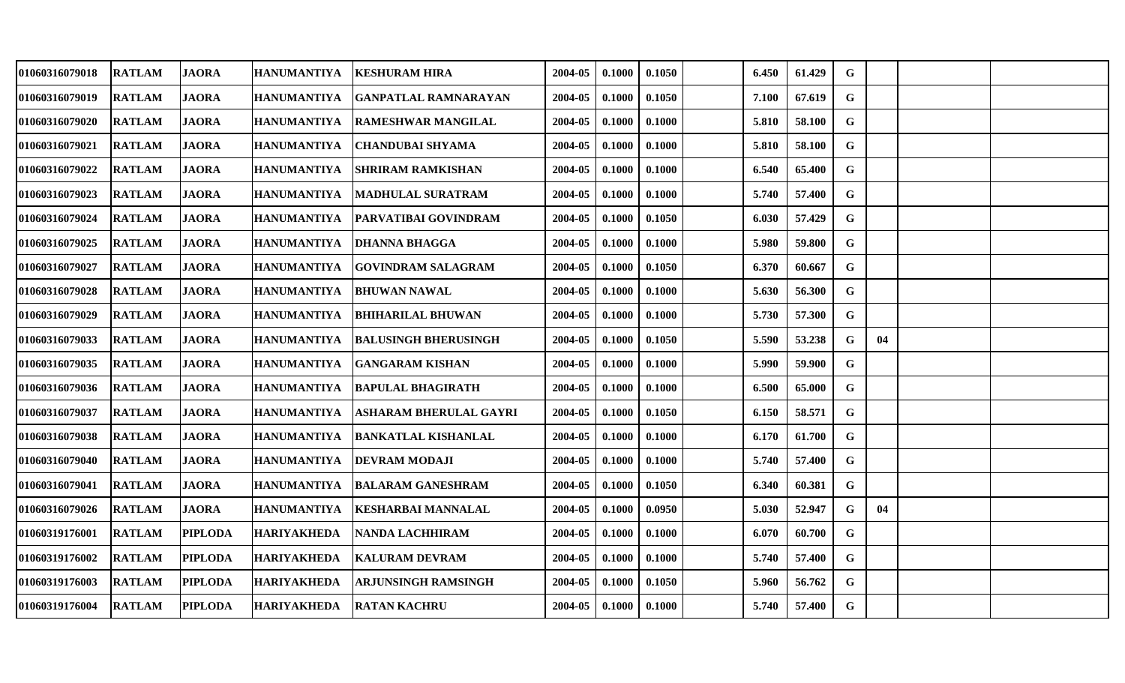| 01060316079018 | <b>RATLAM</b> | JAORA          | <b>HANUMANTIYA</b> | <b>KESHURAM HIRA</b>          | 2004-05 | 0.1000 | 0.1050 | 6.450 | 61.429 | G           |    |  |
|----------------|---------------|----------------|--------------------|-------------------------------|---------|--------|--------|-------|--------|-------------|----|--|
| 01060316079019 | <b>RATLAM</b> | <b>JAORA</b>   | <b>HANUMANTIYA</b> | <b>GANPATLAL RAMNARAYAN</b>   | 2004-05 | 0.1000 | 0.1050 | 7.100 | 67.619 | G           |    |  |
| 01060316079020 | <b>RATLAM</b> | <b>JAORA</b>   | <b>HANUMANTIYA</b> | <b>RAMESHWAR MANGILAL</b>     | 2004-05 | 0.1000 | 0.1000 | 5.810 | 58.100 | G           |    |  |
| 01060316079021 | <b>RATLAM</b> | <b>JAORA</b>   | <b>HANUMANTIYA</b> | <b>CHANDUBAI SHYAMA</b>       | 2004-05 | 0.1000 | 0.1000 | 5.810 | 58.100 | G           |    |  |
| 01060316079022 | <b>RATLAM</b> | <b>JAORA</b>   | <b>HANUMANTIYA</b> | <b>SHRIRAM RAMKISHAN</b>      | 2004-05 | 0.1000 | 0.1000 | 6.540 | 65.400 | G           |    |  |
| 01060316079023 | <b>RATLAM</b> | <b>JAORA</b>   | <b>HANUMANTIYA</b> | <b>MADHULAL SURATRAM</b>      | 2004-05 | 0.1000 | 0.1000 | 5.740 | 57.400 | G           |    |  |
| 01060316079024 | <b>RATLAM</b> | <b>JAORA</b>   | <b>HANUMANTIYA</b> | PARVATIBAI GOVINDRAM          | 2004-05 | 0.1000 | 0.1050 | 6.030 | 57.429 | $\mathbf G$ |    |  |
| 01060316079025 | <b>RATLAM</b> | <b>JAORA</b>   | <b>HANUMANTIYA</b> | <b>DHANNA BHAGGA</b>          | 2004-05 | 0.1000 | 0.1000 | 5.980 | 59.800 | G           |    |  |
| 01060316079027 | <b>RATLAM</b> | <b>JAORA</b>   | <b>HANUMANTIYA</b> | <b>GOVINDRAM SALAGRAM</b>     | 2004-05 | 0.1000 | 0.1050 | 6.370 | 60.667 | $\mathbf G$ |    |  |
| 01060316079028 | <b>RATLAM</b> | <b>JAORA</b>   | <b>HANUMANTIYA</b> | <b>BHUWAN NAWAL</b>           | 2004-05 | 0.1000 | 0.1000 | 5.630 | 56.300 | G           |    |  |
| 01060316079029 | <b>RATLAM</b> | <b>JAORA</b>   | <b>HANUMANTIYA</b> | <b>BHIHARILAL BHUWAN</b>      | 2004-05 | 0.1000 | 0.1000 | 5.730 | 57.300 | G           |    |  |
| 01060316079033 | <b>RATLAM</b> | <b>JAORA</b>   | <b>HANUMANTIYA</b> | <b>BALUSINGH BHERUSINGH</b>   | 2004-05 | 0.1000 | 0.1050 | 5.590 | 53.238 | G           | 04 |  |
| 01060316079035 | <b>RATLAM</b> | <b>JAORA</b>   | <b>HANUMANTIYA</b> | <b>GANGARAM KISHAN</b>        | 2004-05 | 0.1000 | 0.1000 | 5.990 | 59.900 | $\mathbf G$ |    |  |
| 01060316079036 | <b>RATLAM</b> | <b>JAORA</b>   | <b>HANUMANTIYA</b> | <b>BAPULAL BHAGIRATH</b>      | 2004-05 | 0.1000 | 0.1000 | 6.500 | 65.000 | G           |    |  |
| 01060316079037 | <b>RATLAM</b> | <b>JAORA</b>   | <b>HANUMANTIYA</b> | <b>ASHARAM BHERULAL GAYRI</b> | 2004-05 | 0.1000 | 0.1050 | 6.150 | 58.571 | G           |    |  |
| 01060316079038 | <b>RATLAM</b> | <b>JAORA</b>   | <b>HANUMANTIYA</b> | <b>BANKATLAL KISHANLAL</b>    | 2004-05 | 0.1000 | 0.1000 | 6.170 | 61.700 | G           |    |  |
| 01060316079040 | <b>RATLAM</b> | <b>JAORA</b>   | <b>HANUMANTIYA</b> | <b>DEVRAM MODAJI</b>          | 2004-05 | 0.1000 | 0.1000 | 5.740 | 57.400 | G           |    |  |
| 01060316079041 | <b>RATLAM</b> | <b>JAORA</b>   | <b>HANUMANTIYA</b> | <b>BALARAM GANESHRAM</b>      | 2004-05 | 0.1000 | 0.1050 | 6.340 | 60.381 | G           |    |  |
| 01060316079026 | <b>RATLAM</b> | <b>JAORA</b>   | <b>HANUMANTIYA</b> | <b>KESHARBAI MANNALAL</b>     | 2004-05 | 0.1000 | 0.0950 | 5.030 | 52.947 | G           | 04 |  |
| 01060319176001 | <b>RATLAM</b> | <b>PIPLODA</b> | <b>HARIYAKHEDA</b> | <b>NANDA LACHHIRAM</b>        | 2004-05 | 0.1000 | 0.1000 | 6.070 | 60.700 | G           |    |  |
| 01060319176002 | <b>RATLAM</b> | <b>PIPLODA</b> | <b>HARIYAKHEDA</b> | <b>KALURAM DEVRAM</b>         | 2004-05 | 0.1000 | 0.1000 | 5.740 | 57.400 | G           |    |  |
| 01060319176003 | <b>RATLAM</b> | <b>PIPLODA</b> | <b>HARIYAKHEDA</b> | ARJUNSINGH RAMSINGH           | 2004-05 | 0.1000 | 0.1050 | 5.960 | 56.762 | G           |    |  |
| 01060319176004 | <b>RATLAM</b> | <b>PIPLODA</b> | <b>HARIYAKHEDA</b> | <b>RATAN KACHRU</b>           | 2004-05 | 0.1000 | 0.1000 | 5.740 | 57.400 | $\mathbf G$ |    |  |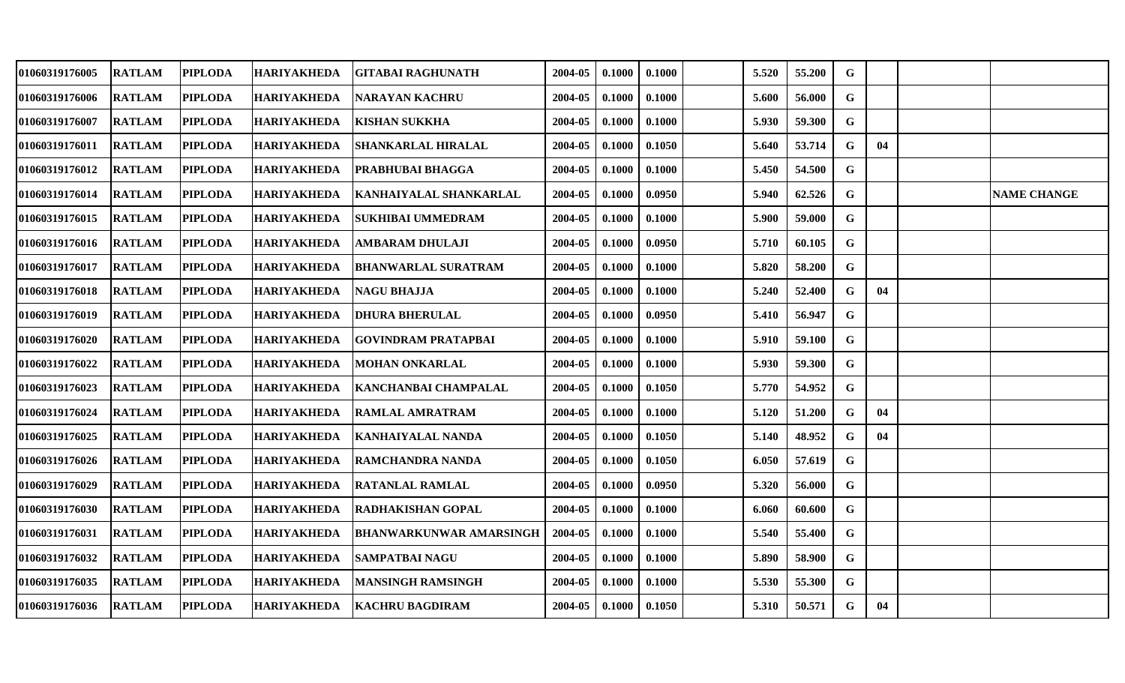| 01060319176005 | <b>RATLAM</b> | <b>PIPLODA</b> | <b>HARIYAKHEDA</b> | <b>GITABAI RAGHUNATH</b>       | 2004-05 | 0.1000 | 0.1000 | 5.520 | 55.200 | G           |    |                    |
|----------------|---------------|----------------|--------------------|--------------------------------|---------|--------|--------|-------|--------|-------------|----|--------------------|
| 01060319176006 | <b>RATLAM</b> | <b>PIPLODA</b> | <b>HARIYAKHEDA</b> | <b>NARAYAN KACHRU</b>          | 2004-05 | 0.1000 | 0.1000 | 5.600 | 56.000 | G           |    |                    |
| 01060319176007 | <b>RATLAM</b> | <b>PIPLODA</b> | <b>HARIYAKHEDA</b> | <b>KISHAN SUKKHA</b>           | 2004-05 | 0.1000 | 0.1000 | 5.930 | 59.300 | G           |    |                    |
| 01060319176011 | <b>RATLAM</b> | <b>PIPLODA</b> | <b>HARIYAKHEDA</b> | <b>SHANKARLAL HIRALAL</b>      | 2004-05 | 0.1000 | 0.1050 | 5.640 | 53.714 | G           | 04 |                    |
| 01060319176012 | <b>RATLAM</b> | <b>PIPLODA</b> | <b>HARIYAKHEDA</b> | <b>PRABHUBAI BHAGGA</b>        | 2004-05 | 0.1000 | 0.1000 | 5.450 | 54.500 | G           |    |                    |
| 01060319176014 | <b>RATLAM</b> | <b>PIPLODA</b> | <b>HARIYAKHEDA</b> | <b>KANHAIYALAL SHANKARLAL</b>  | 2004-05 | 0.1000 | 0.0950 | 5.940 | 62.526 | G           |    | <b>NAME CHANGE</b> |
| 01060319176015 | <b>RATLAM</b> | <b>PIPLODA</b> | <b>HARIYAKHEDA</b> | <b>SUKHIBAI UMMEDRAM</b>       | 2004-05 | 0.1000 | 0.1000 | 5.900 | 59.000 | $\mathbf G$ |    |                    |
| 01060319176016 | <b>RATLAM</b> | <b>PIPLODA</b> | <b>HARIYAKHEDA</b> | <b>AMBARAM DHULAJI</b>         | 2004-05 | 0.1000 | 0.0950 | 5.710 | 60.105 | G           |    |                    |
| 01060319176017 | <b>RATLAM</b> | <b>PIPLODA</b> | <b>HARIYAKHEDA</b> | <b>BHANWARLAL SURATRAM</b>     | 2004-05 | 0.1000 | 0.1000 | 5.820 | 58.200 | $\mathbf G$ |    |                    |
| 01060319176018 | <b>RATLAM</b> | <b>PIPLODA</b> | <b>HARIYAKHEDA</b> | NAGU BHAJJA                    | 2004-05 | 0.1000 | 0.1000 | 5.240 | 52.400 | G           | 04 |                    |
| 01060319176019 | <b>RATLAM</b> | <b>PIPLODA</b> | <b>HARIYAKHEDA</b> | <b>DHURA BHERULAL</b>          | 2004-05 | 0.1000 | 0.0950 | 5.410 | 56.947 | G           |    |                    |
| 01060319176020 | <b>RATLAM</b> | <b>PIPLODA</b> | <b>HARIYAKHEDA</b> | <b>GOVINDRAM PRATAPBAI</b>     | 2004-05 | 0.1000 | 0.1000 | 5.910 | 59.100 | G           |    |                    |
| 01060319176022 | <b>RATLAM</b> | <b>PIPLODA</b> | <b>HARIYAKHEDA</b> | <b>MOHAN ONKARLAL</b>          | 2004-05 | 0.1000 | 0.1000 | 5.930 | 59.300 | G           |    |                    |
| 01060319176023 | <b>RATLAM</b> | <b>PIPLODA</b> | <b>HARIYAKHEDA</b> | KANCHANBAI CHAMPALAL           | 2004-05 | 0.1000 | 0.1050 | 5.770 | 54.952 | G           |    |                    |
| 01060319176024 | <b>RATLAM</b> | <b>PIPLODA</b> | <b>HARIYAKHEDA</b> | <b>RAMLAL AMRATRAM</b>         | 2004-05 | 0.1000 | 0.1000 | 5.120 | 51.200 | G           | 04 |                    |
| 01060319176025 | <b>RATLAM</b> | <b>PIPLODA</b> | <b>HARIYAKHEDA</b> | <b>KANHAIYALAL NANDA</b>       | 2004-05 | 0.1000 | 0.1050 | 5.140 | 48.952 | G           | 04 |                    |
| 01060319176026 | <b>RATLAM</b> | <b>PIPLODA</b> | <b>HARIYAKHEDA</b> | <b>RAMCHANDRA NANDA</b>        | 2004-05 | 0.1000 | 0.1050 | 6.050 | 57.619 | G           |    |                    |
| 01060319176029 | <b>RATLAM</b> | <b>PIPLODA</b> | <b>HARIYAKHEDA</b> | <b>RATANLAL RAMLAL</b>         | 2004-05 | 0.1000 | 0.0950 | 5.320 | 56.000 | G           |    |                    |
| 01060319176030 | <b>RATLAM</b> | <b>PIPLODA</b> | <b>HARIYAKHEDA</b> | RADHAKISHAN GOPAL              | 2004-05 | 0.1000 | 0.1000 | 6.060 | 60.600 | G           |    |                    |
| 01060319176031 | <b>RATLAM</b> | <b>PIPLODA</b> | <b>HARIYAKHEDA</b> | <b>BHANWARKUNWAR AMARSINGH</b> | 2004-05 | 0.1000 | 0.1000 | 5.540 | 55.400 | G           |    |                    |
| 01060319176032 | <b>RATLAM</b> | <b>PIPLODA</b> | <b>HARIYAKHEDA</b> | <b>SAMPATBAI NAGU</b>          | 2004-05 | 0.1000 | 0.1000 | 5.890 | 58.900 | G           |    |                    |
| 01060319176035 | <b>RATLAM</b> | <b>PIPLODA</b> | <b>HARIYAKHEDA</b> | <b>MANSINGH RAMSINGH</b>       | 2004-05 | 0.1000 | 0.1000 | 5.530 | 55.300 | G           |    |                    |
| 01060319176036 | <b>RATLAM</b> | <b>PIPLODA</b> | <b>HARIYAKHEDA</b> | <b>KACHRU BAGDIRAM</b>         | 2004-05 | 0.1000 | 0.1050 | 5.310 | 50.571 | G           | 04 |                    |
|                |               |                |                    |                                |         |        |        |       |        |             |    |                    |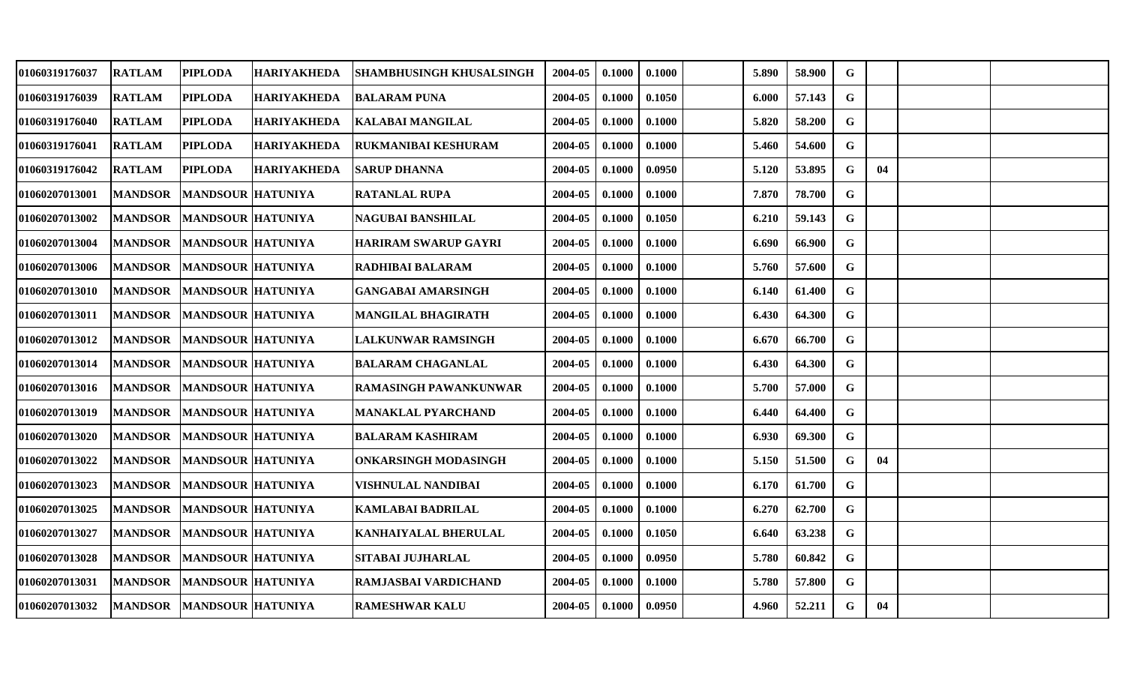| 01060319176037 | <b>RATLAM</b>  | <b>PIPLODA</b>           | <b>HARIYAKHEDA</b> | <b>SHAMBHUSINGH KHUSALSINGH</b> | 2004-05 | 0.1000 | 0.1000 | 5.890 | 58.900 | G           |    |  |
|----------------|----------------|--------------------------|--------------------|---------------------------------|---------|--------|--------|-------|--------|-------------|----|--|
| 01060319176039 | <b>RATLAM</b>  | <b>PIPLODA</b>           | <b>HARIYAKHEDA</b> | <b>BALARAM PUNA</b>             | 2004-05 | 0.1000 | 0.1050 | 6.000 | 57.143 | G           |    |  |
| 01060319176040 | <b>RATLAM</b>  | <b>PIPLODA</b>           | <b>HARIYAKHEDA</b> | <b>KALABAI MANGILAL</b>         | 2004-05 | 0.1000 | 0.1000 | 5.820 | 58.200 | $\mathbf G$ |    |  |
| 01060319176041 | <b>RATLAM</b>  | <b>PIPLODA</b>           | <b>HARIYAKHEDA</b> | RUKMANIBAI KESHURAM             | 2004-05 | 0.1000 | 0.1000 | 5.460 | 54.600 | $\mathbf G$ |    |  |
| 01060319176042 | <b>RATLAM</b>  | <b>PIPLODA</b>           | <b>HARIYAKHEDA</b> | <b>SARUP DHANNA</b>             | 2004-05 | 0.1000 | 0.0950 | 5.120 | 53.895 | G           | 04 |  |
| 01060207013001 | <b>MANDSOR</b> | <b>MANDSOUR HATUNIYA</b> |                    | <b>RATANLAL RUPA</b>            | 2004-05 | 0.1000 | 0.1000 | 7.870 | 78.700 | G           |    |  |
| 01060207013002 | <b>MANDSOR</b> | <b>MANDSOUR HATUNIYA</b> |                    | NAGUBAI BANSHILAL               | 2004-05 | 0.1000 | 0.1050 | 6.210 | 59.143 | G           |    |  |
| 01060207013004 | <b>MANDSOR</b> | <b>MANDSOUR HATUNIYA</b> |                    | <b>HARIRAM SWARUP GAYRI</b>     | 2004-05 | 0.1000 | 0.1000 | 6.690 | 66.900 | G           |    |  |
| 01060207013006 | <b>MANDSOR</b> | <b>MANDSOUR HATUNIYA</b> |                    | RADHIBAI BALARAM                | 2004-05 | 0.1000 | 0.1000 | 5.760 | 57.600 | $\mathbf G$ |    |  |
| 01060207013010 | <b>MANDSOR</b> | <b>MANDSOUR HATUNIYA</b> |                    | <b>GANGABAI AMARSINGH</b>       | 2004-05 | 0.1000 | 0.1000 | 6.140 | 61.400 | G           |    |  |
| 01060207013011 | <b>MANDSOR</b> | <b>MANDSOUR HATUNIYA</b> |                    | <b>MANGILAL BHAGIRATH</b>       | 2004-05 | 0.1000 | 0.1000 | 6.430 | 64.300 | G           |    |  |
| 01060207013012 | <b>MANDSOR</b> | <b>MANDSOUR HATUNIYA</b> |                    | <b>LALKUNWAR RAMSINGH</b>       | 2004-05 | 0.1000 | 0.1000 | 6.670 | 66.700 | G           |    |  |
| 01060207013014 | <b>MANDSOR</b> | MANDSOUR HATUNIYA        |                    | <b>BALARAM CHAGANLAL</b>        | 2004-05 | 0.1000 | 0.1000 | 6.430 | 64.300 | $\mathbf G$ |    |  |
| 01060207013016 | <b>MANDSOR</b> | <b>MANDSOUR HATUNIYA</b> |                    | <b>RAMASINGH PAWANKUNWAR</b>    | 2004-05 | 0.1000 | 0.1000 | 5.700 | 57.000 | G           |    |  |
| 01060207013019 | <b>MANDSOR</b> | <b>MANDSOUR HATUNIYA</b> |                    | MANAKLAL PYARCHAND              | 2004-05 | 0.1000 | 0.1000 | 6.440 | 64.400 | G           |    |  |
| 01060207013020 | <b>MANDSOR</b> | <b>MANDSOUR HATUNIYA</b> |                    | <b>BALARAM KASHIRAM</b>         | 2004-05 | 0.1000 | 0.1000 | 6.930 | 69.300 | G           |    |  |
| 01060207013022 | <b>MANDSOR</b> | <b>MANDSOUR HATUNIYA</b> |                    | <b>ONKARSINGH MODASINGH</b>     | 2004-05 | 0.1000 | 0.1000 | 5.150 | 51.500 | G           | 04 |  |
| 01060207013023 | <b>MANDSOR</b> | <b>MANDSOUR HATUNIYA</b> |                    | VISHNULAL NANDIBAI              | 2004-05 | 0.1000 | 0.1000 | 6.170 | 61.700 | G           |    |  |
| 01060207013025 | <b>MANDSOR</b> | <b>MANDSOUR HATUNIYA</b> |                    | <b>KAMLABAI BADRILAL</b>        | 2004-05 | 0.1000 | 0.1000 | 6.270 | 62.700 | G           |    |  |
| 01060207013027 | <b>MANDSOR</b> | <b>MANDSOUR HATUNIYA</b> |                    | KANHAIYALAL BHERULAL            | 2004-05 | 0.1000 | 0.1050 | 6.640 | 63.238 | $\mathbf G$ |    |  |
| 01060207013028 | <b>MANDSOR</b> | <b>MANDSOUR HATUNIYA</b> |                    | <b>SITABAI JUJHARLAL</b>        | 2004-05 | 0.1000 | 0.0950 | 5.780 | 60.842 | $\mathbf G$ |    |  |
| 01060207013031 | <b>MANDSOR</b> | <b>MANDSOUR HATUNIYA</b> |                    | RAMJASBAI VARDICHAND            | 2004-05 | 0.1000 | 0.1000 | 5.780 | 57.800 | G           |    |  |
| 01060207013032 | <b>MANDSOR</b> | <b>MANDSOUR HATUNIYA</b> |                    | <b>RAMESHWAR KALU</b>           | 2004-05 | 0.1000 | 0.0950 | 4.960 | 52.211 | $\mathbf G$ | 04 |  |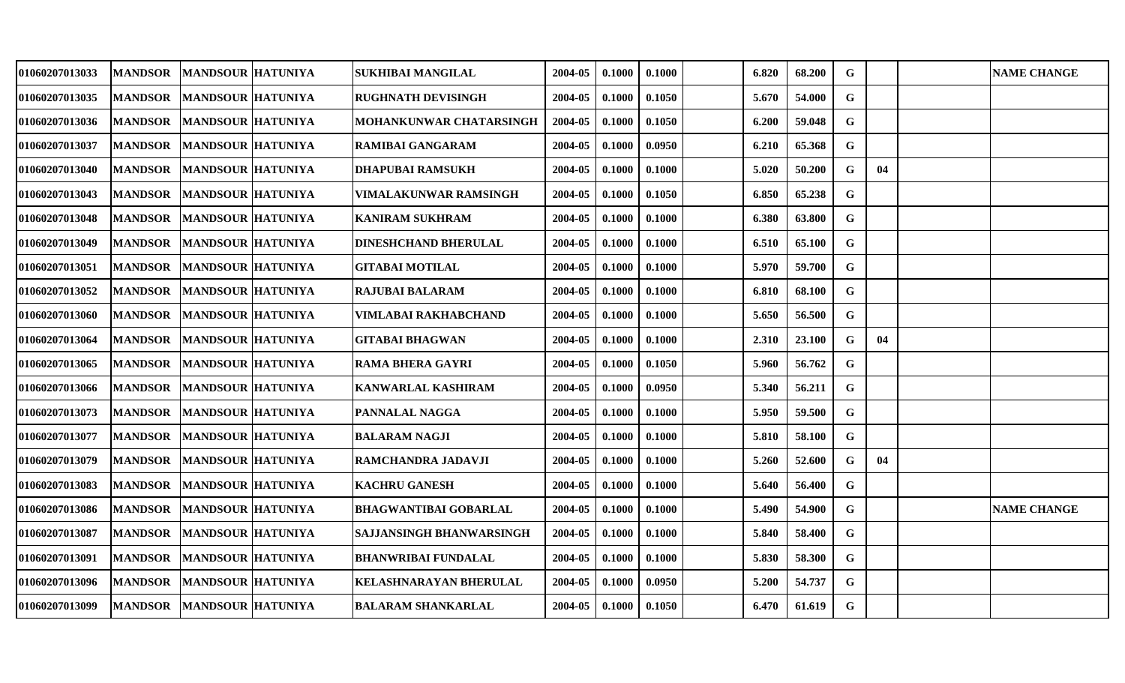| 01060207013033        | <b>MANDSOR</b> | <b>MANDSOUR HATUNIYA</b> | SUKHIBAI MANGILAL            | 2004-05 | 0.1000 | 0.1000 | 6.820 | 68.200 | $\mathbf G$ |    | <b>NAME CHANGE</b> |
|-----------------------|----------------|--------------------------|------------------------------|---------|--------|--------|-------|--------|-------------|----|--------------------|
| 01060207013035        | <b>MANDSOR</b> | <b>MANDSOUR HATUNIYA</b> | <b>RUGHNATH DEVISINGH</b>    | 2004-05 | 0.1000 | 0.1050 | 5.670 | 54.000 | $\mathbf G$ |    |                    |
| <b>01060207013036</b> | <b>MANDSOR</b> | <b>MANDSOUR HATUNIYA</b> | MOHANKUNWAR CHATARSINGH      | 2004-05 | 0.1000 | 0.1050 | 6.200 | 59.048 | $\mathbf G$ |    |                    |
| 01060207013037        | <b>MANDSOR</b> | <b>MANDSOUR HATUNIYA</b> | <b>RAMIBAI GANGARAM</b>      | 2004-05 | 0.1000 | 0.0950 | 6.210 | 65.368 | $\mathbf G$ |    |                    |
| <b>01060207013040</b> | <b>MANDSOR</b> | <b>MANDSOUR HATUNIYA</b> | DHAPUBAI RAMSUKH             | 2004-05 | 0.1000 | 0.1000 | 5.020 | 50.200 | $\mathbf G$ | 04 |                    |
| 01060207013043        | <b>MANDSOR</b> | <b>MANDSOUR HATUNIYA</b> | VIMALAKUNWAR RAMSINGH        | 2004-05 | 0.1000 | 0.1050 | 6.850 | 65.238 | $\mathbf G$ |    |                    |
| 01060207013048        | <b>MANDSOR</b> | <b>MANDSOUR HATUNIYA</b> | <b>KANIRAM SUKHRAM</b>       | 2004-05 | 0.1000 | 0.1000 | 6.380 | 63.800 | G           |    |                    |
| <b>01060207013049</b> | <b>MANDSOR</b> | <b>MANDSOUR HATUNIYA</b> | <b>DINESHCHAND BHERULAL</b>  | 2004-05 | 0.1000 | 0.1000 | 6.510 | 65.100 | $\mathbf G$ |    |                    |
| <b>01060207013051</b> | <b>MANDSOR</b> | MANDSOUR HATUNIYA        | <b>GITABAI MOTILAL</b>       | 2004-05 | 0.1000 | 0.1000 | 5.970 | 59.700 | $\mathbf G$ |    |                    |
| <b>01060207013052</b> | <b>MANDSOR</b> | <b>MANDSOUR HATUNIYA</b> | RAJUBAI BALARAM              | 2004-05 | 0.1000 | 0.1000 | 6.810 | 68.100 | $\mathbf G$ |    |                    |
| 01060207013060        | <b>MANDSOR</b> | <b>MANDSOUR HATUNIYA</b> | VIMLABAI RAKHABCHAND         | 2004-05 | 0.1000 | 0.1000 | 5.650 | 56.500 | $\mathbf G$ |    |                    |
| 01060207013064        | <b>MANDSOR</b> | <b>MANDSOUR HATUNIYA</b> | <b>GITABAI BHAGWAN</b>       | 2004-05 | 0.1000 | 0.1000 | 2.310 | 23.100 | $\mathbf G$ | 04 |                    |
| 01060207013065        | <b>MANDSOR</b> | MANDSOUR HATUNIYA        | <b>RAMA BHERA GAYRI</b>      | 2004-05 | 0.1000 | 0.1050 | 5.960 | 56.762 | $\mathbf G$ |    |                    |
| <b>01060207013066</b> | <b>MANDSOR</b> | <b>MANDSOUR HATUNIYA</b> | <b>KANWARLAL KASHIRAM</b>    | 2004-05 | 0.1000 | 0.0950 | 5.340 | 56.211 | G           |    |                    |
| <b>01060207013073</b> | <b>MANDSOR</b> | <b>MANDSOUR HATUNIYA</b> | PANNALAL NAGGA               | 2004-05 | 0.1000 | 0.1000 | 5.950 | 59.500 | $\mathbf G$ |    |                    |
| 01060207013077        | <b>MANDSOR</b> | <b>MANDSOUR HATUNIYA</b> | <b>BALARAM NAGJI</b>         | 2004-05 | 0.1000 | 0.1000 | 5.810 | 58.100 | $\mathbf G$ |    |                    |
| <b>01060207013079</b> | <b>MANDSOR</b> | <b>MANDSOUR HATUNIYA</b> | RAMCHANDRA JADAVJI           | 2004-05 | 0.1000 | 0.1000 | 5.260 | 52.600 | G           | 04 |                    |
| 01060207013083        | <b>MANDSOR</b> | <b>MANDSOUR HATUNIYA</b> | <b>KACHRU GANESH</b>         | 2004-05 | 0.1000 | 0.1000 | 5.640 | 56.400 | G           |    |                    |
| 01060207013086        | <b>MANDSOR</b> | <b>MANDSOUR HATUNIYA</b> | <b>BHAGWANTIBAI GOBARLAL</b> | 2004-05 | 0.1000 | 0.1000 | 5.490 | 54.900 | $\mathbf G$ |    | <b>NAME CHANGE</b> |
| <b>01060207013087</b> | <b>MANDSOR</b> | <b>MANDSOUR HATUNIYA</b> | SAJJANSINGH BHANWARSINGH     | 2004-05 | 0.1000 | 0.1000 | 5.840 | 58.400 | G           |    |                    |
| 01060207013091        | <b>MANDSOR</b> | <b>MANDSOUR HATUNIYA</b> | <b>BHANWRIBAI FUNDALAL</b>   | 2004-05 | 0.1000 | 0.1000 | 5.830 | 58.300 | G           |    |                    |
| 01060207013096        | <b>MANDSOR</b> | <b>MANDSOUR HATUNIYA</b> | KELASHNARAYAN BHERULAL       | 2004-05 | 0.1000 | 0.0950 | 5.200 | 54.737 | G           |    |                    |
| 01060207013099        | <b>MANDSOR</b> | <b>MANDSOUR HATUNIYA</b> | <b>BALARAM SHANKARLAL</b>    | 2004-05 | 0.1000 | 0.1050 | 6.470 | 61.619 | G           |    |                    |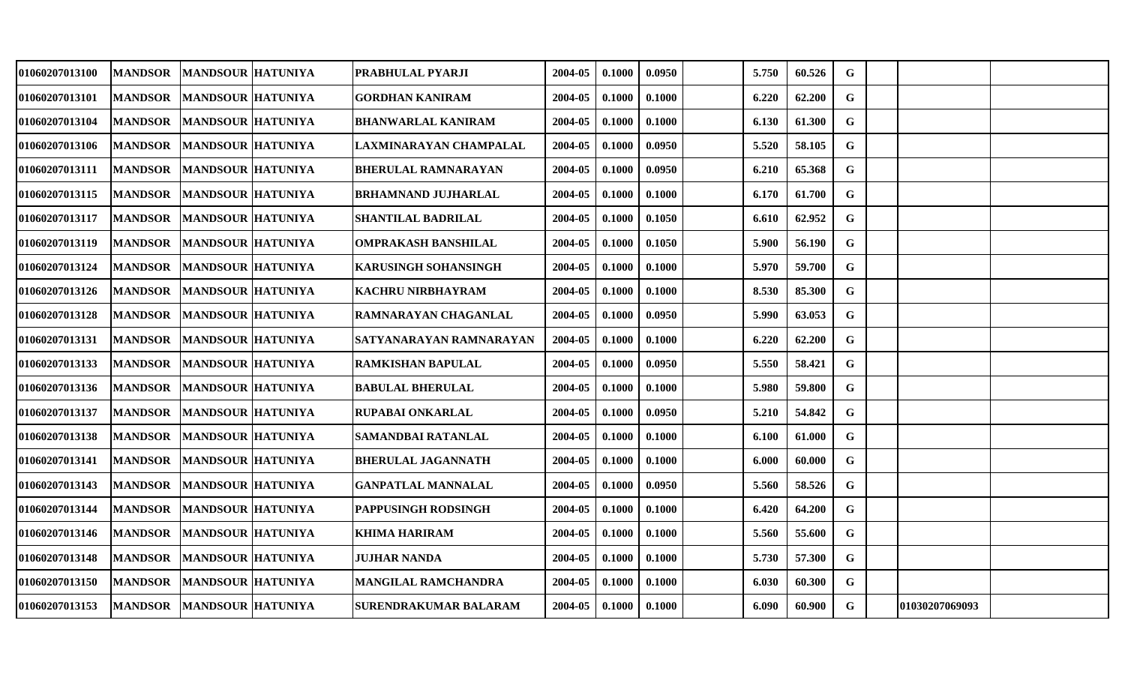| 01060207013100 | <b>MANDSOR</b> | <b>MANDSOUR HATUNIYA</b> | PRABHULAL PYARJI            | 2004-05 | 0.1000 | 0.0950 | 5.750 | 60.526 | G           |                |  |
|----------------|----------------|--------------------------|-----------------------------|---------|--------|--------|-------|--------|-------------|----------------|--|
| 01060207013101 | <b>MANDSOR</b> | <b>MANDSOUR HATUNIYA</b> | <b>GORDHAN KANIRAM</b>      | 2004-05 | 0.1000 | 0.1000 | 6.220 | 62.200 | G           |                |  |
| 01060207013104 | <b>MANDSOR</b> | <b>MANDSOUR HATUNIYA</b> | <b>BHANWARLAL KANIRAM</b>   | 2004-05 | 0.1000 | 0.1000 | 6.130 | 61.300 | $\mathbf G$ |                |  |
| 01060207013106 | <b>MANDSOR</b> | <b>MANDSOUR HATUNIYA</b> | LAXMINARAYAN CHAMPALAL      | 2004-05 | 0.1000 | 0.0950 | 5.520 | 58.105 | G           |                |  |
| 01060207013111 | <b>MANDSOR</b> | <b>MANDSOUR HATUNIYA</b> | <b>BHERULAL RAMNARAYAN</b>  | 2004-05 | 0.1000 | 0.0950 | 6.210 | 65.368 | $\mathbf G$ |                |  |
| 01060207013115 | <b>MANDSOR</b> | <b>MANDSOUR HATUNIYA</b> | <b>BRHAMNAND JUJHARLAL</b>  | 2004-05 | 0.1000 | 0.1000 | 6.170 | 61.700 | G           |                |  |
| 01060207013117 | <b>MANDSOR</b> | <b>MANDSOUR HATUNIYA</b> | SHANTILAL BADRILAL          | 2004-05 | 0.1000 | 0.1050 | 6.610 | 62.952 | $\mathbf G$ |                |  |
| 01060207013119 | <b>MANDSOR</b> | <b>MANDSOUR HATUNIYA</b> | <b>OMPRAKASH BANSHILAL</b>  | 2004-05 | 0.1000 | 0.1050 | 5.900 | 56.190 | G           |                |  |
| 01060207013124 | <b>MANDSOR</b> | <b>MANDSOUR HATUNIYA</b> | <b>KARUSINGH SOHANSINGH</b> | 2004-05 | 0.1000 | 0.1000 | 5.970 | 59.700 | $\mathbf G$ |                |  |
| 01060207013126 | <b>MANDSOR</b> | <b>MANDSOUR HATUNIYA</b> | <b>KACHRU NIRBHAYRAM</b>    | 2004-05 | 0.1000 | 0.1000 | 8.530 | 85.300 | G           |                |  |
| 01060207013128 | <b>MANDSOR</b> | <b>MANDSOUR HATUNIYA</b> | RAMNARAYAN CHAGANLAL        | 2004-05 | 0.1000 | 0.0950 | 5.990 | 63.053 | G           |                |  |
| 01060207013131 | <b>MANDSOR</b> | <b>MANDSOUR HATUNIYA</b> | SATYANARAYAN RAMNARAYAN     | 2004-05 | 0.1000 | 0.1000 | 6.220 | 62.200 | G           |                |  |
| 01060207013133 | <b>MANDSOR</b> | <b>MANDSOUR HATUNIYA</b> | <b>RAMKISHAN BAPULAL</b>    | 2004-05 | 0.1000 | 0.0950 | 5.550 | 58.421 | $\mathbf G$ |                |  |
| 01060207013136 | <b>MANDSOR</b> | <b>MANDSOUR HATUNIYA</b> | <b>BABULAL BHERULAL</b>     | 2004-05 | 0.1000 | 0.1000 | 5.980 | 59.800 | G           |                |  |
| 01060207013137 | <b>MANDSOR</b> | <b>MANDSOUR HATUNIYA</b> | RUPABAI ONKARLAL            | 2004-05 | 0.1000 | 0.0950 | 5.210 | 54.842 | $\mathbf G$ |                |  |
| 01060207013138 | <b>MANDSOR</b> | <b>MANDSOUR HATUNIYA</b> | SAMANDBAI RATANLAL          | 2004-05 | 0.1000 | 0.1000 | 6.100 | 61.000 | $\mathbf G$ |                |  |
| 01060207013141 | <b>MANDSOR</b> | <b>MANDSOUR HATUNIYA</b> | <b>BHERULAL JAGANNATH</b>   | 2004-05 | 0.1000 | 0.1000 | 6.000 | 60.000 | $\mathbf G$ |                |  |
| 01060207013143 | <b>MANDSOR</b> | <b>MANDSOUR HATUNIYA</b> | <b>GANPATLAL MANNALAL</b>   | 2004-05 | 0.1000 | 0.0950 | 5.560 | 58.526 | G           |                |  |
| 01060207013144 | <b>MANDSOR</b> | <b>MANDSOUR HATUNIYA</b> | PAPPUSINGH RODSINGH         | 2004-05 | 0.1000 | 0.1000 | 6.420 | 64.200 | $\mathbf G$ |                |  |
| 01060207013146 | <b>MANDSOR</b> | <b>MANDSOUR HATUNIYA</b> | <b>KHIMA HARIRAM</b>        | 2004-05 | 0.1000 | 0.1000 | 5.560 | 55.600 | $\mathbf G$ |                |  |
| 01060207013148 | <b>MANDSOR</b> | <b>MANDSOUR HATUNIYA</b> | <b>JUJHAR NANDA</b>         | 2004-05 | 0.1000 | 0.1000 | 5.730 | 57.300 | $\mathbf G$ |                |  |
| 01060207013150 | <b>MANDSOR</b> | <b>MANDSOUR HATUNIYA</b> | <b>MANGILAL RAMCHANDRA</b>  | 2004-05 | 0.1000 | 0.1000 | 6.030 | 60.300 | G           |                |  |
| 01060207013153 | <b>MANDSOR</b> | <b>MANDSOUR HATUNIYA</b> | SURENDRAKUMAR BALARAM       | 2004-05 | 0.1000 | 0.1000 | 6.090 | 60.900 | G           | 01030207069093 |  |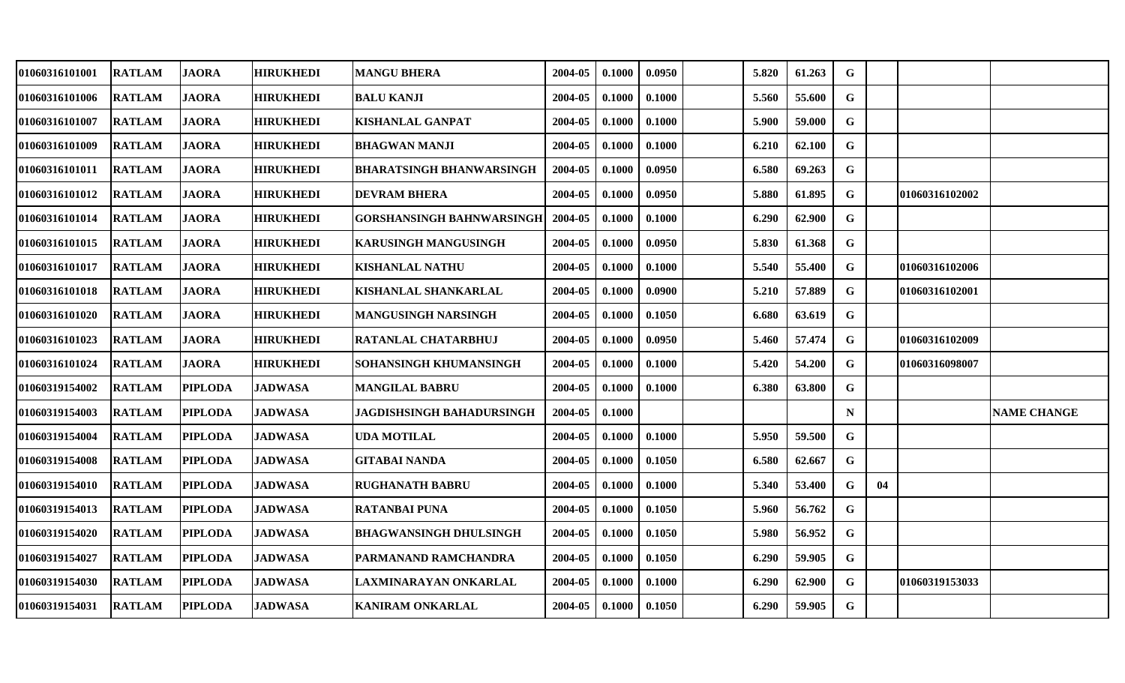| 01060316101001        | <b>RATLAM</b> | <b>JAORA</b>   | <b>HIRUKHEDI</b> | <b>MANGU BHERA</b>              | 2004-05 | 0.1000 | 0.0950 | 5.820 | 61.263 | G           |    |                |                    |
|-----------------------|---------------|----------------|------------------|---------------------------------|---------|--------|--------|-------|--------|-------------|----|----------------|--------------------|
| 01060316101006        | <b>RATLAM</b> | <b>JAORA</b>   | <b>HIRUKHEDI</b> | <b>BALU KANJI</b>               | 2004-05 | 0.1000 | 0.1000 | 5.560 | 55.600 | G           |    |                |                    |
| 01060316101007        | <b>RATLAM</b> | <b>JAORA</b>   | <b>HIRUKHEDI</b> | <b>KISHANLAL GANPAT</b>         | 2004-05 | 0.1000 | 0.1000 | 5.900 | 59.000 | $\mathbf G$ |    |                |                    |
| 01060316101009        | <b>RATLAM</b> | <b>JAORA</b>   | <b>HIRUKHEDI</b> | <b>BHAGWAN MANJI</b>            | 2004-05 | 0.1000 | 0.1000 | 6.210 | 62.100 | $\mathbf G$ |    |                |                    |
| 01060316101011        | <b>RATLAM</b> | <b>JAORA</b>   | <b>HIRUKHEDI</b> | <b>BHARATSINGH BHANWARSINGH</b> | 2004-05 | 0.1000 | 0.0950 | 6.580 | 69.263 | $\mathbf G$ |    |                |                    |
| 01060316101012        | <b>RATLAM</b> | <b>JAORA</b>   | <b>HIRUKHEDI</b> | <b>DEVRAM BHERA</b>             | 2004-05 | 0.1000 | 0.0950 | 5.880 | 61.895 | G           |    | 01060316102002 |                    |
| 01060316101014        | <b>RATLAM</b> | <b>JAORA</b>   | <b>HIRUKHEDI</b> | GORSHANSINGH BAHNWARSINGH       | 2004-05 | 0.1000 | 0.1000 | 6.290 | 62.900 | G           |    |                |                    |
| 01060316101015        | <b>RATLAM</b> | <b>JAORA</b>   | <b>HIRUKHEDI</b> | <b>KARUSINGH MANGUSINGH</b>     | 2004-05 | 0.1000 | 0.0950 | 5.830 | 61.368 | G           |    |                |                    |
| 01060316101017        | <b>RATLAM</b> | <b>JAORA</b>   | <b>HIRUKHEDI</b> | <b>KISHANLAL NATHU</b>          | 2004-05 | 0.1000 | 0.1000 | 5.540 | 55.400 | G           |    | 01060316102006 |                    |
| 01060316101018        | <b>RATLAM</b> | <b>JAORA</b>   | <b>HIRUKHEDI</b> | KISHANLAL SHANKARLAL            | 2004-05 | 0.1000 | 0.0900 | 5.210 | 57.889 | G           |    | 01060316102001 |                    |
| 01060316101020        | <b>RATLAM</b> | <b>JAORA</b>   | <b>HIRUKHEDI</b> | <b>MANGUSINGH NARSINGH</b>      | 2004-05 | 0.1000 | 0.1050 | 6.680 | 63.619 | G           |    |                |                    |
| 01060316101023        | <b>RATLAM</b> | <b>JAORA</b>   | <b>HIRUKHEDI</b> | RATANLAL CHATARBHUJ             | 2004-05 | 0.1000 | 0.0950 | 5.460 | 57,474 | G           |    | 01060316102009 |                    |
| 01060316101024        | <b>RATLAM</b> | <b>JAORA</b>   | <b>HIRUKHEDI</b> | SOHANSINGH KHUMANSINGH          | 2004-05 | 0.1000 | 0.1000 | 5.420 | 54.200 | G           |    | 01060316098007 |                    |
| 01060319154002        | <b>RATLAM</b> | <b>PIPLODA</b> | <b>JADWASA</b>   | <b>MANGILAL BABRU</b>           | 2004-05 | 0.1000 | 0.1000 | 6.380 | 63.800 | G           |    |                |                    |
| 01060319154003        | <b>RATLAM</b> | <b>PIPLODA</b> | <b>JADWASA</b>   | JAGDISHSINGH BAHADURSINGH       | 2004-05 | 0.1000 |        |       |        | $\mathbf N$ |    |                | <b>NAME CHANGE</b> |
| 01060319154004        | <b>RATLAM</b> | <b>PIPLODA</b> | <b>JADWASA</b>   | <b>UDA MOTILAL</b>              | 2004-05 | 0.1000 | 0.1000 | 5.950 | 59.500 | $\mathbf G$ |    |                |                    |
| 01060319154008        | <b>RATLAM</b> | <b>PIPLODA</b> | <b>JADWASA</b>   | <b>GITABAI NANDA</b>            | 2004-05 | 0.1000 | 0.1050 | 6.580 | 62.667 | $\mathbf G$ |    |                |                    |
| <b>01060319154010</b> | <b>RATLAM</b> | <b>PIPLODA</b> | <b>JADWASA</b>   | <b>RUGHANATH BABRU</b>          | 2004-05 | 0.1000 | 0.1000 | 5.340 | 53.400 | G           | 04 |                |                    |
| 01060319154013        | <b>RATLAM</b> | <b>PIPLODA</b> | <b>JADWASA</b>   | <b>RATANBAI PUNA</b>            | 2004-05 | 0.1000 | 0.1050 | 5.960 | 56.762 | G           |    |                |                    |
| 01060319154020        | <b>RATLAM</b> | <b>PIPLODA</b> | <b>JADWASA</b>   | <b>BHAGWANSINGH DHULSINGH</b>   | 2004-05 | 0.1000 | 0.1050 | 5.980 | 56.952 | G           |    |                |                    |
| 01060319154027        | <b>RATLAM</b> | <b>PIPLODA</b> | <b>JADWASA</b>   | PARMANAND RAMCHANDRA            | 2004-05 | 0.1000 | 0.1050 | 6.290 | 59.905 | G           |    |                |                    |
| 01060319154030        | <b>RATLAM</b> | <b>PIPLODA</b> | <b>JADWASA</b>   | LAXMINARAYAN ONKARLAL           | 2004-05 | 0.1000 | 0.1000 | 6.290 | 62.900 | G           |    | 01060319153033 |                    |
| 01060319154031        | <b>RATLAM</b> | <b>PIPLODA</b> | <b>JADWASA</b>   | <b>KANIRAM ONKARLAL</b>         | 2004-05 | 0.1000 | 0.1050 | 6.290 | 59.905 | G           |    |                |                    |
|                       |               |                |                  |                                 |         |        |        |       |        |             |    |                |                    |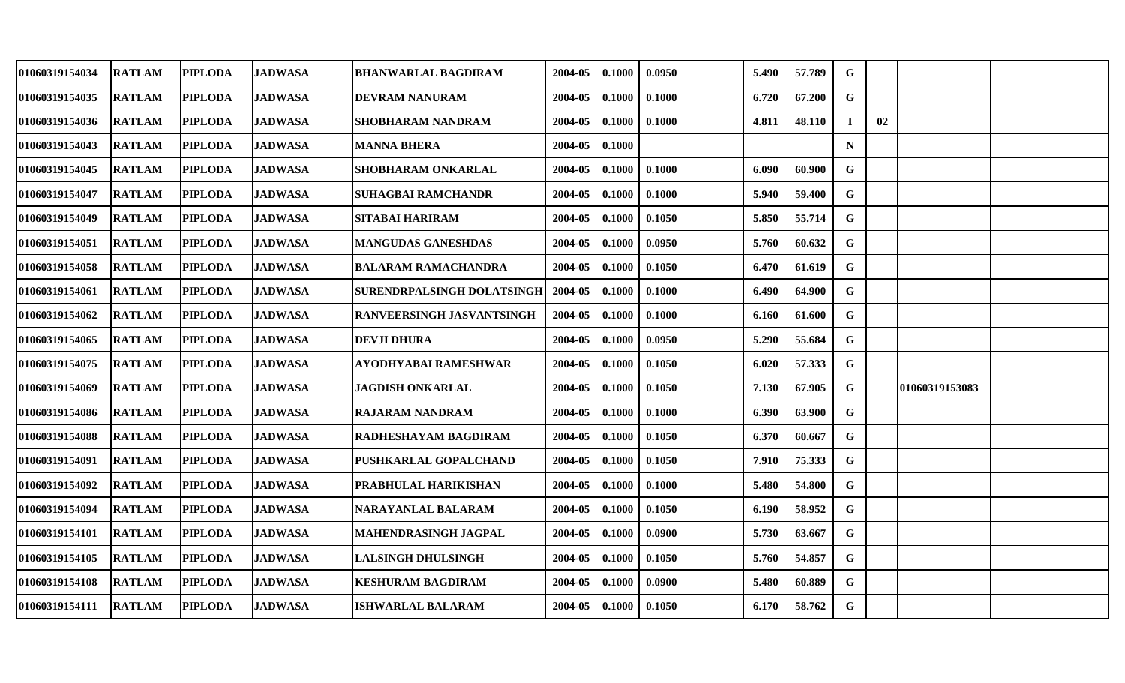| 01060319154034 | <b>RATLAM</b> | <b>PIPLODA</b> | <b>JADWASA</b> | <b>BHANWARLAL BAGDIRAM</b>  | 2004-05 | 0.1000 | 0.0950 | 5.490 | 57.789 | G           |    |                |  |
|----------------|---------------|----------------|----------------|-----------------------------|---------|--------|--------|-------|--------|-------------|----|----------------|--|
| 01060319154035 | <b>RATLAM</b> | <b>PIPLODA</b> | <b>JADWASA</b> | DEVRAM NANURAM              | 2004-05 | 0.1000 | 0.1000 | 6.720 | 67.200 | G           |    |                |  |
| 01060319154036 | <b>RATLAM</b> | <b>PIPLODA</b> | <b>JADWASA</b> | SHOBHARAM NANDRAM           | 2004-05 | 0.1000 | 0.1000 | 4.811 | 48.110 | -1          | 02 |                |  |
| 01060319154043 | <b>RATLAM</b> | <b>PIPLODA</b> | <b>JADWASA</b> | <b>MANNA BHERA</b>          | 2004-05 | 0.1000 |        |       |        | $\mathbf N$ |    |                |  |
| 01060319154045 | <b>RATLAM</b> | <b>PIPLODA</b> | <b>JADWASA</b> | SHOBHARAM ONKARLAL          | 2004-05 | 0.1000 | 0.1000 | 6.090 | 60.900 | $\mathbf G$ |    |                |  |
| 01060319154047 | <b>RATLAM</b> | <b>PIPLODA</b> | <b>JADWASA</b> | <b>SUHAGBAI RAMCHANDR</b>   | 2004-05 | 0.1000 | 0.1000 | 5.940 | 59.400 | G           |    |                |  |
| 01060319154049 | <b>RATLAM</b> | <b>PIPLODA</b> | <b>JADWASA</b> | SITABAI HARIRAM             | 2004-05 | 0.1000 | 0.1050 | 5.850 | 55.714 | G           |    |                |  |
| 01060319154051 | <b>RATLAM</b> | <b>PIPLODA</b> | <b>JADWASA</b> | <b>MANGUDAS GANESHDAS</b>   | 2004-05 | 0.1000 | 0.0950 | 5.760 | 60.632 | G           |    |                |  |
| 01060319154058 | <b>RATLAM</b> | <b>PIPLODA</b> | <b>JADWASA</b> | <b>BALARAM RAMACHANDRA</b>  | 2004-05 | 0.1000 | 0.1050 | 6.470 | 61.619 | $\mathbf G$ |    |                |  |
| 01060319154061 | <b>RATLAM</b> | <b>PIPLODA</b> | <b>JADWASA</b> | SURENDRPALSINGH DOLATSINGH  | 2004-05 | 0.1000 | 0.1000 | 6.490 | 64.900 | G           |    |                |  |
| 01060319154062 | <b>RATLAM</b> | <b>PIPLODA</b> | <b>JADWASA</b> | RANVEERSINGH JASVANTSINGH   | 2004-05 | 0.1000 | 0.1000 | 6.160 | 61.600 | G           |    |                |  |
| 01060319154065 | <b>RATLAM</b> | <b>PIPLODA</b> | <b>JADWASA</b> | <b>DEVJI DHURA</b>          | 2004-05 | 0.1000 | 0.0950 | 5.290 | 55.684 | G           |    |                |  |
| 01060319154075 | <b>RATLAM</b> | <b>PIPLODA</b> | <b>JADWASA</b> | AYODHYABAI RAMESHWAR        | 2004-05 | 0.1000 | 0.1050 | 6.020 | 57.333 | $\mathbf G$ |    |                |  |
| 01060319154069 | <b>RATLAM</b> | <b>PIPLODA</b> | <b>JADWASA</b> | <b>JAGDISH ONKARLAL</b>     | 2004-05 | 0.1000 | 0.1050 | 7.130 | 67.905 | G           |    | 01060319153083 |  |
| 01060319154086 | <b>RATLAM</b> | <b>PIPLODA</b> | <b>JADWASA</b> | <b>RAJARAM NANDRAM</b>      | 2004-05 | 0.1000 | 0.1000 | 6.390 | 63.900 | G           |    |                |  |
| 01060319154088 | <b>RATLAM</b> | <b>PIPLODA</b> | <b>JADWASA</b> | RADHESHAYAM BAGDIRAM        | 2004-05 | 0.1000 | 0.1050 | 6.370 | 60.667 | $\mathbf G$ |    |                |  |
| 01060319154091 | <b>RATLAM</b> | <b>PIPLODA</b> | <b>JADWASA</b> | PUSHKARLAL GOPALCHAND       | 2004-05 | 0.1000 | 0.1050 | 7.910 | 75.333 | $\mathbf G$ |    |                |  |
| 01060319154092 | <b>RATLAM</b> | <b>PIPLODA</b> | <b>JADWASA</b> | PRABHULAL HARIKISHAN        | 2004-05 | 0.1000 | 0.1000 | 5.480 | 54.800 | G           |    |                |  |
| 01060319154094 | <b>RATLAM</b> | <b>PIPLODA</b> | <b>JADWASA</b> | NARAYANLAL BALARAM          | 2004-05 | 0.1000 | 0.1050 | 6.190 | 58.952 | G           |    |                |  |
| 01060319154101 | <b>RATLAM</b> | <b>PIPLODA</b> | <b>JADWASA</b> | <b>MAHENDRASINGH JAGPAL</b> | 2004-05 | 0.1000 | 0.0900 | 5.730 | 63.667 | G           |    |                |  |
| 01060319154105 | <b>RATLAM</b> | <b>PIPLODA</b> | <b>JADWASA</b> | <b>LALSINGH DHULSINGH</b>   | 2004-05 | 0.1000 | 0.1050 | 5.760 | 54.857 | G           |    |                |  |
| 01060319154108 | <b>RATLAM</b> | <b>PIPLODA</b> | <b>JADWASA</b> | <b>KESHURAM BAGDIRAM</b>    | 2004-05 | 0.1000 | 0.0900 | 5.480 | 60.889 | $\mathbf G$ |    |                |  |
| 01060319154111 | <b>RATLAM</b> | <b>PIPLODA</b> | <b>JADWASA</b> | <b>ISHWARLAL BALARAM</b>    | 2004-05 | 0.1000 | 0.1050 | 6.170 | 58.762 | G           |    |                |  |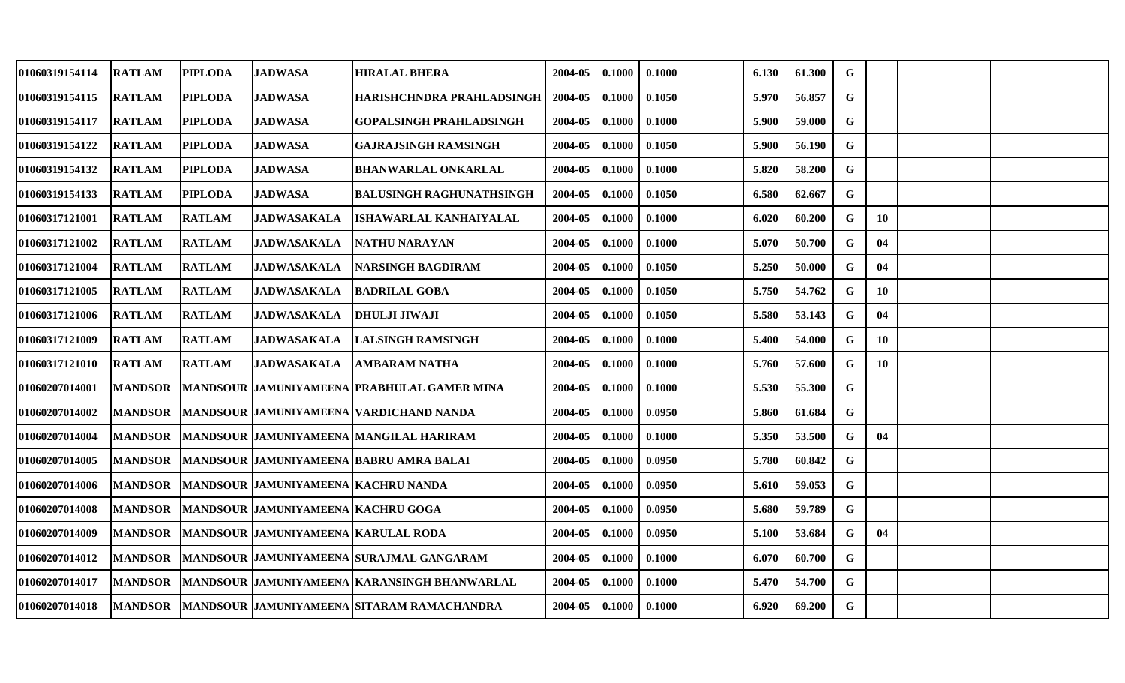| 01060319154114        | <b>RATLAM</b>  | <b>PIPLODA</b> | <b>JADWASA</b>                      | <b>HIRALAL BHERA</b>                                  | 2004-05 | 0.1000 | 0.1000 | 6.130 | 61.300 | G           |    |  |
|-----------------------|----------------|----------------|-------------------------------------|-------------------------------------------------------|---------|--------|--------|-------|--------|-------------|----|--|
| 01060319154115        | <b>RATLAM</b>  | <b>PIPLODA</b> | <b>JADWASA</b>                      | HARISHCHNDRA PRAHLADSINGH                             | 2004-05 | 0.1000 | 0.1050 | 5.970 | 56.857 | $\mathbf G$ |    |  |
| <b>01060319154117</b> | <b>RATLAM</b>  | <b>PIPLODA</b> | <b>JADWASA</b>                      | GOPALSINGH PRAHLADSINGH                               | 2004-05 | 0.1000 | 0.1000 | 5.900 | 59.000 | G           |    |  |
| 01060319154122        | <b>RATLAM</b>  | <b>PIPLODA</b> | <b>JADWASA</b>                      | GAJRAJSINGH RAMSINGH                                  | 2004-05 | 0.1000 | 0.1050 | 5.900 | 56.190 | G           |    |  |
| 01060319154132        | <b>RATLAM</b>  | <b>PIPLODA</b> | <b>JADWASA</b>                      | <b>BHANWARLAL ONKARLAL</b>                            | 2004-05 | 0.1000 | 0.1000 | 5.820 | 58.200 | ${\bf G}$   |    |  |
| 01060319154133        | <b>RATLAM</b>  | <b>PIPLODA</b> | <b>JADWASA</b>                      | <b>BALUSINGH RAGHUNATHSINGH</b>                       | 2004-05 | 0.1000 | 0.1050 | 6.580 | 62.667 | $\mathbf G$ |    |  |
| 01060317121001        | <b>RATLAM</b>  | <b>RATLAM</b>  | <b>JADWASAKALA</b>                  | ISHAWARLAL KANHAIYALAL                                | 2004-05 | 0.1000 | 0.1000 | 6.020 | 60.200 | G           | 10 |  |
| 01060317121002        | <b>RATLAM</b>  | <b>RATLAM</b>  | <b>JADWASAKALA</b>                  | NATHU NARAYAN                                         | 2004-05 | 0.1000 | 0.1000 | 5.070 | 50.700 | G           | 04 |  |
| 01060317121004        | <b>RATLAM</b>  | <b>RATLAM</b>  | <b>JADWASAKALA</b>                  | NARSINGH BAGDIRAM                                     | 2004-05 | 0.1000 | 0.1050 | 5.250 | 50.000 | G           | 04 |  |
| 01060317121005        | <b>RATLAM</b>  | <b>RATLAM</b>  | JADWASAKALA                         | BADRILAL GOBA                                         | 2004-05 | 0.1000 | 0.1050 | 5.750 | 54.762 | G           | 10 |  |
| <b>01060317121006</b> | <b>RATLAM</b>  | <b>RATLAM</b>  | <b>JADWASAKALA</b>                  | <b>DHULJI JIWAJI</b>                                  | 2004-05 | 0.1000 | 0.1050 | 5.580 | 53.143 | G           | 04 |  |
| 01060317121009        | <b>RATLAM</b>  | <b>RATLAM</b>  | <b>JADWASAKALA</b>                  | <b>LALSINGH RAMSINGH</b>                              | 2004-05 | 0.1000 | 0.1000 | 5.400 | 54.000 | $\mathbf G$ | 10 |  |
| 01060317121010        | <b>RATLAM</b>  | <b>RATLAM</b>  | <b>JADWASAKALA</b>                  | AMBARAM NATHA                                         | 2004-05 | 0.1000 | 0.1000 | 5.760 | 57.600 | G           | 10 |  |
| 01060207014001        | <b>MANDSOR</b> |                |                                     | MANDSOUR JAMUNIYAMEENA PRABHULAL GAMER MINA           | 2004-05 | 0.1000 | 0.1000 | 5.530 | 55.300 | G           |    |  |
| 01060207014002        | <b>MANDSOR</b> |                |                                     | MANDSOUR JAMUNIYAMEENA VARDICHAND NANDA               | 2004-05 | 0.1000 | 0.0950 | 5.860 | 61.684 | $\mathbf G$ |    |  |
| 01060207014004        | <b>MANDSOR</b> |                |                                     | <b>MANDSOUR JAMUNIYAMEENA MANGILAL HARIRAM</b>        | 2004-05 | 0.1000 | 0.1000 | 5.350 | 53.500 | $\mathbf G$ | 04 |  |
| 01060207014005        | <b>MANDSOR</b> |                |                                     | MANDSOUR  JAMUNIYAMEENA  BABRU AMRA BALAI             | 2004-05 | 0.1000 | 0.0950 | 5.780 | 60.842 | G           |    |  |
| 01060207014006        | <b>MANDSOR</b> |                | MANDSOUR JAMUNIYAMEENA KACHRU NANDA |                                                       | 2004-05 | 0.1000 | 0.0950 | 5.610 | 59.053 | $\mathbf G$ |    |  |
| 01060207014008        | <b>MANDSOR</b> |                | MANDSOUR JAMUNIYAMEENA KACHRU GOGA  |                                                       | 2004-05 | 0.1000 | 0.0950 | 5.680 | 59.789 | $\mathbf G$ |    |  |
| <b>01060207014009</b> | <b>MANDSOR</b> |                | MANDSOUR JAMUNIYAMEENA KARULAL RODA |                                                       | 2004-05 | 0.1000 | 0.0950 | 5.100 | 53.684 | G           | 04 |  |
| 01060207014012        | <b>MANDSOR</b> |                |                                     | MANDSOUR JAMUNIYAMEENA SURAJMAL GANGARAM              | 2004-05 | 0.1000 | 0.1000 | 6.070 | 60.700 | $\mathbf G$ |    |  |
| 01060207014017        | <b>MANDSOR</b> |                |                                     | <b>IMANDSOUR JAMUNIYAMEENA IKARANSINGH BHANWARLAL</b> | 2004-05 | 0.1000 | 0.1000 | 5.470 | 54.700 | G           |    |  |
| <b>01060207014018</b> | <b>MANDSOR</b> |                |                                     | MANDSOUR JAMUNIYAMEENA SITARAM RAMACHANDRA            | 2004-05 | 0.1000 | 0.1000 | 6.920 | 69.200 | G           |    |  |
|                       |                |                |                                     |                                                       |         |        |        |       |        |             |    |  |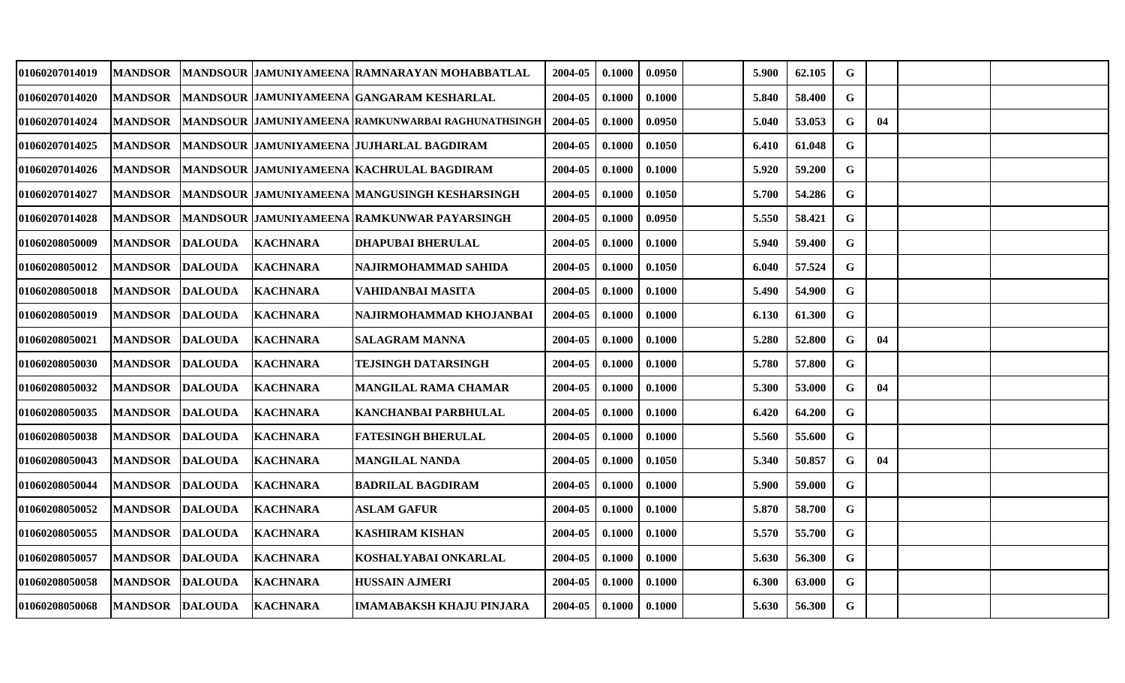| 01060207014019        | <b>MANDSOR</b> |                |                 | MANDSOUR JAMUNIYAMEENA RAMNARAYAN MOHABBATLAL        | 2004-05 | 0.1000 | 0.0950 | 5.900 | 62.105 | G           |    |  |
|-----------------------|----------------|----------------|-----------------|------------------------------------------------------|---------|--------|--------|-------|--------|-------------|----|--|
| 01060207014020        | <b>MANDSOR</b> |                |                 | MANDSOUR JAMUNIYAMEENA IGANGARAM KESHARLAL           | 2004-05 | 0.1000 | 0.1000 | 5.840 | 58.400 | $\mathbf G$ |    |  |
| <b>01060207014024</b> | <b>MANDSOR</b> |                |                 | MANDSOUR JAMUNIYAMEENA RAMKUNWARBAI RAGHUNATHSINGH   | 2004-05 | 0.1000 | 0.0950 | 5.040 | 53.053 | G           | 04 |  |
| 01060207014025        | <b>MANDSOR</b> |                |                 | MANDSOUR JAMUNIYAMEENA JUJHARLAL BAGDIRAM            | 2004-05 | 0.1000 | 0.1050 | 6.410 | 61.048 | G           |    |  |
| <b>01060207014026</b> | <b>MANDSOR</b> |                |                 | MANDSOUR JAMUNIYAMEENA  KACHRULAL BAGDIRAM           | 2004-05 | 0.1000 | 0.1000 | 5.920 | 59.200 | G           |    |  |
| 01060207014027        | <b>MANDSOR</b> |                |                 | <b>MANDSOUR JAMUNIYAMEENA MANGUSINGH KESHARSINGH</b> | 2004-05 | 0.1000 | 0.1050 | 5.700 | 54.286 | $\mathbf G$ |    |  |
| 01060207014028        | <b>MANDSOR</b> |                |                 | MANDSOUR  JAMUNIYAMEENA  RAMKUNWAR PAYARSINGH        | 2004-05 | 0.1000 | 0.0950 | 5.550 | 58.421 | G           |    |  |
| 01060208050009        | <b>MANDSOR</b> | <b>DALOUDA</b> | <b>KACHNARA</b> | <b>DHAPUBAI BHERULAL</b>                             | 2004-05 | 0.1000 | 0.1000 | 5.940 | 59.400 | G           |    |  |
| 01060208050012        | <b>MANDSOR</b> | <b>DALOUDA</b> | <b>KACHNARA</b> | NAJIRMOHAMMAD SAHIDA                                 | 2004-05 | 0.1000 | 0.1050 | 6.040 | 57.524 | G           |    |  |
| 01060208050018        | <b>MANDSOR</b> | <b>DALOUDA</b> | <b>KACHNARA</b> | VAHIDANBAI MASITA                                    | 2004-05 | 0.1000 | 0.1000 | 5.490 | 54.900 | G           |    |  |
| 01060208050019        | <b>MANDSOR</b> | <b>DALOUDA</b> | <b>KACHNARA</b> | NAJIRMOHAMMAD KHOJANBAI                              | 2004-05 | 0.1000 | 0.1000 | 6.130 | 61.300 | $\mathbf G$ |    |  |
| 01060208050021        | <b>MANDSOR</b> | <b>DALOUDA</b> | <b>KACHNARA</b> | <b>SALAGRAM MANNA</b>                                | 2004-05 | 0.1000 | 0.1000 | 5.280 | 52.800 | G           | 04 |  |
| 01060208050030        | <b>MANDSOR</b> | <b>DALOUDA</b> | <b>KACHNARA</b> | TEJSINGH DATARSINGH                                  | 2004-05 | 0.1000 | 0.1000 | 5.780 | 57.800 | $\mathbf G$ |    |  |
| 01060208050032        | <b>MANDSOR</b> | <b>DALOUDA</b> | <b>KACHNARA</b> | MANGILAL RAMA CHAMAR                                 | 2004-05 | 0.1000 | 0.1000 | 5.300 | 53.000 | G           | 04 |  |
| 01060208050035        | <b>MANDSOR</b> | <b>DALOUDA</b> | <b>KACHNARA</b> | <b>KANCHANBAI PARBHULAL</b>                          | 2004-05 | 0.1000 | 0.1000 | 6.420 | 64.200 | $\mathbf G$ |    |  |
| 01060208050038        | <b>MANDSOR</b> | <b>DALOUDA</b> | <b>KACHNARA</b> | <b>FATESINGH BHERULAL</b>                            | 2004-05 | 0.1000 | 0.1000 | 5.560 | 55.600 | G           |    |  |
| 01060208050043        | <b>MANDSOR</b> | <b>DALOUDA</b> | <b>KACHNARA</b> | <b>MANGILAL NANDA</b>                                | 2004-05 | 0.1000 | 0.1050 | 5.340 | 50.857 | G           | 04 |  |
| 01060208050044        | <b>MANDSOR</b> | <b>DALOUDA</b> | <b>KACHNARA</b> | <b>BADRILAL BAGDIRAM</b>                             | 2004-05 | 0.1000 | 0.1000 | 5.900 | 59.000 | $\mathbf G$ |    |  |
| 01060208050052        | <b>MANDSOR</b> | <b>DALOUDA</b> | <b>KACHNARA</b> | <b>ASLAM GAFUR</b>                                   | 2004-05 | 0.1000 | 0.1000 | 5.870 | 58.700 | G           |    |  |
| <b>01060208050055</b> | <b>MANDSOR</b> | <b>DALOUDA</b> | <b>KACHNARA</b> | <b>KASHIRAM KISHAN</b>                               | 2004-05 | 0.1000 | 0.1000 | 5.570 | 55.700 | $\mathbf G$ |    |  |
| 01060208050057        | <b>MANDSOR</b> | <b>DALOUDA</b> | <b>KACHNARA</b> | KOSHALYABAI ONKARLAL                                 | 2004-05 | 0.1000 | 0.1000 | 5.630 | 56.300 | G           |    |  |
| 01060208050058        | <b>MANDSOR</b> | <b>DALOUDA</b> | <b>KACHNARA</b> | <b>HUSSAIN AJMERI</b>                                | 2004-05 | 0.1000 | 0.1000 | 6.300 | 63.000 | G           |    |  |
| 01060208050068        | <b>MANDSOR</b> | <b>DALOUDA</b> | <b>KACHNARA</b> | IMAMABAKSH KHAJU PINJARA                             | 2004-05 | 0.1000 | 0.1000 | 5.630 | 56.300 | G           |    |  |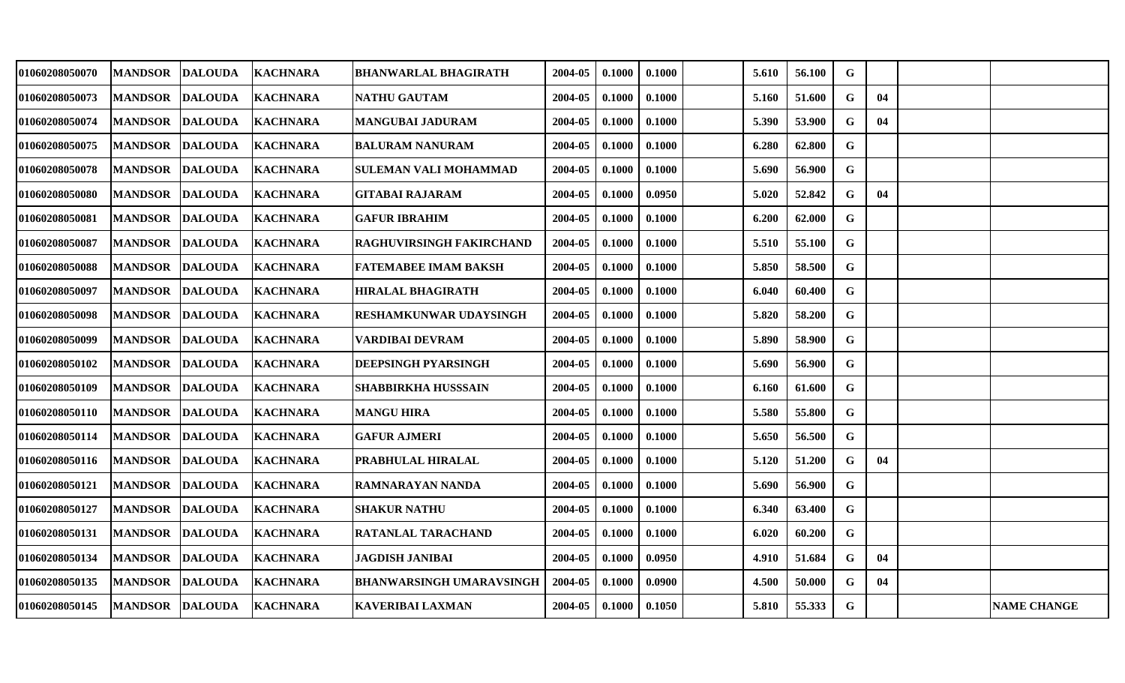| 01060208050070 | <b>MANDSOR</b> | <b>DALOUDA</b>           | <b>KACHNARA</b> | <b>BHANWARLAL BHAGIRATH</b>     | 2004-05 | 0.1000 | 0.1000 | 5.610 | 56.100 | G           |    |                    |
|----------------|----------------|--------------------------|-----------------|---------------------------------|---------|--------|--------|-------|--------|-------------|----|--------------------|
| 01060208050073 | <b>MANDSOR</b> | <b>DALOUDA</b>           | <b>KACHNARA</b> | NATHU GAUTAM                    | 2004-05 | 0.1000 | 0.1000 | 5.160 | 51.600 | G           | 04 |                    |
| 01060208050074 | <b>MANDSOR</b> | <b>DALOUDA</b>           | <b>KACHNARA</b> | <b>MANGUBAI JADURAM</b>         | 2004-05 | 0.1000 | 0.1000 | 5.390 | 53.900 | G           | 04 |                    |
| 01060208050075 | <b>MANDSOR</b> | <b>DALOUDA</b>           | <b>KACHNARA</b> | <b>BALURAM NANURAM</b>          | 2004-05 | 0.1000 | 0.1000 | 6.280 | 62.800 | G           |    |                    |
| 01060208050078 | <b>MANDSOR</b> | <b>DALOUDA</b>           | <b>KACHNARA</b> | SULEMAN VALI MOHAMMAD           | 2004-05 | 0.1000 | 0.1000 | 5.690 | 56.900 | G           |    |                    |
| 01060208050080 | <b>MANDSOR</b> | <b>DALOUDA</b>           | <b>KACHNARA</b> | GITABAI RAJARAM                 | 2004-05 | 0.1000 | 0.0950 | 5.020 | 52.842 | G           | 04 |                    |
| 01060208050081 | <b>MANDSOR</b> | <b>DALOUDA</b>           | <b>KACHNARA</b> | <b>GAFUR IBRAHIM</b>            | 2004-05 | 0.1000 | 0.1000 | 6.200 | 62.000 | $\mathbf G$ |    |                    |
| 01060208050087 | <b>MANDSOR</b> | <b>DALOUDA</b>           | <b>KACHNARA</b> | RAGHUVIRSINGH FAKIRCHAND        | 2004-05 | 0.1000 | 0.1000 | 5.510 | 55.100 | G           |    |                    |
| 01060208050088 | <b>MANDSOR</b> | <b>DALOUDA</b>           | <b>KACHNARA</b> | <b>FATEMABEE IMAM BAKSH</b>     | 2004-05 | 0.1000 | 0.1000 | 5.850 | 58.500 | $\mathbf G$ |    |                    |
| 01060208050097 | <b>MANDSOR</b> | <b>DALOUDA</b>           | <b>KACHNARA</b> | HIRALAL BHAGIRATH               | 2004-05 | 0.1000 | 0.1000 | 6.040 | 60.400 | G           |    |                    |
| 01060208050098 | <b>MANDSOR</b> | <b>DALOUDA</b>           | <b>KACHNARA</b> | RESHAMKUNWAR UDAYSINGH          | 2004-05 | 0.1000 | 0.1000 | 5.820 | 58.200 | $\mathbf G$ |    |                    |
| 01060208050099 | <b>MANDSOR</b> | <b>DALOUDA</b>           | <b>KACHNARA</b> | <b>VARDIBAI DEVRAM</b>          | 2004-05 | 0.1000 | 0.1000 | 5.890 | 58.900 | G           |    |                    |
| 01060208050102 | <b>MANDSOR</b> | <b>DALOUDA</b>           | <b>KACHNARA</b> | DEEPSINGH PYARSINGH             | 2004-05 | 0.1000 | 0.1000 | 5.690 | 56.900 | $\mathbf G$ |    |                    |
| 01060208050109 | <b>MANDSOR</b> | <b>DALOUDA</b>           | <b>KACHNARA</b> | SHABBIRKHA HUSSSAIN             | 2004-05 | 0.1000 | 0.1000 | 6.160 | 61.600 | G           |    |                    |
| 01060208050110 | <b>MANDSOR</b> | <b>DALOUDA</b>           | <b>KACHNARA</b> | <b>MANGU HIRA</b>               | 2004-05 | 0.1000 | 0.1000 | 5.580 | 55.800 | G           |    |                    |
| 01060208050114 | <b>MANDSOR</b> | <b>DALOUDA</b>           | <b>KACHNARA</b> | <b>GAFUR AJMERI</b>             | 2004-05 | 0.1000 | 0.1000 | 5.650 | 56.500 | G           |    |                    |
| 01060208050116 | <b>MANDSOR</b> | <b>DALOUDA</b>           | <b>KACHNARA</b> | PRABHULAL HIRALAL               | 2004-05 | 0.1000 | 0.1000 | 5.120 | 51.200 | G           | 04 |                    |
| 01060208050121 | <b>MANDSOR</b> | <b>DALOUDA</b>           | <b>KACHNARA</b> | RAMNARAYAN NANDA                | 2004-05 | 0.1000 | 0.1000 | 5.690 | 56.900 | G           |    |                    |
| 01060208050127 | <b>MANDSOR</b> | <b>DALOUDA</b>           | <b>KACHNARA</b> | <b>SHAKUR NATHU</b>             | 2004-05 | 0.1000 | 0.1000 | 6.340 | 63.400 | G           |    |                    |
| 01060208050131 | <b>MANDSOR</b> | <b>DALOUDA</b>           | <b>KACHNARA</b> | RATANLAL TARACHAND              | 2004-05 | 0.1000 | 0.1000 | 6.020 | 60.200 | G           |    |                    |
| 01060208050134 | <b>MANDSOR</b> | <b>DALOUDA</b>           | <b>KACHNARA</b> | <b>JAGDISH JANIBAI</b>          | 2004-05 | 0.1000 | 0.0950 | 4.910 | 51.684 | G           | 04 |                    |
| 01060208050135 | <b>MANDSOR</b> | <b>DALOUDA</b>           | <b>KACHNARA</b> | <b>BHANWARSINGH UMARAVSINGH</b> | 2004-05 | 0.1000 | 0.0900 | 4.500 | 50.000 | G           | 04 |                    |
| 01060208050145 |                | MANDSOR DALOUDA KACHNARA |                 | <b>KAVERIBAI LAXMAN</b>         | 2004-05 | 0.1000 | 0.1050 | 5.810 | 55.333 | $\mathbf G$ |    | <b>NAME CHANGE</b> |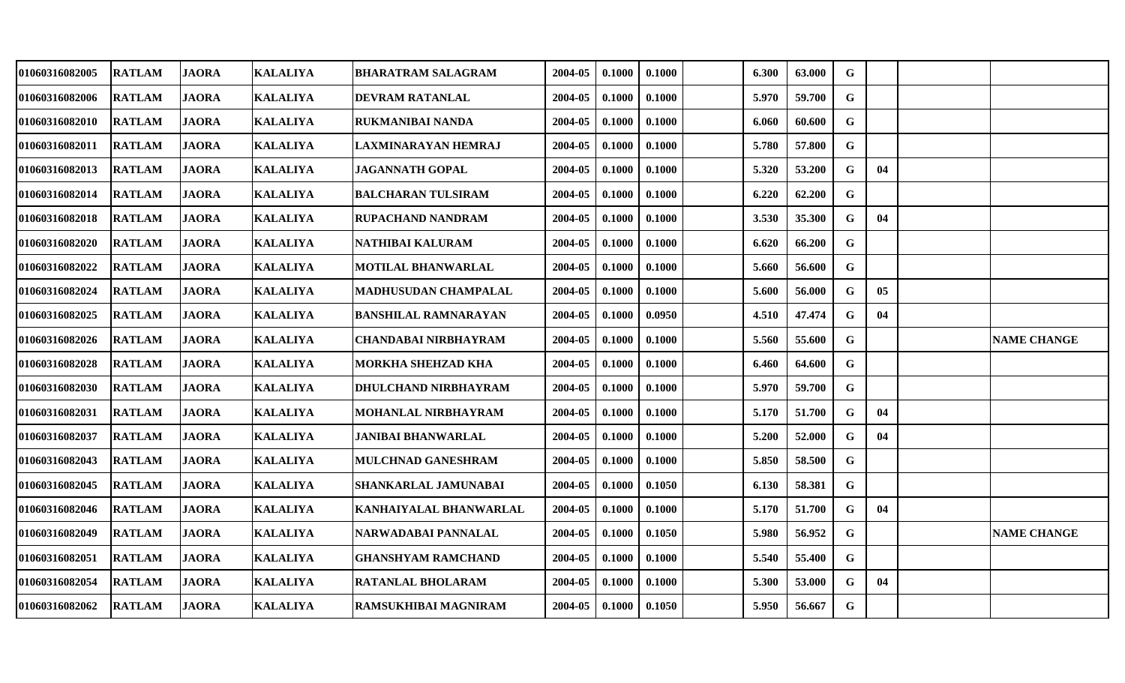| 01060316082005 | <b>RATLAM</b> | <b>JAORA</b> | <b>KALALIYA</b> | <b>BHARATRAM SALAGRAM</b>   | 2004-05 | 0.1000 | 0.1000 | 6.300 | 63.000 | $\mathbf G$ |    |                    |
|----------------|---------------|--------------|-----------------|-----------------------------|---------|--------|--------|-------|--------|-------------|----|--------------------|
| 01060316082006 | <b>RATLAM</b> | <b>JAORA</b> | <b>KALALIYA</b> | DEVRAM RATANLAL             | 2004-05 | 0.1000 | 0.1000 | 5.970 | 59.700 | G           |    |                    |
| 01060316082010 | <b>RATLAM</b> | <b>JAORA</b> | <b>KALALIYA</b> | RUKMANIBAI NANDA            | 2004-05 | 0.1000 | 0.1000 | 6.060 | 60.600 | G           |    |                    |
| 01060316082011 | <b>RATLAM</b> | <b>JAORA</b> | <b>KALALIYA</b> | <b>LAXMINARAYAN HEMRAJ</b>  | 2004-05 | 0.1000 | 0.1000 | 5.780 | 57.800 | G           |    |                    |
| 01060316082013 | <b>RATLAM</b> | <b>JAORA</b> | <b>KALALIYA</b> | <b>JAGANNATH GOPAL</b>      | 2004-05 | 0.1000 | 0.1000 | 5.320 | 53.200 | G           | 04 |                    |
| 01060316082014 | <b>RATLAM</b> | <b>JAORA</b> | <b>KALALIYA</b> | <b>BALCHARAN TULSIRAM</b>   | 2004-05 | 0.1000 | 0.1000 | 6.220 | 62.200 | G           |    |                    |
| 01060316082018 | <b>RATLAM</b> | <b>JAORA</b> | <b>KALALIYA</b> | <b>RUPACHAND NANDRAM</b>    | 2004-05 | 0.1000 | 0.1000 | 3.530 | 35.300 | $\mathbf G$ | 04 |                    |
| 01060316082020 | <b>RATLAM</b> | <b>JAORA</b> | <b>KALALIYA</b> | NATHIBAI KALURAM            | 2004-05 | 0.1000 | 0.1000 | 6.620 | 66.200 | $\mathbf G$ |    |                    |
| 01060316082022 | <b>RATLAM</b> | <b>JAORA</b> | <b>KALALIYA</b> | <b>MOTILAL BHANWARLAL</b>   | 2004-05 | 0.1000 | 0.1000 | 5.660 | 56.600 | $\mathbf G$ |    |                    |
| 01060316082024 | <b>RATLAM</b> | <b>JAORA</b> | <b>KALALIYA</b> | MADHUSUDAN CHAMPALAL        | 2004-05 | 0.1000 | 0.1000 | 5.600 | 56.000 | G           | 05 |                    |
| 01060316082025 | <b>RATLAM</b> | <b>JAORA</b> | <b>KALALIYA</b> | <b>BANSHILAL RAMNARAYAN</b> | 2004-05 | 0.1000 | 0.0950 | 4.510 | 47.474 | G           | 04 |                    |
| 01060316082026 | <b>RATLAM</b> | <b>JAORA</b> | <b>KALALIYA</b> | <b>CHANDABAI NIRBHAYRAM</b> | 2004-05 | 0.1000 | 0.1000 | 5.560 | 55.600 | $\mathbf G$ |    | <b>NAME CHANGE</b> |
| 01060316082028 | <b>RATLAM</b> | <b>JAORA</b> | <b>KALALIYA</b> | MORKHA SHEHZAD KHA          | 2004-05 | 0.1000 | 0.1000 | 6.460 | 64.600 | $\mathbf G$ |    |                    |
| 01060316082030 | <b>RATLAM</b> | <b>JAORA</b> | <b>KALALIYA</b> | DHULCHAND NIRBHAYRAM        | 2004-05 | 0.1000 | 0.1000 | 5.970 | 59.700 | $\mathbf G$ |    |                    |
| 01060316082031 | <b>RATLAM</b> | <b>JAORA</b> | <b>KALALIYA</b> | <b>MOHANLAL NIRBHAYRAM</b>  | 2004-05 | 0.1000 | 0.1000 | 5.170 | 51.700 | G           | 04 |                    |
| 01060316082037 | <b>RATLAM</b> | <b>JAORA</b> | <b>KALALIYA</b> | <b>JANIBAI BHANWARLAL</b>   | 2004-05 | 0.1000 | 0.1000 | 5.200 | 52.000 | G           | 04 |                    |
| 01060316082043 | <b>RATLAM</b> | <b>JAORA</b> | <b>KALALIYA</b> | MULCHNAD GANESHRAM          | 2004-05 | 0.1000 | 0.1000 | 5.850 | 58.500 | G           |    |                    |
| 01060316082045 | <b>RATLAM</b> | <b>JAORA</b> | <b>KALALIYA</b> | SHANKARLAL JAMUNABAI        | 2004-05 | 0.1000 | 0.1050 | 6.130 | 58.381 | G           |    |                    |
| 01060316082046 | <b>RATLAM</b> | <b>JAORA</b> | <b>KALALIYA</b> | KANHAIYALAL BHANWARLAL      | 2004-05 | 0.1000 | 0.1000 | 5.170 | 51.700 | G           | 04 |                    |
| 01060316082049 | <b>RATLAM</b> | <b>JAORA</b> | <b>KALALIYA</b> | NARWADABAI PANNALAL         | 2004-05 | 0.1000 | 0.1050 | 5.980 | 56.952 | $\mathbf G$ |    | <b>NAME CHANGE</b> |
| 01060316082051 | <b>RATLAM</b> | <b>JAORA</b> | <b>KALALIYA</b> | <b>GHANSHYAM RAMCHAND</b>   | 2004-05 | 0.1000 | 0.1000 | 5.540 | 55.400 | G           |    |                    |
| 01060316082054 | <b>RATLAM</b> | <b>JAORA</b> | <b>KALALIYA</b> | <b>RATANLAL BHOLARAM</b>    | 2004-05 | 0.1000 | 0.1000 | 5.300 | 53.000 | G           | 04 |                    |
| 01060316082062 | <b>RATLAM</b> | <b>JAORA</b> | <b>KALALIYA</b> | RAMSUKHIBAI MAGNIRAM        | 2004-05 | 0.1000 | 0.1050 | 5.950 | 56.667 | G           |    |                    |
|                |               |              |                 |                             |         |        |        |       |        |             |    |                    |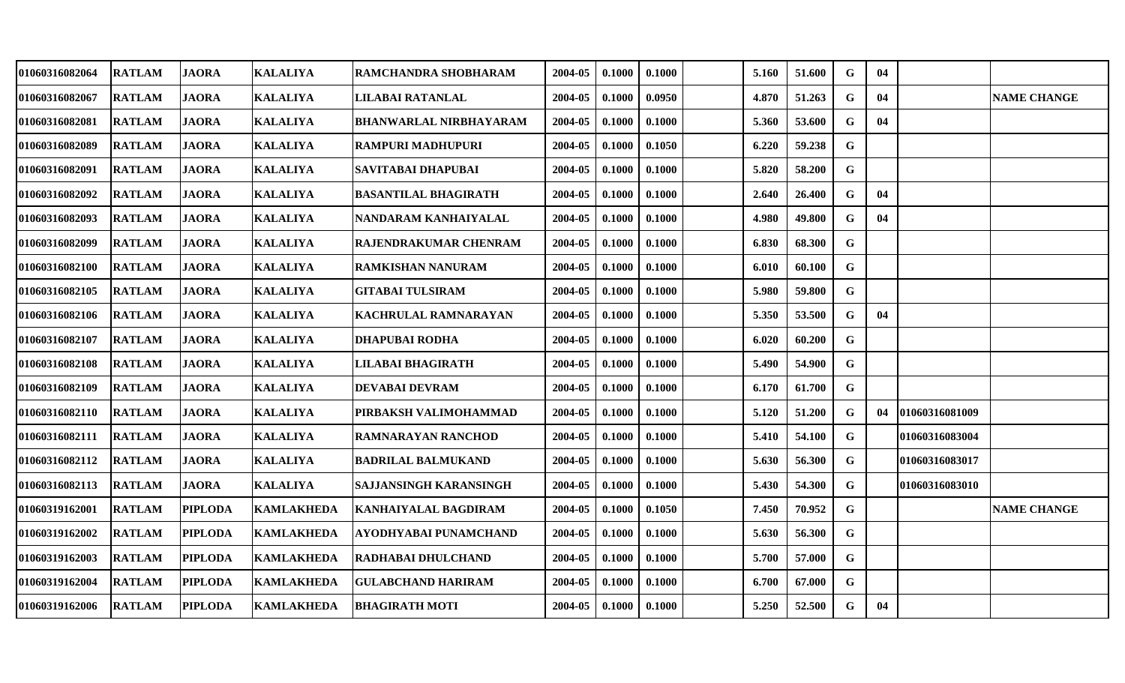| 01060316082064        | <b>RATLAM</b> | <b>JAORA</b>   | <b>KALALIYA</b>   | RAMCHANDRA SHOBHARAM          | 2004-05 | 0.1000 | 0.1000 | 5.160 | 51.600 | G           | 04 |                |                    |
|-----------------------|---------------|----------------|-------------------|-------------------------------|---------|--------|--------|-------|--------|-------------|----|----------------|--------------------|
| 01060316082067        | <b>RATLAM</b> | <b>JAORA</b>   | <b>KALALIYA</b>   | LILABAI RATANLAL              | 2004-05 | 0.1000 | 0.0950 | 4.870 | 51.263 | $\mathbf G$ | 04 |                | <b>NAME CHANGE</b> |
| <b>01060316082081</b> | <b>RATLAM</b> | <b>JAORA</b>   | <b>KALALIYA</b>   | <b>BHANWARLAL NIRBHAYARAM</b> | 2004-05 | 0.1000 | 0.1000 | 5.360 | 53.600 | G           | 04 |                |                    |
| 01060316082089        | <b>RATLAM</b> | <b>JAORA</b>   | <b>KALALIYA</b>   | RAMPURI MADHUPURI             | 2004-05 | 0.1000 | 0.1050 | 6.220 | 59.238 | G           |    |                |                    |
| 01060316082091        | <b>RATLAM</b> | <b>JAORA</b>   | <b>KALALIYA</b>   | SAVITABAI DHAPUBAI            | 2004-05 | 0.1000 | 0.1000 | 5.820 | 58.200 | ${\bf G}$   |    |                |                    |
| 01060316082092        | <b>RATLAM</b> | <b>JAORA</b>   | <b>KALALIYA</b>   | <b>BASANTILAL BHAGIRATH</b>   | 2004-05 | 0.1000 | 0.1000 | 2.640 | 26.400 | G           | 04 |                |                    |
| 01060316082093        | <b>RATLAM</b> | <b>JAORA</b>   | <b>KALALIYA</b>   | NANDARAM KANHAIYALAL          | 2004-05 | 0.1000 | 0.1000 | 4.980 | 49.800 | G           | 04 |                |                    |
| 01060316082099        | <b>RATLAM</b> | <b>JAORA</b>   | <b>KALALIYA</b>   | <b>RAJENDRAKUMAR CHENRAM</b>  | 2004-05 | 0.1000 | 0.1000 | 6.830 | 68.300 | $\mathbf G$ |    |                |                    |
| 01060316082100        | <b>RATLAM</b> | <b>JAORA</b>   | <b>KALALIYA</b>   | RAMKISHAN NANURAM             | 2004-05 | 0.1000 | 0.1000 | 6.010 | 60.100 | G           |    |                |                    |
| <b>01060316082105</b> | <b>RATLAM</b> | <b>JAORA</b>   | <b>KALALIYA</b>   | <b>GITABAI TULSIRAM</b>       | 2004-05 | 0.1000 | 0.1000 | 5.980 | 59.800 | $\mathbf G$ |    |                |                    |
| <b>01060316082106</b> | <b>RATLAM</b> | <b>JAORA</b>   | <b>KALALIYA</b>   | KACHRULAL RAMNARAYAN          | 2004-05 | 0.1000 | 0.1000 | 5.350 | 53.500 | G           | 04 |                |                    |
| 01060316082107        | <b>RATLAM</b> | <b>JAORA</b>   | <b>KALALIYA</b>   | DHAPUBAI RODHA                | 2004-05 | 0.1000 | 0.1000 | 6.020 | 60.200 | $\mathbf G$ |    |                |                    |
| 01060316082108        | <b>RATLAM</b> | <b>JAORA</b>   | <b>KALALIYA</b>   | LILABAI BHAGIRATH             | 2004-05 | 0.1000 | 0.1000 | 5.490 | 54.900 | $\mathbf G$ |    |                |                    |
| 01060316082109        | <b>RATLAM</b> | <b>JAORA</b>   | <b>KALALIYA</b>   | <b>DEVABAI DEVRAM</b>         | 2004-05 | 0.1000 | 0.1000 | 6.170 | 61.700 | G           |    |                |                    |
| <b>01060316082110</b> | <b>RATLAM</b> | <b>JAORA</b>   | <b>KALALIYA</b>   | PIRBAKSH VALIMOHAMMAD         | 2004-05 | 0.1000 | 0.1000 | 5.120 | 51.200 | G           | 04 | 01060316081009 |                    |
| 01060316082111        | <b>RATLAM</b> | <b>JAORA</b>   | <b>KALALIYA</b>   | RAMNARAYAN RANCHOD            | 2004-05 | 0.1000 | 0.1000 | 5.410 | 54.100 | $\mathbf G$ |    | 01060316083004 |                    |
| 01060316082112        | <b>RATLAM</b> | <b>JAORA</b>   | <b>KALALIYA</b>   | <b>BADRILAL BALMUKAND</b>     | 2004-05 | 0.1000 | 0.1000 | 5.630 | 56.300 | $\mathbf G$ |    | 01060316083017 |                    |
| 01060316082113        | <b>RATLAM</b> | <b>JAORA</b>   | <b>KALALIYA</b>   | SAJJANSINGH KARANSINGH        | 2004-05 | 0.1000 | 0.1000 | 5.430 | 54.300 | $\mathbf G$ |    | 01060316083010 |                    |
| 01060319162001        | <b>RATLAM</b> | <b>PIPLODA</b> | <b>KAMLAKHEDA</b> | KANHAIYALAL BAGDIRAM          | 2004-05 | 0.1000 | 0.1050 | 7.450 | 70.952 | $\mathbf G$ |    |                | <b>NAME CHANGE</b> |
| <b>01060319162002</b> | <b>RATLAM</b> | <b>PIPLODA</b> | <b>KAMLAKHEDA</b> | AYODHYABAI PUNAMCHAND         | 2004-05 | 0.1000 | 0.1000 | 5.630 | 56.300 | G           |    |                |                    |
| 01060319162003        | <b>RATLAM</b> | <b>PIPLODA</b> | <b>KAMLAKHEDA</b> | RADHABAI DHULCHAND            | 2004-05 | 0.1000 | 0.1000 | 5.700 | 57.000 | $\mathbf G$ |    |                |                    |
| 01060319162004        | <b>RATLAM</b> | <b>PIPLODA</b> | <b>KAMLAKHEDA</b> | <b>GULABCHAND HARIRAM</b>     | 2004-05 | 0.1000 | 0.1000 | 6.700 | 67.000 | G           |    |                |                    |
| <b>01060319162006</b> | <b>RATLAM</b> | <b>PIPLODA</b> | <b>KAMLAKHEDA</b> | <b>BHAGIRATH MOTI</b>         | 2004-05 | 0.1000 | 0.1000 | 5.250 | 52.500 | G           | 04 |                |                    |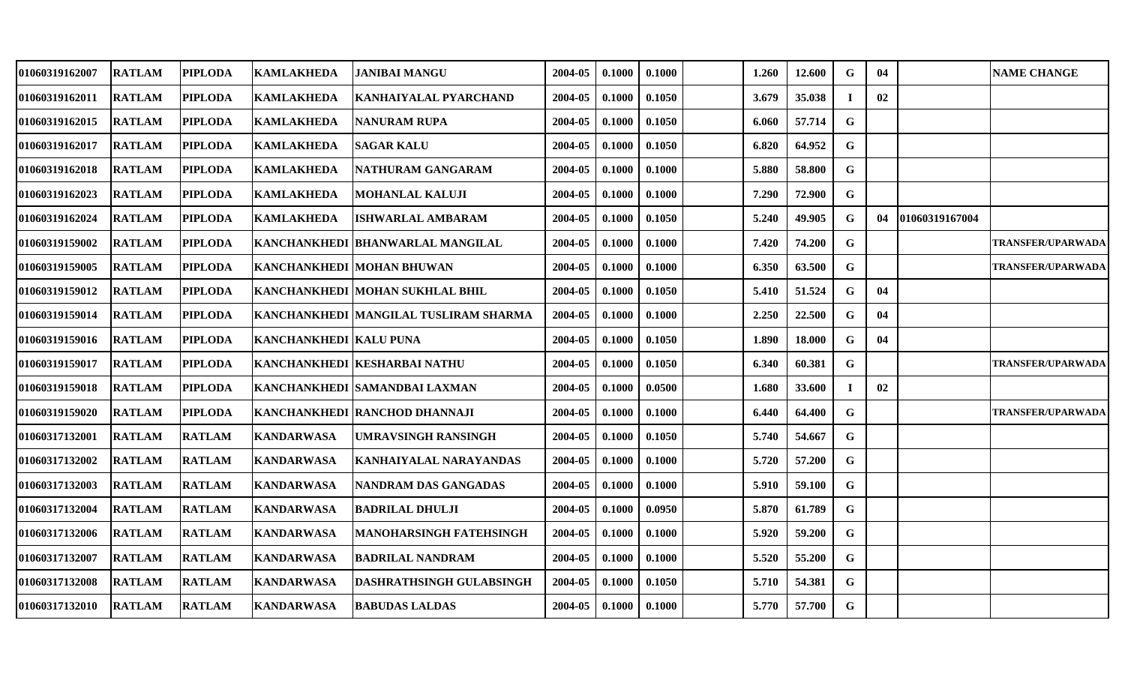| 01060319162007 | <b>RATLAM</b> | <b>PIPLODA</b> | <b>KAMLAKHEDA</b>             | <b>JANIBAI MANGU</b>                  | 2004-05 | 0.1000 | 0.1000 | 1.260 | 12.600 | G           | 04 |                | <b>NAME CHANGE</b>       |
|----------------|---------------|----------------|-------------------------------|---------------------------------------|---------|--------|--------|-------|--------|-------------|----|----------------|--------------------------|
| 01060319162011 | <b>RATLAM</b> | <b>PIPLODA</b> | <b>KAMLAKHEDA</b>             | <b>KANHAIYALAL PYARCHAND</b>          | 2004-05 | 0.1000 | 0.1050 | 3.679 | 35.038 |             | 02 |                |                          |
| 01060319162015 | <b>RATLAM</b> | <b>PIPLODA</b> | <b>KAMLAKHEDA</b>             | NANURAM RUPA                          | 2004-05 | 0.1000 | 0.1050 | 6.060 | 57.714 | $\mathbf G$ |    |                |                          |
| 01060319162017 | <b>RATLAM</b> | <b>PIPLODA</b> | <b>KAMLAKHEDA</b>             | <b>SAGAR KALU</b>                     | 2004-05 | 0.1000 | 0.1050 | 6.820 | 64.952 | G           |    |                |                          |
| 01060319162018 | <b>RATLAM</b> | <b>PIPLODA</b> | <b>KAMLAKHEDA</b>             | NATHURAM GANGARAM                     | 2004-05 | 0.1000 | 0.1000 | 5.880 | 58.800 | G           |    |                |                          |
| 01060319162023 | <b>RATLAM</b> | <b>PIPLODA</b> | <b>KAMLAKHEDA</b>             | <b>MOHANLAL KALUJI</b>                | 2004-05 | 0.1000 | 0.1000 | 7.290 | 72.900 | G           |    |                |                          |
| 01060319162024 | <b>RATLAM</b> | <b>PIPLODA</b> | <b>KAMLAKHEDA</b>             | ISHWARLAL AMBARAM                     | 2004-05 | 0.1000 | 0.1050 | 5.240 | 49.905 | G           | 04 | 01060319167004 |                          |
| 01060319159002 | <b>RATLAM</b> | <b>PIPLODA</b> |                               | KANCHANKHEDI BHANWARLAL MANGILAL      | 2004-05 | 0.1000 | 0.1000 | 7.420 | 74.200 | G           |    |                | TRANSFER/UPARWADA        |
| 01060319159005 | <b>RATLAM</b> | <b>PIPLODA</b> |                               | <b>KANCHANKHEDI MOHAN BHUWAN</b>      | 2004-05 | 0.1000 | 0.1000 | 6.350 | 63.500 | G           |    |                | <b>TRANSFER/UPARWADA</b> |
| 01060319159012 | <b>RATLAM</b> | <b>PIPLODA</b> |                               | KANCHANKHEDI  MOHAN SUKHLAL BHIL      | 2004-05 | 0.1000 | 0.1050 | 5.410 | 51.524 | G           | 04 |                |                          |
| 01060319159014 | <b>RATLAM</b> | <b>PIPLODA</b> |                               | KANCHANKHEDI MANGILAL TUSLIRAM SHARMA | 2004-05 | 0.1000 | 0.1000 | 2.250 | 22.500 | $\mathbf G$ | 04 |                |                          |
| 01060319159016 | <b>RATLAM</b> | <b>PIPLODA</b> | <b>KANCHANKHEDI KALU PUNA</b> |                                       | 2004-05 | 0.1000 | 0.1050 | 1.890 | 18.000 | G           | 04 |                |                          |
| 01060319159017 | <b>RATLAM</b> | <b>PIPLODA</b> |                               | KANCHANKHEDI KESHARBAI NATHU          | 2004-05 | 0.1000 | 0.1050 | 6.340 | 60.381 | G           |    |                | <b>TRANSFER/UPARWADA</b> |
| 01060319159018 | <b>RATLAM</b> | <b>PIPLODA</b> |                               | KANCHANKHEDI SAMANDBAI LAXMAN         | 2004-05 | 0.1000 | 0.0500 | 1.680 | 33.600 |             | 02 |                |                          |
| 01060319159020 | <b>RATLAM</b> | <b>PIPLODA</b> |                               | KANCHANKHEDI RANCHOD DHANNAJI         | 2004-05 | 0.1000 | 0.1000 | 6.440 | 64.400 | G           |    |                | <b>TRANSFER/UPARWADA</b> |
| 01060317132001 | <b>RATLAM</b> | <b>RATLAM</b>  | <b>KANDARWASA</b>             | IUMRAVSINGH RANSINGH                  | 2004-05 | 0.1000 | 0.1050 | 5.740 | 54.667 | G           |    |                |                          |
| 01060317132002 | <b>RATLAM</b> | <b>RATLAM</b>  | <b>KANDARWASA</b>             | KANHAIYALAL NARAYANDAS                | 2004-05 | 0.1000 | 0.1000 | 5.720 | 57.200 | G           |    |                |                          |
| 01060317132003 | <b>RATLAM</b> | <b>RATLAM</b>  | <b>KANDARWASA</b>             | NANDRAM DAS GANGADAS                  | 2004-05 | 0.1000 | 0.1000 | 5.910 | 59.100 | G           |    |                |                          |
| 01060317132004 | <b>RATLAM</b> | <b>RATLAM</b>  | <b>KANDARWASA</b>             | <b>BADRILAL DHULJI</b>                | 2004-05 | 0.1000 | 0.0950 | 5.870 | 61.789 | G           |    |                |                          |
| 01060317132006 | <b>RATLAM</b> | <b>RATLAM</b>  | <b>KANDARWASA</b>             | <b>MANOHARSINGH FATEHSINGH</b>        | 2004-05 | 0.1000 | 0.1000 | 5.920 | 59.200 | $\mathbf G$ |    |                |                          |
| 01060317132007 | <b>RATLAM</b> | <b>RATLAM</b>  | <b>KANDARWASA</b>             | <b>BADRILAL NANDRAM</b>               | 2004-05 | 0.1000 | 0.1000 | 5.520 | 55.200 | G           |    |                |                          |
| 01060317132008 | <b>RATLAM</b> | <b>RATLAM</b>  | <b>KANDARWASA</b>             | <b>DASHRATHSINGH GULABSINGH</b>       | 2004-05 | 0.1000 | 0.1050 | 5.710 | 54.381 | $\mathbf G$ |    |                |                          |
| 01060317132010 | <b>RATLAM</b> | <b>RATLAM</b>  | <b>KANDARWASA</b>             | <b>BABUDAS LALDAS</b>                 | 2004-05 | 0.1000 | 0.1000 | 5.770 | 57.700 | G           |    |                |                          |
|                |               |                |                               |                                       |         |        |        |       |        |             |    |                |                          |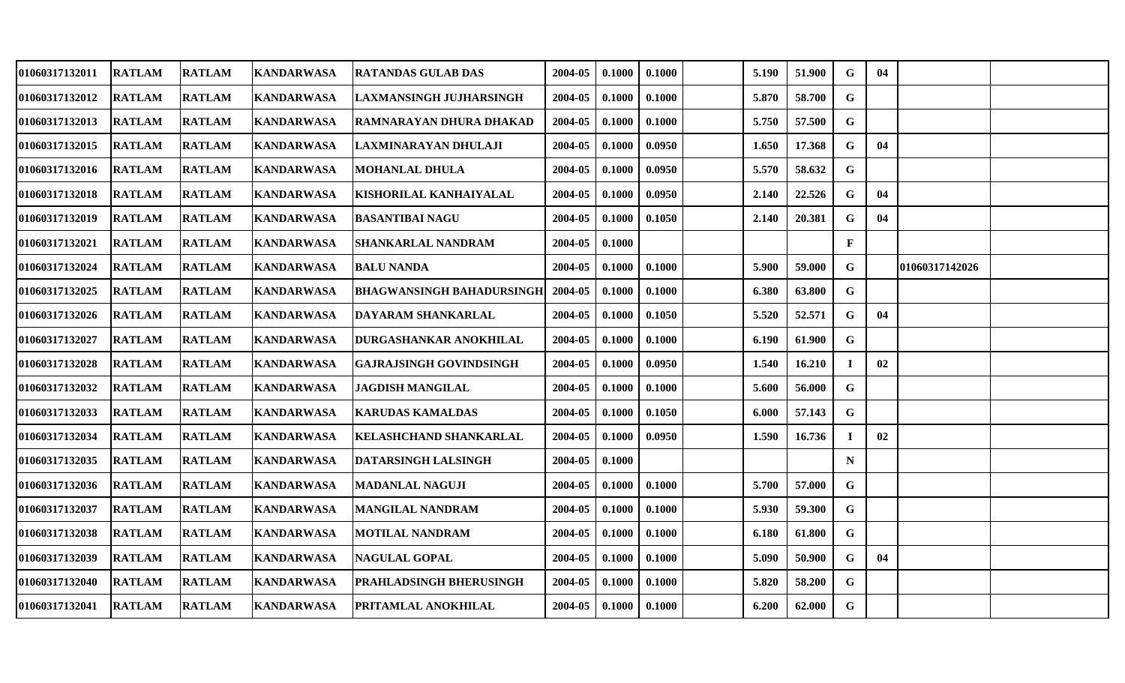| 01060317132011        | <b>RATLAM</b> | <b>RATLAM</b> | <b>KANDARWASA</b> | RATANDAS GULAB DAS             | 2004-05 | 0.1000 | 0.1000 | 5.190 | 51.900 | G            | 04 |                |  |
|-----------------------|---------------|---------------|-------------------|--------------------------------|---------|--------|--------|-------|--------|--------------|----|----------------|--|
| 01060317132012        | <b>RATLAM</b> | <b>RATLAM</b> | <b>KANDARWASA</b> | <b>LAXMANSINGH JUJHARSINGH</b> | 2004-05 | 0.1000 | 0.1000 | 5.870 | 58.700 | $\mathbf G$  |    |                |  |
| <b>01060317132013</b> | <b>RATLAM</b> | <b>RATLAM</b> | <b>KANDARWASA</b> | RAMNARAYAN DHURA DHAKAD        | 2004-05 | 0.1000 | 0.1000 | 5.750 | 57.500 | G            |    |                |  |
| 01060317132015        | <b>RATLAM</b> | <b>RATLAM</b> | <b>KANDARWASA</b> | LAXMINARAYAN DHULAJI           | 2004-05 | 0.1000 | 0.0950 | 1.650 | 17.368 | G            | 04 |                |  |
| 01060317132016        | <b>RATLAM</b> | <b>RATLAM</b> | <b>KANDARWASA</b> | MOHANLAL DHULA                 | 2004-05 | 0.1000 | 0.0950 | 5.570 | 58.632 | $\mathbf G$  |    |                |  |
| 01060317132018        | <b>RATLAM</b> | <b>RATLAM</b> | <b>KANDARWASA</b> | KISHORILAL KANHAIYALAL         | 2004-05 | 0.1000 | 0.0950 | 2.140 | 22.526 | G            | 04 |                |  |
| 01060317132019        | <b>RATLAM</b> | <b>RATLAM</b> | <b>KANDARWASA</b> | <b>BASANTIBAI NAGU</b>         | 2004-05 | 0.1000 | 0.1050 | 2.140 | 20.381 | G            | 04 |                |  |
| 01060317132021        | <b>RATLAM</b> | <b>RATLAM</b> | <b>KANDARWASA</b> | SHANKARLAL NANDRAM             | 2004-05 | 0.1000 |        |       |        | $\mathbf{F}$ |    |                |  |
| 01060317132024        | <b>RATLAM</b> | <b>RATLAM</b> | <b>KANDARWASA</b> | <b>BALU NANDA</b>              | 2004-05 | 0.1000 | 0.1000 | 5.900 | 59.000 | G            |    | 01060317142026 |  |
| 01060317132025        | <b>RATLAM</b> | <b>RATLAM</b> | <b>KANDARWASA</b> | BHAGWANSINGH BAHADURSINGH      | 2004-05 | 0.1000 | 0.1000 | 6.380 | 63.800 | G            |    |                |  |
| 01060317132026        | <b>RATLAM</b> | <b>RATLAM</b> | <b>KANDARWASA</b> | DAYARAM SHANKARLAL             | 2004-05 | 0.1000 | 0.1050 | 5.520 | 52.571 | $\mathbf G$  | 04 |                |  |
| 01060317132027        | <b>RATLAM</b> | <b>RATLAM</b> | <b>KANDARWASA</b> | DURGASHANKAR ANOKHILAL         | 2004-05 | 0.1000 | 0.1000 | 6.190 | 61.900 | G            |    |                |  |
| 01060317132028        | <b>RATLAM</b> | <b>RATLAM</b> | <b>KANDARWASA</b> | <b>GAJRAJSINGH GOVINDSINGH</b> | 2004-05 | 0.1000 | 0.0950 | 1.540 | 16.210 | $\mathbf I$  | 02 |                |  |
| 01060317132032        | <b>RATLAM</b> | <b>RATLAM</b> | <b>KANDARWASA</b> | <b>JAGDISH MANGILAL</b>        | 2004-05 | 0.1000 | 0.1000 | 5.600 | 56.000 | G            |    |                |  |
| 01060317132033        | <b>RATLAM</b> | <b>RATLAM</b> | <b>KANDARWASA</b> | KARUDAS KAMALDAS               | 2004-05 | 0.1000 | 0.1050 | 6.000 | 57.143 | G            |    |                |  |
| 01060317132034        | <b>RATLAM</b> | <b>RATLAM</b> | <b>KANDARWASA</b> | KELASHCHAND SHANKARLAL         | 2004-05 | 0.1000 | 0.0950 | 1.590 | 16.736 | $\mathbf I$  | 02 |                |  |
| 01060317132035        | <b>RATLAM</b> | <b>RATLAM</b> | <b>KANDARWASA</b> | DATARSINGH LALSINGH            | 2004-05 | 0.1000 |        |       |        | $\mathbf N$  |    |                |  |
| 01060317132036        | <b>RATLAM</b> | <b>RATLAM</b> | <b>KANDARWASA</b> | <b>MADANLAL NAGUJI</b>         | 2004-05 | 0.1000 | 0.1000 | 5.700 | 57.000 | G            |    |                |  |
| 01060317132037        | <b>RATLAM</b> | <b>RATLAM</b> | <b>KANDARWASA</b> | MANGILAL NANDRAM               | 2004-05 | 0.1000 | 0.1000 | 5.930 | 59.300 | $\mathbf G$  |    |                |  |
| 01060317132038        | <b>RATLAM</b> | <b>RATLAM</b> | <b>KANDARWASA</b> | <b>MOTILAL NANDRAM</b>         | 2004-05 | 0.1000 | 0.1000 | 6.180 | 61.800 | $\mathbf G$  |    |                |  |
| 01060317132039        | <b>RATLAM</b> | <b>RATLAM</b> | <b>KANDARWASA</b> | <b>NAGULAL GOPAL</b>           | 2004-05 | 0.1000 | 0.1000 | 5.090 | 50.900 | G            | 04 |                |  |
| 01060317132040        | <b>RATLAM</b> | <b>RATLAM</b> | <b>KANDARWASA</b> | PRAHLADSINGH BHERUSINGH        | 2004-05 | 0.1000 | 0.1000 | 5.820 | 58.200 | G            |    |                |  |
| 01060317132041        | <b>RATLAM</b> | <b>RATLAM</b> | <b>KANDARWASA</b> | PRITAMLAL ANOKHILAL            | 2004-05 | 0.1000 | 0.1000 | 6.200 | 62.000 | $\mathbf G$  |    |                |  |
|                       |               |               |                   |                                |         |        |        |       |        |              |    |                |  |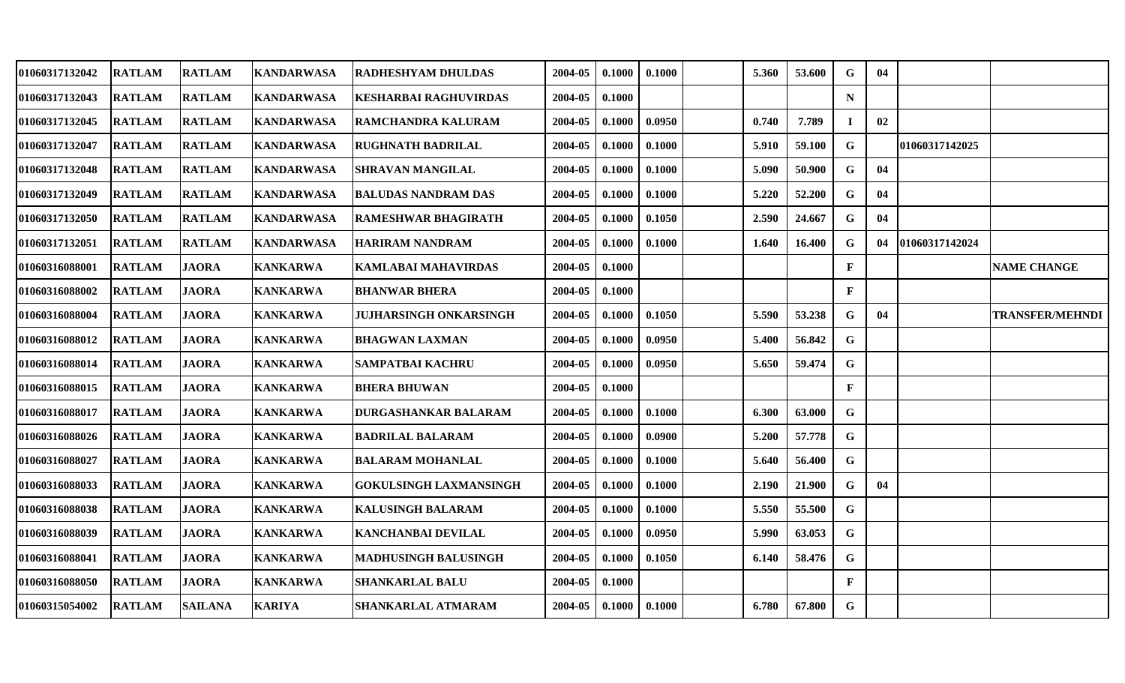| 01060317132042 | <b>RATLAM</b> | <b>RATLAM</b>  | <b>KANDARWASA</b> | RADHESHYAM DHULDAS            | 2004-05 | 0.1000 | 0.1000 | 5.360 | 53.600 | G            | 04 |                |                        |
|----------------|---------------|----------------|-------------------|-------------------------------|---------|--------|--------|-------|--------|--------------|----|----------------|------------------------|
| 01060317132043 | <b>RATLAM</b> | <b>RATLAM</b>  | <b>KANDARWASA</b> | <b>KESHARBAI RAGHUVIRDAS</b>  | 2004-05 | 0.1000 |        |       |        | $\mathbf N$  |    |                |                        |
| 01060317132045 | <b>RATLAM</b> | <b>RATLAM</b>  | <b>KANDARWASA</b> | RAMCHANDRA KALURAM            | 2004-05 | 0.1000 | 0.0950 | 0.740 | 7.789  |              | 02 |                |                        |
| 01060317132047 | <b>RATLAM</b> | <b>RATLAM</b>  | <b>KANDARWASA</b> | <b>RUGHNATH BADRILAL</b>      | 2004-05 | 0.1000 | 0.1000 | 5.910 | 59.100 | G            |    | 01060317142025 |                        |
| 01060317132048 | <b>RATLAM</b> | <b>RATLAM</b>  | <b>KANDARWASA</b> | <b>SHRAVAN MANGILAL</b>       | 2004-05 | 0.1000 | 0.1000 | 5.090 | 50.900 | $\mathbf G$  | 04 |                |                        |
| 01060317132049 | <b>RATLAM</b> | <b>RATLAM</b>  | <b>KANDARWASA</b> | <b>BALUDAS NANDRAM DAS</b>    | 2004-05 | 0.1000 | 0.1000 | 5.220 | 52.200 | G            | 04 |                |                        |
| 01060317132050 | <b>RATLAM</b> | <b>RATLAM</b>  | <b>KANDARWASA</b> | RAMESHWAR BHAGIRATH           | 2004-05 | 0.1000 | 0.1050 | 2.590 | 24.667 | G            | 04 |                |                        |
| 01060317132051 | <b>RATLAM</b> | <b>RATLAM</b>  | <b>KANDARWASA</b> | <b>HARIRAM NANDRAM</b>        | 2004-05 | 0.1000 | 0.1000 | 1.640 | 16.400 | G            | 04 | 01060317142024 |                        |
| 01060316088001 | <b>RATLAM</b> | <b>JAORA</b>   | <b>KANKARWA</b>   | <b>KAMLABAI MAHAVIRDAS</b>    | 2004-05 | 0.1000 |        |       |        | $\mathbf F$  |    |                | <b>NAME CHANGE</b>     |
| 01060316088002 | <b>RATLAM</b> | <b>JAORA</b>   | <b>KANKARWA</b>   | <b>BHANWAR BHERA</b>          | 2004-05 | 0.1000 |        |       |        | $\mathbf{F}$ |    |                |                        |
| 01060316088004 | <b>RATLAM</b> | <b>JAORA</b>   | <b>KANKARWA</b>   | JUJHARSINGH ONKARSINGH        | 2004-05 | 0.1000 | 0.1050 | 5.590 | 53.238 | $\mathbf G$  | 04 |                | <b>TRANSFER/MEHNDI</b> |
| 01060316088012 | <b>RATLAM</b> | <b>JAORA</b>   | <b>KANKARWA</b>   | BHAGWAN LAXMAN                | 2004-05 | 0.1000 | 0.0950 | 5.400 | 56.842 | $\mathbf G$  |    |                |                        |
| 01060316088014 | <b>RATLAM</b> | <b>JAORA</b>   | <b>KANKARWA</b>   | <b>SAMPATBAI KACHRU</b>       | 2004-05 | 0.1000 | 0.0950 | 5.650 | 59.474 | G            |    |                |                        |
| 01060316088015 | <b>RATLAM</b> | <b>JAORA</b>   | <b>KANKARWA</b>   | <b>BHERA BHUWAN</b>           | 2004-05 | 0.1000 |        |       |        | $\mathbf{F}$ |    |                |                        |
| 01060316088017 | <b>RATLAM</b> | <b>JAORA</b>   | <b>KANKARWA</b>   | <b>DURGASHANKAR BALARAM</b>   | 2004-05 | 0.1000 | 0.1000 | 6.300 | 63.000 | G            |    |                |                        |
| 01060316088026 | <b>RATLAM</b> | <b>JAORA</b>   | <b>KANKARWA</b>   | <b>BADRILAL BALARAM</b>       | 2004-05 | 0.1000 | 0.0900 | 5.200 | 57.778 | G            |    |                |                        |
| 01060316088027 | <b>RATLAM</b> | <b>JAORA</b>   | <b>KANKARWA</b>   | <b>BALARAM MOHANLAL</b>       | 2004-05 | 0.1000 | 0.1000 | 5.640 | 56.400 | G            |    |                |                        |
| 01060316088033 | <b>RATLAM</b> | <b>JAORA</b>   | <b>KANKARWA</b>   | <b>GOKULSINGH LAXMANSINGH</b> | 2004-05 | 0.1000 | 0.1000 | 2.190 | 21.900 | G            | 04 |                |                        |
| 01060316088038 | <b>RATLAM</b> | <b>JAORA</b>   | <b>KANKARWA</b>   | <b>KALUSINGH BALARAM</b>      | 2004-05 | 0.1000 | 0.1000 | 5.550 | 55.500 | G            |    |                |                        |
| 01060316088039 | <b>RATLAM</b> | <b>JAORA</b>   | <b>KANKARWA</b>   | <b>KANCHANBAI DEVILAL</b>     | 2004-05 | 0.1000 | 0.0950 | 5.990 | 63.053 | $\mathbf G$  |    |                |                        |
| 01060316088041 | <b>RATLAM</b> | <b>JAORA</b>   | <b>KANKARWA</b>   | <b>MADHUSINGH BALUSINGH</b>   | 2004-05 | 0.1000 | 0.1050 | 6.140 | 58.476 | G            |    |                |                        |
| 01060316088050 | <b>RATLAM</b> | <b>JAORA</b>   | <b>KANKARWA</b>   | <b>SHANKARLAL BALU</b>        | 2004-05 | 0.1000 |        |       |        | $\mathbf{F}$ |    |                |                        |
| 01060315054002 | <b>RATLAM</b> | <b>SAILANA</b> | <b>KARIYA</b>     | <b>SHANKARLAL ATMARAM</b>     | 2004-05 | 0.1000 | 0.1000 | 6.780 | 67.800 | G            |    |                |                        |
|                |               |                |                   |                               |         |        |        |       |        |              |    |                |                        |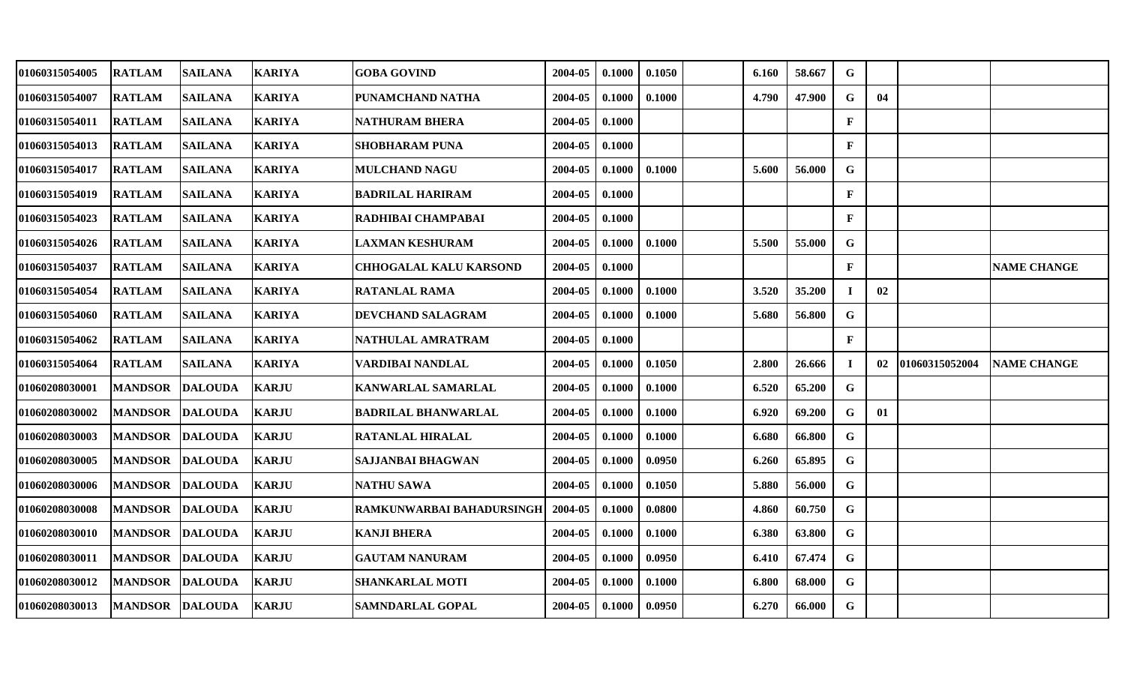| 01060315054005 | <b>RATLAM</b>   | <b>SAILANA</b> | <b>KARIYA</b> | <b>GOBA GOVIND</b>            | 2004-05 | 0.1000 | 0.1050 | 6.160 | 58.667 | G            |    |                |                    |
|----------------|-----------------|----------------|---------------|-------------------------------|---------|--------|--------|-------|--------|--------------|----|----------------|--------------------|
| 01060315054007 | <b>RATLAM</b>   | <b>SAILANA</b> | <b>KARIYA</b> | PUNAMCHAND NATHA              | 2004-05 | 0.1000 | 0.1000 | 4.790 | 47.900 | G            | 04 |                |                    |
| 01060315054011 | <b>RATLAM</b>   | <b>SAILANA</b> | <b>KARIYA</b> | <b>NATHURAM BHERA</b>         | 2004-05 | 0.1000 |        |       |        | $\mathbf{F}$ |    |                |                    |
| 01060315054013 | <b>RATLAM</b>   | <b>SAILANA</b> | <b>KARIYA</b> | <b>SHOBHARAM PUNA</b>         | 2004-05 | 0.1000 |        |       |        | $\mathbf{F}$ |    |                |                    |
| 01060315054017 | <b>RATLAM</b>   | <b>SAILANA</b> | <b>KARIYA</b> | <b>MULCHAND NAGU</b>          | 2004-05 | 0.1000 | 0.1000 | 5.600 | 56.000 | $\mathbf G$  |    |                |                    |
| 01060315054019 | <b>RATLAM</b>   | <b>SAILANA</b> | <b>KARIYA</b> | <b>BADRILAL HARIRAM</b>       | 2004-05 | 0.1000 |        |       |        | $\mathbf{F}$ |    |                |                    |
| 01060315054023 | <b>RATLAM</b>   | <b>SAILANA</b> | <b>KARIYA</b> | RADHIBAI CHAMPABAI            | 2004-05 | 0.1000 |        |       |        | $\mathbf{F}$ |    |                |                    |
| 01060315054026 | <b>RATLAM</b>   | <b>SAILANA</b> | <b>KARIYA</b> | <b>LAXMAN KESHURAM</b>        | 2004-05 | 0.1000 | 0.1000 | 5.500 | 55.000 | G            |    |                |                    |
| 01060315054037 | <b>RATLAM</b>   | <b>SAILANA</b> | <b>KARIYA</b> | <b>CHHOGALAL KALU KARSOND</b> | 2004-05 | 0.1000 |        |       |        | $\mathbf F$  |    |                | <b>NAME CHANGE</b> |
| 01060315054054 | <b>RATLAM</b>   | <b>SAILANA</b> | <b>KARIYA</b> | <b>RATANLAL RAMA</b>          | 2004-05 | 0.1000 | 0.1000 | 3.520 | 35.200 |              | 02 |                |                    |
| 01060315054060 | <b>RATLAM</b>   | <b>SAILANA</b> | <b>KARIYA</b> | DEVCHAND SALAGRAM             | 2004-05 | 0.1000 | 0.1000 | 5.680 | 56.800 | G            |    |                |                    |
| 01060315054062 | <b>RATLAM</b>   | SAILANA        | <b>KARIYA</b> | NATHULAL AMRATRAM             | 2004-05 | 0.1000 |        |       |        | $\mathbf{F}$ |    |                |                    |
| 01060315054064 | <b>RATLAM</b>   | <b>SAILANA</b> | <b>KARIYA</b> | VARDIBAI NANDLAL              | 2004-05 | 0.1000 | 0.1050 | 2.800 | 26.666 | I            | 02 | 01060315052004 | <b>NAME CHANGE</b> |
| 01060208030001 | <b>MANDSOR</b>  | <b>DALOUDA</b> | <b>KARJU</b>  | <b>KANWARLAL SAMARLAL</b>     | 2004-05 | 0.1000 | 0.1000 | 6.520 | 65.200 | G            |    |                |                    |
| 01060208030002 | <b>MANDSOR</b>  | <b>DALOUDA</b> | <b>KARJU</b>  | <b>BADRILAL BHANWARLAL</b>    | 2004-05 | 0.1000 | 0.1000 | 6.920 | 69.200 | G            | 01 |                |                    |
| 01060208030003 | <b>MANDSOR</b>  | <b>DALOUDA</b> | <b>KARJU</b>  | <b>RATANLAL HIRALAL</b>       | 2004-05 | 0.1000 | 0.1000 | 6.680 | 66.800 | G            |    |                |                    |
| 01060208030005 | <b>MANDSOR</b>  | <b>DALOUDA</b> | <b>KARJU</b>  | <b>SAJJANBAI BHAGWAN</b>      | 2004-05 | 0.1000 | 0.0950 | 6.260 | 65.895 | $\mathbf G$  |    |                |                    |
| 01060208030006 | <b>MANDSOR</b>  | <b>DALOUDA</b> | <b>KARJU</b>  | <b>NATHU SAWA</b>             | 2004-05 | 0.1000 | 0.1050 | 5.880 | 56.000 | G            |    |                |                    |
| 01060208030008 | <b>MANDSOR</b>  | <b>DALOUDA</b> | <b>KARJU</b>  | RAMKUNWARBAI BAHADURSINGH     | 2004-05 | 0.1000 | 0.0800 | 4.860 | 60.750 | G            |    |                |                    |
| 01060208030010 | <b>MANDSOR</b>  | <b>DALOUDA</b> | <b>KARJU</b>  | <b>KANJI BHERA</b>            | 2004-05 | 0.1000 | 0.1000 | 6.380 | 63.800 | $\mathbf G$  |    |                |                    |
| 01060208030011 | <b>MANDSOR</b>  | <b>DALOUDA</b> | <b>KARJU</b>  | <b>GAUTAM NANURAM</b>         | 2004-05 | 0.1000 | 0.0950 | 6.410 | 67.474 | G            |    |                |                    |
| 01060208030012 | <b>MANDSOR</b>  | <b>DALOUDA</b> | <b>KARJU</b>  | <b>SHANKARLAL MOTI</b>        | 2004-05 | 0.1000 | 0.1000 | 6.800 | 68.000 | G            |    |                |                    |
| 01060208030013 | MANDSOR DALOUDA |                | <b>KARJU</b>  | SAMNDARLAL GOPAL              | 2004-05 | 0.1000 | 0.0950 | 6.270 | 66.000 | $\mathbf G$  |    |                |                    |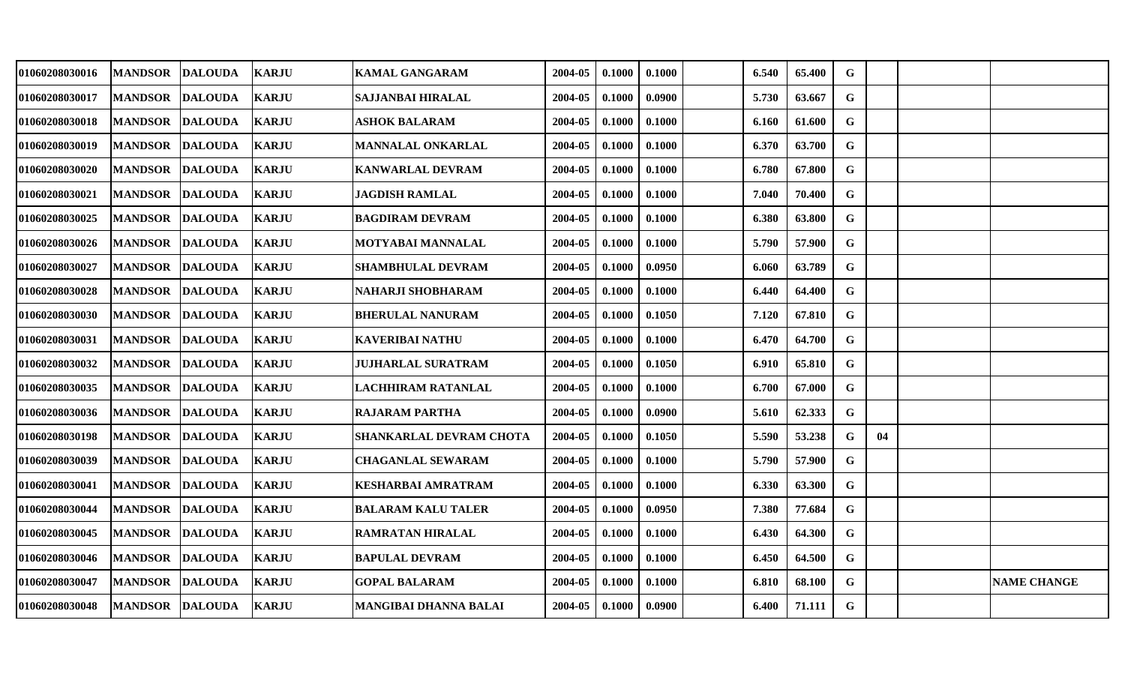| <b>01060208030016</b> | <b>MANDSOR</b>  | <b>DALOUDA</b> | <b>KARJU</b> | <b>KAMAL GANGARAM</b>     | 2004-05 | 0.1000 | 0.1000 | 6.540 | 65.400 | G           |    |                    |
|-----------------------|-----------------|----------------|--------------|---------------------------|---------|--------|--------|-------|--------|-------------|----|--------------------|
| 01060208030017        | <b>MANDSOR</b>  | <b>DALOUDA</b> | <b>KARJU</b> | <b>SAJJANBAI HIRALAL</b>  | 2004-05 | 0.1000 | 0.0900 | 5.730 | 63.667 | G           |    |                    |
| 01060208030018        | <b>MANDSOR</b>  | <b>DALOUDA</b> | <b>KARJU</b> | <b>ASHOK BALARAM</b>      | 2004-05 | 0.1000 | 0.1000 | 6.160 | 61.600 | $\mathbf G$ |    |                    |
| 01060208030019        | <b>MANDSOR</b>  | <b>DALOUDA</b> | <b>KARJU</b> | MANNALAL ONKARLAL         | 2004-05 | 0.1000 | 0.1000 | 6.370 | 63.700 | $\mathbf G$ |    |                    |
| 01060208030020        | <b>MANDSOR</b>  | <b>DALOUDA</b> | <b>KARJU</b> | <b>KANWARLAL DEVRAM</b>   | 2004-05 | 0.1000 | 0.1000 | 6.780 | 67.800 | $\mathbf G$ |    |                    |
| 01060208030021        | <b>MANDSOR</b>  | <b>DALOUDA</b> | <b>KARJU</b> | <b>JAGDISH RAMLAL</b>     | 2004-05 | 0.1000 | 0.1000 | 7.040 | 70.400 | G           |    |                    |
| 01060208030025        | <b>MANDSOR</b>  | <b>DALOUDA</b> | <b>KARJU</b> | <b>BAGDIRAM DEVRAM</b>    | 2004-05 | 0.1000 | 0.1000 | 6.380 | 63.800 | G           |    |                    |
| 01060208030026        | <b>MANDSOR</b>  | <b>DALOUDA</b> | <b>KARJU</b> | <b>MOTYABAI MANNALAL</b>  | 2004-05 | 0.1000 | 0.1000 | 5.790 | 57.900 | $\mathbf G$ |    |                    |
| 01060208030027        | <b>MANDSOR</b>  | <b>DALOUDA</b> | <b>KARJU</b> | <b>SHAMBHULAL DEVRAM</b>  | 2004-05 | 0.1000 | 0.0950 | 6.060 | 63.789 | $\mathbf G$ |    |                    |
| 01060208030028        | <b>MANDSOR</b>  | <b>DALOUDA</b> | <b>KARJU</b> | NAHARJI SHOBHARAM         | 2004-05 | 0.1000 | 0.1000 | 6.440 | 64.400 | G           |    |                    |
| 01060208030030        | <b>MANDSOR</b>  | <b>DALOUDA</b> | <b>KARJU</b> | <b>BHERULAL NANURAM</b>   | 2004-05 | 0.1000 | 0.1050 | 7.120 | 67.810 | G           |    |                    |
| 01060208030031        | <b>MANDSOR</b>  | <b>DALOUDA</b> | <b>KARJU</b> | <b>KAVERIBAI NATHU</b>    | 2004-05 | 0.1000 | 0.1000 | 6.470 | 64.700 | G           |    |                    |
| 01060208030032        | <b>MANDSOR</b>  | <b>DALOUDA</b> | <b>KARJU</b> | <b>JUJHARLAL SURATRAM</b> | 2004-05 | 0.1000 | 0.1050 | 6.910 | 65.810 | G           |    |                    |
| 01060208030035        | <b>MANDSOR</b>  | <b>DALOUDA</b> | <b>KARJU</b> | LACHHIRAM RATANLAL        | 2004-05 | 0.1000 | 0.1000 | 6.700 | 67.000 | G           |    |                    |
| 01060208030036        | <b>MANDSOR</b>  | <b>DALOUDA</b> | <b>KARJU</b> | <b>RAJARAM PARTHA</b>     | 2004-05 | 0.1000 | 0.0900 | 5.610 | 62.333 | G           |    |                    |
| 01060208030198        | <b>MANDSOR</b>  | <b>DALOUDA</b> | <b>KARJU</b> | SHANKARLAL DEVRAM CHOTA   | 2004-05 | 0.1000 | 0.1050 | 5.590 | 53.238 | G           | 04 |                    |
| 01060208030039        | <b>MANDSOR</b>  | <b>DALOUDA</b> | <b>KARJU</b> | <b>CHAGANLAL SEWARAM</b>  | 2004-05 | 0.1000 | 0.1000 | 5.790 | 57.900 | $\mathbf G$ |    |                    |
| 01060208030041        | <b>MANDSOR</b>  | <b>DALOUDA</b> | <b>KARJU</b> | KESHARBAI AMRATRAM        | 2004-05 | 0.1000 | 0.1000 | 6.330 | 63.300 | G           |    |                    |
| 01060208030044        | <b>MANDSOR</b>  | <b>DALOUDA</b> | <b>KARJU</b> | <b>BALARAM KALU TALER</b> | 2004-05 | 0.1000 | 0.0950 | 7.380 | 77.684 | G           |    |                    |
| 01060208030045        | <b>MANDSOR</b>  | <b>DALOUDA</b> | <b>KARJU</b> | <b>RAMRATAN HIRALAL</b>   | 2004-05 | 0.1000 | 0.1000 | 6.430 | 64.300 | $\mathbf G$ |    |                    |
| 01060208030046        | <b>MANDSOR</b>  | <b>DALOUDA</b> | <b>KARJU</b> | <b>BAPULAL DEVRAM</b>     | 2004-05 | 0.1000 | 0.1000 | 6.450 | 64.500 | G           |    |                    |
| 01060208030047        | <b>MANDSOR</b>  | <b>DALOUDA</b> | <b>KARJU</b> | <b>GOPAL BALARAM</b>      | 2004-05 | 0.1000 | 0.1000 | 6.810 | 68.100 | G           |    | <b>NAME CHANGE</b> |
| 01060208030048        | MANDSOR DALOUDA |                | <b>KARJU</b> | MANGIBAI DHANNA BALAI     | 2004-05 | 0.1000 | 0.0900 | 6.400 | 71.111 | $\mathbf G$ |    |                    |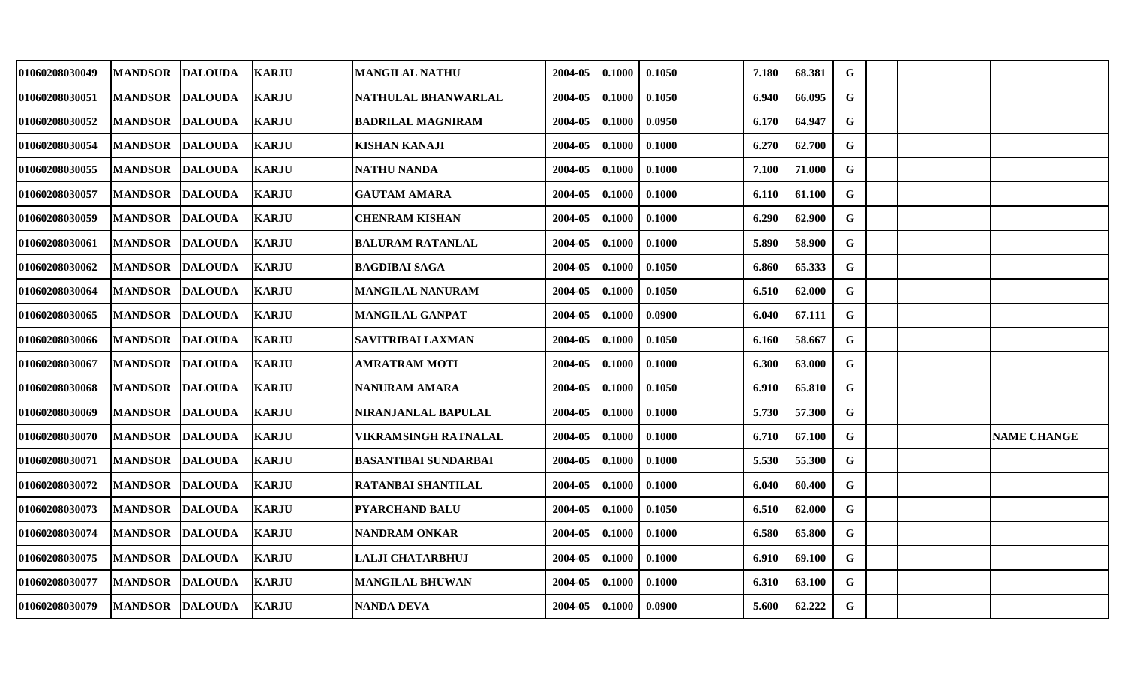| 01060208030049 | <b>MANDSOR</b>  | <b>DALOUDA</b> | <b>KARJU</b> | <b>MANGILAL NATHU</b>       | 2004-05 | 0.1000 | 0.1050 | 7.180 | 68.381 | $\mathbf G$  |  |                    |
|----------------|-----------------|----------------|--------------|-----------------------------|---------|--------|--------|-------|--------|--------------|--|--------------------|
| 01060208030051 | <b>MANDSOR</b>  | <b>DALOUDA</b> | <b>KARJU</b> | NATHULAL BHANWARLAL         | 2004-05 | 0.1000 | 0.1050 | 6.940 | 66.095 | G            |  |                    |
| 01060208030052 | <b>MANDSOR</b>  | <b>DALOUDA</b> | <b>KARJU</b> | <b>BADRILAL MAGNIRAM</b>    | 2004-05 | 0.1000 | 0.0950 | 6.170 | 64.947 | G            |  |                    |
| 01060208030054 | <b>MANDSOR</b>  | <b>DALOUDA</b> | <b>KARJU</b> | <b>KISHAN KANAJI</b>        | 2004-05 | 0.1000 | 0.1000 | 6.270 | 62.700 | G            |  |                    |
| 01060208030055 | <b>MANDSOR</b>  | <b>DALOUDA</b> | <b>KARJU</b> | <b>NATHU NANDA</b>          | 2004-05 | 0.1000 | 0.1000 | 7.100 | 71.000 | $\mathbf G$  |  |                    |
| 01060208030057 | <b>MANDSOR</b>  | <b>DALOUDA</b> | <b>KARJU</b> | <b>GAUTAM AMARA</b>         | 2004-05 | 0.1000 | 0.1000 | 6.110 | 61.100 | G            |  |                    |
| 01060208030059 | <b>MANDSOR</b>  | <b>DALOUDA</b> | <b>KARJU</b> | <b>CHENRAM KISHAN</b>       | 2004-05 | 0.1000 | 0.1000 | 6.290 | 62.900 | $\mathbf G$  |  |                    |
| 01060208030061 | <b>MANDSOR</b>  | <b>DALOUDA</b> | <b>KARJU</b> | <b>BALURAM RATANLAL</b>     | 2004-05 | 0.1000 | 0.1000 | 5.890 | 58.900 | G            |  |                    |
| 01060208030062 | <b>MANDSOR</b>  | <b>DALOUDA</b> | <b>KARJU</b> | <b>BAGDIBAI SAGA</b>        | 2004-05 | 0.1000 | 0.1050 | 6.860 | 65.333 | $\mathbf{G}$ |  |                    |
| 01060208030064 | <b>MANDSOR</b>  | <b>DALOUDA</b> | <b>KARJU</b> | <b>MANGILAL NANURAM</b>     | 2004-05 | 0.1000 | 0.1050 | 6.510 | 62.000 | G            |  |                    |
| 01060208030065 | <b>MANDSOR</b>  | <b>DALOUDA</b> | <b>KARJU</b> | <b>MANGILAL GANPAT</b>      | 2004-05 | 0.1000 | 0.0900 | 6.040 | 67.111 | G            |  |                    |
| 01060208030066 | <b>MANDSOR</b>  | <b>DALOUDA</b> | <b>KARJU</b> | <b>SAVITRIBAI LAXMAN</b>    | 2004-05 | 0.1000 | 0.1050 | 6.160 | 58.667 | G            |  |                    |
| 01060208030067 | <b>MANDSOR</b>  | <b>DALOUDA</b> | <b>KARJU</b> | <b>AMRATRAM MOTI</b>        | 2004-05 | 0.1000 | 0.1000 | 6.300 | 63.000 | $\mathbf G$  |  |                    |
| 01060208030068 | <b>MANDSOR</b>  | <b>DALOUDA</b> | <b>KARJU</b> | NANURAM AMARA               | 2004-05 | 0.1000 | 0.1050 | 6.910 | 65.810 | G            |  |                    |
| 01060208030069 | <b>MANDSOR</b>  | <b>DALOUDA</b> | <b>KARJU</b> | NIRANJANLAL BAPULAL         | 2004-05 | 0.1000 | 0.1000 | 5.730 | 57.300 | G            |  |                    |
| 01060208030070 | <b>MANDSOR</b>  | <b>DALOUDA</b> | <b>KARJU</b> | <b>VIKRAMSINGH RATNALAL</b> | 2004-05 | 0.1000 | 0.1000 | 6.710 | 67.100 | G            |  | <b>NAME CHANGE</b> |
| 01060208030071 | <b>MANDSOR</b>  | <b>DALOUDA</b> | <b>KARJU</b> | <b>BASANTIBAI SUNDARBAI</b> | 2004-05 | 0.1000 | 0.1000 | 5.530 | 55.300 | G            |  |                    |
| 01060208030072 | <b>MANDSOR</b>  | <b>DALOUDA</b> | <b>KARJU</b> | <b>RATANBAI SHANTILAL</b>   | 2004-05 | 0.1000 | 0.1000 | 6.040 | 60.400 | G            |  |                    |
| 01060208030073 | <b>MANDSOR</b>  | <b>DALOUDA</b> | <b>KARJU</b> | PYARCHAND BALU              | 2004-05 | 0.1000 | 0.1050 | 6.510 | 62.000 | G            |  |                    |
| 01060208030074 | <b>MANDSOR</b>  | <b>DALOUDA</b> | <b>KARJU</b> | <b>NANDRAM ONKAR</b>        | 2004-05 | 0.1000 | 0.1000 | 6.580 | 65.800 | $\mathbf G$  |  |                    |
| 01060208030075 | <b>MANDSOR</b>  | <b>DALOUDA</b> | <b>KARJU</b> | <b>LALJI CHATARBHUJ</b>     | 2004-05 | 0.1000 | 0.1000 | 6.910 | 69.100 | G            |  |                    |
| 01060208030077 | <b>MANDSOR</b>  | <b>DALOUDA</b> | <b>KARJU</b> | <b>MANGILAL BHUWAN</b>      | 2004-05 | 0.1000 | 0.1000 | 6.310 | 63.100 | G            |  |                    |
| 01060208030079 | MANDSOR DALOUDA |                | <b>KARJU</b> | <b>NANDA DEVA</b>           | 2004-05 | 0.1000 | 0.0900 | 5.600 | 62.222 | G            |  |                    |
|                |                 |                |              |                             |         |        |        |       |        |              |  |                    |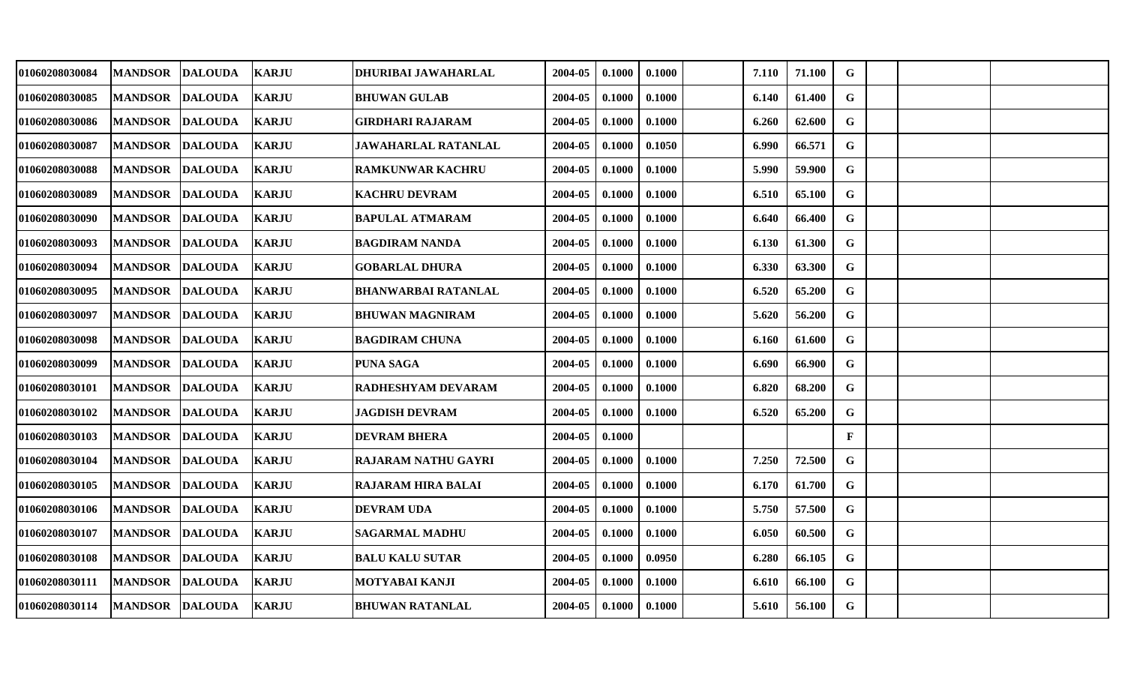| 01060208030084 | <b>MANDSOR</b>  | <b>DALOUDA</b> | <b>KARJU</b> | DHURIBAI JAWAHARLAL        | 2004-05 | 0.1000 | 0.1000 | 7.110 | 71.100 | G            |  |  |
|----------------|-----------------|----------------|--------------|----------------------------|---------|--------|--------|-------|--------|--------------|--|--|
| 01060208030085 | <b>MANDSOR</b>  | <b>DALOUDA</b> | <b>KARJU</b> | <b>BHUWAN GULAB</b>        | 2004-05 | 0.1000 | 0.1000 | 6.140 | 61.400 | G            |  |  |
| 01060208030086 | <b>MANDSOR</b>  | <b>DALOUDA</b> | <b>KARJU</b> | <b>GIRDHARI RAJARAM</b>    | 2004-05 | 0.1000 | 0.1000 | 6.260 | 62.600 | $\mathbf G$  |  |  |
| 01060208030087 | <b>MANDSOR</b>  | <b>DALOUDA</b> | <b>KARJU</b> | <b>JAWAHARLAL RATANLAL</b> | 2004-05 | 0.1000 | 0.1050 | 6.990 | 66.571 | $\mathbf G$  |  |  |
| 01060208030088 | <b>MANDSOR</b>  | <b>DALOUDA</b> | <b>KARJU</b> | <b>RAMKUNWAR KACHRU</b>    | 2004-05 | 0.1000 | 0.1000 | 5.990 | 59.900 | $\mathbf G$  |  |  |
| 01060208030089 | <b>MANDSOR</b>  | <b>DALOUDA</b> | <b>KARJU</b> | <b>KACHRU DEVRAM</b>       | 2004-05 | 0.1000 | 0.1000 | 6.510 | 65.100 | G            |  |  |
| 01060208030090 | <b>MANDSOR</b>  | <b>DALOUDA</b> | <b>KARJU</b> | <b>BAPULAL ATMARAM</b>     | 2004-05 | 0.1000 | 0.1000 | 6.640 | 66.400 | $\mathbf G$  |  |  |
| 01060208030093 | <b>MANDSOR</b>  | <b>DALOUDA</b> | <b>KARJU</b> | <b>BAGDIRAM NANDA</b>      | 2004-05 | 0.1000 | 0.1000 | 6.130 | 61.300 | G            |  |  |
| 01060208030094 | <b>MANDSOR</b>  | <b>DALOUDA</b> | <b>KARJU</b> | <b>GOBARLAL DHURA</b>      | 2004-05 | 0.1000 | 0.1000 | 6.330 | 63.300 | $\mathbf G$  |  |  |
| 01060208030095 | <b>MANDSOR</b>  | <b>DALOUDA</b> | <b>KARJU</b> | <b>BHANWARBAI RATANLAL</b> | 2004-05 | 0.1000 | 0.1000 | 6.520 | 65.200 | G            |  |  |
| 01060208030097 | <b>MANDSOR</b>  | <b>DALOUDA</b> | <b>KARJU</b> | <b>BHUWAN MAGNIRAM</b>     | 2004-05 | 0.1000 | 0.1000 | 5.620 | 56.200 | G            |  |  |
| 01060208030098 | <b>MANDSOR</b>  | <b>DALOUDA</b> | <b>KARJU</b> | <b>BAGDIRAM CHUNA</b>      | 2004-05 | 0.1000 | 0.1000 | 6.160 | 61.600 | G            |  |  |
| 01060208030099 | <b>MANDSOR</b>  | <b>DALOUDA</b> | <b>KARJU</b> | <b>PUNA SAGA</b>           | 2004-05 | 0.1000 | 0.1000 | 6.690 | 66.900 | G            |  |  |
| 01060208030101 | <b>MANDSOR</b>  | <b>DALOUDA</b> | <b>KARJU</b> | RADHESHYAM DEVARAM         | 2004-05 | 0.1000 | 0.1000 | 6.820 | 68.200 | G            |  |  |
| 01060208030102 | <b>MANDSOR</b>  | <b>DALOUDA</b> | <b>KARJU</b> | <b>JAGDISH DEVRAM</b>      | 2004-05 | 0.1000 | 0.1000 | 6.520 | 65.200 | G            |  |  |
| 01060208030103 | <b>MANDSOR</b>  | <b>DALOUDA</b> | <b>KARJU</b> | <b>DEVRAM BHERA</b>        | 2004-05 | 0.1000 |        |       |        | $\mathbf{F}$ |  |  |
| 01060208030104 | <b>MANDSOR</b>  | <b>DALOUDA</b> | <b>KARJU</b> | <b>RAJARAM NATHU GAYRI</b> | 2004-05 | 0.1000 | 0.1000 | 7.250 | 72.500 | G            |  |  |
| 01060208030105 | <b>MANDSOR</b>  | <b>DALOUDA</b> | <b>KARJU</b> | <b>RAJARAM HIRA BALAI</b>  | 2004-05 | 0.1000 | 0.1000 | 6.170 | 61.700 | G            |  |  |
| 01060208030106 | <b>MANDSOR</b>  | <b>DALOUDA</b> | <b>KARJU</b> | <b>DEVRAM UDA</b>          | 2004-05 | 0.1000 | 0.1000 | 5.750 | 57.500 | G            |  |  |
| 01060208030107 | <b>MANDSOR</b>  | <b>DALOUDA</b> | <b>KARJU</b> | <b>SAGARMAL MADHU</b>      | 2004-05 | 0.1000 | 0.1000 | 6.050 | 60.500 | $\mathbf G$  |  |  |
| 01060208030108 | <b>MANDSOR</b>  | <b>DALOUDA</b> | <b>KARJU</b> | <b>BALU KALU SUTAR</b>     | 2004-05 | 0.1000 | 0.0950 | 6.280 | 66.105 | G            |  |  |
| 01060208030111 | <b>MANDSOR</b>  | <b>DALOUDA</b> | <b>KARJU</b> | MOTYABAI KANJI             | 2004-05 | 0.1000 | 0.1000 | 6.610 | 66.100 | G            |  |  |
| 01060208030114 | MANDSOR DALOUDA |                | <b>KARJU</b> | <b>BHUWAN RATANLAL</b>     | 2004-05 | 0.1000 | 0.1000 | 5.610 | 56.100 | G            |  |  |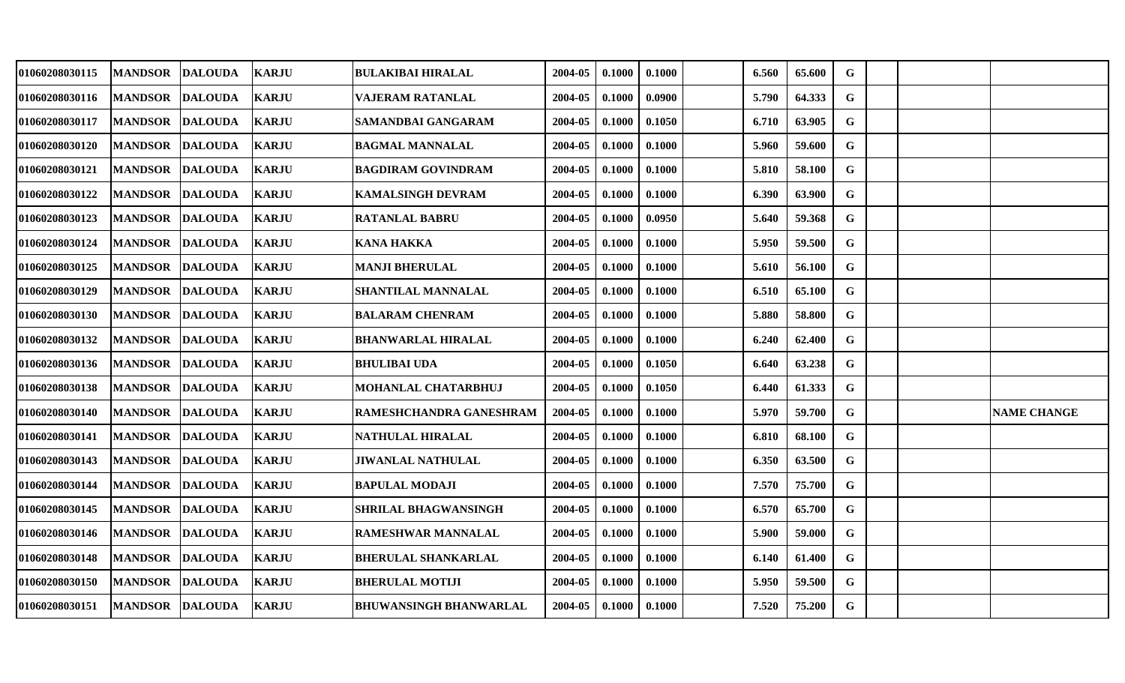| 01060208030115 | <b>MANDSOR</b>  | <b>DALOUDA</b> | <b>KARJU</b> | <b>BULAKIBAI HIRALAL</b>      | 2004-05 | 0.1000 | 0.1000 | 6.560 | 65.600 | G           |  |                    |
|----------------|-----------------|----------------|--------------|-------------------------------|---------|--------|--------|-------|--------|-------------|--|--------------------|
| 01060208030116 | <b>MANDSOR</b>  | <b>DALOUDA</b> | <b>KARJU</b> | VAJERAM RATANLAL              | 2004-05 | 0.1000 | 0.0900 | 5.790 | 64.333 | G           |  |                    |
| 01060208030117 | <b>MANDSOR</b>  | <b>DALOUDA</b> | <b>KARJU</b> | SAMANDBAI GANGARAM            | 2004-05 | 0.1000 | 0.1050 | 6.710 | 63.905 | $\mathbf G$ |  |                    |
| 01060208030120 | <b>MANDSOR</b>  | <b>DALOUDA</b> | <b>KARJU</b> | <b>BAGMAL MANNALAL</b>        | 2004-05 | 0.1000 | 0.1000 | 5.960 | 59.600 | $\mathbf G$ |  |                    |
| 01060208030121 | <b>MANDSOR</b>  | <b>DALOUDA</b> | <b>KARJU</b> | BAGDIRAM GOVINDRAM            | 2004-05 | 0.1000 | 0.1000 | 5.810 | 58.100 | $\mathbf G$ |  |                    |
| 01060208030122 | <b>MANDSOR</b>  | <b>DALOUDA</b> | <b>KARJU</b> | <b>KAMALSINGH DEVRAM</b>      | 2004-05 | 0.1000 | 0.1000 | 6.390 | 63.900 | G           |  |                    |
| 01060208030123 | <b>MANDSOR</b>  | <b>DALOUDA</b> | <b>KARJU</b> | <b>RATANLAL BABRU</b>         | 2004-05 | 0.1000 | 0.0950 | 5.640 | 59.368 | G           |  |                    |
| 01060208030124 | <b>MANDSOR</b>  | <b>DALOUDA</b> | <b>KARJU</b> | <b>KANA HAKKA</b>             | 2004-05 | 0.1000 | 0.1000 | 5.950 | 59.500 | $\mathbf G$ |  |                    |
| 01060208030125 | <b>MANDSOR</b>  | <b>DALOUDA</b> | <b>KARJU</b> | <b>MANJI BHERULAL</b>         | 2004-05 | 0.1000 | 0.1000 | 5.610 | 56.100 | $\mathbf G$ |  |                    |
| 01060208030129 | <b>MANDSOR</b>  | <b>DALOUDA</b> | <b>KARJU</b> | SHANTILAL MANNALAL            | 2004-05 | 0.1000 | 0.1000 | 6.510 | 65.100 | G           |  |                    |
| 01060208030130 | <b>MANDSOR</b>  | <b>DALOUDA</b> | <b>KARJU</b> | <b>BALARAM CHENRAM</b>        | 2004-05 | 0.1000 | 0.1000 | 5.880 | 58.800 | G           |  |                    |
| 01060208030132 | <b>MANDSOR</b>  | <b>DALOUDA</b> | <b>KARJU</b> | <b>BHANWARLAL HIRALAL</b>     | 2004-05 | 0.1000 | 0.1000 | 6.240 | 62.400 | $\mathbf G$ |  |                    |
| 01060208030136 | <b>MANDSOR</b>  | <b>DALOUDA</b> | <b>KARJU</b> | <b>BHULIBAI UDA</b>           | 2004-05 | 0.1000 | 0.1050 | 6.640 | 63.238 | G           |  |                    |
| 01060208030138 | <b>MANDSOR</b>  | <b>DALOUDA</b> | <b>KARJU</b> | MOHANLAL CHATARBHUJ           | 2004-05 | 0.1000 | 0.1050 | 6.440 | 61.333 | G           |  |                    |
| 01060208030140 | <b>MANDSOR</b>  | <b>DALOUDA</b> | <b>KARJU</b> | RAMESHCHANDRA GANESHRAM       | 2004-05 | 0.1000 | 0.1000 | 5.970 | 59.700 | G           |  | <b>NAME CHANGE</b> |
| 01060208030141 | <b>MANDSOR</b>  | <b>DALOUDA</b> | <b>KARJU</b> | <b>NATHULAL HIRALAL</b>       | 2004-05 | 0.1000 | 0.1000 | 6.810 | 68.100 | $\mathbf G$ |  |                    |
| 01060208030143 | <b>MANDSOR</b>  | <b>DALOUDA</b> | <b>KARJU</b> | <b>JIWANLAL NATHULAL</b>      | 2004-05 | 0.1000 | 0.1000 | 6.350 | 63.500 | G           |  |                    |
| 01060208030144 | <b>MANDSOR</b>  | <b>DALOUDA</b> | <b>KARJU</b> | <b>BAPULAL MODAJI</b>         | 2004-05 | 0.1000 | 0.1000 | 7.570 | 75.700 | $\mathbf G$ |  |                    |
| 01060208030145 | <b>MANDSOR</b>  | <b>DALOUDA</b> | <b>KARJU</b> | <b>SHRILAL BHAGWANSINGH</b>   | 2004-05 | 0.1000 | 0.1000 | 6.570 | 65.700 | G           |  |                    |
| 01060208030146 | <b>MANDSOR</b>  | <b>DALOUDA</b> | <b>KARJU</b> | <b>RAMESHWAR MANNALAL</b>     | 2004-05 | 0.1000 | 0.1000 | 5.900 | 59.000 | G           |  |                    |
| 01060208030148 | <b>MANDSOR</b>  | <b>DALOUDA</b> | <b>KARJU</b> | <b>BHERULAL SHANKARLAL</b>    | 2004-05 | 0.1000 | 0.1000 | 6.140 | 61.400 | G           |  |                    |
| 01060208030150 | <b>MANDSOR</b>  | <b>DALOUDA</b> | <b>KARJU</b> | <b>BHERULAL MOTIJI</b>        | 2004-05 | 0.1000 | 0.1000 | 5.950 | 59.500 | $\mathbf G$ |  |                    |
| 01060208030151 | MANDSOR DALOUDA |                | <b>KARJU</b> | <b>BHUWANSINGH BHANWARLAL</b> | 2004-05 | 0.1000 | 0.1000 | 7.520 | 75.200 | G           |  |                    |
|                |                 |                |              |                               |         |        |        |       |        |             |  |                    |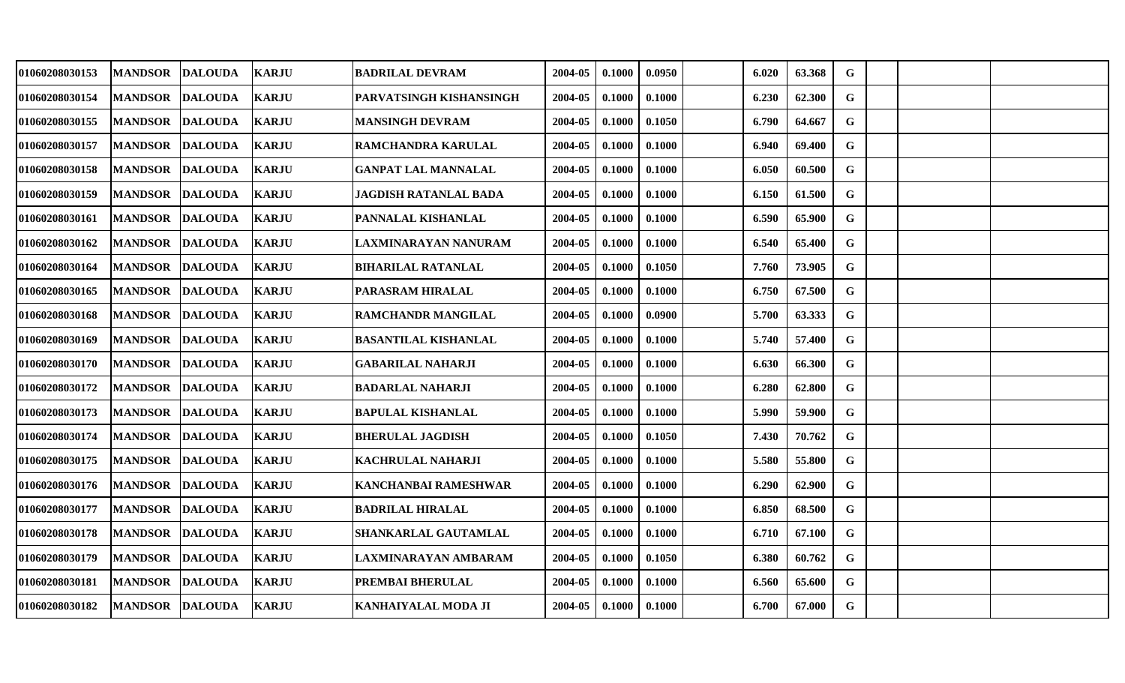| 01060208030153 | <b>MANDSOR</b>  | <b>DALOUDA</b> | <b>KARJU</b> | <b>BADRILAL DEVRAM</b>       | 2004-05 | 0.1000 | 0.0950 | 6.020 | 63.368 | G           |  |  |
|----------------|-----------------|----------------|--------------|------------------------------|---------|--------|--------|-------|--------|-------------|--|--|
| 01060208030154 | <b>MANDSOR</b>  | <b>DALOUDA</b> | <b>KARJU</b> | PARVATSINGH KISHANSINGH      | 2004-05 | 0.1000 | 0.1000 | 6.230 | 62.300 | G           |  |  |
| 01060208030155 | <b>MANDSOR</b>  | <b>DALOUDA</b> | <b>KARJU</b> | <b>MANSINGH DEVRAM</b>       | 2004-05 | 0.1000 | 0.1050 | 6.790 | 64.667 | $\mathbf G$ |  |  |
| 01060208030157 | <b>MANDSOR</b>  | <b>DALOUDA</b> | <b>KARJU</b> | RAMCHANDRA KARULAL           | 2004-05 | 0.1000 | 0.1000 | 6.940 | 69.400 | $\mathbf G$ |  |  |
| 01060208030158 | <b>MANDSOR</b>  | <b>DALOUDA</b> | <b>KARJU</b> | GANPAT LAL MANNALAL          | 2004-05 | 0.1000 | 0.1000 | 6.050 | 60.500 | $\mathbf G$ |  |  |
| 01060208030159 | <b>MANDSOR</b>  | <b>DALOUDA</b> | <b>KARJU</b> | <b>JAGDISH RATANLAL BADA</b> | 2004-05 | 0.1000 | 0.1000 | 6.150 | 61.500 | G           |  |  |
| 01060208030161 | <b>MANDSOR</b>  | <b>DALOUDA</b> | <b>KARJU</b> | PANNALAL KISHANLAL           | 2004-05 | 0.1000 | 0.1000 | 6.590 | 65.900 | $\mathbf G$ |  |  |
| 01060208030162 | <b>MANDSOR</b>  | <b>DALOUDA</b> | <b>KARJU</b> | LAXMINARAYAN NANURAM         | 2004-05 | 0.1000 | 0.1000 | 6.540 | 65.400 | $\mathbf G$ |  |  |
| 01060208030164 | <b>MANDSOR</b>  | <b>DALOUDA</b> | <b>KARJU</b> | <b>BIHARILAL RATANLAL</b>    | 2004-05 | 0.1000 | 0.1050 | 7.760 | 73.905 | $\mathbf G$ |  |  |
| 01060208030165 | <b>MANDSOR</b>  | <b>DALOUDA</b> | <b>KARJU</b> | PARASRAM HIRALAL             | 2004-05 | 0.1000 | 0.1000 | 6.750 | 67.500 | G           |  |  |
| 01060208030168 | <b>MANDSOR</b>  | <b>DALOUDA</b> | <b>KARJU</b> | <b>RAMCHANDR MANGILAL</b>    | 2004-05 | 0.1000 | 0.0900 | 5.700 | 63.333 | G           |  |  |
| 01060208030169 | <b>MANDSOR</b>  | <b>DALOUDA</b> | <b>KARJU</b> | <b>BASANTILAL KISHANLAL</b>  | 2004-05 | 0.1000 | 0.1000 | 5.740 | 57.400 | G           |  |  |
| 01060208030170 | <b>MANDSOR</b>  | <b>DALOUDA</b> | <b>KARJU</b> | <b>GABARILAL NAHARJI</b>     | 2004-05 | 0.1000 | 0.1000 | 6.630 | 66.300 | G           |  |  |
| 01060208030172 | <b>MANDSOR</b>  | <b>DALOUDA</b> | <b>KARJU</b> | <b>BADARLAL NAHARJI</b>      | 2004-05 | 0.1000 | 0.1000 | 6.280 | 62.800 | G           |  |  |
| 01060208030173 | <b>MANDSOR</b>  | <b>DALOUDA</b> | <b>KARJU</b> | <b>BAPULAL KISHANLAL</b>     | 2004-05 | 0.1000 | 0.1000 | 5.990 | 59.900 | G           |  |  |
| 01060208030174 | <b>MANDSOR</b>  | <b>DALOUDA</b> | <b>KARJU</b> | <b>BHERULAL JAGDISH</b>      | 2004-05 | 0.1000 | 0.1050 | 7.430 | 70.762 | G           |  |  |
| 01060208030175 | <b>MANDSOR</b>  | <b>DALOUDA</b> | <b>KARJU</b> | <b>KACHRULAL NAHARJI</b>     | 2004-05 | 0.1000 | 0.1000 | 5.580 | 55.800 | $\mathbf G$ |  |  |
| 01060208030176 | <b>MANDSOR</b>  | <b>DALOUDA</b> | <b>KARJU</b> | KANCHANBAI RAMESHWAR         | 2004-05 | 0.1000 | 0.1000 | 6.290 | 62.900 | G           |  |  |
| 01060208030177 | <b>MANDSOR</b>  | <b>DALOUDA</b> | <b>KARJU</b> | <b>BADRILAL HIRALAL</b>      | 2004-05 | 0.1000 | 0.1000 | 6.850 | 68.500 | G           |  |  |
| 01060208030178 | <b>MANDSOR</b>  | <b>DALOUDA</b> | <b>KARJU</b> | SHANKARLAL GAUTAMLAL         | 2004-05 | 0.1000 | 0.1000 | 6.710 | 67.100 | $\mathbf G$ |  |  |
| 01060208030179 | <b>MANDSOR</b>  | <b>DALOUDA</b> | <b>KARJU</b> | LAXMINARAYAN AMBARAM         | 2004-05 | 0.1000 | 0.1050 | 6.380 | 60.762 | G           |  |  |
| 01060208030181 | <b>MANDSOR</b>  | <b>DALOUDA</b> | <b>KARJU</b> | PREMBAI BHERULAL             | 2004-05 | 0.1000 | 0.1000 | 6.560 | 65.600 | G           |  |  |
| 01060208030182 | MANDSOR DALOUDA |                | <b>KARJU</b> | KANHAIYALAL MODA JI          | 2004-05 | 0.1000 | 0.1000 | 6.700 | 67.000 | $\mathbf G$ |  |  |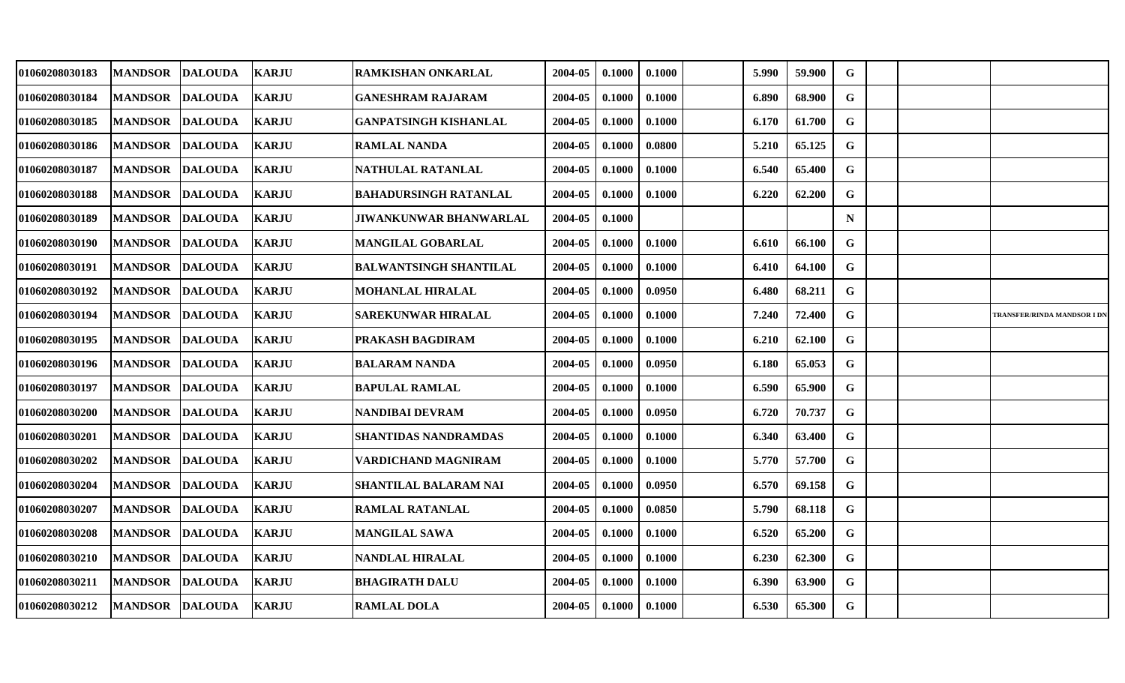| 01060208030183 | <b>MANDSOR</b>         | <b>DALOUDA</b> | <b>KARJU</b> | <b>RAMKISHAN ONKARLAL</b>     | 2004-05 | 0.1000 | 0.1000 | 5.990 | 59.900 | G           |  |                             |
|----------------|------------------------|----------------|--------------|-------------------------------|---------|--------|--------|-------|--------|-------------|--|-----------------------------|
| 01060208030184 | <b>MANDSOR</b>         | <b>DALOUDA</b> | <b>KARJU</b> | <b>GANESHRAM RAJARAM</b>      | 2004-05 | 0.1000 | 0.1000 | 6.890 | 68.900 | G           |  |                             |
| 01060208030185 | <b>MANDSOR</b>         | <b>DALOUDA</b> | <b>KARJU</b> | <b>GANPATSINGH KISHANLAL</b>  | 2004-05 | 0.1000 | 0.1000 | 6.170 | 61.700 | $\mathbf G$ |  |                             |
| 01060208030186 | <b>MANDSOR</b>         | <b>DALOUDA</b> | <b>KARJU</b> | <b>RAMLAL NANDA</b>           | 2004-05 | 0.1000 | 0.0800 | 5.210 | 65.125 | G           |  |                             |
| 01060208030187 | <b>MANDSOR</b>         | <b>DALOUDA</b> | <b>KARJU</b> | NATHULAL RATANLAL             | 2004-05 | 0.1000 | 0.1000 | 6.540 | 65.400 | $\mathbf G$ |  |                             |
| 01060208030188 | <b>MANDSOR</b>         | <b>DALOUDA</b> | <b>KARJU</b> | <b>BAHADURSINGH RATANLAL</b>  | 2004-05 | 0.1000 | 0.1000 | 6.220 | 62.200 | G           |  |                             |
| 01060208030189 | <b>MANDSOR</b>         | <b>DALOUDA</b> | <b>KARJU</b> | <b>JIWANKUNWAR BHANWARLAL</b> | 2004-05 | 0.1000 |        |       |        | $\mathbf N$ |  |                             |
| 01060208030190 | <b>MANDSOR</b>         | <b>DALOUDA</b> | <b>KARJU</b> | <b>MANGILAL GOBARLAL</b>      | 2004-05 | 0.1000 | 0.1000 | 6.610 | 66.100 | G           |  |                             |
| 01060208030191 | <b>MANDSOR</b>         | <b>DALOUDA</b> | <b>KARJU</b> | <b>BALWANTSINGH SHANTILAL</b> | 2004-05 | 0.1000 | 0.1000 | 6.410 | 64.100 | $\mathbf G$ |  |                             |
| 01060208030192 | <b>MANDSOR</b>         | <b>DALOUDA</b> | <b>KARJU</b> | <b>MOHANLAL HIRALAL</b>       | 2004-05 | 0.1000 | 0.0950 | 6.480 | 68.211 | G           |  |                             |
| 01060208030194 | <b>MANDSOR</b>         | <b>DALOUDA</b> | <b>KARJU</b> | <b>SAREKUNWAR HIRALAL</b>     | 2004-05 | 0.1000 | 0.1000 | 7.240 | 72.400 | G           |  | TRANSFER/RINDA MANDSOR I DN |
| 01060208030195 | <b>MANDSOR</b>         | <b>DALOUDA</b> | <b>KARJU</b> | <b>PRAKASH BAGDIRAM</b>       | 2004-05 | 0.1000 | 0.1000 | 6.210 | 62.100 | $\mathbf G$ |  |                             |
| 01060208030196 | <b>MANDSOR</b>         | <b>DALOUDA</b> | <b>KARJU</b> | <b>BALARAM NANDA</b>          | 2004-05 | 0.1000 | 0.0950 | 6.180 | 65.053 | G           |  |                             |
| 01060208030197 | <b>MANDSOR</b>         | <b>DALOUDA</b> | <b>KARJU</b> | <b>BAPULAL RAMLAL</b>         | 2004-05 | 0.1000 | 0.1000 | 6.590 | 65.900 | G           |  |                             |
| 01060208030200 | <b>MANDSOR</b>         | <b>DALOUDA</b> | <b>KARJU</b> | <b>NANDIBAI DEVRAM</b>        | 2004-05 | 0.1000 | 0.0950 | 6.720 | 70.737 | G           |  |                             |
| 01060208030201 | <b>MANDSOR</b>         | <b>DALOUDA</b> | <b>KARJU</b> | <b>SHANTIDAS NANDRAMDAS</b>   | 2004-05 | 0.1000 | 0.1000 | 6.340 | 63.400 | G           |  |                             |
| 01060208030202 | <b>MANDSOR</b>         | <b>DALOUDA</b> | <b>KARJU</b> | <b>VARDICHAND MAGNIRAM</b>    | 2004-05 | 0.1000 | 0.1000 | 5.770 | 57.700 | G           |  |                             |
| 01060208030204 | <b>MANDSOR</b>         | <b>DALOUDA</b> | <b>KARJU</b> | <b>SHANTILAL BALARAM NAI</b>  | 2004-05 | 0.1000 | 0.0950 | 6.570 | 69.158 | $\mathbf G$ |  |                             |
| 01060208030207 | <b>MANDSOR</b>         | <b>DALOUDA</b> | <b>KARJU</b> | <b>RAMLAL RATANLAL</b>        | 2004-05 | 0.1000 | 0.0850 | 5.790 | 68.118 | G           |  |                             |
| 01060208030208 | <b>MANDSOR</b>         | <b>DALOUDA</b> | <b>KARJU</b> | <b>MANGILAL SAWA</b>          | 2004-05 | 0.1000 | 0.1000 | 6.520 | 65.200 | G           |  |                             |
| 01060208030210 | <b>MANDSOR</b>         | <b>DALOUDA</b> | <b>KARJU</b> | NANDLAL HIRALAL               | 2004-05 | 0.1000 | 0.1000 | 6.230 | 62.300 | G           |  |                             |
| 01060208030211 | <b>MANDSOR</b>         | <b>DALOUDA</b> | <b>KARJU</b> | <b>BHAGIRATH DALU</b>         | 2004-05 | 0.1000 | 0.1000 | 6.390 | 63.900 | $\mathbf G$ |  |                             |
| 01060208030212 | <b>MANDSOR DALOUDA</b> |                | <b>KARJU</b> | <b>RAMLAL DOLA</b>            | 2004-05 | 0.1000 | 0.1000 | 6.530 | 65.300 | G           |  |                             |
|                |                        |                |              |                               |         |        |        |       |        |             |  |                             |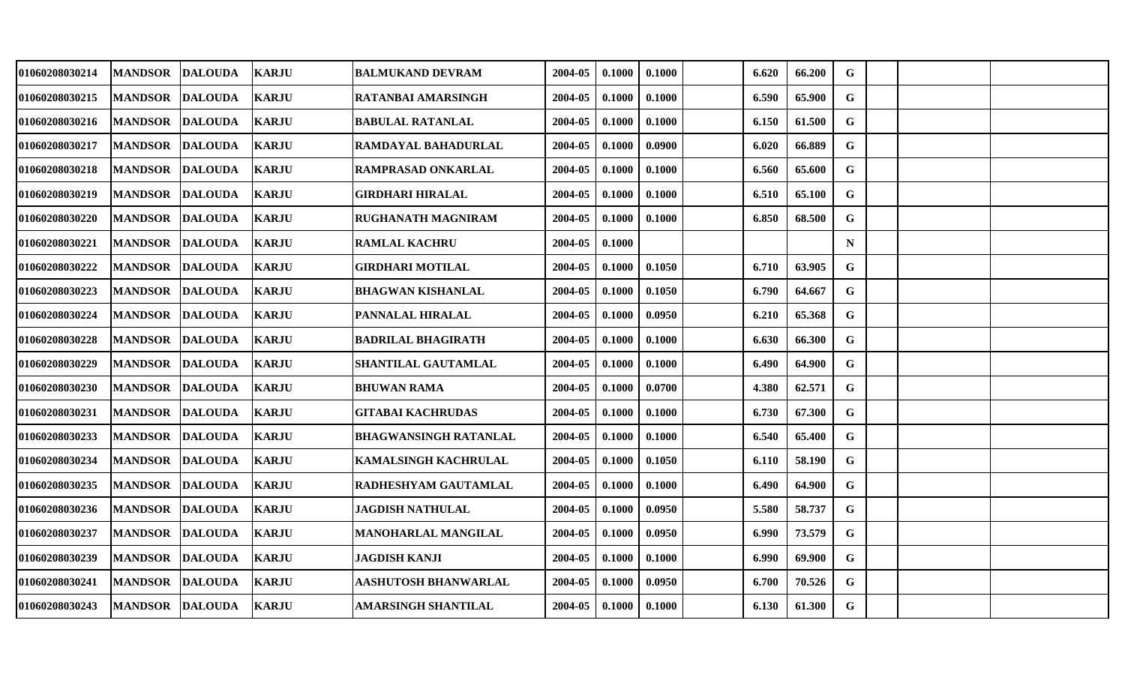|                |                                                                                                                                                                                                                                                                                                                                                                                                                                       | <b>BALMUKAND DEVRAM</b>                                                                                                                                                                                                                                                                                                                                                      | 2004-05 | 0.1000 | 0.1000 | 6.620 | 66.200 | G           |  |  |
|----------------|---------------------------------------------------------------------------------------------------------------------------------------------------------------------------------------------------------------------------------------------------------------------------------------------------------------------------------------------------------------------------------------------------------------------------------------|------------------------------------------------------------------------------------------------------------------------------------------------------------------------------------------------------------------------------------------------------------------------------------------------------------------------------------------------------------------------------|---------|--------|--------|-------|--------|-------------|--|--|
| <b>MANDSOR</b> |                                                                                                                                                                                                                                                                                                                                                                                                                                       | RATANBAI AMARSINGH                                                                                                                                                                                                                                                                                                                                                           | 2004-05 | 0.1000 | 0.1000 | 6.590 | 65.900 | G           |  |  |
| <b>MANDSOR</b> |                                                                                                                                                                                                                                                                                                                                                                                                                                       | <b>BABULAL RATANLAL</b>                                                                                                                                                                                                                                                                                                                                                      | 2004-05 | 0.1000 | 0.1000 | 6.150 | 61.500 | $\mathbf G$ |  |  |
| <b>MANDSOR</b> |                                                                                                                                                                                                                                                                                                                                                                                                                                       | RAMDAYAL BAHADURLAL                                                                                                                                                                                                                                                                                                                                                          | 2004-05 | 0.1000 | 0.0900 | 6.020 | 66.889 | G           |  |  |
|                |                                                                                                                                                                                                                                                                                                                                                                                                                                       | <b>RAMPRASAD ONKARLAL</b>                                                                                                                                                                                                                                                                                                                                                    | 2004-05 | 0.1000 | 0.1000 | 6.560 | 65.600 | $\mathbf G$ |  |  |
| <b>MANDSOR</b> |                                                                                                                                                                                                                                                                                                                                                                                                                                       | <b>GIRDHARI HIRALAL</b>                                                                                                                                                                                                                                                                                                                                                      | 2004-05 | 0.1000 | 0.1000 | 6.510 | 65.100 | G           |  |  |
| <b>MANDSOR</b> |                                                                                                                                                                                                                                                                                                                                                                                                                                       | RUGHANATH MAGNIRAM                                                                                                                                                                                                                                                                                                                                                           | 2004-05 | 0.1000 | 0.1000 | 6.850 | 68.500 | G           |  |  |
| <b>MANDSOR</b> |                                                                                                                                                                                                                                                                                                                                                                                                                                       | <b>RAMLAL KACHRU</b>                                                                                                                                                                                                                                                                                                                                                         | 2004-05 | 0.1000 |        |       |        | $\mathbf N$ |  |  |
| <b>MANDSOR</b> |                                                                                                                                                                                                                                                                                                                                                                                                                                       | <b>GIRDHARI MOTILAL</b>                                                                                                                                                                                                                                                                                                                                                      | 2004-05 | 0.1000 | 0.1050 | 6.710 | 63.905 | G           |  |  |
| <b>MANDSOR</b> |                                                                                                                                                                                                                                                                                                                                                                                                                                       | <b>BHAGWAN KISHANLAL</b>                                                                                                                                                                                                                                                                                                                                                     | 2004-05 | 0.1000 | 0.1050 | 6.790 | 64.667 | G           |  |  |
| <b>MANDSOR</b> |                                                                                                                                                                                                                                                                                                                                                                                                                                       | PANNALAL HIRALAL                                                                                                                                                                                                                                                                                                                                                             | 2004-05 | 0.1000 | 0.0950 | 6.210 | 65.368 | G           |  |  |
| <b>MANDSOR</b> |                                                                                                                                                                                                                                                                                                                                                                                                                                       | <b>BADRILAL BHAGIRATH</b>                                                                                                                                                                                                                                                                                                                                                    | 2004-05 | 0.1000 | 0.1000 | 6.630 | 66.300 | $\mathbf G$ |  |  |
| <b>MANDSOR</b> |                                                                                                                                                                                                                                                                                                                                                                                                                                       | SHANTILAL GAUTAMLAL                                                                                                                                                                                                                                                                                                                                                          | 2004-05 | 0.1000 | 0.1000 | 6.490 | 64.900 | $\mathbf G$ |  |  |
| <b>MANDSOR</b> |                                                                                                                                                                                                                                                                                                                                                                                                                                       | <b>BHUWAN RAMA</b>                                                                                                                                                                                                                                                                                                                                                           | 2004-05 | 0.1000 | 0.0700 | 4.380 | 62.571 | G           |  |  |
|                |                                                                                                                                                                                                                                                                                                                                                                                                                                       | <b>GITABAI KACHRUDAS</b>                                                                                                                                                                                                                                                                                                                                                     | 2004-05 | 0.1000 | 0.1000 | 6.730 | 67.300 | G           |  |  |
| <b>MANDSOR</b> |                                                                                                                                                                                                                                                                                                                                                                                                                                       | <b>BHAGWANSINGH RATANLAL</b>                                                                                                                                                                                                                                                                                                                                                 | 2004-05 | 0.1000 | 0.1000 | 6.540 | 65.400 | $\mathbf G$ |  |  |
| <b>MANDSOR</b> |                                                                                                                                                                                                                                                                                                                                                                                                                                       | <b>KAMALSINGH KACHRULAL</b>                                                                                                                                                                                                                                                                                                                                                  | 2004-05 | 0.1000 | 0.1050 | 6.110 | 58.190 | $\mathbf G$ |  |  |
| <b>MANDSOR</b> |                                                                                                                                                                                                                                                                                                                                                                                                                                       | RADHESHYAM GAUTAMLAL                                                                                                                                                                                                                                                                                                                                                         | 2004-05 | 0.1000 | 0.1000 | 6.490 | 64.900 | G           |  |  |
| <b>MANDSOR</b> |                                                                                                                                                                                                                                                                                                                                                                                                                                       | <b>JAGDISH NATHULAL</b>                                                                                                                                                                                                                                                                                                                                                      | 2004-05 | 0.1000 | 0.0950 | 5.580 | 58.737 | G           |  |  |
| <b>MANDSOR</b> |                                                                                                                                                                                                                                                                                                                                                                                                                                       | <b>MANOHARLAL MANGILAL</b>                                                                                                                                                                                                                                                                                                                                                   | 2004-05 | 0.1000 | 0.0950 | 6.990 | 73.579 | G           |  |  |
| <b>MANDSOR</b> |                                                                                                                                                                                                                                                                                                                                                                                                                                       | <b>JAGDISH KANJI</b>                                                                                                                                                                                                                                                                                                                                                         | 2004-05 | 0.1000 | 0.1000 | 6.990 | 69.900 | G           |  |  |
| <b>MANDSOR</b> |                                                                                                                                                                                                                                                                                                                                                                                                                                       | <b>AASHUTOSH BHANWARLAL</b>                                                                                                                                                                                                                                                                                                                                                  | 2004-05 | 0.1000 | 0.0950 | 6.700 | 70.526 | G           |  |  |
|                |                                                                                                                                                                                                                                                                                                                                                                                                                                       | AMARSINGH SHANTILAL                                                                                                                                                                                                                                                                                                                                                          | 2004-05 | 0.1000 | 0.1000 | 6.130 | 61.300 | G           |  |  |
|                | MANDSOR DALOUDA<br><b>DALOUDA</b><br><b>DALOUDA</b><br><b>DALOUDA</b><br>MANDSOR DALOUDA<br><b>DALOUDA</b><br><b>DALOUDA</b><br><b>DALOUDA</b><br><b>DALOUDA</b><br><b>DALOUDA</b><br><b>DALOUDA</b><br><b>DALOUDA</b><br><b>DALOUDA</b><br><b>DALOUDA</b><br><b>MANDSOR DALOUDA</b><br><b>DALOUDA</b><br><b>DALOUDA</b><br><b>DALOUDA</b><br><b>DALOUDA</b><br><b>DALOUDA</b><br><b>DALOUDA</b><br><b>DALOUDA</b><br>MANDSOR DALOUDA | <b>KARJU</b><br><b>KARJU</b><br><b>KARJU</b><br><b>KARJU</b><br><b>KARJU</b><br><b>KARJU</b><br><b>KARJU</b><br><b>KARJU</b><br><b>KARJU</b><br><b>KARJU</b><br><b>KARJU</b><br><b>KARJU</b><br><b>KARJU</b><br><b>KARJU</b><br><b>KARJU</b><br><b>KARJU</b><br><b>KARJU</b><br><b>KARJU</b><br><b>KARJU</b><br><b>KARJU</b><br><b>KARJU</b><br><b>KARJU</b><br><b>KARJU</b> |         |        |        |       |        |             |  |  |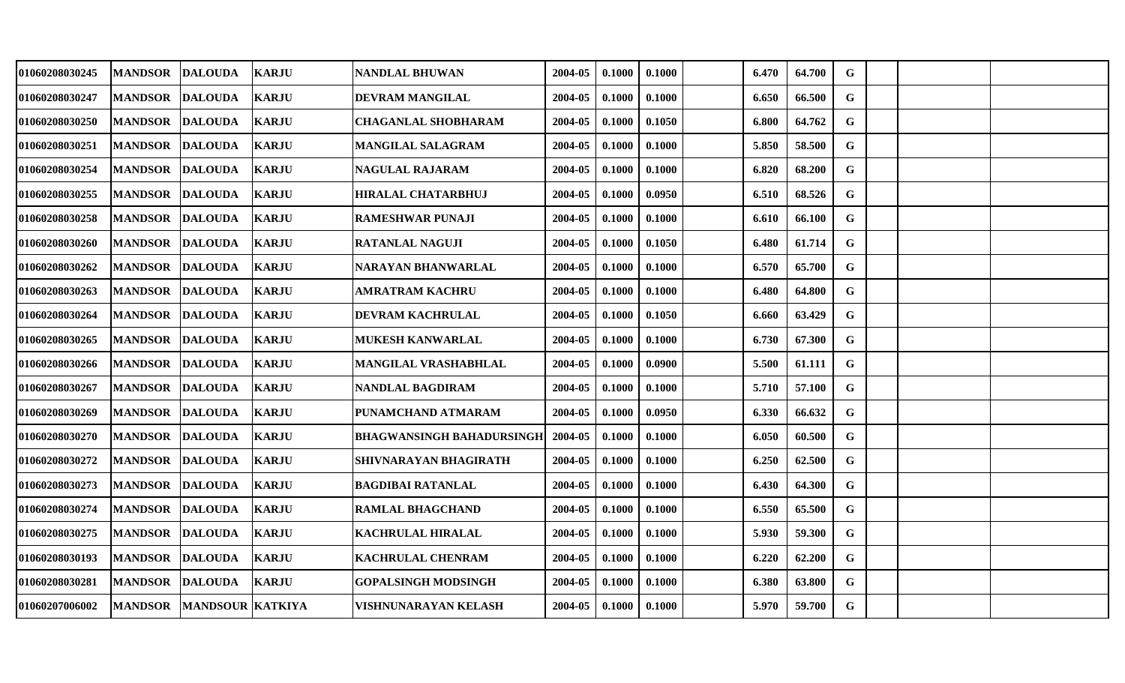| 01060208030245 | MANDSOR DALOUDA |                          | <b>KARJU</b> | NANDLAL BHUWAN                   | 2004-05 | 0.1000 | 0.1000 | 6.470 | 64.700 | G           |  |  |
|----------------|-----------------|--------------------------|--------------|----------------------------------|---------|--------|--------|-------|--------|-------------|--|--|
|                |                 |                          |              |                                  |         |        |        |       |        |             |  |  |
| 01060208030247 | <b>MANDSOR</b>  | <b>DALOUDA</b>           | <b>KARJU</b> | <b>DEVRAM MANGILAL</b>           | 2004-05 | 0.1000 | 0.1000 | 6.650 | 66.500 | G           |  |  |
| 01060208030250 | <b>MANDSOR</b>  | <b>DALOUDA</b>           | <b>KARJU</b> | <b>CHAGANLAL SHOBHARAM</b>       | 2004-05 | 0.1000 | 0.1050 | 6.800 | 64.762 | $\mathbf G$ |  |  |
| 01060208030251 | <b>MANDSOR</b>  | <b>DALOUDA</b>           | <b>KARJU</b> | <b>MANGILAL SALAGRAM</b>         | 2004-05 | 0.1000 | 0.1000 | 5.850 | 58.500 | $\mathbf G$ |  |  |
| 01060208030254 | MANDSOR DALOUDA |                          | <b>KARJU</b> | NAGULAL RAJARAM                  | 2004-05 | 0.1000 | 0.1000 | 6.820 | 68.200 | $\mathbf G$ |  |  |
| 01060208030255 | <b>MANDSOR</b>  | <b>DALOUDA</b>           | <b>KARJU</b> | <b>HIRALAL CHATARBHUJ</b>        | 2004-05 | 0.1000 | 0.0950 | 6.510 | 68.526 | G           |  |  |
| 01060208030258 | <b>MANDSOR</b>  | <b>DALOUDA</b>           | <b>KARJU</b> | <b>RAMESHWAR PUNAJI</b>          | 2004-05 | 0.1000 | 0.1000 | 6.610 | 66.100 | G           |  |  |
| 01060208030260 | <b>MANDSOR</b>  | <b>DALOUDA</b>           | <b>KARJU</b> | <b>RATANLAL NAGUJI</b>           | 2004-05 | 0.1000 | 0.1050 | 6.480 | 61.714 | G           |  |  |
| 01060208030262 | <b>MANDSOR</b>  | <b>DALOUDA</b>           | <b>KARJU</b> | <b>NARAYAN BHANWARLAL</b>        | 2004-05 | 0.1000 | 0.1000 | 6.570 | 65.700 | $\mathbf G$ |  |  |
| 01060208030263 | <b>MANDSOR</b>  | <b>DALOUDA</b>           | <b>KARJU</b> | <b>AMRATRAM KACHRU</b>           | 2004-05 | 0.1000 | 0.1000 | 6.480 | 64.800 | G           |  |  |
| 01060208030264 | <b>MANDSOR</b>  | <b>DALOUDA</b>           | <b>KARJU</b> | DEVRAM KACHRULAL                 | 2004-05 | 0.1000 | 0.1050 | 6.660 | 63.429 | G           |  |  |
| 01060208030265 | <b>MANDSOR</b>  | <b>DALOUDA</b>           | <b>KARJU</b> | <b>MUKESH KANWARLAL</b>          | 2004-05 | 0.1000 | 0.1000 | 6.730 | 67.300 | G           |  |  |
| 01060208030266 | <b>MANDSOR</b>  | <b>DALOUDA</b>           | <b>KARJU</b> | <b>MANGILAL VRASHABHLAL</b>      | 2004-05 | 0.1000 | 0.0900 | 5.500 | 61.111 | G           |  |  |
| 01060208030267 | <b>MANDSOR</b>  | <b>DALOUDA</b>           | <b>KARJU</b> | NANDLAL BAGDIRAM                 | 2004-05 | 0.1000 | 0.1000 | 5.710 | 57.100 | G           |  |  |
| 01060208030269 | <b>MANDSOR</b>  | <b>DALOUDA</b>           | <b>KARJU</b> | PUNAMCHAND ATMARAM               | 2004-05 | 0.1000 | 0.0950 | 6.330 | 66.632 | G           |  |  |
| 01060208030270 | <b>MANDSOR</b>  | <b>DALOUDA</b>           | <b>KARJU</b> | <b>BHAGWANSINGH BAHADURSINGH</b> | 2004-05 | 0.1000 | 0.1000 | 6.050 | 60.500 | G           |  |  |
| 01060208030272 | <b>MANDSOR</b>  | <b>DALOUDA</b>           | <b>KARJU</b> | SHIVNARAYAN BHAGIRATH            | 2004-05 | 0.1000 | 0.1000 | 6.250 | 62.500 | $\mathbf G$ |  |  |
| 01060208030273 | <b>MANDSOR</b>  | <b>DALOUDA</b>           | <b>KARJU</b> | <b>BAGDIBAI RATANLAL</b>         | 2004-05 | 0.1000 | 0.1000 | 6.430 | 64.300 | G           |  |  |
| 01060208030274 | <b>MANDSOR</b>  | <b>DALOUDA</b>           | KARJU        | <b>RAMLAL BHAGCHAND</b>          | 2004-05 | 0.1000 | 0.1000 | 6.550 | 65.500 | G           |  |  |
| 01060208030275 | <b>MANDSOR</b>  | <b>DALOUDA</b>           | <b>KARJU</b> | <b>KACHRULAL HIRALAL</b>         | 2004-05 | 0.1000 | 0.1000 | 5.930 | 59.300 | $\mathbf G$ |  |  |
| 01060208030193 | <b>MANDSOR</b>  | <b>DALOUDA</b>           | <b>KARJU</b> | <b>KACHRULAL CHENRAM</b>         | 2004-05 | 0.1000 | 0.1000 | 6.220 | 62.200 | G           |  |  |
| 01060208030281 | <b>MANDSOR</b>  | <b>DALOUDA</b>           | <b>KARJU</b> | <b>GOPALSINGH MODSINGH</b>       | 2004-05 | 0.1000 | 0.1000 | 6.380 | 63.800 | G           |  |  |
| 01060207006002 |                 | MANDSOR MANDSOUR KATKIYA |              | VISHNUNARAYAN KELASH             | 2004-05 | 0.1000 | 0.1000 | 5.970 | 59.700 | G           |  |  |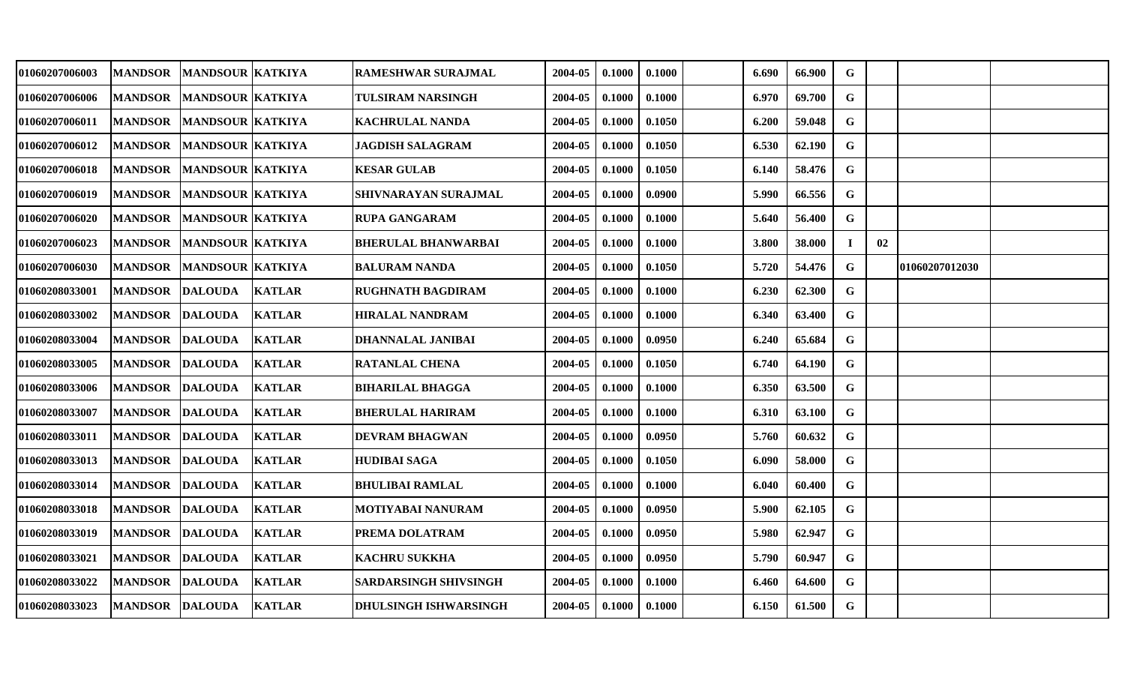| 01060207006003 | <b>MANDSOR</b>  | <b>MANDSOUR KATKIYA</b> |               | <b>RAMESHWAR SURAJMAL</b>    | 2004-05 | 0.1000 | 0.1000 | 6.690 | 66.900 | G           |    |                |  |
|----------------|-----------------|-------------------------|---------------|------------------------------|---------|--------|--------|-------|--------|-------------|----|----------------|--|
| 01060207006006 | <b>MANDSOR</b>  | <b>MANDSOUR KATKIYA</b> |               | <b>TULSIRAM NARSINGH</b>     | 2004-05 | 0.1000 | 0.1000 | 6.970 | 69.700 | G           |    |                |  |
| 01060207006011 | <b>MANDSOR</b>  | <b>MANDSOUR KATKIYA</b> |               | <b>KACHRULAL NANDA</b>       | 2004-05 | 0.1000 | 0.1050 | 6.200 | 59.048 | $\mathbf G$ |    |                |  |
| 01060207006012 | <b>MANDSOR</b>  | <b>MANDSOUR KATKIYA</b> |               | <b>JAGDISH SALAGRAM</b>      | 2004-05 | 0.1000 | 0.1050 | 6.530 | 62.190 | $\mathbf G$ |    |                |  |
| 01060207006018 | <b>MANDSOR</b>  | <b>MANDSOUR KATKIYA</b> |               | <b>KESAR GULAB</b>           | 2004-05 | 0.1000 | 0.1050 | 6.140 | 58.476 | ${\bf G}$   |    |                |  |
| 01060207006019 | <b>MANDSOR</b>  | <b>MANDSOUR KATKIYA</b> |               | SHIVNARAYAN SURAJMAL         | 2004-05 | 0.1000 | 0.0900 | 5.990 | 66.556 | G           |    |                |  |
| 01060207006020 | <b>MANDSOR</b>  | <b>MANDSOUR KATKIYA</b> |               | <b>RUPA GANGARAM</b>         | 2004-05 | 0.1000 | 0.1000 | 5.640 | 56.400 | $\mathbf G$ |    |                |  |
| 01060207006023 | <b>MANDSOR</b>  | <b>MANDSOUR KATKIYA</b> |               | <b>BHERULAL BHANWARBAI</b>   | 2004-05 | 0.1000 | 0.1000 | 3.800 | 38.000 | $\bf{I}$    | 02 |                |  |
| 01060207006030 | <b>MANDSOR</b>  | MANDSOUR KATKIYA        |               | <b>BALURAM NANDA</b>         | 2004-05 | 0.1000 | 0.1050 | 5.720 | 54.476 | G           |    | 01060207012030 |  |
| 01060208033001 | <b>MANDSOR</b>  | <b>DALOUDA</b>          | <b>KATLAR</b> | <b>RUGHNATH BAGDIRAM</b>     | 2004-05 | 0.1000 | 0.1000 | 6.230 | 62.300 | G           |    |                |  |
| 01060208033002 | <b>MANDSOR</b>  | <b>DALOUDA</b>          | <b>KATLAR</b> | <b>HIRALAL NANDRAM</b>       | 2004-05 | 0.1000 | 0.1000 | 6.340 | 63.400 | G           |    |                |  |
| 01060208033004 | <b>MANDSOR</b>  | <b>DALOUDA</b>          | <b>KATLAR</b> | DHANNALAL JANIBAI            | 2004-05 | 0.1000 | 0.0950 | 6.240 | 65.684 | $\mathbf G$ |    |                |  |
| 01060208033005 | <b>MANDSOR</b>  | <b>DALOUDA</b>          | <b>KATLAR</b> | <b>RATANLAL CHENA</b>        | 2004-05 | 0.1000 | 0.1050 | 6.740 | 64.190 | G           |    |                |  |
| 01060208033006 | <b>MANDSOR</b>  | <b>DALOUDA</b>          | <b>KATLAR</b> | <b>BIHARILAL BHAGGA</b>      | 2004-05 | 0.1000 | 0.1000 | 6.350 | 63.500 | G           |    |                |  |
| 01060208033007 | <b>MANDSOR</b>  | <b>DALOUDA</b>          | <b>KATLAR</b> | <b>BHERULAL HARIRAM</b>      | 2004-05 | 0.1000 | 0.1000 | 6.310 | 63.100 | G           |    |                |  |
| 01060208033011 | <b>MANDSOR</b>  | <b>DALOUDA</b>          | <b>KATLAR</b> | <b>DEVRAM BHAGWAN</b>        | 2004-05 | 0.1000 | 0.0950 | 5.760 | 60.632 | $\mathbf G$ |    |                |  |
| 01060208033013 | <b>MANDSOR</b>  | <b>DALOUDA</b>          | <b>KATLAR</b> | <b>HUDIBAI SAGA</b>          | 2004-05 | 0.1000 | 0.1050 | 6.090 | 58.000 | G           |    |                |  |
| 01060208033014 | <b>MANDSOR</b>  | <b>DALOUDA</b>          | <b>KATLAR</b> | <b>BHULIBAI RAMLAL</b>       | 2004-05 | 0.1000 | 0.1000 | 6.040 | 60.400 | $\mathbf G$ |    |                |  |
| 01060208033018 | <b>MANDSOR</b>  | <b>DALOUDA</b>          | <b>KATLAR</b> | <b>MOTIYABAI NANURAM</b>     | 2004-05 | 0.1000 | 0.0950 | 5.900 | 62.105 | G           |    |                |  |
| 01060208033019 | <b>MANDSOR</b>  | <b>DALOUDA</b>          | <b>KATLAR</b> | PREMA DOLATRAM               | 2004-05 | 0.1000 | 0.0950 | 5.980 | 62.947 | G           |    |                |  |
| 01060208033021 | <b>MANDSOR</b>  | <b>DALOUDA</b>          | <b>KATLAR</b> | <b>KACHRU SUKKHA</b>         | 2004-05 | 0.1000 | 0.0950 | 5.790 | 60.947 | G           |    |                |  |
| 01060208033022 | <b>MANDSOR</b>  | <b>DALOUDA</b>          | <b>KATLAR</b> | <b>SARDARSINGH SHIVSINGH</b> | 2004-05 | 0.1000 | 0.1000 | 6.460 | 64.600 | G           |    |                |  |
| 01060208033023 | MANDSOR DALOUDA |                         | <b>KATLAR</b> | <b>DHULSINGH ISHWARSINGH</b> | 2004-05 | 0.1000 | 0.1000 | 6.150 | 61.500 | G           |    |                |  |
|                |                 |                         |               |                              |         |        |        |       |        |             |    |                |  |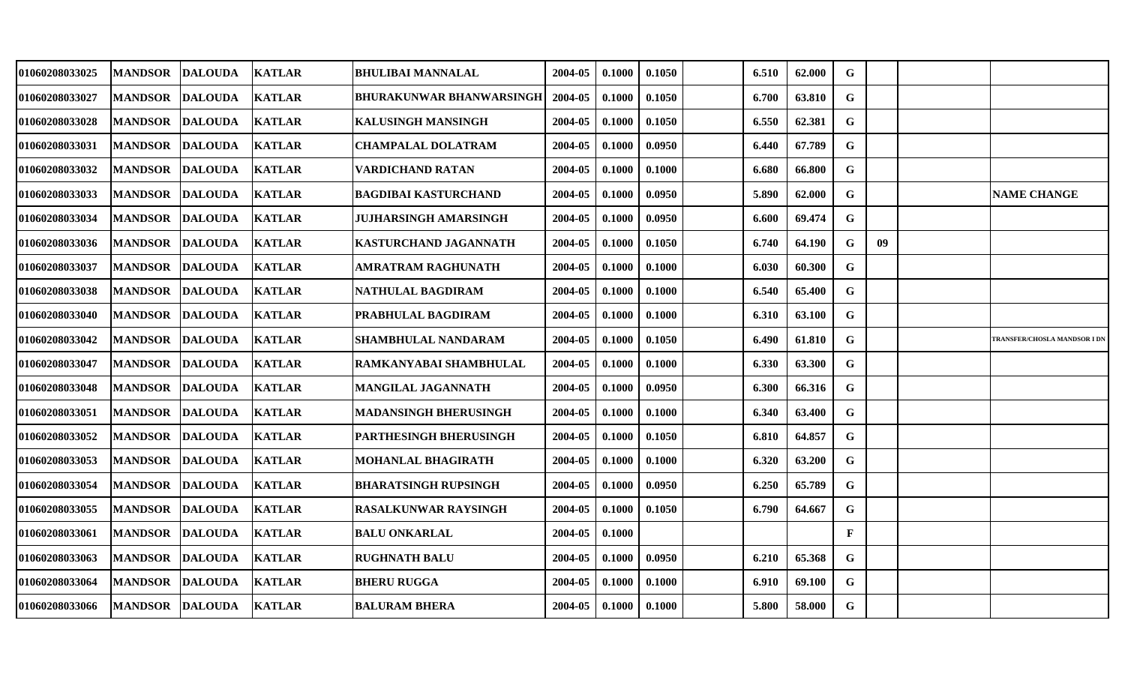| 01060208033025 | <b>MANDSOR</b>  | DALOUDA        | <b>KATLAR</b> | BHULIBAI MANNALAL               | 2004-05     | 0.1000          | 0.1050 | 6.510 | 62.000 | G            |    |                                     |
|----------------|-----------------|----------------|---------------|---------------------------------|-------------|-----------------|--------|-------|--------|--------------|----|-------------------------------------|
| 01060208033027 | <b>MANDSOR</b>  | <b>DALOUDA</b> | <b>KATLAR</b> | <b>BHURAKUNWAR BHANWARSINGH</b> | 2004-05     | 0.1000          | 0.1050 | 6.700 | 63.810 | G            |    |                                     |
| 01060208033028 | <b>MANDSOR</b>  | <b>DALOUDA</b> | <b>KATLAR</b> | <b>KALUSINGH MANSINGH</b>       | 2004-05     | 0.1000          | 0.1050 | 6.550 | 62.381 | $\mathbf G$  |    |                                     |
| 01060208033031 | <b>MANDSOR</b>  | <b>DALOUDA</b> | <b>KATLAR</b> | <b>CHAMPALAL DOLATRAM</b>       | 2004-05     | 0.1000          | 0.0950 | 6.440 | 67.789 | G            |    |                                     |
| 01060208033032 | <b>MANDSOR</b>  | <b>DALOUDA</b> | <b>KATLAR</b> | <b>VARDICHAND RATAN</b>         | 2004-05     | 0.1000          | 0.1000 | 6.680 | 66.800 | $\mathbf G$  |    |                                     |
| 01060208033033 | <b>MANDSOR</b>  | <b>DALOUDA</b> | <b>KATLAR</b> | <b>BAGDIBAI KASTURCHAND</b>     | 2004-05     | 0.1000          | 0.0950 | 5.890 | 62.000 | G            |    | <b>NAME CHANGE</b>                  |
| 01060208033034 | <b>MANDSOR</b>  | <b>DALOUDA</b> | <b>KATLAR</b> | JUJHARSINGH AMARSINGH           | 2004-05     | 0.1000          | 0.0950 | 6.600 | 69.474 | G            |    |                                     |
| 01060208033036 | <b>MANDSOR</b>  | <b>DALOUDA</b> | <b>KATLAR</b> | KASTURCHAND JAGANNATH           | 2004-05     | 0.1000          | 0.1050 | 6.740 | 64.190 | G            | 09 |                                     |
| 01060208033037 | <b>MANDSOR</b>  | <b>DALOUDA</b> | <b>KATLAR</b> | <b>AMRATRAM RAGHUNATH</b>       | 2004-05     | 0.1000          | 0.1000 | 6.030 | 60.300 | G            |    |                                     |
| 01060208033038 | MANDSOR DALOUDA |                | <b>KATLAR</b> | <b>NATHULAL BAGDIRAM</b>        | 2004-05     | 0.1000          | 0.1000 | 6.540 | 65.400 | G            |    |                                     |
| 01060208033040 | <b> MANDSOR</b> | <b>DALOUDA</b> | <b>KATLAR</b> | PRABHULAL BAGDIRAM              | 2004-05     | 0.1000          | 0.1000 | 6.310 | 63.100 | G            |    |                                     |
| 01060208033042 | <b> MANDSOR</b> | <b>DALOUDA</b> | <b>KATLAR</b> | <b>SHAMBHULAL NANDARAM</b>      | 2004-05     | 0.1000          | 0.1050 | 6.490 | 61.810 | G            |    | <b>TRANSFER/CHOSLA MANDSOR I DN</b> |
| 01060208033047 | <b>MANDSOR</b>  | <b>DALOUDA</b> | <b>KATLAR</b> | RAMKANYABAI SHAMBHULAL          | 2004-05     | 0.1000          | 0.1000 | 6.330 | 63.300 | G            |    |                                     |
| 01060208033048 | MANDSOR         | <b>DALOUDA</b> | <b>KATLAR</b> | MANGILAL JAGANNATH              | 2004-05     | 0.1000          | 0.0950 | 6.300 | 66.316 | G            |    |                                     |
| 01060208033051 | MANDSOR         | <b>DALOUDA</b> | <b>KATLAR</b> | MADANSINGH BHERUSINGH           | 2004-05     | 0.1000          | 0.1000 | 6.340 | 63.400 | $\mathbf G$  |    |                                     |
| 01060208033052 | <b>MANDSOR</b>  | <b>DALOUDA</b> | <b>KATLAR</b> | <b>PARTHESINGH BHERUSINGH</b>   | 2004-05     | 0.1000          | 0.1050 | 6.810 | 64.857 | G            |    |                                     |
| 01060208033053 | <b>MANDSOR</b>  | <b>DALOUDA</b> | <b>KATLAR</b> | <b>MOHANLAL BHAGIRATH</b>       | 2004-05     | 0.1000          | 0.1000 | 6.320 | 63.200 | G            |    |                                     |
| 01060208033054 | <b>MANDSOR</b>  | <b>DALOUDA</b> | <b>KATLAR</b> | BHARATSINGH RUPSINGH            | 2004-05     | 0.1000          | 0.0950 | 6.250 | 65.789 | G            |    |                                     |
| 01060208033055 | <b>MANDSOR</b>  | <b>DALOUDA</b> | <b>KATLAR</b> | RASALKUNWAR RAYSINGH            | 2004-05     | 0.1000          | 0.1050 | 6.790 | 64.667 | G            |    |                                     |
| 01060208033061 | <b>MANDSOR</b>  | <b>DALOUDA</b> | <b>KATLAR</b> | <b>BALU ONKARLAL</b>            | 2004-05     | 0.1000          |        |       |        | $\mathbf{F}$ |    |                                     |
| 01060208033063 | <b>MANDSOR</b>  | <b>DALOUDA</b> | <b>KATLAR</b> | <b>RUGHNATH BALU</b>            | 2004-05     | 0.1000          | 0.0950 | 6.210 | 65.368 | G            |    |                                     |
| 01060208033064 | <b>MANDSOR</b>  | <b>DALOUDA</b> | <b>KATLAR</b> | <b>BHERU RUGGA</b>              | 2004-05     | 0.1000          | 0.1000 | 6.910 | 69.100 | G            |    |                                     |
| 01060208033066 | MANDSOR DALOUDA |                | <b>KATLAR</b> | <b>BALURAM BHERA</b>            | $2004 - 05$ | $0.1000$ 0.1000 |        | 5.800 | 58.000 | G            |    |                                     |
|                |                 |                |               |                                 |             |                 |        |       |        |              |    |                                     |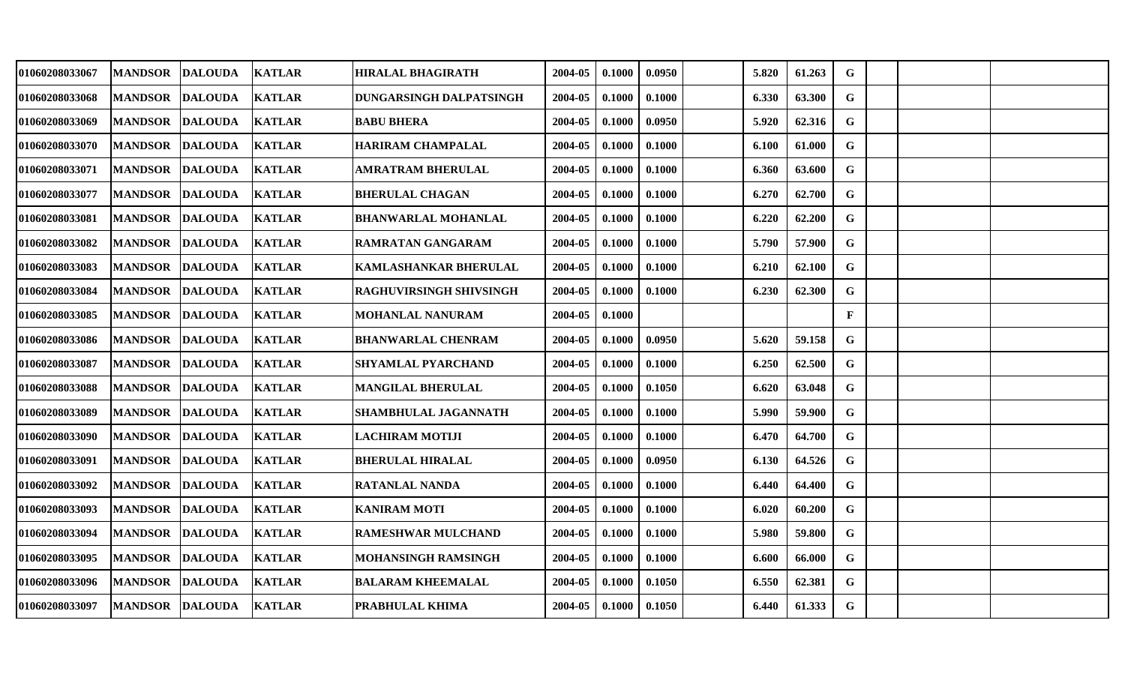| 01060208033067 | <b>MANDSOR</b> | <b>DALOUDA</b>         | <b>KATLAR</b> | HIRALAL BHAGIRATH          | 2004-05 | 0.1000 | 0.0950 | 5.820 | 61.263 | G            |  |  |
|----------------|----------------|------------------------|---------------|----------------------------|---------|--------|--------|-------|--------|--------------|--|--|
| 01060208033068 | <b>MANDSOR</b> | <b>DALOUDA</b>         | <b>KATLAR</b> | DUNGARSINGH DALPATSINGH    | 2004-05 | 0.1000 | 0.1000 | 6.330 | 63.300 | G            |  |  |
| 01060208033069 | <b>MANDSOR</b> | <b>DALOUDA</b>         | <b>KATLAR</b> | <b>BABU BHERA</b>          | 2004-05 | 0.1000 | 0.0950 | 5.920 | 62.316 | $\mathbf G$  |  |  |
| 01060208033070 | <b>MANDSOR</b> | <b>DALOUDA</b>         | <b>KATLAR</b> | <b>HARIRAM CHAMPALAL</b>   | 2004-05 | 0.1000 | 0.1000 | 6.100 | 61.000 | $\mathbf G$  |  |  |
| 01060208033071 | <b>MANDSOR</b> | <b>DALOUDA</b>         | <b>KATLAR</b> | <b>AMRATRAM BHERULAL</b>   | 2004-05 | 0.1000 | 0.1000 | 6.360 | 63.600 | ${\bf G}$    |  |  |
| 01060208033077 | <b>MANDSOR</b> | <b>DALOUDA</b>         | <b>KATLAR</b> | <b>BHERULAL CHAGAN</b>     | 2004-05 | 0.1000 | 0.1000 | 6.270 | 62.700 | G            |  |  |
| 01060208033081 | <b>MANDSOR</b> | <b>DALOUDA</b>         | <b>KATLAR</b> | <b>BHANWARLAL MOHANLAL</b> | 2004-05 | 0.1000 | 0.1000 | 6.220 | 62.200 | $\mathbf G$  |  |  |
| 01060208033082 | <b>MANDSOR</b> | <b>DALOUDA</b>         | <b>KATLAR</b> | RAMRATAN GANGARAM          | 2004-05 | 0.1000 | 0.1000 | 5.790 | 57.900 | $\mathbf G$  |  |  |
| 01060208033083 | <b>MANDSOR</b> | <b>DALOUDA</b>         | <b>KATLAR</b> | KAMLASHANKAR BHERULAL      | 2004-05 | 0.1000 | 0.1000 | 6.210 | 62.100 | $\mathbf G$  |  |  |
| 01060208033084 | <b>MANDSOR</b> | <b>DALOUDA</b>         | <b>KATLAR</b> | RAGHUVIRSINGH SHIVSINGH    | 2004-05 | 0.1000 | 0.1000 | 6.230 | 62.300 | G            |  |  |
| 01060208033085 | <b>MANDSOR</b> | <b>DALOUDA</b>         | <b>KATLAR</b> | MOHANLAL NANURAM           | 2004-05 | 0.1000 |        |       |        | $\mathbf{F}$ |  |  |
| 01060208033086 | <b>MANDSOR</b> | <b>DALOUDA</b>         | <b>KATLAR</b> | <b>BHANWARLAL CHENRAM</b>  | 2004-05 | 0.1000 | 0.0950 | 5.620 | 59.158 | G            |  |  |
| 01060208033087 | <b>MANDSOR</b> | <b>DALOUDA</b>         | <b>KATLAR</b> | <b>SHYAMLAL PYARCHAND</b>  | 2004-05 | 0.1000 | 0.1000 | 6.250 | 62.500 | G            |  |  |
| 01060208033088 | <b>MANDSOR</b> | <b>DALOUDA</b>         | <b>KATLAR</b> | <b>MANGILAL BHERULAL</b>   | 2004-05 | 0.1000 | 0.1050 | 6.620 | 63.048 | G            |  |  |
| 01060208033089 | <b>MANDSOR</b> | <b>DALOUDA</b>         | <b>KATLAR</b> | SHAMBHULAL JAGANNATH       | 2004-05 | 0.1000 | 0.1000 | 5.990 | 59.900 | G            |  |  |
| 01060208033090 | <b>MANDSOR</b> | <b>DALOUDA</b>         | <b>KATLAR</b> | <b>LACHIRAM MOTIJI</b>     | 2004-05 | 0.1000 | 0.1000 | 6.470 | 64.700 | G            |  |  |
| 01060208033091 | <b>MANDSOR</b> | <b>DALOUDA</b>         | <b>KATLAR</b> | <b>BHERULAL HIRALAL</b>    | 2004-05 | 0.1000 | 0.0950 | 6.130 | 64.526 | $\mathbf G$  |  |  |
| 01060208033092 | <b>MANDSOR</b> | <b>DALOUDA</b>         | <b>KATLAR</b> | <b>RATANLAL NANDA</b>      | 2004-05 | 0.1000 | 0.1000 | 6.440 | 64.400 | G            |  |  |
| 01060208033093 | <b>MANDSOR</b> | <b>DALOUDA</b>         | <b>KATLAR</b> | <b>KANIRAM MOTI</b>        | 2004-05 | 0.1000 | 0.1000 | 6.020 | 60.200 | G            |  |  |
| 01060208033094 | <b>MANDSOR</b> | <b>DALOUDA</b>         | <b>KATLAR</b> | <b>RAMESHWAR MULCHAND</b>  | 2004-05 | 0.1000 | 0.1000 | 5.980 | 59.800 | $\mathbf G$  |  |  |
| 01060208033095 | <b>MANDSOR</b> | <b>DALOUDA</b>         | <b>KATLAR</b> | <b>MOHANSINGH RAMSINGH</b> | 2004-05 | 0.1000 | 0.1000 | 6.600 | 66.000 | G            |  |  |
| 01060208033096 | <b>MANDSOR</b> | <b>DALOUDA</b>         | <b>KATLAR</b> | <b>BALARAM KHEEMALAL</b>   | 2004-05 | 0.1000 | 0.1050 | 6.550 | 62.381 | G            |  |  |
| 01060208033097 |                | MANDSOR DALOUDA KATLAR |               | PRABHULAL KHIMA            | 2004-05 | 0.1000 | 0.1050 | 6.440 | 61.333 | G            |  |  |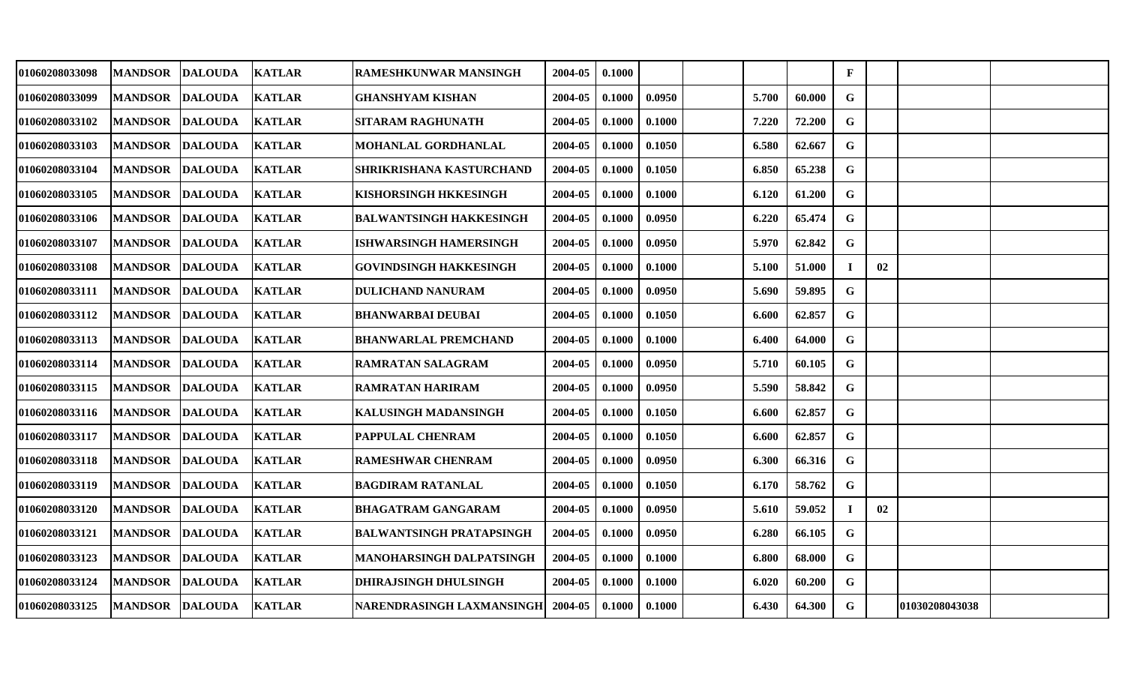| 01060208033098 | <b>MANDSOR</b> | <b>DALOUDA</b>         | <b>KATLAR</b> | RAMESHKUNWAR MANSINGH               | 2004-05 | 0.1000 |        |       |        | $\mathbf F$ |    |                |  |
|----------------|----------------|------------------------|---------------|-------------------------------------|---------|--------|--------|-------|--------|-------------|----|----------------|--|
| 01060208033099 | <b>MANDSOR</b> | <b>DALOUDA</b>         | <b>KATLAR</b> | <b>GHANSHYAM KISHAN</b>             | 2004-05 | 0.1000 | 0.0950 | 5.700 | 60.000 | G           |    |                |  |
| 01060208033102 | <b>MANDSOR</b> | <b>DALOUDA</b>         | <b>KATLAR</b> | <b>SITARAM RAGHUNATH</b>            | 2004-05 | 0.1000 | 0.1000 | 7.220 | 72.200 | $\mathbf G$ |    |                |  |
| 01060208033103 | <b>MANDSOR</b> | <b>DALOUDA</b>         | <b>KATLAR</b> | MOHANLAL GORDHANLAL                 | 2004-05 | 0.1000 | 0.1050 | 6.580 | 62.667 | G           |    |                |  |
| 01060208033104 | <b>MANDSOR</b> | <b>DALOUDA</b>         | <b>KATLAR</b> | SHRIKRISHANA KASTURCHAND            | 2004-05 | 0.1000 | 0.1050 | 6.850 | 65.238 | $\mathbf G$ |    |                |  |
| 01060208033105 | <b>MANDSOR</b> | <b>DALOUDA</b>         | <b>KATLAR</b> | KISHORSINGH HKKESINGH               | 2004-05 | 0.1000 | 0.1000 | 6.120 | 61.200 | G           |    |                |  |
| 01060208033106 | <b>MANDSOR</b> | <b>DALOUDA</b>         | <b>KATLAR</b> | <b>BALWANTSINGH HAKKESINGH</b>      | 2004-05 | 0.1000 | 0.0950 | 6.220 | 65.474 | G           |    |                |  |
| 01060208033107 | <b>MANDSOR</b> | <b>DALOUDA</b>         | <b>KATLAR</b> | <b>ISHWARSINGH HAMERSINGH</b>       | 2004-05 | 0.1000 | 0.0950 | 5.970 | 62.842 | G           |    |                |  |
| 01060208033108 | <b>MANDSOR</b> | <b>DALOUDA</b>         | <b>KATLAR</b> | <b>GOVINDSINGH HAKKESINGH</b>       | 2004-05 | 0.1000 | 0.1000 | 5.100 | 51.000 |             | 02 |                |  |
| 01060208033111 | <b>MANDSOR</b> | <b>DALOUDA</b>         | <b>KATLAR</b> | <b>DULICHAND NANURAM</b>            | 2004-05 | 0.1000 | 0.0950 | 5.690 | 59.895 | G           |    |                |  |
| 01060208033112 | <b>MANDSOR</b> | <b>DALOUDA</b>         | <b>KATLAR</b> | <b>BHANWARBAI DEUBAI</b>            | 2004-05 | 0.1000 | 0.1050 | 6.600 | 62.857 | $\mathbf G$ |    |                |  |
| 01060208033113 | <b>MANDSOR</b> | <b>DALOUDA</b>         | <b>KATLAR</b> | <b>BHANWARLAL PREMCHAND</b>         | 2004-05 | 0.1000 | 0.1000 | 6.400 | 64.000 | $\mathbf G$ |    |                |  |
| 01060208033114 | <b>MANDSOR</b> | <b>DALOUDA</b>         | <b>KATLAR</b> | RAMRATAN SALAGRAM                   | 2004-05 | 0.1000 | 0.0950 | 5.710 | 60.105 | $\mathbf G$ |    |                |  |
| 01060208033115 | <b>MANDSOR</b> | <b>DALOUDA</b>         | <b>KATLAR</b> | RAMRATAN HARIRAM                    | 2004-05 | 0.1000 | 0.0950 | 5.590 | 58.842 | G           |    |                |  |
| 01060208033116 | <b>MANDSOR</b> | <b>DALOUDA</b>         | <b>KATLAR</b> | KALUSINGH MADANSINGH                | 2004-05 | 0.1000 | 0.1050 | 6.600 | 62.857 | $\mathbf G$ |    |                |  |
| 01060208033117 | <b>MANDSOR</b> | <b>DALOUDA</b>         | <b>KATLAR</b> | PAPPULAL CHENRAM                    | 2004-05 | 0.1000 | 0.1050 | 6.600 | 62.857 | $\mathbf G$ |    |                |  |
| 01060208033118 | <b>MANDSOR</b> | <b>DALOUDA</b>         | <b>KATLAR</b> | <b>RAMESHWAR CHENRAM</b>            | 2004-05 | 0.1000 | 0.0950 | 6.300 | 66.316 | $\mathbf G$ |    |                |  |
| 01060208033119 | <b>MANDSOR</b> | <b>DALOUDA</b>         | <b>KATLAR</b> | <b>BAGDIRAM RATANLAL</b>            | 2004-05 | 0.1000 | 0.1050 | 6.170 | 58.762 | G           |    |                |  |
| 01060208033120 | <b>MANDSOR</b> | <b>DALOUDA</b>         | <b>KATLAR</b> | <b>BHAGATRAM GANGARAM</b>           | 2004-05 | 0.1000 | 0.0950 | 5.610 | 59.052 |             | 02 |                |  |
| 01060208033121 | <b>MANDSOR</b> | <b>DALOUDA</b>         | <b>KATLAR</b> | <b>BALWANTSINGH PRATAPSINGH</b>     | 2004-05 | 0.1000 | 0.0950 | 6.280 | 66.105 | $\mathbf G$ |    |                |  |
| 01060208033123 | <b>MANDSOR</b> | <b>DALOUDA</b>         | <b>KATLAR</b> | MANOHARSINGH DALPATSINGH            | 2004-05 | 0.1000 | 0.1000 | 6.800 | 68.000 | $\mathbf G$ |    |                |  |
| 01060208033124 | <b>MANDSOR</b> | <b>DALOUDA</b>         | <b>KATLAR</b> | DHIRAJSINGH DHULSINGH               | 2004-05 | 0.1000 | 0.1000 | 6.020 | 60.200 | G           |    |                |  |
| 01060208033125 |                | MANDSOR DALOUDA KATLAR |               | NARENDRASINGH LAXMANSINGH   2004-05 |         | 0.1000 | 0.1000 | 6.430 | 64.300 | $\mathbf G$ |    | 01030208043038 |  |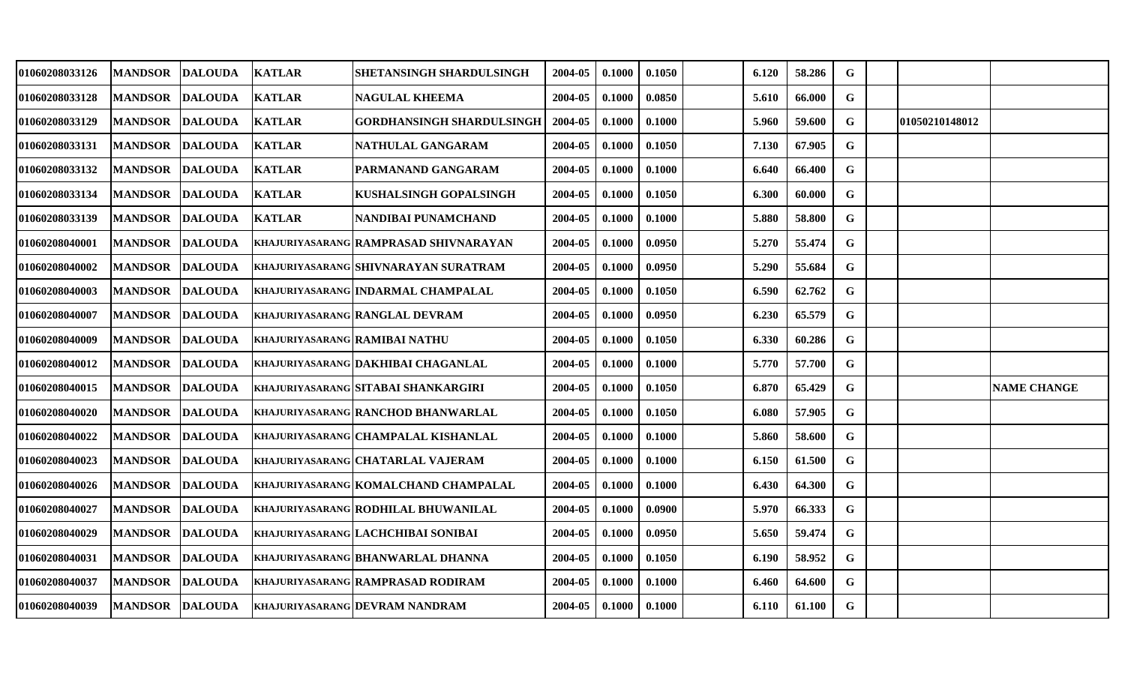| 01060208033126 | <b>MANDSOR</b>  | <b>DALOUDA</b> | <b>KATLAR</b>                        | SHETANSINGH SHARDULSINGH                   | 2004-05 | 0.1000 | 0.1050 | 6.120 | 58.286 | G           |                |                    |
|----------------|-----------------|----------------|--------------------------------------|--------------------------------------------|---------|--------|--------|-------|--------|-------------|----------------|--------------------|
| 01060208033128 | <b>MANDSOR</b>  | <b>DALOUDA</b> | <b>KATLAR</b>                        | <b>NAGULAL KHEEMA</b>                      | 2004-05 | 0.1000 | 0.0850 | 5.610 | 66.000 | G           |                |                    |
| 01060208033129 | <b>MANDSOR</b>  | <b>DALOUDA</b> | <b>KATLAR</b>                        | <b>GORDHANSINGH SHARDULSINGH</b>           | 2004-05 | 0.1000 | 0.1000 | 5.960 | 59.600 | $\mathbf G$ | 01050210148012 |                    |
| 01060208033131 | <b>MANDSOR</b>  | <b>DALOUDA</b> | <b>KATLAR</b>                        | NATHULAL GANGARAM                          | 2004-05 | 0.1000 | 0.1050 | 7.130 | 67.905 | G           |                |                    |
| 01060208033132 | <b>MANDSOR</b>  | <b>DALOUDA</b> | <b>KATLAR</b>                        | PARMANAND GANGARAM                         | 2004-05 | 0.1000 | 0.1000 | 6.640 | 66.400 | $\mathbf G$ |                |                    |
| 01060208033134 | <b>MANDSOR</b>  | <b>DALOUDA</b> | <b>KATLAR</b>                        | KUSHALSINGH GOPALSINGH                     | 2004-05 | 0.1000 | 0.1050 | 6.300 | 60.000 | G           |                |                    |
| 01060208033139 | <b>MANDSOR</b>  | <b>DALOUDA</b> | <b>KATLAR</b>                        | NANDIBAI PUNAMCHAND                        | 2004-05 | 0.1000 | 0.1000 | 5.880 | 58.800 | $\mathbf G$ |                |                    |
| 01060208040001 | <b>MANDSOR</b>  | <b>DALOUDA</b> |                                      | KHAJURIYASARANG RAMPRASAD SHIVNARAYAN      | 2004-05 | 0.1000 | 0.0950 | 5.270 | 55.474 | G           |                |                    |
| 01060208040002 | <b>MANDSOR</b>  | <b>DALOUDA</b> |                                      | KHAJURIYASARANG SHIVNARAYAN SURATRAM       | 2004-05 | 0.1000 | 0.0950 | 5.290 | 55.684 | $\mathbf G$ |                |                    |
| 01060208040003 | <b>MANDSOR</b>  | <b>DALOUDA</b> |                                      | KHAJURIYASARANG INDARMAL CHAMPALAL         | 2004-05 | 0.1000 | 0.1050 | 6.590 | 62.762 | G           |                |                    |
| 01060208040007 | <b>MANDSOR</b>  | <b>DALOUDA</b> |                                      | <b>KHAJURIYASARANG RANGLAL DEVRAM</b>      | 2004-05 | 0.1000 | 0.0950 | 6.230 | 65.579 | $\mathbf G$ |                |                    |
| 01060208040009 | <b>MANDSOR</b>  | <b>DALOUDA</b> | <b>KHAJURIYASARANG RAMIBAI NATHU</b> |                                            | 2004-05 | 0.1000 | 0.1050 | 6.330 | 60.286 | G           |                |                    |
| 01060208040012 | <b>MANDSOR</b>  | <b>DALOUDA</b> |                                      | KHAJURIYASARANG DAKHIBAI CHAGANLAL         | 2004-05 | 0.1000 | 0.1000 | 5.770 | 57.700 | G           |                |                    |
| 01060208040015 | <b>MANDSOR</b>  | <b>DALOUDA</b> |                                      | KHAJURIYASARANG SITABAI SHANKARGIRI        | 2004-05 | 0.1000 | 0.1050 | 6.870 | 65.429 | G           |                | <b>NAME CHANGE</b> |
| 01060208040020 | <b>MANDSOR</b>  | <b>DALOUDA</b> |                                      | <b>KHAJURIYASARANG RANCHOD BHANWARLAL</b>  | 2004-05 | 0.1000 | 0.1050 | 6.080 | 57.905 | G           |                |                    |
| 01060208040022 | <b>MANDSOR</b>  | <b>DALOUDA</b> |                                      | <b>KHAJURIYASARANG CHAMPALAL KISHANLAL</b> | 2004-05 | 0.1000 | 0.1000 | 5.860 | 58.600 | G           |                |                    |
| 01060208040023 | <b>MANDSOR</b>  | <b>DALOUDA</b> |                                      | KHAJURIYASARANG CHATARLAL VAJERAM          | 2004-05 | 0.1000 | 0.1000 | 6.150 | 61.500 | $\mathbf G$ |                |                    |
| 01060208040026 | <b>MANDSOR</b>  | <b>DALOUDA</b> |                                      | KHAJURIYASARANG KOMALCHAND CHAMPALAL       | 2004-05 | 0.1000 | 0.1000 | 6.430 | 64.300 | G           |                |                    |
| 01060208040027 | <b>MANDSOR</b>  | <b>DALOUDA</b> |                                      | KHAJURIYASARANG RODHILAL BHUWANILAL        | 2004-05 | 0.1000 | 0.0900 | 5.970 | 66.333 | G           |                |                    |
| 01060208040029 | <b>MANDSOR</b>  | <b>DALOUDA</b> |                                      | KHAJURIYASARANG LACHCHIBAI SONIBAI         | 2004-05 | 0.1000 | 0.0950 | 5.650 | 59.474 | $\mathbf G$ |                |                    |
| 01060208040031 | <b>MANDSOR</b>  | <b>DALOUDA</b> |                                      | KHAJURIYASARANG BHANWARLAL DHANNA          | 2004-05 | 0.1000 | 0.1050 | 6.190 | 58.952 | G           |                |                    |
| 01060208040037 | <b>MANDSOR</b>  | <b>DALOUDA</b> |                                      | KHAJURIYASARANG RAMPRASAD RODIRAM          | 2004-05 | 0.1000 | 0.1000 | 6.460 | 64.600 | G           |                |                    |
| 01060208040039 | MANDSOR DALOUDA |                |                                      | <b>KHAJURIYASARANG DEVRAM NANDRAM</b>      | 2004-05 | 0.1000 | 0.1000 | 6.110 | 61.100 | $\mathbf G$ |                |                    |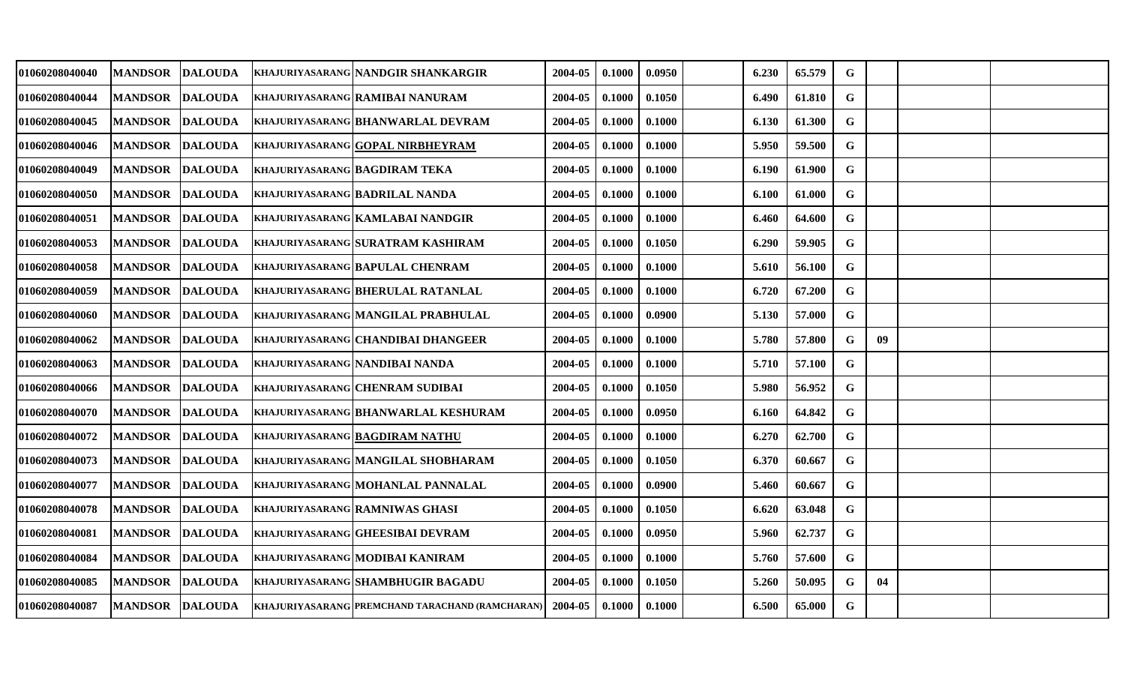| 01060208040040 | <b>MANDSOR</b>  | <b>DALOUDA</b> | KHAJURIYASARANG NANDGIR SHANKARGIR                     | 2004-05 | 0.1000 | 0.0950 | 6.230 | 65.579 | G           |    |  |
|----------------|-----------------|----------------|--------------------------------------------------------|---------|--------|--------|-------|--------|-------------|----|--|
| 01060208040044 | <b>MANDSOR</b>  | <b>DALOUDA</b> | KHAJURIYASARANG RAMIBAI NANURAM                        | 2004-05 | 0.1000 | 0.1050 | 6.490 | 61.810 | G           |    |  |
| 01060208040045 | <b>MANDSOR</b>  | <b>DALOUDA</b> | <b>KHAJURIYASARANG BHANWARLAL DEVRAM</b>               | 2004-05 | 0.1000 | 0.1000 | 6.130 | 61.300 | $\mathbf G$ |    |  |
| 01060208040046 | <b>MANDSOR</b>  | <b>DALOUDA</b> | <b>KHAJURIYASARANG GOPAL NIRBHEYRAM</b>                | 2004-05 | 0.1000 | 0.1000 | 5.950 | 59.500 | G           |    |  |
| 01060208040049 | <b>MANDSOR</b>  | <b>DALOUDA</b> | <b>KHAJURIYASARANG BAGDIRAM TEKA</b>                   | 2004-05 | 0.1000 | 0.1000 | 6.190 | 61.900 | $\mathbf G$ |    |  |
| 01060208040050 | <b>MANDSOR</b>  | <b>DALOUDA</b> | <b>KHAJURIYASARANG BADRILAL NANDA</b>                  | 2004-05 | 0.1000 | 0.1000 | 6.100 | 61.000 | $\mathbf G$ |    |  |
| 01060208040051 | <b>MANDSOR</b>  | <b>DALOUDA</b> | KHAJURIYASARANG KAMLABAI NANDGIR                       | 2004-05 | 0.1000 | 0.1000 | 6.460 | 64.600 | $\mathbf G$ |    |  |
| 01060208040053 | <b>MANDSOR</b>  | <b>DALOUDA</b> | KHAJURIYASARANG SURATRAM KASHIRAM                      | 2004-05 | 0.1000 | 0.1050 | 6.290 | 59.905 | G           |    |  |
| 01060208040058 | <b>MANDSOR</b>  | <b>DALOUDA</b> | <b>KHAJURIYASARANG BAPULAL CHENRAM</b>                 | 2004-05 | 0.1000 | 0.1000 | 5.610 | 56.100 | $\mathbf G$ |    |  |
| 01060208040059 | <b>MANDSOR</b>  | <b>DALOUDA</b> | <b>KHAJURIYASARANG BHERULAL RATANLAL</b>               | 2004-05 | 0.1000 | 0.1000 | 6.720 | 67.200 | G           |    |  |
| 01060208040060 | <b>MANDSOR</b>  | <b>DALOUDA</b> | KHAJURIYASARANG MANGILAL PRABHULAL                     | 2004-05 | 0.1000 | 0.0900 | 5.130 | 57.000 | G           |    |  |
| 01060208040062 | <b>MANDSOR</b>  | <b>DALOUDA</b> | KHAJURIYASARANG CHANDIBAI DHANGEER                     | 2004-05 | 0.1000 | 0.1000 | 5.780 | 57.800 | G           | 09 |  |
| 01060208040063 | <b>MANDSOR</b>  | <b>DALOUDA</b> | KHAJURIYASARANG NANDIBAI NANDA                         | 2004-05 | 0.1000 | 0.1000 | 5.710 | 57.100 | $\mathbf G$ |    |  |
| 01060208040066 | <b>MANDSOR</b>  | <b>DALOUDA</b> | <b>KHAJURIYASARANG CHENRAM SUDIBAI</b>                 | 2004-05 | 0.1000 | 0.1050 | 5.980 | 56.952 | G           |    |  |
| 01060208040070 | <b>MANDSOR</b>  | <b>DALOUDA</b> | <b>KHAJURIYASARANG BHANWARLAL KESHURAM</b>             | 2004-05 | 0.1000 | 0.0950 | 6.160 | 64.842 | $\mathbf G$ |    |  |
| 01060208040072 | <b>MANDSOR</b>  | <b>DALOUDA</b> | <b>KHAJURIYASARANG BAGDIRAM NATHU</b>                  | 2004-05 | 0.1000 | 0.1000 | 6.270 | 62.700 | G           |    |  |
| 01060208040073 | <b>MANDSOR</b>  | <b>DALOUDA</b> | KHAJURIYASARANG MANGILAL SHOBHARAM                     | 2004-05 | 0.1000 | 0.1050 | 6.370 | 60.667 | $\mathbf G$ |    |  |
| 01060208040077 | <b>MANDSOR</b>  | <b>DALOUDA</b> | KHAJURIYASARANG MOHANLAL PANNALAL                      | 2004-05 | 0.1000 | 0.0900 | 5.460 | 60.667 | G           |    |  |
| 01060208040078 | <b>MANDSOR</b>  | <b>DALOUDA</b> | <b>KHAJURIYASARANG RAMNIWAS GHASI</b>                  | 2004-05 | 0.1000 | 0.1050 | 6.620 | 63.048 | $\mathbf G$ |    |  |
| 01060208040081 | <b>MANDSOR</b>  | <b>DALOUDA</b> | <b>KHAJURIYASARANG GHEESIBAI DEVRAM</b>                | 2004-05 | 0.1000 | 0.0950 | 5.960 | 62.737 | G           |    |  |
| 01060208040084 | <b>MANDSOR</b>  | <b>DALOUDA</b> | KHAJURIYASARANG MODIBAI KANIRAM                        | 2004-05 | 0.1000 | 0.1000 | 5.760 | 57.600 | G           |    |  |
| 01060208040085 | <b>MANDSOR</b>  | <b>DALOUDA</b> | <b>KHAJURIYASARANG SHAMBHUGIR BAGADU</b>               | 2004-05 | 0.1000 | 0.1050 | 5.260 | 50.095 | G           | 04 |  |
| 01060208040087 | MANDSOR DALOUDA |                | <b>KHAJURIYASARANG PREMCHAND TARACHAND (RAMCHARAN)</b> | 2004-05 | 0.1000 | 0.1000 | 6.500 | 65.000 | $\mathbf G$ |    |  |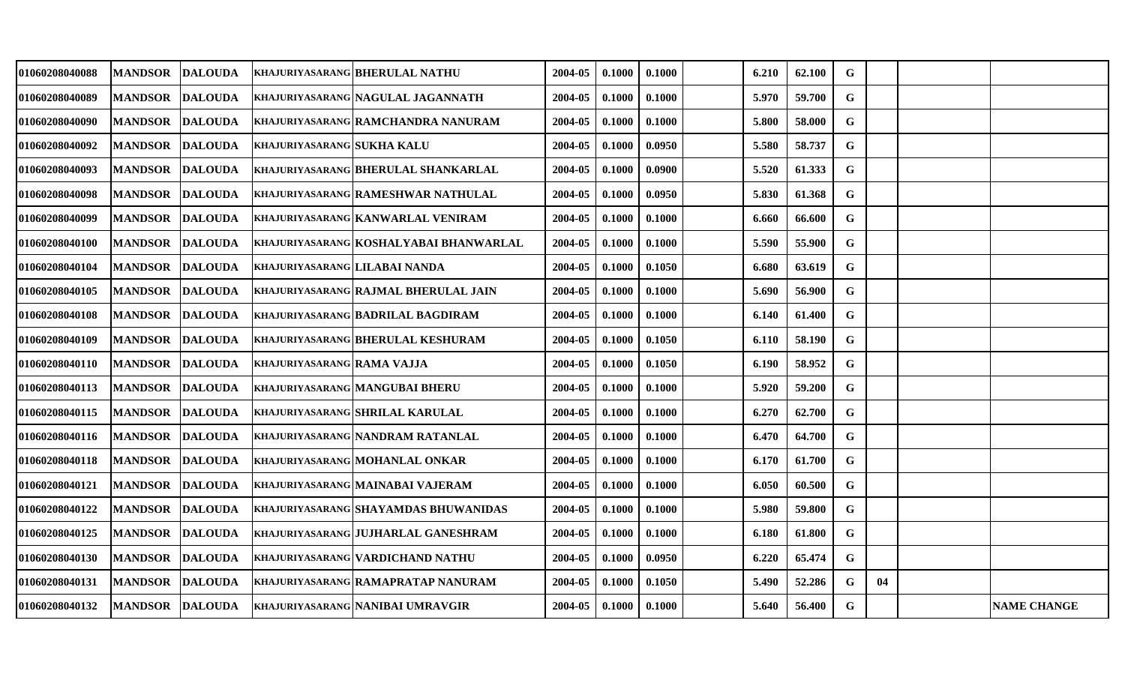| 01060208040088 | <b>MANDSOR</b>  | <b>DALOUDA</b> |                                      | <b>KHAJURIYASARANG BHERULAL NATHU</b>       | 2004-05 | 0.1000 | 0.1000 | 6.210 | 62.100 | G           |    |                    |
|----------------|-----------------|----------------|--------------------------------------|---------------------------------------------|---------|--------|--------|-------|--------|-------------|----|--------------------|
| 01060208040089 | <b>MANDSOR</b>  | <b>DALOUDA</b> |                                      | KHAJURIYASARANG NAGULAL JAGANNATH           | 2004-05 | 0.1000 | 0.1000 | 5.970 | 59.700 | G           |    |                    |
| 01060208040090 | <b>MANDSOR</b>  | <b>DALOUDA</b> |                                      | KHAJURIYASARANG RAMCHANDRA NANURAM          | 2004-05 | 0.1000 | 0.1000 | 5.800 | 58.000 | $\mathbf G$ |    |                    |
| 01060208040092 | <b>MANDSOR</b>  | <b>DALOUDA</b> | <b>KHAJURIYASARANG SUKHA KALU</b>    |                                             | 2004-05 | 0.1000 | 0.0950 | 5.580 | 58.737 | G           |    |                    |
| 01060208040093 | <b>MANDSOR</b>  | <b>DALOUDA</b> |                                      | <b>KHAJURIYASARANG BHERULAL SHANKARLAL</b>  | 2004-05 | 0.1000 | 0.0900 | 5.520 | 61.333 | $\mathbf G$ |    |                    |
| 01060208040098 | <b>MANDSOR</b>  | <b>DALOUDA</b> |                                      | <b>KHAJURIYASARANG RAMESHWAR NATHULAL</b>   | 2004-05 | 0.1000 | 0.0950 | 5.830 | 61.368 | G           |    |                    |
| 01060208040099 | <b>MANDSOR</b>  | <b>DALOUDA</b> |                                      | KHAJURIYASARANG KANWARLAL VENIRAM           | 2004-05 | 0.1000 | 0.1000 | 6.660 | 66.600 | $\mathbf G$ |    |                    |
| 01060208040100 | <b>MANDSOR</b>  | <b>DALOUDA</b> |                                      | KHAJURIYASARANG KOSHALYABAI BHANWARLAL      | 2004-05 | 0.1000 | 0.1000 | 5.590 | 55.900 | G           |    |                    |
| 01060208040104 | <b>MANDSOR</b>  | <b>DALOUDA</b> | <b>KHAJURIYASARANG LILABAI NANDA</b> |                                             | 2004-05 | 0.1000 | 0.1050 | 6.680 | 63.619 | $\mathbf G$ |    |                    |
| 01060208040105 | <b>MANDSOR</b>  | <b>DALOUDA</b> |                                      | <b>KHAJURIYASARANG RAJMAL BHERULAL JAIN</b> | 2004-05 | 0.1000 | 0.1000 | 5.690 | 56.900 | G           |    |                    |
| 01060208040108 | <b>MANDSOR</b>  | <b>DALOUDA</b> |                                      | <b>KHAJURIYASARANG BADRILAL BAGDIRAM</b>    | 2004-05 | 0.1000 | 0.1000 | 6.140 | 61.400 | $\mathbf G$ |    |                    |
| 01060208040109 | <b>MANDSOR</b>  | <b>DALOUDA</b> |                                      | KHAJURIYASARANG BHERULAL KESHURAM           | 2004-05 | 0.1000 | 0.1050 | 6.110 | 58.190 | G           |    |                    |
| 01060208040110 | <b>MANDSOR</b>  | <b>DALOUDA</b> | KHAJURIYASARANG RAMA VAJJA           |                                             | 2004-05 | 0.1000 | 0.1050 | 6.190 | 58.952 | $\mathbf G$ |    |                    |
| 01060208040113 | <b>MANDSOR</b>  | <b>DALOUDA</b> |                                      | <b>KHAJURIYASARANG MANGUBAI BHERU</b>       | 2004-05 | 0.1000 | 0.1000 | 5.920 | 59.200 | G           |    |                    |
| 01060208040115 | <b>MANDSOR</b>  | <b>DALOUDA</b> |                                      | <b>KHAJURIYASARANG SHRILAL KARULAL</b>      | 2004-05 | 0.1000 | 0.1000 | 6.270 | 62.700 | $\mathbf G$ |    |                    |
| 01060208040116 | <b>MANDSOR</b>  | <b>DALOUDA</b> |                                      | KHAJURIYASARANG NANDRAM RATANLAL            | 2004-05 | 0.1000 | 0.1000 | 6.470 | 64.700 | G           |    |                    |
| 01060208040118 | <b>MANDSOR</b>  | <b>DALOUDA</b> |                                      | KHAJURIYASARANG MOHANLAL ONKAR              | 2004-05 | 0.1000 | 0.1000 | 6.170 | 61.700 | $\mathbf G$ |    |                    |
| 01060208040121 | <b>MANDSOR</b>  | <b>DALOUDA</b> |                                      | KHAJURIYASARANG MAINABAI VAJERAM            | 2004-05 | 0.1000 | 0.1000 | 6.050 | 60.500 | G           |    |                    |
| 01060208040122 | <b>MANDSOR</b>  | <b>DALOUDA</b> |                                      | KHAJURIYASARANG SHAYAMDAS BHUWANIDAS        | 2004-05 | 0.1000 | 0.1000 | 5.980 | 59.800 | $\mathbf G$ |    |                    |
| 01060208040125 | <b>MANDSOR</b>  | <b>DALOUDA</b> |                                      | KHAJURIYASARANG JUJHARLAL GANESHRAM         | 2004-05 | 0.1000 | 0.1000 | 6.180 | 61.800 | $\mathbf G$ |    |                    |
| 01060208040130 | <b>MANDSOR</b>  | <b>DALOUDA</b> |                                      | KHAJURIYASARANG VARDICHAND NATHU            | 2004-05 | 0.1000 | 0.0950 | 6.220 | 65.474 | $\mathbf G$ |    |                    |
| 01060208040131 | <b>MANDSOR</b>  | <b>DALOUDA</b> |                                      | KHAJURIYASARANG RAMAPRATAP NANURAM          | 2004-05 | 0.1000 | 0.1050 | 5.490 | 52.286 | G           | 04 |                    |
| 01060208040132 | MANDSOR DALOUDA |                |                                      | KHAJURIYASARANG NANIBAI UMRAVGIR            | 2004-05 | 0.1000 | 0.1000 | 5.640 | 56.400 | $\mathbf G$ |    | <b>NAME CHANGE</b> |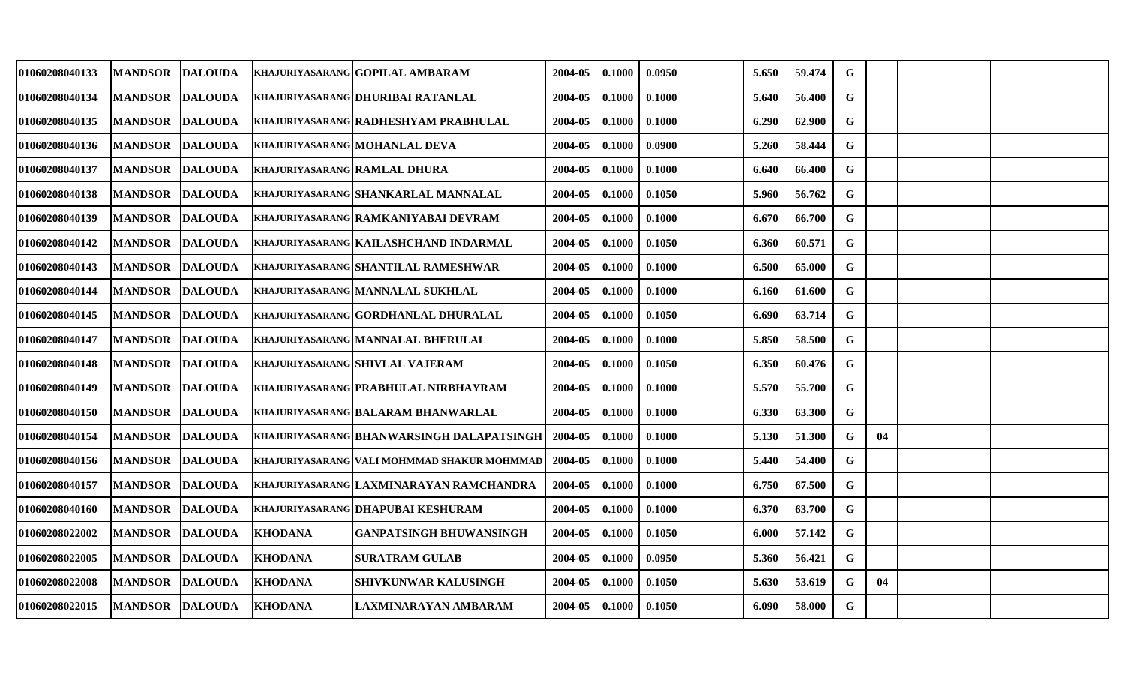| <b>MANDSOR</b> | <b>DALOUDA</b> |                                                                                                                                                                                                                                                                                                                                                                                                   |                                                                      | 2004-05                                                                                                                                                                                                                                                                                                                                                                                                                                                                                                                                                                                                                                                                                                                                                              | 0.1000                                        | 0.0950 | 5.650 | 59.474 | G           |    |  |
|----------------|----------------|---------------------------------------------------------------------------------------------------------------------------------------------------------------------------------------------------------------------------------------------------------------------------------------------------------------------------------------------------------------------------------------------------|----------------------------------------------------------------------|----------------------------------------------------------------------------------------------------------------------------------------------------------------------------------------------------------------------------------------------------------------------------------------------------------------------------------------------------------------------------------------------------------------------------------------------------------------------------------------------------------------------------------------------------------------------------------------------------------------------------------------------------------------------------------------------------------------------------------------------------------------------|-----------------------------------------------|--------|-------|--------|-------------|----|--|
| <b>MANDSOR</b> |                |                                                                                                                                                                                                                                                                                                                                                                                                   |                                                                      | 2004-05                                                                                                                                                                                                                                                                                                                                                                                                                                                                                                                                                                                                                                                                                                                                                              | 0.1000                                        | 0.1000 | 5.640 | 56.400 | G           |    |  |
| <b>MANDSOR</b> |                |                                                                                                                                                                                                                                                                                                                                                                                                   |                                                                      | 2004-05                                                                                                                                                                                                                                                                                                                                                                                                                                                                                                                                                                                                                                                                                                                                                              | 0.1000                                        | 0.1000 | 6.290 | 62.900 | G           |    |  |
| <b>MANDSOR</b> |                |                                                                                                                                                                                                                                                                                                                                                                                                   |                                                                      | 2004-05                                                                                                                                                                                                                                                                                                                                                                                                                                                                                                                                                                                                                                                                                                                                                              | 0.1000                                        | 0.0900 | 5.260 | 58.444 | G           |    |  |
| <b>MANDSOR</b> |                |                                                                                                                                                                                                                                                                                                                                                                                                   |                                                                      | 2004-05                                                                                                                                                                                                                                                                                                                                                                                                                                                                                                                                                                                                                                                                                                                                                              | 0.1000                                        | 0.1000 | 6.640 | 66.400 | G           |    |  |
| <b>MANDSOR</b> |                |                                                                                                                                                                                                                                                                                                                                                                                                   |                                                                      | 2004-05                                                                                                                                                                                                                                                                                                                                                                                                                                                                                                                                                                                                                                                                                                                                                              | 0.1000                                        | 0.1050 | 5.960 | 56.762 | $\mathbf G$ |    |  |
| <b>MANDSOR</b> |                |                                                                                                                                                                                                                                                                                                                                                                                                   |                                                                      | 2004-05                                                                                                                                                                                                                                                                                                                                                                                                                                                                                                                                                                                                                                                                                                                                                              | 0.1000                                        | 0.1000 | 6.670 | 66.700 | G           |    |  |
| <b>MANDSOR</b> |                |                                                                                                                                                                                                                                                                                                                                                                                                   |                                                                      | 2004-05                                                                                                                                                                                                                                                                                                                                                                                                                                                                                                                                                                                                                                                                                                                                                              | 0.1000                                        | 0.1050 | 6.360 | 60.571 | G           |    |  |
| <b>MANDSOR</b> |                |                                                                                                                                                                                                                                                                                                                                                                                                   |                                                                      | 2004-05                                                                                                                                                                                                                                                                                                                                                                                                                                                                                                                                                                                                                                                                                                                                                              | 0.1000                                        | 0.1000 | 6.500 | 65.000 | G           |    |  |
| <b>MANDSOR</b> |                |                                                                                                                                                                                                                                                                                                                                                                                                   |                                                                      | 2004-05                                                                                                                                                                                                                                                                                                                                                                                                                                                                                                                                                                                                                                                                                                                                                              | 0.1000                                        | 0.1000 | 6.160 | 61.600 | G           |    |  |
| <b>MANDSOR</b> |                |                                                                                                                                                                                                                                                                                                                                                                                                   |                                                                      | 2004-05                                                                                                                                                                                                                                                                                                                                                                                                                                                                                                                                                                                                                                                                                                                                                              | 0.1000                                        | 0.1050 | 6.690 | 63.714 | $\mathbf G$ |    |  |
| <b>MANDSOR</b> |                |                                                                                                                                                                                                                                                                                                                                                                                                   |                                                                      | 2004-05                                                                                                                                                                                                                                                                                                                                                                                                                                                                                                                                                                                                                                                                                                                                                              | 0.1000                                        | 0.1000 | 5.850 | 58.500 | $\mathbf G$ |    |  |
| <b>MANDSOR</b> |                |                                                                                                                                                                                                                                                                                                                                                                                                   |                                                                      | 2004-05                                                                                                                                                                                                                                                                                                                                                                                                                                                                                                                                                                                                                                                                                                                                                              | 0.1000                                        | 0.1050 | 6.350 | 60.476 | G           |    |  |
| <b>MANDSOR</b> |                |                                                                                                                                                                                                                                                                                                                                                                                                   |                                                                      | 2004-05                                                                                                                                                                                                                                                                                                                                                                                                                                                                                                                                                                                                                                                                                                                                                              | 0.1000                                        | 0.1000 | 5.570 | 55.700 | G           |    |  |
| <b>MANDSOR</b> |                |                                                                                                                                                                                                                                                                                                                                                                                                   |                                                                      | 2004-05                                                                                                                                                                                                                                                                                                                                                                                                                                                                                                                                                                                                                                                                                                                                                              | 0.1000                                        | 0.1000 | 6.330 | 63.300 | $\mathbf G$ |    |  |
| <b>MANDSOR</b> |                |                                                                                                                                                                                                                                                                                                                                                                                                   |                                                                      | 2004-05                                                                                                                                                                                                                                                                                                                                                                                                                                                                                                                                                                                                                                                                                                                                                              | 0.1000                                        | 0.1000 | 5.130 | 51.300 | G           | 04 |  |
| <b>MANDSOR</b> |                |                                                                                                                                                                                                                                                                                                                                                                                                   |                                                                      | 2004-05                                                                                                                                                                                                                                                                                                                                                                                                                                                                                                                                                                                                                                                                                                                                                              | 0.1000                                        | 0.1000 | 5.440 | 54.400 | $\mathbf G$ |    |  |
| <b>MANDSOR</b> |                |                                                                                                                                                                                                                                                                                                                                                                                                   |                                                                      | 2004-05                                                                                                                                                                                                                                                                                                                                                                                                                                                                                                                                                                                                                                                                                                                                                              | 0.1000                                        | 0.1000 | 6.750 | 67.500 | $\mathbf G$ |    |  |
| <b>MANDSOR</b> |                |                                                                                                                                                                                                                                                                                                                                                                                                   |                                                                      | 2004-05                                                                                                                                                                                                                                                                                                                                                                                                                                                                                                                                                                                                                                                                                                                                                              | 0.1000                                        | 0.1000 | 6.370 | 63.700 | G           |    |  |
| <b>MANDSOR</b> |                |                                                                                                                                                                                                                                                                                                                                                                                                   | <b>GANPATSINGH BHUWANSINGH</b>                                       | 2004-05                                                                                                                                                                                                                                                                                                                                                                                                                                                                                                                                                                                                                                                                                                                                                              | 0.1000                                        | 0.1050 | 6.000 | 57.142 | $\mathbf G$ |    |  |
| <b>MANDSOR</b> |                |                                                                                                                                                                                                                                                                                                                                                                                                   | <b>SURATRAM GULAB</b>                                                | 2004-05                                                                                                                                                                                                                                                                                                                                                                                                                                                                                                                                                                                                                                                                                                                                                              | 0.1000                                        | 0.0950 | 5.360 | 56.421 | G           |    |  |
| <b>MANDSOR</b> |                |                                                                                                                                                                                                                                                                                                                                                                                                   | SHIVKUNWAR KALUSINGH                                                 | 2004-05                                                                                                                                                                                                                                                                                                                                                                                                                                                                                                                                                                                                                                                                                                                                                              | 0.1000                                        | 0.1050 | 5.630 | 53.619 | G           | 04 |  |
| <b>MANDSOR</b> |                |                                                                                                                                                                                                                                                                                                                                                                                                   |                                                                      | 2004-05                                                                                                                                                                                                                                                                                                                                                                                                                                                                                                                                                                                                                                                                                                                                                              | 0.1000                                        | 0.1050 | 6.090 | 58.000 | G           |    |  |
|                |                | <b>DALOUDA</b><br><b>DALOUDA</b><br><b>DALOUDA</b><br><b>DALOUDA</b><br><b>DALOUDA</b><br><b>DALOUDA</b><br><b>DALOUDA</b><br><b>DALOUDA</b><br><b>DALOUDA</b><br><b>DALOUDA</b><br><b>DALOUDA</b><br><b>DALOUDA</b><br><b>DALOUDA</b><br><b>DALOUDA</b><br><b>DALOUDA</b><br>DALOUDA<br><b>DALOUDA</b><br><b>DALOUDA</b><br><b>DALOUDA</b><br><b>DALOUDA</b><br><b>DALOUDA</b><br><b>DALOUDA</b> | <b>KHODANA</b><br><b>KHODANA</b><br><b>KHODANA</b><br><b>KHODANA</b> | KHAJURIYASARANG GOPILAL AMBARAM<br>KHAJURIYASARANG DHURIBAI RATANLAL<br>KHAJURIYASARANG RADHESHYAM PRABHULAL<br>KHAJURIYASARANG MOHANLAL DEVA<br><b>KHAJURIYASARANG RAMLAL DHURA</b><br>KHAJURIYASARANG SHANKARLAL MANNALAL<br>KHAJURIYASARANG RAMKANIYABAI DEVRAM<br>KHAJURIYASARANG KAILASHCHAND INDARMAL<br>KHAJURIYASARANG SHANTILAL RAMESHWAR<br><b>KHAJURIYASARANG MANNALAL SUKHLAL</b><br>KHAJURIYASARANG GORDHANLAL DHURALAL<br><b>KHAJURIYASARANG MANNALAL BHERULAL</b><br><b>KHAJURIYASARANG SHIVLAL VAJERAM</b><br>khajuriyasarang prabhulal nirbhayram<br><b>KHAJURIYASARANG BALARAM BHANWARLAL</b><br>KHAJURIYASARANG BHANWARSINGH DALAPATSINGH<br>KHAJURIYASARANG LAXMINARAYAN RAMCHANDRA<br>KHAJURIYASARANG DHAPUBAI KESHURAM<br>LAXMINARAYAN AMBARAM | KHAJURIYASARANG   VALI MOHMMAD SHAKUR MOHMMAD |        |       |        |             |    |  |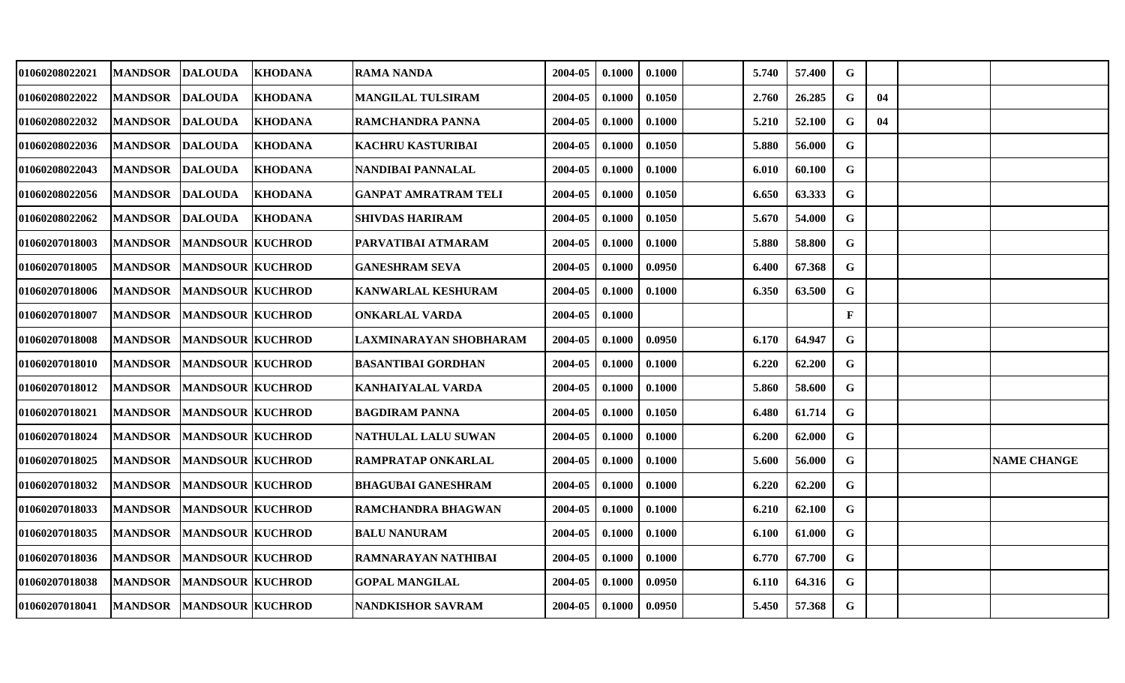| 01060208022021 | MANDSOR DALOUDA |                         | <b>KHODANA</b> | <b>RAMA NANDA</b>           | 2004-05 | 0.1000 | 0.1000 | 5.740 | 57.400 | G           |    |                    |
|----------------|-----------------|-------------------------|----------------|-----------------------------|---------|--------|--------|-------|--------|-------------|----|--------------------|
| 01060208022022 | <b>MANDSOR</b>  | <b>DALOUDA</b>          | <b>KHODANA</b> | <b>MANGILAL TULSIRAM</b>    | 2004-05 | 0.1000 | 0.1050 | 2.760 | 26.285 | G           | 04 |                    |
| 01060208022032 | <b>MANDSOR</b>  | <b>DALOUDA</b>          | <b>KHODANA</b> | RAMCHANDRA PANNA            | 2004-05 | 0.1000 | 0.1000 | 5.210 | 52.100 | G           | 04 |                    |
| 01060208022036 | <b>MANDSOR</b>  | <b>DALOUDA</b>          | <b>KHODANA</b> | <b>KACHRU KASTURIBAI</b>    | 2004-05 | 0.1000 | 0.1050 | 5.880 | 56.000 | G           |    |                    |
| 01060208022043 | MANDSOR DALOUDA |                         | <b>KHODANA</b> | NANDIBAI PANNALAL           | 2004-05 | 0.1000 | 0.1000 | 6.010 | 60.100 | $\mathbf G$ |    |                    |
| 01060208022056 | <b>MANDSOR</b>  | <b>DALOUDA</b>          | <b>KHODANA</b> | <b>GANPAT AMRATRAM TELI</b> | 2004-05 | 0.1000 | 0.1050 | 6.650 | 63.333 | G           |    |                    |
| 01060208022062 | <b>MANDSOR</b>  | <b>DALOUDA</b>          | <b>KHODANA</b> | <b>SHIVDAS HARIRAM</b>      | 2004-05 | 0.1000 | 0.1050 | 5.670 | 54.000 | G           |    |                    |
| 01060207018003 | <b>MANDSOR</b>  | <b>MANDSOUR KUCHROD</b> |                | PARVATIBAI ATMARAM          | 2004-05 | 0.1000 | 0.1000 | 5.880 | 58.800 | G           |    |                    |
| 01060207018005 | <b>MANDSOR</b>  | <b>MANDSOUR KUCHROD</b> |                | <b>GANESHRAM SEVA</b>       | 2004-05 | 0.1000 | 0.0950 | 6.400 | 67.368 | $\mathbf G$ |    |                    |
| 01060207018006 | <b>MANDSOR</b>  | <b>MANDSOUR KUCHROD</b> |                | KANWARLAL KESHURAM          | 2004-05 | 0.1000 | 0.1000 | 6.350 | 63.500 | G           |    |                    |
| 01060207018007 | <b>MANDSOR</b>  | <b>MANDSOUR KUCHROD</b> |                | <b>ONKARLAL VARDA</b>       | 2004-05 | 0.1000 |        |       |        | F           |    |                    |
| 01060207018008 | <b>MANDSOR</b>  | <b>MANDSOUR KUCHROD</b> |                | LAXMINARAYAN SHOBHARAM      | 2004-05 | 0.1000 | 0.0950 | 6.170 | 64.947 | G           |    |                    |
| 01060207018010 | <b>MANDSOR</b>  | <b>MANDSOUR KUCHROD</b> |                | <b>BASANTIBAI GORDHAN</b>   | 2004-05 | 0.1000 | 0.1000 | 6.220 | 62.200 | G           |    |                    |
| 01060207018012 | <b>MANDSOR</b>  | <b>MANDSOUR KUCHROD</b> |                | <b>KANHAIYALAL VARDA</b>    | 2004-05 | 0.1000 | 0.1000 | 5.860 | 58.600 | G           |    |                    |
| 01060207018021 | <b>MANDSOR</b>  | <b>MANDSOUR KUCHROD</b> |                | <b>BAGDIRAM PANNA</b>       | 2004-05 | 0.1000 | 0.1050 | 6.480 | 61.714 | G           |    |                    |
| 01060207018024 | <b>MANDSOR</b>  | <b>MANDSOUR KUCHROD</b> |                | NATHULAL LALU SUWAN         | 2004-05 | 0.1000 | 0.1000 | 6.200 | 62.000 | G           |    |                    |
| 01060207018025 | <b>MANDSOR</b>  | <b>MANDSOUR KUCHROD</b> |                | RAMPRATAP ONKARLAL          | 2004-05 | 0.1000 | 0.1000 | 5.600 | 56.000 | $\mathbf G$ |    | <b>NAME CHANGE</b> |
| 01060207018032 | <b>MANDSOR</b>  | <b>MANDSOUR KUCHROD</b> |                | <b>BHAGUBAI GANESHRAM</b>   | 2004-05 | 0.1000 | 0.1000 | 6.220 | 62.200 | G           |    |                    |
| 01060207018033 | <b>MANDSOR</b>  | <b>MANDSOUR KUCHROD</b> |                | RAMCHANDRA BHAGWAN          | 2004-05 | 0.1000 | 0.1000 | 6.210 | 62.100 | G           |    |                    |
| 01060207018035 | <b>MANDSOR</b>  | <b>MANDSOUR KUCHROD</b> |                | <b>BALU NANURAM</b>         | 2004-05 | 0.1000 | 0.1000 | 6.100 | 61.000 | G           |    |                    |
| 01060207018036 | <b>MANDSOR</b>  | <b>MANDSOUR KUCHROD</b> |                | RAMNARAYAN NATHIBAI         | 2004-05 | 0.1000 | 0.1000 | 6.770 | 67.700 | G           |    |                    |
| 01060207018038 | <b>MANDSOR</b>  | <b>MANDSOUR KUCHROD</b> |                | <b>GOPAL MANGILAL</b>       | 2004-05 | 0.1000 | 0.0950 | 6.110 | 64.316 | G           |    |                    |
| 01060207018041 | MANDSOR         | <b>MANDSOUR KUCHROD</b> |                | <b>NANDKISHOR SAVRAM</b>    | 2004-05 | 0.1000 | 0.0950 | 5.450 | 57.368 | G           |    |                    |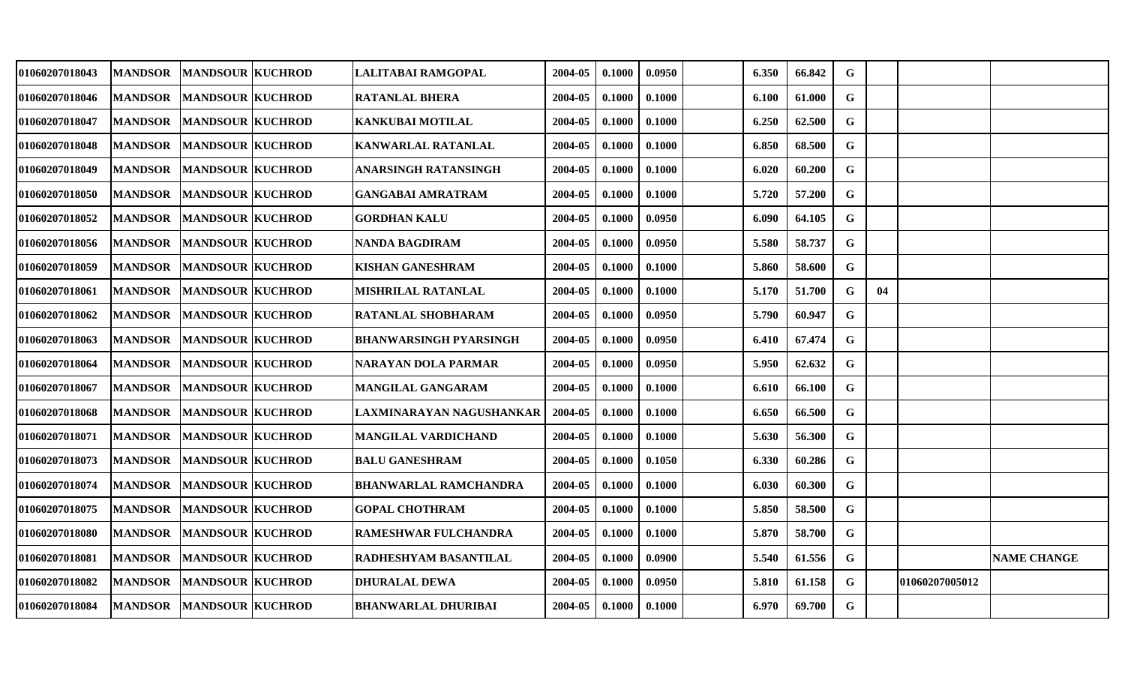| 01060207018043 | <b>MANDSOR</b> | <b>MANDSOUR KUCHROD</b> | LALITABAI RAMGOPAL            | 2004-05 | 0.1000 | 0.0950 | 6.350 | 66.842 | G           |    |                |                    |
|----------------|----------------|-------------------------|-------------------------------|---------|--------|--------|-------|--------|-------------|----|----------------|--------------------|
| 01060207018046 | <b>MANDSOR</b> | <b>MANDSOUR KUCHROD</b> | <b>RATANLAL BHERA</b>         | 2004-05 | 0.1000 | 0.1000 | 6.100 | 61.000 | G           |    |                |                    |
| 01060207018047 | <b>MANDSOR</b> | <b>MANDSOUR KUCHROD</b> | <b>KANKUBAI MOTILAL</b>       | 2004-05 | 0.1000 | 0.1000 | 6.250 | 62.500 | $\mathbf G$ |    |                |                    |
| 01060207018048 | <b>MANDSOR</b> | <b>MANDSOUR KUCHROD</b> | KANWARLAL RATANLAL            | 2004-05 | 0.1000 | 0.1000 | 6.850 | 68.500 | G           |    |                |                    |
| 01060207018049 | <b>MANDSOR</b> | <b>MANDSOUR KUCHROD</b> | ANARSINGH RATANSINGH          | 2004-05 | 0.1000 | 0.1000 | 6.020 | 60.200 | G           |    |                |                    |
| 01060207018050 | <b>MANDSOR</b> | <b>MANDSOUR KUCHROD</b> | <b>GANGABAI AMRATRAM</b>      | 2004-05 | 0.1000 | 0.1000 | 5.720 | 57.200 | G           |    |                |                    |
| 01060207018052 | <b>MANDSOR</b> | <b>MANDSOUR KUCHROD</b> | <b>GORDHAN KALU</b>           | 2004-05 | 0.1000 | 0.0950 | 6.090 | 64.105 | G           |    |                |                    |
| 01060207018056 | <b>MANDSOR</b> | <b>MANDSOUR KUCHROD</b> | <b>NANDA BAGDIRAM</b>         | 2004-05 | 0.1000 | 0.0950 | 5.580 | 58.737 | G           |    |                |                    |
| 01060207018059 | <b>MANDSOR</b> | <b>MANDSOUR KUCHROD</b> | <b>KISHAN GANESHRAM</b>       | 2004-05 | 0.1000 | 0.1000 | 5.860 | 58.600 | $\mathbf G$ |    |                |                    |
| 01060207018061 | <b>MANDSOR</b> | <b>MANDSOUR KUCHROD</b> | <b>MISHRILAL RATANLAL</b>     | 2004-05 | 0.1000 | 0.1000 | 5.170 | 51.700 | G           | 04 |                |                    |
| 01060207018062 | <b>MANDSOR</b> | <b>MANDSOUR KUCHROD</b> | <b>RATANLAL SHOBHARAM</b>     | 2004-05 | 0.1000 | 0.0950 | 5.790 | 60.947 | $\mathbf G$ |    |                |                    |
| 01060207018063 | <b>MANDSOR</b> | <b>MANDSOUR KUCHROD</b> | <b>BHANWARSINGH PYARSINGH</b> | 2004-05 | 0.1000 | 0.0950 | 6.410 | 67.474 | G           |    |                |                    |
| 01060207018064 | <b>MANDSOR</b> | <b>MANDSOUR KUCHROD</b> | NARAYAN DOLA PARMAR           | 2004-05 | 0.1000 | 0.0950 | 5.950 | 62.632 | $\mathbf G$ |    |                |                    |
| 01060207018067 | <b>MANDSOR</b> | <b>MANDSOUR KUCHROD</b> | MANGILAL GANGARAM             | 2004-05 | 0.1000 | 0.1000 | 6.610 | 66.100 | G           |    |                |                    |
| 01060207018068 | <b>MANDSOR</b> | <b>MANDSOUR KUCHROD</b> | LAXMINARAYAN NAGUSHANKAR      | 2004-05 | 0.1000 | 0.1000 | 6.650 | 66.500 | $\mathbf G$ |    |                |                    |
| 01060207018071 | <b>MANDSOR</b> | <b>MANDSOUR KUCHROD</b> | <b>MANGILAL VARDICHAND</b>    | 2004-05 | 0.1000 | 0.1000 | 5.630 | 56.300 | G           |    |                |                    |
| 01060207018073 | <b>MANDSOR</b> | <b>MANDSOUR KUCHROD</b> | <b>BALU GANESHRAM</b>         | 2004-05 | 0.1000 | 0.1050 | 6.330 | 60.286 | $\mathbf G$ |    |                |                    |
| 01060207018074 | <b>MANDSOR</b> | <b>MANDSOUR KUCHROD</b> | <b>BHANWARLAL RAMCHANDRA</b>  | 2004-05 | 0.1000 | 0.1000 | 6.030 | 60.300 | G           |    |                |                    |
| 01060207018075 | <b>MANDSOR</b> | <b>MANDSOUR KUCHROD</b> | <b>GOPAL CHOTHRAM</b>         | 2004-05 | 0.1000 | 0.1000 | 5.850 | 58.500 | $\mathbf G$ |    |                |                    |
| 01060207018080 | <b>MANDSOR</b> | <b>MANDSOUR KUCHROD</b> | RAMESHWAR FULCHANDRA          | 2004-05 | 0.1000 | 0.1000 | 5.870 | 58.700 | $\mathbf G$ |    |                |                    |
| 01060207018081 | <b>MANDSOR</b> | <b>MANDSOUR KUCHROD</b> | RADHESHYAM BASANTILAL         | 2004-05 | 0.1000 | 0.0900 | 5.540 | 61.556 | G           |    |                | <b>NAME CHANGE</b> |
| 01060207018082 | <b>MANDSOR</b> | <b>MANDSOUR KUCHROD</b> | <b>DHURALAL DEWA</b>          | 2004-05 | 0.1000 | 0.0950 | 5.810 | 61.158 | G           |    | 01060207005012 |                    |
| 01060207018084 | <b>MANDSOR</b> | <b>MANDSOUR KUCHROD</b> | <b>BHANWARLAL DHURIBAI</b>    | 2004-05 | 0.1000 | 0.1000 | 6.970 | 69.700 | G           |    |                |                    |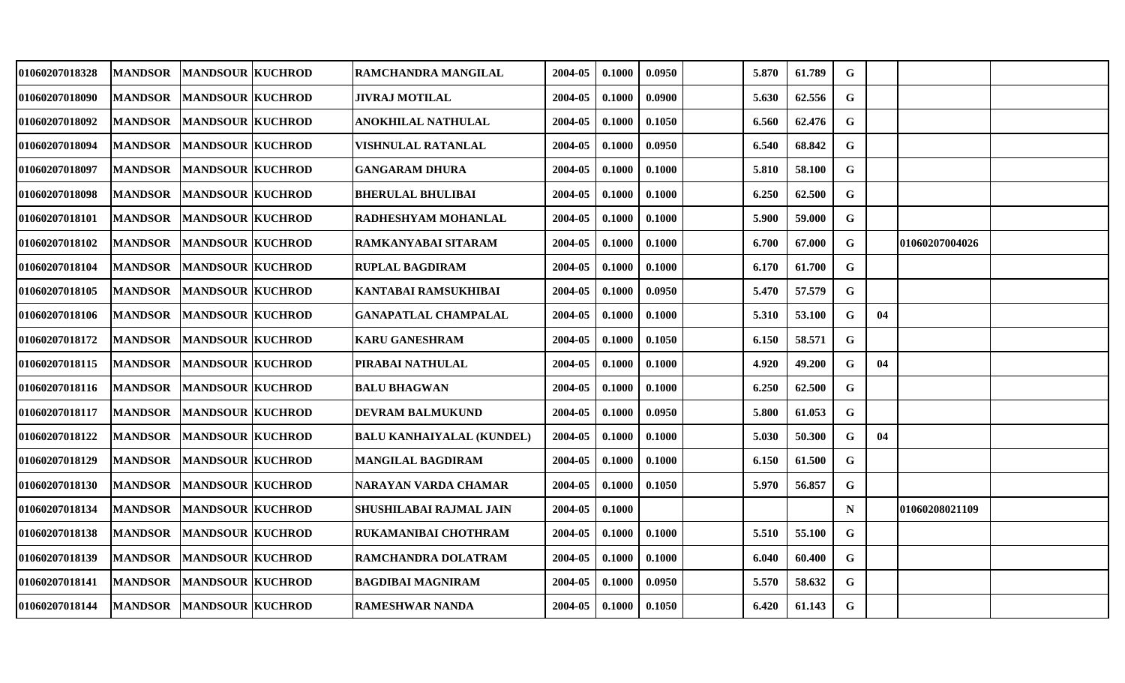| 01060207018328 | <b>MANDSOR</b> | <b>MANDSOUR KUCHROD</b> | RAMCHANDRA MANGILAL            | 2004-05 | 0.1000 | 0.0950 | 5.870 | 61.789 | G           |    |                 |  |
|----------------|----------------|-------------------------|--------------------------------|---------|--------|--------|-------|--------|-------------|----|-----------------|--|
| 01060207018090 | <b>MANDSOR</b> | <b>MANDSOUR KUCHROD</b> | <b>JIVRAJ MOTILAL</b>          | 2004-05 | 0.1000 | 0.0900 | 5.630 | 62.556 | G           |    |                 |  |
| 01060207018092 | <b>MANDSOR</b> | <b>MANDSOUR KUCHROD</b> | ANOKHILAL NATHULAL             | 2004-05 | 0.1000 | 0.1050 | 6.560 | 62.476 | $\mathbf G$ |    |                 |  |
| 01060207018094 | <b>MANDSOR</b> | <b>MANDSOUR KUCHROD</b> | VISHNULAL RATANLAL             | 2004-05 | 0.1000 | 0.0950 | 6.540 | 68.842 | G           |    |                 |  |
| 01060207018097 | <b>MANDSOR</b> | <b>MANDSOUR KUCHROD</b> | <b>GANGARAM DHURA</b>          | 2004-05 | 0.1000 | 0.1000 | 5.810 | 58.100 | $\mathbf G$ |    |                 |  |
| 01060207018098 | <b>MANDSOR</b> | <b>MANDSOUR KUCHROD</b> | <b>BHERULAL BHULIBAI</b>       | 2004-05 | 0.1000 | 0.1000 | 6.250 | 62.500 | G           |    |                 |  |
| 01060207018101 | <b>MANDSOR</b> | <b>MANDSOUR KUCHROD</b> | RADHESHYAM MOHANLAL            | 2004-05 | 0.1000 | 0.1000 | 5.900 | 59.000 | $\mathbf G$ |    |                 |  |
| 01060207018102 | <b>MANDSOR</b> | <b>MANDSOUR KUCHROD</b> | RAMKANYABAI SITARAM            | 2004-05 | 0.1000 | 0.1000 | 6.700 | 67.000 | G           |    | 01060207004026  |  |
| 01060207018104 | <b>MANDSOR</b> | <b>MANDSOUR KUCHROD</b> | <b>RUPLAL BAGDIRAM</b>         | 2004-05 | 0.1000 | 0.1000 | 6.170 | 61.700 | $\mathbf G$ |    |                 |  |
| 01060207018105 | <b>MANDSOR</b> | <b>MANDSOUR KUCHROD</b> | KANTABAI RAMSUKHIBAI           | 2004-05 | 0.1000 | 0.0950 | 5.470 | 57.579 | G           |    |                 |  |
| 01060207018106 | <b>MANDSOR</b> | <b>MANDSOUR KUCHROD</b> | <b>GANAPATLAL CHAMPALAL</b>    | 2004-05 | 0.1000 | 0.1000 | 5.310 | 53.100 | G           | 04 |                 |  |
| 01060207018172 | <b>MANDSOR</b> | <b>MANDSOUR KUCHROD</b> | <b>KARU GANESHRAM</b>          | 2004-05 | 0.1000 | 0.1050 | 6.150 | 58.571 | G           |    |                 |  |
| 01060207018115 | <b>MANDSOR</b> | <b>MANDSOUR KUCHROD</b> | PIRABAI NATHULAL               | 2004-05 | 0.1000 | 0.1000 | 4.920 | 49.200 | G           | 04 |                 |  |
| 01060207018116 | <b>MANDSOR</b> | <b>MANDSOUR KUCHROD</b> | <b>BALU BHAGWAN</b>            | 2004-05 | 0.1000 | 0.1000 | 6.250 | 62.500 | G           |    |                 |  |
| 01060207018117 | <b>MANDSOR</b> | <b>MANDSOUR KUCHROD</b> | <b>DEVRAM BALMUKUND</b>        | 2004-05 | 0.1000 | 0.0950 | 5.800 | 61.053 | G           |    |                 |  |
| 01060207018122 | <b>MANDSOR</b> | <b>MANDSOUR KUCHROD</b> | BALU KANHAIYALAL (KUNDEL)      | 2004-05 | 0.1000 | 0.1000 | 5.030 | 50.300 | G           | 04 |                 |  |
| 01060207018129 | <b>MANDSOR</b> | <b>MANDSOUR KUCHROD</b> | <b>MANGILAL BAGDIRAM</b>       | 2004-05 | 0.1000 | 0.1000 | 6.150 | 61.500 | $\mathbf G$ |    |                 |  |
| 01060207018130 | <b>MANDSOR</b> | <b>MANDSOUR KUCHROD</b> | NARAYAN VARDA CHAMAR           | 2004-05 | 0.1000 | 0.1050 | 5.970 | 56.857 | G           |    |                 |  |
| 01060207018134 | <b>MANDSOR</b> | <b>MANDSOUR KUCHROD</b> | <b>SHUSHILABAI RAJMAL JAIN</b> | 2004-05 | 0.1000 |        |       |        | N           |    | 101060208021109 |  |
| 01060207018138 | <b>MANDSOR</b> | <b>MANDSOUR KUCHROD</b> | RUKAMANIBAI CHOTHRAM           | 2004-05 | 0.1000 | 0.1000 | 5.510 | 55.100 | $\mathbf G$ |    |                 |  |
| 01060207018139 | <b>MANDSOR</b> | <b>MANDSOUR KUCHROD</b> | RAMCHANDRA DOLATRAM            | 2004-05 | 0.1000 | 0.1000 | 6.040 | 60.400 | G           |    |                 |  |
| 01060207018141 | <b>MANDSOR</b> | <b>MANDSOUR KUCHROD</b> | <b>BAGDIBAI MAGNIRAM</b>       | 2004-05 | 0.1000 | 0.0950 | 5.570 | 58.632 | G           |    |                 |  |
| 01060207018144 | <b>MANDSOR</b> | <b>MANDSOUR KUCHROD</b> | <b>RAMESHWAR NANDA</b>         | 2004-05 | 0.1000 | 0.1050 | 6.420 | 61.143 | G           |    |                 |  |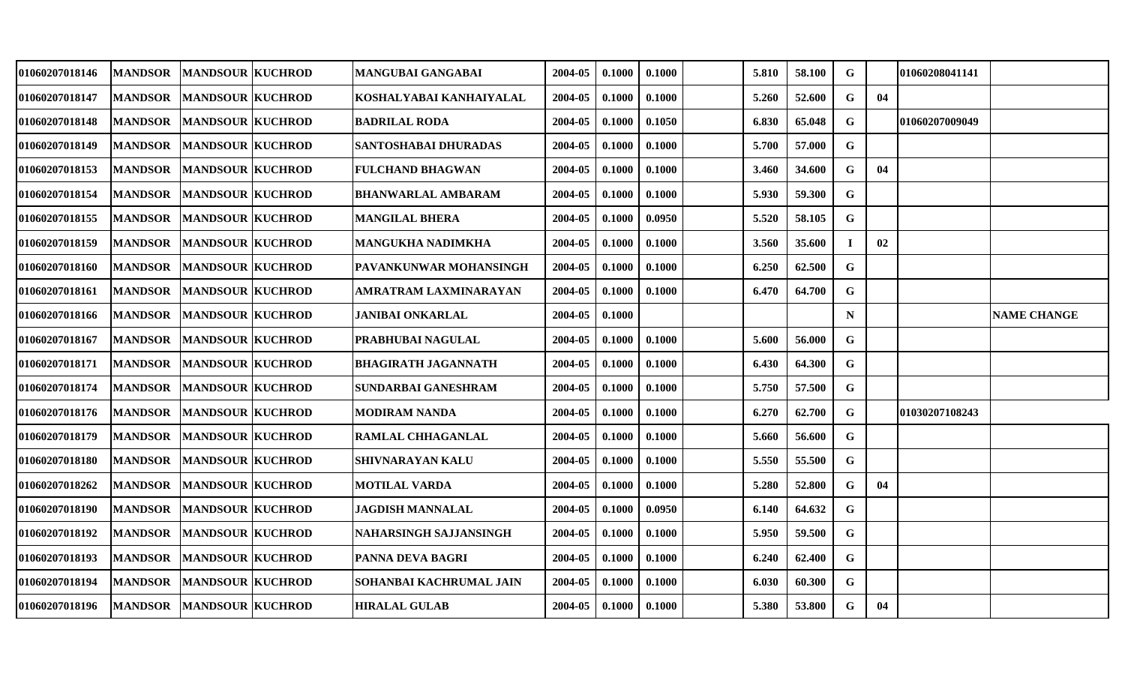| 01060207018146 | <b>MANDSOR</b> | <b>MANDSOUR KUCHROD</b> | MANGUBAI GANGABAI             | 2004-05 | 0.1000 | 0.1000 | 5.810 | 58.100 | G           |    | 01060208041141  |                    |
|----------------|----------------|-------------------------|-------------------------------|---------|--------|--------|-------|--------|-------------|----|-----------------|--------------------|
| 01060207018147 | <b>MANDSOR</b> | <b>MANDSOUR KUCHROD</b> | KOSHALYABAI KANHAIYALAL       | 2004-05 | 0.1000 | 0.1000 | 5.260 | 52.600 | G           | 04 |                 |                    |
| 01060207018148 | <b>MANDSOR</b> | <b>MANDSOUR KUCHROD</b> | <b>BADRILAL RODA</b>          | 2004-05 | 0.1000 | 0.1050 | 6.830 | 65.048 | $\mathbf G$ |    | 101060207009049 |                    |
| 01060207018149 | <b>MANDSOR</b> | <b>MANDSOUR KUCHROD</b> | <b>SANTOSHABAI DHURADAS</b>   | 2004-05 | 0.1000 | 0.1000 | 5.700 | 57.000 | G           |    |                 |                    |
| 01060207018153 | <b>MANDSOR</b> | <b>MANDSOUR KUCHROD</b> | <b>FULCHAND BHAGWAN</b>       | 2004-05 | 0.1000 | 0.1000 | 3.460 | 34.600 | G           | 04 |                 |                    |
| 01060207018154 | <b>MANDSOR</b> | <b>MANDSOUR KUCHROD</b> | <b>BHANWARLAL AMBARAM</b>     | 2004-05 | 0.1000 | 0.1000 | 5.930 | 59.300 | G           |    |                 |                    |
| 01060207018155 | <b>MANDSOR</b> | <b>MANDSOUR KUCHROD</b> | <b>MANGILAL BHERA</b>         | 2004-05 | 0.1000 | 0.0950 | 5.520 | 58.105 | G           |    |                 |                    |
| 01060207018159 | <b>MANDSOR</b> | <b>MANDSOUR KUCHROD</b> | <b>MANGUKHA NADIMKHA</b>      | 2004-05 | 0.1000 | 0.1000 | 3.560 | 35.600 | T           | 02 |                 |                    |
| 01060207018160 | <b>MANDSOR</b> | <b>MANDSOUR KUCHROD</b> | PAVANKUNWAR MOHANSINGH        | 2004-05 | 0.1000 | 0.1000 | 6.250 | 62.500 | G           |    |                 |                    |
| 01060207018161 | <b>MANDSOR</b> | <b>MANDSOUR KUCHROD</b> | AMRATRAM LAXMINARAYAN         | 2004-05 | 0.1000 | 0.1000 | 6.470 | 64.700 | G           |    |                 |                    |
| 01060207018166 | <b>MANDSOR</b> | <b>MANDSOUR KUCHROD</b> | <b>JANIBAI ONKARLAL</b>       | 2004-05 | 0.1000 |        |       |        | N           |    |                 | <b>NAME CHANGE</b> |
| 01060207018167 | <b>MANDSOR</b> | <b>MANDSOUR KUCHROD</b> | PRABHUBAI NAGULAL             | 2004-05 | 0.1000 | 0.1000 | 5.600 | 56.000 | $\mathbf G$ |    |                 |                    |
| 01060207018171 | <b>MANDSOR</b> | <b>MANDSOUR KUCHROD</b> | <b>BHAGIRATH JAGANNATH</b>    | 2004-05 | 0.1000 | 0.1000 | 6.430 | 64.300 | $\mathbf G$ |    |                 |                    |
| 01060207018174 | <b>MANDSOR</b> | <b>MANDSOUR KUCHROD</b> | SUNDARBAI GANESHRAM           | 2004-05 | 0.1000 | 0.1000 | 5.750 | 57.500 | G           |    |                 |                    |
| 01060207018176 | <b>MANDSOR</b> | <b>MANDSOUR KUCHROD</b> | MODIRAM NANDA                 | 2004-05 | 0.1000 | 0.1000 | 6.270 | 62.700 | G           |    | 01030207108243  |                    |
| 01060207018179 | <b>MANDSOR</b> | <b>MANDSOUR KUCHROD</b> | <b>RAMLAL CHHAGANLAL</b>      | 2004-05 | 0.1000 | 0.1000 | 5.660 | 56.600 | $\mathbf G$ |    |                 |                    |
| 01060207018180 | <b>MANDSOR</b> | <b>MANDSOUR KUCHROD</b> | <b>SHIVNARAYAN KALU</b>       | 2004-05 | 0.1000 | 0.1000 | 5.550 | 55.500 | $\mathbf G$ |    |                 |                    |
| 01060207018262 | <b>MANDSOR</b> | <b>MANDSOUR KUCHROD</b> | MOTILAL VARDA                 | 2004-05 | 0.1000 | 0.1000 | 5.280 | 52.800 | G           | 04 |                 |                    |
| 01060207018190 | <b>MANDSOR</b> | <b>MANDSOUR KUCHROD</b> | <b>JAGDISH MANNALAL</b>       | 2004-05 | 0.1000 | 0.0950 | 6.140 | 64.632 | G           |    |                 |                    |
| 01060207018192 | <b>MANDSOR</b> | <b>MANDSOUR KUCHROD</b> | <b>NAHARSINGH SAJJANSINGH</b> | 2004-05 | 0.1000 | 0.1000 | 5.950 | 59.500 | G           |    |                 |                    |
| 01060207018193 | <b>MANDSOR</b> | <b>MANDSOUR KUCHROD</b> | PANNA DEVA BAGRI              | 2004-05 | 0.1000 | 0.1000 | 6.240 | 62.400 | G           |    |                 |                    |
| 01060207018194 | <b>MANDSOR</b> | <b>MANDSOUR KUCHROD</b> | SOHANBAI KACHRUMAL JAIN       | 2004-05 | 0.1000 | 0.1000 | 6.030 | 60.300 | G           |    |                 |                    |
| 01060207018196 | <b>MANDSOR</b> | <b>MANDSOUR KUCHROD</b> | <b>HIRALAL GULAB</b>          | 2004-05 | 0.1000 | 0.1000 | 5.380 | 53.800 | G           | 04 |                 |                    |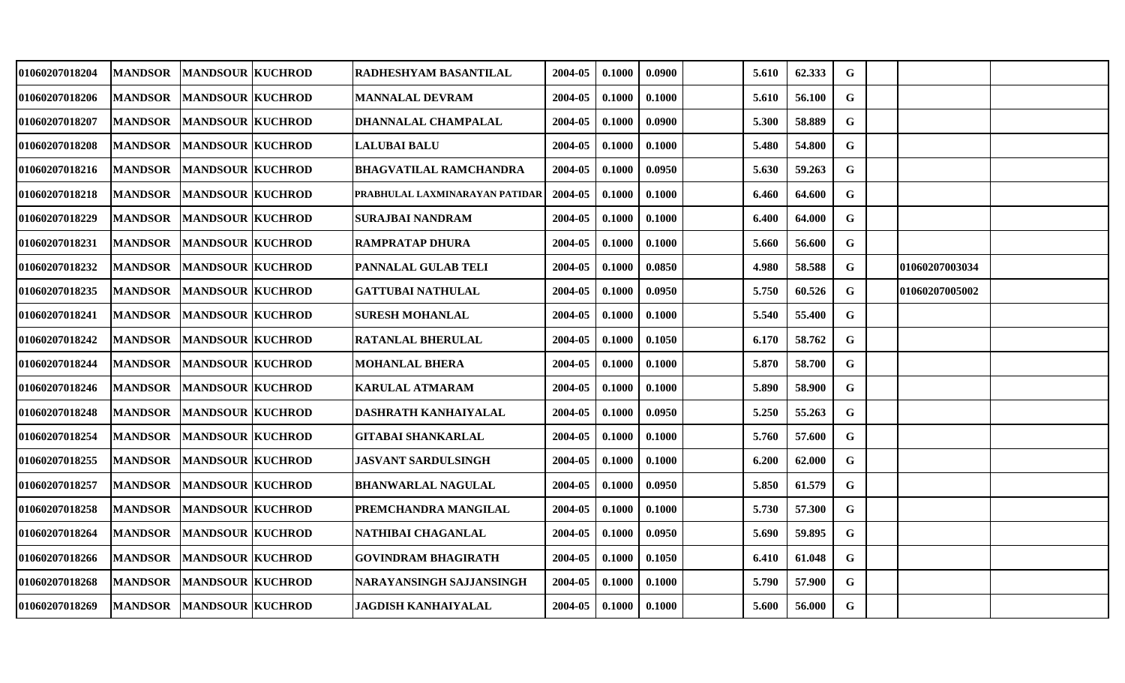| 01060207018204 | <b>MANDSOR</b> | <b>MANDSOUR KUCHROD</b>  | RADHESHYAM BASANTILAL          | 2004-05 | 0.1000 | 0.0900 | 5.610 | 62.333 | G           |                |  |
|----------------|----------------|--------------------------|--------------------------------|---------|--------|--------|-------|--------|-------------|----------------|--|
| 01060207018206 | <b>MANDSOR</b> | <b>MANDSOUR KUCHROD</b>  | <b>MANNALAL DEVRAM</b>         | 2004-05 | 0.1000 | 0.1000 | 5.610 | 56.100 | G           |                |  |
| 01060207018207 | <b>MANDSOR</b> | <b>MANDSOUR KUCHROD</b>  | DHANNALAL CHAMPALAL            | 2004-05 | 0.1000 | 0.0900 | 5.300 | 58.889 | G           |                |  |
| 01060207018208 | <b>MANDSOR</b> | <b>MANDSOUR KUCHROD</b>  | <b>LALUBAI BALU</b>            | 2004-05 | 0.1000 | 0.1000 | 5.480 | 54.800 | $\mathbf G$ |                |  |
| 01060207018216 | <b>MANDSOR</b> | <b>MANDSOUR KUCHROD</b>  | <b>BHAGVATILAL RAMCHANDRA</b>  | 2004-05 | 0.1000 | 0.0950 | 5.630 | 59.263 | $\mathbf G$ |                |  |
| 01060207018218 | <b>MANDSOR</b> | <b>MANDSOUR KUCHROD</b>  | PRABHULAL LAXMINARAYAN PATIDAR | 2004-05 | 0.1000 | 0.1000 | 6.460 | 64.600 | G           |                |  |
| 01060207018229 | <b>MANDSOR</b> | <b>MANDSOUR KUCHROD</b>  | <b>SURAJBAI NANDRAM</b>        | 2004-05 | 0.1000 | 0.1000 | 6.400 | 64.000 | $\mathbf G$ |                |  |
| 01060207018231 | <b>MANDSOR</b> | <b>MANDSOUR KUCHROD</b>  | <b>RAMPRATAP DHURA</b>         | 2004-05 | 0.1000 | 0.1000 | 5.660 | 56.600 | G           |                |  |
| 01060207018232 | <b>MANDSOR</b> | <b>MANDSOUR KUCHROD</b>  | PANNALAL GULAB TELI            | 2004-05 | 0.1000 | 0.0850 | 4.980 | 58.588 | $\mathbf G$ | 01060207003034 |  |
| 01060207018235 | <b>MANDSOR</b> | <b>MANDSOUR KUCHROD</b>  | <b>GATTUBAI NATHULAL</b>       | 2004-05 | 0.1000 | 0.0950 | 5.750 | 60.526 | G           | 01060207005002 |  |
| 01060207018241 | <b>MANDSOR</b> | <b>MANDSOUR KUCHROD</b>  | <b>SURESH MOHANLAL</b>         | 2004-05 | 0.1000 | 0.1000 | 5.540 | 55.400 | G           |                |  |
| 01060207018242 | <b>MANDSOR</b> | <b>MANDSOUR KUCHROD</b>  | <b>RATANLAL BHERULAL</b>       | 2004-05 | 0.1000 | 0.1050 | 6.170 | 58.762 | G           |                |  |
| 01060207018244 | <b>MANDSOR</b> | <b>MANDSOUR KUCHROD</b>  | <b>MOHANLAL BHERA</b>          | 2004-05 | 0.1000 | 0.1000 | 5.870 | 58.700 | $\mathbf G$ |                |  |
| 01060207018246 | <b>MANDSOR</b> | <b>MANDSOUR KUCHROD</b>  | <b>KARULAL ATMARAM</b>         | 2004-05 | 0.1000 | 0.1000 | 5.890 | 58.900 | G           |                |  |
| 01060207018248 | <b>MANDSOR</b> | <b>MANDSOUR KUCHROD</b>  | DASHRATH KANHAIYALAL           | 2004-05 | 0.1000 | 0.0950 | 5.250 | 55.263 | G           |                |  |
| 01060207018254 | <b>MANDSOR</b> | <b>MANDSOUR KUCHROD</b>  | <b>GITABAI SHANKARLAL</b>      | 2004-05 | 0.1000 | 0.1000 | 5.760 | 57.600 | G           |                |  |
| 01060207018255 | <b>MANDSOR</b> | <b>MANDSOUR KUCHROD</b>  | <b>JASVANT SARDULSINGH</b>     | 2004-05 | 0.1000 | 0.1000 | 6.200 | 62.000 | $\mathbf G$ |                |  |
| 01060207018257 | <b>MANDSOR</b> | <b>MANDSOUR KUCHROD</b>  | <b>BHANWARLAL NAGULAL</b>      | 2004-05 | 0.1000 | 0.0950 | 5.850 | 61.579 | G           |                |  |
| 01060207018258 | <b>MANDSOR</b> | <b>MANDSOUR KUCHROD</b>  | PREMCHANDRA MANGILAL           | 2004-05 | 0.1000 | 0.1000 | 5.730 | 57.300 | G           |                |  |
| 01060207018264 | <b>MANDSOR</b> | <b>MANDSOUR KUCHROD</b>  | NATHIBAI CHAGANLAL             | 2004-05 | 0.1000 | 0.0950 | 5.690 | 59.895 | $\mathbf G$ |                |  |
| 01060207018266 | <b>MANDSOR</b> | <b>MANDSOUR KUCHROD</b>  | <b>GOVINDRAM BHAGIRATH</b>     | 2004-05 | 0.1000 | 0.1050 | 6.410 | 61.048 | G           |                |  |
| 01060207018268 | <b>MANDSOR</b> | <b>MANDSOUR KUCHROD</b>  | NARAYANSINGH SAJJANSINGH       | 2004-05 | 0.1000 | 0.1000 | 5.790 | 57.900 | G           |                |  |
| 01060207018269 |                | MANDSOR MANDSOUR KUCHROD | <b>JAGDISH KANHAIYALAL</b>     | 2004-05 | 0.1000 | 0.1000 | 5.600 | 56.000 | G           |                |  |
|                |                |                          |                                |         |        |        |       |        |             |                |  |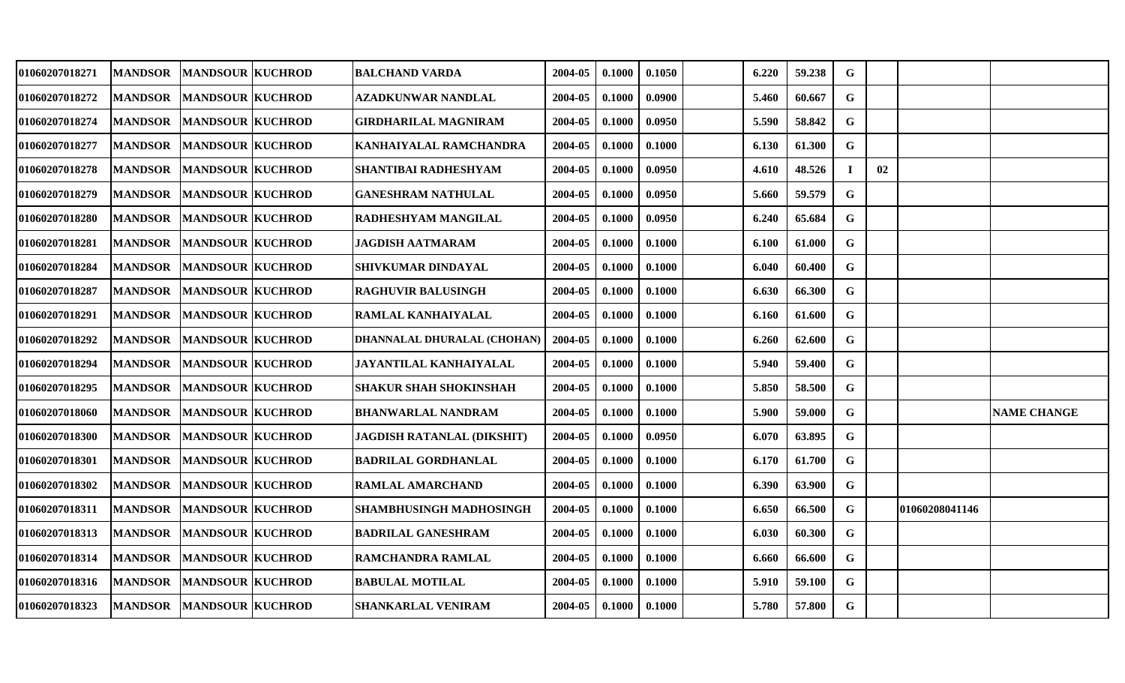| 01060207018271        | <b>MANDSOR</b> | <b>MANDSOUR KUCHROD</b>         | <b>BALCHAND VARDA</b>          | 2004-05 | 0.1000 | 0.1050 | 6.220 | 59.238 | G           |    |                |                    |
|-----------------------|----------------|---------------------------------|--------------------------------|---------|--------|--------|-------|--------|-------------|----|----------------|--------------------|
| 01060207018272        | <b>MANDSOR</b> | <b>MANDSOUR KUCHROD</b>         | <b>AZADKUNWAR NANDLAL</b>      | 2004-05 | 0.1000 | 0.0900 | 5.460 | 60.667 | $\mathbf G$ |    |                |                    |
| <b>01060207018274</b> | <b>MANDSOR</b> | <b>MANDSOUR KUCHROD</b>         | GIRDHARILAL MAGNIRAM           | 2004-05 | 0.1000 | 0.0950 | 5.590 | 58.842 | $\mathbf G$ |    |                |                    |
| 01060207018277        | <b>MANDSOR</b> | <b>MANDSOUR KUCHROD</b>         | KANHAIYALAL RAMCHANDRA         | 2004-05 | 0.1000 | 0.1000 | 6.130 | 61.300 | G           |    |                |                    |
| <b>01060207018278</b> | <b>MANDSOR</b> | <b>MANDSOUR KUCHROD</b>         | SHANTIBAI RADHESHYAM           | 2004-05 | 0.1000 | 0.0950 | 4.610 | 48.526 | $\mathbf I$ | 02 |                |                    |
| 01060207018279        | <b>MANDSOR</b> | <b>MANDSOUR KUCHROD</b>         | <b>GANESHRAM NATHULAL</b>      | 2004-05 | 0.1000 | 0.0950 | 5.660 | 59.579 | $\mathbf G$ |    |                |                    |
| 01060207018280        | <b>MANDSOR</b> | <b>MANDSOUR KUCHROD</b>         | <b>RADHESHYAM MANGILAL</b>     | 2004-05 | 0.1000 | 0.0950 | 6.240 | 65.684 | G           |    |                |                    |
| 01060207018281        | <b>MANDSOR</b> | <b>MANDSOUR KUCHROD</b>         | JAGDISH AATMARAM               | 2004-05 | 0.1000 | 0.1000 | 6.100 | 61.000 | G           |    |                |                    |
| 01060207018284        | <b>MANDSOR</b> | <b>MANDSOUR KUCHROD</b>         | <b>SHIVKUMAR DINDAYAL</b>      | 2004-05 | 0.1000 | 0.1000 | 6.040 | 60.400 | G           |    |                |                    |
| 01060207018287        | <b>MANDSOR</b> | <b>MANDSOUR KUCHROD</b>         | <b>RAGHUVIR BALUSINGH</b>      | 2004-05 | 0.1000 | 0.1000 | 6.630 | 66.300 | G           |    |                |                    |
| 01060207018291        | <b>MANDSOR</b> | <b>MANDSOUR KUCHROD</b>         | RAMLAL KANHAIYALAL             | 2004-05 | 0.1000 | 0.1000 | 6.160 | 61.600 | $\mathbf G$ |    |                |                    |
| 01060207018292        | <b>MANDSOR</b> | <b>MANDSOUR KUCHROD</b>         | DHANNALAL DHURALAL (CHOHAN)    | 2004-05 | 0.1000 | 0.1000 | 6.260 | 62.600 | $\mathbf G$ |    |                |                    |
| 01060207018294        | <b>MANDSOR</b> | <b>MANDSOUR KUCHROD</b>         | JAYANTILAL KANHAIYALAL         | 2004-05 | 0.1000 | 0.1000 | 5.940 | 59.400 | G           |    |                |                    |
| 01060207018295        | <b>MANDSOR</b> | <b>MANDSOUR KUCHROD</b>         | <b>SHAKUR SHAH SHOKINSHAH</b>  | 2004-05 | 0.1000 | 0.1000 | 5.850 | 58.500 | $\mathbf G$ |    |                |                    |
| <b>01060207018060</b> | <b>MANDSOR</b> | <b>MANDSOUR KUCHROD</b>         | <b>BHANWARLAL NANDRAM</b>      | 2004-05 | 0.1000 | 0.1000 | 5.900 | 59.000 | $\mathbf G$ |    |                | <b>NAME CHANGE</b> |
| <b>01060207018300</b> | <b>MANDSOR</b> | <b>MANDSOUR KUCHROD</b>         | JAGDISH RATANLAL (DIKSHIT)     | 2004-05 | 0.1000 | 0.0950 | 6.070 | 63.895 | G           |    |                |                    |
| 01060207018301        | <b>MANDSOR</b> | <b>MANDSOUR KUCHROD</b>         | <b>BADRILAL GORDHANLAL</b>     | 2004-05 | 0.1000 | 0.1000 | 6.170 | 61.700 | $\mathbf G$ |    |                |                    |
| 01060207018302        | <b>MANDSOR</b> | <b>MANDSOUR KUCHROD</b>         | <b>RAMLAL AMARCHAND</b>        | 2004-05 | 0.1000 | 0.1000 | 6.390 | 63.900 | $\mathbf G$ |    |                |                    |
| 01060207018311        | <b>MANDSOR</b> | <b>MANDSOUR KUCHROD</b>         | <b>SHAMBHUSINGH MADHOSINGH</b> | 2004-05 | 0.1000 | 0.1000 | 6.650 | 66.500 | G           |    | 01060208041146 |                    |
| <b>01060207018313</b> | <b>MANDSOR</b> | <b>MANDSOUR KUCHROD</b>         | <b>BADRILAL GANESHRAM</b>      | 2004-05 | 0.1000 | 0.1000 | 6.030 | 60.300 | $\mathbf G$ |    |                |                    |
| 01060207018314        | <b>MANDSOR</b> | <b>MANDSOUR KUCHROD</b>         | RAMCHANDRA RAMLAL              | 2004-05 | 0.1000 | 0.1000 | 6.660 | 66.600 | $\mathbf G$ |    |                |                    |
| 01060207018316        |                | <b>MANDSOR MANDSOUR KUCHROD</b> | <b>BABULAL MOTILAL</b>         | 2004-05 | 0.1000 | 0.1000 | 5.910 | 59.100 | G           |    |                |                    |
| 01060207018323        | <b>MANDSOR</b> | <b>MANDSOUR KUCHROD</b>         | <b>SHANKARLAL VENIRAM</b>      | 2004-05 | 0.1000 | 0.1000 | 5.780 | 57.800 | $\mathbf G$ |    |                |                    |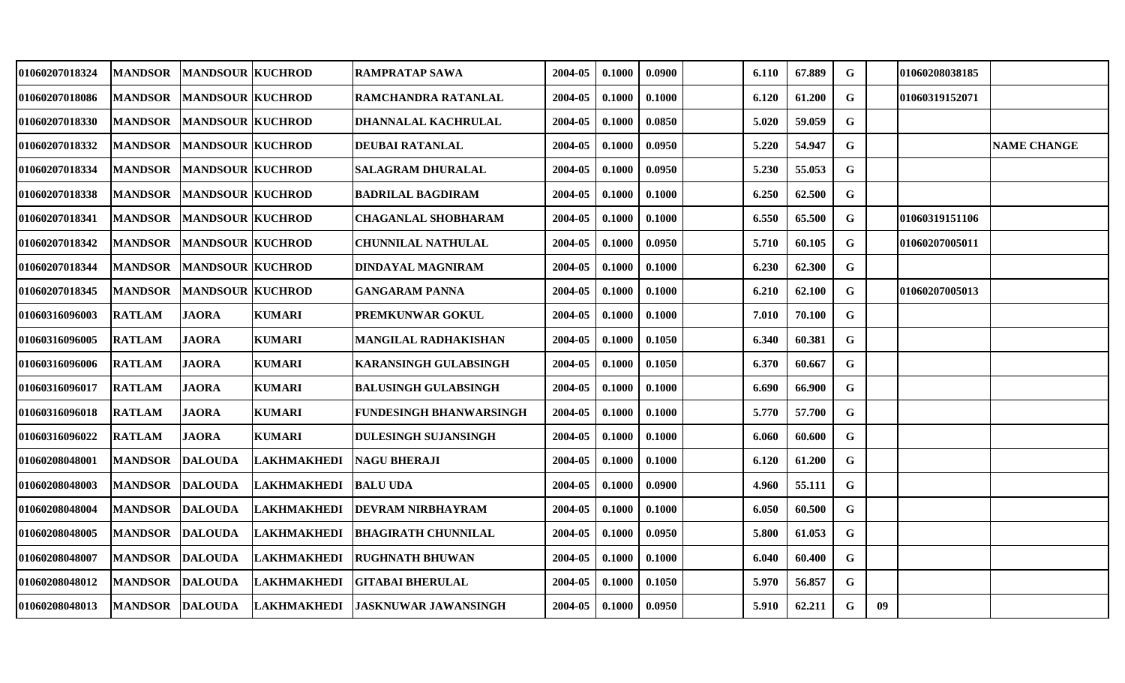| 01060207018324 | <b>MANDSOR</b> | <b>MANDSOUR KUCHROD</b> |                             | <b>RAMPRATAP SAWA</b>          | 2004-05 | 0.1000 | 0.0900 | 6.110 | 67.889 | G           |    | 01060208038185 |                    |
|----------------|----------------|-------------------------|-----------------------------|--------------------------------|---------|--------|--------|-------|--------|-------------|----|----------------|--------------------|
| 01060207018086 | <b>MANDSOR</b> | <b>MANDSOUR KUCHROD</b> |                             | RAMCHANDRA RATANLAL            | 2004-05 | 0.1000 | 0.1000 | 6.120 | 61.200 | G           |    | 01060319152071 |                    |
| 01060207018330 | <b>MANDSOR</b> | <b>MANDSOUR KUCHROD</b> |                             | DHANNALAL KACHRULAL            | 2004-05 | 0.1000 | 0.0850 | 5.020 | 59.059 | G           |    |                |                    |
| 01060207018332 | <b>MANDSOR</b> | <b>MANDSOUR KUCHROD</b> |                             | DEUBAI RATANLAL                | 2004-05 | 0.1000 | 0.0950 | 5.220 | 54.947 | G           |    |                | <b>NAME CHANGE</b> |
| 01060207018334 | <b>MANDSOR</b> | <b>MANDSOUR KUCHROD</b> |                             | <b>SALAGRAM DHURALAL</b>       | 2004-05 | 0.1000 | 0.0950 | 5.230 | 55.053 | $\mathbf G$ |    |                |                    |
| 01060207018338 | <b>MANDSOR</b> | <b>MANDSOUR KUCHROD</b> |                             | <b>BADRILAL BAGDIRAM</b>       | 2004-05 | 0.1000 | 0.1000 | 6.250 | 62.500 | G           |    |                |                    |
| 01060207018341 | <b>MANDSOR</b> | <b>MANDSOUR KUCHROD</b> |                             | <b>CHAGANLAL SHOBHARAM</b>     | 2004-05 | 0.1000 | 0.1000 | 6.550 | 65.500 | G           |    | 01060319151106 |                    |
| 01060207018342 | <b>MANDSOR</b> | <b>MANDSOUR KUCHROD</b> |                             | <b>CHUNNILAL NATHULAL</b>      | 2004-05 | 0.1000 | 0.0950 | 5.710 | 60.105 | G           |    | 01060207005011 |                    |
| 01060207018344 | <b>MANDSOR</b> | <b>MANDSOUR KUCHROD</b> |                             | DINDAYAL MAGNIRAM              | 2004-05 | 0.1000 | 0.1000 | 6.230 | 62.300 | $\mathbf G$ |    |                |                    |
| 01060207018345 | <b>MANDSOR</b> | <b>MANDSOUR KUCHROD</b> |                             | <b>GANGARAM PANNA</b>          | 2004-05 | 0.1000 | 0.1000 | 6.210 | 62.100 | G           |    | 01060207005013 |                    |
| 01060316096003 | <b>RATLAM</b>  | <b>JAORA</b>            | <b>KUMARI</b>               | PREMKUNWAR GOKUL               | 2004-05 | 0.1000 | 0.1000 | 7.010 | 70.100 | G           |    |                |                    |
| 01060316096005 | <b>RATLAM</b>  | <b>JAORA</b>            | <b>KUMARI</b>               | <b>MANGILAL RADHAKISHAN</b>    | 2004-05 | 0.1000 | 0.1050 | 6.340 | 60.381 | G           |    |                |                    |
| 01060316096006 | <b>RATLAM</b>  | <b>JAORA</b>            | <b>KUMARI</b>               | KARANSINGH GULABSINGH          | 2004-05 | 0.1000 | 0.1050 | 6.370 | 60.667 | G           |    |                |                    |
| 01060316096017 | <b>RATLAM</b>  | <b>JAORA</b>            | <b>KUMARI</b>               | <b>BALUSINGH GULABSINGH</b>    | 2004-05 | 0.1000 | 0.1000 | 6.690 | 66.900 | G           |    |                |                    |
| 01060316096018 | <b>RATLAM</b>  | <b>JAORA</b>            | <b>KUMARI</b>               | <b>FUNDESINGH BHANWARSINGH</b> | 2004-05 | 0.1000 | 0.1000 | 5.770 | 57.700 | G           |    |                |                    |
| 01060316096022 | <b>RATLAM</b>  | <b>JAORA</b>            | <b>KUMARI</b>               | <b>DULESINGH SUJANSINGH</b>    | 2004-05 | 0.1000 | 0.1000 | 6.060 | 60.600 | $\mathbf G$ |    |                |                    |
| 01060208048001 | <b>MANDSOR</b> | <b>DALOUDA</b>          | <b>LAKHMAKHEDI</b>          | <b>NAGU BHERAJI</b>            | 2004-05 | 0.1000 | 0.1000 | 6.120 | 61.200 | $\mathbf G$ |    |                |                    |
| 01060208048003 | <b>MANDSOR</b> | <b>DALOUDA</b>          | <b>LAKHMAKHEDI</b>          | <b>BALU UDA</b>                | 2004-05 | 0.1000 | 0.0900 | 4.960 | 55.111 | G           |    |                |                    |
| 01060208048004 | <b>MANDSOR</b> | <b>DALOUDA</b>          | <b>LAKHMAKHEDI</b>          | <b>DEVRAM NIRBHAYRAM</b>       | 2004-05 | 0.1000 | 0.1000 | 6.050 | 60.500 | G           |    |                |                    |
| 01060208048005 | <b>MANDSOR</b> | <b>DALOUDA</b>          | <b>LAKHMAKHEDI</b>          | BHAGIRATH CHUNNILAL            | 2004-05 | 0.1000 | 0.0950 | 5.800 | 61.053 | $\mathbf G$ |    |                |                    |
| 01060208048007 | <b>MANDSOR</b> | <b>DALOUDA</b>          | <b>LAKHMAKHEDI</b>          | <b>RUGHNATH BHUWAN</b>         | 2004-05 | 0.1000 | 0.1000 | 6.040 | 60.400 | G           |    |                |                    |
| 01060208048012 | <b>MANDSOR</b> | <b>DALOUDA</b>          | <b>LAKHMAKHEDI</b>          | GITABAI BHERULAL               | 2004-05 | 0.1000 | 0.1050 | 5.970 | 56.857 | G           |    |                |                    |
| 01060208048013 |                |                         | MANDSOR DALOUDA LAKHMAKHEDI | <b>JASKNUWAR JAWANSINGH</b>    | 2004-05 | 0.1000 | 0.0950 | 5.910 | 62.211 | G           | 09 |                |                    |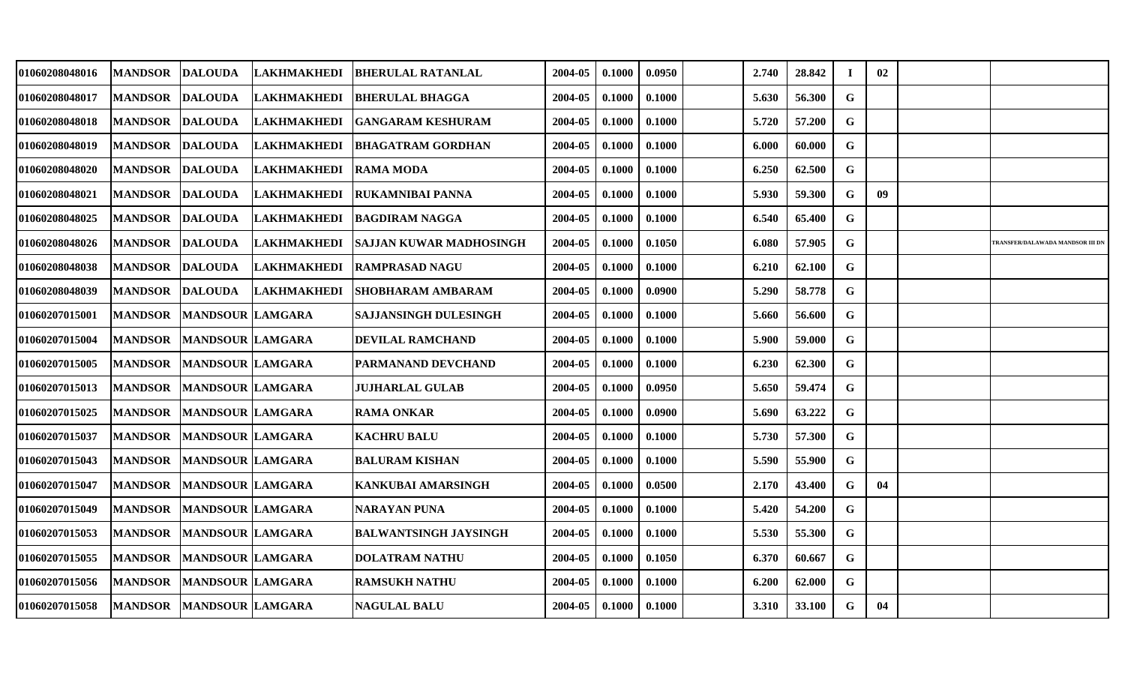| 01060208048016 | <b>MANDSOR</b> | <b>DALOUDA</b>           | <b>LAKHMAKHEDI</b> | <b>IBHERULAL RATANLAL</b>      | 2004-05 | 0.1000 | 0.0950 | 2.740 | 28.842 | $\bf I$      | 02 |                                         |
|----------------|----------------|--------------------------|--------------------|--------------------------------|---------|--------|--------|-------|--------|--------------|----|-----------------------------------------|
| 01060208048017 | <b>MANDSOR</b> | <b>DALOUDA</b>           | <b>LAKHMAKHEDI</b> | <b>BHERULAL BHAGGA</b>         | 2004-05 | 0.1000 | 0.1000 | 5.630 | 56.300 | G            |    |                                         |
| 01060208048018 | <b>MANDSOR</b> | <b>DALOUDA</b>           | <b>LAKHMAKHEDI</b> | <b>IGANGARAM KESHURAM</b>      | 2004-05 | 0.1000 | 0.1000 | 5.720 | 57.200 | $\mathbf{G}$ |    |                                         |
| 01060208048019 | <b>MANDSOR</b> | <b>DALOUDA</b>           | <b>LAKHMAKHEDI</b> | <b>IBHAGATRAM GORDHAN</b>      | 2004-05 | 0.1000 | 0.1000 | 6.000 | 60.000 | G            |    |                                         |
| 01060208048020 | <b>MANDSOR</b> | <b>DALOUDA</b>           | <b>LAKHMAKHEDI</b> | <b>RAMA MODA</b>               | 2004-05 | 0.1000 | 0.1000 | 6.250 | 62.500 | $\mathbf G$  |    |                                         |
| 01060208048021 | <b>MANDSOR</b> | <b>DALOUDA</b>           | <b>LAKHMAKHEDI</b> | <b> RUKAMNIBAI PANNA</b>       | 2004-05 | 0.1000 | 0.1000 | 5.930 | 59.300 | G            | 09 |                                         |
| 01060208048025 | <b>MANDSOR</b> | DALOUDA                  | <b>LAKHMAKHEDI</b> | <b>BAGDIRAM NAGGA</b>          | 2004-05 | 0.1000 | 0.1000 | 6.540 | 65.400 | $\mathbf G$  |    |                                         |
| 01060208048026 | <b>MANDSOR</b> | <b>DALOUDA</b>           | <b>LAKHMAKHEDI</b> | <b>SAJJAN KUWAR MADHOSINGH</b> | 2004-05 | 0.1000 | 0.1050 | 6.080 | 57.905 | G            |    | <b>TRANSFER/DALAWADA MANDSOR III DN</b> |
| 01060208048038 | <b>MANDSOR</b> | <b>DALOUDA</b>           | <b>LAKHMAKHEDI</b> | <b>RAMPRASAD NAGU</b>          | 2004-05 | 0.1000 | 0.1000 | 6.210 | 62.100 | $\mathbf G$  |    |                                         |
| 01060208048039 | <b>MANDSOR</b> | <b>DALOUDA</b>           | <b>LAKHMAKHEDI</b> | SHOBHARAM AMBARAM              | 2004-05 | 0.1000 | 0.0900 | 5.290 | 58.778 | G            |    |                                         |
| 01060207015001 | <b>MANDSOR</b> | <b>MANDSOUR LAMGARA</b>  |                    | <b>SAJJANSINGH DULESINGH</b>   | 2004-05 | 0.1000 | 0.1000 | 5.660 | 56.600 | G            |    |                                         |
| 01060207015004 | <b>MANDSOR</b> | <b>MANDSOUR LAMGARA</b>  |                    | <b>DEVILAL RAMCHAND</b>        | 2004-05 | 0.1000 | 0.1000 | 5.900 | 59.000 | G            |    |                                         |
| 01060207015005 | <b>MANDSOR</b> | <b>MANDSOUR LAMGARA</b>  |                    | PARMANAND DEVCHAND             | 2004-05 | 0.1000 | 0.1000 | 6.230 | 62.300 | $\mathbf G$  |    |                                         |
| 01060207015013 | <b>MANDSOR</b> | <b>MANDSOUR LAMGARA</b>  |                    | <b>JUJHARLAL GULAB</b>         | 2004-05 | 0.1000 | 0.0950 | 5.650 | 59.474 | $\mathbf G$  |    |                                         |
| 01060207015025 | <b>MANDSOR</b> | <b>MANDSOUR LAMGARA</b>  |                    | <b>RAMA ONKAR</b>              | 2004-05 | 0.1000 | 0.0900 | 5.690 | 63.222 | G            |    |                                         |
| 01060207015037 | <b>MANDSOR</b> | <b>MANDSOUR LAMGARA</b>  |                    | <b>KACHRU BALU</b>             | 2004-05 | 0.1000 | 0.1000 | 5.730 | 57.300 | $\mathbf{G}$ |    |                                         |
| 01060207015043 | <b>MANDSOR</b> | <b>MANDSOUR LAMGARA</b>  |                    | <b>BALURAM KISHAN</b>          | 2004-05 | 0.1000 | 0.1000 | 5.590 | 55.900 | G            |    |                                         |
| 01060207015047 | <b>MANDSOR</b> | <b>MANDSOUR LAMGARA</b>  |                    | <b>KANKUBAI AMARSINGH</b>      | 2004-05 | 0.1000 | 0.0500 | 2.170 | 43.400 | G            | 04 |                                         |
| 01060207015049 | <b>MANDSOR</b> | <b>MANDSOUR LAMGARA</b>  |                    | <b>NARAYAN PUNA</b>            | 2004-05 | 0.1000 | 0.1000 | 5.420 | 54.200 | G            |    |                                         |
| 01060207015053 | <b>MANDSOR</b> | <b>MANDSOUR LAMGARA</b>  |                    | <b>BALWANTSINGH JAYSINGH</b>   | 2004-05 | 0.1000 | 0.1000 | 5.530 | 55.300 | G            |    |                                         |
| 01060207015055 | <b>MANDSOR</b> | <b>MANDSOUR LAMGARA</b>  |                    | <b>DOLATRAM NATHU</b>          | 2004-05 | 0.1000 | 0.1050 | 6.370 | 60.667 | G            |    |                                         |
| 01060207015056 | <b>MANDSOR</b> | <b>MANDSOUR LAMGARA</b>  |                    | <b>RAMSUKH NATHU</b>           | 2004-05 | 0.1000 | 0.1000 | 6.200 | 62.000 | $\mathbf G$  |    |                                         |
| 01060207015058 |                | MANDSOR MANDSOUR LAMGARA |                    | <b>NAGULAL BALU</b>            | 2004-05 | 0.1000 | 0.1000 | 3.310 | 33.100 | G            | 04 |                                         |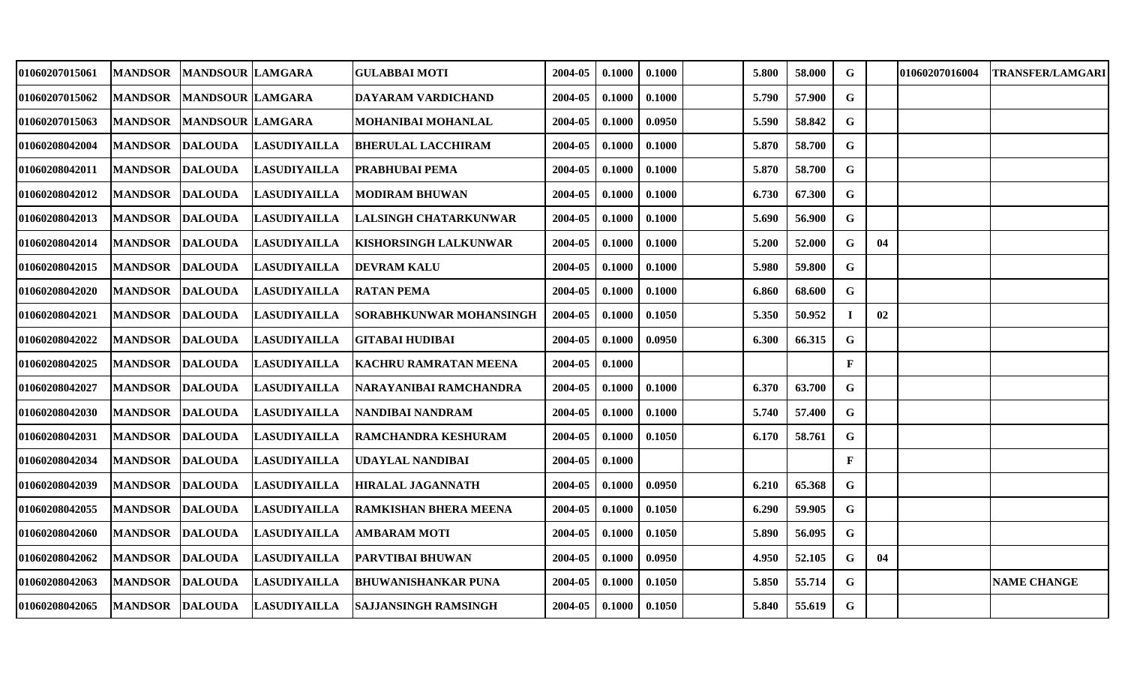| 01060207015061 | <b>MANDSOR</b>  | <b>MANDSOUR LAMGARA</b> |                     | <b>GULABBAI MOTI</b>           | 2004-05 | 0.1000 | 0.1000 | 5.800 | 58.000 | G            |    | 01060207016004 | <b>TRANSFER/LAMGARI</b> |
|----------------|-----------------|-------------------------|---------------------|--------------------------------|---------|--------|--------|-------|--------|--------------|----|----------------|-------------------------|
| 01060207015062 | <b>MANDSOR</b>  | <b>MANDSOUR LAMGARA</b> |                     | <b>DAYARAM VARDICHAND</b>      | 2004-05 | 0.1000 | 0.1000 | 5.790 | 57.900 | G            |    |                |                         |
| 01060207015063 | <b>MANDSOR</b>  | <b>MANDSOUR LAMGARA</b> |                     | MOHANIBAI MOHANLAL             | 2004-05 | 0.1000 | 0.0950 | 5.590 | 58.842 | $\mathbf G$  |    |                |                         |
| 01060208042004 | <b>MANDSOR</b>  | <b>DALOUDA</b>          | <b>LASUDIYAILLA</b> | <b>BHERULAL LACCHIRAM</b>      | 2004-05 | 0.1000 | 0.1000 | 5.870 | 58.700 | G            |    |                |                         |
| 01060208042011 | <b>MANDSOR</b>  | <b>DALOUDA</b>          | <b>LASUDIYAILLA</b> | <b>PRABHUBAI PEMA</b>          | 2004-05 | 0.1000 | 0.1000 | 5.870 | 58.700 | G            |    |                |                         |
| 01060208042012 | <b>MANDSOR</b>  | <b>DALOUDA</b>          | <b>LASUDIYAILLA</b> | <b>MODIRAM BHUWAN</b>          | 2004-05 | 0.1000 | 0.1000 | 6.730 | 67.300 | G            |    |                |                         |
| 01060208042013 | <b>MANDSOR</b>  | <b>DALOUDA</b>          | <b>LASUDIYAILLA</b> | LALSINGH CHATARKUNWAR          | 2004-05 | 0.1000 | 0.1000 | 5.690 | 56.900 | G            |    |                |                         |
| 01060208042014 | <b>MANDSOR</b>  | <b>DALOUDA</b>          | <b>LASUDIYAILLA</b> | <b>KISHORSINGH LALKUNWAR</b>   | 2004-05 | 0.1000 | 0.1000 | 5.200 | 52.000 | G            | 04 |                |                         |
| 01060208042015 | <b>MANDSOR</b>  | <b>DALOUDA</b>          | <b>LASUDIYAILLA</b> | <b>DEVRAM KALU</b>             | 2004-05 | 0.1000 | 0.1000 | 5.980 | 59.800 | $\mathbf G$  |    |                |                         |
| 01060208042020 | MANDSOR DALOUDA |                         | <b>LASUDIYAILLA</b> | <b>RATAN PEMA</b>              | 2004-05 | 0.1000 | 0.1000 | 6.860 | 68.600 | G            |    |                |                         |
| 01060208042021 | <b>MANDSOR</b>  | <b>DALOUDA</b>          | <b>LASUDIYAILLA</b> | <b>SORABHKUNWAR MOHANSINGH</b> | 2004-05 | 0.1000 | 0.1050 | 5.350 | 50.952 |              | 02 |                |                         |
| 01060208042022 | <b>MANDSOR</b>  | <b>DALOUDA</b>          | <b>LASUDIYAILLA</b> | <b>GITABAI HUDIBAI</b>         | 2004-05 | 0.1000 | 0.0950 | 6.300 | 66.315 | G            |    |                |                         |
| 01060208042025 | <b>MANDSOR</b>  | <b>DALOUDA</b>          | <b>LASUDIYAILLA</b> | <b>KACHRU RAMRATAN MEENA</b>   | 2004-05 | 0.1000 |        |       |        | $\mathbf{F}$ |    |                |                         |
| 01060208042027 | <b>MANDSOR</b>  | <b>DALOUDA</b>          | <b>LASUDIYAILLA</b> | INARAYANIBAI RAMCHANDRA        | 2004-05 | 0.1000 | 0.1000 | 6.370 | 63.700 | G            |    |                |                         |
| 01060208042030 | <b>MANDSOR</b>  | <b>DALOUDA</b>          | <b>LASUDIYAILLA</b> | NANDIBAI NANDRAM               | 2004-05 | 0.1000 | 0.1000 | 5.740 | 57.400 | G            |    |                |                         |
| 01060208042031 | <b>MANDSOR</b>  | <b>DALOUDA</b>          | <b>LASUDIYAILLA</b> | RAMCHANDRA KESHURAM            | 2004-05 | 0.1000 | 0.1050 | 6.170 | 58.761 | G            |    |                |                         |
| 01060208042034 | <b>MANDSOR</b>  | <b>DALOUDA</b>          | <b>LASUDIYAILLA</b> | <b>UDAYLAL NANDIBAI</b>        | 2004-05 | 0.1000 |        |       |        | $\mathbf{F}$ |    |                |                         |
| 01060208042039 | <b>MANDSOR</b>  | <b>DALOUDA</b>          | <b>LASUDIYAILLA</b> | HIRALAL JAGANNATH              | 2004-05 | 0.1000 | 0.0950 | 6.210 | 65.368 | G            |    |                |                         |
| 01060208042055 | <b>MANDSOR</b>  | <b>DALOUDA</b>          | <b>LASUDIYAILLA</b> | <b>RAMKISHAN BHERA MEENA</b>   | 2004-05 | 0.1000 | 0.1050 | 6.290 | 59.905 | $\mathbf G$  |    |                |                         |
| 01060208042060 | <b>MANDSOR</b>  | <b>DALOUDA</b>          | <b>LASUDIYAILLA</b> | <b>AMBARAM MOTI</b>            | 2004-05 | 0.1000 | 0.1050 | 5.890 | 56.095 | G            |    |                |                         |
| 01060208042062 | <b>MANDSOR</b>  | <b>DALOUDA</b>          | <b>LASUDIYAILLA</b> | <b>PARVTIBAI BHUWAN</b>        | 2004-05 | 0.1000 | 0.0950 | 4.950 | 52.105 | G            | 04 |                |                         |
| 01060208042063 | <b>MANDSOR</b>  | <b>DALOUDA</b>          | <b>LASUDIYAILLA</b> | <b>BHUWANISHANKAR PUNA</b>     | 2004-05 | 0.1000 | 0.1050 | 5.850 | 55.714 | G            |    |                | <b>NAME CHANGE</b>      |
| 01060208042065 | MANDSOR DALOUDA |                         | <b>LASUDIYAILLA</b> | <b>SAJJANSINGH RAMSINGH</b>    | 2004-05 | 0.1000 | 0.1050 | 5.840 | 55.619 | G            |    |                |                         |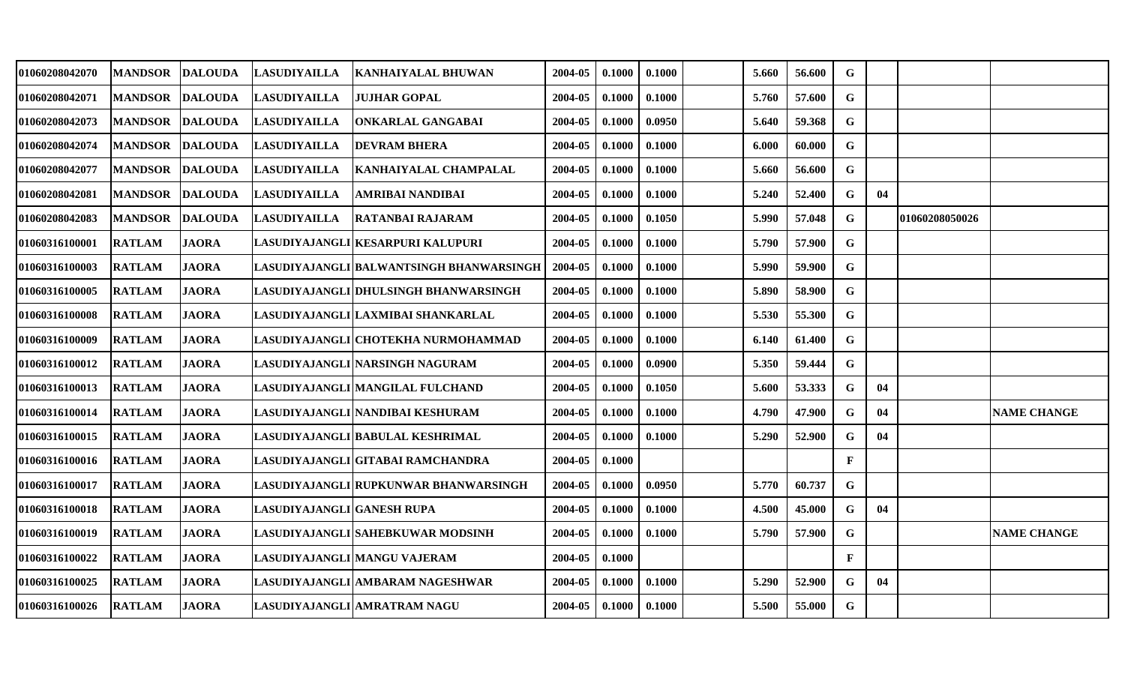| 01060208042070 | <b>MANDSOR</b> | <b>DALOUDA</b> | <b>LASUDIYAILLA</b>        | <b>KANHAIYALAL BHUWAN</b>                | 2004-05 | 0.1000 | 0.1000 | 5.660 | 56.600 | G            |    |                |                    |
|----------------|----------------|----------------|----------------------------|------------------------------------------|---------|--------|--------|-------|--------|--------------|----|----------------|--------------------|
| 01060208042071 | <b>MANDSOR</b> | <b>DALOUDA</b> | <b>LASUDIYAILLA</b>        | <b>JUJHAR GOPAL</b>                      | 2004-05 | 0.1000 | 0.1000 | 5.760 | 57.600 | G            |    |                |                    |
| 01060208042073 | <b>MANDSOR</b> | <b>DALOUDA</b> | <b>LASUDIYAILLA</b>        | IONKARLAL GANGABAI                       | 2004-05 | 0.1000 | 0.0950 | 5.640 | 59.368 | $\mathbf G$  |    |                |                    |
| 01060208042074 | <b>MANDSOR</b> | <b>DALOUDA</b> | <b>LASUDIYAILLA</b>        | <b>DEVRAM BHERA</b>                      | 2004-05 | 0.1000 | 0.1000 | 6.000 | 60.000 | $\mathbf G$  |    |                |                    |
| 01060208042077 | <b>MANDSOR</b> | <b>DALOUDA</b> | <b>LASUDIYAILLA</b>        | KANHAIYALAL CHAMPALAL                    | 2004-05 | 0.1000 | 0.1000 | 5.660 | 56.600 | $\mathbf G$  |    |                |                    |
| 01060208042081 | <b>MANDSOR</b> | <b>DALOUDA</b> | <b>LASUDIYAILLA</b>        | AMRIBAI NANDIBAI                         | 2004-05 | 0.1000 | 0.1000 | 5.240 | 52.400 | G            | 04 |                |                    |
| 01060208042083 | <b>MANDSOR</b> | <b>DALOUDA</b> | <b>LASUDIYAILLA</b>        | <b>RATANBAI RAJARAM</b>                  | 2004-05 | 0.1000 | 0.1050 | 5.990 | 57.048 | $\mathbf G$  |    | 01060208050026 |                    |
| 01060316100001 | <b>RATLAM</b>  | <b>JAORA</b>   |                            | LASUDIYAJANGLI KESARPURI KALUPURI        | 2004-05 | 0.1000 | 0.1000 | 5.790 | 57.900 | G            |    |                |                    |
| 01060316100003 | <b>RATLAM</b>  | <b>JAORA</b>   |                            | LASUDIYAJANGLI BALWANTSINGH BHANWARSINGH | 2004-05 | 0.1000 | 0.1000 | 5.990 | 59.900 | $\mathbf{G}$ |    |                |                    |
| 01060316100005 | <b>RATLAM</b>  | <b>JAORA</b>   |                            | LASUDIYAJANGLI DHULSINGH BHANWARSINGH    | 2004-05 | 0.1000 | 0.1000 | 5.890 | 58.900 | $\mathbf G$  |    |                |                    |
| 01060316100008 | <b>RATLAM</b>  | <b>JAORA</b>   |                            | LASUDIYAJANGLI LAXMIBAI SHANKARLAL       | 2004-05 | 0.1000 | 0.1000 | 5.530 | 55.300 | G            |    |                |                    |
| 01060316100009 | <b>RATLAM</b>  | <b>JAORA</b>   |                            | LASUDIYAJANGLI CHOTEKHA NURMOHAMMAD      | 2004-05 | 0.1000 | 0.1000 | 6.140 | 61.400 | G            |    |                |                    |
| 01060316100012 | <b>RATLAM</b>  | <b>JAORA</b>   |                            | LASUDIYAJANGLI NARSINGH NAGURAM          | 2004-05 | 0.1000 | 0.0900 | 5.350 | 59.444 | $\mathbf G$  |    |                |                    |
| 01060316100013 | <b>RATLAM</b>  | <b>JAORA</b>   |                            | LASUDIYAJANGLI MANGILAL FULCHAND         | 2004-05 | 0.1000 | 0.1050 | 5.600 | 53.333 | G            | 04 |                |                    |
| 01060316100014 | <b>RATLAM</b>  | <b>JAORA</b>   |                            | LASUDIYAJANGLI NANDIBAI KESHURAM         | 2004-05 | 0.1000 | 0.1000 | 4.790 | 47.900 | G            | 04 |                | <b>NAME CHANGE</b> |
| 01060316100015 | <b>RATLAM</b>  | <b>JAORA</b>   |                            | LASUDIYAJANGLI BABULAL KESHRIMAL         | 2004-05 | 0.1000 | 0.1000 | 5.290 | 52.900 | G            | 04 |                |                    |
| 01060316100016 | <b>RATLAM</b>  | <b>JAORA</b>   |                            | LASUDIYAJANGLI GITABAI RAMCHANDRA        | 2004-05 | 0.1000 |        |       |        | $\mathbf F$  |    |                |                    |
| 01060316100017 | <b>RATLAM</b>  | <b>JAORA</b>   |                            | LASUDIYAJANGLI RUPKUNWAR BHANWARSINGH    | 2004-05 | 0.1000 | 0.0950 | 5.770 | 60.737 | G            |    |                |                    |
| 01060316100018 | <b>RATLAM</b>  | <b>JAORA</b>   | LASUDIYAJANGLI GANESH RUPA |                                          | 2004-05 | 0.1000 | 0.1000 | 4.500 | 45.000 | G            | 04 |                |                    |
| 01060316100019 | <b>RATLAM</b>  | <b>JAORA</b>   |                            | LASUDIYAJANGLI SAHEBKUWAR MODSINH        | 2004-05 | 0.1000 | 0.1000 | 5.790 | 57.900 | $\mathbf G$  |    |                | <b>NAME CHANGE</b> |
| 01060316100022 | <b>RATLAM</b>  | <b>JAORA</b>   |                            | LASUDIYAJANGLI MANGU VAJERAM             | 2004-05 | 0.1000 |        |       |        | $\mathbf F$  |    |                |                    |
| 01060316100025 | <b>RATLAM</b>  | <b>JAORA</b>   |                            | LASUDIYAJANGLI AMBARAM NAGESHWAR         | 2004-05 | 0.1000 | 0.1000 | 5.290 | 52.900 | G            | 04 |                |                    |
| 01060316100026 | <b>RATLAM</b>  | <b>JAORA</b>   |                            | LASUDIYAJANGLI AMRATRAM NAGU             | 2004-05 | 0.1000 | 0.1000 | 5.500 | 55.000 | G            |    |                |                    |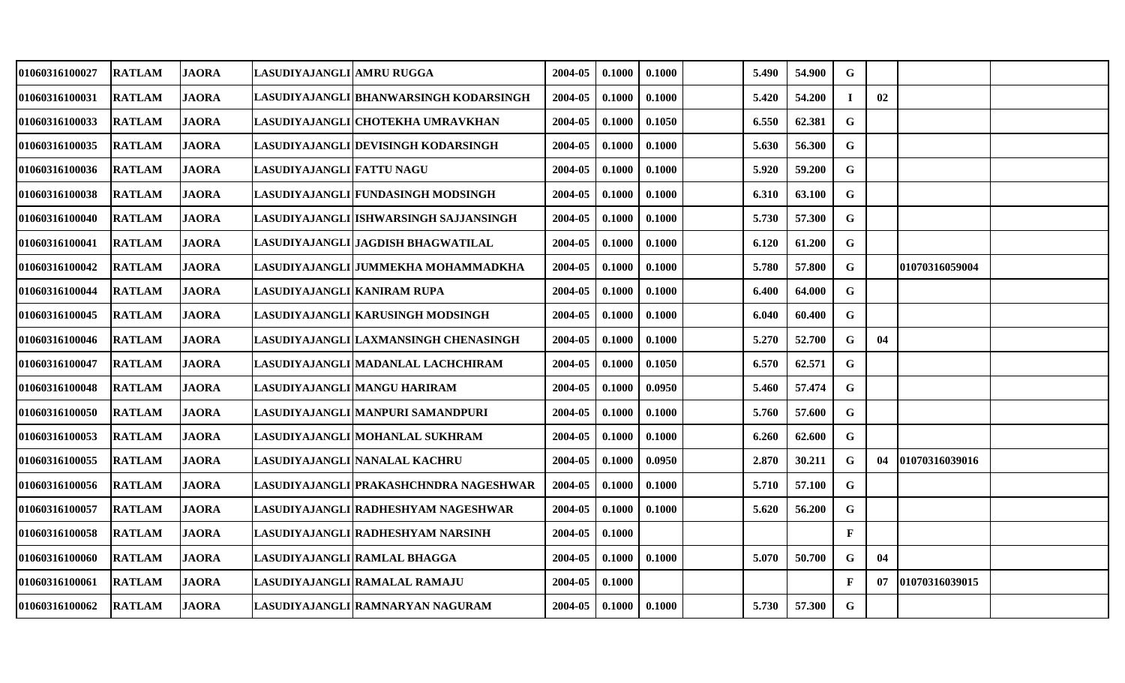| <b>01060316100027</b> | <b>RATLAM</b> | <b>JAORA</b> | LASUDIYAJANGLI AMRU RUGGA   |                                        | 2004-05 | 0.1000 | 0.1000 | 5.490 | 54.900 | G            |    |                |  |
|-----------------------|---------------|--------------|-----------------------------|----------------------------------------|---------|--------|--------|-------|--------|--------------|----|----------------|--|
| 01060316100031        | <b>RATLAM</b> | <b>JAORA</b> |                             | LASUDIYAJANGLI BHANWARSINGH KODARSINGH | 2004-05 | 0.1000 | 0.1000 | 5.420 | 54.200 | $\mathbf I$  | 02 |                |  |
| 01060316100033        | <b>RATLAM</b> | <b>JAORA</b> |                             | LASUDIYAJANGLI CHOTEKHA UMRAVKHAN      | 2004-05 | 0.1000 | 0.1050 | 6.550 | 62.381 | $\mathbf G$  |    |                |  |
| 01060316100035        | <b>RATLAM</b> | <b>JAORA</b> |                             | LASUDIYAJANGLI DEVISINGH KODARSINGH    | 2004-05 | 0.1000 | 0.1000 | 5.630 | 56.300 | G            |    |                |  |
| 01060316100036        | <b>RATLAM</b> | <b>JAORA</b> | LASUDIYAJANGLI FATTU NAGU   |                                        | 2004-05 | 0.1000 | 0.1000 | 5.920 | 59.200 | G            |    |                |  |
| 01060316100038        | <b>RATLAM</b> | <b>JAORA</b> |                             | LASUDIYAJANGLI FUNDASINGH MODSINGH     | 2004-05 | 0.1000 | 0.1000 | 6.310 | 63.100 | $\mathbf G$  |    |                |  |
| 01060316100040        | <b>RATLAM</b> | <b>JAORA</b> |                             | LASUDIYAJANGLI ISHWARSINGH SAJJANSINGH | 2004-05 | 0.1000 | 0.1000 | 5.730 | 57.300 | G            |    |                |  |
| 01060316100041        | <b>RATLAM</b> | <b>JAORA</b> |                             | LASUDIYAJANGLI JAGDISH BHAGWATILAL     | 2004-05 | 0.1000 | 0.1000 | 6.120 | 61.200 | G            |    |                |  |
| 01060316100042        | <b>RATLAM</b> | <b>JAORA</b> |                             | LASUDIYAJANGLI JUMMEKHA MOHAMMADKHA    | 2004-05 | 0.1000 | 0.1000 | 5.780 | 57.800 | $\mathbf G$  |    | 01070316059004 |  |
| 01060316100044        | <b>RATLAM</b> | <b>JAORA</b> | LASUDIYAJANGLI KANIRAM RUPA |                                        | 2004-05 | 0.1000 | 0.1000 | 6.400 | 64.000 | G            |    |                |  |
| <b>01060316100045</b> | <b>RATLAM</b> | <b>JAORA</b> |                             | LASUDIYAJANGLI KARUSINGH MODSINGH      | 2004-05 | 0.1000 | 0.1000 | 6.040 | 60.400 | $\mathbf G$  |    |                |  |
| 01060316100046        | <b>RATLAM</b> | <b>JAORA</b> |                             | LASUDIYAJANGLI LAXMANSINGH CHENASINGH  | 2004-05 | 0.1000 | 0.1000 | 5.270 | 52.700 | G            | 04 |                |  |
| <b>01060316100047</b> | <b>RATLAM</b> | <b>JAORA</b> |                             | LASUDIYAJANGLI MADANLAL LACHCHIRAM     | 2004-05 | 0.1000 | 0.1050 | 6.570 | 62.571 | G            |    |                |  |
| 01060316100048        | <b>RATLAM</b> | <b>JAORA</b> |                             | LASUDIYAJANGLI MANGU HARIRAM           | 2004-05 | 0.1000 | 0.0950 | 5.460 | 57.474 | $\mathbf G$  |    |                |  |
| 01060316100050        | <b>RATLAM</b> | <b>JAORA</b> |                             | LASUDIYAJANGLI MANPURI SAMANDPURI      | 2004-05 | 0.1000 | 0.1000 | 5.760 | 57.600 | $\mathbf G$  |    |                |  |
| 01060316100053        | <b>RATLAM</b> | <b>JAORA</b> |                             | LASUDIYAJANGLI MOHANLAL SUKHRAM        | 2004-05 | 0.1000 | 0.1000 | 6.260 | 62.600 | G            |    |                |  |
| 01060316100055        | <b>RATLAM</b> | <b>JAORA</b> |                             | LASUDIYAJANGLI NANALAL KACHRU          | 2004-05 | 0.1000 | 0.0950 | 2.870 | 30.211 | G            | 04 | 01070316039016 |  |
| <b>01060316100056</b> | <b>RATLAM</b> | <b>JAORA</b> |                             | LASUDIYAJANGLI PRAKASHCHNDRA NAGESHWAR | 2004-05 | 0.1000 | 0.1000 | 5.710 | 57.100 | $\mathbf G$  |    |                |  |
| 01060316100057        | <b>RATLAM</b> | <b>JAORA</b> |                             | LASUDIYAJANGLI RADHESHYAM NAGESHWAR    | 2004-05 | 0.1000 | 0.1000 | 5.620 | 56.200 | G            |    |                |  |
| <b>01060316100058</b> | <b>RATLAM</b> | <b>JAORA</b> |                             | LASUDIYAJANGLI RADHESHYAM NARSINH      | 2004-05 | 0.1000 |        |       |        | F            |    |                |  |
| 01060316100060        | <b>RATLAM</b> | <b>JAORA</b> |                             | LASUDIYAJANGLI RAMLAL BHAGGA           | 2004-05 | 0.1000 | 0.1000 | 5.070 | 50.700 | $\mathbf G$  | 04 |                |  |
| 01060316100061        | <b>RATLAM</b> | <b>JAORA</b> |                             | LASUDIYAJANGLI RAMALAL RAMAJU          | 2004-05 | 0.1000 |        |       |        | $\mathbf{F}$ | 07 | 01070316039015 |  |
| <b>01060316100062</b> | <b>RATLAM</b> | <b>JAORA</b> |                             | LASUDIYAJANGLI RAMNARYAN NAGURAM       | 2004-05 | 0.1000 | 0.1000 | 5.730 | 57.300 | G            |    |                |  |
|                       |               |              |                             |                                        |         |        |        |       |        |              |    |                |  |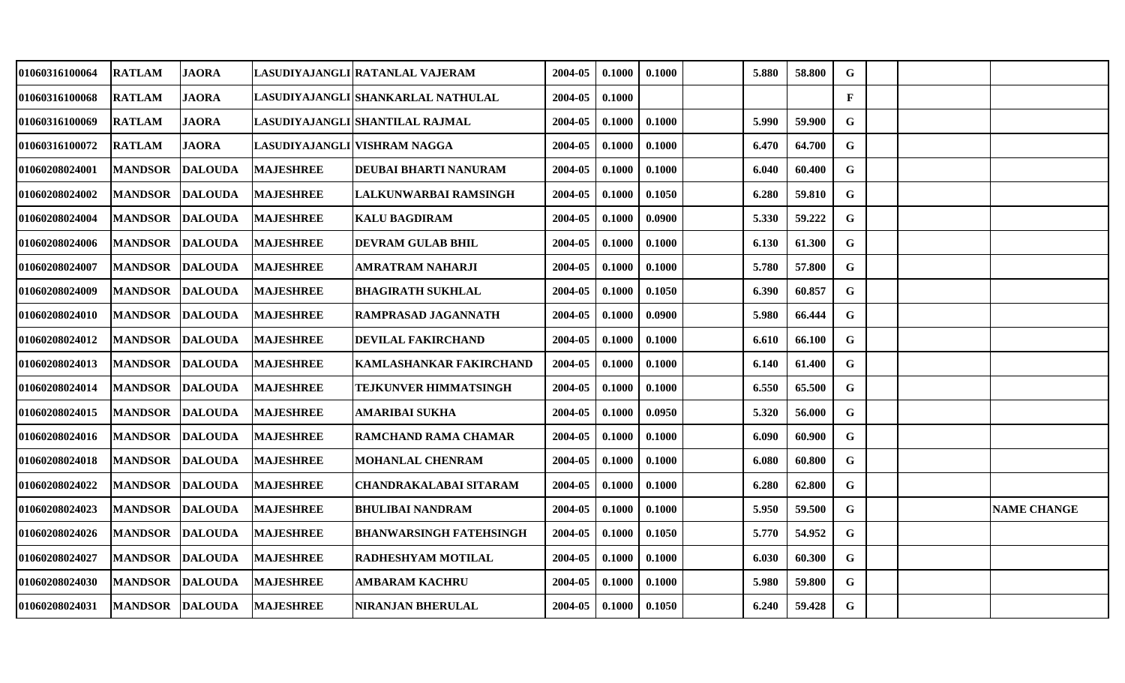| 01060316100064        | <b>RATLAM</b>  | <b>JAORA</b>   |                  | LASUDIYAJANGLI RATANLAL VAJERAM    | 2004-05 | 0.1000 | 0.1000 | 5.880 | 58.800 | G            |  |                    |
|-----------------------|----------------|----------------|------------------|------------------------------------|---------|--------|--------|-------|--------|--------------|--|--------------------|
| 01060316100068        | <b>RATLAM</b>  | <b>JAORA</b>   |                  | LASUDIYAJANGLI SHANKARLAL NATHULAL | 2004-05 | 0.1000 |        |       |        | $\mathbf{F}$ |  |                    |
| <b>01060316100069</b> | <b>RATLAM</b>  | <b>JAORA</b>   |                  | LASUDIYAJANGLI SHANTILAL RAJMAL    | 2004-05 | 0.1000 | 0.1000 | 5.990 | 59.900 | G            |  |                    |
| 01060316100072        | <b>RATLAM</b>  | <b>JAORA</b>   |                  | LASUDIYAJANGLI VISHRAM NAGGA       | 2004-05 | 0.1000 | 0.1000 | 6.470 | 64.700 | G            |  |                    |
| 01060208024001        | <b>MANDSOR</b> | <b>DALOUDA</b> | <b>MAJESHREE</b> | DEUBAI BHARTI NANURAM              | 2004-05 | 0.1000 | 0.1000 | 6.040 | 60.400 | $\mathbf G$  |  |                    |
| 01060208024002        | <b>MANDSOR</b> | <b>DALOUDA</b> | <b>MAJESHREE</b> | LALKUNWARBAI RAMSINGH              | 2004-05 | 0.1000 | 0.1050 | 6.280 | 59.810 | $\mathbf G$  |  |                    |
| 01060208024004        | <b>MANDSOR</b> | <b>DALOUDA</b> | <b>MAJESHREE</b> | <b>KALU BAGDIRAM</b>               | 2004-05 | 0.1000 | 0.0900 | 5.330 | 59.222 | G            |  |                    |
| <b>01060208024006</b> | <b>MANDSOR</b> | <b>DALOUDA</b> | <b>MAJESHREE</b> | <b>DEVRAM GULAB BHIL</b>           | 2004-05 | 0.1000 | 0.1000 | 6.130 | 61.300 | G            |  |                    |
| 01060208024007        | <b>MANDSOR</b> | <b>DALOUDA</b> | <b>MAJESHREE</b> | AMRATRAM NAHARJI                   | 2004-05 | 0.1000 | 0.1000 | 5.780 | 57.800 | G            |  |                    |
| 01060208024009        | <b>MANDSOR</b> | <b>DALOUDA</b> | <b>MAJESHREE</b> | <b>BHAGIRATH SUKHLAL</b>           | 2004-05 | 0.1000 | 0.1050 | 6.390 | 60.857 | G            |  |                    |
| <b>01060208024010</b> | <b>MANDSOR</b> | <b>DALOUDA</b> | <b>MAJESHREE</b> | RAMPRASAD JAGANNATH                | 2004-05 | 0.1000 | 0.0900 | 5.980 | 66.444 | G            |  |                    |
| 01060208024012        | <b>MANDSOR</b> | <b>DALOUDA</b> | <b>MAJESHREE</b> | DEVILAL FAKIRCHAND                 | 2004-05 | 0.1000 | 0.1000 | 6.610 | 66.100 | $\mathbf G$  |  |                    |
| 01060208024013        | <b>MANDSOR</b> | <b>DALOUDA</b> | <b>MAJESHREE</b> | KAMLASHANKAR FAKIRCHAND            | 2004-05 | 0.1000 | 0.1000 | 6.140 | 61.400 | G            |  |                    |
| 01060208024014        | <b>MANDSOR</b> | <b>DALOUDA</b> | <b>MAJESHREE</b> | <b>TEJKUNVER HIMMATSINGH</b>       | 2004-05 | 0.1000 | 0.1000 | 6.550 | 65.500 | G            |  |                    |
| <b>01060208024015</b> | <b>MANDSOR</b> | <b>DALOUDA</b> | <b>MAJESHREE</b> | AMARIBAI SUKHA                     | 2004-05 | 0.1000 | 0.0950 | 5.320 | 56.000 | G            |  |                    |
| 01060208024016        | <b>MANDSOR</b> | <b>DALOUDA</b> | <b>MAJESHREE</b> | RAMCHAND RAMA CHAMAR-              | 2004-05 | 0.1000 | 0.1000 | 6.090 | 60.900 | G            |  |                    |
| 01060208024018        | <b>MANDSOR</b> | <b>DALOUDA</b> | <b>MAJESHREE</b> | <b>MOHANLAL CHENRAM</b>            | 2004-05 | 0.1000 | 0.1000 | 6.080 | 60.800 | G            |  |                    |
| 01060208024022        | <b>MANDSOR</b> | <b>DALOUDA</b> | <b>MAJESHREE</b> | CHANDRAKALABAI SITARAM             | 2004-05 | 0.1000 | 0.1000 | 6.280 | 62.800 | $\mathbf G$  |  |                    |
| 01060208024023        | <b>MANDSOR</b> | <b>DALOUDA</b> | <b>MAJESHREE</b> | BHULIBAI NANDRAM                   | 2004-05 | 0.1000 | 0.1000 | 5.950 | 59.500 | $\mathbf G$  |  | <b>NAME CHANGE</b> |
| <b>01060208024026</b> | <b>MANDSOR</b> | <b>DALOUDA</b> | <b>MAJESHREE</b> | BHANWARSINGH FATEHSINGH            | 2004-05 | 0.1000 | 0.1050 | 5.770 | 54.952 | G            |  |                    |
| 01060208024027        | <b>MANDSOR</b> | <b>DALOUDA</b> | <b>MAJESHREE</b> | RADHESHYAM MOTILAL                 | 2004-05 | 0.1000 | 0.1000 | 6.030 | 60.300 | G            |  |                    |
| 01060208024030        | <b>MANDSOR</b> | <b>DALOUDA</b> | <b>MAJESHREE</b> | AMBARAM KACHRU                     | 2004-05 | 0.1000 | 0.1000 | 5.980 | 59.800 | G            |  |                    |
| 01060208024031        | <b>MANDSOR</b> | <b>DALOUDA</b> | <b>MAJESHREE</b> | NIRANJAN BHERULAL                  | 2004-05 | 0.1000 | 0.1050 | 6.240 | 59.428 | G            |  |                    |
|                       |                |                |                  |                                    |         |        |        |       |        |              |  |                    |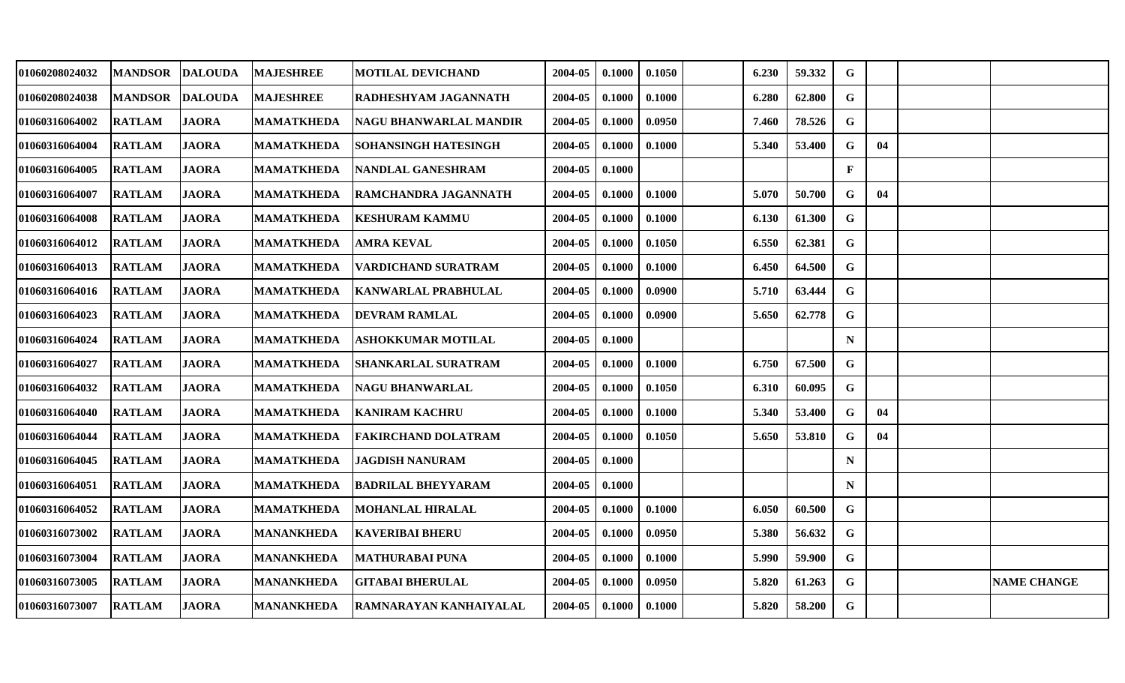| 01060208024032        | <b>MANDSOR</b> | <b>DALOUDA</b> | <b>MAJESHREE</b>  | <b>MOTILAL DEVICHAND</b>   | 2004-05 | 0.1000 | 0.1050 | 6.230 | 59.332 | $\mathbf G$  |    |                    |
|-----------------------|----------------|----------------|-------------------|----------------------------|---------|--------|--------|-------|--------|--------------|----|--------------------|
| 01060208024038        | <b>MANDSOR</b> | <b>DALOUDA</b> | <b>MAJESHREE</b>  | RADHESHYAM JAGANNATH       | 2004-05 | 0.1000 | 0.1000 | 6.280 | 62.800 | $\mathbf G$  |    |                    |
| <b>01060316064002</b> | <b>RATLAM</b>  | <b>JAORA</b>   | <b>MAMATKHEDA</b> | NAGU BHANWARLAL MANDIR     | 2004-05 | 0.1000 | 0.0950 | 7.460 | 78.526 | $\mathbf G$  |    |                    |
| 01060316064004        | <b>RATLAM</b>  | <b>JAORA</b>   | <b>MAMATKHEDA</b> | SOHANSINGH HATESINGH       | 2004-05 | 0.1000 | 0.1000 | 5.340 | 53.400 | G            | 04 |                    |
| 01060316064005        | <b>RATLAM</b>  | <b>JAORA</b>   | <b>MAMATKHEDA</b> | NANDLAL GANESHRAM          | 2004-05 | 0.1000 |        |       |        | $\mathbf{F}$ |    |                    |
| 01060316064007        | <b>RATLAM</b>  | <b>JAORA</b>   | <b>MAMATKHEDA</b> | RAMCHANDRA JAGANNATH       | 2004-05 | 0.1000 | 0.1000 | 5.070 | 50.700 | $\mathbf G$  | 04 |                    |
| 01060316064008        | <b>RATLAM</b>  | <b>JAORA</b>   | <b>MAMATKHEDA</b> | <b>KESHURAM KAMMU</b>      | 2004-05 | 0.1000 | 0.1000 | 6.130 | 61.300 | G            |    |                    |
| 01060316064012        | <b>RATLAM</b>  | <b>JAORA</b>   | <b>MAMATKHEDA</b> | AMRA KEVAL                 | 2004-05 | 0.1000 | 0.1050 | 6.550 | 62.381 | $\mathbf G$  |    |                    |
| 01060316064013        | <b>RATLAM</b>  | <b>JAORA</b>   | <b>MAMATKHEDA</b> | <b>VARDICHAND SURATRAM</b> | 2004-05 | 0.1000 | 0.1000 | 6.450 | 64.500 | G            |    |                    |
| <b>01060316064016</b> | <b>RATLAM</b>  | <b>JAORA</b>   | <b>MAMATKHEDA</b> | <b>KANWARLAL PRABHULAL</b> | 2004-05 | 0.1000 | 0.0900 | 5.710 | 63.444 | G            |    |                    |
| 01060316064023        | <b>RATLAM</b>  | <b>JAORA</b>   | <b>MAMATKHEDA</b> | <b>DEVRAM RAMLAL</b>       | 2004-05 | 0.1000 | 0.0900 | 5.650 | 62.778 | $\mathbf G$  |    |                    |
| 01060316064024        | <b>RATLAM</b>  | <b>JAORA</b>   | <b>MAMATKHEDA</b> | <b>ASHOKKUMAR MOTILAL</b>  | 2004-05 | 0.1000 |        |       |        | $\mathbf N$  |    |                    |
| 01060316064027        | <b>RATLAM</b>  | <b>JAORA</b>   | <b>MAMATKHEDA</b> | <b>SHANKARLAL SURATRAM</b> | 2004-05 | 0.1000 | 0.1000 | 6.750 | 67.500 | $\mathbf G$  |    |                    |
| 01060316064032        | <b>RATLAM</b>  | <b>JAORA</b>   | <b>MAMATKHEDA</b> | <b>NAGU BHANWARLAL</b>     | 2004-05 | 0.1000 | 0.1050 | 6.310 | 60.095 | $\mathbf G$  |    |                    |
| <b>01060316064040</b> | <b>RATLAM</b>  | <b>JAORA</b>   | <b>MAMATKHEDA</b> | <b>KANIRAM KACHRU</b>      | 2004-05 | 0.1000 | 0.1000 | 5.340 | 53.400 | G            | 04 |                    |
| 01060316064044        | <b>RATLAM</b>  | <b>JAORA</b>   | <b>MAMATKHEDA</b> | <b>FAKIRCHAND DOLATRAM</b> | 2004-05 | 0.1000 | 0.1050 | 5.650 | 53.810 | G            | 04 |                    |
| 01060316064045        | <b>RATLAM</b>  | <b>JAORA</b>   | <b>MAMATKHEDA</b> | JAGDISH NANURAM            | 2004-05 | 0.1000 |        |       |        | $\mathbf N$  |    |                    |
| 01060316064051        | <b>RATLAM</b>  | <b>JAORA</b>   | <b>MAMATKHEDA</b> | <b>BADRILAL BHEYYARAM</b>  | 2004-05 | 0.1000 |        |       |        | $\mathbf N$  |    |                    |
| 01060316064052        | <b>RATLAM</b>  | <b>JAORA</b>   | <b>MAMATKHEDA</b> | MOHANLAL HIRALAL           | 2004-05 | 0.1000 | 0.1000 | 6.050 | 60.500 | G            |    |                    |
| 01060316073002        | <b>RATLAM</b>  | <b>JAORA</b>   | <b>MANANKHEDA</b> | <b>KAVERIBAI BHERU</b>     | 2004-05 | 0.1000 | 0.0950 | 5.380 | 56.632 | $\mathbf G$  |    |                    |
| 01060316073004        | <b>RATLAM</b>  | <b>JAORA</b>   | <b>MANANKHEDA</b> | <b>MATHURABAI PUNA</b>     | 2004-05 | 0.1000 | 0.1000 | 5.990 | 59.900 | G            |    |                    |
| 01060316073005        | <b>RATLAM</b>  | <b>JAORA</b>   | <b>MANANKHEDA</b> | <b>GITABAI BHERULAL</b>    | 2004-05 | 0.1000 | 0.0950 | 5.820 | 61.263 | G            |    | <b>NAME CHANGE</b> |
| 01060316073007        | <b>RATLAM</b>  | <b>JAORA</b>   | <b>MANANKHEDA</b> | RAMNARAYAN KANHAIYALAL     | 2004-05 | 0.1000 | 0.1000 | 5.820 | 58.200 | $\mathbf G$  |    |                    |
|                       |                |                |                   |                            |         |        |        |       |        |              |    |                    |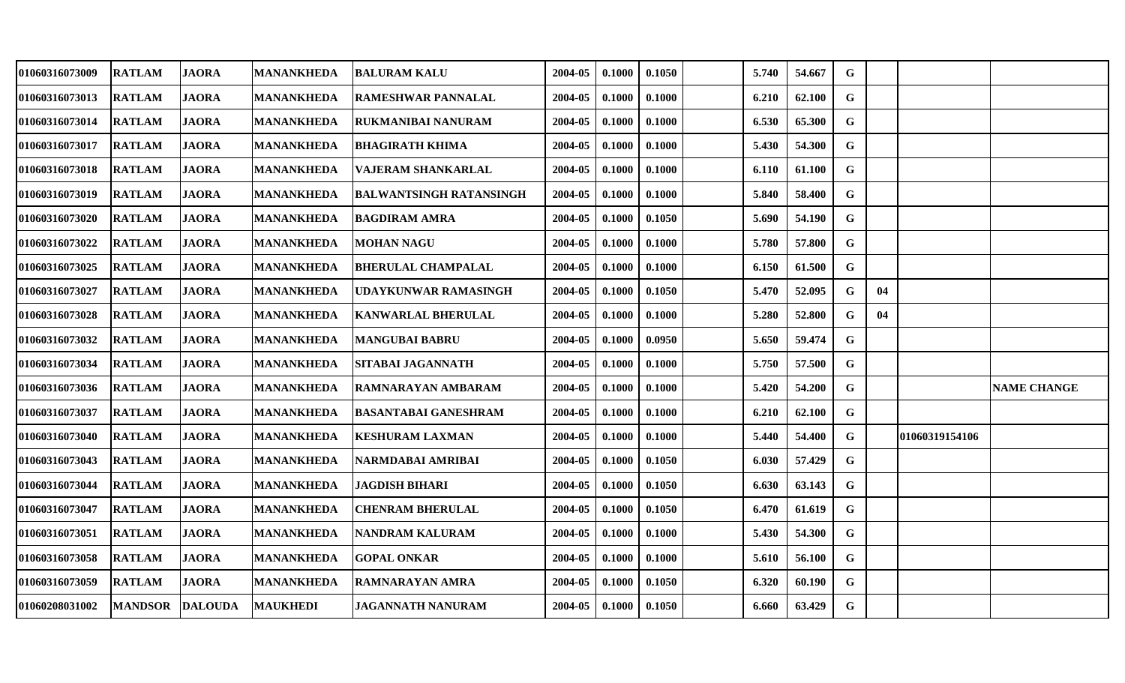| 01060316073009        | <b>RATLAM</b>  | <b>JAORA</b>   | <b>MANANKHEDA</b> | <b>BALURAM KALU</b>            | 2004-05 | 0.1000 | 0.1050 | 5.740 | 54.667 | G           |    |                |                    |
|-----------------------|----------------|----------------|-------------------|--------------------------------|---------|--------|--------|-------|--------|-------------|----|----------------|--------------------|
| 01060316073013        | <b>RATLAM</b>  | <b>JAORA</b>   | <b>MANANKHEDA</b> | <b>RAMESHWAR PANNALAL</b>      | 2004-05 | 0.1000 | 0.1000 | 6.210 | 62.100 | $\mathbf G$ |    |                |                    |
| <b>01060316073014</b> | <b>RATLAM</b>  | <b>JAORA</b>   | MANANKHEDA        | RUKMANIBAI NANURAM             | 2004-05 | 0.1000 | 0.1000 | 6.530 | 65.300 | G           |    |                |                    |
| 01060316073017        | <b>RATLAM</b>  | <b>JAORA</b>   | <b>MANANKHEDA</b> | <b>BHAGIRATH KHIMA</b>         | 2004-05 | 0.1000 | 0.1000 | 5.430 | 54.300 | G           |    |                |                    |
| 01060316073018        | <b>RATLAM</b>  | <b>JAORA</b>   | <b>MANANKHEDA</b> | VAJERAM SHANKARLAL             | 2004-05 | 0.1000 | 0.1000 | 6.110 | 61.100 | $\mathbf G$ |    |                |                    |
| 01060316073019        | <b>RATLAM</b>  | <b>JAORA</b>   | <b>MANANKHEDA</b> | <b>BALWANTSINGH RATANSINGH</b> | 2004-05 | 0.1000 | 0.1000 | 5.840 | 58.400 | $\mathbf G$ |    |                |                    |
| 01060316073020        | <b>RATLAM</b>  | <b>JAORA</b>   | <b>MANANKHEDA</b> | <b>BAGDIRAM AMRA</b>           | 2004-05 | 0.1000 | 0.1050 | 5.690 | 54.190 | G           |    |                |                    |
| 01060316073022        | <b>RATLAM</b>  | <b>JAORA</b>   | <b>MANANKHEDA</b> | <b>MOHAN NAGU</b>              | 2004-05 | 0.1000 | 0.1000 | 5.780 | 57.800 | G           |    |                |                    |
| <b>01060316073025</b> | <b>RATLAM</b>  | <b>JAORA</b>   | <b>MANANKHEDA</b> | <b>BHERULAL CHAMPALAL</b>      | 2004-05 | 0.1000 | 0.1000 | 6.150 | 61.500 | $\mathbf G$ |    |                |                    |
| 01060316073027        | <b>RATLAM</b>  | <b>JAORA</b>   | <b>MANANKHEDA</b> | UDAYKUNWAR RAMASINGH           | 2004-05 | 0.1000 | 0.1050 | 5.470 | 52.095 | G           | 04 |                |                    |
| <b>01060316073028</b> | <b>RATLAM</b>  | <b>JAORA</b>   | <b>MANANKHEDA</b> | <b>KANWARLAL BHERULAL</b>      | 2004-05 | 0.1000 | 0.1000 | 5.280 | 52.800 | G           | 04 |                |                    |
| 01060316073032        | <b>RATLAM</b>  | <b>JAORA</b>   | <b>MANANKHEDA</b> | <b>MANGUBAI BABRU</b>          | 2004-05 | 0.1000 | 0.0950 | 5.650 | 59.474 | G           |    |                |                    |
| 01060316073034        | <b>RATLAM</b>  | <b>JAORA</b>   | <b>MANANKHEDA</b> | SITABAI JAGANNATH              | 2004-05 | 0.1000 | 0.1000 | 5.750 | 57.500 | G           |    |                |                    |
| 01060316073036        | <b>RATLAM</b>  | <b>JAORA</b>   | <b>MANANKHEDA</b> | RAMNARAYAN AMBARAM             | 2004-05 | 0.1000 | 0.1000 | 5.420 | 54.200 | G           |    |                | <b>NAME CHANGE</b> |
| <b>01060316073037</b> | <b>RATLAM</b>  | <b>JAORA</b>   | <b>MANANKHEDA</b> | <b>BASANTABAI GANESHRAM</b>    | 2004-05 | 0.1000 | 0.1000 | 6.210 | 62.100 | $\mathbf G$ |    |                |                    |
| 01060316073040        | <b>RATLAM</b>  | <b>JAORA</b>   | <b>MANANKHEDA</b> | <b>KESHURAM LAXMAN</b>         | 2004-05 | 0.1000 | 0.1000 | 5.440 | 54.400 | G           |    | 01060319154106 |                    |
| 01060316073043        | <b>RATLAM</b>  | <b>JAORA</b>   | <b>MANANKHEDA</b> | NARMDABAI AMRIBAI              | 2004-05 | 0.1000 | 0.1050 | 6.030 | 57.429 | G           |    |                |                    |
| 01060316073044        | <b>RATLAM</b>  | <b>JAORA</b>   | <b>MANANKHEDA</b> | <b>JAGDISH BIHARI</b>          | 2004-05 | 0.1000 | 0.1050 | 6.630 | 63.143 | G           |    |                |                    |
| 01060316073047        | <b>RATLAM</b>  | <b>JAORA</b>   | <b>MANANKHEDA</b> | <b>CHENRAM BHERULAL</b>        | 2004-05 | 0.1000 | 0.1050 | 6.470 | 61.619 | G           |    |                |                    |
| 01060316073051        | <b>RATLAM</b>  | <b>JAORA</b>   | <b>MANANKHEDA</b> | NANDRAM KALURAM                | 2004-05 | 0.1000 | 0.1000 | 5.430 | 54.300 | G           |    |                |                    |
| 01060316073058        | <b>RATLAM</b>  | <b>JAORA</b>   | <b>MANANKHEDA</b> | <b>GOPAL ONKAR</b>             | 2004-05 | 0.1000 | 0.1000 | 5.610 | 56.100 | G           |    |                |                    |
| 01060316073059        | <b>RATLAM</b>  | <b>JAORA</b>   | <b>MANANKHEDA</b> | RAMNARAYAN AMRA                | 2004-05 | 0.1000 | 0.1050 | 6.320 | 60.190 | G           |    |                |                    |
| <b>01060208031002</b> | <b>MANDSOR</b> | <b>DALOUDA</b> | <b>MAUKHEDI</b>   | JAGANNATH NANURAM              | 2004-05 | 0.1000 | 0.1050 | 6.660 | 63.429 | $\mathbf G$ |    |                |                    |
|                       |                |                |                   |                                |         |        |        |       |        |             |    |                |                    |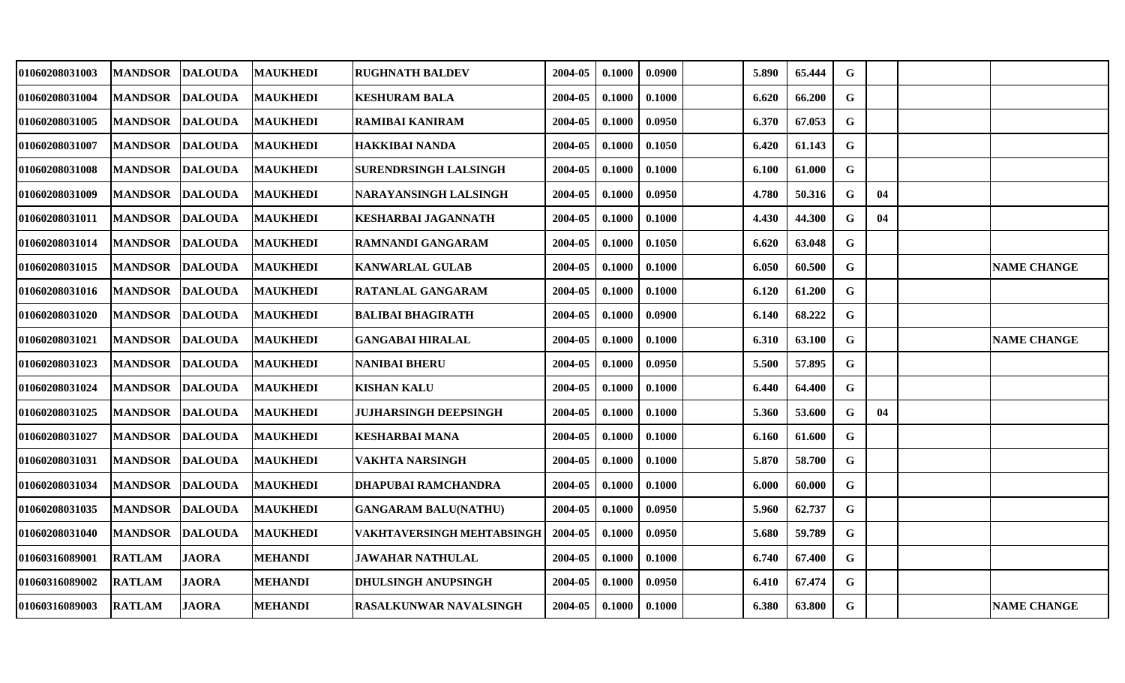| 01060208031003 | <b>MANDSOR</b> | <b>DALOUDA</b> | <b>MAUKHEDI</b> | <b>RUGHNATH BALDEV</b>       | 2004-05 | 0.1000 | 0.0900 | 5.890 | 65.444 | G           |    |                    |
|----------------|----------------|----------------|-----------------|------------------------------|---------|--------|--------|-------|--------|-------------|----|--------------------|
| 01060208031004 | <b>MANDSOR</b> | <b>DALOUDA</b> | <b>MAUKHEDI</b> | <b>KESHURAM BALA</b>         | 2004-05 | 0.1000 | 0.1000 | 6.620 | 66.200 | G           |    |                    |
| 01060208031005 | <b>MANDSOR</b> | <b>DALOUDA</b> | <b>MAUKHEDI</b> | <b>RAMIBAI KANIRAM</b>       | 2004-05 | 0.1000 | 0.0950 | 6.370 | 67.053 | $\mathbf G$ |    |                    |
| 01060208031007 | <b>MANDSOR</b> | <b>DALOUDA</b> | <b>MAUKHEDI</b> | <b>HAKKIBAI NANDA</b>        | 2004-05 | 0.1000 | 0.1050 | 6.420 | 61.143 | G           |    |                    |
| 01060208031008 | <b>MANDSOR</b> | <b>DALOUDA</b> | <b>MAUKHEDI</b> | SURENDRSINGH LALSINGH        | 2004-05 | 0.1000 | 0.1000 | 6.100 | 61.000 | $\mathbf G$ |    |                    |
| 01060208031009 | <b>MANDSOR</b> | <b>DALOUDA</b> | <b>MAUKHEDI</b> | NARAYANSINGH LALSINGH        | 2004-05 | 0.1000 | 0.0950 | 4.780 | 50.316 | G           | 04 |                    |
| 01060208031011 | <b>MANDSOR</b> | <b>DALOUDA</b> | <b>MAUKHEDI</b> | KESHARBAI JAGANNATH          | 2004-05 | 0.1000 | 0.1000 | 4.430 | 44.300 | $\mathbf G$ | 04 |                    |
| 01060208031014 | <b>MANDSOR</b> | <b>DALOUDA</b> | <b>MAUKHEDI</b> | <b>RAMNANDI GANGARAM</b>     | 2004-05 | 0.1000 | 0.1050 | 6.620 | 63.048 | G           |    |                    |
| 01060208031015 | <b>MANDSOR</b> | <b>DALOUDA</b> | <b>MAUKHEDI</b> | <b>KANWARLAL GULAB</b>       | 2004-05 | 0.1000 | 0.1000 | 6.050 | 60.500 | $\mathbf G$ |    | <b>NAME CHANGE</b> |
| 01060208031016 | <b>MANDSOR</b> | <b>DALOUDA</b> | <b>MAUKHEDI</b> | <b>RATANLAL GANGARAM</b>     | 2004-05 | 0.1000 | 0.1000 | 6.120 | 61.200 | G           |    |                    |
| 01060208031020 | <b>MANDSOR</b> | <b>DALOUDA</b> | <b>MAUKHEDI</b> | <b>BALIBAI BHAGIRATH</b>     | 2004-05 | 0.1000 | 0.0900 | 6.140 | 68.222 | G           |    |                    |
| 01060208031021 | <b>MANDSOR</b> | <b>DALOUDA</b> | <b>MAUKHEDI</b> | <b>GANGABAI HIRALAL</b>      | 2004-05 | 0.1000 | 0.1000 | 6.310 | 63.100 | G           |    | <b>NAME CHANGE</b> |
| 01060208031023 | <b>MANDSOR</b> | <b>DALOUDA</b> | <b>MAUKHEDI</b> | <b>NANIBAI BHERU</b>         | 2004-05 | 0.1000 | 0.0950 | 5.500 | 57.895 | G           |    |                    |
| 01060208031024 | <b>MANDSOR</b> | <b>DALOUDA</b> | <b>MAUKHEDI</b> | <b>KISHAN KALU</b>           | 2004-05 | 0.1000 | 0.1000 | 6.440 | 64.400 | G           |    |                    |
| 01060208031025 | <b>MANDSOR</b> | <b>DALOUDA</b> | <b>MAUKHEDI</b> | <b>JUJHARSINGH DEEPSINGH</b> | 2004-05 | 0.1000 | 0.1000 | 5.360 | 53.600 | G           | 04 |                    |
| 01060208031027 | <b>MANDSOR</b> | <b>DALOUDA</b> | <b>MAUKHEDI</b> | <b>KESHARBAI MANA</b>        | 2004-05 | 0.1000 | 0.1000 | 6.160 | 61.600 | G           |    |                    |
| 01060208031031 | <b>MANDSOR</b> | <b>DALOUDA</b> | <b>MAUKHEDI</b> | <b>VAKHTA NARSINGH</b>       | 2004-05 | 0.1000 | 0.1000 | 5.870 | 58.700 | $\mathbf G$ |    |                    |
| 01060208031034 | <b>MANDSOR</b> | <b>DALOUDA</b> | <b>MAUKHEDI</b> | DHAPUBAI RAMCHANDRA          | 2004-05 | 0.1000 | 0.1000 | 6.000 | 60.000 | G           |    |                    |
| 01060208031035 | <b>MANDSOR</b> | <b>DALOUDA</b> | <b>MAUKHEDI</b> | <b>GANGARAM BALU(NATHU)</b>  | 2004-05 | 0.1000 | 0.0950 | 5.960 | 62.737 | G           |    |                    |
| 01060208031040 | <b>MANDSOR</b> | <b>DALOUDA</b> | <b>MAUKHEDI</b> | VAKHTAVERSINGH MEHTABSINGH   | 2004-05 | 0.1000 | 0.0950 | 5.680 | 59.789 | G           |    |                    |
| 01060316089001 | <b>RATLAM</b>  | <b>JAORA</b>   | <b>MEHANDI</b>  | <b>JAWAHAR NATHULAL</b>      | 2004-05 | 0.1000 | 0.1000 | 6.740 | 67.400 | G           |    |                    |
| 01060316089002 | <b>RATLAM</b>  | <b>JAORA</b>   | <b>MEHANDI</b>  | DHULSINGH ANUPSINGH          | 2004-05 | 0.1000 | 0.0950 | 6.410 | 67.474 | G           |    |                    |
| 01060316089003 | <b>RATLAM</b>  | <b>JAORA</b>   | <b>MEHANDI</b>  | RASALKUNWAR NAVALSINGH       | 2004-05 | 0.1000 | 0.1000 | 6.380 | 63.800 | G           |    | <b>NAME CHANGE</b> |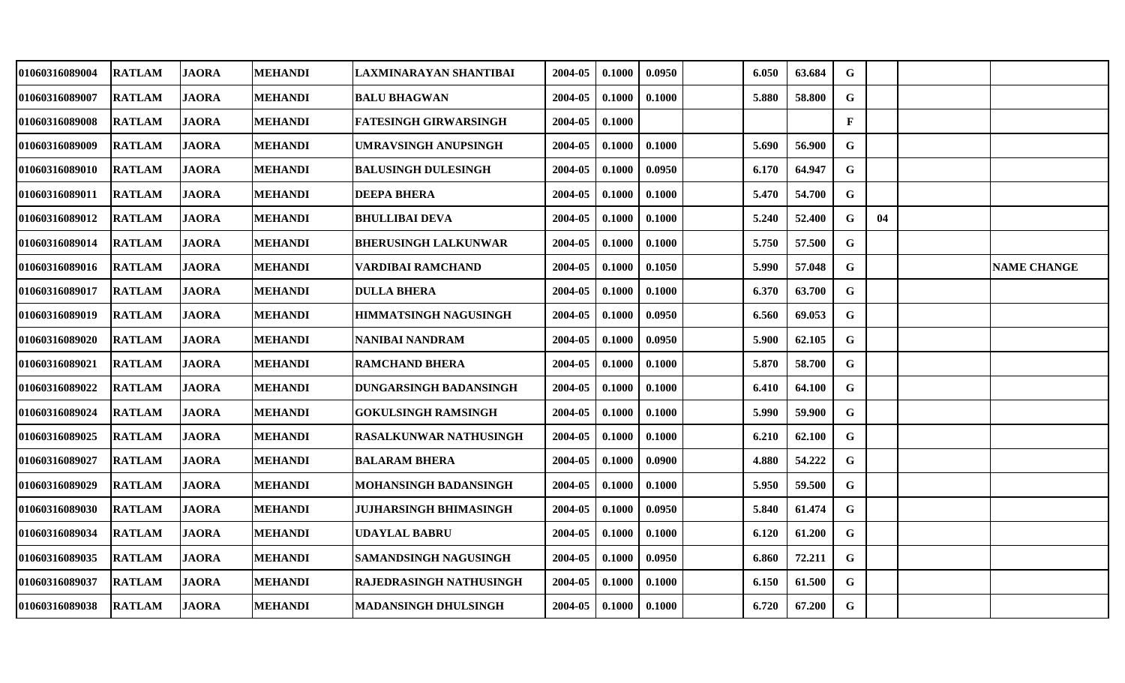| 01060316089004 | <b>RATLAM</b> | <b>JAORA</b> | <b>MEHANDI</b> | LAXMINARAYAN SHANTIBAI        | 2004-05 | 0.1000 | 0.0950 | 6.050 | 63.684 | G            |    |                    |
|----------------|---------------|--------------|----------------|-------------------------------|---------|--------|--------|-------|--------|--------------|----|--------------------|
| 01060316089007 | <b>RATLAM</b> | <b>JAORA</b> | <b>MEHANDI</b> | <b>BALU BHAGWAN</b>           | 2004-05 | 0.1000 | 0.1000 | 5.880 | 58.800 | G            |    |                    |
| 01060316089008 | <b>RATLAM</b> | <b>JAORA</b> | <b>MEHANDI</b> | <b>FATESINGH GIRWARSINGH</b>  | 2004-05 | 0.1000 |        |       |        | F            |    |                    |
| 01060316089009 | <b>RATLAM</b> | <b>JAORA</b> | <b>MEHANDI</b> | <b>UMRAVSINGH ANUPSINGH</b>   | 2004-05 | 0.1000 | 0.1000 | 5.690 | 56.900 | G            |    |                    |
| 01060316089010 | <b>RATLAM</b> | <b>JAORA</b> | <b>MEHANDI</b> | <b>BALUSINGH DULESINGH</b>    | 2004-05 | 0.1000 | 0.0950 | 6.170 | 64.947 | $\mathbf G$  |    |                    |
| 01060316089011 | <b>RATLAM</b> | <b>JAORA</b> | <b>MEHANDI</b> | <b>DEEPA BHERA</b>            | 2004-05 | 0.1000 | 0.1000 | 5.470 | 54.700 | G            |    |                    |
| 01060316089012 | <b>RATLAM</b> | <b>JAORA</b> | <b>MEHANDI</b> | <b>BHULLIBAI DEVA</b>         | 2004-05 | 0.1000 | 0.1000 | 5.240 | 52.400 | $\mathbf G$  | 04 |                    |
| 01060316089014 | <b>RATLAM</b> | <b>JAORA</b> | <b>MEHANDI</b> | <b>BHERUSINGH LALKUNWAR</b>   | 2004-05 | 0.1000 | 0.1000 | 5.750 | 57.500 | G            |    |                    |
| 01060316089016 | <b>RATLAM</b> | <b>JAORA</b> | <b>MEHANDI</b> | VARDIBAI RAMCHAND             | 2004-05 | 0.1000 | 0.1050 | 5.990 | 57.048 | $\mathbf{G}$ |    | <b>NAME CHANGE</b> |
| 01060316089017 | <b>RATLAM</b> | <b>JAORA</b> | <b>MEHANDI</b> | <b>DULLA BHERA</b>            | 2004-05 | 0.1000 | 0.1000 | 6.370 | 63.700 | G            |    |                    |
| 01060316089019 | <b>RATLAM</b> | <b>JAORA</b> | <b>MEHANDI</b> | <b>HIMMATSINGH NAGUSINGH</b>  | 2004-05 | 0.1000 | 0.0950 | 6.560 | 69.053 | G            |    |                    |
| 01060316089020 | <b>RATLAM</b> | <b>JAORA</b> | <b>MEHANDI</b> | <b>NANIBAI NANDRAM</b>        | 2004-05 | 0.1000 | 0.0950 | 5.900 | 62.105 | $\mathbf G$  |    |                    |
| 01060316089021 | <b>RATLAM</b> | <b>JAORA</b> | <b>MEHANDI</b> | <b>RAMCHAND BHERA</b>         | 2004-05 | 0.1000 | 0.1000 | 5.870 | 58.700 | $\mathbf G$  |    |                    |
| 01060316089022 | <b>RATLAM</b> | <b>JAORA</b> | <b>MEHANDI</b> | DUNGARSINGH BADANSINGH        | 2004-05 | 0.1000 | 0.1000 | 6.410 | 64.100 | G            |    |                    |
| 01060316089024 | <b>RATLAM</b> | <b>JAORA</b> | <b>MEHANDI</b> | <b>GOKULSINGH RAMSINGH</b>    | 2004-05 | 0.1000 | 0.1000 | 5.990 | 59.900 | G            |    |                    |
| 01060316089025 | <b>RATLAM</b> | <b>JAORA</b> | <b>MEHANDI</b> | <b>RASALKUNWAR NATHUSINGH</b> | 2004-05 | 0.1000 | 0.1000 | 6.210 | 62.100 | G            |    |                    |
| 01060316089027 | <b>RATLAM</b> | <b>JAORA</b> | <b>MEHANDI</b> | <b>BALARAM BHERA</b>          | 2004-05 | 0.1000 | 0.0900 | 4.880 | 54.222 | G            |    |                    |
| 01060316089029 | <b>RATLAM</b> | <b>JAORA</b> | <b>MEHANDI</b> | MOHANSINGH BADANSINGH         | 2004-05 | 0.1000 | 0.1000 | 5.950 | 59.500 | G            |    |                    |
| 01060316089030 | <b>RATLAM</b> | <b>JAORA</b> | <b>MEHANDI</b> | <b>JUJHARSINGH BHIMASINGH</b> | 2004-05 | 0.1000 | 0.0950 | 5.840 | 61.474 | G            |    |                    |
| 01060316089034 | <b>RATLAM</b> | <b>JAORA</b> | <b>MEHANDI</b> | <b>UDAYLAL BABRU</b>          | 2004-05 | 0.1000 | 0.1000 | 6.120 | 61.200 | $\mathbf G$  |    |                    |
| 01060316089035 | <b>RATLAM</b> | <b>JAORA</b> | <b>MEHANDI</b> | <b>SAMANDSINGH NAGUSINGH</b>  | 2004-05 | 0.1000 | 0.0950 | 6.860 | 72.211 | G            |    |                    |
| 01060316089037 | <b>RATLAM</b> | <b>JAORA</b> | <b>MEHANDI</b> | RAJEDRASINGH NATHUSINGH       | 2004-05 | 0.1000 | 0.1000 | 6.150 | 61.500 | G            |    |                    |
| 01060316089038 | <b>RATLAM</b> | <b>JAORA</b> | <b>MEHANDI</b> | <b>MADANSINGH DHULSINGH</b>   | 2004-05 | 0.1000 | 0.1000 | 6.720 | 67.200 | G            |    |                    |
|                |               |              |                |                               |         |        |        |       |        |              |    |                    |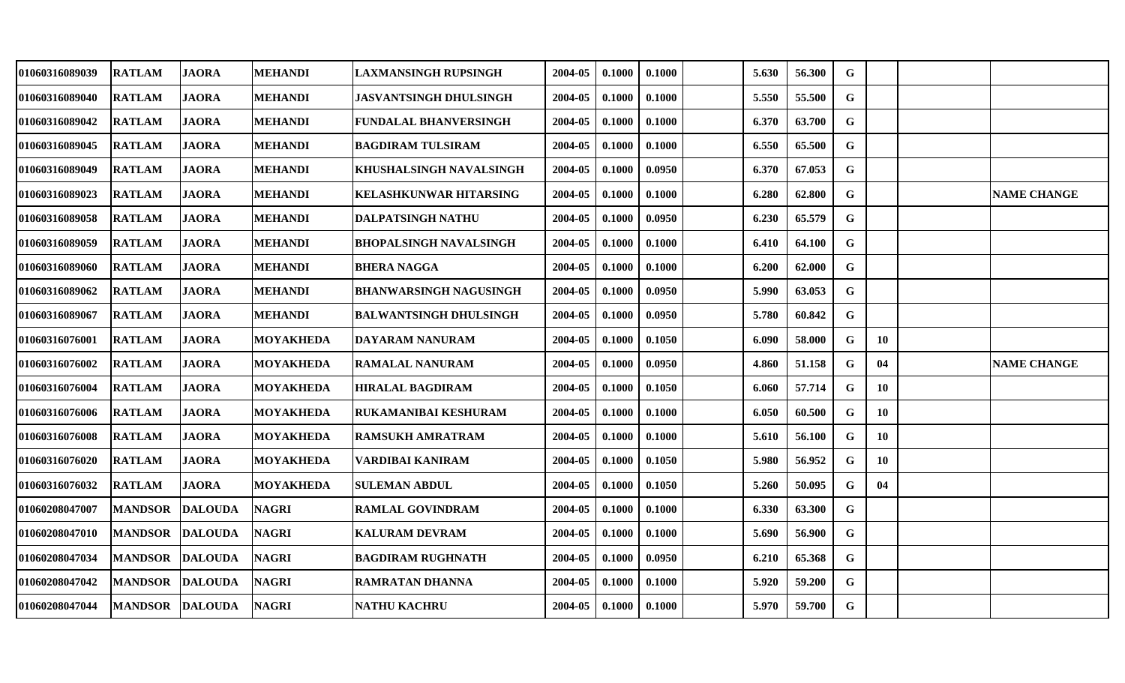| 01060316089039 | <b>RATLAM</b>   | <b>JAORA</b>   | <b>MEHANDI</b>   | <b>LAXMANSINGH RUPSINGH</b>    | 2004-05 | 0.1000 | 0.1000 | 5.630 | 56.300 | G           |    |                    |
|----------------|-----------------|----------------|------------------|--------------------------------|---------|--------|--------|-------|--------|-------------|----|--------------------|
| 01060316089040 | <b>RATLAM</b>   | <b>JAORA</b>   | <b>MEHANDI</b>   | <b>JASVANTSINGH DHULSINGH</b>  | 2004-05 | 0.1000 | 0.1000 | 5.550 | 55.500 | G           |    |                    |
| 01060316089042 | <b>RATLAM</b>   | <b>JAORA</b>   | <b>MEHANDI</b>   | <b>FUNDALAL BHANVERSINGH</b>   | 2004-05 | 0.1000 | 0.1000 | 6.370 | 63.700 | $\mathbf G$ |    |                    |
| 01060316089045 | <b>RATLAM</b>   | <b>JAORA</b>   | <b>MEHANDI</b>   | <b>BAGDIRAM TULSIRAM</b>       | 2004-05 | 0.1000 | 0.1000 | 6.550 | 65.500 | $\mathbf G$ |    |                    |
| 01060316089049 | <b>RATLAM</b>   | <b>JAORA</b>   | <b>MEHANDI</b>   | <b>KHUSHALSINGH NAVALSINGH</b> | 2004-05 | 0.1000 | 0.0950 | 6.370 | 67.053 | $\mathbf G$ |    |                    |
| 01060316089023 | <b>RATLAM</b>   | <b>JAORA</b>   | <b>MEHANDI</b>   | <b>KELASHKUNWAR HITARSING</b>  | 2004-05 | 0.1000 | 0.1000 | 6.280 | 62.800 | G           |    | <b>NAME CHANGE</b> |
| 01060316089058 | <b>RATLAM</b>   | <b>JAORA</b>   | <b>MEHANDI</b>   | <b>DALPATSINGH NATHU</b>       | 2004-05 | 0.1000 | 0.0950 | 6.230 | 65.579 | G           |    |                    |
| 01060316089059 | <b>RATLAM</b>   | <b>JAORA</b>   | <b>MEHANDI</b>   | <b>BHOPALSINGH NAVALSINGH</b>  | 2004-05 | 0.1000 | 0.1000 | 6.410 | 64.100 | G           |    |                    |
| 01060316089060 | <b>RATLAM</b>   | <b>JAORA</b>   | <b>MEHANDI</b>   | <b>BHERA NAGGA</b>             | 2004-05 | 0.1000 | 0.1000 | 6.200 | 62.000 | $\mathbf G$ |    |                    |
| 01060316089062 | <b>RATLAM</b>   | <b>JAORA</b>   | <b>MEHANDI</b>   | <b>BHANWARSINGH NAGUSINGH</b>  | 2004-05 | 0.1000 | 0.0950 | 5.990 | 63.053 | G           |    |                    |
| 01060316089067 | <b>RATLAM</b>   | <b>JAORA</b>   | <b>MEHANDI</b>   | <b>BALWANTSINGH DHULSINGH</b>  | 2004-05 | 0.1000 | 0.0950 | 5.780 | 60.842 | G           |    |                    |
| 01060316076001 | <b>RATLAM</b>   | <b>JAORA</b>   | <b>MOYAKHEDA</b> | DAYARAM NANURAM                | 2004-05 | 0.1000 | 0.1050 | 6.090 | 58.000 | G           | 10 |                    |
| 01060316076002 | <b>RATLAM</b>   | <b>JAORA</b>   | <b>MOYAKHEDA</b> | <b>RAMALAL NANURAM</b>         | 2004-05 | 0.1000 | 0.0950 | 4.860 | 51.158 | G           | 04 | <b>NAME CHANGE</b> |
| 01060316076004 | <b>RATLAM</b>   | <b>JAORA</b>   | MOYAKHEDA        | <b>HIRALAL BAGDIRAM</b>        | 2004-05 | 0.1000 | 0.1050 | 6.060 | 57.714 | G           | 10 |                    |
| 01060316076006 | <b>RATLAM</b>   | <b>JAORA</b>   | MOYAKHEDA        | RUKAMANIBAI KESHURAM           | 2004-05 | 0.1000 | 0.1000 | 6.050 | 60.500 | G           | 10 |                    |
| 01060316076008 | <b>RATLAM</b>   | <b>JAORA</b>   | <b>MOYAKHEDA</b> | <b>IRAMSUKH AMRATRAM</b>       | 2004-05 | 0.1000 | 0.1000 | 5.610 | 56.100 | G           | 10 |                    |
| 01060316076020 | <b>RATLAM</b>   | <b>JAORA</b>   | <b>MOYAKHEDA</b> | VARDIBAI KANIRAM               | 2004-05 | 0.1000 | 0.1050 | 5.980 | 56.952 | G           | 10 |                    |
| 01060316076032 | <b>RATLAM</b>   | <b>JAORA</b>   | <b>MOYAKHEDA</b> | <b>SULEMAN ABDUL</b>           | 2004-05 | 0.1000 | 0.1050 | 5.260 | 50.095 | G           | 04 |                    |
| 01060208047007 | <b>MANDSOR</b>  | <b>DALOUDA</b> | <b>NAGRI</b>     | <b>RAMLAL GOVINDRAM</b>        | 2004-05 | 0.1000 | 0.1000 | 6.330 | 63.300 | G           |    |                    |
| 01060208047010 | <b>MANDSOR</b>  | <b>DALOUDA</b> | <b>NAGRI</b>     | <b>KALURAM DEVRAM</b>          | 2004-05 | 0.1000 | 0.1000 | 5.690 | 56.900 | G           |    |                    |
| 01060208047034 | <b>MANDSOR</b>  | <b>DALOUDA</b> | <b>NAGRI</b>     | <b>BAGDIRAM RUGHNATH</b>       | 2004-05 | 0.1000 | 0.0950 | 6.210 | 65.368 | G           |    |                    |
| 01060208047042 | <b>MANDSOR</b>  | <b>DALOUDA</b> | <b>NAGRI</b>     | <b>RAMRATAN DHANNA</b>         | 2004-05 | 0.1000 | 0.1000 | 5.920 | 59.200 | G           |    |                    |
| 01060208047044 | MANDSOR DALOUDA |                | <b>NAGRI</b>     | <b>NATHU KACHRU</b>            | 2004-05 | 0.1000 | 0.1000 | 5.970 | 59.700 | G           |    |                    |
|                |                 |                |                  |                                |         |        |        |       |        |             |    |                    |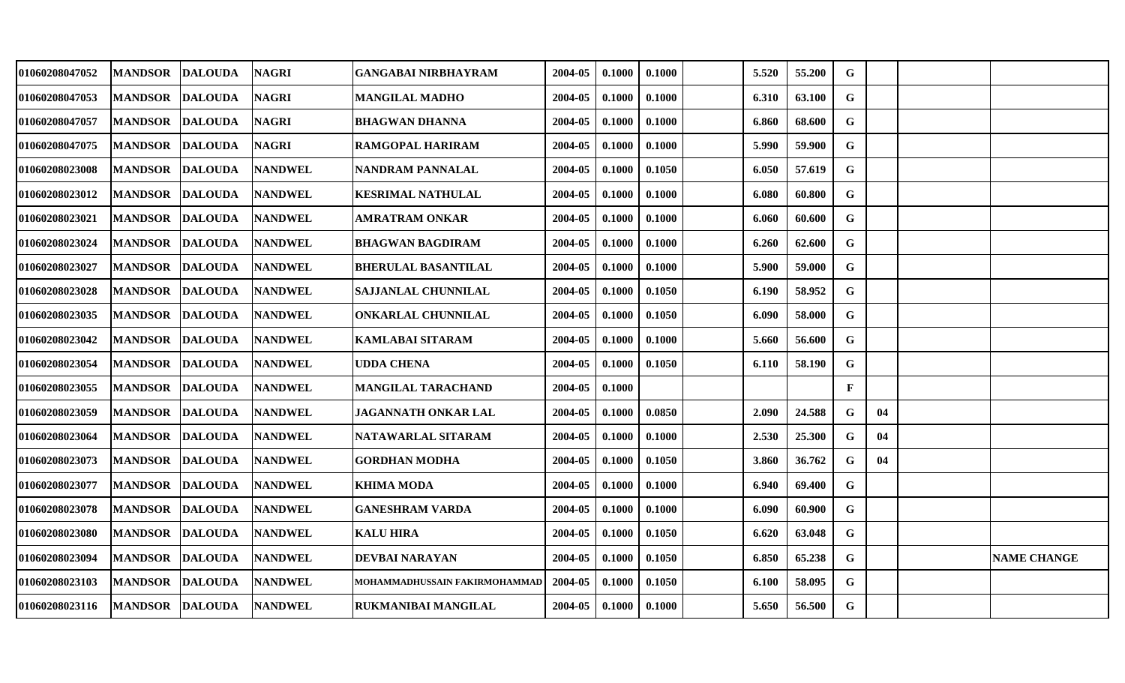|                | <b>NAGRI</b>                                                                                                                                                                                                                                                                                                                                                                                                                            | <b>GANGABAI NIRBHAYRAM</b>                                                                                                                                                                                                                                                                                                                                                       | 2004-05 | 0.1000 | 0.1000 | 5.520 | 55.200 | G            |    |                    |
|----------------|-----------------------------------------------------------------------------------------------------------------------------------------------------------------------------------------------------------------------------------------------------------------------------------------------------------------------------------------------------------------------------------------------------------------------------------------|----------------------------------------------------------------------------------------------------------------------------------------------------------------------------------------------------------------------------------------------------------------------------------------------------------------------------------------------------------------------------------|---------|--------|--------|-------|--------|--------------|----|--------------------|
| <b>MANDSOR</b> |                                                                                                                                                                                                                                                                                                                                                                                                                                         | <b>MANGILAL MADHO</b>                                                                                                                                                                                                                                                                                                                                                            | 2004-05 | 0.1000 | 0.1000 | 6.310 | 63.100 | G            |    |                    |
| <b>MANDSOR</b> |                                                                                                                                                                                                                                                                                                                                                                                                                                         | <b>BHAGWAN DHANNA</b>                                                                                                                                                                                                                                                                                                                                                            | 2004-05 | 0.1000 | 0.1000 | 6.860 | 68.600 | $\mathbf G$  |    |                    |
| <b>MANDSOR</b> |                                                                                                                                                                                                                                                                                                                                                                                                                                         | <b>RAMGOPAL HARIRAM</b>                                                                                                                                                                                                                                                                                                                                                          | 2004-05 | 0.1000 | 0.1000 | 5.990 | 59.900 | G            |    |                    |
|                |                                                                                                                                                                                                                                                                                                                                                                                                                                         | NANDRAM PANNALAL                                                                                                                                                                                                                                                                                                                                                                 | 2004-05 | 0.1000 | 0.1050 | 6.050 | 57.619 | $\mathbf G$  |    |                    |
| <b>MANDSOR</b> |                                                                                                                                                                                                                                                                                                                                                                                                                                         | KESRIMAL NATHULAL                                                                                                                                                                                                                                                                                                                                                                | 2004-05 | 0.1000 | 0.1000 | 6.080 | 60.800 | G            |    |                    |
| <b>MANDSOR</b> |                                                                                                                                                                                                                                                                                                                                                                                                                                         | AMRATRAM ONKAR                                                                                                                                                                                                                                                                                                                                                                   | 2004-05 | 0.1000 | 0.1000 | 6.060 | 60.600 | G            |    |                    |
| <b>MANDSOR</b> |                                                                                                                                                                                                                                                                                                                                                                                                                                         | <b>BHAGWAN BAGDIRAM</b>                                                                                                                                                                                                                                                                                                                                                          | 2004-05 | 0.1000 | 0.1000 | 6.260 | 62.600 | G            |    |                    |
| <b>MANDSOR</b> |                                                                                                                                                                                                                                                                                                                                                                                                                                         | <b>BHERULAL BASANTILAL</b>                                                                                                                                                                                                                                                                                                                                                       | 2004-05 | 0.1000 | 0.1000 | 5.900 | 59.000 | $\mathbf G$  |    |                    |
| <b>MANDSOR</b> |                                                                                                                                                                                                                                                                                                                                                                                                                                         | <b>SAJJANLAL CHUNNILAL</b>                                                                                                                                                                                                                                                                                                                                                       | 2004-05 | 0.1000 | 0.1050 | 6.190 | 58.952 | G            |    |                    |
| <b>MANDSOR</b> | <b>NANDWEL</b>                                                                                                                                                                                                                                                                                                                                                                                                                          | <b>ONKARLAL CHUNNILAL</b>                                                                                                                                                                                                                                                                                                                                                        | 2004-05 | 0.1000 | 0.1050 | 6.090 | 58.000 | G            |    |                    |
| <b>MANDSOR</b> |                                                                                                                                                                                                                                                                                                                                                                                                                                         | <b>KAMLABAI SITARAM</b>                                                                                                                                                                                                                                                                                                                                                          | 2004-05 | 0.1000 | 0.1000 | 5.660 | 56.600 | G            |    |                    |
|                |                                                                                                                                                                                                                                                                                                                                                                                                                                         | <b>UDDA CHENA</b>                                                                                                                                                                                                                                                                                                                                                                | 2004-05 | 0.1000 | 0.1050 | 6.110 | 58.190 | $\mathbf G$  |    |                    |
| <b>MANDSOR</b> |                                                                                                                                                                                                                                                                                                                                                                                                                                         | MANGILAL TARACHAND                                                                                                                                                                                                                                                                                                                                                               | 2004-05 | 0.1000 |        |       |        | $\mathbf{F}$ |    |                    |
|                |                                                                                                                                                                                                                                                                                                                                                                                                                                         | JAGANNATH ONKAR LAL                                                                                                                                                                                                                                                                                                                                                              | 2004-05 | 0.1000 | 0.0850 | 2.090 | 24.588 | G            | 04 |                    |
| <b>MANDSOR</b> |                                                                                                                                                                                                                                                                                                                                                                                                                                         | NATAWARLAL SITARAM                                                                                                                                                                                                                                                                                                                                                               | 2004-05 | 0.1000 | 0.1000 | 2.530 | 25.300 | G            | 04 |                    |
| <b>MANDSOR</b> |                                                                                                                                                                                                                                                                                                                                                                                                                                         | <b>GORDHAN MODHA</b>                                                                                                                                                                                                                                                                                                                                                             | 2004-05 | 0.1000 | 0.1050 | 3.860 | 36.762 | G            | 04 |                    |
| <b>MANDSOR</b> |                                                                                                                                                                                                                                                                                                                                                                                                                                         | <b>KHIMA MODA</b>                                                                                                                                                                                                                                                                                                                                                                | 2004-05 | 0.1000 | 0.1000 | 6.940 | 69.400 | G            |    |                    |
| <b>MANDSOR</b> |                                                                                                                                                                                                                                                                                                                                                                                                                                         | <b>GANESHRAM VARDA</b>                                                                                                                                                                                                                                                                                                                                                           | 2004-05 | 0.1000 | 0.1000 | 6.090 | 60.900 | G            |    |                    |
| <b>MANDSOR</b> |                                                                                                                                                                                                                                                                                                                                                                                                                                         | <b>KALU HIRA</b>                                                                                                                                                                                                                                                                                                                                                                 | 2004-05 | 0.1000 | 0.1050 | 6.620 | 63.048 | G            |    |                    |
|                |                                                                                                                                                                                                                                                                                                                                                                                                                                         | <b>DEVBAI NARAYAN</b>                                                                                                                                                                                                                                                                                                                                                            | 2004-05 | 0.1000 | 0.1050 | 6.850 | 65.238 | G            |    | <b>NAME CHANGE</b> |
| <b>MANDSOR</b> |                                                                                                                                                                                                                                                                                                                                                                                                                                         | MOHAMMADHUSSAIN FAKIRMOHAMMAD                                                                                                                                                                                                                                                                                                                                                    | 2004-05 | 0.1000 | 0.1050 | 6.100 | 58.095 | G            |    |                    |
|                |                                                                                                                                                                                                                                                                                                                                                                                                                                         | RUKMANIBAI MANGILAL                                                                                                                                                                                                                                                                                                                                                              | 2004-05 | 0.1000 | 0.1000 | 5.650 | 56.500 | G            |    |                    |
|                | MANDSOR DALOUDA<br><b>DALOUDA</b><br><b>DALOUDA</b><br><b>DALOUDA</b><br>MANDSOR DALOUDA<br><b>DALOUDA</b><br><b>DALOUDA</b><br><b>DALOUDA</b><br><b>DALOUDA</b><br><b>DALOUDA</b><br><b>DALOUDA</b><br><b>DALOUDA</b><br>MANDSOR DALOUDA<br><b>DALOUDA</b><br><b>MANDSOR DALOUDA</b><br><b>DALOUDA</b><br><b>DALOUDA</b><br><b>DALOUDA</b><br><b>DALOUDA</b><br><b>DALOUDA</b><br>MANDSOR DALOUDA<br><b>DALOUDA</b><br>MANDSOR DALOUDA | <b>NAGRI</b><br><b>NAGRI</b><br><b>NAGRI</b><br><b>NANDWEL</b><br><b>NANDWEL</b><br><b>NANDWEL</b><br><b>NANDWEL</b><br><b>NANDWEL</b><br><b>NANDWEL</b><br><b>NANDWEL</b><br><b>NANDWEL</b><br><b>NANDWEL</b><br><b>NANDWEL</b><br><b>NANDWEL</b><br><b>NANDWEL</b><br><b>NANDWEL</b><br><b>NANDWEL</b><br><b>NANDWEL</b><br><b>NANDWEL</b><br><b>NANDWEL</b><br><b>NANDWEL</b> |         |        |        |       |        |              |    |                    |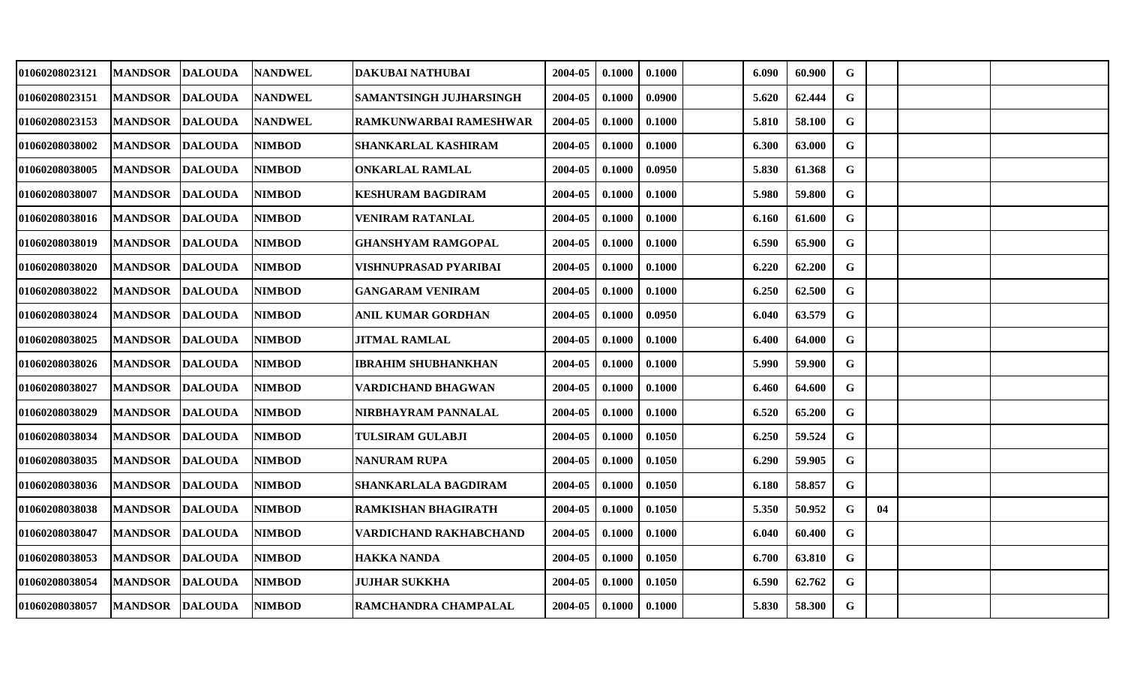| 01060208023121        | <b>MANDSOR</b> | <b>DALOUDA</b> | <b>NANDWEL</b> | DAKUBAI NATHUBAI            | 2004-05 | 0.1000 | 0.1000 | 6.090 | 60.900 | G           |    |  |
|-----------------------|----------------|----------------|----------------|-----------------------------|---------|--------|--------|-------|--------|-------------|----|--|
| 01060208023151        | <b>MANDSOR</b> | <b>DALOUDA</b> | <b>NANDWEL</b> | SAMANTSINGH JUJHARSINGH     | 2004-05 | 0.1000 | 0.0900 | 5.620 | 62.444 | $\mathbf G$ |    |  |
| <b>01060208023153</b> | <b>MANDSOR</b> | <b>DALOUDA</b> | <b>NANDWEL</b> | RAMKUNWARBAI RAMESHWAR      | 2004-05 | 0.1000 | 0.1000 | 5.810 | 58.100 | G           |    |  |
| 01060208038002        | <b>MANDSOR</b> | <b>DALOUDA</b> | <b>NIMBOD</b>  | SHANKARLAL KASHIRAM         | 2004-05 | 0.1000 | 0.1000 | 6.300 | 63.000 | G           |    |  |
| <b>01060208038005</b> | <b>MANDSOR</b> | <b>DALOUDA</b> | <b>NIMBOD</b>  | ONKARLAL RAMLAL             | 2004-05 | 0.1000 | 0.0950 | 5.830 | 61.368 | G           |    |  |
| 01060208038007        | <b>MANDSOR</b> | <b>DALOUDA</b> | <b>NIMBOD</b>  | KESHURAM BAGDIRAM           | 2004-05 | 0.1000 | 0.1000 | 5.980 | 59.800 | G           |    |  |
| 01060208038016        | <b>MANDSOR</b> | <b>DALOUDA</b> | <b>NIMBOD</b>  | VENIRAM RATANLAL            | 2004-05 | 0.1000 | 0.1000 | 6.160 | 61.600 | G           |    |  |
| 01060208038019        | <b>MANDSOR</b> | <b>DALOUDA</b> | <b>NIMBOD</b>  | GHANSHYAM RAMGOPAL          | 2004-05 | 0.1000 | 0.1000 | 6.590 | 65.900 | G           |    |  |
| 01060208038020        | <b>MANDSOR</b> | <b>DALOUDA</b> | <b>NIMBOD</b>  | VISHNUPRASAD PYARIBAI       | 2004-05 | 0.1000 | 0.1000 | 6.220 | 62.200 | G           |    |  |
| 01060208038022        | <b>MANDSOR</b> | <b>DALOUDA</b> | <b>NIMBOD</b>  | <b>GANGARAM VENIRAM</b>     | 2004-05 | 0.1000 | 0.1000 | 6.250 | 62.500 | G           |    |  |
| <b>01060208038024</b> | <b>MANDSOR</b> | <b>DALOUDA</b> | <b>NIMBOD</b>  | ANIL KUMAR GORDHAN          | 2004-05 | 0.1000 | 0.0950 | 6.040 | 63.579 | G           |    |  |
| 01060208038025        | <b>MANDSOR</b> | <b>DALOUDA</b> | <b>NIMBOD</b>  | JITMAL RAMLAL               | 2004-05 | 0.1000 | 0.1000 | 6.400 | 64.000 | $\mathbf G$ |    |  |
| 01060208038026        | <b>MANDSOR</b> | <b>DALOUDA</b> | <b>NIMBOD</b>  | <b>IBRAHIM SHUBHANKHAN</b>  | 2004-05 | 0.1000 | 0.1000 | 5.990 | 59.900 | $\mathbf G$ |    |  |
| 01060208038027        | <b>MANDSOR</b> | <b>DALOUDA</b> | <b>NIMBOD</b>  | <b>VARDICHAND BHAGWAN</b>   | 2004-05 | 0.1000 | 0.1000 | 6.460 | 64.600 | G           |    |  |
| <b>01060208038029</b> | <b>MANDSOR</b> | <b>DALOUDA</b> | <b>NIMBOD</b>  | NIRBHAYRAM PANNALAL         | 2004-05 | 0.1000 | 0.1000 | 6.520 | 65.200 | G           |    |  |
| 01060208038034        | <b>MANDSOR</b> | <b>DALOUDA</b> | <b>NIMBOD</b>  | <b>TULSIRAM GULABJI</b>     | 2004-05 | 0.1000 | 0.1050 | 6.250 | 59.524 | G           |    |  |
| 01060208038035        | <b>MANDSOR</b> | <b>DALOUDA</b> | <b>NIMBOD</b>  | NANURAM RUPA                | 2004-05 | 0.1000 | 0.1050 | 6.290 | 59.905 | G           |    |  |
| 01060208038036        | <b>MANDSOR</b> | <b>DALOUDA</b> | <b>NIMBOD</b>  | <b>SHANKARLALA BAGDIRAM</b> | 2004-05 | 0.1000 | 0.1050 | 6.180 | 58.857 | $\mathbf G$ |    |  |
| 01060208038038        | <b>MANDSOR</b> | <b>DALOUDA</b> | <b>NIMBOD</b>  | <b>RAMKISHAN BHAGIRATH</b>  | 2004-05 | 0.1000 | 0.1050 | 5.350 | 50.952 | G           | 04 |  |
| 01060208038047        | <b>MANDSOR</b> | <b>DALOUDA</b> | <b>NIMBOD</b>  | VARDICHAND RAKHABCHAND      | 2004-05 | 0.1000 | 0.1000 | 6.040 | 60.400 | $\mathbf G$ |    |  |
| 01060208038053        | <b>MANDSOR</b> | <b>DALOUDA</b> | <b>NIMBOD</b>  | <b>HAKKA NANDA</b>          | 2004-05 | 0.1000 | 0.1050 | 6.700 | 63.810 | $\mathbf G$ |    |  |
| 01060208038054        | <b>MANDSOR</b> | <b>DALOUDA</b> | <b>NIMBOD</b>  | <b>JUJHAR SUKKHA</b>        | 2004-05 | 0.1000 | 0.1050 | 6.590 | 62.762 | G           |    |  |
| <b>01060208038057</b> | <b>MANDSOR</b> | <b>DALOUDA</b> | <b>NIMBOD</b>  | RAMCHANDRA CHAMPALAL        | 2004-05 | 0.1000 | 0.1000 | 5.830 | 58.300 | G           |    |  |
|                       |                |                |                |                             |         |        |        |       |        |             |    |  |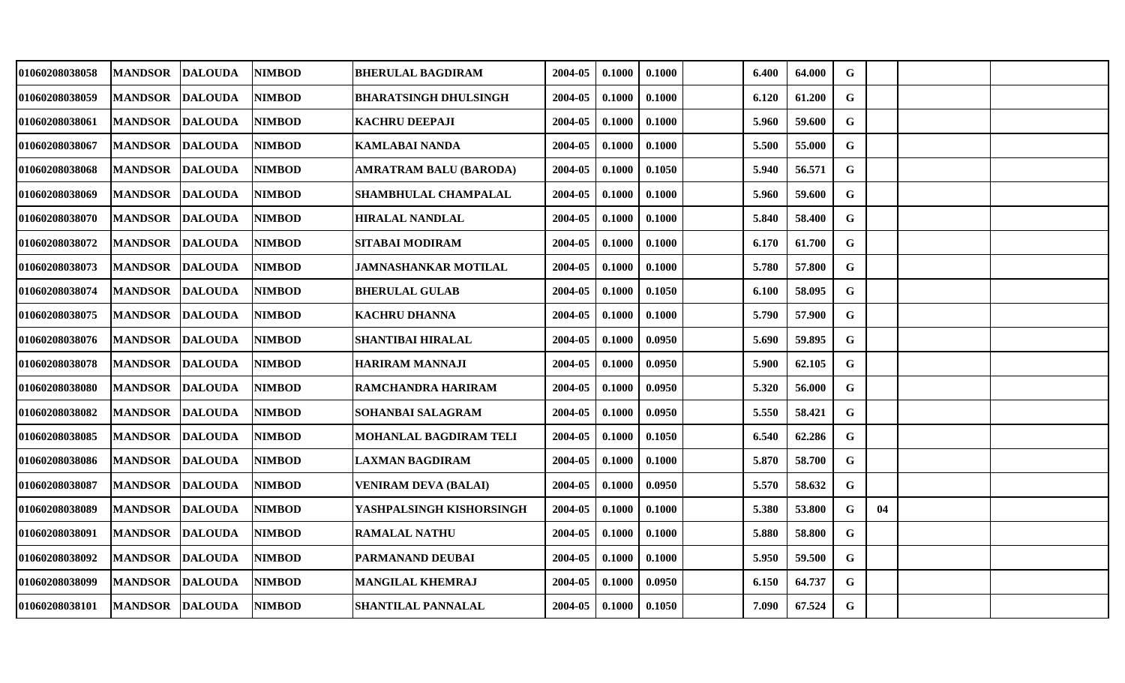| 01060208038058        | <b>MANDSOR</b> | <b>DALOUDA</b> | <b>NIMBOD</b> | <b>BHERULAL BAGDIRAM</b>     | 2004-05 | 0.1000 | 0.1000 | 6.400 | 64.000 | G           |    |  |
|-----------------------|----------------|----------------|---------------|------------------------------|---------|--------|--------|-------|--------|-------------|----|--|
| 01060208038059        | <b>MANDSOR</b> | <b>DALOUDA</b> | <b>NIMBOD</b> | <b>BHARATSINGH DHULSINGH</b> | 2004-05 | 0.1000 | 0.1000 | 6.120 | 61.200 | $\mathbf G$ |    |  |
| 01060208038061        | <b>MANDSOR</b> | <b>DALOUDA</b> | <b>NIMBOD</b> | <b>KACHRU DEEPAJI</b>        | 2004-05 | 0.1000 | 0.1000 | 5.960 | 59.600 | $\mathbf G$ |    |  |
| <b>01060208038067</b> | <b>MANDSOR</b> | <b>DALOUDA</b> | <b>NIMBOD</b> | KAMLABAI NANDA               | 2004-05 | 0.1000 | 0.1000 | 5.500 | 55.000 | G           |    |  |
| 01060208038068        | <b>MANDSOR</b> | <b>DALOUDA</b> | <b>NIMBOD</b> | AMRATRAM BALU (BARODA)       | 2004-05 | 0.1000 | 0.1050 | 5.940 | 56.571 | G           |    |  |
| 01060208038069        | <b>MANDSOR</b> | <b>DALOUDA</b> | <b>NIMBOD</b> | <b>SHAMBHULAL CHAMPALAL</b>  | 2004-05 | 0.1000 | 0.1000 | 5.960 | 59.600 | $\mathbf G$ |    |  |
| 01060208038070        | <b>MANDSOR</b> | <b>DALOUDA</b> | <b>NIMBOD</b> | <b>HIRALAL NANDLAL</b>       | 2004-05 | 0.1000 | 0.1000 | 5.840 | 58.400 | G           |    |  |
| <b>01060208038072</b> | <b>MANDSOR</b> | <b>DALOUDA</b> | <b>NIMBOD</b> | <b>SITABAI MODIRAM</b>       | 2004-05 | 0.1000 | 0.1000 | 6.170 | 61.700 | G           |    |  |
| 01060208038073        | <b>MANDSOR</b> | <b>DALOUDA</b> | <b>NIMBOD</b> | JAMNASHANKAR MOTILAL         | 2004-05 | 0.1000 | 0.1000 | 5.780 | 57.800 | G           |    |  |
| 01060208038074        | <b>MANDSOR</b> | <b>DALOUDA</b> | <b>NIMBOD</b> | <b>BHERULAL GULAB</b>        | 2004-05 | 0.1000 | 0.1050 | 6.100 | 58.095 | G           |    |  |
| 01060208038075        | <b>MANDSOR</b> | <b>DALOUDA</b> | NIMBOD        | <b>KACHRU DHANNA</b>         | 2004-05 | 0.1000 | 0.1000 | 5.790 | 57.900 | $\mathbf G$ |    |  |
| 01060208038076        | <b>MANDSOR</b> | <b>DALOUDA</b> | <b>NIMBOD</b> | <b>SHANTIBAI HIRALAL</b>     | 2004-05 | 0.1000 | 0.0950 | 5.690 | 59.895 | $\mathbf G$ |    |  |
| <b>01060208038078</b> | <b>MANDSOR</b> | <b>DALOUDA</b> | <b>NIMBOD</b> | <b>HARIRAM MANNAJI</b>       | 2004-05 | 0.1000 | 0.0950 | 5.900 | 62.105 | G           |    |  |
| 01060208038080        | <b>MANDSOR</b> | <b>DALOUDA</b> | <b>NIMBOD</b> | RAMCHANDRA HARIRAM           | 2004-05 | 0.1000 | 0.0950 | 5.320 | 56.000 | $\mathbf G$ |    |  |
| <b>01060208038082</b> | <b>MANDSOR</b> | <b>DALOUDA</b> | <b>NIMBOD</b> | SOHANBAI SALAGRAM            | 2004-05 | 0.1000 | 0.0950 | 5.550 | 58.421 | $\mathbf G$ |    |  |
| 01060208038085        | <b>MANDSOR</b> | <b>DALOUDA</b> | NIMBOD        | MOHANLAL BAGDIRAM TELI       | 2004-05 | 0.1000 | 0.1050 | 6.540 | 62.286 | G           |    |  |
| 01060208038086        | <b>MANDSOR</b> | <b>DALOUDA</b> | <b>NIMBOD</b> | <b>LAXMAN BAGDIRAM</b>       | 2004-05 | 0.1000 | 0.1000 | 5.870 | 58.700 | $\mathbf G$ |    |  |
| 01060208038087        | <b>MANDSOR</b> | <b>DALOUDA</b> | <b>NIMBOD</b> | <b>VENIRAM DEVA (BALAI)</b>  | 2004-05 | 0.1000 | 0.0950 | 5.570 | 58.632 | $\mathbf G$ |    |  |
| 01060208038089        | <b>MANDSOR</b> | <b>DALOUDA</b> | <b>NIMBOD</b> | YASHPALSINGH KISHORSINGH     | 2004-05 | 0.1000 | 0.1000 | 5.380 | 53.800 | G           | 04 |  |
| 01060208038091        | <b>MANDSOR</b> | <b>DALOUDA</b> | <b>NIMBOD</b> | <b>RAMALAL NATHU</b>         | 2004-05 | 0.1000 | 0.1000 | 5.880 | 58.800 | $\mathbf G$ |    |  |
| 01060208038092        | <b>MANDSOR</b> | <b>DALOUDA</b> | <b>NIMBOD</b> | PARMANAND DEUBAI             | 2004-05 | 0.1000 | 0.1000 | 5.950 | 59.500 | G           |    |  |
| 01060208038099        | <b>MANDSOR</b> | <b>DALOUDA</b> | <b>NIMBOD</b> | MANGILAL KHEMRAJ             | 2004-05 | 0.1000 | 0.0950 | 6.150 | 64.737 | G           |    |  |
| 01060208038101        | <b>MANDSOR</b> | <b>DALOUDA</b> | <b>NIMBOD</b> | <b>SHANTILAL PANNALAL</b>    | 2004-05 | 0.1000 | 0.1050 | 7.090 | 67.524 | G           |    |  |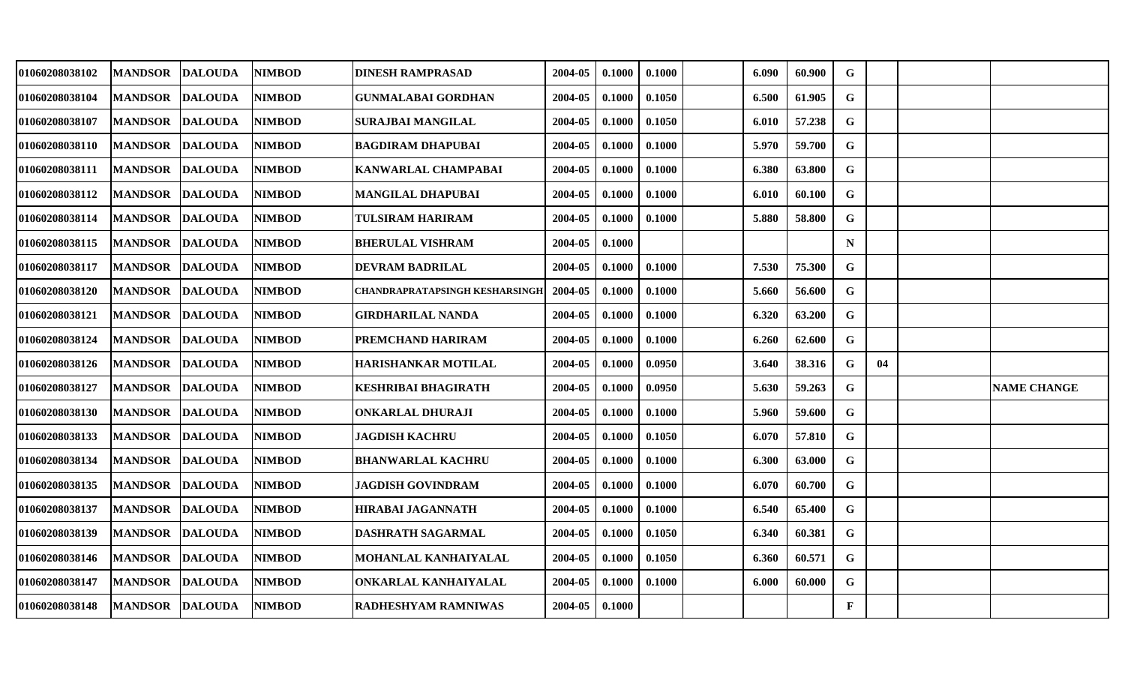| 01060208038102        | <b>MANDSOR</b>  | <b>DALOUDA</b> | <b>NIMBOD</b> | <b>DINESH RAMPRASAD</b>        | 2004-05 | 0.1000 | 0.1000 | 6.090 | 60.900 | G            |    |                    |
|-----------------------|-----------------|----------------|---------------|--------------------------------|---------|--------|--------|-------|--------|--------------|----|--------------------|
| 01060208038104        | <b>MANDSOR</b>  | <b>DALOUDA</b> | <b>NIMBOD</b> | <b>GUNMALABAI GORDHAN</b>      | 2004-05 | 0.1000 | 0.1050 | 6.500 | 61.905 | G            |    |                    |
| 01060208038107        | <b>MANDSOR</b>  | <b>DALOUDA</b> | <b>NIMBOD</b> | SURAJBAI MANGILAL              | 2004-05 | 0.1000 | 0.1050 | 6.010 | 57.238 | $\mathbf G$  |    |                    |
| 01060208038110        | <b>MANDSOR</b>  | <b>DALOUDA</b> | <b>NIMBOD</b> | <b>BAGDIRAM DHAPUBAI</b>       | 2004-05 | 0.1000 | 0.1000 | 5.970 | 59.700 | $\mathbf G$  |    |                    |
| 01060208038111        | <b>MANDSOR</b>  | <b>DALOUDA</b> | <b>NIMBOD</b> | KANWARLAL CHAMPABAI            | 2004-05 | 0.1000 | 0.1000 | 6.380 | 63.800 | $\mathbf G$  |    |                    |
| 01060208038112        | <b>MANDSOR</b>  | <b>DALOUDA</b> | <b>NIMBOD</b> | MANGILAL DHAPUBAI              | 2004-05 | 0.1000 | 0.1000 | 6.010 | 60.100 | G            |    |                    |
| 01060208038114        | <b>MANDSOR</b>  | <b>DALOUDA</b> | <b>NIMBOD</b> | TULSIRAM HARIRAM               | 2004-05 | 0.1000 | 0.1000 | 5.880 | 58.800 | $\mathbf G$  |    |                    |
| 01060208038115        | <b>MANDSOR</b>  | <b>DALOUDA</b> | <b>NIMBOD</b> | <b>BHERULAL VISHRAM</b>        | 2004-05 | 0.1000 |        |       |        | $\mathbf N$  |    |                    |
| 01060208038117        | <b>MANDSOR</b>  | <b>DALOUDA</b> | <b>NIMBOD</b> | <b>DEVRAM BADRILAL</b>         | 2004-05 | 0.1000 | 0.1000 | 7.530 | 75.300 | $\mathbf G$  |    |                    |
| 01060208038120        | <b>MANDSOR</b>  | <b>DALOUDA</b> | <b>NIMBOD</b> | CHANDRAPRATAPSINGH KESHARSINGH | 2004-05 | 0.1000 | 0.1000 | 5.660 | 56.600 | G            |    |                    |
| 01060208038121        | <b>MANDSOR</b>  | <b>DALOUDA</b> | <b>NIMBOD</b> | GIRDHARILAL NANDA              | 2004-05 | 0.1000 | 0.1000 | 6.320 | 63.200 | G            |    |                    |
| 01060208038124        | <b>MANDSOR</b>  | <b>DALOUDA</b> | <b>NIMBOD</b> | PREMCHAND HARIRAM              | 2004-05 | 0.1000 | 0.1000 | 6.260 | 62.600 | G            |    |                    |
| 01060208038126        | <b>MANDSOR</b>  | <b>DALOUDA</b> | <b>NIMBOD</b> | <b>HARISHANKAR MOTILAL</b>     | 2004-05 | 0.1000 | 0.0950 | 3.640 | 38.316 | G            | 04 |                    |
| 01060208038127        | <b>MANDSOR</b>  | <b>DALOUDA</b> | <b>NIMBOD</b> | KESHRIBAI BHAGIRATH            | 2004-05 | 0.1000 | 0.0950 | 5.630 | 59.263 | G            |    | <b>NAME CHANGE</b> |
| 01060208038130        | <b>MANDSOR</b>  | <b>DALOUDA</b> | <b>NIMBOD</b> | <b>ONKARLAL DHURAJI</b>        | 2004-05 | 0.1000 | 0.1000 | 5.960 | 59.600 | G            |    |                    |
| 01060208038133        | <b>MANDSOR</b>  | <b>DALOUDA</b> | <b>NIMBOD</b> | <b>JAGDISH KACHRU</b>          | 2004-05 | 0.1000 | 0.1050 | 6.070 | 57.810 | G            |    |                    |
| 01060208038134        | <b>MANDSOR</b>  | <b>DALOUDA</b> | <b>NIMBOD</b> | <b>BHANWARLAL KACHRU</b>       | 2004-05 | 0.1000 | 0.1000 | 6.300 | 63.000 | $\mathbf G$  |    |                    |
| 01060208038135        | <b>MANDSOR</b>  | <b>DALOUDA</b> | <b>NIMBOD</b> | <b>JAGDISH GOVINDRAM</b>       | 2004-05 | 0.1000 | 0.1000 | 6.070 | 60.700 | G            |    |                    |
| 01060208038137        | <b>MANDSOR</b>  | <b>DALOUDA</b> | <b>NIMBOD</b> | <b>HIRABAI JAGANNATH</b>       | 2004-05 | 0.1000 | 0.1000 | 6.540 | 65.400 | G            |    |                    |
| 01060208038139        | <b>MANDSOR</b>  | <b>DALOUDA</b> | <b>NIMBOD</b> | <b>DASHRATH SAGARMAL</b>       | 2004-05 | 0.1000 | 0.1050 | 6.340 | 60.381 | $\mathbf G$  |    |                    |
| 01060208038146        | <b>MANDSOR</b>  | <b>DALOUDA</b> | <b>NIMBOD</b> | MOHANLAL KANHAIYALAL           | 2004-05 | 0.1000 | 0.1050 | 6.360 | 60.571 | G            |    |                    |
| 01060208038147        | <b>MANDSOR</b>  | <b>DALOUDA</b> | <b>NIMBOD</b> | ONKARLAL KANHAIYALAL           | 2004-05 | 0.1000 | 0.1000 | 6.000 | 60.000 | G            |    |                    |
| <b>01060208038148</b> | MANDSOR DALOUDA |                | <b>NIMBOD</b> | RADHESHYAM RAMNIWAS            | 2004-05 | 0.1000 |        |       |        | $\mathbf{F}$ |    |                    |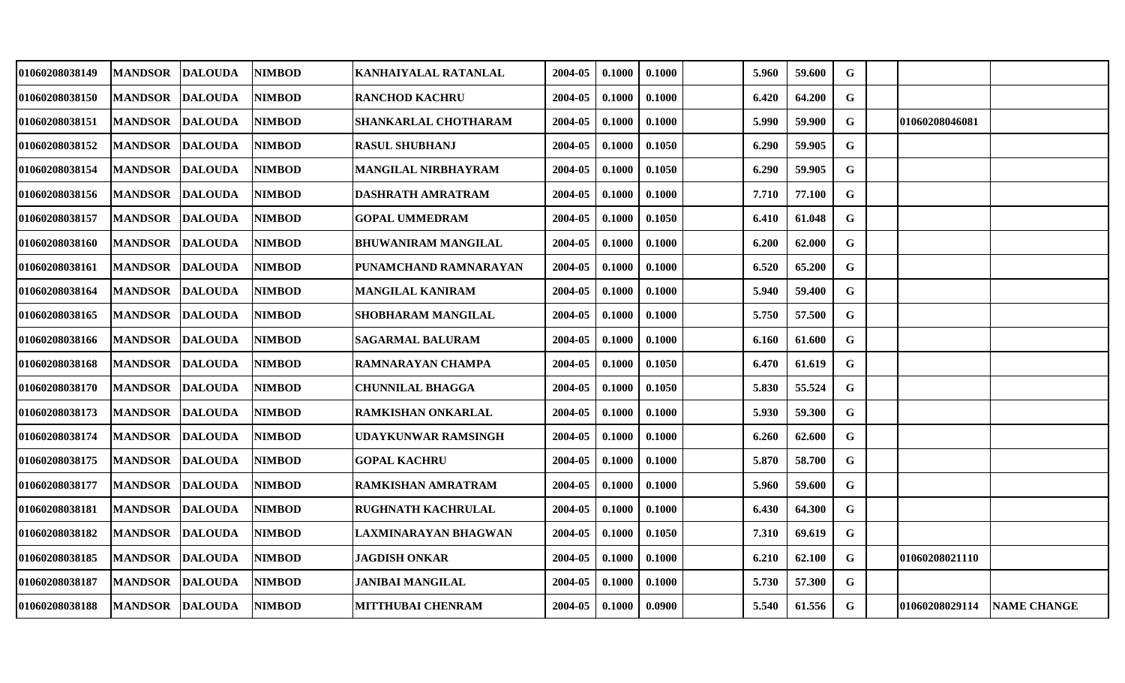| 01060208038149 | <b>MANDSOR</b>  | <b>DALOUDA</b> | <b>NIMBOD</b> | KANHAIYALAL RATANLAL       | 2004-05 | 0.1000 | 0.1000 | 5.960 | 59.600 | G           |                |             |
|----------------|-----------------|----------------|---------------|----------------------------|---------|--------|--------|-------|--------|-------------|----------------|-------------|
| 01060208038150 | <b>MANDSOR</b>  | <b>DALOUDA</b> | <b>NIMBOD</b> | <b>RANCHOD KACHRU</b>      | 2004-05 | 0.1000 | 0.1000 | 6.420 | 64.200 | G           |                |             |
| 01060208038151 | <b>MANDSOR</b>  | <b>DALOUDA</b> | <b>NIMBOD</b> | SHANKARLAL CHOTHARAM       | 2004-05 | 0.1000 | 0.1000 | 5.990 | 59.900 | $\mathbf G$ | 01060208046081 |             |
| 01060208038152 | <b>MANDSOR</b>  | <b>DALOUDA</b> | <b>NIMBOD</b> | <b>RASUL SHUBHANJ</b>      | 2004-05 | 0.1000 | 0.1050 | 6.290 | 59.905 | G           |                |             |
| 01060208038154 | <b>MANDSOR</b>  | <b>DALOUDA</b> | <b>NIMBOD</b> | <b>MANGILAL NIRBHAYRAM</b> | 2004-05 | 0.1000 | 0.1050 | 6.290 | 59.905 | $\mathbf G$ |                |             |
| 01060208038156 | <b>MANDSOR</b>  | <b>DALOUDA</b> | <b>NIMBOD</b> | DASHRATH AMRATRAM          | 2004-05 | 0.1000 | 0.1000 | 7.710 | 77.100 | G           |                |             |
| 01060208038157 | <b>MANDSOR</b>  | <b>DALOUDA</b> | <b>NIMBOD</b> | <b>GOPAL UMMEDRAM</b>      | 2004-05 | 0.1000 | 0.1050 | 6.410 | 61.048 | G           |                |             |
| 01060208038160 | <b>MANDSOR</b>  | <b>DALOUDA</b> | <b>NIMBOD</b> | <b>BHUWANIRAM MANGILAL</b> | 2004-05 | 0.1000 | 0.1000 | 6.200 | 62.000 | G           |                |             |
| 01060208038161 | <b>MANDSOR</b>  | <b>DALOUDA</b> | <b>NIMBOD</b> | PUNAMCHAND RAMNARAYAN      | 2004-05 | 0.1000 | 0.1000 | 6.520 | 65.200 | $\mathbf G$ |                |             |
| 01060208038164 | <b>MANDSOR</b>  | <b>DALOUDA</b> | <b>NIMBOD</b> | <b>MANGILAL KANIRAM</b>    | 2004-05 | 0.1000 | 0.1000 | 5.940 | 59.400 | G           |                |             |
| 01060208038165 | <b>MANDSOR</b>  | <b>DALOUDA</b> | <b>NIMBOD</b> | SHOBHARAM MANGILAL         | 2004-05 | 0.1000 | 0.1000 | 5.750 | 57.500 | G           |                |             |
| 01060208038166 | <b>MANDSOR</b>  | <b>DALOUDA</b> | <b>NIMBOD</b> | <b>SAGARMAL BALURAM</b>    | 2004-05 | 0.1000 | 0.1000 | 6.160 | 61.600 | G           |                |             |
| 01060208038168 | <b>MANDSOR</b>  | <b>DALOUDA</b> | <b>NIMBOD</b> | RAMNARAYAN CHAMPA          | 2004-05 | 0.1000 | 0.1050 | 6.470 | 61.619 | $\mathbf G$ |                |             |
| 01060208038170 | <b>MANDSOR</b>  | <b>DALOUDA</b> | <b>NIMBOD</b> | <b>CHUNNILAL BHAGGA</b>    | 2004-05 | 0.1000 | 0.1050 | 5.830 | 55.524 | G           |                |             |
| 01060208038173 | <b>MANDSOR</b>  | <b>DALOUDA</b> | <b>NIMBOD</b> | RAMKISHAN ONKARLAL         | 2004-05 | 0.1000 | 0.1000 | 5.930 | 59.300 | G           |                |             |
| 01060208038174 | <b>MANDSOR</b>  | <b>DALOUDA</b> | <b>NIMBOD</b> | UDAYKUNWAR RAMSINGH        | 2004-05 | 0.1000 | 0.1000 | 6.260 | 62.600 | $\mathbf G$ |                |             |
| 01060208038175 | <b>MANDSOR</b>  | <b>DALOUDA</b> | <b>NIMBOD</b> | <b>GOPAL KACHRU</b>        | 2004-05 | 0.1000 | 0.1000 | 5.870 | 58.700 | $\mathbf G$ |                |             |
| 01060208038177 | <b>MANDSOR</b>  | <b>DALOUDA</b> | <b>NIMBOD</b> | RAMKISHAN AMRATRAM         | 2004-05 | 0.1000 | 0.1000 | 5.960 | 59.600 | G           |                |             |
| 01060208038181 | <b>MANDSOR</b>  | <b>DALOUDA</b> | <b>NIMBOD</b> | RUGHNATH KACHRULAL         | 2004-05 | 0.1000 | 0.1000 | 6.430 | 64.300 | G           |                |             |
| 01060208038182 | <b>MANDSOR</b>  | <b>DALOUDA</b> | <b>NIMBOD</b> | LAXMINARAYAN BHAGWAN       | 2004-05 | 0.1000 | 0.1050 | 7.310 | 69.619 | G           |                |             |
| 01060208038185 | <b>MANDSOR</b>  | <b>DALOUDA</b> | <b>NIMBOD</b> | <b>JAGDISH ONKAR</b>       | 2004-05 | 0.1000 | 0.1000 | 6.210 | 62.100 | $\mathbf G$ | 01060208021110 |             |
| 01060208038187 | <b>MANDSOR</b>  | <b>DALOUDA</b> | <b>NIMBOD</b> | <b>JANIBAI MANGILAL</b>    | 2004-05 | 0.1000 | 0.1000 | 5.730 | 57.300 | G           |                |             |
| 01060208038188 | MANDSOR DALOUDA |                | <b>NIMBOD</b> | <b>MITTHUBAI CHENRAM</b>   | 2004-05 | 0.1000 | 0.0900 | 5.540 | 61.556 | G           | 01060208029114 | NAME CHANGE |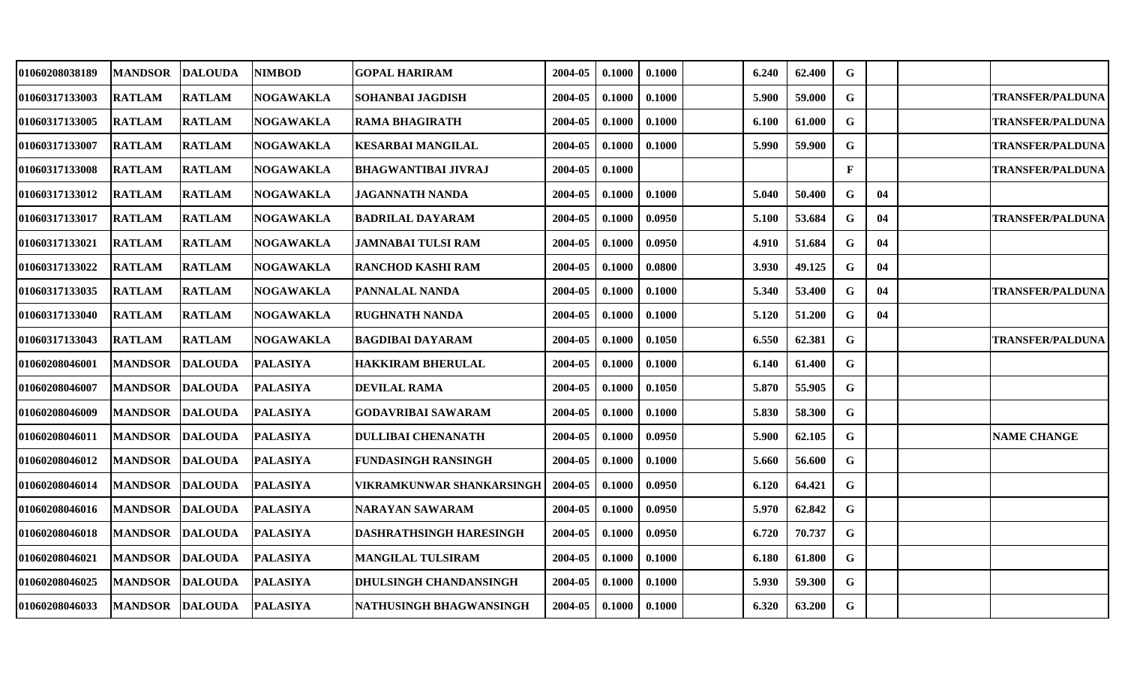| 01060208038189 | <b>MANDSOR</b> | <b>DALOUDA</b> | <b>NIMBOD</b>    | GOPAL HARIRAM             | 2004-05 | 0.1000 | 0.1000 | 6.240 | 62.400 | $\mathbf G$  |    |                         |
|----------------|----------------|----------------|------------------|---------------------------|---------|--------|--------|-------|--------|--------------|----|-------------------------|
| 01060317133003 | <b>RATLAM</b>  | <b>RATLAM</b>  | <b>NOGAWAKLA</b> | <b>SOHANBAI JAGDISH</b>   | 2004-05 | 0.1000 | 0.1000 | 5.900 | 59.000 | $\mathbf G$  |    | <b>TRANSFER/PALDUNA</b> |
| 01060317133005 | <b>RATLAM</b>  | <b>RATLAM</b>  | <b>NOGAWAKLA</b> | RAMA BHAGIRATH            | 2004-05 | 0.1000 | 0.1000 | 6.100 | 61.000 | $\mathbf G$  |    | <b>TRANSFER/PALDUNA</b> |
| 01060317133007 | <b>RATLAM</b>  | <b>RATLAM</b>  | <b>NOGAWAKLA</b> | KESARBAI MANGILAL         | 2004-05 | 0.1000 | 0.1000 | 5.990 | 59.900 | G            |    | <b>TRANSFER/PALDUNA</b> |
| 01060317133008 | <b>RATLAM</b>  | <b>RATLAM</b>  | <b>NOGAWAKLA</b> | BHAGWANTIBAI JIVRAJ       | 2004-05 | 0.1000 |        |       |        | $\mathbf{F}$ |    | <b>TRANSFER/PALDUNA</b> |
| 01060317133012 | <b>RATLAM</b>  | <b>RATLAM</b>  | <b>NOGAWAKLA</b> | JAGANNATH NANDA           | 2004-05 | 0.1000 | 0.1000 | 5.040 | 50.400 | G            | 04 |                         |
| 01060317133017 | <b>RATLAM</b>  | <b>RATLAM</b>  | <b>NOGAWAKLA</b> | <b>BADRILAL DAYARAM</b>   | 2004-05 | 0.1000 | 0.0950 | 5.100 | 53.684 | G            | 04 | <b>TRANSFER/PALDUNA</b> |
| 01060317133021 | <b>RATLAM</b>  | <b>RATLAM</b>  | <b>NOGAWAKLA</b> | JAMNABAI TULSI RAM        | 2004-05 | 0.1000 | 0.0950 | 4.910 | 51.684 | $\mathbf G$  | 04 |                         |
| 01060317133022 | <b>RATLAM</b>  | <b>RATLAM</b>  | <b>NOGAWAKLA</b> | RANCHOD KASHI RAM         | 2004-05 | 0.1000 | 0.0800 | 3.930 | 49.125 | $\mathbf G$  | 04 |                         |
| 01060317133035 | <b>RATLAM</b>  | <b>RATLAM</b>  | <b>NOGAWAKLA</b> | PANNALAL NANDA            | 2004-05 | 0.1000 | 0.1000 | 5.340 | 53.400 | G            | 04 | <b>TRANSFER/PALDUNA</b> |
| 01060317133040 | <b>RATLAM</b>  | <b>RATLAM</b>  | <b>NOGAWAKLA</b> | RUGHNATH NANDA            | 2004-05 | 0.1000 | 0.1000 | 5.120 | 51.200 | G            | 04 |                         |
| 01060317133043 | <b>RATLAM</b>  | <b>RATLAM</b>  | <b>NOGAWAKLA</b> | BAGDIBAI DAYARAM          | 2004-05 | 0.1000 | 0.1050 | 6.550 | 62.381 | $\mathbf G$  |    | <b>TRANSFER/PALDUNA</b> |
| 01060208046001 | <b>MANDSOR</b> | <b>DALOUDA</b> | <b>PALASIYA</b>  | HAKKIRAM BHERULAL         | 2004-05 | 0.1000 | 0.1000 | 6.140 | 61.400 | $\mathbf G$  |    |                         |
| 01060208046007 | <b>MANDSOR</b> | <b>DALOUDA</b> | <b>PALASIYA</b>  | <b>DEVILAL RAMA</b>       | 2004-05 | 0.1000 | 0.1050 | 5.870 | 55.905 | $\mathbf G$  |    |                         |
| 01060208046009 | <b>MANDSOR</b> | <b>DALOUDA</b> | <b>PALASIYA</b>  | GODAVRIBAI SAWARAM        | 2004-05 | 0.1000 | 0.1000 | 5.830 | 58.300 | $\mathbf G$  |    |                         |
| 01060208046011 | <b>MANDSOR</b> | <b>DALOUDA</b> | <b>PALASIYA</b>  | DULLIBAI CHENANATH        | 2004-05 | 0.1000 | 0.0950 | 5.900 | 62.105 | G            |    | <b>NAME CHANGE</b>      |
| 01060208046012 | <b>MANDSOR</b> | <b>DALOUDA</b> | <b>PALASIYA</b>  | FUNDASINGH RANSINGH       | 2004-05 | 0.1000 | 0.1000 | 5.660 | 56.600 | $\mathbf G$  |    |                         |
| 01060208046014 | <b>MANDSOR</b> | <b>DALOUDA</b> | <b>PALASIYA</b>  | VIKRAMKUNWAR SHANKARSINGH | 2004-05 | 0.1000 | 0.0950 | 6.120 | 64.421 | $\mathbf G$  |    |                         |
| 01060208046016 | <b>MANDSOR</b> | <b>DALOUDA</b> | <b>PALASIYA</b>  | NARAYAN SAWARAM           | 2004-05 | 0.1000 | 0.0950 | 5.970 | 62.842 | $\mathbf G$  |    |                         |
| 01060208046018 | <b>MANDSOR</b> | <b>DALOUDA</b> | <b>PALASIYA</b>  | DASHRATHSINGH HARESINGH   | 2004-05 | 0.1000 | 0.0950 | 6.720 | 70.737 | G            |    |                         |
| 01060208046021 | <b>MANDSOR</b> | <b>DALOUDA</b> | <b>PALASIYA</b>  | <b>MANGILAL TULSIRAM</b>  | 2004-05 | 0.1000 | 0.1000 | 6.180 | 61.800 | G            |    |                         |
| 01060208046025 | <b>MANDSOR</b> | <b>DALOUDA</b> | <b>PALASIYA</b>  | DHULSINGH CHANDANSINGH    | 2004-05 | 0.1000 | 0.1000 | 5.930 | 59.300 | $\mathbf G$  |    |                         |
| 01060208046033 | <b>MANDSOR</b> | <b>DALOUDA</b> | <b>PALASIYA</b>  | NATHUSINGH BHAGWANSINGH   | 2004-05 | 0.1000 | 0.1000 | 6.320 | 63.200 | $\mathbf G$  |    |                         |
|                |                |                |                  |                           |         |        |        |       |        |              |    |                         |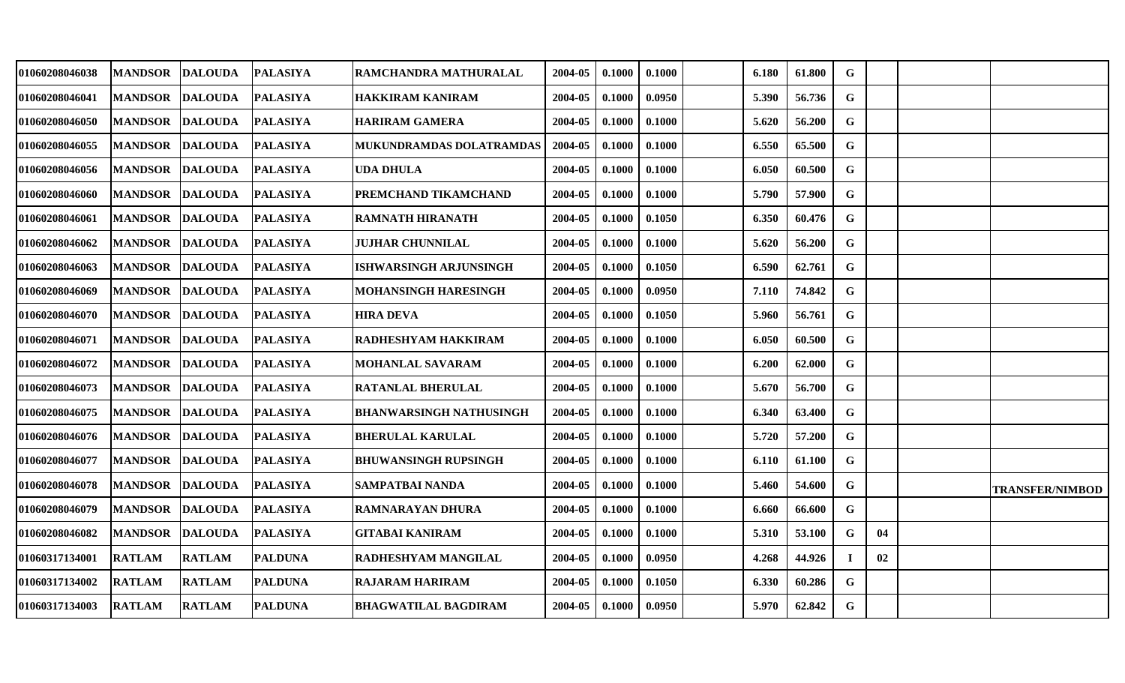| 01060208046038        | <b>MANDSOR</b> | <b>DALOUDA</b> | <b>PALASIYA</b> | RAMCHANDRA MATHURALAL           | 2004-05 | 0.1000 | 0.1000 | 6.180 | 61.800 | G           |    |                        |
|-----------------------|----------------|----------------|-----------------|---------------------------------|---------|--------|--------|-------|--------|-------------|----|------------------------|
| 01060208046041        | <b>MANDSOR</b> | <b>DALOUDA</b> | <b>PALASIYA</b> | HAKKIRAM KANIRAM                | 2004-05 | 0.1000 | 0.0950 | 5.390 | 56.736 | $\mathbf G$ |    |                        |
| <b>01060208046050</b> | <b>MANDSOR</b> | <b>DALOUDA</b> | <b>PALASIYA</b> | <b>HARIRAM GAMERA</b>           | 2004-05 | 0.1000 | 0.1000 | 5.620 | 56.200 | G           |    |                        |
| 01060208046055        | <b>MANDSOR</b> | <b>DALOUDA</b> | <b>PALASIYA</b> | <b>MUKUNDRAMDAS DOLATRAMDAS</b> | 2004-05 | 0.1000 | 0.1000 | 6.550 | 65.500 | G           |    |                        |
| <b>01060208046056</b> | <b>MANDSOR</b> | <b>DALOUDA</b> | <b>PALASIYA</b> | UDA DHULA                       | 2004-05 | 0.1000 | 0.1000 | 6.050 | 60.500 | $\mathbf G$ |    |                        |
| 01060208046060        | <b>MANDSOR</b> | <b>DALOUDA</b> | <b>PALASIYA</b> | PREMCHAND TIKAMCHAND            | 2004-05 | 0.1000 | 0.1000 | 5.790 | 57.900 | G           |    |                        |
| 01060208046061        | <b>MANDSOR</b> | <b>DALOUDA</b> | <b>PALASIYA</b> | <b>RAMNATH HIRANATH</b>         | 2004-05 | 0.1000 | 0.1050 | 6.350 | 60.476 | G           |    |                        |
| <b>01060208046062</b> | <b>MANDSOR</b> | <b>DALOUDA</b> | <b>PALASIYA</b> | JUJHAR CHUNNILAL                | 2004-05 | 0.1000 | 0.1000 | 5.620 | 56.200 | G           |    |                        |
| 01060208046063        | <b>MANDSOR</b> | <b>DALOUDA</b> | <b>PALASIYA</b> | ISHWARSINGH ARJUNSINGH          | 2004-05 | 0.1000 | 0.1050 | 6.590 | 62.761 | G           |    |                        |
| 01060208046069        | <b>MANDSOR</b> | <b>DALOUDA</b> | <b>PALASIYA</b> | MOHANSINGH HARESINGH            | 2004-05 | 0.1000 | 0.0950 | 7.110 | 74.842 | G           |    |                        |
| <b>01060208046070</b> | <b>MANDSOR</b> | <b>DALOUDA</b> | <b>PALASIYA</b> | <b>HIRA DEVA</b>                | 2004-05 | 0.1000 | 0.1050 | 5.960 | 56.761 | $\mathbf G$ |    |                        |
| 01060208046071        | <b>MANDSOR</b> | <b>DALOUDA</b> | <b>PALASIYA</b> | RADHESHYAM HAKKIRAM             | 2004-05 | 0.1000 | 0.1000 | 6.050 | 60.500 | $\mathbf G$ |    |                        |
| 01060208046072        | <b>MANDSOR</b> | <b>DALOUDA</b> | <b>PALASIYA</b> | MOHANLAL SAVARAM                | 2004-05 | 0.1000 | 0.1000 | 6.200 | 62.000 | $\mathbf G$ |    |                        |
| 01060208046073        | <b>MANDSOR</b> | <b>DALOUDA</b> | <b>PALASIYA</b> | RATANLAL BHERULAL               | 2004-05 | 0.1000 | 0.1000 | 5.670 | 56.700 | G           |    |                        |
| <b>01060208046075</b> | <b>MANDSOR</b> | <b>DALOUDA</b> | <b>PALASIYA</b> | BHANWARSINGH NATHUSINGH         | 2004-05 | 0.1000 | 0.1000 | 6.340 | 63.400 | G           |    |                        |
| 01060208046076        | <b>MANDSOR</b> | <b>DALOUDA</b> | <b>PALASIYA</b> | <b>BHERULAL KARULAL</b>         | 2004-05 | 0.1000 | 0.1000 | 5.720 | 57.200 | G           |    |                        |
| 01060208046077        | <b>MANDSOR</b> | <b>DALOUDA</b> | <b>PALASIYA</b> | BHUWANSINGH RUPSINGH            | 2004-05 | 0.1000 | 0.1000 | 6.110 | 61.100 | G           |    |                        |
| 01060208046078        | <b>MANDSOR</b> | <b>DALOUDA</b> | <b>PALASIYA</b> | <b>SAMPATBAI NANDA</b>          | 2004-05 | 0.1000 | 0.1000 | 5.460 | 54.600 | $\mathbf G$ |    | <b>TRANSFER/NIMBOD</b> |
| 01060208046079        | <b>MANDSOR</b> | <b>DALOUDA</b> | <b>PALASIYA</b> | <b>RAMNARAYAN DHURA</b>         | 2004-05 | 0.1000 | 0.1000 | 6.660 | 66.600 | $\mathbf G$ |    |                        |
| 01060208046082        | <b>MANDSOR</b> | <b>DALOUDA</b> | <b>PALASIYA</b> | GITABAI KANIRAM                 | 2004-05 | 0.1000 | 0.1000 | 5.310 | 53.100 | G           | 04 |                        |
| 01060317134001        | <b>RATLAM</b>  | <b>RATLAM</b>  | <b>PALDUNA</b>  | RADHESHYAM MANGILAL             | 2004-05 | 0.1000 | 0.0950 | 4.268 | 44.926 | $\mathbf I$ | 02 |                        |
| 01060317134002        | <b>RATLAM</b>  | <b>RATLAM</b>  | <b>PALDUNA</b>  | <b>RAJARAM HARIRAM</b>          | 2004-05 | 0.1000 | 0.1050 | 6.330 | 60.286 | G           |    |                        |
| <b>01060317134003</b> | <b>RATLAM</b>  | <b>RATLAM</b>  | <b>PALDUNA</b>  | <b>BHAGWATILAL BAGDIRAM</b>     | 2004-05 | 0.1000 | 0.0950 | 5.970 | 62.842 | G           |    |                        |
|                       |                |                |                 |                                 |         |        |        |       |        |             |    |                        |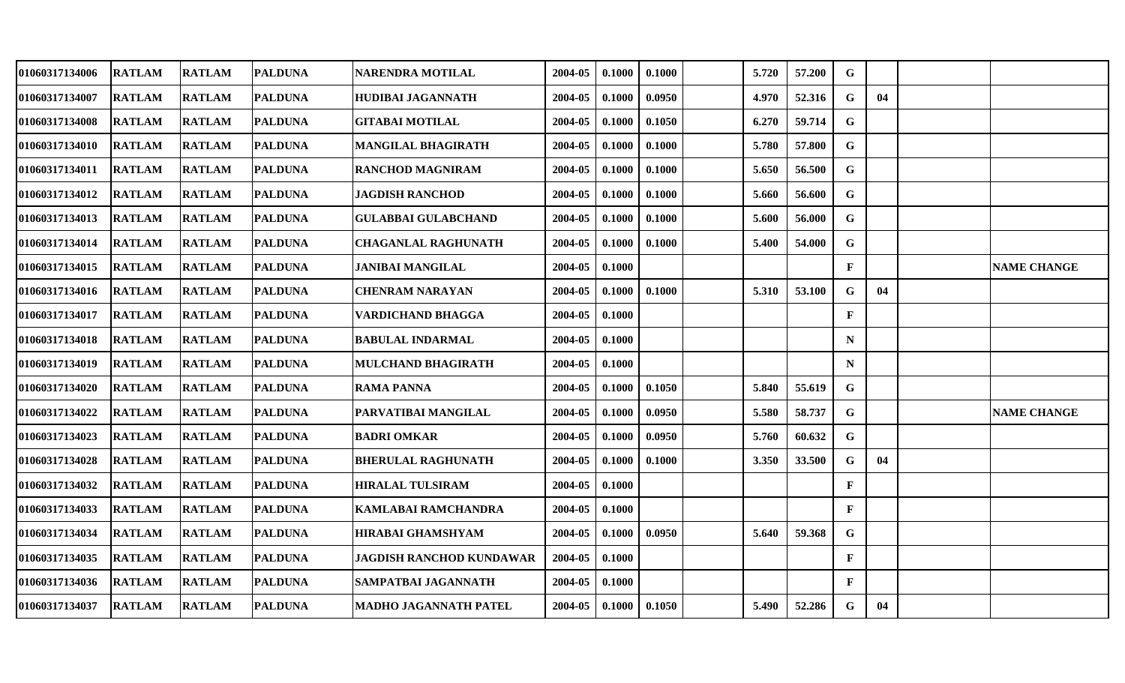| <b>RATLAM</b> | <b>RATLAM</b> |                | <b>NARENDRA MOTILAL</b>                                                                                                                                                                                                                                                                                                          | 2004-05 | 0.1000 | 0.1000 | 5.720 | 57.200 | G            |    |                    |
|---------------|---------------|----------------|----------------------------------------------------------------------------------------------------------------------------------------------------------------------------------------------------------------------------------------------------------------------------------------------------------------------------------|---------|--------|--------|-------|--------|--------------|----|--------------------|
| <b>RATLAM</b> | <b>RATLAM</b> |                | HUDIBAI JAGANNATH                                                                                                                                                                                                                                                                                                                | 2004-05 | 0.1000 | 0.0950 | 4.970 | 52.316 | G            | 04 |                    |
| <b>RATLAM</b> | <b>RATLAM</b> |                | <b>GITABAI MOTILAL</b>                                                                                                                                                                                                                                                                                                           | 2004-05 | 0.1000 | 0.1050 | 6.270 | 59.714 | $\mathbf G$  |    |                    |
| <b>RATLAM</b> | <b>RATLAM</b> |                | <b>MANGILAL BHAGIRATH</b>                                                                                                                                                                                                                                                                                                        | 2004-05 | 0.1000 | 0.1000 | 5.780 | 57.800 | G            |    |                    |
| <b>RATLAM</b> | <b>RATLAM</b> |                | <b>RANCHOD MAGNIRAM</b>                                                                                                                                                                                                                                                                                                          | 2004-05 | 0.1000 | 0.1000 | 5.650 | 56.500 | $\mathbf G$  |    |                    |
| <b>RATLAM</b> | <b>RATLAM</b> | <b>PALDUNA</b> | <b>JAGDISH RANCHOD</b>                                                                                                                                                                                                                                                                                                           | 2004-05 | 0.1000 | 0.1000 | 5.660 | 56.600 | G            |    |                    |
| <b>RATLAM</b> | <b>RATLAM</b> |                | <b>GULABBAI GULABCHAND</b>                                                                                                                                                                                                                                                                                                       | 2004-05 | 0.1000 | 0.1000 | 5.600 | 56.000 | G            |    |                    |
| <b>RATLAM</b> | <b>RATLAM</b> |                | <b>CHAGANLAL RAGHUNATH</b>                                                                                                                                                                                                                                                                                                       | 2004-05 | 0.1000 | 0.1000 | 5.400 | 54.000 | G            |    |                    |
| <b>RATLAM</b> | <b>RATLAM</b> |                | <b>JANIBAI MANGILAL</b>                                                                                                                                                                                                                                                                                                          | 2004-05 | 0.1000 |        |       |        | $\mathbf{F}$ |    | <b>NAME CHANGE</b> |
| <b>RATLAM</b> | <b>RATLAM</b> |                | <b>CHENRAM NARAYAN</b>                                                                                                                                                                                                                                                                                                           | 2004-05 | 0.1000 | 0.1000 | 5.310 | 53.100 | G            | 04 |                    |
| <b>RATLAM</b> | <b>RATLAM</b> | <b>PALDUNA</b> | <b>VARDICHAND BHAGGA</b>                                                                                                                                                                                                                                                                                                         | 2004-05 | 0.1000 |        |       |        | F            |    |                    |
| <b>RATLAM</b> | <b>RATLAM</b> |                | <b>BABULAL INDARMAL</b>                                                                                                                                                                                                                                                                                                          | 2004-05 | 0.1000 |        |       |        | N            |    |                    |
| <b>RATLAM</b> | <b>RATLAM</b> |                | MULCHAND BHAGIRATH                                                                                                                                                                                                                                                                                                               | 2004-05 | 0.1000 |        |       |        | $\mathbf N$  |    |                    |
| <b>RATLAM</b> | <b>RATLAM</b> |                | RAMA PANNA                                                                                                                                                                                                                                                                                                                       | 2004-05 | 0.1000 | 0.1050 | 5.840 | 55.619 | G            |    |                    |
| <b>RATLAM</b> | <b>RATLAM</b> | <b>PALDUNA</b> | PARVATIBAI MANGILAL                                                                                                                                                                                                                                                                                                              | 2004-05 | 0.1000 | 0.0950 | 5.580 | 58.737 | G            |    | <b>NAME CHANGE</b> |
| <b>RATLAM</b> | <b>RATLAM</b> |                | <b>BADRI OMKAR</b>                                                                                                                                                                                                                                                                                                               | 2004-05 | 0.1000 | 0.0950 | 5.760 | 60.632 | G            |    |                    |
| <b>RATLAM</b> | <b>RATLAM</b> |                | <b>BHERULAL RAGHUNATH</b>                                                                                                                                                                                                                                                                                                        | 2004-05 | 0.1000 | 0.1000 | 3.350 | 33.500 | $\mathbf G$  | 04 |                    |
| <b>RATLAM</b> | <b>RATLAM</b> |                | <b>HIRALAL TULSIRAM</b>                                                                                                                                                                                                                                                                                                          | 2004-05 | 0.1000 |        |       |        | F            |    |                    |
| <b>RATLAM</b> | <b>RATLAM</b> | <b>PALDUNA</b> | <b>KAMLABAI RAMCHANDRA</b>                                                                                                                                                                                                                                                                                                       | 2004-05 | 0.1000 |        |       |        | F            |    |                    |
| <b>RATLAM</b> | <b>RATLAM</b> |                | <b>HIRABAI GHAMSHYAM</b>                                                                                                                                                                                                                                                                                                         | 2004-05 | 0.1000 | 0.0950 | 5.640 | 59.368 | G            |    |                    |
| <b>RATLAM</b> | <b>RATLAM</b> |                | <b>JAGDISH RANCHOD KUNDAWAR</b>                                                                                                                                                                                                                                                                                                  | 2004-05 | 0.1000 |        |       |        | $\mathbf{F}$ |    |                    |
| <b>RATLAM</b> | <b>RATLAM</b> |                | SAMPATBAI JAGANNATH                                                                                                                                                                                                                                                                                                              | 2004-05 | 0.1000 |        |       |        | $\mathbf{F}$ |    |                    |
| <b>RATLAM</b> | <b>RATLAM</b> | <b>PALDUNA</b> | <b>MADHO JAGANNATH PATEL</b>                                                                                                                                                                                                                                                                                                     | 2004-05 | 0.1000 | 0.1050 | 5.490 | 52.286 | G            | 04 |                    |
|               |               |                | <b>PALDUNA</b><br><b>PALDUNA</b><br><b>PALDUNA</b><br><b>PALDUNA</b><br><b>PALDUNA</b><br><b>PALDUNA</b><br><b>PALDUNA</b><br><b>PALDUNA</b><br><b>PALDUNA</b><br><b>PALDUNA</b><br><b>PALDUNA</b><br><b>PALDUNA</b><br><b>PALDUNA</b><br><b>PALDUNA</b><br><b>PALDUNA</b><br><b>PALDUNA</b><br><b>PALDUNA</b><br><b>PALDUNA</b> |         |        |        |       |        |              |    |                    |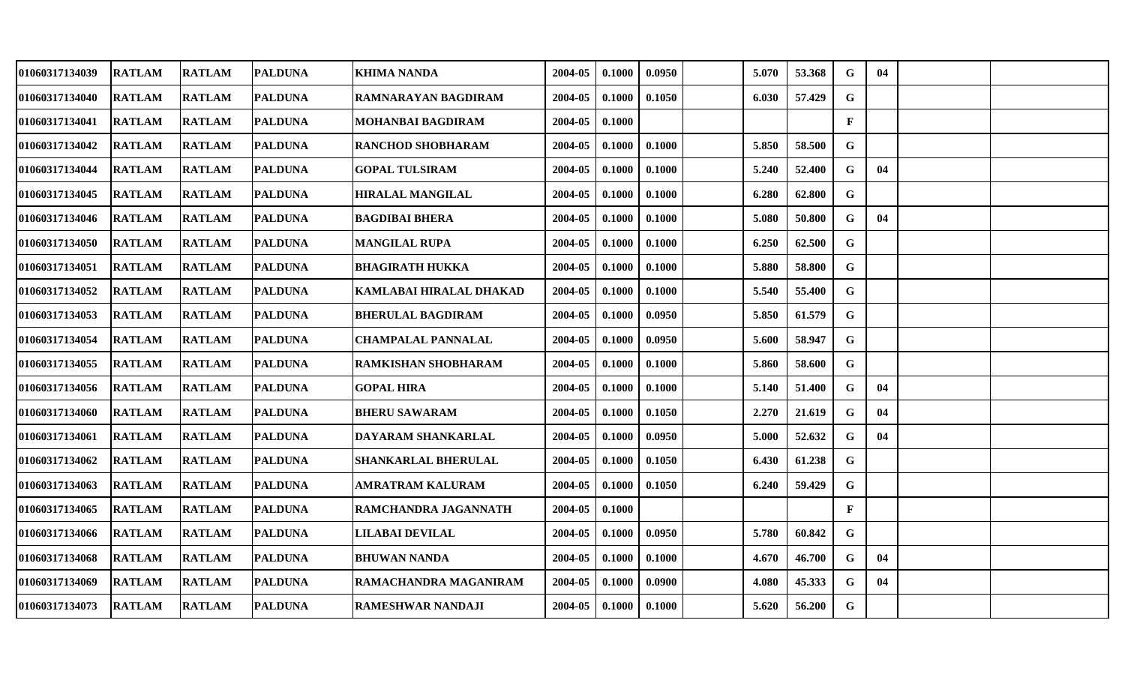| <b>RATLAM</b> |               |                                                                                                                                                                                                                                                                                                                                                  | <b>KHIMA NANDA</b>                                                                                                                           | 2004-05               | 0.1000 | 0.0950 | 5.070 | 53.368 | G            | 04 |  |
|---------------|---------------|--------------------------------------------------------------------------------------------------------------------------------------------------------------------------------------------------------------------------------------------------------------------------------------------------------------------------------------------------|----------------------------------------------------------------------------------------------------------------------------------------------|-----------------------|--------|--------|-------|--------|--------------|----|--|
| <b>RATLAM</b> |               | <b>PALDUNA</b>                                                                                                                                                                                                                                                                                                                                   | RAMNARAYAN BAGDIRAM                                                                                                                          | 2004-05               | 0.1000 | 0.1050 | 6.030 | 57.429 | $\mathbf G$  |    |  |
| <b>RATLAM</b> |               | <b>PALDUNA</b>                                                                                                                                                                                                                                                                                                                                   | MOHANBAI BAGDIRAM                                                                                                                            | 2004-05               | 0.1000 |        |       |        | $\mathbf{F}$ |    |  |
| <b>RATLAM</b> |               | <b>PALDUNA</b>                                                                                                                                                                                                                                                                                                                                   | <b>RANCHOD SHOBHARAM</b>                                                                                                                     | 2004-05               | 0.1000 | 0.1000 | 5.850 | 58.500 | $\mathbf G$  |    |  |
| <b>RATLAM</b> |               |                                                                                                                                                                                                                                                                                                                                                  | <b>GOPAL TULSIRAM</b>                                                                                                                        | 2004-05               | 0.1000 | 0.1000 | 5.240 | 52.400 | G            | 04 |  |
| <b>RATLAM</b> |               | <b>PALDUNA</b>                                                                                                                                                                                                                                                                                                                                   | <b>HIRALAL MANGILAL</b>                                                                                                                      | 2004-05               | 0.1000 | 0.1000 | 6.280 | 62.800 | $\mathbf G$  |    |  |
| <b>RATLAM</b> |               |                                                                                                                                                                                                                                                                                                                                                  |                                                                                                                                              | 2004-05               | 0.1000 | 0.1000 | 5.080 | 50.800 | G            | 04 |  |
| <b>RATLAM</b> |               |                                                                                                                                                                                                                                                                                                                                                  | <b>MANGILAL RUPA</b>                                                                                                                         | 2004-05               | 0.1000 | 0.1000 | 6.250 | 62.500 | $\mathbf G$  |    |  |
| <b>RATLAM</b> | <b>RATLAM</b> | <b>PALDUNA</b>                                                                                                                                                                                                                                                                                                                                   | <b>BHAGIRATH HUKKA</b>                                                                                                                       | 2004-05               | 0.1000 | 0.1000 | 5.880 | 58.800 | G            |    |  |
| <b>RATLAM</b> |               | <b>PALDUNA</b>                                                                                                                                                                                                                                                                                                                                   | KAMLABAI HIRALAL DHAKAD                                                                                                                      | 2004-05               | 0.1000 | 0.1000 | 5.540 | 55.400 | $\mathbf G$  |    |  |
| <b>RATLAM</b> |               | <b>PALDUNA</b>                                                                                                                                                                                                                                                                                                                                   | <b>BHERULAL BAGDIRAM</b>                                                                                                                     | 2004-05               | 0.1000 | 0.0950 | 5.850 | 61.579 | $\mathbf G$  |    |  |
| <b>RATLAM</b> |               | <b>PALDUNA</b>                                                                                                                                                                                                                                                                                                                                   | <b>CHAMPALAL PANNALAL</b>                                                                                                                    | 2004-05               | 0.1000 | 0.0950 | 5.600 | 58.947 | $\mathbf G$  |    |  |
| <b>RATLAM</b> |               |                                                                                                                                                                                                                                                                                                                                                  | <b>RAMKISHAN SHOBHARAM</b>                                                                                                                   | 2004-05               | 0.1000 | 0.1000 | 5.860 | 58.600 | $\mathbf G$  |    |  |
| <b>RATLAM</b> |               | <b>PALDUNA</b>                                                                                                                                                                                                                                                                                                                                   | <b>GOPAL HIRA</b>                                                                                                                            | 2004-05               | 0.1000 | 0.1000 | 5.140 | 51.400 | G            | 04 |  |
| <b>RATLAM</b> |               | <b>PALDUNA</b>                                                                                                                                                                                                                                                                                                                                   | <b>BHERU SAWARAM</b>                                                                                                                         | 2004-05               | 0.1000 | 0.1050 | 2.270 | 21.619 | G            | 04 |  |
| <b>RATLAM</b> |               |                                                                                                                                                                                                                                                                                                                                                  | DAYARAM SHANKARLAL                                                                                                                           | 2004-05               | 0.1000 | 0.0950 | 5.000 | 52.632 | G            | 04 |  |
| <b>RATLAM</b> | <b>RATLAM</b> |                                                                                                                                                                                                                                                                                                                                                  | SHANKARLAL BHERULAL                                                                                                                          | 2004-05               | 0.1000 | 0.1050 | 6.430 | 61.238 | G            |    |  |
| <b>RATLAM</b> |               |                                                                                                                                                                                                                                                                                                                                                  | AMRATRAM KALURAM                                                                                                                             | 2004-05               | 0.1000 | 0.1050 | 6.240 | 59.429 | $\mathbf G$  |    |  |
| <b>RATLAM</b> |               | <b>PALDUNA</b>                                                                                                                                                                                                                                                                                                                                   | RAMCHANDRA JAGANNATH                                                                                                                         | 2004-05               | 0.1000 |        |       |        | $\mathbf{F}$ |    |  |
| <b>RATLAM</b> |               | <b>PALDUNA</b>                                                                                                                                                                                                                                                                                                                                   | <b>LILABAI DEVILAL</b>                                                                                                                       | 2004-05               | 0.1000 | 0.0950 | 5.780 | 60.842 | $\mathbf G$  |    |  |
| <b>RATLAM</b> |               | <b>PALDUNA</b>                                                                                                                                                                                                                                                                                                                                   | <b>BHUWAN NANDA</b>                                                                                                                          | 2004-05               | 0.1000 | 0.1000 | 4.670 | 46.700 | G            | 04 |  |
| <b>RATLAM</b> | <b>RATLAM</b> | <b>PALDUNA</b>                                                                                                                                                                                                                                                                                                                                   | RAMACHANDRA MAGANIRAM                                                                                                                        | 2004-05               | 0.1000 | 0.0900 | 4.080 | 45.333 | G            | 04 |  |
| <b>RATLAM</b> |               | <b>PALDUNA</b>                                                                                                                                                                                                                                                                                                                                   | <b>RAMESHWAR NANDAJI</b>                                                                                                                     | 2004-05               | 0.1000 | 0.1000 | 5.620 | 56.200 | $\mathbf G$  |    |  |
|               |               | <b>RATLAM</b><br><b>RATLAM</b><br><b>RATLAM</b><br><b>RATLAM</b><br><b>RATLAM</b><br><b>RATLAM</b><br><b>RATLAM</b><br><b>RATLAM</b><br><b>RATLAM</b><br><b>RATLAM</b><br><b>RATLAM</b><br><b>RATLAM</b><br><b>RATLAM</b><br><b>RATLAM</b><br><b>RATLAM</b><br><b>RATLAM</b><br><b>RATLAM</b><br><b>RATLAM</b><br><b>RATLAM</b><br><b>RATLAM</b> | <b>PALDUNA</b><br><b>PALDUNA</b><br><b>PALDUNA</b><br><b>PALDUNA</b><br><b>PALDUNA</b><br><b>PALDUNA</b><br><b>PALDUNA</b><br><b>PALDUNA</b> | <b>BAGDIBAI BHERA</b> |        |        |       |        |              |    |  |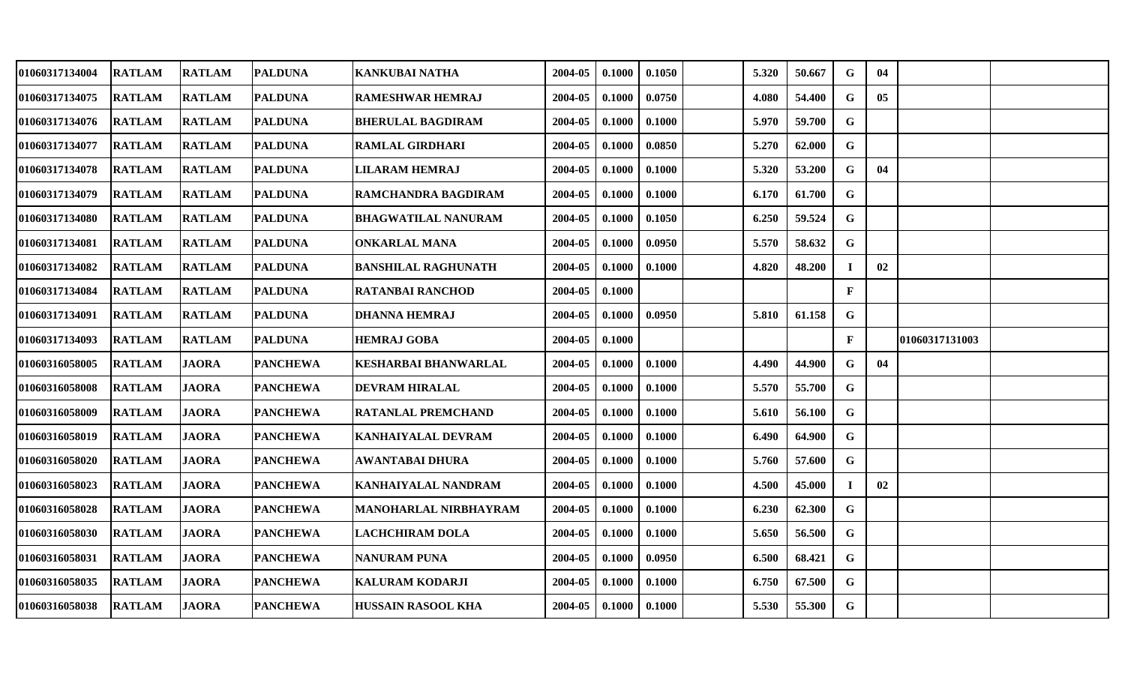| <b>RATLAM</b> |               |                                                                                                                                                       | <b>KANKUBAI NATHA</b>                                                                                                                                                                                                                                                                                                                                                                                                                 | 2004-05 | 0.1000 | 0.1050 | 5.320 | 50.667 | G            | 04             |                |
|---------------|---------------|-------------------------------------------------------------------------------------------------------------------------------------------------------|---------------------------------------------------------------------------------------------------------------------------------------------------------------------------------------------------------------------------------------------------------------------------------------------------------------------------------------------------------------------------------------------------------------------------------------|---------|--------|--------|-------|--------|--------------|----------------|----------------|
| <b>RATLAM</b> |               |                                                                                                                                                       | <b>RAMESHWAR HEMRAJ</b>                                                                                                                                                                                                                                                                                                                                                                                                               | 2004-05 | 0.1000 | 0.0750 | 4.080 | 54.400 | G            | 0 <sub>5</sub> |                |
| <b>RATLAM</b> | <b>RATLAM</b> |                                                                                                                                                       | <b>BHERULAL BAGDIRAM</b>                                                                                                                                                                                                                                                                                                                                                                                                              | 2004-05 | 0.1000 | 0.1000 | 5.970 | 59.700 | $\mathbf G$  |                |                |
| <b>RATLAM</b> |               |                                                                                                                                                       | <b>RAMLAL GIRDHARI</b>                                                                                                                                                                                                                                                                                                                                                                                                                | 2004-05 | 0.1000 | 0.0850 | 5.270 | 62.000 | G            |                |                |
| <b>RATLAM</b> |               |                                                                                                                                                       | <b>LILARAM HEMRAJ</b>                                                                                                                                                                                                                                                                                                                                                                                                                 | 2004-05 | 0.1000 | 0.1000 | 5.320 | 53.200 | G            | 04             |                |
| <b>RATLAM</b> |               |                                                                                                                                                       | RAMCHANDRA BAGDIRAM                                                                                                                                                                                                                                                                                                                                                                                                                   | 2004-05 | 0.1000 | 0.1000 | 6.170 | 61.700 | G            |                |                |
| <b>RATLAM</b> | <b>RATLAM</b> |                                                                                                                                                       | <b>BHAGWATILAL NANURAM</b>                                                                                                                                                                                                                                                                                                                                                                                                            | 2004-05 | 0.1000 | 0.1050 | 6.250 | 59.524 | G            |                |                |
| <b>RATLAM</b> |               |                                                                                                                                                       | <b>ONKARLAL MANA</b>                                                                                                                                                                                                                                                                                                                                                                                                                  | 2004-05 | 0.1000 | 0.0950 | 5.570 | 58.632 | G            |                |                |
| <b>RATLAM</b> |               |                                                                                                                                                       | <b>BANSHILAL RAGHUNATH</b>                                                                                                                                                                                                                                                                                                                                                                                                            | 2004-05 | 0.1000 | 0.1000 | 4.820 | 48.200 | I            | 02             |                |
| <b>RATLAM</b> |               |                                                                                                                                                       | <b>RATANBAI RANCHOD</b>                                                                                                                                                                                                                                                                                                                                                                                                               | 2004-05 | 0.1000 |        |       |        | $\mathbf{F}$ |                |                |
| <b>RATLAM</b> | <b>RATLAM</b> |                                                                                                                                                       | <b>DHANNA HEMRAJ</b>                                                                                                                                                                                                                                                                                                                                                                                                                  | 2004-05 | 0.1000 | 0.0950 | 5.810 | 61.158 | G            |                |                |
| <b>RATLAM</b> |               |                                                                                                                                                       | <b>HEMRAJ GOBA</b>                                                                                                                                                                                                                                                                                                                                                                                                                    | 2004-05 | 0.1000 |        |       |        | F            |                |                |
| <b>RATLAM</b> | <b>JAORA</b>  |                                                                                                                                                       | <b>KESHARBAI BHANWARLAL</b>                                                                                                                                                                                                                                                                                                                                                                                                           | 2004-05 | 0.1000 | 0.1000 | 4.490 | 44.900 | G            | 04             |                |
| <b>RATLAM</b> | <b>JAORA</b>  |                                                                                                                                                       | <b>DEVRAM HIRALAL</b>                                                                                                                                                                                                                                                                                                                                                                                                                 | 2004-05 | 0.1000 | 0.1000 | 5.570 | 55.700 | G            |                |                |
| <b>RATLAM</b> | <b>JAORA</b>  |                                                                                                                                                       | <b>RATANLAL PREMCHAND</b>                                                                                                                                                                                                                                                                                                                                                                                                             | 2004-05 | 0.1000 | 0.1000 | 5.610 | 56.100 | G            |                |                |
| <b>RATLAM</b> | <b>JAORA</b>  |                                                                                                                                                       | <b>KANHAIYALAL DEVRAM</b>                                                                                                                                                                                                                                                                                                                                                                                                             | 2004-05 | 0.1000 | 0.1000 | 6.490 | 64.900 | $\mathbf G$  |                |                |
| <b>RATLAM</b> | <b>JAORA</b>  |                                                                                                                                                       | <b>AWANTABAI DHURA</b>                                                                                                                                                                                                                                                                                                                                                                                                                | 2004-05 | 0.1000 | 0.1000 | 5.760 | 57.600 | $\mathbf G$  |                |                |
| <b>RATLAM</b> | <b>JAORA</b>  |                                                                                                                                                       | KANHAIYALAL NANDRAM                                                                                                                                                                                                                                                                                                                                                                                                                   | 2004-05 | 0.1000 | 0.1000 | 4.500 | 45.000 |              | 02             |                |
| <b>RATLAM</b> | <b>JAORA</b>  |                                                                                                                                                       | MANOHARLAL NIRBHAYRAM                                                                                                                                                                                                                                                                                                                                                                                                                 | 2004-05 | 0.1000 | 0.1000 | 6.230 | 62.300 | G            |                |                |
| <b>RATLAM</b> | <b>JAORA</b>  |                                                                                                                                                       | <b>LACHCHIRAM DOLA</b>                                                                                                                                                                                                                                                                                                                                                                                                                | 2004-05 | 0.1000 | 0.1000 | 5.650 | 56.500 | G            |                |                |
| <b>RATLAM</b> | <b>JAORA</b>  |                                                                                                                                                       | <b>NANURAM PUNA</b>                                                                                                                                                                                                                                                                                                                                                                                                                   | 2004-05 | 0.1000 | 0.0950 | 6.500 | 68.421 | G            |                |                |
| <b>RATLAM</b> | <b>JAORA</b>  |                                                                                                                                                       | <b>KALURAM KODARJI</b>                                                                                                                                                                                                                                                                                                                                                                                                                | 2004-05 | 0.1000 | 0.1000 | 6.750 | 67.500 | G            |                |                |
| <b>RATLAM</b> | <b>JAORA</b>  |                                                                                                                                                       | <b>HUSSAIN RASOOL KHA</b>                                                                                                                                                                                                                                                                                                                                                                                                             | 2004-05 | 0.1000 | 0.1000 | 5.530 | 55.300 | G            |                |                |
|               |               | <b>RATLAM</b><br><b>RATLAM</b><br><b>RATLAM</b><br><b>RATLAM</b><br><b>RATLAM</b><br><b>RATLAM</b><br><b>RATLAM</b><br><b>RATLAM</b><br><b>RATLAM</b> | <b>PALDUNA</b><br><b>PALDUNA</b><br><b>PALDUNA</b><br><b>PALDUNA</b><br><b>PALDUNA</b><br><b>PALDUNA</b><br><b>PALDUNA</b><br><b>PALDUNA</b><br><b>PALDUNA</b><br><b>PALDUNA</b><br><b>PALDUNA</b><br><b>PALDUNA</b><br><b>PANCHEWA</b><br><b>PANCHEWA</b><br><b>PANCHEWA</b><br><b>PANCHEWA</b><br><b>PANCHEWA</b><br><b>PANCHEWA</b><br><b>PANCHEWA</b><br><b>PANCHEWA</b><br><b>PANCHEWA</b><br><b>PANCHEWA</b><br><b>PANCHEWA</b> |         |        |        |       |        |              |                | 01060317131003 |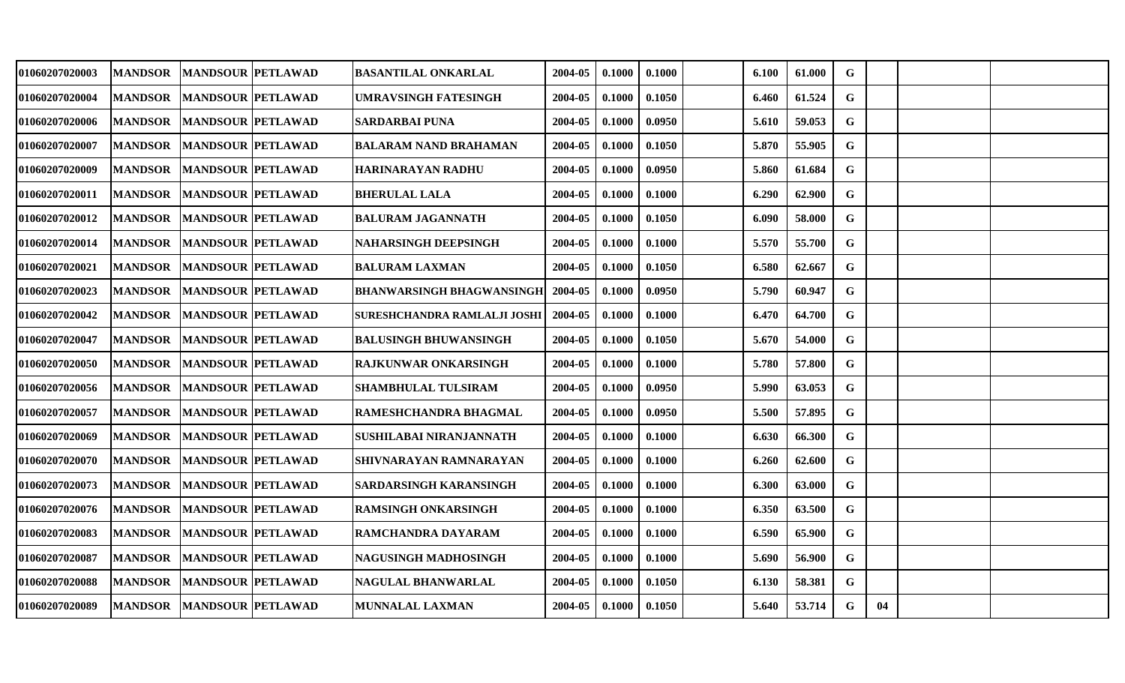| 01060207020003 | <b>MANDSOR</b> | <b>MANDSOUR PETLAWAD</b>  | <b>BASANTILAL ONKARLAL</b>       | 2004-05 | 0.1000 | 0.1000 | 6.100 | 61.000 | G           |    |  |
|----------------|----------------|---------------------------|----------------------------------|---------|--------|--------|-------|--------|-------------|----|--|
| 01060207020004 | <b>MANDSOR</b> | <b>MANDSOUR PETLAWAD</b>  | <b>UMRAVSINGH FATESINGH</b>      | 2004-05 | 0.1000 | 0.1050 | 6.460 | 61.524 | G           |    |  |
| 01060207020006 | <b>MANDSOR</b> | <b>MANDSOUR PETLAWAD</b>  | <b>SARDARBAI PUNA</b>            | 2004-05 | 0.1000 | 0.0950 | 5.610 | 59.053 | $\mathbf G$ |    |  |
| 01060207020007 | <b>MANDSOR</b> | <b>MANDSOUR PETLAWAD</b>  | <b>BALARAM NAND BRAHAMAN</b>     | 2004-05 | 0.1000 | 0.1050 | 5.870 | 55.905 | $\mathbf G$ |    |  |
| 01060207020009 | <b>MANDSOR</b> | <b>MANDSOUR PETLAWAD</b>  | <b>HARINARAYAN RADHU</b>         | 2004-05 | 0.1000 | 0.0950 | 5.860 | 61.684 | G           |    |  |
| 01060207020011 | <b>MANDSOR</b> | <b>MANDSOUR PETLAWAD</b>  | <b>BHERULAL LALA</b>             | 2004-05 | 0.1000 | 0.1000 | 6.290 | 62.900 | G           |    |  |
| 01060207020012 | <b>MANDSOR</b> | <b>MANDSOUR PETLAWAD</b>  | <b>BALURAM JAGANNATH</b>         | 2004-05 | 0.1000 | 0.1050 | 6.090 | 58.000 | $\mathbf G$ |    |  |
| 01060207020014 | <b>MANDSOR</b> | <b>MANDSOUR PETLAWAD</b>  | <b>NAHARSINGH DEEPSINGH</b>      | 2004-05 | 0.1000 | 0.1000 | 5.570 | 55.700 | G           |    |  |
| 01060207020021 | <b>MANDSOR</b> | <b>MANDSOUR PETLAWAD</b>  | <b>BALURAM LAXMAN</b>            | 2004-05 | 0.1000 | 0.1050 | 6.580 | 62.667 | $\mathbf G$ |    |  |
| 01060207020023 | <b>MANDSOR</b> | <b>MANDSOUR PETLAWAD</b>  | <b>BHANWARSINGH BHAGWANSINGH</b> | 2004-05 | 0.1000 | 0.0950 | 5.790 | 60.947 | G           |    |  |
| 01060207020042 | <b>MANDSOR</b> | <b>MANDSOUR PETLAWAD</b>  | SURESHCHANDRA RAMLALJI JOSHI     | 2004-05 | 0.1000 | 0.1000 | 6.470 | 64.700 | $\mathbf G$ |    |  |
| 01060207020047 | <b>MANDSOR</b> | <b>MANDSOUR PETLAWAD</b>  | <b>BALUSINGH BHUWANSINGH</b>     | 2004-05 | 0.1000 | 0.1050 | 5.670 | 54.000 | G           |    |  |
| 01060207020050 | <b>MANDSOR</b> | <b>MANDSOUR PETLAWAD</b>  | <b>RAJKUNWAR ONKARSINGH</b>      | 2004-05 | 0.1000 | 0.1000 | 5.780 | 57.800 | $\mathbf G$ |    |  |
| 01060207020056 | <b>MANDSOR</b> | <b>MANDSOUR PETLAWAD</b>  | SHAMBHULAL TULSIRAM              | 2004-05 | 0.1000 | 0.0950 | 5.990 | 63.053 | G           |    |  |
| 01060207020057 | <b>MANDSOR</b> | <b>MANDSOUR PETLAWAD</b>  | RAMESHCHANDRA BHAGMAL            | 2004-05 | 0.1000 | 0.0950 | 5.500 | 57.895 | $\mathbf G$ |    |  |
| 01060207020069 | <b>MANDSOR</b> | <b>MANDSOUR PETLAWAD</b>  | SUSHILABAI NIRANJANNATH          | 2004-05 | 0.1000 | 0.1000 | 6.630 | 66.300 | G           |    |  |
| 01060207020070 | <b>MANDSOR</b> | <b>MANDSOUR PETLAWAD</b>  | SHIVNARAYAN RAMNARAYAN           | 2004-05 | 0.1000 | 0.1000 | 6.260 | 62.600 | $\mathbf G$ |    |  |
| 01060207020073 | <b>MANDSOR</b> | <b>MANDSOUR PETLAWAD</b>  | SARDARSINGH KARANSINGH           | 2004-05 | 0.1000 | 0.1000 | 6.300 | 63.000 | G           |    |  |
| 01060207020076 | <b>MANDSOR</b> | <b>MANDSOUR PETLAWAD</b>  | <b>RAMSINGH ONKARSINGH</b>       | 2004-05 | 0.1000 | 0.1000 | 6.350 | 63.500 | G           |    |  |
| 01060207020083 | <b>MANDSOR</b> | <b>MANDSOUR PETLAWAD</b>  | RAMCHANDRA DAYARAM               | 2004-05 | 0.1000 | 0.1000 | 6.590 | 65.900 | $\mathbf G$ |    |  |
| 01060207020087 | <b>MANDSOR</b> | <b>MANDSOUR PETLAWAD</b>  | NAGUSINGH MADHOSINGH             | 2004-05 | 0.1000 | 0.1000 | 5.690 | 56.900 | G           |    |  |
| 01060207020088 | <b>MANDSOR</b> | <b>MANDSOUR PETLAWAD</b>  | NAGULAL BHANWARLAL               | 2004-05 | 0.1000 | 0.1050 | 6.130 | 58.381 | G           |    |  |
| 01060207020089 |                | MANDSOR MANDSOUR PETLAWAD | <b>MUNNALAL LAXMAN</b>           | 2004-05 | 0.1000 | 0.1050 | 5.640 | 53.714 | G           | 04 |  |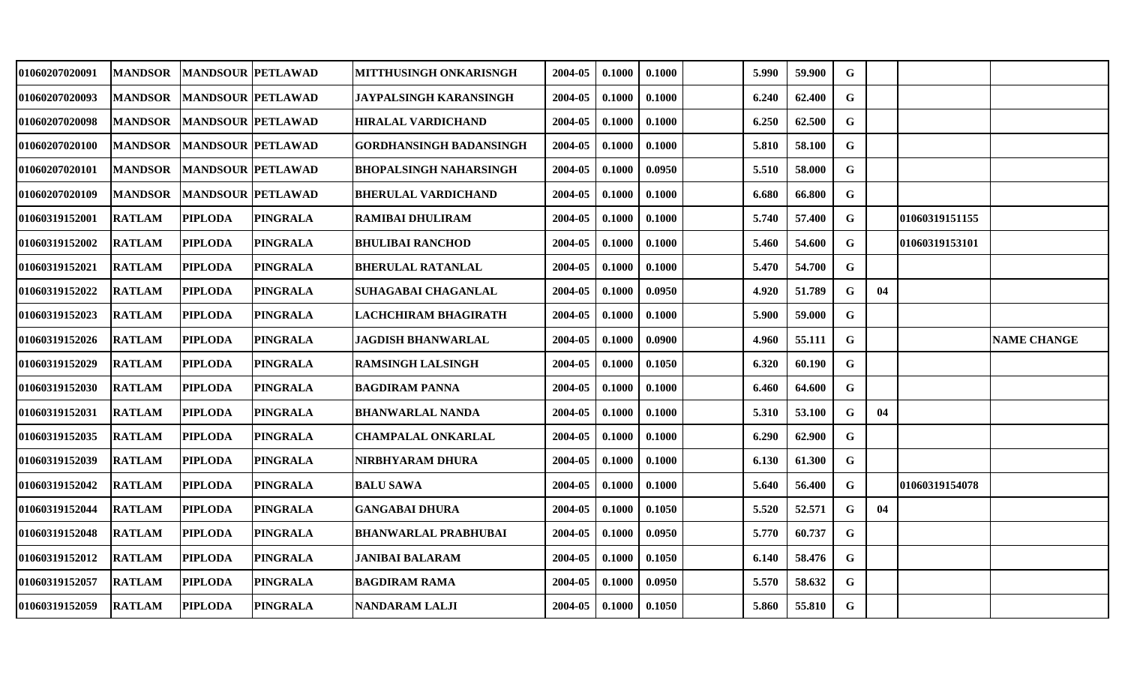| 01060207020091        | <b>MANDSOR</b> | <b>MANDSOUR PETLAWAD</b> |                 | MITTHUSINGH ONKARISNGH      | 2004-05 | 0.1000 | 0.1000 | 5.990 | 59.900 | G           |    |                |                    |
|-----------------------|----------------|--------------------------|-----------------|-----------------------------|---------|--------|--------|-------|--------|-------------|----|----------------|--------------------|
| 01060207020093        | <b>MANDSOR</b> | <b>MANDSOUR PETLAWAD</b> |                 | JAYPALSINGH KARANSINGH      | 2004-05 | 0.1000 | 0.1000 | 6.240 | 62.400 | G           |    |                |                    |
| <b>01060207020098</b> | <b>MANDSOR</b> | <b>MANDSOUR PETLAWAD</b> |                 | HIRALAL VARDICHAND          | 2004-05 | 0.1000 | 0.1000 | 6.250 | 62.500 | G           |    |                |                    |
| 01060207020100        | <b>MANDSOR</b> | <b>MANDSOUR PETLAWAD</b> |                 | GORDHANSINGH BADANSINGH     | 2004-05 | 0.1000 | 0.1000 | 5.810 | 58.100 | G           |    |                |                    |
| 01060207020101        | <b>MANDSOR</b> | <b>MANDSOUR PETLAWAD</b> |                 | BHOPALSINGH NAHARSINGH      | 2004-05 | 0.1000 | 0.0950 | 5.510 | 58.000 | $\mathbf G$ |    |                |                    |
| 01060207020109        | <b>MANDSOR</b> | MANDSOUR PETLAWAD        |                 | BHERULAL VARDICHAND         | 2004-05 | 0.1000 | 0.1000 | 6.680 | 66.800 | $\mathbf G$ |    |                |                    |
| 01060319152001        | <b>RATLAM</b>  | <b>PIPLODA</b>           | <b>PINGRALA</b> | <b>RAMIBAI DHULIRAM</b>     | 2004-05 | 0.1000 | 0.1000 | 5.740 | 57.400 | G           |    | 01060319151155 |                    |
| 01060319152002        | <b>RATLAM</b>  | <b>PIPLODA</b>           | <b>PINGRALA</b> | <b>BHULIBAI RANCHOD</b>     | 2004-05 | 0.1000 | 0.1000 | 5.460 | 54.600 | $\mathbf G$ |    | 01060319153101 |                    |
| <b>01060319152021</b> | <b>RATLAM</b>  | <b>PIPLODA</b>           | <b>PINGRALA</b> | <b>BHERULAL RATANLAL</b>    | 2004-05 | 0.1000 | 0.1000 | 5.470 | 54.700 | G           |    |                |                    |
| <b>01060319152022</b> | <b>RATLAM</b>  | <b>PIPLODA</b>           | <b>PINGRALA</b> | SUHAGABAI CHAGANLAL         | 2004-05 | 0.1000 | 0.0950 | 4.920 | 51.789 | G           | 04 |                |                    |
| 01060319152023        | <b>RATLAM</b>  | <b>PIPLODA</b>           | <b>PINGRALA</b> | LACHCHIRAM BHAGIRATH        | 2004-05 | 0.1000 | 0.1000 | 5.900 | 59.000 | G           |    |                |                    |
| 01060319152026        | <b>RATLAM</b>  | <b>PIPLODA</b>           | <b>PINGRALA</b> | JAGDISH BHANWARLAL          | 2004-05 | 0.1000 | 0.0900 | 4.960 | 55.111 | $\mathbf G$ |    |                | <b>NAME CHANGE</b> |
| 01060319152029        | <b>RATLAM</b>  | <b>PIPLODA</b>           | <b>PINGRALA</b> | <b>RAMSINGH LALSINGH</b>    | 2004-05 | 0.1000 | 0.1050 | 6.320 | 60.190 | $\mathbf G$ |    |                |                    |
| 01060319152030        | <b>RATLAM</b>  | <b>PIPLODA</b>           | <b>PINGRALA</b> | <b>BAGDIRAM PANNA</b>       | 2004-05 | 0.1000 | 0.1000 | 6.460 | 64.600 | G           |    |                |                    |
| <b>01060319152031</b> | <b>RATLAM</b>  | <b>PIPLODA</b>           | <b>PINGRALA</b> | <b>BHANWARLAL NANDA</b>     | 2004-05 | 0.1000 | 0.1000 | 5.310 | 53.100 | G           | 04 |                |                    |
| 01060319152035        | <b>RATLAM</b>  | <b>PIPLODA</b>           | <b>PINGRALA</b> | <b>CHAMPALAL ONKARLAL</b>   | 2004-05 | 0.1000 | 0.1000 | 6.290 | 62.900 | G           |    |                |                    |
| 01060319152039        | <b>RATLAM</b>  | <b>PIPLODA</b>           | <b>PINGRALA</b> | NIRBHYARAM DHURA            | 2004-05 | 0.1000 | 0.1000 | 6.130 | 61.300 | G           |    |                |                    |
| 01060319152042        | <b>RATLAM</b>  | <b>PIPLODA</b>           | <b>PINGRALA</b> | <b>BALU SAWA</b>            | 2004-05 | 0.1000 | 0.1000 | 5.640 | 56.400 | G           |    | 01060319154078 |                    |
| 01060319152044        | <b>RATLAM</b>  | <b>PIPLODA</b>           | <b>PINGRALA</b> | <b>GANGABAI DHURA</b>       | 2004-05 | 0.1000 | 0.1050 | 5.520 | 52.571 | G           | 04 |                |                    |
| 01060319152048        | <b>RATLAM</b>  | <b>PIPLODA</b>           | <b>PINGRALA</b> | <b>BHANWARLAL PRABHUBAI</b> | 2004-05 | 0.1000 | 0.0950 | 5.770 | 60.737 | G           |    |                |                    |
| 01060319152012        | <b>RATLAM</b>  | <b>PIPLODA</b>           | <b>PINGRALA</b> | JANIBAI BALARAM             | 2004-05 | 0.1000 | 0.1050 | 6.140 | 58.476 | G           |    |                |                    |
| 01060319152057        | <b>RATLAM</b>  | <b>PIPLODA</b>           | <b>PINGRALA</b> | <b>BAGDIRAM RAMA</b>        | 2004-05 | 0.1000 | 0.0950 | 5.570 | 58.632 | G           |    |                |                    |
| <b>01060319152059</b> | <b>RATLAM</b>  | <b>PIPLODA</b>           | <b>PINGRALA</b> | NANDARAM LALJI              | 2004-05 | 0.1000 | 0.1050 | 5.860 | 55.810 | G           |    |                |                    |
|                       |                |                          |                 |                             |         |        |        |       |        |             |    |                |                    |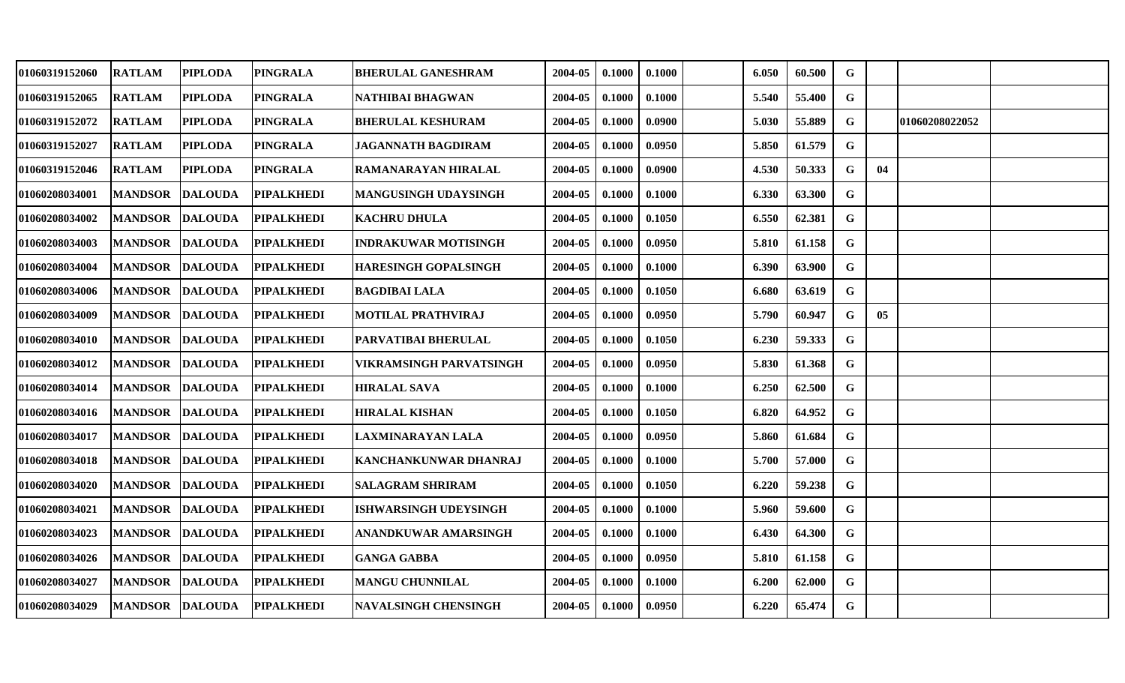| 01060319152060 | <b>RATLAM</b>   | PIPLODA        | <b>PINGRALA</b>   | <b>BHERULAL GANESHRAM</b>    | 2004-05 | 0.1000 | 0.1000 | 6.050 | 60.500 | G            |    |                |  |
|----------------|-----------------|----------------|-------------------|------------------------------|---------|--------|--------|-------|--------|--------------|----|----------------|--|
| 01060319152065 | <b>RATLAM</b>   | <b>PIPLODA</b> | <b>PINGRALA</b>   | NATHIBAI BHAGWAN             | 2004-05 | 0.1000 | 0.1000 | 5.540 | 55.400 | G            |    |                |  |
| 01060319152072 | <b>RATLAM</b>   | <b>PIPLODA</b> | <b>PINGRALA</b>   | <b>BHERULAL KESHURAM</b>     | 2004-05 | 0.1000 | 0.0900 | 5.030 | 55.889 | $\mathbf G$  |    | 01060208022052 |  |
| 01060319152027 | <b>RATLAM</b>   | <b>PIPLODA</b> | <b>PINGRALA</b>   | <b>JAGANNATH BAGDIRAM</b>    | 2004-05 | 0.1000 | 0.0950 | 5.850 | 61.579 | G            |    |                |  |
| 01060319152046 | <b>RATLAM</b>   | <b>PIPLODA</b> | <b>PINGRALA</b>   | RAMANARAYAN HIRALAL          | 2004-05 | 0.1000 | 0.0900 | 4.530 | 50.333 | G            | 04 |                |  |
| 01060208034001 | <b>MANDSOR</b>  | <b>DALOUDA</b> | <b>PIPALKHEDI</b> | <b>MANGUSINGH UDAYSINGH</b>  | 2004-05 | 0.1000 | 0.1000 | 6.330 | 63.300 | G            |    |                |  |
| 01060208034002 | <b>MANDSOR</b>  | <b>DALOUDA</b> | <b>PIPALKHEDI</b> | <b>KACHRU DHULA</b>          | 2004-05 | 0.1000 | 0.1050 | 6.550 | 62.381 | $\mathbf G$  |    |                |  |
| 01060208034003 | <b>MANDSOR</b>  | <b>DALOUDA</b> | <b>PIPALKHEDI</b> | <b>INDRAKUWAR MOTISINGH</b>  | 2004-05 | 0.1000 | 0.0950 | 5.810 | 61.158 | G            |    |                |  |
| 01060208034004 | <b>MANDSOR</b>  | <b>DALOUDA</b> | <b>PIPALKHEDI</b> | <b>HARESINGH GOPALSINGH</b>  | 2004-05 | 0.1000 | 0.1000 | 6.390 | 63.900 | $\mathbf G$  |    |                |  |
| 01060208034006 | <b>MANDSOR</b>  | <b>DALOUDA</b> | <b>PIPALKHEDI</b> | <b>BAGDIBAI LALA</b>         | 2004-05 | 0.1000 | 0.1050 | 6.680 | 63.619 | G            |    |                |  |
| 01060208034009 | <b>MANDSOR</b>  | <b>DALOUDA</b> | <b>PIPALKHEDI</b> | <b>MOTILAL PRATHVIRAJ</b>    | 2004-05 | 0.1000 | 0.0950 | 5.790 | 60.947 | G            | 05 |                |  |
| 01060208034010 | <b>MANDSOR</b>  | <b>DALOUDA</b> | <b>PIPALKHEDI</b> | <b>PARVATIBAI BHERULAL</b>   | 2004-05 | 0.1000 | 0.1050 | 6.230 | 59.333 | G            |    |                |  |
| 01060208034012 | <b>MANDSOR</b>  | <b>DALOUDA</b> | <b>PIPALKHEDI</b> | VIKRAMSINGH PARVATSINGH      | 2004-05 | 0.1000 | 0.0950 | 5.830 | 61.368 | $\mathbf G$  |    |                |  |
| 01060208034014 | <b>MANDSOR</b>  | <b>DALOUDA</b> | <b>PIPALKHEDI</b> | <b>HIRALAL SAVA</b>          | 2004-05 | 0.1000 | 0.1000 | 6.250 | 62.500 | G            |    |                |  |
| 01060208034016 | <b>MANDSOR</b>  | <b>DALOUDA</b> | <b>PIPALKHEDI</b> | <b>HIRALAL KISHAN</b>        | 2004-05 | 0.1000 | 0.1050 | 6.820 | 64.952 | G            |    |                |  |
| 01060208034017 | <b>MANDSOR</b>  | <b>DALOUDA</b> | <b>PIPALKHEDI</b> | LAXMINARAYAN LALA            | 2004-05 | 0.1000 | 0.0950 | 5.860 | 61.684 | G            |    |                |  |
| 01060208034018 | <b>MANDSOR</b>  | <b>DALOUDA</b> | <b>PIPALKHEDI</b> | KANCHANKUNWAR DHANRAJ        | 2004-05 | 0.1000 | 0.1000 | 5.700 | 57.000 | $\mathbf{G}$ |    |                |  |
| 01060208034020 | <b>MANDSOR</b>  | <b>DALOUDA</b> | <b>PIPALKHEDI</b> | <b>SALAGRAM SHRIRAM</b>      | 2004-05 | 0.1000 | 0.1050 | 6.220 | 59.238 | G            |    |                |  |
| 01060208034021 | <b>MANDSOR</b>  | <b>DALOUDA</b> | <b>PIPALKHEDI</b> | <b>ISHWARSINGH UDEYSINGH</b> | 2004-05 | 0.1000 | 0.1000 | 5.960 | 59.600 | G            |    |                |  |
| 01060208034023 | <b>MANDSOR</b>  | <b>DALOUDA</b> | <b>PIPALKHEDI</b> | ANANDKUWAR AMARSINGH         | 2004-05 | 0.1000 | 0.1000 | 6.430 | 64.300 | G            |    |                |  |
| 01060208034026 | <b>MANDSOR</b>  | <b>DALOUDA</b> | <b>PIPALKHEDI</b> | <b>GANGA GABBA</b>           | 2004-05 | 0.1000 | 0.0950 | 5.810 | 61.158 | G            |    |                |  |
| 01060208034027 | <b>MANDSOR</b>  | <b>DALOUDA</b> | <b>PIPALKHEDI</b> | <b>MANGU CHUNNILAL</b>       | 2004-05 | 0.1000 | 0.1000 | 6.200 | 62.000 | G            |    |                |  |
| 01060208034029 | MANDSOR DALOUDA |                | <b>PIPALKHEDI</b> | <b>NAVALSINGH CHENSINGH</b>  | 2004-05 | 0.1000 | 0.0950 | 6.220 | 65.474 | G            |    |                |  |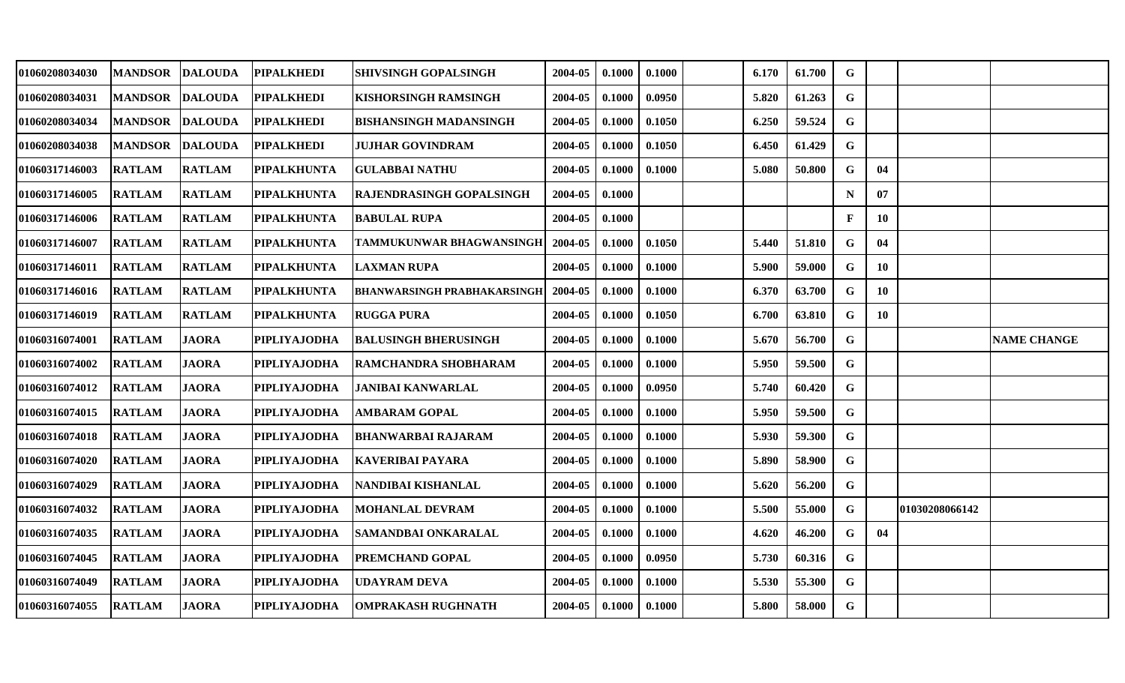| 01060208034030        | <b>MANDSOR</b> | <b>DALOUDA</b> | <b>PIPALKHEDI</b>   | <b>SHIVSINGH GOPALSINGH</b>        | 2004-05 | 0.1000 | 0.1000 | 6.170 | 61.700 | $\mathbf G$  |    |                |                    |
|-----------------------|----------------|----------------|---------------------|------------------------------------|---------|--------|--------|-------|--------|--------------|----|----------------|--------------------|
| 01060208034031        | <b>MANDSOR</b> | <b>DALOUDA</b> | <b>PIPALKHEDI</b>   | KISHORSINGH RAMSINGH               | 2004-05 | 0.1000 | 0.0950 | 5.820 | 61.263 | $\mathbf G$  |    |                |                    |
| <b>01060208034034</b> | <b>MANDSOR</b> | DALOUDA        | <b>PIPALKHEDI</b>   | BISHANSINGH MADANSINGH             | 2004-05 | 0.1000 | 0.1050 | 6.250 | 59.524 | $\mathbf G$  |    |                |                    |
| 01060208034038        | <b>MANDSOR</b> | <b>DALOUDA</b> | <b>PIPALKHEDI</b>   | <b>JUJHAR GOVINDRAM</b>            | 2004-05 | 0.1000 | 0.1050 | 6.450 | 61.429 | G            |    |                |                    |
| 01060317146003        | <b>RATLAM</b>  | <b>RATLAM</b>  | <b>PIPALKHUNTA</b>  | <b>GULABBAI NATHU</b>              | 2004-05 | 0.1000 | 0.1000 | 5.080 | 50.800 | $\mathbf G$  | 04 |                |                    |
| 01060317146005        | <b>RATLAM</b>  | <b>RATLAM</b>  | <b>PIPALKHUNTA</b>  | RAJENDRASINGH GOPALSINGH           | 2004-05 | 0.1000 |        |       |        | $\mathbf N$  | 07 |                |                    |
| 01060317146006        | <b>RATLAM</b>  | <b>RATLAM</b>  | <b>PIPALKHUNTA</b>  | <b>BABULAL RUPA</b>                | 2004-05 | 0.1000 |        |       |        | $\mathbf{F}$ | 10 |                |                    |
| 01060317146007        | <b>RATLAM</b>  | <b>RATLAM</b>  | <b>PIPALKHUNTA</b>  | TAMMUKUNWAR BHAGWANSINGH           | 2004-05 | 0.1000 | 0.1050 | 5.440 | 51.810 | $\mathbf G$  | 04 |                |                    |
| <b>01060317146011</b> | <b>RATLAM</b>  | <b>RATLAM</b>  | <b>PIPALKHUNTA</b>  | <b>LAXMAN RUPA</b>                 | 2004-05 | 0.1000 | 0.1000 | 5.900 | 59.000 | G            | 10 |                |                    |
| <b>01060317146016</b> | <b>RATLAM</b>  | <b>RATLAM</b>  | <b>PIPALKHUNTA</b>  | <b>BHANWARSINGH PRABHAKARSINGH</b> | 2004-05 | 0.1000 | 0.1000 | 6.370 | 63.700 | G            | 10 |                |                    |
| 01060317146019        | <b>RATLAM</b>  | <b>RATLAM</b>  | <b>PIPALKHUNTA</b>  | RUGGA PURA                         | 2004-05 | 0.1000 | 0.1050 | 6.700 | 63.810 | $\mathbf G$  | 10 |                |                    |
| 01060316074001        | <b>RATLAM</b>  | <b>JAORA</b>   | <b>PIPLIYAJODHA</b> | <b>BALUSINGH BHERUSINGH</b>        | 2004-05 | 0.1000 | 0.1000 | 5.670 | 56.700 | G            |    |                | <b>NAME CHANGE</b> |
| 01060316074002        | <b>RATLAM</b>  | <b>JAORA</b>   | <b>PIPLIYAJODHA</b> | RAMCHANDRA SHOBHARAM               | 2004-05 | 0.1000 | 0.1000 | 5.950 | 59.500 | $\mathbf G$  |    |                |                    |
| 01060316074012        | <b>RATLAM</b>  | <b>JAORA</b>   | <b>PIPLIYAJODHA</b> | <b>JANIBAI KANWARLAL</b>           | 2004-05 | 0.1000 | 0.0950 | 5.740 | 60.420 | $\mathbf G$  |    |                |                    |
| <b>01060316074015</b> | <b>RATLAM</b>  | <b>JAORA</b>   | <b>PIPLIYAJODHA</b> | <b>AMBARAM GOPAL</b>               | 2004-05 | 0.1000 | 0.1000 | 5.950 | 59.500 | G            |    |                |                    |
| 01060316074018        | <b>RATLAM</b>  | <b>JAORA</b>   | <b>PIPLIYAJODHA</b> | BHANWARBAI RAJARAM                 | 2004-05 | 0.1000 | 0.1000 | 5.930 | 59.300 | $\mathbf G$  |    |                |                    |
| <b>01060316074020</b> | <b>RATLAM</b>  | <b>JAORA</b>   | <b>PIPLIYAJODHA</b> | KAVERIBAI PAYARA                   | 2004-05 | 0.1000 | 0.1000 | 5.890 | 58.900 | G            |    |                |                    |
| 01060316074029        | <b>RATLAM</b>  | <b>JAORA</b>   | <b>PIPLIYAJODHA</b> | NANDIBAI KISHANLAL                 | 2004-05 | 0.1000 | 0.1000 | 5.620 | 56.200 | G            |    |                |                    |
| 01060316074032        | <b>RATLAM</b>  | <b>JAORA</b>   | <b>PIPLIYAJODHA</b> | <b>MOHANLAL DEVRAM</b>             | 2004-05 | 0.1000 | 0.1000 | 5.500 | 55.000 | G            |    | 01030208066142 |                    |
| <b>01060316074035</b> | <b>RATLAM</b>  | <b>JAORA</b>   | <b>PIPLIYAJODHA</b> | SAMANDBAI ONKARALAL                | 2004-05 | 0.1000 | 0.1000 | 4.620 | 46.200 | $\mathbf G$  | 04 |                |                    |
| <b>01060316074045</b> | <b>RATLAM</b>  | <b>JAORA</b>   | <b>PIPLIYAJODHA</b> | PREMCHAND GOPAL                    | 2004-05 | 0.1000 | 0.0950 | 5.730 | 60.316 | G            |    |                |                    |
| 01060316074049        | <b>RATLAM</b>  | <b>JAORA</b>   | <b>PIPLIYAJODHA</b> | UDAYRAM DEVA                       | 2004-05 | 0.1000 | 0.1000 | 5.530 | 55.300 | G            |    |                |                    |
| 01060316074055        | <b>RATLAM</b>  | <b>JAORA</b>   | <b>PIPLIYAJODHA</b> | <b>OMPRAKASH RUGHNATH</b>          | 2004-05 | 0.1000 | 0.1000 | 5.800 | 58.000 | $\mathbf G$  |    |                |                    |
|                       |                |                |                     |                                    |         |        |        |       |        |              |    |                |                    |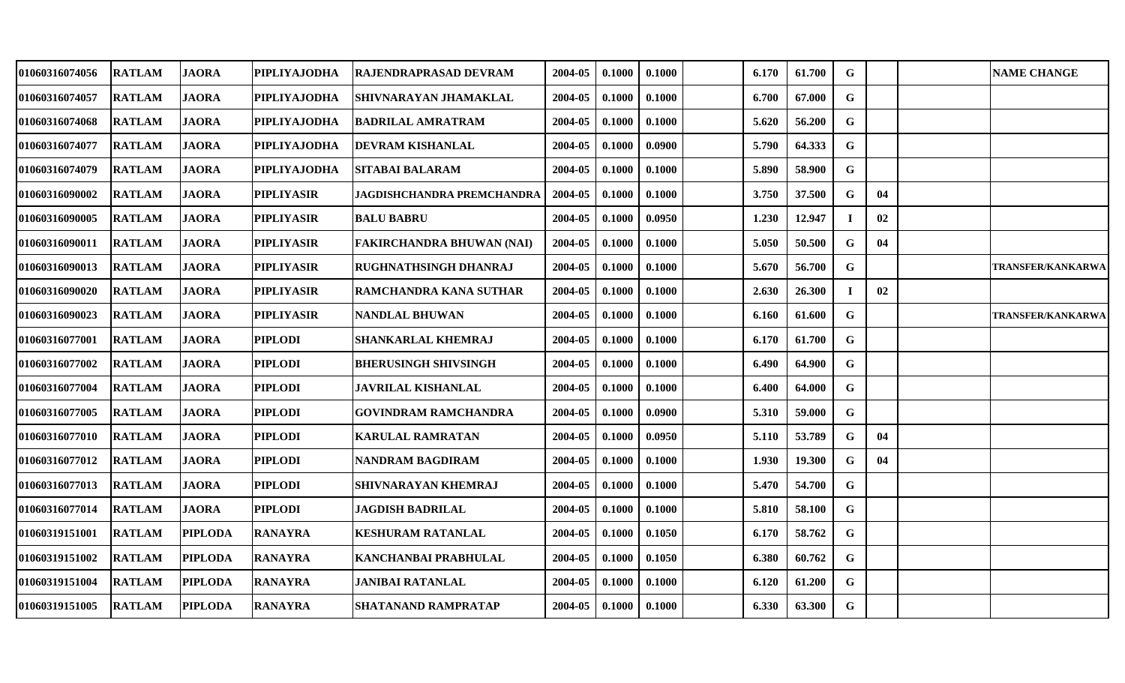| 01060316074056 | <b>RATLAM</b> | <b>JAORA</b>   | <b>PIPLIYAJODHA</b> | RAJENDRAPRASAD DEVRAM              | 2004-05 | 0.1000 | 0.1000 | 6.170 | 61.700 | $\mathbf G$ |    | <b>NAME CHANGE</b>       |
|----------------|---------------|----------------|---------------------|------------------------------------|---------|--------|--------|-------|--------|-------------|----|--------------------------|
| 01060316074057 | <b>RATLAM</b> | <b>JAORA</b>   | <b>PIPLIYAJODHA</b> | SHIVNARAYAN JHAMAKLAL              | 2004-05 | 0.1000 | 0.1000 | 6.700 | 67.000 | $\mathbf G$ |    |                          |
| 01060316074068 | RATLAM        | <b>JAORA</b>   | <b>PIPLIYAJODHA</b> | BADRILAL AMRATRAM                  | 2004-05 | 0.1000 | 0.1000 | 5.620 | 56.200 | $\mathbf G$ |    |                          |
| 01060316074077 | <b>RATLAM</b> | <b>JAORA</b>   | <b>PIPLIYAJODHA</b> | DEVRAM KISHANLAL                   | 2004-05 | 0.1000 | 0.0900 | 5.790 | 64.333 | $\mathbf G$ |    |                          |
| 01060316074079 | <b>RATLAM</b> | <b>JAORA</b>   | <b>PIPLIYAJODHA</b> | SITABAI BALARAM                    | 2004-05 | 0.1000 | 0.1000 | 5.890 | 58.900 | $\mathbf G$ |    |                          |
| 01060316090002 | <b>RATLAM</b> | <b>JAORA</b>   | <b>PIPLIYASIR</b>   | JAGDISHCHANDRA PREMCHANDR <i>A</i> | 2004-05 | 0.1000 | 0.1000 | 3.750 | 37.500 | G           | 04 |                          |
| 01060316090005 | <b>RATLAM</b> | <b>JAORA</b>   | <b>PIPLIYASIR</b>   | <b>BALU BABRU</b>                  | 2004-05 | 0.1000 | 0.0950 | 1.230 | 12.947 | Т.          | 02 |                          |
| 01060316090011 | <b>RATLAM</b> | <b>JAORA</b>   | <b>PIPLIYASIR</b>   | FAKIRCHANDRA BHUWAN (NAI)          | 2004-05 | 0.1000 | 0.1000 | 5.050 | 50.500 | $\mathbf G$ | 04 |                          |
| 01060316090013 | <b>RATLAM</b> | <b>JAORA</b>   | <b>PIPLIYASIR</b>   | RUGHNATHSINGH DHANRAJ              | 2004-05 | 0.1000 | 0.1000 | 5.670 | 56.700 | $\mathbf G$ |    | <b>TRANSFER/KANKARWA</b> |
| 01060316090020 | RATLAM        | <b>JAORA</b>   | <b>PIPLIYASIR</b>   | RAMCHANDRA KANA SUTHAR             | 2004-05 | 0.1000 | 0.1000 | 2.630 | 26.300 | $\bf{I}$    | 02 |                          |
| 01060316090023 | <b>RATLAM</b> | <b>JAORA</b>   | <b>PIPLIYASIR</b>   | NANDLAL BHUWAN                     | 2004-05 | 0.1000 | 0.1000 | 6.160 | 61.600 | G           |    | <b>TRANSFER/KANKARWA</b> |
| 01060316077001 | <b>RATLAM</b> | <b>JAORA</b>   | <b>PIPLODI</b>      | SHANKARLAL KHEMRAJ                 | 2004-05 | 0.1000 | 0.1000 | 6.170 | 61.700 | $\mathbf G$ |    |                          |
| 01060316077002 | <b>RATLAM</b> | <b>JAORA</b>   | <b>PIPLODI</b>      | BHERUSINGH SHIVSINGH               | 2004-05 | 0.1000 | 0.1000 | 6.490 | 64.900 | $\mathbf G$ |    |                          |
| 01060316077004 | <b>RATLAM</b> | <b>JAORA</b>   | <b>PIPLODI</b>      | <b>JAVRILAL KISHANLAL</b>          | 2004-05 | 0.1000 | 0.1000 | 6.400 | 64.000 | $\mathbf G$ |    |                          |
| 01060316077005 | <b>RATLAM</b> | <b>JAORA</b>   | <b>PIPLODI</b>      | GOVINDRAM RAMCHANDRA               | 2004-05 | 0.1000 | 0.0900 | 5.310 | 59.000 | $\mathbf G$ |    |                          |
| 01060316077010 | <b>RATLAM</b> | <b>JAORA</b>   | <b>PIPLODI</b>      | KARULAL RAMRATAN                   | 2004-05 | 0.1000 | 0.0950 | 5.110 | 53.789 | G           | 04 |                          |
| 01060316077012 | <b>RATLAM</b> | <b>JAORA</b>   | <b>PIPLODI</b>      | NANDRAM BAGDIRAM                   | 2004-05 | 0.1000 | 0.1000 | 1.930 | 19.300 | G           | 04 |                          |
| 01060316077013 | <b>RATLAM</b> | <b>JAORA</b>   | <b>PIPLODI</b>      | SHIVNARAYAN KHEMRAJ                | 2004-05 | 0.1000 | 0.1000 | 5.470 | 54.700 | $\mathbf G$ |    |                          |
| 01060316077014 | <b>RATLAM</b> | <b>JAORA</b>   | <b>PIPLODI</b>      | JAGDISH BADRILAL                   | 2004-05 | 0.1000 | 0.1000 | 5.810 | 58.100 | $\mathbf G$ |    |                          |
| 01060319151001 | <b>RATLAM</b> | <b>PIPLODA</b> | <b>RANAYRA</b>      | KESHURAM RATANLAL                  | 2004-05 | 0.1000 | 0.1050 | 6.170 | 58.762 | G           |    |                          |
| 01060319151002 | <b>RATLAM</b> | <b>PIPLODA</b> | <b>RANAYRA</b>      | KANCHANBAI PRABHULAL               | 2004-05 | 0.1000 | 0.1050 | 6.380 | 60.762 | $\mathbf G$ |    |                          |
| 01060319151004 | RATLAM        | <b>PIPLODA</b> | <b>RANAYRA</b>      | JANIBAI RATANLAL                   | 2004-05 | 0.1000 | 0.1000 | 6.120 | 61.200 | G           |    |                          |
| 01060319151005 | <b>RATLAM</b> | <b>PIPLODA</b> | <b>RANAYRA</b>      | SHATANAND RAMPRATAP                | 2004-05 | 0.1000 | 0.1000 | 6.330 | 63.300 | G           |    |                          |
|                |               |                |                     |                                    |         |        |        |       |        |             |    |                          |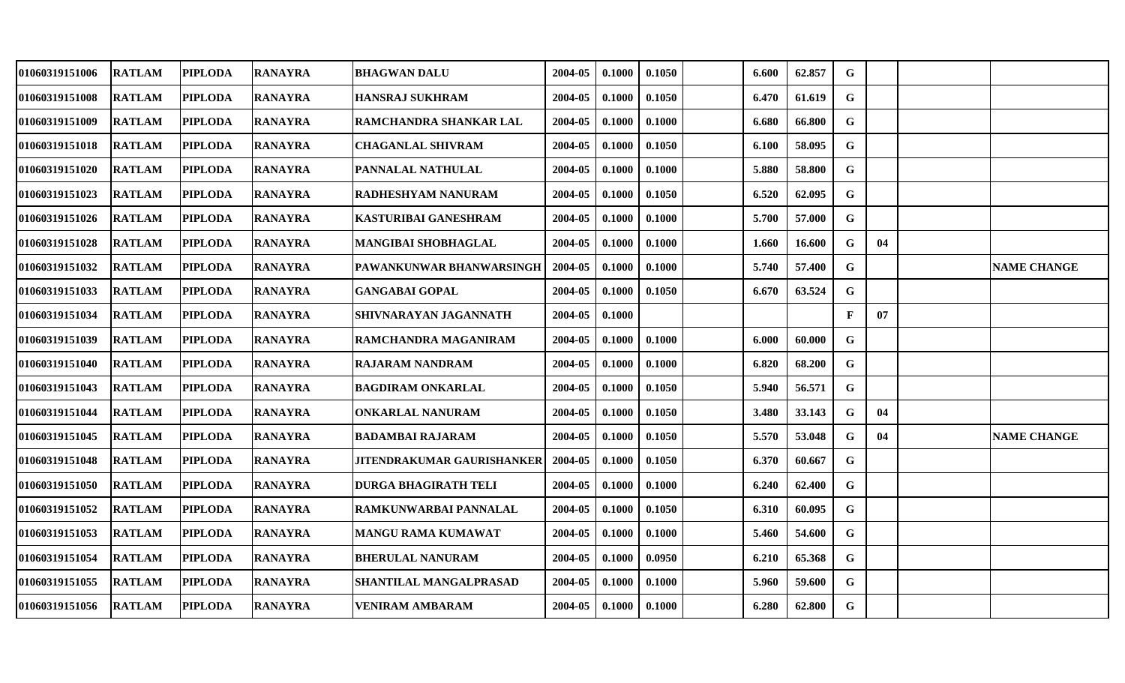| 01060319151006 | <b>RATLAM</b> | <b>PIPLODA</b> | <b>RANAYRA</b> | <b>BHAGWAN DALU</b>               | 2004-05 | 0.1000 | 0.1050 | 6.600 | 62.857 | G           |    |                    |
|----------------|---------------|----------------|----------------|-----------------------------------|---------|--------|--------|-------|--------|-------------|----|--------------------|
| 01060319151008 | <b>RATLAM</b> | <b>PIPLODA</b> | <b>RANAYRA</b> | HANSRAJ SUKHRAM                   | 2004-05 | 0.1000 | 0.1050 | 6.470 | 61.619 | G           |    |                    |
| 01060319151009 | <b>RATLAM</b> | <b>PIPLODA</b> | <b>RANAYRA</b> | RAMCHANDRA SHANKAR LAL            | 2004-05 | 0.1000 | 0.1000 | 6.680 | 66.800 | $\mathbf G$ |    |                    |
| 01060319151018 | <b>RATLAM</b> | <b>PIPLODA</b> | <b>RANAYRA</b> | <b>CHAGANLAL SHIVRAM</b>          | 2004-05 | 0.1000 | 0.1050 | 6.100 | 58.095 | $\mathbf G$ |    |                    |
| 01060319151020 | <b>RATLAM</b> | <b>PIPLODA</b> | <b>RANAYRA</b> | PANNALAL NATHULAL                 | 2004-05 | 0.1000 | 0.1000 | 5.880 | 58.800 | ${\bf G}$   |    |                    |
| 01060319151023 | <b>RATLAM</b> | <b>PIPLODA</b> | <b>RANAYRA</b> | RADHESHYAM NANURAM                | 2004-05 | 0.1000 | 0.1050 | 6.520 | 62.095 | G           |    |                    |
| 01060319151026 | <b>RATLAM</b> | <b>PIPLODA</b> | <b>RANAYRA</b> | <b>KASTURIBAI GANESHRAM</b>       | 2004-05 | 0.1000 | 0.1000 | 5.700 | 57.000 | $\mathbf G$ |    |                    |
| 01060319151028 | <b>RATLAM</b> | <b>PIPLODA</b> | <b>RANAYRA</b> | <b>MANGIBAI SHOBHAGLAL</b>        | 2004-05 | 0.1000 | 0.1000 | 1.660 | 16.600 | G           | 04 |                    |
| 01060319151032 | <b>RATLAM</b> | <b>PIPLODA</b> | <b>RANAYRA</b> | PAWANKUNWAR BHANWARSINGH          | 2004-05 | 0.1000 | 0.1000 | 5.740 | 57.400 | $\mathbf G$ |    | <b>NAME CHANGE</b> |
| 01060319151033 | <b>RATLAM</b> | <b>PIPLODA</b> | <b>RANAYRA</b> | <b>GANGABAI GOPAL</b>             | 2004-05 | 0.1000 | 0.1050 | 6.670 | 63.524 | G           |    |                    |
| 01060319151034 | <b>RATLAM</b> | <b>PIPLODA</b> | <b>RANAYRA</b> | SHIVNARAYAN JAGANNATH             | 2004-05 | 0.1000 |        |       |        | ${\bf F}$   | 07 |                    |
| 01060319151039 | <b>RATLAM</b> | <b>PIPLODA</b> | <b>RANAYRA</b> | RAMCHANDRA MAGANIRAM              | 2004-05 | 0.1000 | 0.1000 | 6.000 | 60.000 | $\mathbf G$ |    |                    |
| 01060319151040 | <b>RATLAM</b> | <b>PIPLODA</b> | <b>RANAYRA</b> | <b>RAJARAM NANDRAM</b>            | 2004-05 | 0.1000 | 0.1000 | 6.820 | 68.200 | G           |    |                    |
| 01060319151043 | <b>RATLAM</b> | <b>PIPLODA</b> | <b>RANAYRA</b> | <b>BAGDIRAM ONKARLAL</b>          | 2004-05 | 0.1000 | 0.1050 | 5.940 | 56.571 | G           |    |                    |
| 01060319151044 | <b>RATLAM</b> | <b>PIPLODA</b> | <b>RANAYRA</b> | <b>ONKARLAL NANURAM</b>           | 2004-05 | 0.1000 | 0.1050 | 3.480 | 33.143 | G           | 04 |                    |
| 01060319151045 | <b>RATLAM</b> | <b>PIPLODA</b> | <b>RANAYRA</b> | <b>BADAMBAI RAJARAM</b>           | 2004-05 | 0.1000 | 0.1050 | 5.570 | 53.048 | G           | 04 | <b>NAME CHANGE</b> |
| 01060319151048 | <b>RATLAM</b> | <b>PIPLODA</b> | <b>RANAYRA</b> | <b>JITENDRAKUMAR GAURISHANKER</b> | 2004-05 | 0.1000 | 0.1050 | 6.370 | 60.667 | G           |    |                    |
| 01060319151050 | <b>RATLAM</b> | <b>PIPLODA</b> | <b>RANAYRA</b> | DURGA BHAGIRATH TELI              | 2004-05 | 0.1000 | 0.1000 | 6.240 | 62.400 | $\mathbf G$ |    |                    |
| 01060319151052 | <b>RATLAM</b> | <b>PIPLODA</b> | <b>RANAYRA</b> | RAMKUNWARBAI PANNALAL             | 2004-05 | 0.1000 | 0.1050 | 6.310 | 60.095 | G           |    |                    |
| 01060319151053 | <b>RATLAM</b> | <b>PIPLODA</b> | <b>RANAYRA</b> | <b>MANGU RAMA KUMAWAT</b>         | 2004-05 | 0.1000 | 0.1000 | 5.460 | 54.600 | G           |    |                    |
| 01060319151054 | <b>RATLAM</b> | <b>PIPLODA</b> | <b>RANAYRA</b> | <b>BHERULAL NANURAM</b>           | 2004-05 | 0.1000 | 0.0950 | 6.210 | 65.368 | G           |    |                    |
| 01060319151055 | <b>RATLAM</b> | <b>PIPLODA</b> | <b>RANAYRA</b> | SHANTILAL MANGALPRASAD            | 2004-05 | 0.1000 | 0.1000 | 5.960 | 59.600 | G           |    |                    |
| 01060319151056 | <b>RATLAM</b> | <b>PIPLODA</b> | <b>RANAYRA</b> | <b>VENIRAM AMBARAM</b>            | 2004-05 | 0.1000 | 0.1000 | 6.280 | 62.800 | G           |    |                    |
|                |               |                |                |                                   |         |        |        |       |        |             |    |                    |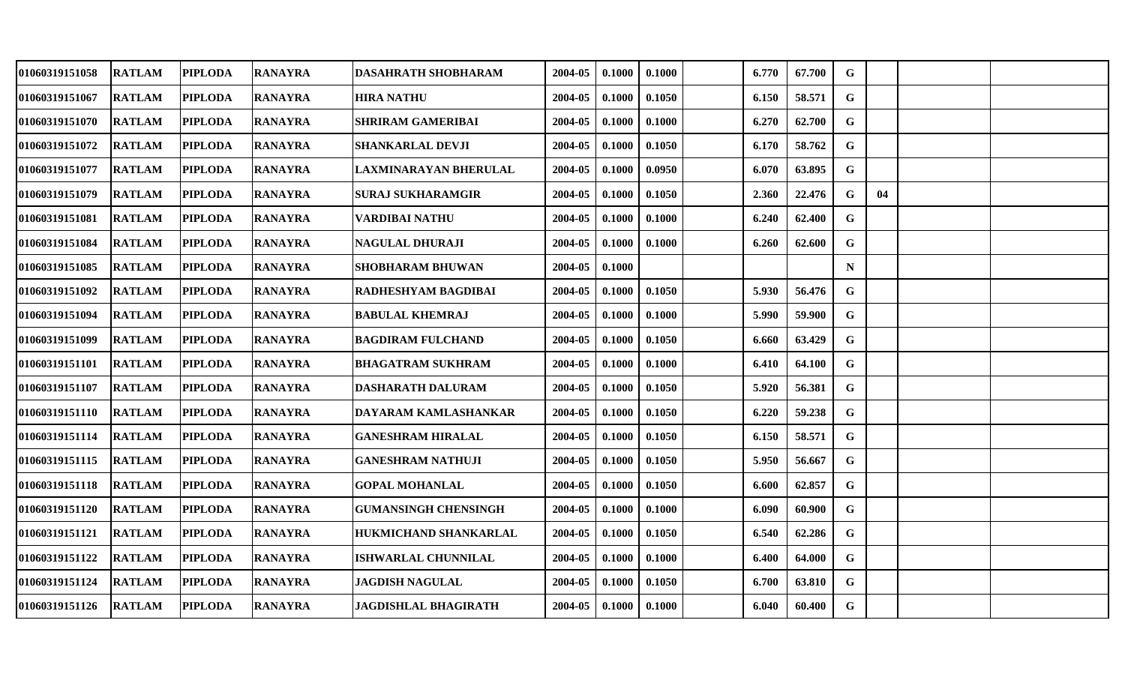| 01060319151058 | <b>RATLAM</b> | <b>PIPLODA</b> | <b>RANAYRA</b> | <b>DASAHRATH SHOBHARAM</b>  | 2004-05 | 0.1000 | 0.1000 | 6.770 | 67.700 | G           |    |  |
|----------------|---------------|----------------|----------------|-----------------------------|---------|--------|--------|-------|--------|-------------|----|--|
| 01060319151067 | <b>RATLAM</b> | <b>PIPLODA</b> | <b>RANAYRA</b> | <b>HIRA NATHU</b>           | 2004-05 | 0.1000 | 0.1050 | 6.150 | 58.571 | G           |    |  |
| 01060319151070 | <b>RATLAM</b> | <b>PIPLODA</b> | <b>RANAYRA</b> | <b>SHRIRAM GAMERIBAI</b>    | 2004-05 | 0.1000 | 0.1000 | 6.270 | 62.700 | $\mathbf G$ |    |  |
| 01060319151072 | <b>RATLAM</b> | <b>PIPLODA</b> | <b>RANAYRA</b> | <b>SHANKARLAL DEVJI</b>     | 2004-05 | 0.1000 | 0.1050 | 6.170 | 58.762 | G           |    |  |
| 01060319151077 | <b>RATLAM</b> | <b>PIPLODA</b> | <b>RANAYRA</b> | LAXMINARAYAN BHERULAL       | 2004-05 | 0.1000 | 0.0950 | 6.070 | 63.895 | $\mathbf G$ |    |  |
| 01060319151079 | <b>RATLAM</b> | <b>PIPLODA</b> | <b>RANAYRA</b> | <b>SURAJ SUKHARAMGIR</b>    | 2004-05 | 0.1000 | 0.1050 | 2.360 | 22.476 | G           | 04 |  |
| 01060319151081 | <b>RATLAM</b> | <b>PIPLODA</b> | <b>RANAYRA</b> | VARDIBAI NATHU              | 2004-05 | 0.1000 | 0.1000 | 6.240 | 62.400 | $\mathbf G$ |    |  |
| 01060319151084 | <b>RATLAM</b> | <b>PIPLODA</b> | <b>RANAYRA</b> | <b>NAGULAL DHURAJI</b>      | 2004-05 | 0.1000 | 0.1000 | 6.260 | 62.600 | G           |    |  |
| 01060319151085 | <b>RATLAM</b> | <b>PIPLODA</b> | <b>RANAYRA</b> | <b>SHOBHARAM BHUWAN</b>     | 2004-05 | 0.1000 |        |       |        | $\mathbf N$ |    |  |
| 01060319151092 | <b>RATLAM</b> | <b>PIPLODA</b> | <b>RANAYRA</b> | RADHESHYAM BAGDIBAI         | 2004-05 | 0.1000 | 0.1050 | 5.930 | 56.476 | G           |    |  |
| 01060319151094 | <b>RATLAM</b> | <b>PIPLODA</b> | <b>RANAYRA</b> | <b>BABULAL KHEMRAJ</b>      | 2004-05 | 0.1000 | 0.1000 | 5.990 | 59.900 | G           |    |  |
| 01060319151099 | <b>RATLAM</b> | <b>PIPLODA</b> | <b>RANAYRA</b> | <b>BAGDIRAM FULCHAND</b>    | 2004-05 | 0.1000 | 0.1050 | 6.660 | 63.429 | G           |    |  |
| 01060319151101 | <b>RATLAM</b> | <b>PIPLODA</b> | <b>RANAYRA</b> | <b>BHAGATRAM SUKHRAM</b>    | 2004-05 | 0.1000 | 0.1000 | 6.410 | 64.100 | G           |    |  |
| 01060319151107 | <b>RATLAM</b> | <b>PIPLODA</b> | <b>RANAYRA</b> | <b>DASHARATH DALURAM</b>    | 2004-05 | 0.1000 | 0.1050 | 5.920 | 56.381 | G           |    |  |
| 01060319151110 | <b>RATLAM</b> | <b>PIPLODA</b> | <b>RANAYRA</b> | DAYARAM KAMLASHANKAR        | 2004-05 | 0.1000 | 0.1050 | 6.220 | 59.238 | G           |    |  |
| 01060319151114 | <b>RATLAM</b> | <b>PIPLODA</b> | <b>RANAYRA</b> | <b>GANESHRAM HIRALAL</b>    | 2004-05 | 0.1000 | 0.1050 | 6.150 | 58.571 | $\mathbf G$ |    |  |
| 01060319151115 | <b>RATLAM</b> | <b>PIPLODA</b> | <b>RANAYRA</b> | <b>GANESHRAM NATHUJI</b>    | 2004-05 | 0.1000 | 0.1050 | 5.950 | 56.667 | $\mathbf G$ |    |  |
| 01060319151118 | <b>RATLAM</b> | <b>PIPLODA</b> | <b>RANAYRA</b> | <b>GOPAL MOHANLAL</b>       | 2004-05 | 0.1000 | 0.1050 | 6.600 | 62.857 | G           |    |  |
| 01060319151120 | <b>RATLAM</b> | <b>PIPLODA</b> | <b>RANAYRA</b> | <b>GUMANSINGH CHENSINGH</b> | 2004-05 | 0.1000 | 0.1000 | 6.090 | 60.900 | G           |    |  |
| 01060319151121 | <b>RATLAM</b> | <b>PIPLODA</b> | <b>RANAYRA</b> | HUKMICHAND SHANKARLAL       | 2004-05 | 0.1000 | 0.1050 | 6.540 | 62.286 | G           |    |  |
| 01060319151122 | <b>RATLAM</b> | <b>PIPLODA</b> | <b>RANAYRA</b> | <b>ISHWARLAL CHUNNILAL</b>  | 2004-05 | 0.1000 | 0.1000 | 6.400 | 64.000 | G           |    |  |
| 01060319151124 | <b>RATLAM</b> | <b>PIPLODA</b> | <b>RANAYRA</b> | <b>JAGDISH NAGULAL</b>      | 2004-05 | 0.1000 | 0.1050 | 6.700 | 63.810 | G           |    |  |
| 01060319151126 | <b>RATLAM</b> | <b>PIPLODA</b> | <b>RANAYRA</b> | <b>JAGDISHLAL BHAGIRATH</b> | 2004-05 | 0.1000 | 0.1000 | 6.040 | 60.400 | G           |    |  |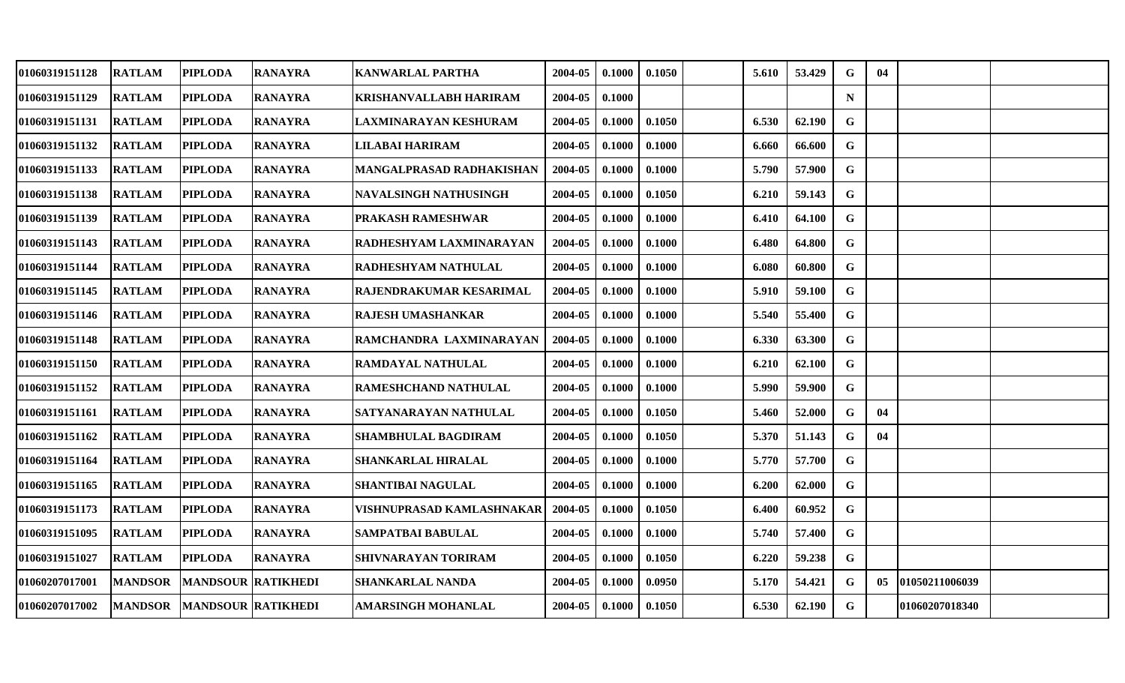| 01060319151128        | <b>RATLAM</b>  | <b>PIPLODA</b>            | <b>RANAYRA</b> | <b>KANWARLAL PARTHA</b>        | 2004-05 | 0.1000 | 0.1050 | 5.610 | 53.429 | $\mathbf G$ | 04 |                 |  |
|-----------------------|----------------|---------------------------|----------------|--------------------------------|---------|--------|--------|-------|--------|-------------|----|-----------------|--|
| 01060319151129        | <b>RATLAM</b>  | <b>PIPLODA</b>            | <b>RANAYRA</b> | <b>KRISHANVALLABH HARIRAM</b>  | 2004-05 | 0.1000 |        |       |        | $\mathbf N$ |    |                 |  |
| <b>01060319151131</b> | <b>RATLAM</b>  | <b>PIPLODA</b>            | <b>RANAYRA</b> | LAXMINARAYAN KESHURAM          | 2004-05 | 0.1000 | 0.1050 | 6.530 | 62.190 | G           |    |                 |  |
| 01060319151132        | <b>RATLAM</b>  | <b>PIPLODA</b>            | <b>RANAYRA</b> | LILABAI HARIRAM                | 2004-05 | 0.1000 | 0.1000 | 6.660 | 66.600 | $\mathbf G$ |    |                 |  |
| 01060319151133        | <b>RATLAM</b>  | <b>PIPLODA</b>            | <b>RANAYRA</b> | MANGALPRASAD RADHAKISHAN       | 2004-05 | 0.1000 | 0.1000 | 5.790 | 57.900 | G           |    |                 |  |
| <b>01060319151138</b> | <b>RATLAM</b>  | <b>PIPLODA</b>            | <b>RANAYRA</b> | <b>NAVALSINGH NATHUSINGH</b>   | 2004-05 | 0.1000 | 0.1050 | 6.210 | 59.143 | G           |    |                 |  |
| 01060319151139        | <b>RATLAM</b>  | <b>PIPLODA</b>            | <b>RANAYRA</b> | <b>PRAKASH RAMESHWAR</b>       | 2004-05 | 0.1000 | 0.1000 | 6.410 | 64.100 | G           |    |                 |  |
| 01060319151143        | <b>RATLAM</b>  | <b>PIPLODA</b>            | <b>RANAYRA</b> | RADHESHYAM LAXMINARAYAN        | 2004-05 | 0.1000 | 0.1000 | 6.480 | 64.800 | G           |    |                 |  |
| 01060319151144        | <b>RATLAM</b>  | <b>PIPLODA</b>            | <b>RANAYRA</b> | RADHESHYAM NATHULAL            | 2004-05 | 0.1000 | 0.1000 | 6.080 | 60.800 | $\mathbf G$ |    |                 |  |
| 01060319151145        | <b>RATLAM</b>  | <b>PIPLODA</b>            | <b>RANAYRA</b> | <b>RAJENDRAKUMAR KESARIMAL</b> | 2004-05 | 0.1000 | 0.1000 | 5.910 | 59.100 | $\mathbf G$ |    |                 |  |
| 01060319151146        | <b>RATLAM</b>  | <b>PIPLODA</b>            | <b>RANAYRA</b> | <b>RAJESH UMASHANKAR</b>       | 2004-05 | 0.1000 | 0.1000 | 5.540 | 55.400 | G           |    |                 |  |
| 01060319151148        | <b>RATLAM</b>  | <b>PIPLODA</b>            | <b>RANAYRA</b> | RAMCHANDRA LAXMINARAYAN        | 2004-05 | 0.1000 | 0.1000 | 6.330 | 63.300 | G           |    |                 |  |
| <b>01060319151150</b> | <b>RATLAM</b>  | <b>PIPLODA</b>            | <b>RANAYRA</b> | <b>RAMDAYAL NATHULAL</b>       | 2004-05 | 0.1000 | 0.1000 | 6.210 | 62.100 | G           |    |                 |  |
| 01060319151152        | <b>RATLAM</b>  | PIPLODA                   | <b>RANAYRA</b> | <b>RAMESHCHAND NATHULAL</b>    | 2004-05 | 0.1000 | 0.1000 | 5.990 | 59.900 | G           |    |                 |  |
| 01060319151161        | <b>RATLAM</b>  | <b>PIPLODA</b>            | <b>RANAYRA</b> | SATYANARAYAN NATHULAL          | 2004-05 | 0.1000 | 0.1050 | 5.460 | 52.000 | G           | 04 |                 |  |
| 01060319151162        | <b>RATLAM</b>  | <b>PIPLODA</b>            | <b>RANAYRA</b> | <b>SHAMBHULAL BAGDIRAM</b>     | 2004-05 | 0.1000 | 0.1050 | 5.370 | 51.143 | G           | 04 |                 |  |
| 01060319151164        | <b>RATLAM</b>  | <b>PIPLODA</b>            | <b>RANAYRA</b> | <b>SHANKARLAL HIRALAL</b>      | 2004-05 | 0.1000 | 0.1000 | 5.770 | 57.700 | G           |    |                 |  |
| <b>01060319151165</b> | <b>RATLAM</b>  | <b>PIPLODA</b>            | <b>RANAYRA</b> | <b>SHANTIBAI NAGULAL</b>       | 2004-05 | 0.1000 | 0.1000 | 6.200 | 62.000 | G           |    |                 |  |
| 01060319151173        | <b>RATLAM</b>  | <b>PIPLODA</b>            | <b>RANAYRA</b> | VISHNUPRASAD KAMLASHNAKAR      | 2004-05 | 0.1000 | 0.1050 | 6.400 | 60.952 | G           |    |                 |  |
| 01060319151095        | <b>RATLAM</b>  | <b>PIPLODA</b>            | <b>RANAYRA</b> | <b>SAMPATBAI BABULAL</b>       | 2004-05 | 0.1000 | 0.1000 | 5.740 | 57.400 | $\mathbf G$ |    |                 |  |
| 01060319151027        | <b>RATLAM</b>  | <b>PIPLODA</b>            | <b>RANAYRA</b> | <b>SHIVNARAYAN TORIRAM</b>     | 2004-05 | 0.1000 | 0.1050 | 6.220 | 59.238 | $\mathbf G$ |    |                 |  |
| 01060207017001        | <b>MANDSOR</b> | <b>MANDSOUR RATIKHEDI</b> |                | <b>SHANKARLAL NANDA</b>        | 2004-05 | 0.1000 | 0.0950 | 5.170 | 54.421 | G           | 05 | 101050211006039 |  |
| 01060207017002        | <b>MANDSOR</b> | <b>MANDSOUR RATIKHEDI</b> |                | <b>AMARSINGH MOHANLAL</b>      | 2004-05 | 0.1000 | 0.1050 | 6.530 | 62.190 | G           |    | 01060207018340  |  |
|                       |                |                           |                |                                |         |        |        |       |        |             |    |                 |  |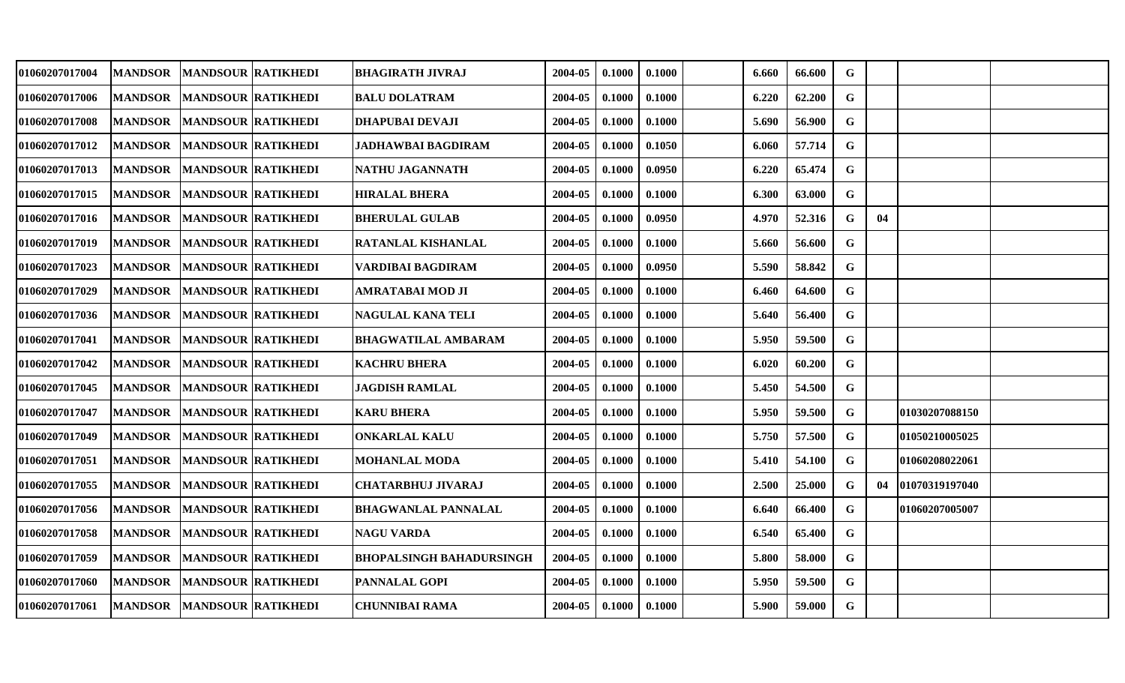| 01060207017004 | <b>MANDSOR</b> | <b>MANDSOUR RATIKHEDI</b> | <b>BHAGIRATH JIVRAJ</b>         | 2004-05 | 0.1000 | 0.1000 | 6.660 | 66.600 | G            |    |                |  |
|----------------|----------------|---------------------------|---------------------------------|---------|--------|--------|-------|--------|--------------|----|----------------|--|
| 01060207017006 | <b>MANDSOR</b> | <b>MANDSOUR RATIKHEDI</b> | <b>BALU DOLATRAM</b>            | 2004-05 | 0.1000 | 0.1000 | 6.220 | 62.200 | G            |    |                |  |
| 01060207017008 | <b>MANDSOR</b> | <b>MANDSOUR RATIKHEDI</b> | <b>DHAPUBAI DEVAJI</b>          | 2004-05 | 0.1000 | 0.1000 | 5.690 | 56.900 | G            |    |                |  |
| 01060207017012 | <b>MANDSOR</b> | <b>MANDSOUR RATIKHEDI</b> | <b>JADHAWBAI BAGDIRAM</b>       | 2004-05 | 0.1000 | 0.1050 | 6.060 | 57.714 | $\mathbf G$  |    |                |  |
| 01060207017013 | <b>MANDSOR</b> | <b>MANDSOUR RATIKHEDI</b> | NATHU JAGANNATH                 | 2004-05 | 0.1000 | 0.0950 | 6.220 | 65.474 | $\mathbf G$  |    |                |  |
| 01060207017015 | <b>MANDSOR</b> | <b>MANDSOUR RATIKHEDI</b> | <b>HIRALAL BHERA</b>            | 2004-05 | 0.1000 | 0.1000 | 6.300 | 63.000 | $\mathbf G$  |    |                |  |
| 01060207017016 | <b>MANDSOR</b> | <b>MANDSOUR RATIKHEDI</b> | <b>BHERULAL GULAB</b>           | 2004-05 | 0.1000 | 0.0950 | 4.970 | 52.316 | G            | 04 |                |  |
| 01060207017019 | <b>MANDSOR</b> | <b>MANDSOUR RATIKHEDI</b> | RATANLAL KISHANLAL              | 2004-05 | 0.1000 | 0.1000 | 5.660 | 56.600 | G            |    |                |  |
| 01060207017023 | <b>MANDSOR</b> | <b>MANDSOUR RATIKHEDI</b> | VARDIBAI BAGDIRAM               | 2004-05 | 0.1000 | 0.0950 | 5.590 | 58.842 | G            |    |                |  |
| 01060207017029 | <b>MANDSOR</b> | <b>MANDSOUR RATIKHEDI</b> | AMRATABAI MOD JI                | 2004-05 | 0.1000 | 0.1000 | 6.460 | 64.600 | $\mathbf G$  |    |                |  |
| 01060207017036 | <b>MANDSOR</b> | <b>MANDSOUR RATIKHEDI</b> | <b>NAGULAL KANA TELI</b>        | 2004-05 | 0.1000 | 0.1000 | 5.640 | 56.400 | G            |    |                |  |
| 01060207017041 | <b>MANDSOR</b> | <b>MANDSOUR RATIKHEDI</b> | <b>BHAGWATILAL AMBARAM</b>      | 2004-05 | 0.1000 | 0.1000 | 5.950 | 59.500 | $\mathbf{G}$ |    |                |  |
| 01060207017042 | <b>MANDSOR</b> | <b>MANDSOUR RATIKHEDI</b> | <b>KACHRU BHERA</b>             | 2004-05 | 0.1000 | 0.1000 | 6.020 | 60.200 | G            |    |                |  |
| 01060207017045 | <b>MANDSOR</b> | <b>MANDSOUR RATIKHEDI</b> | <b>JAGDISH RAMLAL</b>           | 2004-05 | 0.1000 | 0.1000 | 5.450 | 54.500 | $\mathbf G$  |    |                |  |
| 01060207017047 | <b>MANDSOR</b> | <b>MANDSOUR RATIKHEDI</b> | <b>KARU BHERA</b>               | 2004-05 | 0.1000 | 0.1000 | 5.950 | 59.500 | G            |    | 01030207088150 |  |
| 01060207017049 | <b>MANDSOR</b> | <b>MANDSOUR RATIKHEDI</b> | <b>ONKARLAL KALU</b>            | 2004-05 | 0.1000 | 0.1000 | 5.750 | 57.500 | G            |    | 01050210005025 |  |
| 01060207017051 | <b>MANDSOR</b> | <b>MANDSOUR RATIKHEDI</b> | <b>MOHANLAL MODA</b>            | 2004-05 | 0.1000 | 0.1000 | 5.410 | 54.100 | G            |    | 01060208022061 |  |
| 01060207017055 | <b>MANDSOR</b> | <b>MANDSOUR RATIKHEDI</b> | <b>CHATARBHUJ JIVARAJ</b>       | 2004-05 | 0.1000 | 0.1000 | 2.500 | 25.000 | G            | 04 | 01070319197040 |  |
| 01060207017056 | <b>MANDSOR</b> | <b>MANDSOUR RATIKHEDI</b> | <b>BHAGWANLAL PANNALAL</b>      | 2004-05 | 0.1000 | 0.1000 | 6.640 | 66.400 | G            |    | 01060207005007 |  |
| 01060207017058 | <b>MANDSOR</b> | <b>MANDSOUR RATIKHEDI</b> | <b>NAGU VARDA</b>               | 2004-05 | 0.1000 | 0.1000 | 6.540 | 65.400 | $\mathbf G$  |    |                |  |
| 01060207017059 | <b>MANDSOR</b> | <b>MANDSOUR RATIKHEDI</b> | <b>BHOPALSINGH BAHADURSINGH</b> | 2004-05 | 0.1000 | 0.1000 | 5.800 | 58.000 | G            |    |                |  |
| 01060207017060 | <b>MANDSOR</b> | <b>MANDSOUR RATIKHEDI</b> | <b>PANNALAL GOPI</b>            | 2004-05 | 0.1000 | 0.1000 | 5.950 | 59.500 | G            |    |                |  |
| 01060207017061 | <b>MANDSOR</b> | <b>MANDSOUR RATIKHEDI</b> | <b>CHUNNIBAI RAMA</b>           | 2004-05 | 0.1000 | 0.1000 | 5.900 | 59.000 | G            |    |                |  |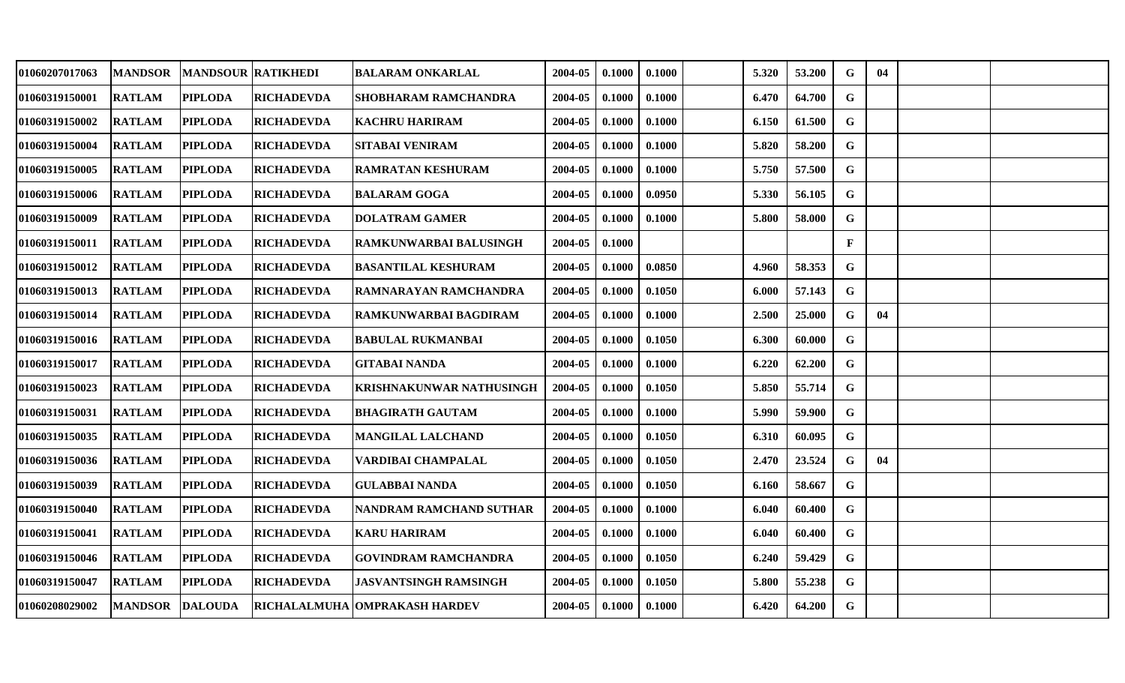| 01060207017063 | <b>MANDSOR</b> | <b>MANDSOUR RATIKHEDI</b> |                   | <b>BALARAM ONKARLAL</b>                         | 2004-05 | 0.1000 | 0.1000 | 5.320 | 53.200 | G           | 04 |  |
|----------------|----------------|---------------------------|-------------------|-------------------------------------------------|---------|--------|--------|-------|--------|-------------|----|--|
| 01060319150001 | <b>RATLAM</b>  | <b>PIPLODA</b>            | <b>RICHADEVDA</b> | SHOBHARAM RAMCHANDRA                            | 2004-05 | 0.1000 | 0.1000 | 6.470 | 64.700 | $\mathbf G$ |    |  |
| 01060319150002 | <b>RATLAM</b>  | <b>PIPLODA</b>            | <b>RICHADEVDA</b> | <b>KACHRU HARIRAM</b>                           | 2004-05 | 0.1000 | 0.1000 | 6.150 | 61.500 | $\mathbf G$ |    |  |
| 01060319150004 | <b>RATLAM</b>  | <b>PIPLODA</b>            | <b>RICHADEVDA</b> | <b>SITABAI VENIRAM</b>                          | 2004-05 | 0.1000 | 0.1000 | 5.820 | 58.200 | $\mathbf G$ |    |  |
| 01060319150005 | <b>RATLAM</b>  | <b>PIPLODA</b>            | <b>RICHADEVDA</b> | <b>RAMRATAN KESHURAM</b>                        | 2004-05 | 0.1000 | 0.1000 | 5.750 | 57.500 | G           |    |  |
| 01060319150006 | <b>RATLAM</b>  | <b>PIPLODA</b>            | <b>RICHADEVDA</b> | <b>BALARAM GOGA</b>                             | 2004-05 | 0.1000 | 0.0950 | 5.330 | 56.105 | G           |    |  |
| 01060319150009 | <b>RATLAM</b>  | <b>PIPLODA</b>            | <b>RICHADEVDA</b> | <b>DOLATRAM GAMER</b>                           | 2004-05 | 0.1000 | 0.1000 | 5.800 | 58.000 | $\mathbf G$ |    |  |
| 01060319150011 | <b>RATLAM</b>  | <b>PIPLODA</b>            | <b>RICHADEVDA</b> | RAMKUNWARBAI BALUSINGH                          | 2004-05 | 0.1000 |        |       |        | F           |    |  |
| 01060319150012 | <b>RATLAM</b>  | <b>PIPLODA</b>            | <b>RICHADEVDA</b> | <b>BASANTILAL KESHURAM</b>                      | 2004-05 | 0.1000 | 0.0850 | 4.960 | 58.353 | $\mathbf G$ |    |  |
| 01060319150013 | <b>RATLAM</b>  | <b>PIPLODA</b>            | <b>RICHADEVDA</b> | RAMNARAYAN RAMCHANDRA                           | 2004-05 | 0.1000 | 0.1050 | 6.000 | 57.143 | G           |    |  |
| 01060319150014 | <b>RATLAM</b>  | <b>PIPLODA</b>            | <b>RICHADEVDA</b> | RAMKUNWARBAI BAGDIRAM                           | 2004-05 | 0.1000 | 0.1000 | 2.500 | 25.000 | G           | 04 |  |
| 01060319150016 | <b>RATLAM</b>  | <b>PIPLODA</b>            | <b>RICHADEVDA</b> | <b>BABULAL RUKMANBAI</b>                        | 2004-05 | 0.1000 | 0.1050 | 6.300 | 60.000 | $\mathbf G$ |    |  |
| 01060319150017 | <b>RATLAM</b>  | <b>PIPLODA</b>            | <b>RICHADEVDA</b> | <b>GITABAI NANDA</b>                            | 2004-05 | 0.1000 | 0.1000 | 6.220 | 62.200 | $\mathbf G$ |    |  |
| 01060319150023 | <b>RATLAM</b>  | <b>PIPLODA</b>            | <b>RICHADEVDA</b> | KRISHNAKUNWAR NATHUSINGH                        | 2004-05 | 0.1000 | 0.1050 | 5.850 | 55.714 | G           |    |  |
| 01060319150031 | <b>RATLAM</b>  | <b>PIPLODA</b>            | <b>RICHADEVDA</b> | <b>BHAGIRATH GAUTAM</b>                         | 2004-05 | 0.1000 | 0.1000 | 5.990 | 59.900 | $\mathbf G$ |    |  |
| 01060319150035 | <b>RATLAM</b>  | <b>PIPLODA</b>            | <b>RICHADEVDA</b> | MANGILAL LALCHAND                               | 2004-05 | 0.1000 | 0.1050 | 6.310 | 60.095 | G           |    |  |
| 01060319150036 | <b>RATLAM</b>  | <b>PIPLODA</b>            | <b>RICHADEVDA</b> | VARDIBAI CHAMPALAL                              | 2004-05 | 0.1000 | 0.1050 | 2.470 | 23.524 | G           | 04 |  |
| 01060319150039 | <b>RATLAM</b>  | <b>PIPLODA</b>            | <b>RICHADEVDA</b> | <b>GULABBAI NANDA</b>                           | 2004-05 | 0.1000 | 0.1050 | 6.160 | 58.667 | G           |    |  |
| 01060319150040 | <b>RATLAM</b>  | <b>PIPLODA</b>            | <b>RICHADEVDA</b> | <b>NANDRAM RAMCHAND SUTHAR</b>                  | 2004-05 | 0.1000 | 0.1000 | 6.040 | 60.400 | G           |    |  |
| 01060319150041 | <b>RATLAM</b>  | <b>PIPLODA</b>            | <b>RICHADEVDA</b> | <b>KARU HARIRAM</b>                             | 2004-05 | 0.1000 | 0.1000 | 6.040 | 60.400 | G           |    |  |
| 01060319150046 | <b>RATLAM</b>  | <b>PIPLODA</b>            | <b>RICHADEVDA</b> | <b>GOVINDRAM RAMCHANDRA</b>                     | 2004-05 | 0.1000 | 0.1050 | 6.240 | 59.429 | G           |    |  |
| 01060319150047 | <b>RATLAM</b>  | <b>PIPLODA</b>            | <b>RICHADEVDA</b> | <b>JASVANTSINGH RAMSINGH</b>                    | 2004-05 | 0.1000 | 0.1050 | 5.800 | 55.238 | G           |    |  |
| 01060208029002 |                |                           |                   | MANDSOR  DALOUDA  RICHALALMUHA OMPRAKASH HARDEV | 2004-05 | 0.1000 | 0.1000 | 6.420 | 64.200 | $\mathbf G$ |    |  |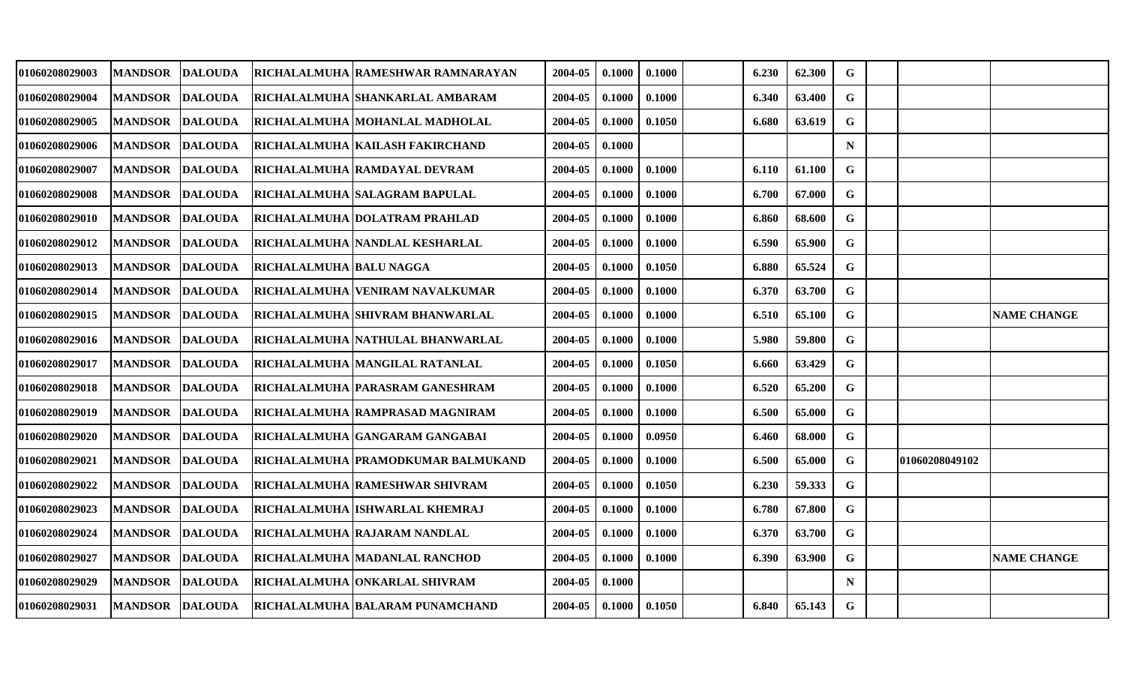| 01060208029003 | <b>MANDSOR</b> | <b>DALOUDA</b> |                                | RICHALALMUHA RAMESHWAR RAMNARAYAN               | 2004-05 | 0.1000 | 0.1000 | 6.230 | 62.300 | G           |                |                    |
|----------------|----------------|----------------|--------------------------------|-------------------------------------------------|---------|--------|--------|-------|--------|-------------|----------------|--------------------|
| 01060208029004 | <b>MANDSOR</b> | <b>DALOUDA</b> |                                | RICHALALMUHA SHANKARLAL AMBARAM                 | 2004-05 | 0.1000 | 0.1000 | 6.340 | 63.400 | G           |                |                    |
| 01060208029005 | <b>MANDSOR</b> | <b>DALOUDA</b> |                                | <b>RICHALALMUHA MOHANLAL MADHOLAL</b>           | 2004-05 | 0.1000 | 0.1050 | 6.680 | 63.619 | $\mathbf G$ |                |                    |
| 01060208029006 | <b>MANDSOR</b> | <b>DALOUDA</b> |                                | RICHALALMUHA KAILASH FAKIRCHAND                 | 2004-05 | 0.1000 |        |       |        | $\mathbf N$ |                |                    |
| 01060208029007 | <b>MANDSOR</b> | <b>DALOUDA</b> |                                | RICHALALMUHA RAMDAYAL DEVRAM                    | 2004-05 | 0.1000 | 0.1000 | 6.110 | 61.100 | $\mathbf G$ |                |                    |
| 01060208029008 | <b>MANDSOR</b> | <b>DALOUDA</b> |                                | <b>RICHALALMUHA SALAGRAM BAPULAL</b>            | 2004-05 | 0.1000 | 0.1000 | 6.700 | 67.000 | G           |                |                    |
| 01060208029010 | <b>MANDSOR</b> | <b>DALOUDA</b> |                                | RICHALALMUHA  DOLATRAM PRAHLAD                  | 2004-05 | 0.1000 | 0.1000 | 6.860 | 68.600 | $\mathbf G$ |                |                    |
| 01060208029012 | <b>MANDSOR</b> | <b>DALOUDA</b> |                                | <b>RICHALALMUHA NANDLAL KESHARLAL</b>           | 2004-05 | 0.1000 | 0.1000 | 6.590 | 65.900 | G           |                |                    |
| 01060208029013 | <b>MANDSOR</b> | <b>DALOUDA</b> | <b>RICHALALMUHA BALU NAGGA</b> |                                                 | 2004-05 | 0.1000 | 0.1050 | 6.880 | 65.524 | $\mathbf G$ |                |                    |
| 01060208029014 | <b>MANDSOR</b> | <b>DALOUDA</b> |                                | RICHALALMUHA VENIRAM NAVALKUMAR                 | 2004-05 | 0.1000 | 0.1000 | 6.370 | 63.700 | G           |                |                    |
| 01060208029015 | <b>MANDSOR</b> | <b>DALOUDA</b> |                                | <b>RICHALALMUHA SHIVRAM BHANWARLAL</b>          | 2004-05 | 0.1000 | 0.1000 | 6.510 | 65.100 | $\mathbf G$ |                | <b>NAME CHANGE</b> |
| 01060208029016 | <b>MANDSOR</b> | <b>DALOUDA</b> |                                | RICHALALMUHA NATHULAL BHANWARLAL                | 2004-05 | 0.1000 | 0.1000 | 5.980 | 59.800 | G           |                |                    |
| 01060208029017 | <b>MANDSOR</b> | <b>DALOUDA</b> |                                | RICHALALMUHA MANGILAL RATANLAL                  | 2004-05 | 0.1000 | 0.1050 | 6.660 | 63.429 | $\mathbf G$ |                |                    |
| 01060208029018 | <b>MANDSOR</b> | <b>DALOUDA</b> |                                | RICHALALMUHA PARASRAM GANESHRAM                 | 2004-05 | 0.1000 | 0.1000 | 6.520 | 65.200 | G           |                |                    |
| 01060208029019 | <b>MANDSOR</b> | <b>DALOUDA</b> |                                | <b>RICHALALMUHA RAMPRASAD MAGNIRAM</b>          | 2004-05 | 0.1000 | 0.1000 | 6.500 | 65.000 | G           |                |                    |
| 01060208029020 | <b>MANDSOR</b> | <b>DALOUDA</b> |                                | RICHALALMUHA GANGARAM GANGABAI                  | 2004-05 | 0.1000 | 0.0950 | 6.460 | 68.000 | G           |                |                    |
| 01060208029021 | <b>MANDSOR</b> | <b>DALOUDA</b> |                                | RICHALALMUHA PRAMODKUMAR BALMUKAND              | 2004-05 | 0.1000 | 0.1000 | 6.500 | 65.000 | G           | 01060208049102 |                    |
| 01060208029022 | <b>MANDSOR</b> | <b>DALOUDA</b> |                                | RICHALALMUHA RAMESHWAR SHIVRAM                  | 2004-05 | 0.1000 | 0.1050 | 6.230 | 59.333 | G           |                |                    |
| 01060208029023 | <b>MANDSOR</b> | <b>DALOUDA</b> |                                | <b>RICHALALMUHA ISHWARLAL KHEMRAJ</b>           | 2004-05 | 0.1000 | 0.1000 | 6.780 | 67.800 | G           |                |                    |
| 01060208029024 | <b>MANDSOR</b> | <b>DALOUDA</b> |                                | RICHALALMUHA RAJARAM NANDLAL                    | 2004-05 | 0.1000 | 0.1000 | 6.370 | 63.700 | $\mathbf G$ |                |                    |
| 01060208029027 | <b>MANDSOR</b> | <b>DALOUDA</b> |                                | RICHALALMUHA MADANLAL RANCHOD                   | 2004-05 | 0.1000 | 0.1000 | 6.390 | 63.900 | G           |                | <b>NAME CHANGE</b> |
| 01060208029029 | <b>MANDSOR</b> | <b>DALOUDA</b> |                                | RICHALALMUHA ONKARLAL SHIVRAM                   | 2004-05 | 0.1000 |        |       |        | $\mathbf N$ |                |                    |
| 01060208029031 |                |                |                                | MANDSOR DALOUDA RICHALALMUHA BALARAM PUNAMCHAND | 2004-05 | 0.1000 | 0.1050 | 6.840 | 65.143 | G           |                |                    |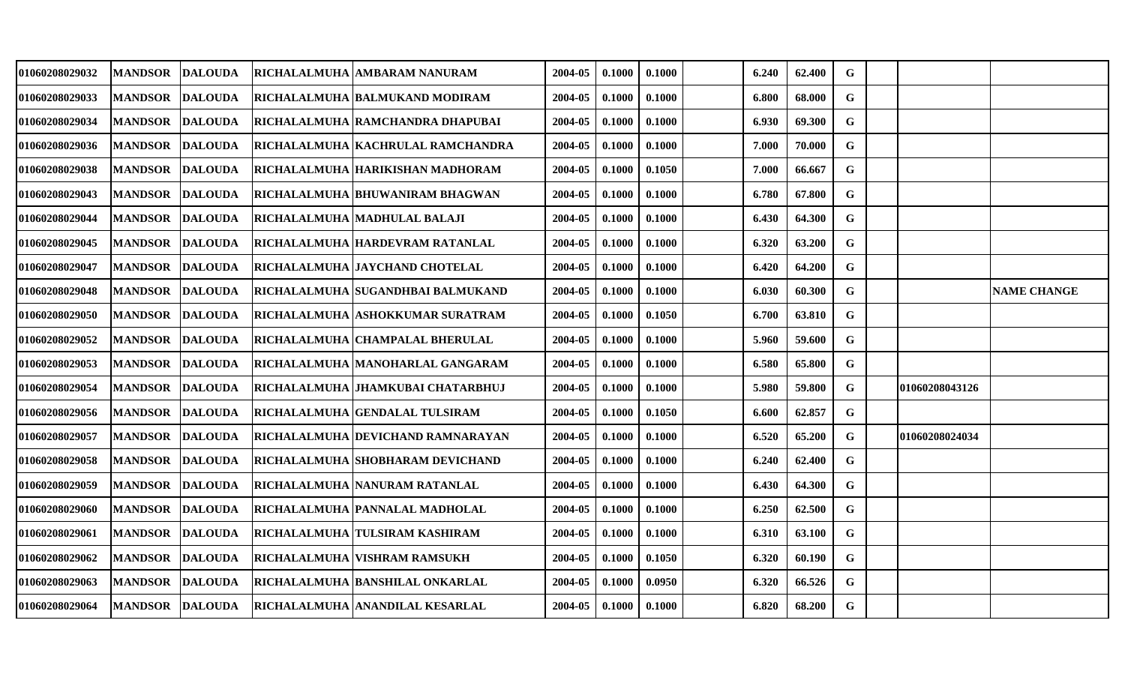| 01060208029032        | <b>MANDSOR</b> | <b>DALOUDA</b> | <b>RICHALALMUHA</b> | <b>AMBARAM NANURAM</b>                   | 2004-05 | 0.1000 | 0.1000 | 6.240 | 62.400 | G           |                |                    |
|-----------------------|----------------|----------------|---------------------|------------------------------------------|---------|--------|--------|-------|--------|-------------|----------------|--------------------|
| 01060208029033        | <b>MANDSOR</b> | <b>DALOUDA</b> |                     | <b>RICHALALMUHA BALMUKAND MODIRAM</b>    | 2004-05 | 0.1000 | 0.1000 | 6.800 | 68.000 | $\mathbf G$ |                |                    |
| <b>01060208029034</b> | <b>MANDSOR</b> | <b>DALOUDA</b> |                     | RICHALALMUHA  RAMCHANDRA DHAPUBAI        | 2004-05 | 0.1000 | 0.1000 | 6.930 | 69.300 | $\mathbf G$ |                |                    |
| 01060208029036        | <b>MANDSOR</b> | <b>DALOUDA</b> |                     | RICHALALMUHA  KACHRULAL RAMCHANDRA       | 2004-05 | 0.1000 | 0.1000 | 7.000 | 70.000 | G           |                |                    |
| <b>01060208029038</b> | <b>MANDSOR</b> | <b>DALOUDA</b> |                     | RICHALALMUHA HARIKISHAN MADHORAM         | 2004-05 | 0.1000 | 0.1050 | 7.000 | 66.667 | $\mathbf G$ |                |                    |
| 01060208029043        | <b>MANDSOR</b> | <b>DALOUDA</b> |                     | RICHALALMUHA BHUWANIRAM BHAGWAN          | 2004-05 | 0.1000 | 0.1000 | 6.780 | 67.800 | $\mathbf G$ |                |                    |
| 01060208029044        | <b>MANDSOR</b> | <b>DALOUDA</b> |                     | RICHALALMUHA  MADHULAL BALAJI            | 2004-05 | 0.1000 | 0.1000 | 6.430 | 64.300 | G           |                |                    |
| 01060208029045        | <b>MANDSOR</b> | <b>DALOUDA</b> |                     | RICHALALMUHA HARDEVRAM RATANLAL          | 2004-05 | 0.1000 | 0.1000 | 6.320 | 63.200 | $\mathbf G$ |                |                    |
| 01060208029047        | <b>MANDSOR</b> | <b>DALOUDA</b> |                     | RICHALALMUHA JAYCHAND CHOTELAL           | 2004-05 | 0.1000 | 0.1000 | 6.420 | 64.200 | G           |                |                    |
| 01060208029048        | <b>MANDSOR</b> | <b>DALOUDA</b> |                     | RICHALALMUHA  SUGANDHBAI BALMUKAND       | 2004-05 | 0.1000 | 0.1000 | 6.030 | 60.300 | G           |                | <b>NAME CHANGE</b> |
| 01060208029050        | <b>MANDSOR</b> | <b>DALOUDA</b> |                     | RICHALALMUHA ASHOKKUMAR SURATRAM         | 2004-05 | 0.1000 | 0.1050 | 6.700 | 63.810 | G           |                |                    |
| 01060208029052        | <b>MANDSOR</b> | <b>DALOUDA</b> |                     | RICHALALMUHA CHAMPALAL BHERULAL          | 2004-05 | 0.1000 | 0.1000 | 5.960 | 59.600 | $\mathbf G$ |                |                    |
| 01060208029053        | <b>MANDSOR</b> | <b>DALOUDA</b> |                     | RICHALALMUHA  MANOHARLAL GANGARAM        | 2004-05 | 0.1000 | 0.1000 | 6.580 | 65.800 | $\mathbf G$ |                |                    |
| 01060208029054        | <b>MANDSOR</b> | <b>DALOUDA</b> |                     | RICHALALMUHA JHAMKUBAI CHATARBHUJ        | 2004-05 | 0.1000 | 0.1000 | 5.980 | 59.800 | G           | 01060208043126 |                    |
| <b>01060208029056</b> | <b>MANDSOR</b> | <b>DALOUDA</b> |                     | RICHALALMUHA  GENDALAL TULSIRAM          | 2004-05 | 0.1000 | 0.1050 | 6.600 | 62.857 | $\mathbf G$ |                |                    |
| 01060208029057        | <b>MANDSOR</b> | <b>DALOUDA</b> |                     | <b>RICHALALMUHA DEVICHAND RAMNARAYAN</b> | 2004-05 | 0.1000 | 0.1000 | 6.520 | 65.200 | G           | 01060208024034 |                    |
| 01060208029058        | <b>MANDSOR</b> | <b>DALOUDA</b> |                     | <b>RICHALALMUHA SHOBHARAM DEVICHAND</b>  | 2004-05 | 0.1000 | 0.1000 | 6.240 | 62.400 | G           |                |                    |
| 01060208029059        | <b>MANDSOR</b> | <b>DALOUDA</b> |                     | RICHALALMUHA NANURAM RATANLAL            | 2004-05 | 0.1000 | 0.1000 | 6.430 | 64.300 | $\mathbf G$ |                |                    |
| 01060208029060        | <b>MANDSOR</b> | <b>DALOUDA</b> |                     | RICHALALMUHA  PANNALAL MADHOLAL          | 2004-05 | 0.1000 | 0.1000 | 6.250 | 62.500 | ${\bf G}$   |                |                    |
| 01060208029061        | <b>MANDSOR</b> | <b>DALOUDA</b> |                     | RICHALALMUHA TULSIRAM KASHIRAM           | 2004-05 | 0.1000 | 0.1000 | 6.310 | 63.100 | G           |                |                    |
| 01060208029062        | <b>MANDSOR</b> | <b>DALOUDA</b> |                     | RICHALALMUHA  VISHRAM RAMSUKH            | 2004-05 | 0.1000 | 0.1050 | 6.320 | 60.190 | G           |                |                    |
| 01060208029063        | <b>MANDSOR</b> | <b>DALOUDA</b> |                     | RICHALALMUHA  BANSHILAL ONKARLAL         | 2004-05 | 0.1000 | 0.0950 | 6.320 | 66.526 | G           |                |                    |
| <b>01060208029064</b> | <b>MANDSOR</b> | <b>DALOUDA</b> |                     | RICHALALMUHA ANANDILAL KESARLAL          | 2004-05 | 0.1000 | 0.1000 | 6.820 | 68.200 | G           |                |                    |
|                       |                |                |                     |                                          |         |        |        |       |        |             |                |                    |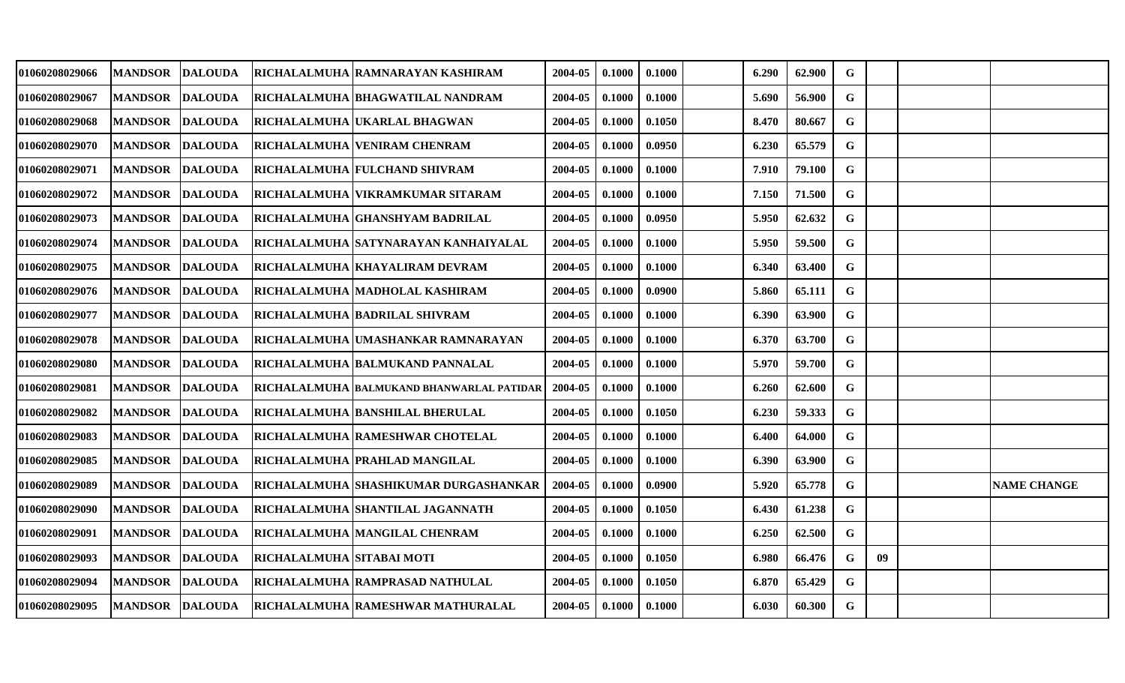| 01060208029066        | <b>MANDSOR</b> | <b>DALOUDA</b> |                            | RICHALALMUHA  RAMNARAYAN KASHIRAM            | 2004-05 | 0.1000 | 0.1000 | 6.290 | 62.900 | G           |    |                    |
|-----------------------|----------------|----------------|----------------------------|----------------------------------------------|---------|--------|--------|-------|--------|-------------|----|--------------------|
| 01060208029067        | <b>MANDSOR</b> | <b>DALOUDA</b> |                            | RICHALALMUHA BHAGWATILAL NANDRAM             | 2004-05 | 0.1000 | 0.1000 | 5.690 | 56.900 | $\mathbf G$ |    |                    |
| <b>01060208029068</b> | <b>MANDSOR</b> | <b>DALOUDA</b> |                            | RICHALALMUHA  UKARLAL BHAGWAN                | 2004-05 | 0.1000 | 0.1050 | 8.470 | 80.667 | $\mathbf G$ |    |                    |
| 01060208029070        | <b>MANDSOR</b> | <b>DALOUDA</b> |                            | <b>RICHALALMUHA  VENIRAM CHENRAM</b>         | 2004-05 | 0.1000 | 0.0950 | 6.230 | 65.579 | G           |    |                    |
| <b>01060208029071</b> | <b>MANDSOR</b> | <b>DALOUDA</b> |                            | <b>RICHALALMUHA FULCHAND SHIVRAM</b>         | 2004-05 | 0.1000 | 0.1000 | 7.910 | 79.100 | $\mathbf G$ |    |                    |
| 01060208029072        | <b>MANDSOR</b> | <b>DALOUDA</b> |                            | RICHALALMUHA VIKRAMKUMAR SITARAM             | 2004-05 | 0.1000 | 0.1000 | 7.150 | 71.500 | $\mathbf G$ |    |                    |
| 01060208029073        | <b>MANDSOR</b> | <b>DALOUDA</b> |                            | RICHALALMUHA GHANSHYAM BADRILAL              | 2004-05 | 0.1000 | 0.0950 | 5.950 | 62.632 | G           |    |                    |
| <b>01060208029074</b> | <b>MANDSOR</b> | <b>DALOUDA</b> |                            | RICHALALMUHA SATYNARAYAN KANHAIYALAL         | 2004-05 | 0.1000 | 0.1000 | 5.950 | 59.500 | $\mathbf G$ |    |                    |
| <b>01060208029075</b> | <b>MANDSOR</b> | <b>DALOUDA</b> |                            | RICHALALMUHA KHAYALIRAM DEVRAM               | 2004-05 | 0.1000 | 0.1000 | 6.340 | 63.400 | $\mathbf G$ |    |                    |
| 01060208029076        | <b>MANDSOR</b> | <b>DALOUDA</b> |                            | RICHALALMUHA  MADHOLAL KASHIRAM              | 2004-05 | 0.1000 | 0.0900 | 5.860 | 65.111 | G           |    |                    |
| <b>01060208029077</b> | <b>MANDSOR</b> | <b>DALOUDA</b> |                            | <b>RICHALALMUHA BADRILAL SHIVRAM</b>         | 2004-05 | 0.1000 | 0.1000 | 6.390 | 63.900 | G           |    |                    |
| 01060208029078        | <b>MANDSOR</b> | <b>DALOUDA</b> |                            | RICHALALMUHA  UMASHANKAR RAMNARAYAN          | 2004-05 | 0.1000 | 0.1000 | 6.370 | 63.700 | $\mathbf G$ |    |                    |
| 01060208029080        | <b>MANDSOR</b> | <b>DALOUDA</b> |                            | RICHALALMUHA  BALMUKAND PANNALAL             | 2004-05 | 0.1000 | 0.1000 | 5.970 | 59.700 | ${\bf G}$   |    |                    |
| 01060208029081        | <b>MANDSOR</b> | <b>DALOUDA</b> |                            | RICHALALMUHA BALMUKAND BHANWARLAL PATIDAR    | 2004-05 | 0.1000 | 0.1000 | 6.260 | 62.600 | G           |    |                    |
| 01060208029082        | <b>MANDSOR</b> | <b>DALOUDA</b> |                            | RICHALALMUHA  BANSHILAL BHERULAL             | 2004-05 | 0.1000 | 0.1050 | 6.230 | 59.333 | $\mathbf G$ |    |                    |
| 01060208029083        | <b>MANDSOR</b> | <b>DALOUDA</b> |                            | RICHALALMUHA  RAMESHWAR CHOTELAL             | 2004-05 | 0.1000 | 0.1000 | 6.400 | 64.000 | $\mathbf G$ |    |                    |
| 01060208029085        | <b>MANDSOR</b> | <b>DALOUDA</b> |                            | <b>RICHALALMUHA PRAHLAD MANGILAL</b>         | 2004-05 | 0.1000 | 0.1000 | 6.390 | 63.900 | G           |    |                    |
| 01060208029089        | <b>MANDSOR</b> | <b>DALOUDA</b> |                            | <b>RICHALALMUHA SHASHIKUMAR DURGASHANKAR</b> | 2004-05 | 0.1000 | 0.0900 | 5.920 | 65.778 | $\mathbf G$ |    | <b>NAME CHANGE</b> |
| 01060208029090        | <b>MANDSOR</b> | <b>DALOUDA</b> |                            | RICHALALMUHA  SHANTILAL JAGANNATH            | 2004-05 | 0.1000 | 0.1050 | 6.430 | 61.238 | ${\bf G}$   |    |                    |
| 01060208029091        | <b>MANDSOR</b> | <b>DALOUDA</b> |                            | RICHALALMUHA MANGILAL CHENRAM                | 2004-05 | 0.1000 | 0.1000 | 6.250 | 62.500 | $\mathbf G$ |    |                    |
| 01060208029093        | <b>MANDSOR</b> | <b>DALOUDA</b> | RICHALALMUHA  SITABAI MOTI |                                              | 2004-05 | 0.1000 | 0.1050 | 6.980 | 66.476 | G           | 09 |                    |
| 01060208029094        | <b>MANDSOR</b> | <b>DALOUDA</b> |                            | <b>RICHALALMUHA RAMPRASAD NATHULAL</b>       | 2004-05 | 0.1000 | 0.1050 | 6.870 | 65.429 | G           |    |                    |
| 01060208029095        | <b>MANDSOR</b> | <b>DALOUDA</b> |                            | RICHALALMUHA RAMESHWAR MATHURALAL            | 2004-05 | 0.1000 | 0.1000 | 6.030 | 60.300 | $\mathbf G$ |    |                    |
|                       |                |                |                            |                                              |         |        |        |       |        |             |    |                    |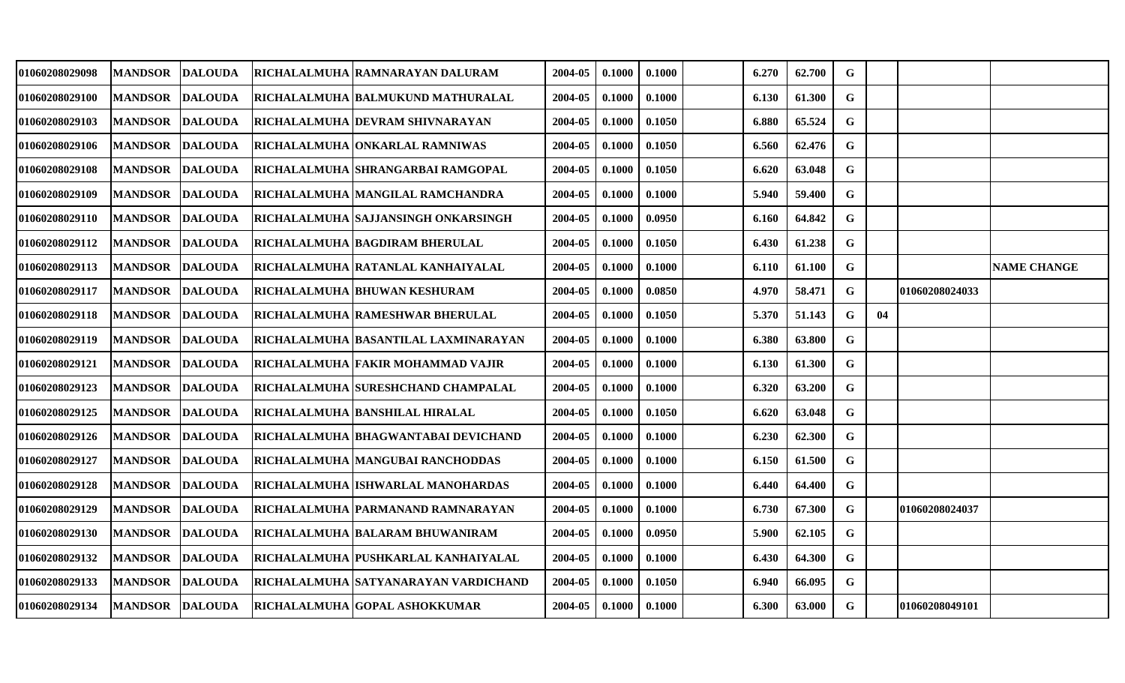| 01060208029098        | <b>MANDSOR</b>   | <b>DALOUDA</b> | RICHALALMUHA RAMNARAYAN DALURAM           | 2004-05 | 0.1000 | 0.1000 | 6.270 | 62.700 | G           |    |                |                    |
|-----------------------|------------------|----------------|-------------------------------------------|---------|--------|--------|-------|--------|-------------|----|----------------|--------------------|
| 01060208029100        | <b>MANDSOR</b>   | <b>DALOUDA</b> | RICHALALMUHA  BALMUKUND MATHURALAL        | 2004-05 | 0.1000 | 0.1000 | 6.130 | 61.300 | G           |    |                |                    |
| 01060208029103        | <b>MANDSOR</b>   | <b>DALOUDA</b> | RICHALALMUHA  DEVRAM SHIVNARAYAN          | 2004-05 | 0.1000 | 0.1050 | 6.880 | 65.524 | $\mathbf G$ |    |                |                    |
| <b>01060208029106</b> | <b>MANDSOR</b>   | <b>DALOUDA</b> | RICHALALMUHA  ONKARLAL RAMNIWAS           | 2004-05 | 0.1000 | 0.1050 | 6.560 | 62.476 | $\mathbf G$ |    |                |                    |
| 01060208029108        | <b>MANDSOR</b>   | <b>DALOUDA</b> | RICHALALMUHA  SHRANGARBAI RAMGOPAL        | 2004-05 | 0.1000 | 0.1050 | 6.620 | 63.048 | G           |    |                |                    |
| <b>01060208029109</b> | <b>MANDSOR</b>   | <b>DALOUDA</b> | RICHALALMUHA MANGILAL RAMCHANDRA          | 2004-05 | 0.1000 | 0.1000 | 5.940 | 59.400 | $\mathbf G$ |    |                |                    |
| 01060208029110        | <b>MANDSOR</b>   | <b>DALOUDA</b> | RICHALALMUHA  SAJJANSINGH ONKARSINGH      | 2004-05 | 0.1000 | 0.0950 | 6.160 | 64.842 | G           |    |                |                    |
| 01060208029112        | <b>MANDSOR</b>   | <b>DALOUDA</b> | RICHALALMUHA  BAGDIRAM BHERULAL           | 2004-05 | 0.1000 | 0.1050 | 6.430 | 61.238 | G           |    |                |                    |
| 01060208029113        | <b>MANDSOR</b>   | <b>DALOUDA</b> | RICHALALMUHA  RATANLAL KANHAIYALAL        | 2004-05 | 0.1000 | 0.1000 | 6.110 | 61.100 | $\mathbf G$ |    |                | <b>NAME CHANGE</b> |
| 01060208029117        | <b>MANDSOR</b>   | <b>DALOUDA</b> | <b>RICHALALMUHA BHUWAN KESHURAM</b>       | 2004-05 | 0.1000 | 0.0850 | 4.970 | 58.471 | G           |    | 01060208024033 |                    |
| 01060208029118        | <b>MANDSOR</b>   | <b>DALOUDA</b> | RICHALALMUHA RAMESHWAR BHERULAL           | 2004-05 | 0.1000 | 0.1050 | 5.370 | 51.143 | G           | 04 |                |                    |
| 01060208029119        | <b>MANDSOR</b>   | <b>DALOUDA</b> | RICHALALMUHA  BASANTILAL LAXMINARAYAN     | 2004-05 | 0.1000 | 0.1000 | 6.380 | 63.800 | G           |    |                |                    |
| <b>01060208029121</b> | <b>MANDSOR</b>   | <b>DALOUDA</b> | RICHALALMUHA FAKIR MOHAMMAD VAJIR         | 2004-05 | 0.1000 | 0.1000 | 6.130 | 61.300 | G           |    |                |                    |
| 01060208029123        | <b>MANDSOR</b>   | <b>DALOUDA</b> | <b>RICHALALMUHA SURESHCHAND CHAMPALAL</b> | 2004-05 | 0.1000 | 0.1000 | 6.320 | 63.200 | G           |    |                |                    |
| 01060208029125        | <b>MANDSOR</b>   | <b>DALOUDA</b> | RICHALALMUHA  BANSHILAL HIRALAL           | 2004-05 | 0.1000 | 0.1050 | 6.620 | 63.048 | $\mathbf G$ |    |                |                    |
| <b>01060208029126</b> | <b>MANDSOR</b>   | <b>DALOUDA</b> | RICHALALMUHA BHAGWANTABAI DEVICHAND       | 2004-05 | 0.1000 | 0.1000 | 6.230 | 62.300 | G           |    |                |                    |
| 01060208029127        | <b>MANDSOR</b>   | <b>DALOUDA</b> | RICHALALMUHA   MANGUBAI RANCHODDAS        | 2004-05 | 0.1000 | 0.1000 | 6.150 | 61.500 | G           |    |                |                    |
| <b>01060208029128</b> | <b>MANDSOR</b>   | <b>DALOUDA</b> | RICHALALMUHA  ISHWARLAL MANOHARDAS        | 2004-05 | 0.1000 | 0.1000 | 6.440 | 64.400 | $\mathbf G$ |    |                |                    |
| 01060208029129        | <b>MANDSOR</b>   | <b>DALOUDA</b> | RICHALALMUHA  PARMANAND RAMNARAYAN        | 2004-05 | 0.1000 | 0.1000 | 6.730 | 67.300 | G           |    | 01060208024037 |                    |
| 01060208029130        | <b>MANDSOR</b>   | <b>DALOUDA</b> | RICHALALMUHA  BALARAM BHUWANIRAM          | 2004-05 | 0.1000 | 0.0950 | 5.900 | 62.105 | $\mathbf G$ |    |                |                    |
| 01060208029132        | <b>MANDSOR</b>   | <b>DALOUDA</b> | RICHALALMUHA PUSHKARLAL KANHAIYALAL       | 2004-05 | 0.1000 | 0.1000 | 6.430 | 64.300 | $\mathbf G$ |    |                |                    |
| 01060208029133        | <b>MANDSOR</b>   | <b>DALOUDA</b> | RICHALALMUHA SATYANARAYAN VARDICHAND      | 2004-05 | 0.1000 | 0.1050 | 6.940 | 66.095 | $\mathbf G$ |    |                |                    |
| 01060208029134        | MANDSOR  DALOUDA |                | <b>RICHALALMUHA GOPAL ASHOKKUMAR</b>      | 2004-05 | 0.1000 | 0.1000 | 6.300 | 63.000 | G           |    | 01060208049101 |                    |
|                       |                  |                |                                           |         |        |        |       |        |             |    |                |                    |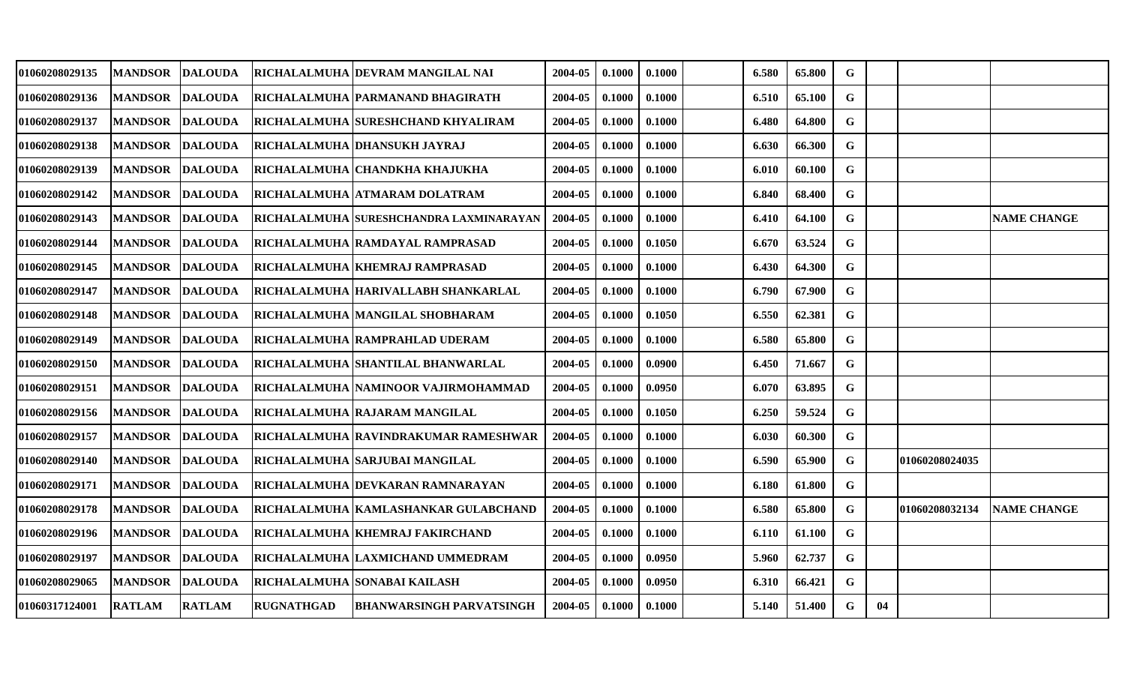| 01060208029135        | <b>MANDSOR</b> | <b>DALOUDA</b> | <b>RICHALALMUHA</b> | <b>IDEVRAM MANGILAL NAI</b>             | 2004-05 | 0.1000 | 0.1000 | 6.580 | 65.800 | G           |    |                |                    |
|-----------------------|----------------|----------------|---------------------|-----------------------------------------|---------|--------|--------|-------|--------|-------------|----|----------------|--------------------|
| 01060208029136        | <b>MANDSOR</b> | <b>DALOUDA</b> |                     | RICHALALMUHA PARMANAND BHAGIRATH        | 2004-05 | 0.1000 | 0.1000 | 6.510 | 65.100 | $\mathbf G$ |    |                |                    |
| <b>01060208029137</b> | <b>MANDSOR</b> | <b>DALOUDA</b> |                     | RICHALALMUHA  SURESHCHAND KHYALIRAM     | 2004-05 | 0.1000 | 0.1000 | 6.480 | 64.800 | $\mathbf G$ |    |                |                    |
| 01060208029138        | <b>MANDSOR</b> | <b>DALOUDA</b> |                     | RICHALALMUHA  DHANSUKH JAYRAJ           | 2004-05 | 0.1000 | 0.1000 | 6.630 | 66.300 | G           |    |                |                    |
| 01060208029139        | <b>MANDSOR</b> | <b>DALOUDA</b> |                     | <b>RICHALALMUHA  CHANDKHA KHAJUKHA</b>  | 2004-05 | 0.1000 | 0.1000 | 6.010 | 60.100 | $\mathbf G$ |    |                |                    |
| 01060208029142        | <b>MANDSOR</b> | <b>DALOUDA</b> |                     | RICHALALMUHA ATMARAM DOLATRAM           | 2004-05 | 0.1000 | 0.1000 | 6.840 | 68.400 | $\mathbf G$ |    |                |                    |
| 01060208029143        | <b>MANDSOR</b> | <b>DALOUDA</b> |                     | RICHALALMUHA SURESHCHANDRA LAXMINARAYAN | 2004-05 | 0.1000 | 0.1000 | 6.410 | 64.100 | G           |    |                | <b>NAME CHANGE</b> |
| 01060208029144        | <b>MANDSOR</b> | <b>DALOUDA</b> |                     | RICHALALMUHA RAMDAYAL RAMPRASAD         | 2004-05 | 0.1000 | 0.1050 | 6.670 | 63.524 | $\mathbf G$ |    |                |                    |
| 01060208029145        | <b>MANDSOR</b> | <b>DALOUDA</b> |                     | RICHALALMUHA   KHEMRAJ RAMPRASAD        | 2004-05 | 0.1000 | 0.1000 | 6.430 | 64.300 | $\mathbf G$ |    |                |                    |
| 01060208029147        | <b>MANDSOR</b> | <b>DALOUDA</b> |                     | RICHALALMUHA  HARIVALLABH SHANKARLAL    | 2004-05 | 0.1000 | 0.1000 | 6.790 | 67.900 | G           |    |                |                    |
| 01060208029148        | <b>MANDSOR</b> | <b>DALOUDA</b> |                     | RICHALALMUHA MANGILAL SHOBHARAM         | 2004-05 | 0.1000 | 0.1050 | 6.550 | 62.381 | G           |    |                |                    |
| 01060208029149        | <b>MANDSOR</b> | <b>DALOUDA</b> |                     | <b>RICHALALMUHA RAMPRAHLAD UDERAM</b>   | 2004-05 | 0.1000 | 0.1000 | 6.580 | 65.800 | $\mathbf G$ |    |                |                    |
| 01060208029150        | <b>MANDSOR</b> | <b>DALOUDA</b> |                     | RICHALALMUHA  SHANTILAL BHANWARLAL      | 2004-05 | 0.1000 | 0.0900 | 6.450 | 71.667 | $\mathbf G$ |    |                |                    |
| 01060208029151        | <b>MANDSOR</b> | <b>DALOUDA</b> |                     | RICHALALMUHA NAMINOOR VAJIRMOHAMMAD     | 2004-05 | 0.1000 | 0.0950 | 6.070 | 63.895 | G           |    |                |                    |
| <b>01060208029156</b> | <b>MANDSOR</b> | <b>DALOUDA</b> |                     | RICHALALMUHA  RAJARAM MANGILAL          | 2004-05 | 0.1000 | 0.1050 | 6.250 | 59.524 | $\mathbf G$ |    |                |                    |
| 01060208029157        | <b>MANDSOR</b> | <b>DALOUDA</b> |                     | RICHALALMUHA  RAVINDRAKUMAR RAMESHWAR   | 2004-05 | 0.1000 | 0.1000 | 6.030 | 60.300 | G           |    |                |                    |
| 01060208029140        | <b>MANDSOR</b> | <b>DALOUDA</b> |                     | RICHALALMUHA SARJUBAI MANGILAL          | 2004-05 | 0.1000 | 0.1000 | 6.590 | 65.900 | G           |    | 01060208024035 |                    |
| 01060208029171        | <b>MANDSOR</b> | <b>DALOUDA</b> |                     | RICHALALMUHA DEVKARAN RAMNARAYAN        | 2004-05 | 0.1000 | 0.1000 | 6.180 | 61.800 | G           |    |                |                    |
| 01060208029178        | <b>MANDSOR</b> | <b>DALOUDA</b> |                     | RICHALALMUHA  KAMLASHANKAR GULABCHAND   | 2004-05 | 0.1000 | 0.1000 | 6.580 | 65.800 | G           |    | 01060208032134 | <b>NAME CHANGE</b> |
| 01060208029196        | <b>MANDSOR</b> | <b>DALOUDA</b> |                     | <b>RICHALALMUHA KHEMRAJ FAKIRCHAND</b>  | 2004-05 | 0.1000 | 0.1000 | 6.110 | 61.100 | G           |    |                |                    |
| 01060208029197        | <b>MANDSOR</b> | <b>DALOUDA</b> |                     | RICHALALMUHA  LAXMICHAND UMMEDRAM       | 2004-05 | 0.1000 | 0.0950 | 5.960 | 62.737 | G           |    |                |                    |
| 01060208029065        | <b>MANDSOR</b> | <b>DALOUDA</b> |                     | RICHALALMUHA  SONABAI KAILASH           | 2004-05 | 0.1000 | 0.0950 | 6.310 | 66.421 | G           |    |                |                    |
| <b>01060317124001</b> | <b>RATLAM</b>  | <b>RATLAM</b>  | <b>RUGNATHGAD</b>   | <b>BHANWARSINGH PARVATSINGH</b>         | 2004-05 | 0.1000 | 0.1000 | 5.140 | 51.400 | G           | 04 |                |                    |
|                       |                |                |                     |                                         |         |        |        |       |        |             |    |                |                    |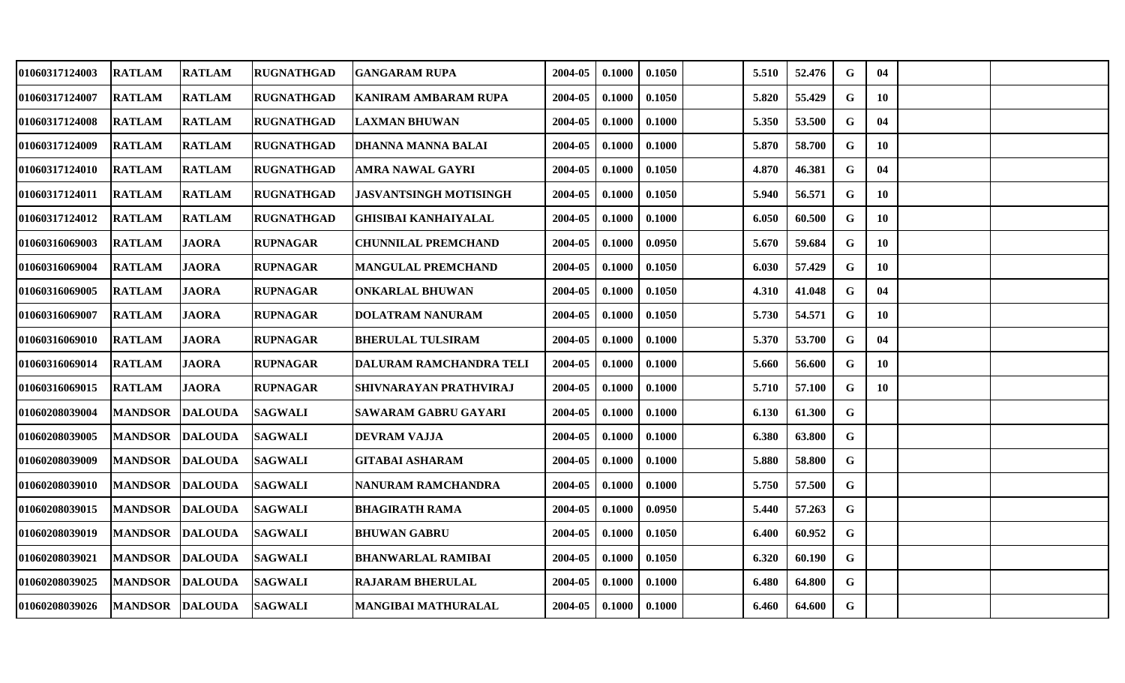| 01060317124003 | <b>RATLAM</b>   | <b>RATLAM</b>  | <b>RUGNATHGAD</b> | <b>GANGARAM RUPA</b>          | 2004-05 | 0.1000 | 0.1050 | 5.510 | 52.476 | G           | 04 |  |
|----------------|-----------------|----------------|-------------------|-------------------------------|---------|--------|--------|-------|--------|-------------|----|--|
| 01060317124007 | <b>RATLAM</b>   | <b>RATLAM</b>  | <b>RUGNATHGAD</b> | <b>KANIRAM AMBARAM RUPA</b>   | 2004-05 | 0.1000 | 0.1050 | 5.820 | 55.429 | G           | 10 |  |
| 01060317124008 | <b>RATLAM</b>   | <b>RATLAM</b>  | <b>RUGNATHGAD</b> | <b>LAXMAN BHUWAN</b>          | 2004-05 | 0.1000 | 0.1000 | 5.350 | 53.500 | G           | 04 |  |
| 01060317124009 | <b>RATLAM</b>   | <b>RATLAM</b>  | <b>RUGNATHGAD</b> | <b>DHANNA MANNA BALAI</b>     | 2004-05 | 0.1000 | 0.1000 | 5.870 | 58.700 | G           | 10 |  |
| 01060317124010 | <b>RATLAM</b>   | <b>RATLAM</b>  | <b>RUGNATHGAD</b> | <b>AMRA NAWAL GAYRI</b>       | 2004-05 | 0.1000 | 0.1050 | 4.870 | 46.381 | G           | 04 |  |
| 01060317124011 | <b>RATLAM</b>   | <b>RATLAM</b>  | <b>RUGNATHGAD</b> | <b>JASVANTSINGH MOTISINGH</b> | 2004-05 | 0.1000 | 0.1050 | 5.940 | 56.571 | G           | 10 |  |
| 01060317124012 | <b>RATLAM</b>   | <b>RATLAM</b>  | <b>RUGNATHGAD</b> | <b>GHISIBAI KANHAIYALAL</b>   | 2004-05 | 0.1000 | 0.1000 | 6.050 | 60.500 | G           | 10 |  |
| 01060316069003 | <b>RATLAM</b>   | <b>JAORA</b>   | <b>RUPNAGAR</b>   | <b>CHUNNILAL PREMCHAND</b>    | 2004-05 | 0.1000 | 0.0950 | 5.670 | 59.684 | G           | 10 |  |
| 01060316069004 | <b>RATLAM</b>   | <b>JAORA</b>   | <b>RUPNAGAR</b>   | <b>MANGULAL PREMCHAND</b>     | 2004-05 | 0.1000 | 0.1050 | 6.030 | 57.429 | $\mathbf G$ | 10 |  |
| 01060316069005 | <b>RATLAM</b>   | <b>JAORA</b>   | <b>RUPNAGAR</b>   | <b>ONKARLAL BHUWAN</b>        | 2004-05 | 0.1000 | 0.1050 | 4.310 | 41.048 | G           | 04 |  |
| 01060316069007 | <b>RATLAM</b>   | <b>JAORA</b>   | <b>RUPNAGAR</b>   | <b>DOLATRAM NANURAM</b>       | 2004-05 | 0.1000 | 0.1050 | 5.730 | 54.571 | G           | 10 |  |
| 01060316069010 | <b>RATLAM</b>   | <b>JAORA</b>   | <b>RUPNAGAR</b>   | <b>BHERULAL TULSIRAM</b>      | 2004-05 | 0.1000 | 0.1000 | 5.370 | 53.700 | G           | 04 |  |
| 01060316069014 | <b>RATLAM</b>   | <b>JAORA</b>   | <b>RUPNAGAR</b>   | DALURAM RAMCHANDRA TELI       | 2004-05 | 0.1000 | 0.1000 | 5.660 | 56.600 | G           | 10 |  |
| 01060316069015 | <b>RATLAM</b>   | <b>JAORA</b>   | <b>RUPNAGAR</b>   | SHIVNARAYAN PRATHVIRAJ        | 2004-05 | 0.1000 | 0.1000 | 5.710 | 57.100 | G           | 10 |  |
| 01060208039004 | <b>MANDSOR</b>  | <b>DALOUDA</b> | <b>SAGWALI</b>    | SAWARAM GABRU GAYARI          | 2004-05 | 0.1000 | 0.1000 | 6.130 | 61.300 | $\mathbf G$ |    |  |
| 01060208039005 | <b>MANDSOR</b>  | <b>DALOUDA</b> | <b>SAGWALI</b>    | <b>DEVRAM VAJJA</b>           | 2004-05 | 0.1000 | 0.1000 | 6.380 | 63.800 | G           |    |  |
| 01060208039009 | <b>MANDSOR</b>  | <b>DALOUDA</b> | <b>SAGWALI</b>    | <b>GITABAI ASHARAM</b>        | 2004-05 | 0.1000 | 0.1000 | 5.880 | 58.800 | $\mathbf G$ |    |  |
| 01060208039010 | <b>MANDSOR</b>  | <b>DALOUDA</b> | <b>SAGWALI</b>    | NANURAM RAMCHANDRA            | 2004-05 | 0.1000 | 0.1000 | 5.750 | 57.500 | G           |    |  |
| 01060208039015 | <b>MANDSOR</b>  | <b>DALOUDA</b> | <b>SAGWALI</b>    | <b>BHAGIRATH RAMA</b>         | 2004-05 | 0.1000 | 0.0950 | 5.440 | 57.263 | G           |    |  |
| 01060208039019 | <b>MANDSOR</b>  | <b>DALOUDA</b> | <b>SAGWALI</b>    | <b>BHUWAN GABRU</b>           | 2004-05 | 0.1000 | 0.1050 | 6.400 | 60.952 | G           |    |  |
| 01060208039021 | <b>MANDSOR</b>  | <b>DALOUDA</b> | <b>SAGWALI</b>    | <b>BHANWARLAL RAMIBAI</b>     | 2004-05 | 0.1000 | 0.1050 | 6.320 | 60.190 | G           |    |  |
| 01060208039025 | <b>MANDSOR</b>  | <b>DALOUDA</b> | <b>SAGWALI</b>    | <b>RAJARAM BHERULAL</b>       | 2004-05 | 0.1000 | 0.1000 | 6.480 | 64.800 | G           |    |  |
| 01060208039026 | MANDSOR DALOUDA |                | <b>SAGWALI</b>    | MANGIBAI MATHURALAL           | 2004-05 | 0.1000 | 0.1000 | 6.460 | 64.600 | G           |    |  |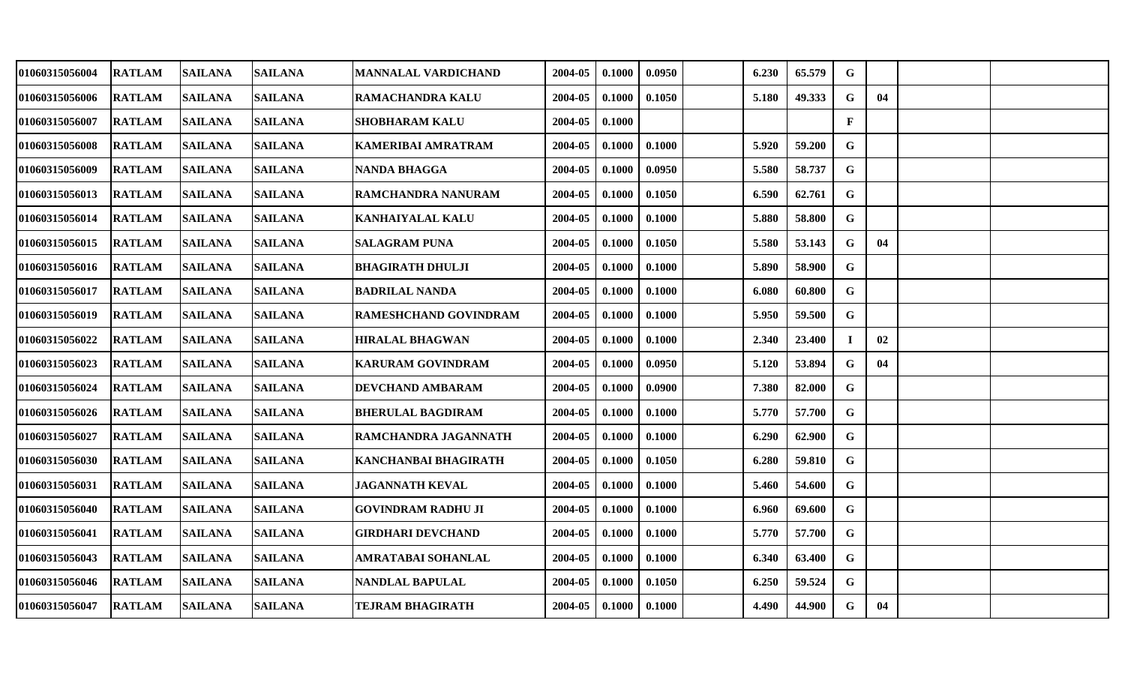| 01060315056004        | <b>RATLAM</b> | <b>SAILANA</b> | <b>SAILANA</b> | <b>MANNALAL VARDICHAND</b>   | 2004-05 | 0.1000 | 0.0950 | 6.230 | 65.579 | $\mathbf G$  |    |  |
|-----------------------|---------------|----------------|----------------|------------------------------|---------|--------|--------|-------|--------|--------------|----|--|
| 01060315056006        | <b>RATLAM</b> | <b>SAILANA</b> | <b>SAILANA</b> | <b>RAMACHANDRA KALU</b>      | 2004-05 | 0.1000 | 0.1050 | 5.180 | 49.333 | $\mathbf G$  | 04 |  |
| 01060315056007        | <b>RATLAM</b> | <b>SAILANA</b> | <b>SAILANA</b> | <b>SHOBHARAM KALU</b>        | 2004-05 | 0.1000 |        |       |        | $\mathbf{F}$ |    |  |
| <b>01060315056008</b> | <b>RATLAM</b> | <b>SAILANA</b> | <b>SAILANA</b> | KAMERIBAI AMRATRAM           | 2004-05 | 0.1000 | 0.1000 | 5.920 | 59.200 | G            |    |  |
| <b>01060315056009</b> | <b>RATLAM</b> | <b>SAILANA</b> | <b>SAILANA</b> | <b>NANDA BHAGGA</b>          | 2004-05 | 0.1000 | 0.0950 | 5.580 | 58.737 | G            |    |  |
| 01060315056013        | <b>RATLAM</b> | <b>SAILANA</b> | <b>SAILANA</b> | <b>RAMCHANDRA NANURAM</b>    | 2004-05 | 0.1000 | 0.1050 | 6.590 | 62.761 | $\mathbf G$  |    |  |
| 01060315056014        | <b>RATLAM</b> | <b>SAILANA</b> | <b>SAILANA</b> | <b>KANHAIYALAL KALU</b>      | 2004-05 | 0.1000 | 0.1000 | 5.880 | 58.800 | G            |    |  |
| 01060315056015        | <b>RATLAM</b> | <b>SAILANA</b> | <b>SAILANA</b> | <b>SALAGRAM PUNA</b>         | 2004-05 | 0.1000 | 0.1050 | 5.580 | 53.143 | G            | 04 |  |
| 01060315056016        | <b>RATLAM</b> | <b>SAILANA</b> | SAILANA        | <b>BHAGIRATH DHULJI</b>      | 2004-05 | 0.1000 | 0.1000 | 5.890 | 58.900 | G            |    |  |
| 01060315056017        | <b>RATLAM</b> | <b>SAILANA</b> | <b>SAILANA</b> | <b>BADRILAL NANDA</b>        | 2004-05 | 0.1000 | 0.1000 | 6.080 | 60.800 | G            |    |  |
| 01060315056019        | <b>RATLAM</b> | <b>SAILANA</b> | <b>SAILANA</b> | <b>RAMESHCHAND GOVINDRAM</b> | 2004-05 | 0.1000 | 0.1000 | 5.950 | 59.500 | G            |    |  |
| 01060315056022        | <b>RATLAM</b> | <b>SAILANA</b> | <b>SAILANA</b> | <b>HIRALAL BHAGWAN</b>       | 2004-05 | 0.1000 | 0.1000 | 2.340 | 23.400 | $\mathbf I$  | 02 |  |
| 01060315056023        | <b>RATLAM</b> | <b>SAILANA</b> | <b>SAILANA</b> | <b>KARURAM GOVINDRAM</b>     | 2004-05 | 0.1000 | 0.0950 | 5.120 | 53.894 | G            | 04 |  |
| 01060315056024        | <b>RATLAM</b> | <b>SAILANA</b> | <b>SAILANA</b> | DEVCHAND AMBARAM             | 2004-05 | 0.1000 | 0.0900 | 7.380 | 82.000 | $\mathbf G$  |    |  |
| <b>01060315056026</b> | <b>RATLAM</b> | <b>SAILANA</b> | <b>SAILANA</b> | <b>BHERULAL BAGDIRAM</b>     | 2004-05 | 0.1000 | 0.1000 | 5.770 | 57.700 | G            |    |  |
| 01060315056027        | <b>RATLAM</b> | <b>SAILANA</b> | <b>SAILANA</b> | RAMCHANDRA JAGANNATH         | 2004-05 | 0.1000 | 0.1000 | 6.290 | 62.900 | G            |    |  |
| 01060315056030        | <b>RATLAM</b> | <b>SAILANA</b> | <b>SAILANA</b> | KANCHANBAI BHAGIRATH         | 2004-05 | 0.1000 | 0.1050 | 6.280 | 59.810 | $\mathbf G$  |    |  |
| <b>01060315056031</b> | <b>RATLAM</b> | <b>SAILANA</b> | <b>SAILANA</b> | <b>JAGANNATH KEVAL</b>       | 2004-05 | 0.1000 | 0.1000 | 5.460 | 54.600 | $\mathbf G$  |    |  |
| 01060315056040        | <b>RATLAM</b> | <b>SAILANA</b> | <b>SAILANA</b> | <b>GOVINDRAM RADHU JI</b>    | 2004-05 | 0.1000 | 0.1000 | 6.960 | 69.600 | G            |    |  |
| <b>01060315056041</b> | <b>RATLAM</b> | <b>SAILANA</b> | <b>SAILANA</b> | <b>GIRDHARI DEVCHAND</b>     | 2004-05 | 0.1000 | 0.1000 | 5.770 | 57.700 | $\mathbf G$  |    |  |
| 01060315056043        | <b>RATLAM</b> | <b>SAILANA</b> | <b>SAILANA</b> | AMRATABAI SOHANLAL           | 2004-05 | 0.1000 | 0.1000 | 6.340 | 63.400 | G            |    |  |
| 01060315056046        | <b>RATLAM</b> | <b>SAILANA</b> | <b>SAILANA</b> | NANDLAL BAPULAL              | 2004-05 | 0.1000 | 0.1050 | 6.250 | 59.524 | G            |    |  |
| 01060315056047        | <b>RATLAM</b> | <b>SAILANA</b> | <b>SAILANA</b> | TEJRAM BHAGIRATH             | 2004-05 | 0.1000 | 0.1000 | 4.490 | 44.900 | G            | 04 |  |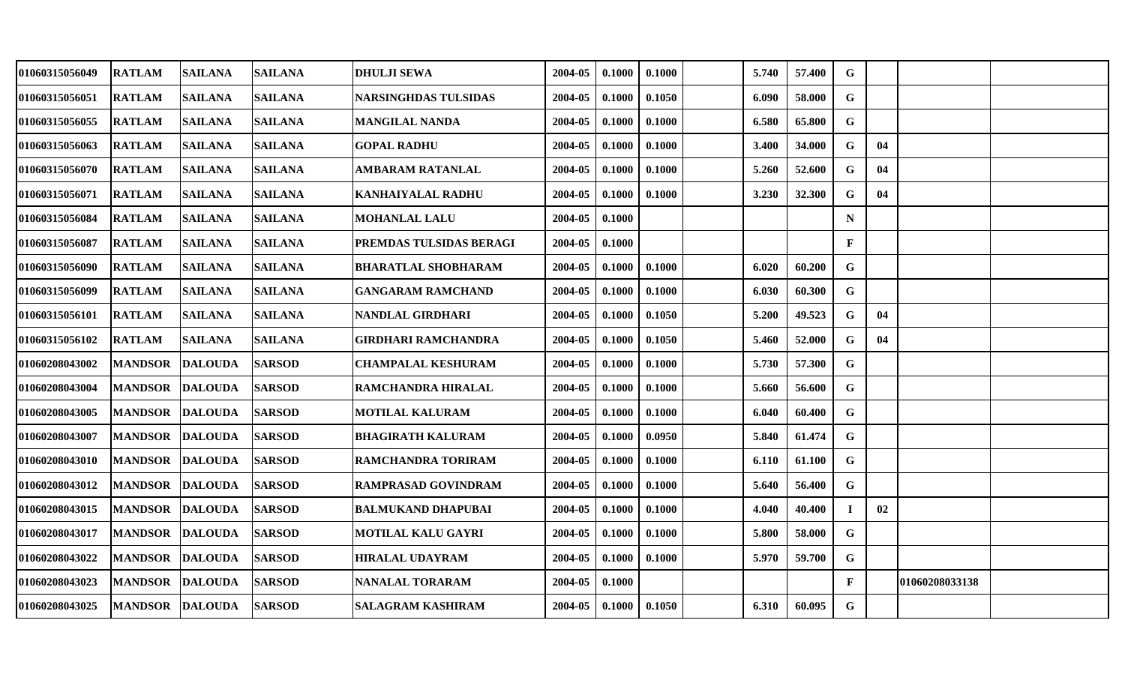| 01060315056049 | <b>RATLAM</b>          | <b>SAILANA</b> | <b>SAILANA</b> | <b>DHULJI SEWA</b>          | 2004-05 | 0.1000 | 0.1000 | 5.740 | 57.400 | G            |    |                |  |
|----------------|------------------------|----------------|----------------|-----------------------------|---------|--------|--------|-------|--------|--------------|----|----------------|--|
| 01060315056051 | <b>RATLAM</b>          | <b>SAILANA</b> | <b>SAILANA</b> | <b>NARSINGHDAS TULSIDAS</b> | 2004-05 | 0.1000 | 0.1050 | 6.090 | 58.000 | G            |    |                |  |
| 01060315056055 | <b>RATLAM</b>          | <b>SAILANA</b> | <b>SAILANA</b> | <b>MANGILAL NANDA</b>       | 2004-05 | 0.1000 | 0.1000 | 6.580 | 65.800 | $\mathbf G$  |    |                |  |
| 01060315056063 | <b>RATLAM</b>          | <b>SAILANA</b> | <b>SAILANA</b> | <b>GOPAL RADHU</b>          | 2004-05 | 0.1000 | 0.1000 | 3.400 | 34.000 | $\mathbf G$  | 04 |                |  |
| 01060315056070 | <b>RATLAM</b>          | <b>SAILANA</b> | <b>SAILANA</b> | <b>AMBARAM RATANLAL</b>     | 2004-05 | 0.1000 | 0.1000 | 5.260 | 52.600 | G            | 04 |                |  |
| 01060315056071 | <b>RATLAM</b>          | <b>SAILANA</b> | <b>SAILANA</b> | <b>KANHAIYALAL RADHU</b>    | 2004-05 | 0.1000 | 0.1000 | 3.230 | 32.300 | G            | 04 |                |  |
| 01060315056084 | <b>RATLAM</b>          | <b>SAILANA</b> | <b>SAILANA</b> | <b>MOHANLAL LALU</b>        | 2004-05 | 0.1000 |        |       |        | $\mathbf N$  |    |                |  |
| 01060315056087 | <b>RATLAM</b>          | <b>SAILANA</b> | <b>SAILANA</b> | PREMDAS TULSIDAS BERAGI     | 2004-05 | 0.1000 |        |       |        | $\mathbf{F}$ |    |                |  |
| 01060315056090 | <b>RATLAM</b>          | <b>SAILANA</b> | <b>SAILANA</b> | <b>BHARATLAL SHOBHARAM</b>  | 2004-05 | 0.1000 | 0.1000 | 6.020 | 60.200 | $\mathbf G$  |    |                |  |
| 01060315056099 | <b>RATLAM</b>          | <b>SAILANA</b> | <b>SAILANA</b> | <b>GANGARAM RAMCHAND</b>    | 2004-05 | 0.1000 | 0.1000 | 6.030 | 60.300 | G            |    |                |  |
| 01060315056101 | <b>RATLAM</b>          | <b>SAILANA</b> | <b>SAILANA</b> | NANDLAL GIRDHARI            | 2004-05 | 0.1000 | 0.1050 | 5.200 | 49.523 | G            | 04 |                |  |
| 01060315056102 | <b>RATLAM</b>          | <b>SAILANA</b> | <b>SAILANA</b> | <b>GIRDHARI RAMCHANDRA</b>  | 2004-05 | 0.1000 | 0.1050 | 5.460 | 52.000 | G            | 04 |                |  |
| 01060208043002 | <b>MANDSOR</b>         | <b>DALOUDA</b> | <b>SARSOD</b>  | <b>CHAMPALAL KESHURAM</b>   | 2004-05 | 0.1000 | 0.1000 | 5.730 | 57.300 | $\mathbf G$  |    |                |  |
| 01060208043004 | <b>MANDSOR</b>         | <b>DALOUDA</b> | <b>SARSOD</b>  | RAMCHANDRA HIRALAL          | 2004-05 | 0.1000 | 0.1000 | 5.660 | 56.600 | G            |    |                |  |
| 01060208043005 | <b>MANDSOR</b>         | <b>DALOUDA</b> | <b>SARSOD</b>  | <b>MOTILAL KALURAM</b>      | 2004-05 | 0.1000 | 0.1000 | 6.040 | 60.400 | $\mathbf G$  |    |                |  |
| 01060208043007 | <b>MANDSOR</b>         | <b>DALOUDA</b> | <b>SARSOD</b>  | <b>BHAGIRATH KALURAM</b>    | 2004-05 | 0.1000 | 0.0950 | 5.840 | 61.474 | G            |    |                |  |
| 01060208043010 | <b>MANDSOR</b>         | <b>DALOUDA</b> | <b>SARSOD</b>  | RAMCHANDRA TORIRAM          | 2004-05 | 0.1000 | 0.1000 | 6.110 | 61.100 | $\mathbf{G}$ |    |                |  |
| 01060208043012 | <b>MANDSOR</b>         | <b>DALOUDA</b> | <b>SARSOD</b>  | RAMPRASAD GOVINDRAM         | 2004-05 | 0.1000 | 0.1000 | 5.640 | 56.400 | G            |    |                |  |
| 01060208043015 | <b>MANDSOR</b>         | <b>DALOUDA</b> | <b>SARSOD</b>  | <b>BALMUKAND DHAPUBAI</b>   | 2004-05 | 0.1000 | 0.1000 | 4.040 | 40.400 |              | 02 |                |  |
| 01060208043017 | <b>MANDSOR</b>         | <b>DALOUDA</b> | <b>SARSOD</b>  | <b>MOTILAL KALU GAYRI</b>   | 2004-05 | 0.1000 | 0.1000 | 5.800 | 58.000 | $\mathbf G$  |    |                |  |
| 01060208043022 | <b>MANDSOR</b>         | <b>DALOUDA</b> | <b>SARSOD</b>  | <b>HIRALAL UDAYRAM</b>      | 2004-05 | 0.1000 | 0.1000 | 5.970 | 59.700 | $\mathbf G$  |    |                |  |
| 01060208043023 | <b>MANDSOR</b>         | <b>DALOUDA</b> | <b>SARSOD</b>  | NANALAL TORARAM             | 2004-05 | 0.1000 |        |       |        | F            |    | 01060208033138 |  |
| 01060208043025 | <b>MANDSOR DALOUDA</b> |                | <b>SARSOD</b>  | <b>SALAGRAM KASHIRAM</b>    | 2004-05 | 0.1000 | 0.1050 | 6.310 | 60.095 | G            |    |                |  |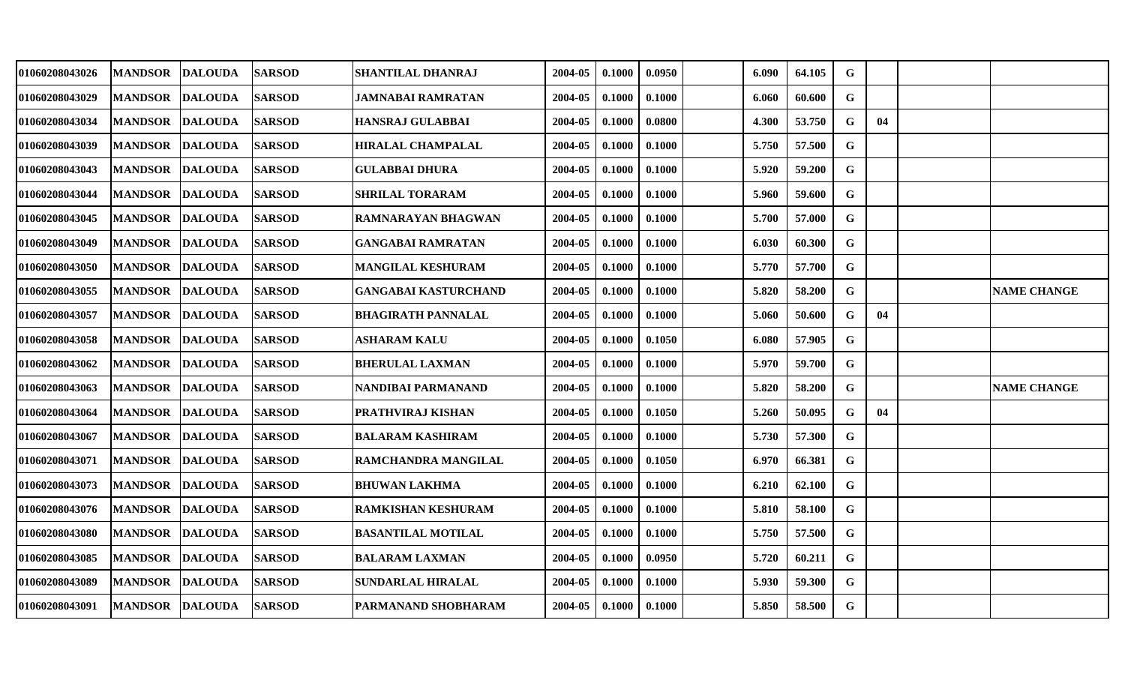| 01060208043026 | <b>MANDSOR</b>  | <b>DALOUDA</b> | <b>SARSOD</b> | <b>SHANTILAL DHANRAJ</b>    | 2004-05 | 0.1000 | 0.0950 | 6.090 | 64.105 | G           |    |                    |
|----------------|-----------------|----------------|---------------|-----------------------------|---------|--------|--------|-------|--------|-------------|----|--------------------|
| 01060208043029 | <b>MANDSOR</b>  | <b>DALOUDA</b> | <b>SARSOD</b> | <b>JAMNABAI RAMRATAN</b>    | 2004-05 | 0.1000 | 0.1000 | 6.060 | 60.600 | G           |    |                    |
| 01060208043034 | <b>MANDSOR</b>  | <b>DALOUDA</b> | <b>SARSOD</b> | HANSRAJ GULABBAI            | 2004-05 | 0.1000 | 0.0800 | 4.300 | 53.750 | G           | 04 |                    |
| 01060208043039 | <b>MANDSOR</b>  | <b>DALOUDA</b> | <b>SARSOD</b> | <b>HIRALAL CHAMPALAL</b>    | 2004-05 | 0.1000 | 0.1000 | 5.750 | 57.500 | $\mathbf G$ |    |                    |
| 01060208043043 | <b>MANDSOR</b>  | <b>DALOUDA</b> | <b>SARSOD</b> | <b>GULABBAI DHURA</b>       | 2004-05 | 0.1000 | 0.1000 | 5.920 | 59.200 | $\mathbf G$ |    |                    |
| 01060208043044 | <b>MANDSOR</b>  | <b>DALOUDA</b> | <b>SARSOD</b> | <b>SHRILAL TORARAM</b>      | 2004-05 | 0.1000 | 0.1000 | 5.960 | 59.600 | G           |    |                    |
| 01060208043045 | <b>MANDSOR</b>  | <b>DALOUDA</b> | <b>SARSOD</b> | RAMNARAYAN BHAGWAN          | 2004-05 | 0.1000 | 0.1000 | 5.700 | 57.000 | G           |    |                    |
| 01060208043049 | <b>MANDSOR</b>  | <b>DALOUDA</b> | <b>SARSOD</b> | <b>GANGABAI RAMRATAN</b>    | 2004-05 | 0.1000 | 0.1000 | 6.030 | 60.300 | $\mathbf G$ |    |                    |
| 01060208043050 | <b>MANDSOR</b>  | <b>DALOUDA</b> | <b>SARSOD</b> | MANGILAL KESHURAM           | 2004-05 | 0.1000 | 0.1000 | 5.770 | 57.700 | $\mathbf G$ |    |                    |
| 01060208043055 | <b>MANDSOR</b>  | <b>DALOUDA</b> | <b>SARSOD</b> | <b>GANGABAI KASTURCHAND</b> | 2004-05 | 0.1000 | 0.1000 | 5.820 | 58.200 | G           |    | <b>NAME CHANGE</b> |
| 01060208043057 | <b>MANDSOR</b>  | <b>DALOUDA</b> | <b>SARSOD</b> | BHAGIRATH PANNALAL          | 2004-05 | 0.1000 | 0.1000 | 5.060 | 50.600 | G           | 04 |                    |
| 01060208043058 | <b>MANDSOR</b>  | <b>DALOUDA</b> | <b>SARSOD</b> | <b>ASHARAM KALU</b>         | 2004-05 | 0.1000 | 0.1050 | 6.080 | 57.905 | $\mathbf G$ |    |                    |
| 01060208043062 | <b>MANDSOR</b>  | <b>DALOUDA</b> | <b>SARSOD</b> | <b>BHERULAL LAXMAN</b>      | 2004-05 | 0.1000 | 0.1000 | 5.970 | 59.700 | G           |    |                    |
| 01060208043063 | <b>MANDSOR</b>  | <b>DALOUDA</b> | <b>SARSOD</b> | NANDIBAI PARMANAND          | 2004-05 | 0.1000 | 0.1000 | 5.820 | 58.200 | G           |    | <b>NAME CHANGE</b> |
| 01060208043064 | <b>MANDSOR</b>  | <b>DALOUDA</b> | <b>SARSOD</b> | PRATHVIRAJ KISHAN           | 2004-05 | 0.1000 | 0.1050 | 5.260 | 50.095 | G           | 04 |                    |
| 01060208043067 | <b>MANDSOR</b>  | <b>DALOUDA</b> | <b>SARSOD</b> | <b>BALARAM KASHIRAM</b>     | 2004-05 | 0.1000 | 0.1000 | 5.730 | 57.300 | $\mathbf G$ |    |                    |
| 01060208043071 | <b>MANDSOR</b>  | <b>DALOUDA</b> | <b>SARSOD</b> | RAMCHANDRA MANGILAL         | 2004-05 | 0.1000 | 0.1050 | 6.970 | 66.381 | G           |    |                    |
| 01060208043073 | <b>MANDSOR</b>  | <b>DALOUDA</b> | <b>SARSOD</b> | <b>BHUWAN LAKHMA</b>        | 2004-05 | 0.1000 | 0.1000 | 6.210 | 62.100 | G           |    |                    |
| 01060208043076 | <b>MANDSOR</b>  | <b>DALOUDA</b> | <b>SARSOD</b> | <b>RAMKISHAN KESHURAM</b>   | 2004-05 | 0.1000 | 0.1000 | 5.810 | 58.100 | G           |    |                    |
| 01060208043080 | <b>MANDSOR</b>  | <b>DALOUDA</b> | <b>SARSOD</b> | <b>BASANTILAL MOTILAL</b>   | 2004-05 | 0.1000 | 0.1000 | 5.750 | 57.500 | $\mathbf G$ |    |                    |
| 01060208043085 | <b>MANDSOR</b>  | <b>DALOUDA</b> | <b>SARSOD</b> | <b>BALARAM LAXMAN</b>       | 2004-05 | 0.1000 | 0.0950 | 5.720 | 60.211 | G           |    |                    |
| 01060208043089 | <b>MANDSOR</b>  | <b>DALOUDA</b> | <b>SARSOD</b> | <b>SUNDARLAL HIRALAL</b>    | 2004-05 | 0.1000 | 0.1000 | 5.930 | 59.300 | G           |    |                    |
| 01060208043091 | MANDSOR DALOUDA |                | <b>SARSOD</b> | PARMANAND SHOBHARAM         | 2004-05 | 0.1000 | 0.1000 | 5.850 | 58.500 | G           |    |                    |
|                |                 |                |               |                             |         |        |        |       |        |             |    |                    |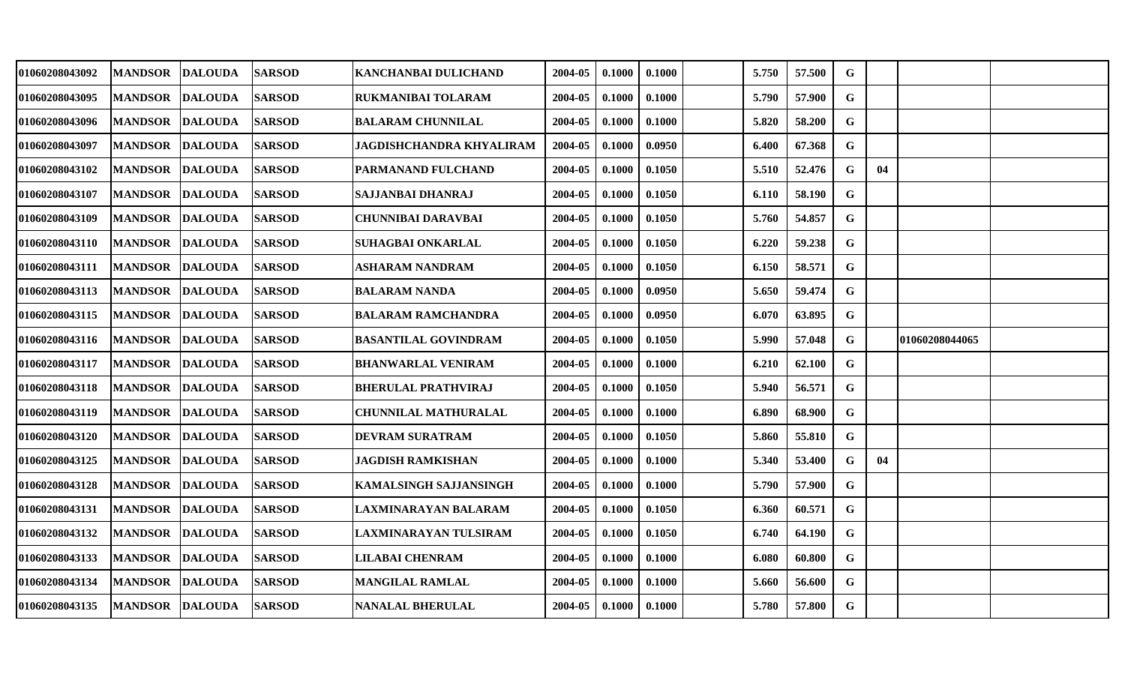| 01060208043092 | <b>MANDSOR</b>  | <b>DALOUDA</b> | <b>SARSOD</b> | KANCHANBAI DULICHAND          | 2004-05 | 0.1000 | 0.1000 | 5.750 | 57.500 | G           |    |                |  |
|----------------|-----------------|----------------|---------------|-------------------------------|---------|--------|--------|-------|--------|-------------|----|----------------|--|
| 01060208043095 | <b>MANDSOR</b>  | <b>DALOUDA</b> | <b>SARSOD</b> | RUKMANIBAI TOLARAM            | 2004-05 | 0.1000 | 0.1000 | 5.790 | 57.900 | G           |    |                |  |
| 01060208043096 | <b>MANDSOR</b>  | <b>DALOUDA</b> | <b>SARSOD</b> | <b>BALARAM CHUNNILAL</b>      | 2004-05 | 0.1000 | 0.1000 | 5.820 | 58.200 | $\mathbf G$ |    |                |  |
| 01060208043097 | <b>MANDSOR</b>  | <b>DALOUDA</b> | <b>SARSOD</b> | JAGDISHCHANDRA KHYALIRAM      | 2004-05 | 0.1000 | 0.0950 | 6.400 | 67.368 | $\mathbf G$ |    |                |  |
| 01060208043102 | <b>MANDSOR</b>  | <b>DALOUDA</b> | <b>SARSOD</b> | PARMANAND FULCHAND            | 2004-05 | 0.1000 | 0.1050 | 5.510 | 52.476 | G           | 04 |                |  |
| 01060208043107 | <b>MANDSOR</b>  | <b>DALOUDA</b> | <b>SARSOD</b> | SAJJANBAI DHANRAJ             | 2004-05 | 0.1000 | 0.1050 | 6.110 | 58.190 | G           |    |                |  |
| 01060208043109 | <b>MANDSOR</b>  | <b>DALOUDA</b> | <b>SARSOD</b> | <b>CHUNNIBAI DARAVBAI</b>     | 2004-05 | 0.1000 | 0.1050 | 5.760 | 54.857 | G           |    |                |  |
| 01060208043110 | <b>MANDSOR</b>  | <b>DALOUDA</b> | <b>SARSOD</b> | SUHAGBAI ONKARLAL             | 2004-05 | 0.1000 | 0.1050 | 6.220 | 59.238 | G           |    |                |  |
| 01060208043111 | <b>MANDSOR</b>  | <b>DALOUDA</b> | <b>SARSOD</b> | ASHARAM NANDRAM               | 2004-05 | 0.1000 | 0.1050 | 6.150 | 58.571 | $\mathbf G$ |    |                |  |
| 01060208043113 | <b>MANDSOR</b>  | <b>DALOUDA</b> | <b>SARSOD</b> | <b>BALARAM NANDA</b>          | 2004-05 | 0.1000 | 0.0950 | 5.650 | 59.474 | G           |    |                |  |
| 01060208043115 | <b>MANDSOR</b>  | <b>DALOUDA</b> | <b>SARSOD</b> | <b>BALARAM RAMCHANDRA</b>     | 2004-05 | 0.1000 | 0.0950 | 6.070 | 63.895 | G           |    |                |  |
| 01060208043116 | <b>MANDSOR</b>  | <b>DALOUDA</b> | <b>SARSOD</b> | <b>BASANTILAL GOVINDRAM</b>   | 2004-05 | 0.1000 | 0.1050 | 5.990 | 57.048 | G           |    | 01060208044065 |  |
| 01060208043117 | <b>MANDSOR</b>  | <b>DALOUDA</b> | <b>SARSOD</b> | <b>BHANWARLAL VENIRAM</b>     | 2004-05 | 0.1000 | 0.1000 | 6.210 | 62.100 | G           |    |                |  |
| 01060208043118 | <b>MANDSOR</b>  | <b>DALOUDA</b> | <b>SARSOD</b> | <b>BHERULAL PRATHVIRAJ</b>    | 2004-05 | 0.1000 | 0.1050 | 5.940 | 56.571 | G           |    |                |  |
| 01060208043119 | <b>MANDSOR</b>  | <b>DALOUDA</b> | <b>SARSOD</b> | <b>CHUNNILAL MATHURALAL</b>   | 2004-05 | 0.1000 | 0.1000 | 6.890 | 68.900 | G           |    |                |  |
| 01060208043120 | <b>MANDSOR</b>  | <b>DALOUDA</b> | <b>SARSOD</b> | DEVRAM SURATRAM               | 2004-05 | 0.1000 | 0.1050 | 5.860 | 55.810 | $\mathbf G$ |    |                |  |
| 01060208043125 | <b>MANDSOR</b>  | <b>DALOUDA</b> | <b>SARSOD</b> | <b>JAGDISH RAMKISHAN</b>      | 2004-05 | 0.1000 | 0.1000 | 5.340 | 53.400 | G           | 04 |                |  |
| 01060208043128 | <b>MANDSOR</b>  | <b>DALOUDA</b> | <b>SARSOD</b> | <b>KAMALSINGH SAJJANSINGH</b> | 2004-05 | 0.1000 | 0.1000 | 5.790 | 57.900 | G           |    |                |  |
| 01060208043131 | <b>MANDSOR</b>  | <b>DALOUDA</b> | <b>SARSOD</b> | <b>LAXMINARAYAN BALARAM</b>   | 2004-05 | 0.1000 | 0.1050 | 6.360 | 60.571 | G           |    |                |  |
| 01060208043132 | <b>MANDSOR</b>  | <b>DALOUDA</b> | <b>SARSOD</b> | <b>LAXMINARAYAN TULSIRAM</b>  | 2004-05 | 0.1000 | 0.1050 | 6.740 | 64.190 | G           |    |                |  |
| 01060208043133 | <b>MANDSOR</b>  | <b>DALOUDA</b> | <b>SARSOD</b> | <b>LILABAI CHENRAM</b>        | 2004-05 | 0.1000 | 0.1000 | 6.080 | 60.800 | G           |    |                |  |
| 01060208043134 | <b>MANDSOR</b>  | <b>DALOUDA</b> | <b>SARSOD</b> | <b>MANGILAL RAMLAL</b>        | 2004-05 | 0.1000 | 0.1000 | 5.660 | 56.600 | G           |    |                |  |
| 01060208043135 | MANDSOR DALOUDA |                | <b>SARSOD</b> | <b>NANALAL BHERULAL</b>       | 2004-05 | 0.1000 | 0.1000 | 5.780 | 57.800 | G           |    |                |  |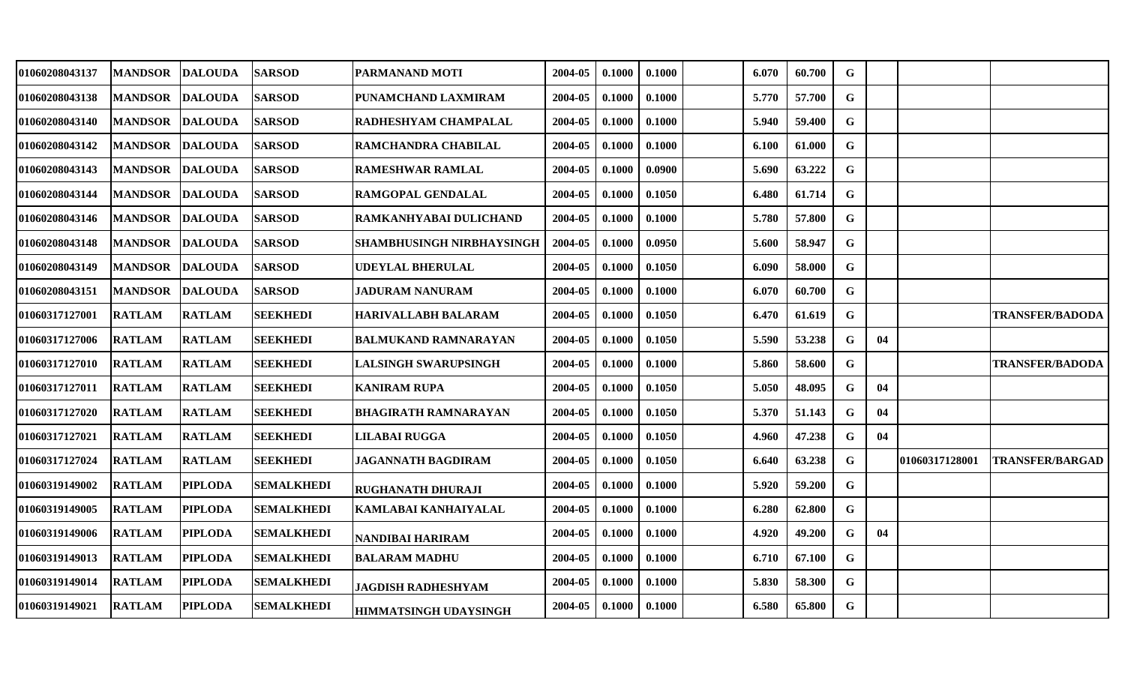| 01060208043137 | <b>MANDSOR</b>  | <b>DALOUDA</b> | <b>SARSOD</b>     | <b>PARMANAND MOTI</b>            | 2004-05 | 0.1000 | 0.1000 | 6.070 | 60.700 | G           |    |                |                        |
|----------------|-----------------|----------------|-------------------|----------------------------------|---------|--------|--------|-------|--------|-------------|----|----------------|------------------------|
| 01060208043138 | <b>MANDSOR</b>  | <b>DALOUDA</b> | <b>SARSOD</b>     | PUNAMCHAND LAXMIRAM              | 2004-05 | 0.1000 | 0.1000 | 5.770 | 57.700 | G           |    |                |                        |
| 01060208043140 | <b>MANDSOR</b>  | <b>DALOUDA</b> | <b>SARSOD</b>     | <b>RADHESHYAM CHAMPALAL</b>      | 2004-05 | 0.1000 | 0.1000 | 5.940 | 59.400 | $\mathbf G$ |    |                |                        |
| 01060208043142 | <b>MANDSOR</b>  | <b>DALOUDA</b> | <b>SARSOD</b>     | <b>RAMCHANDRA CHABILAL</b>       | 2004-05 | 0.1000 | 0.1000 | 6.100 | 61.000 | $\mathbf G$ |    |                |                        |
| 01060208043143 | <b>MANDSOR</b>  | <b>DALOUDA</b> | <b>SARSOD</b>     | <b>RAMESHWAR RAMLAL</b>          | 2004-05 | 0.1000 | 0.0900 | 5.690 | 63.222 | $\mathbf G$ |    |                |                        |
| 01060208043144 | <b>MANDSOR</b>  | <b>DALOUDA</b> | <b>SARSOD</b>     | <b>RAMGOPAL GENDALAL</b>         | 2004-05 | 0.1000 | 0.1050 | 6.480 | 61.714 | G           |    |                |                        |
| 01060208043146 | <b>MANDSOR</b>  | <b>DALOUDA</b> | <b>SARSOD</b>     | <b>RAMKANHYABAI DULICHAND</b>    | 2004-05 | 0.1000 | 0.1000 | 5.780 | 57.800 | G           |    |                |                        |
| 01060208043148 | <b>MANDSOR</b>  | <b>DALOUDA</b> | <b>SARSOD</b>     | <b>SHAMBHUSINGH NIRBHAYSINGH</b> | 2004-05 | 0.1000 | 0.0950 | 5.600 | 58.947 | G           |    |                |                        |
| 01060208043149 | <b>MANDSOR</b>  | <b>DALOUDA</b> | <b>SARSOD</b>     | <b>UDEYLAL BHERULAL</b>          | 2004-05 | 0.1000 | 0.1050 | 6.090 | 58.000 | $\mathbf G$ |    |                |                        |
| 01060208043151 | <b> MANDSOR</b> | <b>DALOUDA</b> | <b>SARSOD</b>     | JADURAM NANURAM                  | 2004-05 | 0.1000 | 0.1000 | 6.070 | 60.700 | G           |    |                |                        |
| 01060317127001 | <b>RATLAM</b>   | <b>RATLAM</b>  | <b>SEEKHEDI</b>   | <b>HARIVALLABH BALARAM</b>       | 2004-05 | 0.1000 | 0.1050 | 6.470 | 61.619 | $\mathbf G$ |    |                | <b>TRANSFER/BADODA</b> |
| 01060317127006 | <b>RATLAM</b>   | <b>RATLAM</b>  | <b>SEEKHEDI</b>   | BALMUKAND RAMNARAYAN             | 2004-05 | 0.1000 | 0.1050 | 5.590 | 53.238 | G           | 04 |                |                        |
| 01060317127010 | <b>RATLAM</b>   | <b>RATLAM</b>  | <b>SEEKHEDI</b>   | <b>LALSINGH SWARUPSINGH</b>      | 2004-05 | 0.1000 | 0.1000 | 5.860 | 58.600 | G           |    |                | <b>TRANSFER/BADODA</b> |
| 01060317127011 | <b>RATLAM</b>   | <b>RATLAM</b>  | <b>SEEKHEDI</b>   | <b>KANIRAM RUPA</b>              | 2004-05 | 0.1000 | 0.1050 | 5.050 | 48.095 | G           | 04 |                |                        |
| 01060317127020 | <b>RATLAM</b>   | <b>RATLAM</b>  | <b>SEEKHEDI</b>   | <b>BHAGIRATH RAMNARAYAN</b>      | 2004-05 | 0.1000 | 0.1050 | 5.370 | 51.143 | G           | 04 |                |                        |
| 01060317127021 | <b>RATLAM</b>   | <b>RATLAM</b>  | <b>SEEKHEDI</b>   | <b>LILABAI RUGGA</b>             | 2004-05 | 0.1000 | 0.1050 | 4.960 | 47.238 | G           | 04 |                |                        |
| 01060317127024 | <b>RATLAM</b>   | <b>RATLAM</b>  | <b>SEEKHEDI</b>   | <b>JAGANNATH BAGDIRAM</b>        | 2004-05 | 0.1000 | 0.1050 | 6.640 | 63.238 | G           |    | 01060317128001 | <b>TRANSFER/BARGAD</b> |
| 01060319149002 | <b>RATLAM</b>   | <b>PIPLODA</b> | <b>SEMALKHEDI</b> | <b>RUGHANATH DHURAJI</b>         | 2004-05 | 0.1000 | 0.1000 | 5.920 | 59.200 | $\mathbf G$ |    |                |                        |
| 01060319149005 | <b>RATLAM</b>   | <b>PIPLODA</b> | <b>SEMALKHEDI</b> | KAMLABAI KANHAIYALAL             | 2004-05 | 0.1000 | 0.1000 | 6.280 | 62.800 | G           |    |                |                        |
| 01060319149006 | <b>RATLAM</b>   | <b>PIPLODA</b> | <b>SEMALKHEDI</b> | NANDIBAI HARIRAM                 | 2004-05 | 0.1000 | 0.1000 | 4.920 | 49.200 | G           | 04 |                |                        |
| 01060319149013 | <b>RATLAM</b>   | <b>PIPLODA</b> | <b>SEMALKHEDI</b> | <b>BALARAM MADHU</b>             | 2004-05 | 0.1000 | 0.1000 | 6.710 | 67.100 | G           |    |                |                        |
| 01060319149014 | <b>RATLAM</b>   | <b>PIPLODA</b> | <b>SEMALKHEDI</b> | <b>JAGDISH RADHESHYAM</b>        | 2004-05 | 0.1000 | 0.1000 | 5.830 | 58.300 | G           |    |                |                        |
| 01060319149021 | <b>RATLAM</b>   | <b>PIPLODA</b> | <b>SEMALKHEDI</b> | <b>HIMMATSINGH UDAYSINGH</b>     | 2004-05 | 0.1000 | 0.1000 | 6.580 | 65.800 | G           |    |                |                        |
|                |                 |                |                   |                                  |         |        |        |       |        |             |    |                |                        |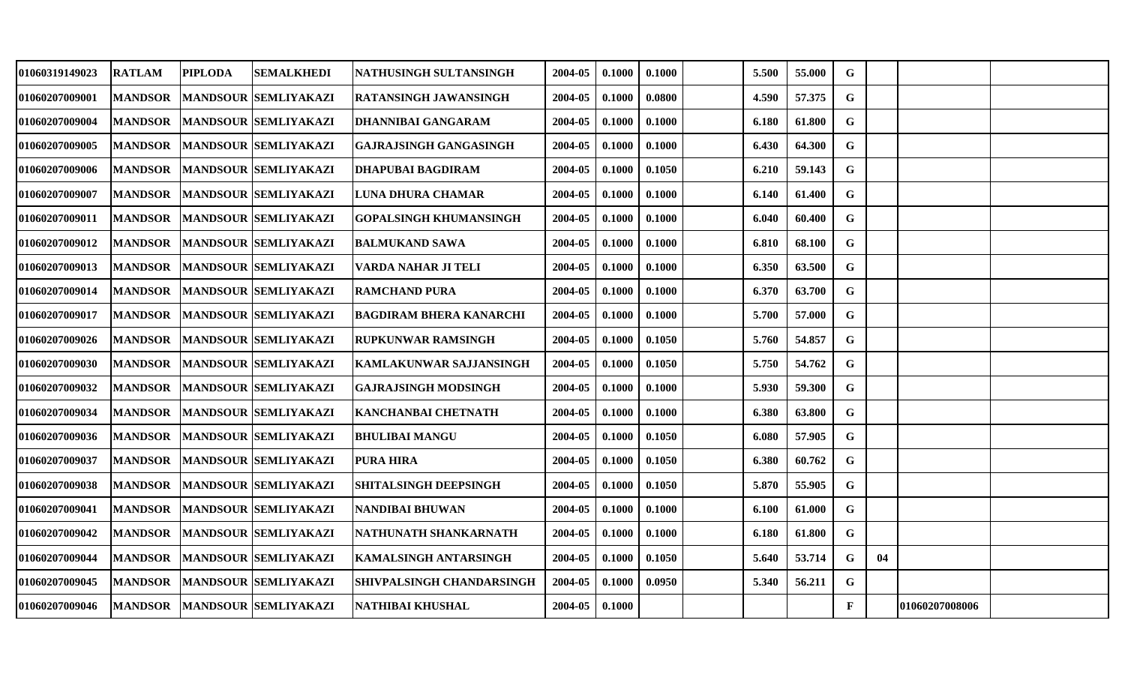| 01060319149023        | <b>RATLAM</b>  | <b>PIPLODA</b> | SEMALKHEDI                     | NATHUSINGH SULTANSINGH         | 2004-05 | 0.1000 | 0.1000 | 5.500 | 55.000 | $\mathbf G$  |    |                |  |
|-----------------------|----------------|----------------|--------------------------------|--------------------------------|---------|--------|--------|-------|--------|--------------|----|----------------|--|
| 01060207009001        | <b>MANDSOR</b> |                | <b>MANDSOUR SEMLIYAKAZI</b>    | <b>RATANSINGH JAWANSINGH</b>   | 2004-05 | 0.1000 | 0.0800 | 4.590 | 57.375 | G            |    |                |  |
| 01060207009004        | <b>MANDSOR</b> |                | <b>MANDSOUR SEMLIYAKAZI</b>    | DHANNIBAI GANGARAM             | 2004-05 | 0.1000 | 0.1000 | 6.180 | 61.800 | $\mathbf G$  |    |                |  |
| 01060207009005        | <b>MANDSOR</b> |                | <b>MANDSOUR SEMLIYAKAZI</b>    | <b>GAJRAJSINGH GANGASINGH</b>  | 2004-05 | 0.1000 | 0.1000 | 6.430 | 64.300 | $\mathbf G$  |    |                |  |
| 01060207009006        | <b>MANDSOR</b> |                | <b>MANDSOUR SEMLIYAKAZI</b>    | <b>DHAPUBAI BAGDIRAM</b>       | 2004-05 | 0.1000 | 0.1050 | 6.210 | 59.143 | G            |    |                |  |
| <b>01060207009007</b> | <b>MANDSOR</b> |                | <b>MANDSOUR SEMLIYAKAZI</b>    | LUNA DHURA CHAMAR              | 2004-05 | 0.1000 | 0.1000 | 6.140 | 61.400 | G            |    |                |  |
| 01060207009011        | <b>MANDSOR</b> |                | <b>MANDSOUR SEMLIYAKAZI</b>    | <b>GOPALSINGH KHUMANSINGH</b>  | 2004-05 | 0.1000 | 0.1000 | 6.040 | 60.400 | G            |    |                |  |
| 01060207009012        | <b>MANDSOR</b> |                | <b>MANDSOUR SEMLIYAKAZI</b>    | <b>BALMUKAND SAWA</b>          | 2004-05 | 0.1000 | 0.1000 | 6.810 | 68.100 | G            |    |                |  |
| 01060207009013        | <b>MANDSOR</b> |                | <b>MANDSOUR SEMLIYAKAZI</b>    | VARDA NAHAR JI TELI            | 2004-05 | 0.1000 | 0.1000 | 6.350 | 63.500 | $\mathbf G$  |    |                |  |
| 01060207009014        | <b>MANDSOR</b> |                | MANDSOUR SEMLIYAKAZI           | <b>RAMCHAND PURA</b>           | 2004-05 | 0.1000 | 0.1000 | 6.370 | 63.700 | $\mathbf G$  |    |                |  |
| 01060207009017        | <b>MANDSOR</b> |                | <b>MANDSOUR SEMLIYAKAZI</b>    | <b>BAGDIRAM BHERA KANARCHI</b> | 2004-05 | 0.1000 | 0.1000 | 5.700 | 57.000 | G            |    |                |  |
| <b>01060207009026</b> | <b>MANDSOR</b> |                | <b>MANDSOUR SEMLIYAKAZI</b>    | <b>RUPKUNWAR RAMSINGH</b>      | 2004-05 | 0.1000 | 0.1050 | 5.760 | 54.857 | G            |    |                |  |
| <b>01060207009030</b> | <b>MANDSOR</b> |                | MANDSOUR SEMLIYAKAZI           | KAMLAKUNWAR SAJJANSINGH        | 2004-05 | 0.1000 | 0.1050 | 5.750 | 54.762 | $\mathbf G$  |    |                |  |
| 01060207009032        | <b>MANDSOR</b> |                | <b>MANDSOUR SEMLIYAKAZI</b>    | <b>GAJRAJSINGH MODSINGH</b>    | 2004-05 | 0.1000 | 0.1000 | 5.930 | 59.300 | G            |    |                |  |
| 01060207009034        | <b>MANDSOR</b> |                | <b>MANDSOUR SEMLIYAKAZI</b>    | KANCHANBAI CHETNATH            | 2004-05 | 0.1000 | 0.1000 | 6.380 | 63.800 | G            |    |                |  |
| 01060207009036        | <b>MANDSOR</b> |                | <b>MANDSOUR SEMLIYAKAZI</b>    | <b>BHULIBAI MANGU</b>          | 2004-05 | 0.1000 | 0.1050 | 6.080 | 57.905 | G            |    |                |  |
| 01060207009037        | <b>MANDSOR</b> |                | MANDSOUR SEMLIYAKAZI           | <b>PURA HIRA</b>               | 2004-05 | 0.1000 | 0.1050 | 6.380 | 60.762 | $\mathbf G$  |    |                |  |
| <b>01060207009038</b> | <b>MANDSOR</b> |                | MANDSOUR SEMLIYAKAZI           | <b>SHITALSINGH DEEPSINGH</b>   | 2004-05 | 0.1000 | 0.1050 | 5.870 | 55.905 | G            |    |                |  |
| 01060207009041        | <b>MANDSOR</b> |                | <b>MANDSOUR SEMLIYAKAZI</b>    | <b>NANDIBAI BHUWAN</b>         | 2004-05 | 0.1000 | 0.1000 | 6.100 | 61.000 | G            |    |                |  |
| 01060207009042        | <b>MANDSOR</b> |                | <b>MANDSOUR SEMLIYAKAZI</b>    | NATHUNATH SHANKARNATH          | 2004-05 | 0.1000 | 0.1000 | 6.180 | 61.800 | $\mathbf G$  |    |                |  |
| 01060207009044        | <b>MANDSOR</b> |                | <b>MANDSOUR SEMLIYAKAZI</b>    | <b>KAMALSINGH ANTARSINGH</b>   | 2004-05 | 0.1000 | 0.1050 | 5.640 | 53.714 | $\mathbf G$  | 04 |                |  |
| 01060207009045        | <b>MANDSOR</b> |                | MANDSOUR SEMLIYAKAZI           | SHIVPALSINGH CHANDARSINGH      | 2004-05 | 0.1000 | 0.0950 | 5.340 | 56.211 | G            |    |                |  |
| 01060207009046        |                |                | MANDSOR   MANDSOUR SEMLIYAKAZI | NATHIBAI KHUSHAL               | 2004-05 | 0.1000 |        |       |        | $\mathbf{F}$ |    | 01060207008006 |  |
|                       |                |                |                                |                                |         |        |        |       |        |              |    |                |  |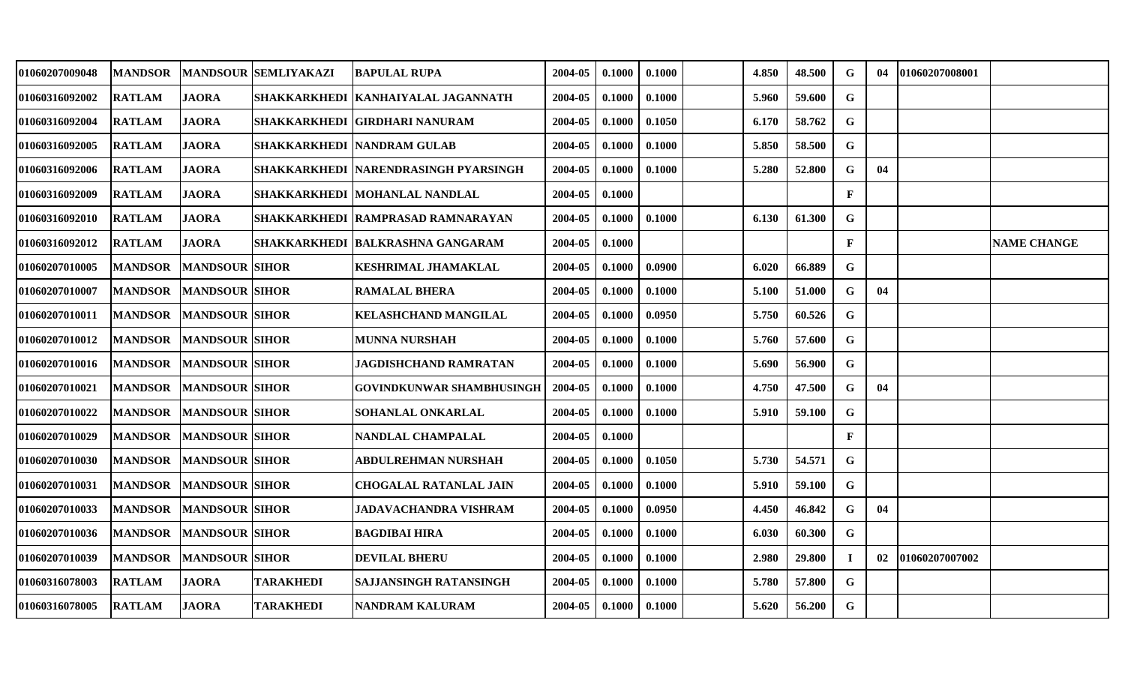| 01060207009048        | <b>MANDSOR</b> |                       | <b>MANDSOUR SEMLIYAKAZI</b> | <b>BAPULAL RUPA</b>                    | 2004-05 | 0.1000 | 0.1000 | 4.850 | 48.500 | G            | 04 | 01060207008001 |                    |
|-----------------------|----------------|-----------------------|-----------------------------|----------------------------------------|---------|--------|--------|-------|--------|--------------|----|----------------|--------------------|
| 01060316092002        | <b>RATLAM</b>  | <b>JAORA</b>          |                             | SHAKKARKHEDI   KANHAIYALAL JAGANNATH   | 2004-05 | 0.1000 | 0.1000 | 5.960 | 59.600 | G            |    |                |                    |
| <b>01060316092004</b> | <b>RATLAM</b>  | <b>JAORA</b>          |                             | SHAKKARKHEDI  GIRDHARI NANURAM         | 2004-05 | 0.1000 | 0.1050 | 6.170 | 58.762 | G            |    |                |                    |
| 01060316092005        | <b>RATLAM</b>  | <b>JAORA</b>          |                             | <b>SHAKKARKHEDI   NANDRAM GULAB</b>    | 2004-05 | 0.1000 | 0.1000 | 5.850 | 58.500 | G            |    |                |                    |
| 01060316092006        | <b>RATLAM</b>  | <b>JAORA</b>          |                             | SHAKKARKHEDI   NARENDRASINGH PYARSINGH | 2004-05 | 0.1000 | 0.1000 | 5.280 | 52.800 | $\mathbf G$  | 04 |                |                    |
| 01060316092009        | <b>RATLAM</b>  | <b>JAORA</b>          |                             | SHAKKARKHEDI  MOHANLAL NANDLAL         | 2004-05 | 0.1000 |        |       |        | $\mathbf F$  |    |                |                    |
| 01060316092010        | <b>RATLAM</b>  | <b>JAORA</b>          |                             | SHAKKARKHEDI RAMPRASAD RAMNARAYAN      | 2004-05 | 0.1000 | 0.1000 | 6.130 | 61.300 | G            |    |                |                    |
| 01060316092012        | <b>RATLAM</b>  | <b>JAORA</b>          |                             | SHAKKARKHEDI  BALKRASHNA GANGARAM      | 2004-05 | 0.1000 |        |       |        | $\mathbf{F}$ |    |                | <b>NAME CHANGE</b> |
| 01060207010005        | <b>MANDSOR</b> | <b>MANDSOUR SIHOR</b> |                             | <b>KESHRIMAL JHAMAKLAL</b>             | 2004-05 | 0.1000 | 0.0900 | 6.020 | 66.889 | G            |    |                |                    |
| 01060207010007        | <b>MANDSOR</b> | <b>MANDSOUR SIHOR</b> |                             | <b>RAMALAL BHERA</b>                   | 2004-05 | 0.1000 | 0.1000 | 5.100 | 51.000 | G            | 04 |                |                    |
| <b>01060207010011</b> | <b>MANDSOR</b> | <b>MANDSOUR SIHOR</b> |                             | KELASHCHAND MANGILAL                   | 2004-05 | 0.1000 | 0.0950 | 5.750 | 60.526 | G            |    |                |                    |
| 01060207010012        | <b>MANDSOR</b> | <b>MANDSOUR SIHOR</b> |                             | <b>MUNNA NURSHAH</b>                   | 2004-05 | 0.1000 | 0.1000 | 5.760 | 57.600 | $\mathbf G$  |    |                |                    |
| 01060207010016        | <b>MANDSOR</b> | <b>MANDSOUR SIHOR</b> |                             | JAGDISHCHAND RAMRATAN                  | 2004-05 | 0.1000 | 0.1000 | 5.690 | 56.900 | $\mathbf G$  |    |                |                    |
| <b>01060207010021</b> | <b>MANDSOR</b> | <b>MANDSOUR SIHOR</b> |                             | GOVINDKUNWAR SHAMBHUSINGH              | 2004-05 | 0.1000 | 0.1000 | 4.750 | 47.500 | G            | 04 |                |                    |
| 01060207010022        | <b>MANDSOR</b> | <b>MANDSOUR SIHOR</b> |                             | SOHANLAL ONKARLAL                      | 2004-05 | 0.1000 | 0.1000 | 5.910 | 59.100 | G            |    |                |                    |
| 01060207010029        | <b>MANDSOR</b> | <b>MANDSOUR SIHOR</b> |                             | NANDLAL CHAMPALAL                      | 2004-05 | 0.1000 |        |       |        | $\mathbf{F}$ |    |                |                    |
| 01060207010030        | <b>MANDSOR</b> | <b>MANDSOUR SIHOR</b> |                             | <b>ABDULREHMAN NURSHAH</b>             | 2004-05 | 0.1000 | 0.1050 | 5.730 | 54.571 | G            |    |                |                    |
| 01060207010031        | <b>MANDSOR</b> | <b>MANDSOUR SIHOR</b> |                             | <b>CHOGALAL RATANLAL JAIN</b>          | 2004-05 | 0.1000 | 0.1000 | 5.910 | 59.100 | $\mathbf G$  |    |                |                    |
| 01060207010033        | <b>MANDSOR</b> | <b>MANDSOUR SIHOR</b> |                             | JADAVACHANDRA VISHRAM                  | 2004-05 | 0.1000 | 0.0950 | 4.450 | 46.842 | G            | 04 |                |                    |
| <b>01060207010036</b> | <b>MANDSOR</b> | <b>MANDSOUR SIHOR</b> |                             | BAGDIBAI HIRA                          | 2004-05 | 0.1000 | 0.1000 | 6.030 | 60.300 | G            |    |                |                    |
| 01060207010039        | <b>MANDSOR</b> | <b>MANDSOUR SIHOR</b> |                             | <b>DEVILAL BHERU</b>                   | 2004-05 | 0.1000 | 0.1000 | 2.980 | 29.800 | $\mathbf I$  | 02 | 01060207007002 |                    |
| <b>01060316078003</b> | <b>RATLAM</b>  | <b>JAORA</b>          | <b>TARAKHEDI</b>            | SAJJANSINGH RATANSINGH                 | 2004-05 | 0.1000 | 0.1000 | 5.780 | 57.800 | G            |    |                |                    |
| <b>01060316078005</b> | <b>RATLAM</b>  | <b>JAORA</b>          | <b>TARAKHEDI</b>            | NANDRAM KALURAM                        | 2004-05 | 0.1000 | 0.1000 | 5.620 | 56.200 | G            |    |                |                    |
|                       |                |                       |                             |                                        |         |        |        |       |        |              |    |                |                    |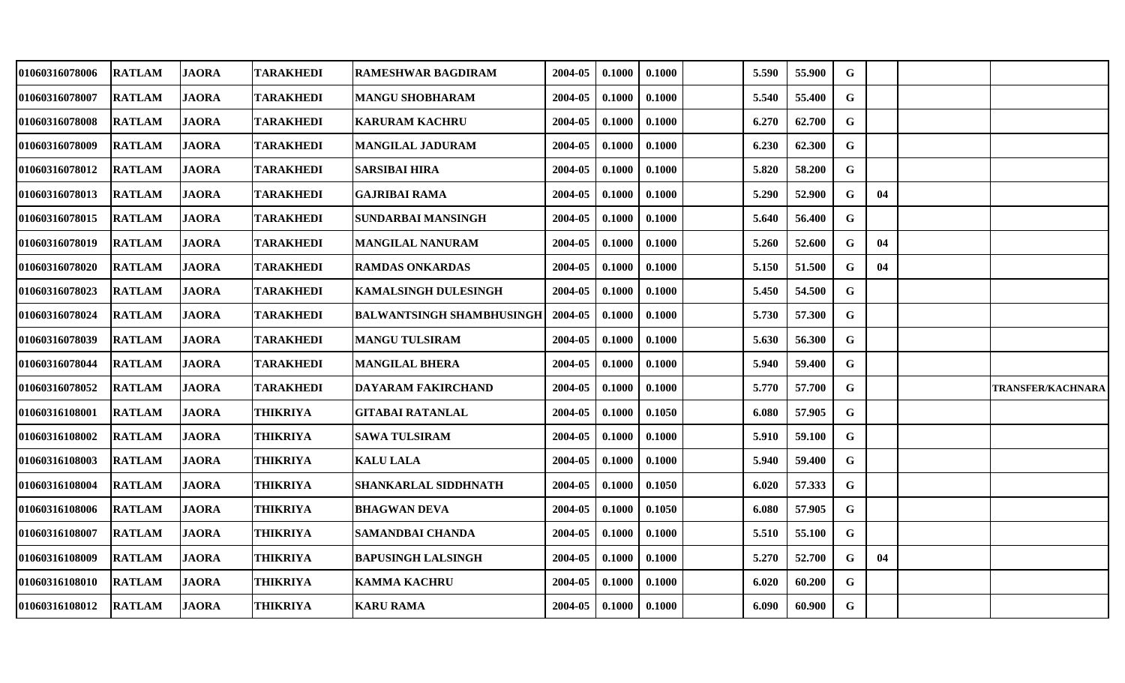| 01060316078006 | <b>RATLAM</b> | <b>JAORA</b> | <b>TARAKHEDI</b> | RAMESHWAR BAGDIRAM               | 2004-05 | 0.1000 | 0.1000 | 5.590 | 55.900 | G           |    |                   |
|----------------|---------------|--------------|------------------|----------------------------------|---------|--------|--------|-------|--------|-------------|----|-------------------|
| 01060316078007 | <b>RATLAM</b> | <b>JAORA</b> | <b>TARAKHEDI</b> | <b>MANGU SHOBHARAM</b>           | 2004-05 | 0.1000 | 0.1000 | 5.540 | 55.400 | G           |    |                   |
| 01060316078008 | <b>RATLAM</b> | <b>JAORA</b> | <b>TARAKHEDI</b> | <b>KARURAM KACHRU</b>            | 2004-05 | 0.1000 | 0.1000 | 6.270 | 62.700 | $\mathbf G$ |    |                   |
| 01060316078009 | <b>RATLAM</b> | <b>JAORA</b> | <b>TARAKHEDI</b> | <b>MANGILAL JADURAM</b>          | 2004-05 | 0.1000 | 0.1000 | 6.230 | 62.300 | G           |    |                   |
| 01060316078012 | <b>RATLAM</b> | <b>JAORA</b> | <b>TARAKHEDI</b> | <b>SARSIBAI HIRA</b>             | 2004-05 | 0.1000 | 0.1000 | 5.820 | 58.200 | $\mathbf G$ |    |                   |
| 01060316078013 | <b>RATLAM</b> | <b>JAORA</b> | <b>TARAKHEDI</b> | <b>GAJRIBAI RAMA</b>             | 2004-05 | 0.1000 | 0.1000 | 5.290 | 52.900 | G           | 04 |                   |
| 01060316078015 | <b>RATLAM</b> | <b>JAORA</b> | <b>TARAKHEDI</b> | <b>SUNDARBAI MANSINGH</b>        | 2004-05 | 0.1000 | 0.1000 | 5.640 | 56.400 | G           |    |                   |
| 01060316078019 | <b>RATLAM</b> | <b>JAORA</b> | <b>TARAKHEDI</b> | <b>MANGILAL NANURAM</b>          | 2004-05 | 0.1000 | 0.1000 | 5.260 | 52.600 | G           | 04 |                   |
| 01060316078020 | <b>RATLAM</b> | <b>JAORA</b> | <b>TARAKHEDI</b> | <b>RAMDAS ONKARDAS</b>           | 2004-05 | 0.1000 | 0.1000 | 5.150 | 51.500 | G           | 04 |                   |
| 01060316078023 | <b>RATLAM</b> | <b>JAORA</b> | <b>TARAKHEDI</b> | <b>KAMALSINGH DULESINGH</b>      | 2004-05 | 0.1000 | 0.1000 | 5.450 | 54.500 | G           |    |                   |
| 01060316078024 | <b>RATLAM</b> | <b>JAORA</b> | <b>TARAKHEDI</b> | <b>BALWANTSINGH SHAMBHUSINGH</b> | 2004-05 | 0.1000 | 0.1000 | 5.730 | 57.300 | G           |    |                   |
| 01060316078039 | <b>RATLAM</b> | <b>JAORA</b> | <b>TARAKHEDI</b> | <b>MANGU TULSIRAM</b>            | 2004-05 | 0.1000 | 0.1000 | 5.630 | 56.300 | $\mathbf G$ |    |                   |
| 01060316078044 | <b>RATLAM</b> | <b>JAORA</b> | <b>TARAKHEDI</b> | <b>MANGILAL BHERA</b>            | 2004-05 | 0.1000 | 0.1000 | 5.940 | 59.400 | G           |    |                   |
| 01060316078052 | <b>RATLAM</b> | <b>JAORA</b> | <b>TARAKHEDI</b> | <b>DAYARAM FAKIRCHAND</b>        | 2004-05 | 0.1000 | 0.1000 | 5.770 | 57.700 | G           |    | TRANSFER/KACHNARA |
| 01060316108001 | <b>RATLAM</b> | <b>JAORA</b> | <b>THIKRIYA</b>  | <b>GITABAI RATANLAL</b>          | 2004-05 | 0.1000 | 0.1050 | 6.080 | 57.905 | G           |    |                   |
| 01060316108002 | <b>RATLAM</b> | <b>JAORA</b> | <b>THIKRIYA</b>  | <b>SAWA TULSIRAM</b>             | 2004-05 | 0.1000 | 0.1000 | 5.910 | 59.100 | G           |    |                   |
| 01060316108003 | <b>RATLAM</b> | <b>JAORA</b> | <b>THIKRIYA</b>  | <b>KALU LALA</b>                 | 2004-05 | 0.1000 | 0.1000 | 5.940 | 59.400 | $\mathbf G$ |    |                   |
| 01060316108004 | <b>RATLAM</b> | <b>JAORA</b> | <b>THIKRIYA</b>  | <b>SHANKARLAL SIDDHNATH</b>      | 2004-05 | 0.1000 | 0.1050 | 6.020 | 57.333 | $\mathbf G$ |    |                   |
| 01060316108006 | <b>RATLAM</b> | <b>JAORA</b> | <b>THIKRIYA</b>  | <b>BHAGWAN DEVA</b>              | 2004-05 | 0.1000 | 0.1050 | 6.080 | 57.905 | G           |    |                   |
| 01060316108007 | <b>RATLAM</b> | <b>JAORA</b> | <b>THIKRIYA</b>  | <b>SAMANDBAI CHANDA</b>          | 2004-05 | 0.1000 | 0.1000 | 5.510 | 55.100 | G           |    |                   |
| 01060316108009 | <b>RATLAM</b> | <b>JAORA</b> | <b>THIKRIYA</b>  | <b>BAPUSINGH LALSINGH</b>        | 2004-05 | 0.1000 | 0.1000 | 5.270 | 52.700 | G           | 04 |                   |
| 01060316108010 | <b>RATLAM</b> | <b>JAORA</b> | <b>THIKRIYA</b>  | <b>KAMMA KACHRU</b>              | 2004-05 | 0.1000 | 0.1000 | 6.020 | 60.200 | $\mathbf G$ |    |                   |
| 01060316108012 | <b>RATLAM</b> | <b>JAORA</b> | <b>THIKRIYA</b>  | <b>KARU RAMA</b>                 | 2004-05 | 0.1000 | 0.1000 | 6.090 | 60.900 | G           |    |                   |
|                |               |              |                  |                                  |         |        |        |       |        |             |    |                   |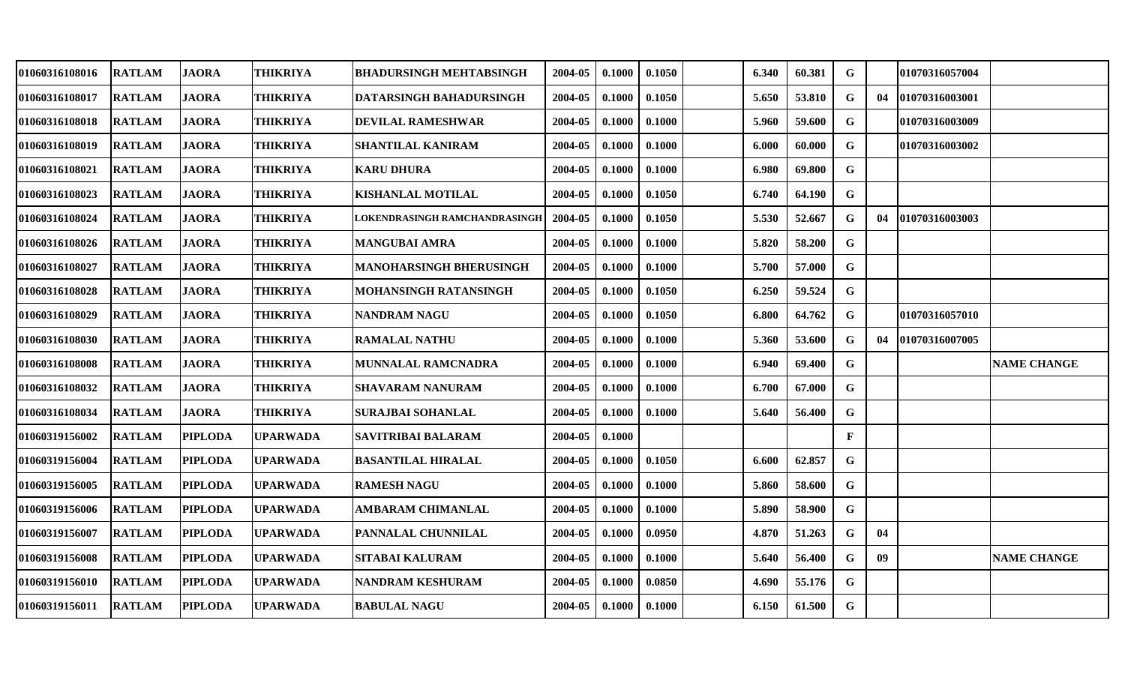| 01060316108016        | <b>RATLAM</b> | <b>JAORA</b>   | <b>THIKRIYA</b> | <b>BHADURSINGH MEHTABSINGH</b> | 2004-05 | 0.1000 | 0.1050 | 6.340 | 60.381 | G            |    | 01070316057004  |                    |
|-----------------------|---------------|----------------|-----------------|--------------------------------|---------|--------|--------|-------|--------|--------------|----|-----------------|--------------------|
| 01060316108017        | <b>RATLAM</b> | <b>JAORA</b>   | THIKRIYA        | DATARSINGH BAHADURSINGH        | 2004-05 | 0.1000 | 0.1050 | 5.650 | 53.810 | G            | 04 | 01070316003001  |                    |
| 01060316108018        | <b>RATLAM</b> | JAORA          | THIKRIYA        | <b>DEVILAL RAMESHWAR</b>       | 2004-05 | 0.1000 | 0.1000 | 5.960 | 59.600 | G            |    | 01070316003009  |                    |
| <b>01060316108019</b> | <b>RATLAM</b> | <b>JAORA</b>   | <b>THIKRIYA</b> | SHANTILAL KANIRAM              | 2004-05 | 0.1000 | 0.1000 | 6.000 | 60.000 | G            |    | 01070316003002  |                    |
| <b>01060316108021</b> | <b>RATLAM</b> | <b>JAORA</b>   | <b>THIKRIYA</b> | <b>KARU DHURA</b>              | 2004-05 | 0.1000 | 0.1000 | 6.980 | 69.800 | $\mathbf G$  |    |                 |                    |
| 01060316108023        | <b>RATLAM</b> | <b>JAORA</b>   | THIKRIYA        | <b>KISHANLAL MOTILAL</b>       | 2004-05 | 0.1000 | 0.1050 | 6.740 | 64.190 | G            |    |                 |                    |
| 01060316108024        | <b>RATLAM</b> | <b>JAORA</b>   | <b>THIKRIYA</b> | LOKENDRASINGH RAMCHANDRASINGE  | 2004-05 | 0.1000 | 0.1050 | 5.530 | 52.667 | G            | 04 | 101070316003003 |                    |
| <b>01060316108026</b> | <b>RATLAM</b> | <b>JAORA</b>   | <b>THIKRIYA</b> | <b>MANGUBAI AMRA</b>           | 2004-05 | 0.1000 | 0.1000 | 5.820 | 58.200 | G            |    |                 |                    |
| 01060316108027        | <b>RATLAM</b> | <b>JAORA</b>   | THIKRIYA        | MANOHARSINGH BHERUSINGH        | 2004-05 | 0.1000 | 0.1000 | 5.700 | 57.000 | G            |    |                 |                    |
| 01060316108028        | <b>RATLAM</b> | <b>JAORA</b>   | <b>THIKRIYA</b> | MOHANSINGH RATANSINGH          | 2004-05 | 0.1000 | 0.1050 | 6.250 | 59.524 | $\mathbf G$  |    |                 |                    |
| 01060316108029        | <b>RATLAM</b> | <b>JAORA</b>   | <b>THIKRIYA</b> | <b>NANDRAM NAGU</b>            | 2004-05 | 0.1000 | 0.1050 | 6.800 | 64.762 | $\mathbf G$  |    | 01070316057010  |                    |
| <b>01060316108030</b> | <b>RATLAM</b> | <b>JAORA</b>   | THIKRIYA        | <b>RAMALAL NATHU</b>           | 2004-05 | 0.1000 | 0.1000 | 5.360 | 53.600 | G            | 04 | 101070316007005 |                    |
| <b>01060316108008</b> | <b>RATLAM</b> | <b>JAORA</b>   | <b>THIKRIYA</b> | MUNNALAL RAMCNADRA             | 2004-05 | 0.1000 | 0.1000 | 6.940 | 69.400 | G            |    |                 | <b>NAME CHANGE</b> |
| 01060316108032        | <b>RATLAM</b> | <b>JAORA</b>   | THIKRIYA        | <b>SHAVARAM NANURAM</b>        | 2004-05 | 0.1000 | 0.1000 | 6.700 | 67.000 | $\mathbf G$  |    |                 |                    |
| <b>01060316108034</b> | <b>RATLAM</b> | <b>JAORA</b>   | <b>THIKRIYA</b> | <b>SURAJBAI SOHANLAL</b>       | 2004-05 | 0.1000 | 0.1000 | 5.640 | 56.400 | $\mathbf G$  |    |                 |                    |
| 01060319156002        | <b>RATLAM</b> | <b>PIPLODA</b> | <b>UPARWADA</b> | SAVITRIBAI BALARAM             | 2004-05 | 0.1000 |        |       |        | $\mathbf{F}$ |    |                 |                    |
| 01060319156004        | <b>RATLAM</b> | <b>PIPLODA</b> | <b>UPARWADA</b> | <b>BASANTILAL HIRALAL</b>      | 2004-05 | 0.1000 | 0.1050 | 6.600 | 62.857 | G            |    |                 |                    |
| 01060319156005        | <b>RATLAM</b> | <b>PIPLODA</b> | <b>UPARWADA</b> | <b>RAMESH NAGU</b>             | 2004-05 | 0.1000 | 0.1000 | 5.860 | 58.600 | $\mathbf G$  |    |                 |                    |
| 01060319156006        | <b>RATLAM</b> | <b>PIPLODA</b> | UPARWADA        | AMBARAM CHIMANLAL              | 2004-05 | 0.1000 | 0.1000 | 5.890 | 58.900 | G            |    |                 |                    |
| <b>01060319156007</b> | <b>RATLAM</b> | <b>PIPLODA</b> | UPARWADA        | PANNALAL CHUNNILAL             | 2004-05 | 0.1000 | 0.0950 | 4.870 | 51.263 | G            | 04 |                 |                    |
| 01060319156008        | <b>RATLAM</b> | <b>PIPLODA</b> | <b>UPARWADA</b> | SITABAI KALURAM                | 2004-05 | 0.1000 | 0.1000 | 5.640 | 56.400 | G            | 09 |                 | <b>NAME CHANGE</b> |
| 01060319156010        | <b>RATLAM</b> | <b>PIPLODA</b> | <b>UPARWADA</b> | NANDRAM KESHURAM               | 2004-05 | 0.1000 | 0.0850 | 4.690 | 55.176 | G            |    |                 |                    |
| 01060319156011        | <b>RATLAM</b> | <b>PIPLODA</b> | <b>UPARWADA</b> | <b>BABULAL NAGU</b>            | 2004-05 | 0.1000 | 0.1000 | 6.150 | 61.500 | G            |    |                 |                    |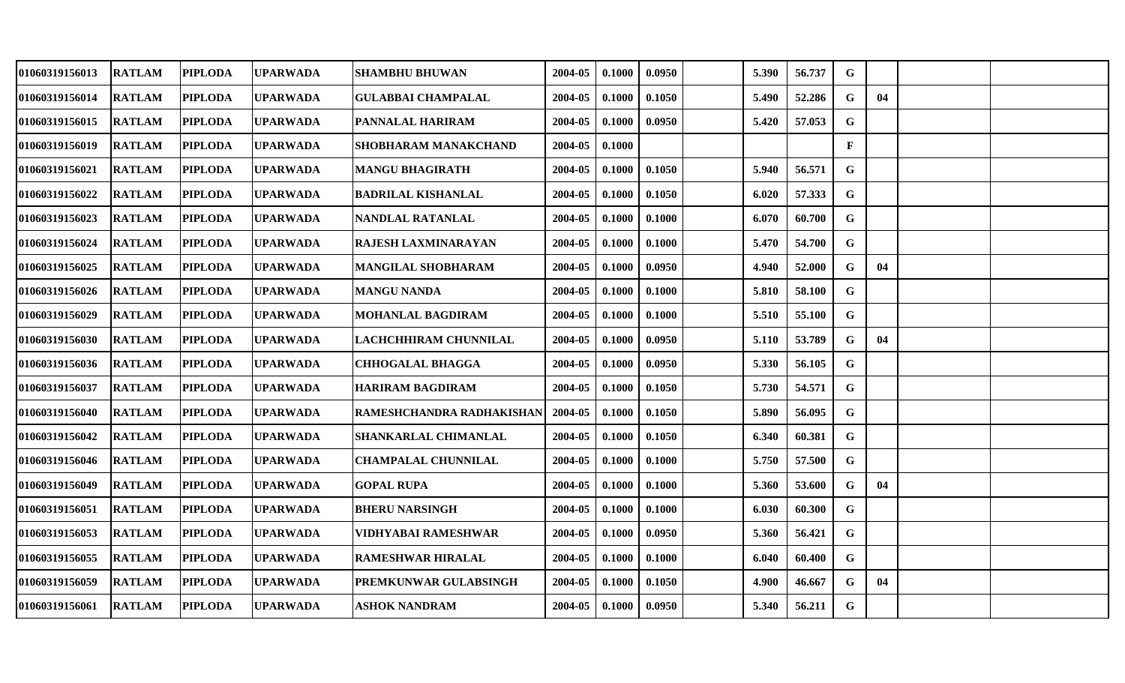| 01060319156013 | <b>RATLAM</b> | PIPLODA        | <b>UPARWADA</b> | <b>SHAMBHU BHUWAN</b>       | 2004-05 | 0.1000 | 0.0950 | 5.390 | 56.737 | $\mathbf G$ |    |  |
|----------------|---------------|----------------|-----------------|-----------------------------|---------|--------|--------|-------|--------|-------------|----|--|
| 01060319156014 | <b>RATLAM</b> | <b>PIPLODA</b> | <b>UPARWADA</b> | <b>GULABBAI CHAMPALAL</b>   | 2004-05 | 0.1000 | 0.1050 | 5.490 | 52.286 | G           | 04 |  |
| 01060319156015 | <b>RATLAM</b> | <b>PIPLODA</b> | <b>UPARWADA</b> | PANNALAL HARIRAM            | 2004-05 | 0.1000 | 0.0950 | 5.420 | 57.053 | G           |    |  |
| 01060319156019 | <b>RATLAM</b> | <b>PIPLODA</b> | <b>UPARWADA</b> | <b>SHOBHARAM MANAKCHAND</b> | 2004-05 | 0.1000 |        |       |        | F           |    |  |
| 01060319156021 | <b>RATLAM</b> | <b>PIPLODA</b> | <b>UPARWADA</b> | <b>MANGU BHAGIRATH</b>      | 2004-05 | 0.1000 | 0.1050 | 5.940 | 56.571 | G           |    |  |
| 01060319156022 | <b>RATLAM</b> | <b>PIPLODA</b> | <b>UPARWADA</b> | <b>BADRILAL KISHANLAL</b>   | 2004-05 | 0.1000 | 0.1050 | 6.020 | 57.333 | G           |    |  |
| 01060319156023 | <b>RATLAM</b> | <b>PIPLODA</b> | <b>UPARWADA</b> | NANDLAL RATANLAL            | 2004-05 | 0.1000 | 0.1000 | 6.070 | 60.700 | ${\bf G}$   |    |  |
| 01060319156024 | <b>RATLAM</b> | <b>PIPLODA</b> | <b>UPARWADA</b> | RAJESH LAXMINARAYAN         | 2004-05 | 0.1000 | 0.1000 | 5.470 | 54.700 | G           |    |  |
| 01060319156025 | <b>RATLAM</b> | <b>PIPLODA</b> | <b>UPARWADA</b> | <b>MANGILAL SHOBHARAM</b>   | 2004-05 | 0.1000 | 0.0950 | 4.940 | 52.000 | $\mathbf G$ | 04 |  |
| 01060319156026 | <b>RATLAM</b> | <b>PIPLODA</b> | <b>UPARWADA</b> | <b>MANGU NANDA</b>          | 2004-05 | 0.1000 | 0.1000 | 5.810 | 58.100 | G           |    |  |
| 01060319156029 | <b>RATLAM</b> | <b>PIPLODA</b> | <b>UPARWADA</b> | <b>MOHANLAL BAGDIRAM</b>    | 2004-05 | 0.1000 | 0.1000 | 5.510 | 55.100 | G           |    |  |
| 01060319156030 | <b>RATLAM</b> | <b>PIPLODA</b> | <b>UPARWADA</b> | LACHCHHIRAM CHUNNILAL       | 2004-05 | 0.1000 | 0.0950 | 5.110 | 53.789 | G           | 04 |  |
| 01060319156036 | <b>RATLAM</b> | <b>PIPLODA</b> | <b>UPARWADA</b> | <b>CHHOGALAL BHAGGA</b>     | 2004-05 | 0.1000 | 0.0950 | 5.330 | 56.105 | $\mathbf G$ |    |  |
| 01060319156037 | <b>RATLAM</b> | <b>PIPLODA</b> | <b>UPARWADA</b> | HARIRAM BAGDIRAM            | 2004-05 | 0.1000 | 0.1050 | 5.730 | 54.571 | $\mathbf G$ |    |  |
| 01060319156040 | <b>RATLAM</b> | <b>PIPLODA</b> | <b>UPARWADA</b> | RAMESHCHANDRA RADHAKISHAN   | 2004-05 | 0.1000 | 0.1050 | 5.890 | 56.095 | G           |    |  |
| 01060319156042 | <b>RATLAM</b> | <b>PIPLODA</b> | <b>UPARWADA</b> | SHANKARLAL CHIMANLAL        | 2004-05 | 0.1000 | 0.1050 | 6.340 | 60.381 | G           |    |  |
| 01060319156046 | <b>RATLAM</b> | <b>PIPLODA</b> | <b>UPARWADA</b> | <b>CHAMPALAL CHUNNILAL</b>  | 2004-05 | 0.1000 | 0.1000 | 5.750 | 57.500 | $\mathbf G$ |    |  |
| 01060319156049 | <b>RATLAM</b> | <b>PIPLODA</b> | <b>UPARWADA</b> | <b>GOPAL RUPA</b>           | 2004-05 | 0.1000 | 0.1000 | 5.360 | 53.600 | G           | 04 |  |
| 01060319156051 | <b>RATLAM</b> | <b>PIPLODA</b> | <b>UPARWADA</b> | <b>BHERU NARSINGH</b>       | 2004-05 | 0.1000 | 0.1000 | 6.030 | 60.300 | G           |    |  |
| 01060319156053 | <b>RATLAM</b> | <b>PIPLODA</b> | <b>UPARWADA</b> | VIDHYABAI RAMESHWAR         | 2004-05 | 0.1000 | 0.0950 | 5.360 | 56.421 | $\mathbf G$ |    |  |
| 01060319156055 | <b>RATLAM</b> | <b>PIPLODA</b> | <b>UPARWADA</b> | <b>RAMESHWAR HIRALAL</b>    | 2004-05 | 0.1000 | 0.1000 | 6.040 | 60.400 | G           |    |  |
| 01060319156059 | <b>RATLAM</b> | <b>PIPLODA</b> | <b>UPARWADA</b> | PREMKUNWAR GULABSINGH       | 2004-05 | 0.1000 | 0.1050 | 4.900 | 46.667 | G           | 04 |  |
| 01060319156061 | <b>RATLAM</b> | <b>PIPLODA</b> | <b>UPARWADA</b> | <b>ASHOK NANDRAM</b>        | 2004-05 | 0.1000 | 0.0950 | 5.340 | 56.211 | G           |    |  |
|                |               |                |                 |                             |         |        |        |       |        |             |    |  |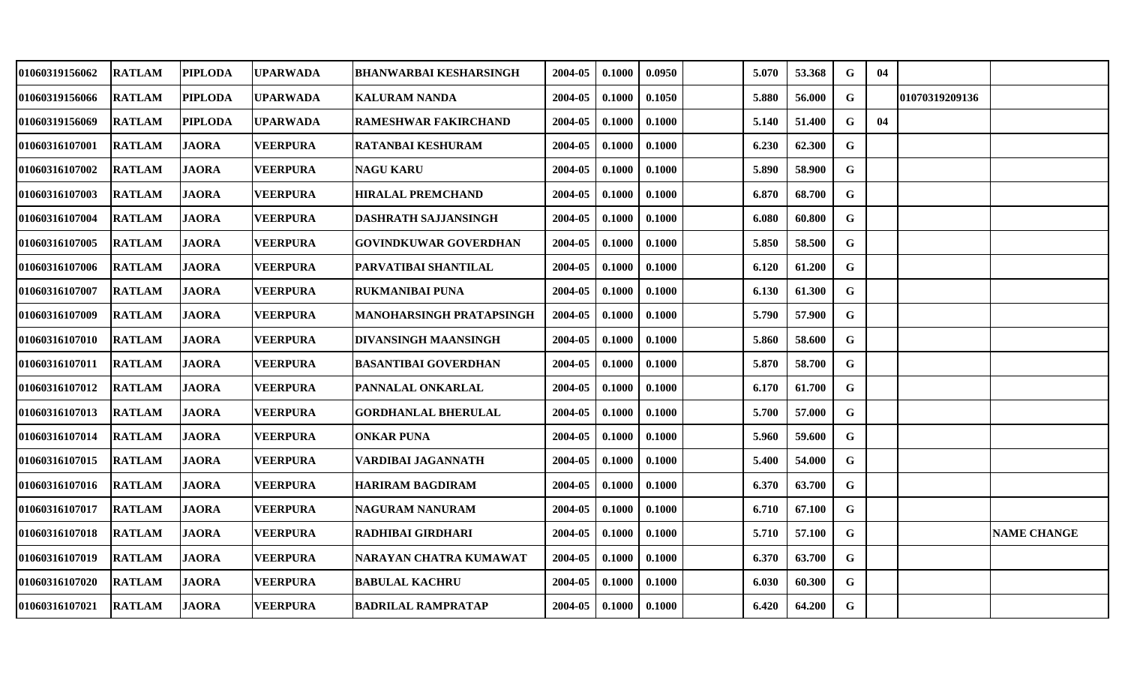| 01060319156062        | <b>RATLAM</b> | <b>PIPLODA</b> | <b>UPARWADA</b> | <b>BHANWARBAI KESHARSINGH</b>   | 2004-05 | 0.1000 | 0.0950 | 5.070 | 53.368 | G           | 04 |                |                    |
|-----------------------|---------------|----------------|-----------------|---------------------------------|---------|--------|--------|-------|--------|-------------|----|----------------|--------------------|
| 01060319156066        | <b>RATLAM</b> | <b>PIPLODA</b> | <b>UPARWADA</b> | <b>KALURAM NANDA</b>            | 2004-05 | 0.1000 | 0.1050 | 5.880 | 56.000 | $\mathbf G$ |    | 01070319209136 |                    |
| 01060319156069        | <b>RATLAM</b> | <b>PIPLODA</b> | UPARWADA        | <b>RAMESHWAR FAKIRCHAND</b>     | 2004-05 | 0.1000 | 0.1000 | 5.140 | 51.400 | G           | 04 |                |                    |
| <b>01060316107001</b> | <b>RATLAM</b> | <b>JAORA</b>   | <b>VEERPURA</b> | <b>RATANBAI KESHURAM</b>        | 2004-05 | 0.1000 | 0.1000 | 6.230 | 62.300 | G           |    |                |                    |
| <b>01060316107002</b> | <b>RATLAM</b> | <b>JAORA</b>   | <b>VEERPURA</b> | NAGU KARU                       | 2004-05 | 0.1000 | 0.1000 | 5.890 | 58.900 | $\mathbf G$ |    |                |                    |
| 01060316107003        | <b>RATLAM</b> | <b>JAORA</b>   | <b>VEERPURA</b> | <b>HIRALAL PREMCHAND</b>        | 2004-05 | 0.1000 | 0.1000 | 6.870 | 68.700 | $\mathbf G$ |    |                |                    |
| 01060316107004        | <b>RATLAM</b> | <b>JAORA</b>   | <b>VEERPURA</b> | <b>DASHRATH SAJJANSINGH</b>     | 2004-05 | 0.1000 | 0.1000 | 6.080 | 60.800 | G           |    |                |                    |
| <b>01060316107005</b> | <b>RATLAM</b> | <b>JAORA</b>   | <b>VEERPURA</b> | <b>GOVINDKUWAR GOVERDHAN</b>    | 2004-05 | 0.1000 | 0.1000 | 5.850 | 58.500 | G           |    |                |                    |
| 01060316107006        | <b>RATLAM</b> | <b>JAORA</b>   | <b>VEERPURA</b> | PARVATIBAI SHANTILAL            | 2004-05 | 0.1000 | 0.1000 | 6.120 | 61.200 | G           |    |                |                    |
| <b>01060316107007</b> | <b>RATLAM</b> | <b>JAORA</b>   | <b>VEERPURA</b> | <b>RUKMANIBAI PUNA</b>          | 2004-05 | 0.1000 | 0.1000 | 6.130 | 61.300 | G           |    |                |                    |
| 01060316107009        | <b>RATLAM</b> | <b>JAORA</b>   | <b>VEERPURA</b> | <b>MANOHARSINGH PRATAPSINGH</b> | 2004-05 | 0.1000 | 0.1000 | 5.790 | 57.900 | $\mathbf G$ |    |                |                    |
| 01060316107010        | <b>RATLAM</b> | <b>JAORA</b>   | <b>VEERPURA</b> | <b>DIVANSINGH MAANSINGH</b>     | 2004-05 | 0.1000 | 0.1000 | 5.860 | 58.600 | $\mathbf G$ |    |                |                    |
| 01060316107011        | <b>RATLAM</b> | <b>JAORA</b>   | <b>VEERPURA</b> | <b>BASANTIBAI GOVERDHAN</b>     | 2004-05 | 0.1000 | 0.1000 | 5.870 | 58.700 | G           |    |                |                    |
| 01060316107012        | <b>RATLAM</b> | <b>JAORA</b>   | <b>VEERPURA</b> | PANNALAL ONKARLAL               | 2004-05 | 0.1000 | 0.1000 | 6.170 | 61.700 | $\mathbf G$ |    |                |                    |
| <b>01060316107013</b> | <b>RATLAM</b> | <b>JAORA</b>   | <b>VEERPURA</b> | <b>GORDHANLAL BHERULAL</b>      | 2004-05 | 0.1000 | 0.1000 | 5.700 | 57.000 | $\mathbf G$ |    |                |                    |
| 01060316107014        | <b>RATLAM</b> | <b>JAORA</b>   | <b>VEERPURA</b> | <b>ONKAR PUNA</b>               | 2004-05 | 0.1000 | 0.1000 | 5.960 | 59.600 | G           |    |                |                    |
| <b>01060316107015</b> | <b>RATLAM</b> | <b>JAORA</b>   | <b>VEERPURA</b> | VARDIBAI JAGANNATH              | 2004-05 | 0.1000 | 0.1000 | 5.400 | 54.000 | $\mathbf G$ |    |                |                    |
| 01060316107016        | <b>RATLAM</b> | <b>JAORA</b>   | <b>VEERPURA</b> | <b>HARIRAM BAGDIRAM</b>         | 2004-05 | 0.1000 | 0.1000 | 6.370 | 63.700 | $\mathbf G$ |    |                |                    |
| 01060316107017        | <b>RATLAM</b> | JAORA          | <b>VEERPURA</b> | NAGURAM NANURAM                 | 2004-05 | 0.1000 | 0.1000 | 6.710 | 67.100 | G           |    |                |                    |
| <b>01060316107018</b> | <b>RATLAM</b> | <b>JAORA</b>   | <b>VEERPURA</b> | RADHIBAI GIRDHARI               | 2004-05 | 0.1000 | 0.1000 | 5.710 | 57.100 | $\mathbf G$ |    |                | <b>NAME CHANGE</b> |
| 01060316107019        | <b>RATLAM</b> | <b>JAORA</b>   | <b>VEERPURA</b> | NARAYAN CHATRA KUMAWAT          | 2004-05 | 0.1000 | 0.1000 | 6.370 | 63.700 | G           |    |                |                    |
| <b>01060316107020</b> | <b>RATLAM</b> | <b>JAORA</b>   | <b>VEERPURA</b> | <b>BABULAL KACHRU</b>           | 2004-05 | 0.1000 | 0.1000 | 6.030 | 60.300 | G           |    |                |                    |
| 01060316107021        | <b>RATLAM</b> | <b>JAORA</b>   | <b>VEERPURA</b> | <b>BADRILAL RAMPRATAP</b>       | 2004-05 | 0.1000 | 0.1000 | 6.420 | 64.200 | G           |    |                |                    |